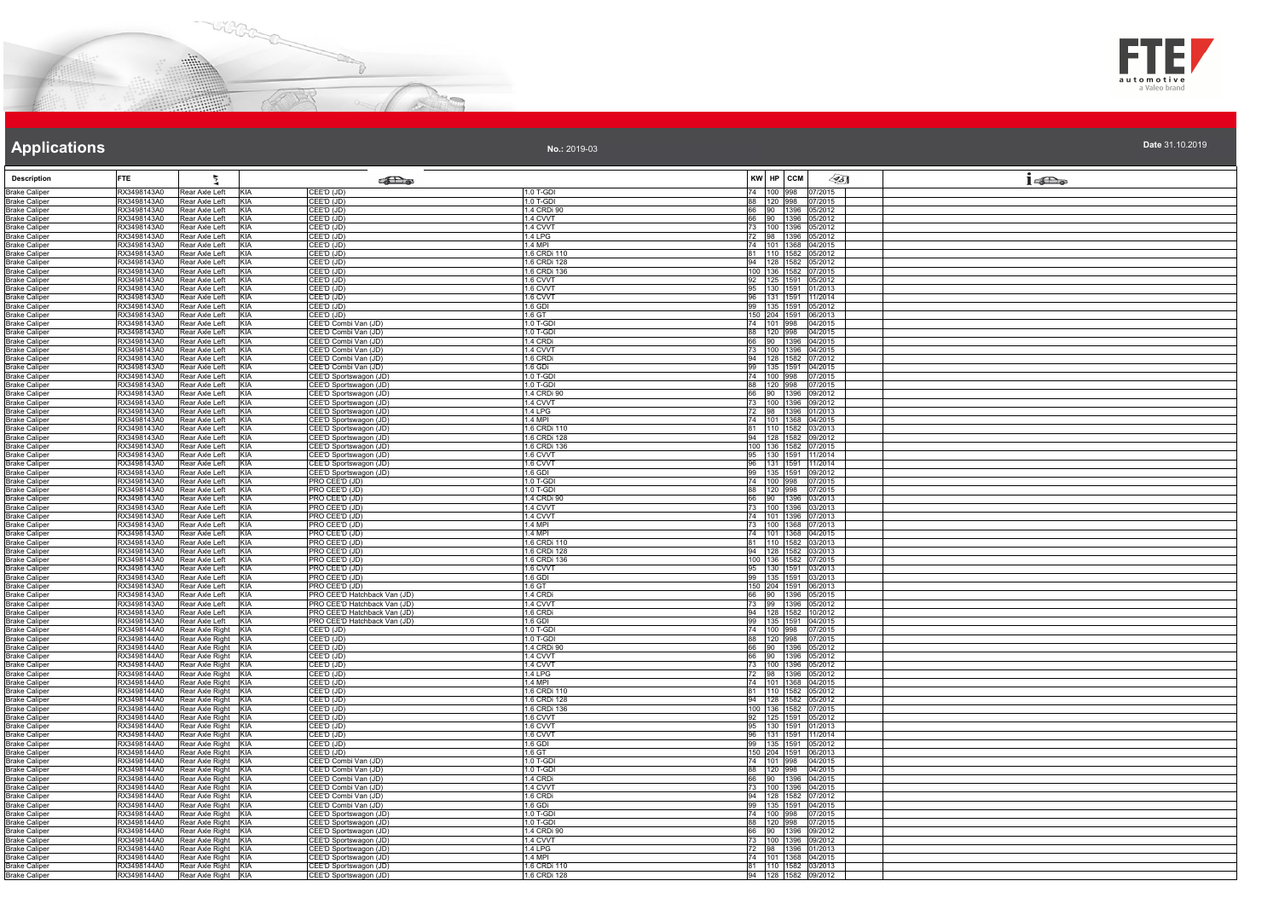



| Date 31.10.2019 |  |  |
|-----------------|--|--|

| <b>Description</b>                           | <b>FTE</b>                 | 텃                                              | <b>SEL</b> @                                                 |                          | KW HP CCM                                   | $\mathscr{L}$ 5] | $1 - \sum_{\omega}$ |
|----------------------------------------------|----------------------------|------------------------------------------------|--------------------------------------------------------------|--------------------------|---------------------------------------------|------------------|---------------------|
| <b>Brake Caliper</b>                         | RX3498143A0                | KIA<br>Rear Axle Left                          | CEE'D (JD)                                                   | 1.0 T-GDI<br>1.0 T-GDI   | 74 100 998 07/2015                          |                  |                     |
| <b>Brake Caliper</b><br><b>Brake Caliper</b> | RX3498143A0<br>RX3498143A0 | KIA<br>Rear Axle Left<br>Rear Axle Left<br>KIA | CEE'D (JD)<br>CEE'D (JD)                                     | 1.4 CRDi 90              | 88 120 998 07/2015<br>66 90 1396 05/2012    |                  |                     |
| <b>Brake Caliper</b>                         | RX3498143A0                | Rear Axle Left<br>KIA                          | CEE'D (JD)                                                   | 1.4 CVVT                 | 66 90 1396 05/2012                          |                  |                     |
| <b>Brake Caliper</b>                         | RX3498143A0                | Rear Axle Left<br><b>KIA</b>                   | CEE'D (JD)                                                   | 1.4 CVVT                 | 73 100 1396 05/2012                         |                  |                     |
| <b>Brake Caliper</b><br><b>Brake Caliper</b> | RX3498143A0<br>RX3498143A0 | Rear Axle Left<br>KIA<br>Rear Axle Left<br>KIA | CEE'D (JD)<br>CEE'D (JD)                                     | 1.4 LPG<br>1 4 MPI       | 72 98 1396 05/2012<br>74 101 1368 04/2015   |                  |                     |
| <b>Brake Caliper</b>                         | RX3498143A0                | KIA<br>Rear Axle Left                          | CEE'D (JD)                                                   | 1.6 CRDi 110             | 81 110 1582 05/2012                         |                  |                     |
| <b>Brake Caliper</b>                         | RX3498143A0                | Rear Axle Left<br>KIA                          | CEE'D (JD)                                                   | 1.6 CRDi 128             | 94 128 1582 05/2012                         |                  |                     |
| <b>Brake Caliper</b>                         | RX3498143A0                | Rear Axle Left<br>KIA                          | $\overline{\mathsf{CEED}}$ (JD)                              | 1.6 CRDi 136             | 100 136 1582 07/2015                        |                  |                     |
| <b>Brake Caliper</b><br><b>Brake Caliper</b> | RX3498143A0<br>RX3498143A0 | Rear Axle Left<br>KIA<br>KIA<br>Rear Axle Left | CEE'D (JD)<br>CEE'D (JD)                                     | 1.6 CVVT<br>1.6 CVVT     | 92 125 1591 05/2012<br>95 130 1591 01/2013  |                  |                     |
| <b>Brake Caliper</b>                         | RX3498143A0                | KIA<br>Rear Axle Left                          | CEE'D (JD)                                                   | 1.6 CVVT                 | 96 131 1591 11/2014                         |                  |                     |
| <b>Brake Caliper</b>                         | RX3498143A0                | Rear Axle Left<br>KIA                          | CEE'D (JD)                                                   | 1.6 GDI                  | 99 135 1591 05/2012                         |                  |                     |
| <b>Brake Caliper</b><br><b>Brake Caliper</b> | RX3498143A0<br>RX3498143A0 | Rear Axle Left<br>KIA<br>Rear Axle Left<br>KIA | CEE'D (JD)<br>CEE'D Combi Van (JD)                           | 1.6 GT<br>1.0 T-GDI      | 150 204 1591 06/2013                        |                  |                     |
| <b>Brake Caliper</b>                         | RX3498143A0                | KIA<br>Rear Axle Left                          | CEE'D Combi Van (JD)                                         | 1.0 T-GDI                | 74 101 998 04/2015<br>88 120 998 04/2015    |                  |                     |
| <b>Brake Caliper</b>                         | RX3498143A0                | Rear Axle Left<br>KIA                          | CEE'D Combi Van (JD)                                         | 1 4 CRDi                 | 66 90 1396 04/2015                          |                  |                     |
| <b>Brake Caliper</b>                         | RX3498143A0                | Rear Axle Left<br>KIA                          | CEE'D Combi Van (JD)                                         | 1.4 CVVT                 | 73 100 1396 04/2015                         |                  |                     |
| <b>Brake Caliper</b><br><b>Brake Caliper</b> | RX3498143A0<br>RX3498143A0 | KIA<br>Rear Axle Left<br>Rear Axle Left<br>KIA | CEE'D Combi Van (JD)<br>CEE'D Combi Van (JD)                 | 1.6 CRDi<br>1.6 GDi      | 94 128 1582 07/2012<br>99 135 1591 04/2015  |                  |                     |
| <b>Brake Caliper</b>                         | RX3498143A0                | Rear Axle Left<br>KIA                          | CEE'D Sportswagon (JD)                                       | 1.0 T-GDI                | 74 100 998 07/2015                          |                  |                     |
| <b>Brake Caliper</b>                         | RX3498143A0                | KIA<br>Rear Axle Left                          | CEE'D Sportswagon (JD)                                       | 1.0 T-GDI                | 88 120 998 07/2015                          |                  |                     |
| <b>Brake Caliper</b><br><b>Brake Caliper</b> | RX3498143A0                | KIA<br>Rear Axle Left                          | CEE'D Sportswagon (JD)                                       | 1.4 CRDi 90              | 66 90 1396 09/2012<br>73 100 1396 09/2012   |                  |                     |
| <b>Brake Caliper</b>                         | RX3498143A0<br>RX3498143A0 | KIA<br>Rear Axle Left<br>Rear Axle Left<br>KIA | CEE'D Sportswagon (JD)<br>CEE'D Sportswagon (JD)             | 1.4 CVVT<br>1.4 LPG      | 72 98 1396 01/2013                          |                  |                     |
| <b>Brake Caliper</b>                         | RX3498143A0                | Rear Axle Left<br>KIA                          | CEE'D Sportswagon (JD)                                       | $1.4$ MPI                | 74 101 1368 04/2015                         |                  |                     |
| <b>Brake Caliper</b>                         | RX3498143A0                | KIA<br>Rear Axle Left                          | CEE'D Sportswagon (JD)                                       | 1.6 CRDi 110             | 81 110 1582 03/2013                         |                  |                     |
| <b>Brake Caliper</b>                         | RX3498143A0                | Rear Axle Left<br>KIA                          | CEE'D Sportswagon (JD)                                       | 1.6 CRDi 128             | 94 128 1582 09/2012                         |                  |                     |
| <b>Brake Caliper</b><br><b>Brake Caliper</b> | RX3498143A0<br>RX3498143A0 | Rear Axle Left<br>KIA<br>KIA<br>Rear Axle Left | CEE'D Sportswagon (JD)<br>CEE'D Sportswagon (JD)             | 1.6 CRDi 136<br>1.6 CVVT | 100 136 1582 07/2015<br>95 130 1591 11/2014 |                  |                     |
| <b>Brake Caliper</b>                         | RX3498143A0                | Rear Axle Left<br><b>KIA</b>                   | CEE'D Sportswagon (JD)                                       | 1.6 CVVT                 | 96 131 1591 11/2014                         |                  |                     |
| <b>Brake Caliper</b>                         | RX3498143A0                | KIA<br>Rear Axle Left                          | CEE'D Sportswagon (JD)                                       | 1.6 GDI                  | 99 135 1591 09/2012                         |                  |                     |
| <b>Brake Caliper</b><br><b>Brake Caliper</b> | RX3498143A0<br>RX3498143A0 | KIA<br>Rear Axle Left<br>Rear Axle Left<br>KIA | PRO CEE'D (JD)<br>PRO CEE'D (JD)                             | 1.0 T-GDI<br>1.0 T-GDI   | 74 100 998 07/2015<br>88 120 998 07/2015    |                  |                     |
| <b>Brake Caliper</b>                         | RX3498143A0                | KIA<br>Rear Axle Left                          | PRO CEE'D (JD)                                               | 1.4 CRDi 90              | 66 90 1396 03/2013                          |                  |                     |
| <b>Brake Caliper</b>                         | RX3498143A0                | Rear Axle Left<br>KIA                          | PRO CEE'D (JD)                                               | 1.4 CVVT                 | 73 100 1396 03/2013                         |                  |                     |
| <b>Brake Caliper</b>                         | RX3498143A0                | Rear Axle Left<br>KIA                          | PRO CEE'D (JD)                                               | 1.4 CVVT                 | 74 101 1396 07/2013                         |                  |                     |
| <b>Brake Caliper</b><br><b>Brake Caliper</b> | RX3498143A0<br>RX3498143A0 | Rear Axle Left<br>KIA<br>Rear Axle Left<br>KIA | PRO CEE'D (JD)<br>PRO CEE'D (JD)                             | 1 4 MPI<br>$1.4$ MPI     | 73 100 1368 07/2013<br>74 101 1368 04/2015  |                  |                     |
| <b>Brake Caliper</b>                         | RX3498143A0                | Rear Axle Left<br>KIA                          | PRO CEE'D (JD)                                               | 1.6 CRDi 110             | 81 110 1582 03/2013                         |                  |                     |
| <b>Brake Caliper</b>                         | RX3498143A0                | KIA<br>Rear Axle Left                          | PRO CEE'D (JD)                                               | 1.6 CRDi 128             | 94 128 1582 03/2013                         |                  |                     |
| <b>Brake Caliper</b>                         | RX3498143A0                | Rear Axle Left<br>KIA                          | PRO CEE'D (JD)                                               | 6 CRDi 136               | 100 136 1582 07/2015                        |                  |                     |
| <b>Brake Caliper</b><br><b>Brake Caliper</b> | RX3498143A0<br>RX3498143A0 | Rear Axle Left<br>KIA<br>KIA<br>Rear Axle Left | PRO CEE'D (JD)<br>PRO CEE'D (JD)                             | 1.6 CVVT<br>1.6 GDI      | 95 130 1591 03/2013<br>99 135 1591 03/2013  |                  |                     |
| <b>Brake Caliper</b>                         | RX3498143A0                | Rear Axle Left<br>KIA                          | PRO CEE'D (JD)                                               | 1.6 GT                   | 150 204 1591 06/2013                        |                  |                     |
| <b>Brake Caliper</b>                         | RX3498143A0                | Rear Axle Left<br>KIA                          | PRO CEE'D Hatchback Van (JD)                                 | 1.4 CRD                  | 66 90 1396 05/2015                          |                  |                     |
| <b>Brake Caliper</b><br><b>Brake Caliper</b> | RX3498143A0<br>RX3498143A0 | Rear Axle Left<br>KIA<br>Rear Axle Left<br>KIA | PRO CEE'D Hatchback Van (JD)<br>PRO CEE'D Hatchback Van (JD) | 1.4 CVVT<br>1.6 CRDi     | 73 99 1396 05/2012                          |                  |                     |
| <b>Brake Caliper</b>                         | RX3498143A0                | KIA<br>Rear Axle Left                          | PRO CEE'D Hatchback Van (JD)                                 | 1.6 GDI                  | 94 128 1582 10/2012<br>99 135 1591 04/2015  |                  |                     |
| <b>Brake Caliper</b>                         | RX3498144A0                | Rear Axle Right<br>KIA                         | CEE'D (JD)                                                   | 1.0 T-GDI                | 74 100 998 07/2015                          |                  |                     |
| <b>Brake Caliper</b><br><b>Brake Caliper</b> | RX3498144A0<br>RX3498144A0 | Rear Axle Right KIA<br>Rear Axle Right KIA     | CEE'D (JD)<br>CEE'D (JD)                                     | 1.0 T-GDI<br>1.4 CRDi 90 | 88 120 998 07/2015<br>66 90 1396 05/2012    |                  |                     |
| <b>Brake Caliper</b>                         | RX3498144A0                | Rear Axle Right<br>KIA                         | CEE'D (JD)                                                   | 1.4 CVVT                 | 66 90 1396 05/2012                          |                  |                     |
| <b>Brake Caliper</b>                         | RX3498144A0                | Rear Axle Right KIA                            | CEE'D (JD)                                                   | 1.4 CVVT                 | 73 100 1396 05/2012                         |                  |                     |
| <b>Brake Caliper</b>                         | RX3498144A0                | Rear Axle Right KIA                            | CEE'D (JD)                                                   | 1.4 LPG                  | 72 98 1396 05/2012                          |                  |                     |
| <b>Brake Caliper</b><br><b>Brake Caliper</b> | RX3498144A0<br>RX3498144A0 | Rear Axle Right KIA<br>Rear Axle Right KIA     | CEE'D (JD)<br>CEE'D (JD)                                     | 1.4 MPI<br>1.6 CRDi 110  | 74 101 1368 04/2015<br>81 110 1582 05/2012  |                  |                     |
| <b>Brake Caliper</b>                         | RX3498144A0                | Rear Axle Right<br>KIA                         | CEE'D (JD)                                                   | .6 CRDi 128              | 94 128 1582 05/2012                         |                  |                     |
| <b>Brake Caliper</b>                         | RX3498144A0                | Rear Axle Right<br>KIA                         | CEE'D (JD)                                                   | 1.6 CRDi 136             | 100 136 1582 07/2015                        |                  |                     |
| <b>Brake Caliper</b>                         | RX3498144A0<br>RX3498144A0 | Rear Axle Right KIA                            | CEE'D (JD)                                                   | 1.6 CVVT<br>1.6 CVVT     | 92 125 1591 05/2012<br>95 130 1591 01/2013  |                  |                     |
| <b>Brake Caliper</b><br><b>Brake Caliper</b> | RX3498144A0                | Rear Axle Right KIA<br>Rear Axle Right KIA     | CEE'D (JD)<br>CEE'D (JD)                                     | 1.6 CVVT                 | 96   131   1591   11/2014                   |                  |                     |
| <b>Brake Caliper</b>                         | RX3498144A0                | Rear Axle Right KIA                            | CEE'D (JD)                                                   | $1.6$ GDI                | 99 135 1591 05/2012                         |                  |                     |
| <b>Brake Caliper</b>                         | RX3498144A0                | Rear Axle Right<br>KIA                         | CEE'D (JD)                                                   | 1.6 GT                   | 150 204 1591 06/2013                        |                  |                     |
| <b>Brake Caliper</b><br><b>Brake Caliper</b> | RX3498144A0<br>RX3498144A0 | KIA<br>Rear Axle Right<br>Rear Axle Right KIA  | CEE'D Combi Van (JD)<br>CEE'D Combi Van (JD)                 | $1.0$ T-GD<br>1.0 T-GDI  | 74 101 998 04/2015<br>88 120 998 04/2015    |                  |                     |
| <b>Brake Caliper</b>                         | RX3498144A0                | Rear Axle Right KIA                            | CEE'D Combi Van (JD)                                         | 1.4 CRDi                 | 66 90 1396 04/2015                          |                  |                     |
| <b>Brake Caliper</b>                         | RX3498144A0                | Rear Axle Right KIA                            | CEE'D Combi Van (JD)                                         | 1.4 CVVT                 | 73 100 1396 04/2015                         |                  |                     |
| <b>Brake Caliper</b>                         | RX3498144A0                | Rear Axle Right<br>KIA                         | <b>EE'D Combi Van (JD)</b>                                   | .6 CRDi                  | 94 128 1582 07/2012                         |                  |                     |
| <b>Brake Caliper</b><br><b>Brake Caliper</b> | RX3498144A0<br>RX3498144A0 | Rear Axle Right<br>KIA<br>Rear Axle Right KIA  | CEE'D Combi Van (JD)<br>CEE'D Sportswagon (JD)               | 1.6 GDi<br>1.0 T-GDI     | 99 135 1591 04/2015<br>74 100 998 07/2015   |                  |                     |
| <b>Brake Caliper</b>                         | RX3498144A0                | Rear Axle Right KIA                            | CEE'D Sportswagon (JD)                                       | 1.0 T-GDI                | 88 120 998 07/2015                          |                  |                     |
| <b>Brake Caliper</b>                         | RX3498144A0                | Rear Axle Right KIA                            | CEE'D Sportswagon (JD)                                       | 1.4 CRDi 90              | 66 90 1396 09/2012                          |                  |                     |
| <b>Brake Caliper</b>                         | RX3498144A0                | Rear Axle Right KIA                            | CEE'D Sportswagon (JD)                                       | 1.4 CVVT                 | 73 100 1396 09/2012                         |                  |                     |
| <b>Brake Caliper</b><br><b>Brake Caliper</b> | RX3498144A0<br>RX3498144A0 | Rear Axle Right<br>KIA<br>Rear Axle Right KIA  | CEE'D Sportswagon (JD)<br>CEE'D Sportswagon (JD)             | 1.4 LPG<br>1 4 MPI       | 72 98 1396 01/2013<br>74 101 1368 04/2015   |                  |                     |
| <b>Brake Caliper</b>                         | RX3498144A0                | Rear Axle Right KIA                            | CEE'D Sportswagon (JD)                                       | 1.6 CRDi 110             | 81 110 1582 03/2013                         |                  |                     |
| <b>Brake Caliper</b>                         | RX3498144A0                | Rear Axle Right KIA                            | CEE'D Sportswagon (JD)                                       | 1.6 CRDi 128             | 94 128 1582 09/2012                         |                  |                     |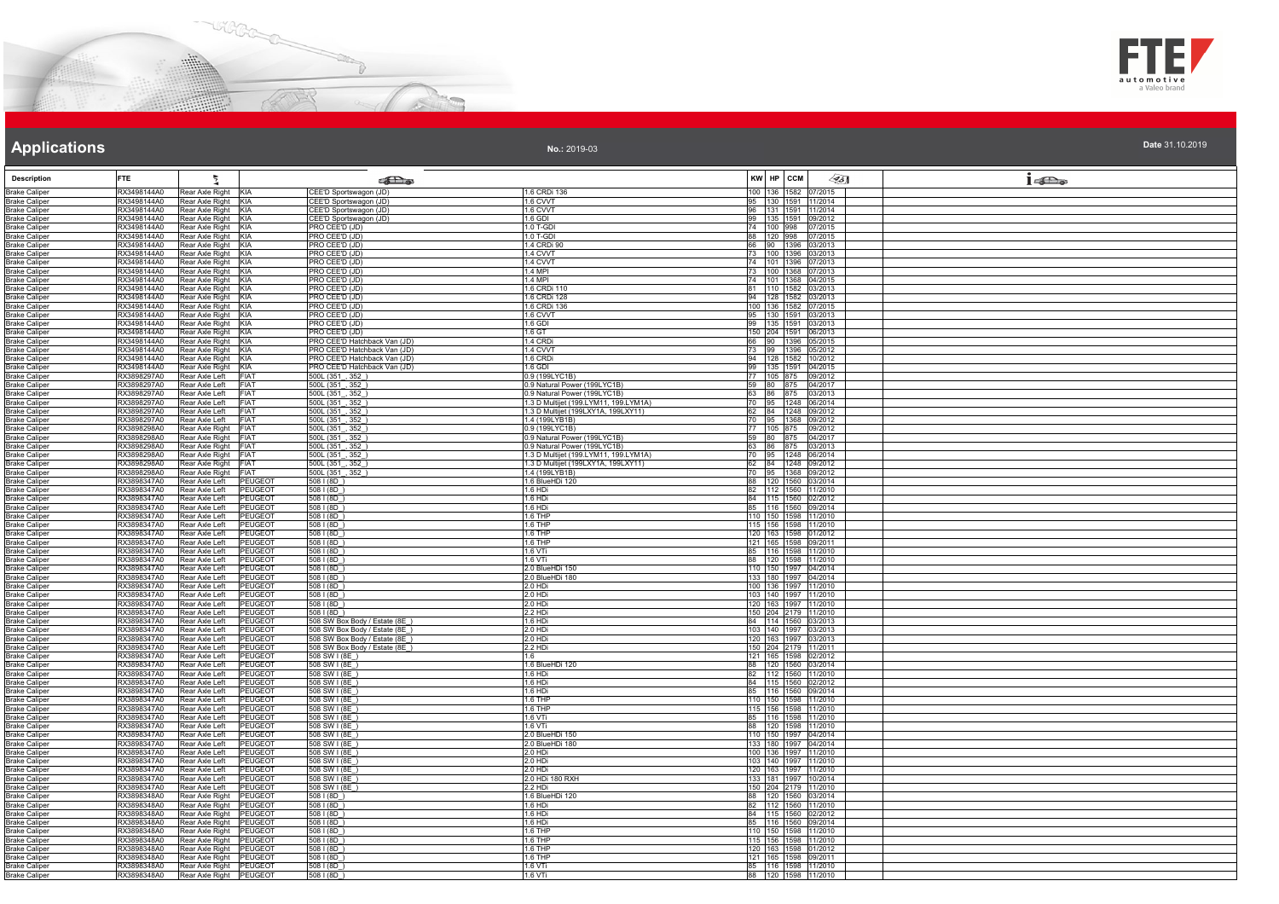



**No.:** 2019-03

| <b>Description</b>                           | <b>FTE</b>                                                               |                                                    | <b>SEL</b> @                                                 |                                                                              |          | KW HP CCM          | ∕95]                                         | $1 - \sum_{\alpha}$ |
|----------------------------------------------|--------------------------------------------------------------------------|----------------------------------------------------|--------------------------------------------------------------|------------------------------------------------------------------------------|----------|--------------------|----------------------------------------------|---------------------|
| <b>Brake Caliper</b>                         | RX3498144A0<br>Rear Axle Right KIA                                       |                                                    | CEE'D Sportswagon (JD)                                       | 1.6 CRDi 136                                                                 |          |                    | 100 136 1582 07/2015                         |                     |
| <b>Brake Caliper</b>                         | RX3498144A0<br>Rear Axle Right KIA                                       |                                                    | CEE'D Sportswagon (JD)                                       | 1.6 CVVT                                                                     | 95       |                    | 130 1591 11/2014                             |                     |
| <b>Brake Caliper</b>                         | RX3498144A0<br>Rear Axle Right KIA                                       |                                                    | CEE'D Sportswagon (JD)                                       | 1.6 CVVT                                                                     | 96       |                    | 131 1591 11/2014                             |                     |
| <b>Brake Caliper</b>                         | Rear Axle Right KIA<br>RX3498144A0                                       |                                                    | CEE'D Sportswagon (JD)                                       | 1.6 GDI                                                                      | 99       |                    | 135 1591 09/2012                             |                     |
| <b>Brake Caliper</b><br><b>Brake Caliper</b> | Rear Axle Right KIA<br>RX3498144A0<br>RX3498144A0<br>Rear Axle Right KIA |                                                    | PRO CEE'D (JD)<br>PRO CEE'D (JD)                             | 1.0 T-GDI<br>1.0 T-GDI                                                       | 74<br>88 | 100 998<br>120 998 | 07/2015<br>07/2015                           |                     |
| <b>Brake Caliper</b>                         | Rear Axle Right KIA<br>RX3498144A0                                       |                                                    | PRO CEE'D (JD)                                               | 1.4 CRDi 90                                                                  |          |                    | 66 90 1396 03/2013                           |                     |
| <b>Brake Caliper</b>                         | Rear Axle Right KIA<br>RX3498144A0                                       |                                                    | PRO CEE'D (JD                                                | 1.4 CVVT                                                                     | 73       |                    | 100 1396 03/2013                             |                     |
| <b>Brake Caliper</b>                         | Rear Axle Right KIA<br>RX3498144A0                                       |                                                    | PRO CEE'D (JD)                                               | 1.4 CVVT                                                                     |          |                    | 74 101 1396 07/2013                          |                     |
| <b>Brake Caliper</b>                         | Rear Axle Right KIA<br>RX3498144A0                                       |                                                    | PRO CEE'D (JD)                                               | 1.4 MPI                                                                      | 73       |                    | 100 1368 07/2013                             |                     |
| <b>Brake Caliper</b><br><b>Brake Caliper</b> | RX3498144A0<br>Rear Axle Right KIA<br>Rear Axle Right KIA<br>RX3498144A0 |                                                    | PRO CEE'D (JD)<br>PRO CEE'D (JD)                             | 1.4 MPI<br>1.6 CRDi 110                                                      |          |                    | 74 101 1368 04/2015<br>81 110 1582 03/2013   |                     |
| <b>Brake Caliper</b>                         | RX3498144A0<br>Rear Axle Right KIA                                       |                                                    | PRO CEE'D (JD)                                               | 1.6 CRDi 128                                                                 | 94       |                    | 128 1582 03/2013                             |                     |
| <b>Brake Caliper</b>                         | RX3498144A0<br>Rear Axle Right KIA                                       |                                                    | PRO CEE'D (JD)                                               | 1.6 CRDi 136                                                                 | 100      |                    | 136 1582 07/2015                             |                     |
| <b>Brake Caliper</b>                         | RX3498144A0<br>Rear Axle Right KIA                                       |                                                    | PRO CEE'D (JD)                                               | 1.6 CVVT                                                                     | 95       |                    | 130 1591 03/2013                             |                     |
| <b>Brake Caliper</b>                         | RX3498144A0<br>Rear Axle Right KIA                                       |                                                    | PRO CEE'D (JD)                                               | 1.6 GDI                                                                      | 99       |                    | 135 1591 03/2013                             |                     |
| <b>Brake Caliper</b>                         | RX3498144A0<br>Rear Axle Right KIA<br>RX3498144A0                        |                                                    | PRO CEE'D (JD)                                               | 1.6 GT                                                                       |          |                    | 150 204 1591 06/2013                         |                     |
| <b>Brake Caliper</b><br><b>Brake Caliper</b> | Rear Axle Right KIA<br>RX3498144A0<br>Rear Axle Right KIA                |                                                    | PRO CEE'D Hatchback Van (JD)<br>PRO CEE'D Hatchback Van (JD) | 1.4 CRDi<br>1.4 CVVT                                                         |          |                    | 66 90 1396 05/2015<br>73 99 1396 05/2012     |                     |
| <b>Brake Caliper</b>                         | Rear Axle Right KIA<br>RX3498144A0                                       |                                                    | PRO CEE'D Hatchback Van (JD)                                 | 1.6 CRDi                                                                     | 94       |                    | 128 1582 10/2012                             |                     |
| <b>Brake Caliper</b>                         | Rear Axle Right KIA<br>RX3498144A0                                       |                                                    | PRO CEE'D Hatchback Van (JD)                                 | 1.6 GDI                                                                      |          |                    | 99 135 1591 04/2015                          |                     |
| <b>Brake Caliper</b>                         | RX3898297A0<br>Rear Axle Left FIAT                                       |                                                    | 500L (351, 352)                                              | 0.9 (199LYC1B)                                                               |          |                    | 77 105 875 09/2012                           |                     |
| <b>Brake Caliper</b>                         | RX3898297A0<br>Rear Axle Left                                            | <b>FIAT</b>                                        | 500L (351, 352)                                              | 0.9 Natural Power (199LYC1B)                                                 |          |                    | 59 80 875 04/2017                            |                     |
| <b>Brake Caliper</b><br><b>Brake Caliper</b> | RX3898297A0<br>Rear Axle Left<br>RX3898297A0<br>Rear Axle Left           | <b>FIAT</b><br><b>FIAT</b>                         | 500L (351_, 352_)<br>500L (351_, 352_)                       | 0.9 Natural Power (199LYC1B)<br>1.3 D Multijet (199.LYM11, 199.LYM1A)        | 70       | 63 86 875          | 03/2013<br>95 1248 06/2014                   |                     |
| <b>Brake Caliper</b>                         | RX3898297A0<br>Rear Axle Left                                            | <b>FIAT</b>                                        | 500L (351, 352)                                              | 1.3 D Multijet (199LXY1A, 199LXY11)                                          | 62       | 84 1248            | 09/2012                                      |                     |
| <b>Brake Caliper</b>                         | Rear Axle Left<br>RX3898297A0                                            | <b>FIAT</b>                                        | 500L (351, 352)                                              | 1.4 (199LYB1B)                                                               | 70       |                    | 95 1368 09/2012                              |                     |
| <b>Brake Caliper</b>                         | Rear Axle Right FIAT<br>RX3898298A0                                      |                                                    | 500L (351, 352)                                              | 0.9 (199LYC1B)                                                               |          |                    | 77 105 875 09/2012                           |                     |
| <b>Brake Caliper</b>                         | Rear Axle Right FIAT<br>RX3898298A0                                      |                                                    | 500L (351, 352)                                              | 0.9 Natural Power (199LYC1B)                                                 |          |                    | 59 80 875 04/2017                            |                     |
| <b>Brake Caliper</b><br><b>Brake Caliper</b> | Rear Axle Right FIAT<br>RX3898298A0<br>RX3898298A0                       |                                                    | 500L (351, 352)                                              | 0.9 Natural Power (199LYC1B)                                                 |          | 63 86 875          | 03/2013                                      |                     |
| <b>Brake Caliper</b>                         | Rear Axle Right FIAT<br>Rear Axle Right FIAT<br>RX3898298A0              |                                                    | 500L (351, 352)<br>500L (351, 352)                           | 1.3 D Multijet (199.LYM11, 199.LYM1A)<br>1.3 D Multijet (199LXY1A, 199LXY11) | 62       |                    | 70 95 1248 06/2014<br>84 1248 09/2012        |                     |
| <b>Brake Caliper</b>                         | RX3898298A0<br>Rear Axle Right FIAT                                      |                                                    | 500L(351, 352)                                               | 1.4 (199LYB1B)                                                               |          |                    | 70 95 1368 09/2012                           |                     |
| <b>Brake Caliper</b>                         | RX3898347A0<br>Rear Axle Left                                            | <b>PEUGEOT</b>                                     | 508 I (8D)                                                   | 1.6 BlueHDi 120                                                              | 88       |                    | 120 1560 03/2014                             |                     |
| <b>Brake Caliper</b>                         | RX3898347A0<br>Rear Axle Left                                            | <b>PEUGEOT</b>                                     | $508$   $(8D)$                                               | 1 6 HDi                                                                      | 82       |                    | 112 1560 11/2010                             |                     |
| <b>Brake Caliper</b>                         | RX3898347A0<br>Rear Axle Left                                            | <b>PEUGEOT</b>                                     | 5081(8D)                                                     | 1.6 HDi                                                                      |          | 115 1560           | 02/2012                                      |                     |
| <b>Brake Caliper</b><br><b>Brake Caliper</b> | RX3898347A0<br>Rear Axle Left<br>RX3898347A0<br>Rear Axle Left           | PEUGEOT<br><b>PEUGEOT</b>                          | 508   (8D)<br>$508$   (8D)                                   | 1.6 HDi<br>1.6 THP                                                           | 85       |                    | 116 1560 09/2014<br>110 150 1598 11/2010     |                     |
| <b>Brake Caliper</b>                         | RX3898347A0<br>Rear Axle Left                                            | <b>PEUGEOT</b>                                     | 508   (8D)                                                   | 1.6 THP                                                                      |          |                    | 115 156 1598 11/2010                         |                     |
| <b>Brake Caliper</b>                         | RX3898347A0<br>Rear Axle Left                                            | PEUGEOT                                            | 508   (8D)                                                   | 1.6 THP                                                                      |          |                    | 120 163 1598 01/2012                         |                     |
| <b>Brake Caliper</b>                         | RX3898347A0<br>Rear Axle Left                                            | PEUGEOT                                            | 5081(8D)                                                     | 1.6 THP                                                                      |          |                    | 121 165 1598 09/2011                         |                     |
| <b>Brake Caliper</b>                         | RX3898347A0<br>Rear Axle Left                                            | <b>PEUGEOT</b>                                     | $508$   $(8D)$                                               | 1.6 VTi<br>1.6 VTI                                                           | 85       |                    | 116 1598 11/2010<br>88 120 1598 11/2010      |                     |
| <b>Brake Caliper</b><br><b>Brake Caliper</b> | RX3898347A0<br>Rear Axle Left<br>RX3898347A0<br>Rear Axle Left           | PEUGEOT<br><b>PEUGEOT</b>                          | 508   (8D)<br>5081(8D)                                       | 2.0 BlueHDi 150                                                              |          |                    | 110 150 1997 04/2014                         |                     |
| <b>Brake Caliper</b>                         | RX3898347A0<br>Rear Axle Left                                            | PEUGEOT                                            | 508   (8D)                                                   | 2.0 BlueHDi 180                                                              |          |                    | 133 180 1997 04/2014                         |                     |
| <b>Brake Caliper</b>                         | RX3898347A0<br>Rear Axle Left                                            | PEUGEOT                                            | 508   (8D)                                                   | 2.0 HDi                                                                      |          |                    | 100 136 1997 11/2010                         |                     |
| <b>Brake Caliper</b>                         | Rear Axle Left<br>RX3898347A0                                            | <b>PEUGEOT</b>                                     | $508$   $(8D)$                                               | 2.0 HDi                                                                      |          |                    | 103 140 1997 11/2010                         |                     |
| <b>Brake Caliper</b><br><b>Brake Caliper</b> | RX3898347A0<br>Rear Axle Left<br>RX3898347A0<br>Rear Axle Left           | PEUGEOT<br>PEUGEOT                                 | 508   (8D)<br>5081(8D)                                       | 2.0 HDi<br>2.2 HDi                                                           |          |                    | 120 163 1997 11/2010<br>150 204 2179 11/2010 |                     |
| <b>Brake Caliper</b>                         | RX3898347A0<br>Rear Axle Left                                            | <b>PEUGEOT</b>                                     | 508 SW Box Body / Estate (8E)                                | 1.6 HDi                                                                      |          |                    | 84 114 1560 03/2013                          |                     |
| <b>Brake Caliper</b>                         | Rear Axle Left<br>RX3898347A0                                            | PEUGEOT                                            | 508 SW Box Body / Estate (8E)                                | 2.0 HDi                                                                      |          |                    | 103 140 1997 03/2013                         |                     |
| <b>Brake Caliper</b>                         | RX3898347A0<br>Rear Axle Left                                            | PEUGEOT                                            | 508 SW Box Body / Estate (8E)                                | 2.0 HDi                                                                      |          |                    | 120 163 1997 03/2013                         |                     |
| <b>Brake Caliper</b>                         | RX3898347A0<br>Rear Axle Left                                            | <b>PEUGEOT</b>                                     | 508 SW Box Body / Estate (8E                                 | 2.2 HDi                                                                      |          |                    | 150 204 2179 11/2011                         |                     |
| <b>Brake Caliper</b><br><b>Brake Caliper</b> | RX3898347A0<br>Rear Axle Left<br>RX3898347A0<br>Rear Axle Left           | <b>PEUGEOT</b><br><b>PEUGEOT</b>                   | 508 SW I (8E_)<br>508 SW I (8E)                              | 1.6<br>1.6 BlueHDi 120                                                       |          |                    | 121 165 1598 02/2012<br>88 120 1560 03/2014  |                     |
| <b>Brake Caliper</b>                         | RX3898347A0<br>Rear Axle Left                                            | PEUGEOT                                            | 508 SW I (8E)                                                | 1.6 HDi                                                                      |          |                    | 82 112 1560 11/2010                          |                     |
| <b>Brake Caliper</b>                         | RX3898347A0<br>Rear Axle Left                                            | PEUGEOT                                            | 508 SW I (8E_)                                               | 1.6 HDi                                                                      | 84       |                    | 115 1560 02/2012                             |                     |
| <b>Brake Caliper</b>                         | RX3898347A0<br>Rear Axle Left                                            | <b>PEUGEOT</b>                                     | 508 SW I (8E)                                                | 1.6 HDi                                                                      | 85       |                    | 116 1560 09/2014                             |                     |
| <b>Brake Caliper</b>                         | RX3898347A0<br>Rear Axle Left                                            | PEUGEOT                                            | 508 SW I (8E)                                                | 1.6 THP                                                                      | 110      |                    | 150 1598 11/2010                             |                     |
| <b>Brake Caliper</b><br><b>Brake Caliper</b> | Rear Axle Left<br>RX3898347A0<br>RX3898347A0<br>Rear Axle Left           | <b>PEUGEOT</b><br><b>PEUGEOT</b>                   | 508 SW L(8E)<br>508 SW I (8E                                 | 1.6 THP<br>1.6 VTi                                                           |          |                    | 115 156 1598 11/2010<br>85 116 1598 11/2010  |                     |
| <b>Brake Caliper</b>                         | RX3898347A0<br>Rear Axle Left                                            | PEUGEOT                                            | 508 SW I (8E)                                                | 1.6 VTi                                                                      | 88       |                    | 120 1598 11/2010                             |                     |
| <b>Brake Caliper</b>                         | RX3898347A0<br>Rear Axle Left                                            | PEUGEOT                                            | 508 SW I (8E                                                 | 2.0 BlueHDi 150                                                              |          |                    | 110 150 1997 04/2014                         |                     |
| <b>Brake Caliper</b>                         | RX3898347A0<br>Rear Axle Left                                            | <b>PEUGEOT</b>                                     | 508 SW I (8E                                                 | 2.0 BlueHDi 180                                                              |          |                    | 133 180 1997 04/2014                         |                     |
| <b>Brake Caliper</b>                         | RX3898347A0<br>Rear Axle Left<br>RX3898347A0<br>Rear Axle Left           | <b>PEUGEOT</b><br>PEUGEOT                          | 508 SW I (8E)<br>508 SW I (8E)                               | $2.0$ HDi<br>2.0 HDi                                                         |          |                    | 100 136 1997 11/2010<br>103 140 1997 11/2010 |                     |
| <b>Brake Caliper</b><br><b>Brake Caliper</b> | RX3898347A0<br>Rear Axle Left                                            | PEUGEOT                                            | 508 SW I (8E)                                                | 2.0 HDi                                                                      |          |                    | 120 163 1997 11/2010                         |                     |
| <b>Brake Caliper</b>                         | RX3898347A0<br>Rear Axle Left                                            | <b>PEUGEOT</b>                                     | 508 SW I (8E)                                                | 2.0 HDi 180 RXH                                                              |          |                    | 133 181 1997 10/2014                         |                     |
| <b>Brake Caliper</b>                         | RX3898347A0<br>Rear Axle Left                                            | <b>PEUGEOT</b>                                     | 508 SW I (8E                                                 | 2.2 HDi                                                                      |          |                    | 150 204 2179 11/2010                         |                     |
| <b>Brake Caliper</b>                         | RX3898348A0<br>Rear Axle Right                                           | PEUGEOT                                            | 508   (8D)                                                   | 1.6 BlueHDi 120                                                              | 88       | 120 1560           | 03/2014                                      |                     |
| <b>Brake Caliper</b>                         | RX3898348A0<br>Rear Axle Right<br>RX3898348A0                            | <b>PEUGEOT</b><br>Rear Axle Right PEUGEOT          | 508   (8D)                                                   | $1.6$ HDi                                                                    | 82       |                    | 112 1560 11/2010<br>84 115 1560 02/2012      |                     |
| <b>Brake Caliper</b><br><b>Brake Caliper</b> | RX3898348A0                                                              | Rear Axle Right PEUGEOT                            | 508 I (8D)<br>$508$ I (8D)                                   | 1.6 HDi<br>1.6 HDi                                                           | 85       |                    | 116 1560 09/2014                             |                     |
| <b>Brake Caliper</b>                         | RX3898348A0                                                              | Rear Axle Right PEUGEOT                            | 5081(8D)                                                     | 1.6 THP                                                                      |          |                    | 110 150 1598 11/2010                         |                     |
| <b>Brake Caliper</b>                         | RX3898348A0                                                              | Rear Axle Right PEUGEOT                            | 508   (8D                                                    | 1.6 THP                                                                      |          |                    | 115 156 1598 11/2010                         |                     |
| <b>Brake Caliper</b>                         | RX3898348A0                                                              | Rear Axle Right PEUGEOT                            | 508   (8D)                                                   | 16 THP                                                                       |          |                    | 120 163 1598 01/2012                         |                     |
| <b>Brake Caliper</b>                         | RX3898348A0<br>RX3898348A0                                               | Rear Axle Right PEUGEOT<br>Rear Axle Right PEUGEOT | 5081(8D)<br>508   (8D)                                       | 1.6 THP<br>1.6 VTi                                                           |          |                    | 121 165 1598 09/2011<br>85 116 1598 11/2010  |                     |
| <b>Brake Caliper</b><br><b>Brake Caliper</b> | RX3898348A0                                                              | Rear Axle Right PEUGEOT                            | 508   (8D)                                                   | 1.6 VTi                                                                      |          |                    | 88 120 1598 11/2010                          |                     |
|                                              |                                                                          |                                                    |                                                              |                                                                              |          |                    |                                              |                     |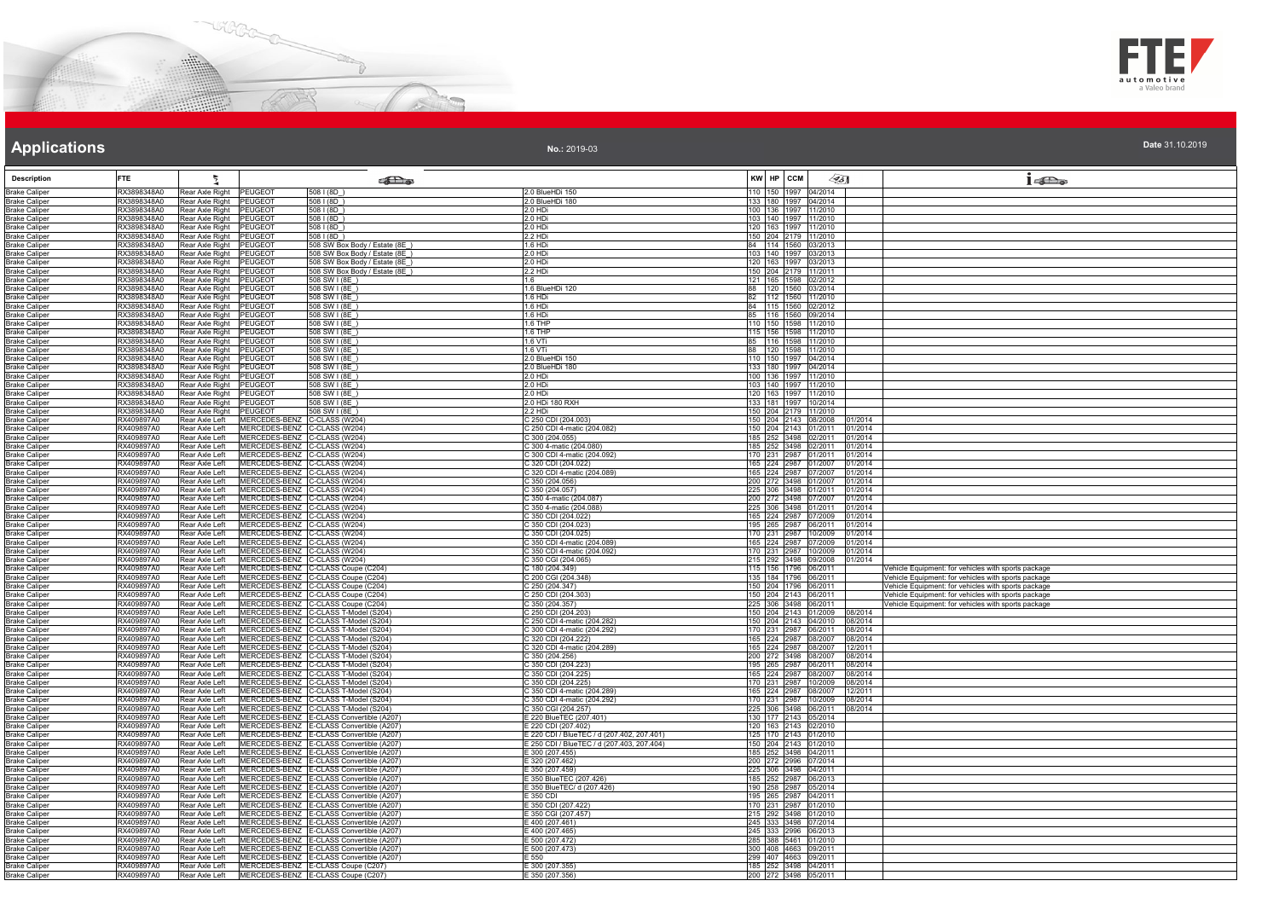



| Date 31.10.2019 |  |
|-----------------|--|

| <b>Description</b>                           | <b>FTF</b>                 | ł.                                                 |                                                              | <b>to the district of the Street</b>                                                 |                                                    | KW HP CCM    |                                              | ∕95∏                                                         | $1 - \sum_{\alpha}$                                                                                        |
|----------------------------------------------|----------------------------|----------------------------------------------------|--------------------------------------------------------------|--------------------------------------------------------------------------------------|----------------------------------------------------|--------------|----------------------------------------------|--------------------------------------------------------------|------------------------------------------------------------------------------------------------------------|
| <b>Brake Caliper</b>                         | RX3898348A0                | Rear Axle Right PEUGEOT                            |                                                              | 5081(8D)                                                                             | 2.0 BlueHDi 150                                    |              | 110 150 1997 04/2014                         |                                                              |                                                                                                            |
| <b>Brake Caliper</b><br><b>Brake Caliper</b> | RX3898348A0<br>RX3898348A0 | Rear Axle Right<br>Rear Axle Right                 | PEUGEOT<br>PEUGEOT                                           | 508   (8D)<br>5081(8D)                                                               | 2.0 BlueHDi 180<br>2.0 HDi                         |              | 133 180 1997 04/2014<br>100 136 1997 11/2010 |                                                              |                                                                                                            |
| <b>Brake Caliper</b>                         | RX3898348A0                | Rear Axle Right                                    | PEUGEOT                                                      | 508 I (8D)                                                                           | :0 HDi                                             | 103 140 1997 | 11/2010                                      |                                                              |                                                                                                            |
| <b>Brake Caliper</b>                         | RX3898348A0                | Rear Axle Right                                    | <b>PEUGEOT</b>                                               | 508   (8D)                                                                           | 2.0 HD                                             |              | 120 163 1997 11/2010                         |                                                              |                                                                                                            |
| <b>Brake Caliper</b>                         | RX3898348A0                | Rear Axle Right                                    | <b>PEUGEOT</b>                                               | 5081(8D)                                                                             | 2.2 HDi                                            |              | 150 204 2179 11/2010                         |                                                              |                                                                                                            |
| <b>Brake Caliper</b><br><b>Brake Caliper</b> | RX3898348A0<br>RX3898348A0 | Rear Axle Right PEUGEOT<br>Rear Axle Right         | PEUGEOT                                                      | 508 SW Box Body / Estate (8E<br>508 SW Box Body / Estate (8E                         | 1.6 HDi<br>2.0 HDi                                 |              | 84 114 1560 03/2013<br>103 140 1997 03/2013  |                                                              |                                                                                                            |
| <b>Brake Caliper</b>                         | RX3898348A0                | Rear Axle Right                                    | <b>PEUGEOT</b>                                               | 508 SW Box Body / Estate (8E                                                         | 2.0 HDi                                            |              | 120 163 1997 03/2013                         |                                                              |                                                                                                            |
| <b>Brake Caliper</b>                         | RX3898348A0                | Rear Axle Right                                    | PEUGEOT                                                      | 508 SW Box Body / Estate (8E                                                         | 2.2 HDi                                            |              | 150 204 2179 11/2011                         |                                                              |                                                                                                            |
| <b>Brake Caliper</b>                         | RX3898348A0                | Rear Axle Right PEUGEOT                            |                                                              | 508 SW I (8E)                                                                        | 1.6                                                |              | 121 165 1598 02/2012                         |                                                              |                                                                                                            |
| <b>Brake Caliper</b><br><b>Brake Caliper</b> | RX3898348A0<br>RX3898348A0 | Rear Axle Right PEUGEOT<br>Rear Axle Right PEUGEOT |                                                              | 508 SW I (8E)<br>508 SW I (8E_)                                                      | 1.6 BlueHDi 120<br>1.6 HDi                         |              | 88 120 1560 03/2014<br>82 112 1560 11/2010   |                                                              |                                                                                                            |
| <b>Brake Caliper</b>                         | RX3898348A0                | Rear Axle Right                                    | <b>PEUGEOT</b>                                               | 508 SW I (8E)                                                                        | .6 HDi                                             | 84 115 1560  | 02/2012                                      |                                                              |                                                                                                            |
| <b>Brake Caliper</b>                         | RX3898348A0                | Rear Axle Right                                    | <b>PEUGEOT</b>                                               | 508 SW I (8E)                                                                        | .6 HDi                                             |              | 85 116 1560 09/2014                          |                                                              |                                                                                                            |
| <b>Brake Caliper</b>                         | RX3898348A0                | Rear Axle Right                                    | <b>PEUGEOT</b>                                               | 508 SW I (8E)                                                                        | 1.6 THP                                            |              | 110 150 1598 11/2010                         |                                                              |                                                                                                            |
| <b>Brake Caliper</b><br><b>Brake Caliper</b> | RX3898348A0<br>RX3898348A0 | Rear Axle Right<br>Rear Axle Right                 | <b>PEUGEOT</b><br>PEUGEOT                                    | 508 SW I (8E)<br>508 SW I (8E                                                        | 1.6 THP<br>1.6 VTi                                 |              | 115 156 1598 11/2010<br>85 116 1598 11/2010  |                                                              |                                                                                                            |
| <b>Brake Caliper</b>                         | RX3898348A0                | Rear Axle Right PEUGEOT                            |                                                              | 508 SW I (8F)                                                                        | 1.6 VTi                                            |              | 88 120 1598 11/2010                          |                                                              |                                                                                                            |
| <b>Brake Caliper</b>                         | RX3898348A0                | Rear Axle Right                                    | <b>PEUGEOT</b>                                               | 508 SW I (8E                                                                         | .0 BlueHDi 150                                     |              | 110 150 1997 04/2014                         |                                                              |                                                                                                            |
| <b>Brake Caliper</b>                         | RX3898348A0                | Rear Axle Right                                    | PEUGEOT                                                      | 508 SW I (8E)                                                                        | 2.0 BlueHDi 180                                    |              | 133 180 1997 04/2014                         |                                                              |                                                                                                            |
| <b>Brake Caliper</b><br><b>Brake Caliper</b> | RX3898348A0<br>RX3898348A0 | Rear Axle Right<br>Rear Axle Right PEUGEOT         | <b>PEUGEOT</b>                                               | 508 SW 1(8E)<br>508 SW I (8F)                                                        | 2.0 HDi<br>2.0 HDi                                 |              | 100 136 1997 11/2010<br>103 140 1997 11/2010 |                                                              |                                                                                                            |
| <b>Brake Caliper</b>                         | RX3898348A0                | Rear Axle Right                                    | PEUGEOT                                                      | 508 SW I (8E)                                                                        | 2.0 HDi                                            |              | 120 163 1997 11/2010                         |                                                              |                                                                                                            |
| <b>Brake Caliper</b>                         | RX3898348A0                | Rear Axle Right                                    | PEUGEOT                                                      | 508 SW I (8E)                                                                        | 2.0 HDi 180 RXH                                    |              | 133 181 1997 10/2014                         |                                                              |                                                                                                            |
| <b>Brake Caliper</b>                         | RX3898348A0                | Rear Axle Right                                    | PEUGEOT                                                      | 508 SW I (8E)                                                                        | .2 HDi                                             | 150 204 2179 | 11/2010                                      |                                                              |                                                                                                            |
| <b>Brake Caliper</b><br><b>Brake Caliper</b> | RX409897A0<br>RX409897A0   | Rear Axle Left<br>Rear Axle Left                   | MERCEDES-BENZ C-CLASS (W204)<br>MERCEDES-BENZ C-CLASS (W204) |                                                                                      | C 250 CDI (204.003)<br>250 CDI 4-matic (204.082)   |              | 150 204 2143 08/2008                         | 01/2014<br>150 204 2143 01/2011 01/2014                      |                                                                                                            |
| <b>Brake Caliper</b>                         | RX409897A0                 | Rear Axle Left                                     | MERCEDES-BENZ C-CLASS (W204)                                 |                                                                                      | C 300 (204.055)                                    |              |                                              | 185 252 3498 02/2011 01/2014                                 |                                                                                                            |
| <b>Brake Caliper</b>                         | RX409897A0                 | Rear Axle Left                                     | MERCEDES-BENZ C-CLASS (W204)                                 |                                                                                      | 300 4-matic (204.080)                              | 185 252 3498 |                                              | 02/2011 01/2014                                              |                                                                                                            |
| <b>Brake Caliper</b>                         | RX409897A0                 | Rear Axle Left                                     | MERCEDES-BENZ C-CLASS (W204)                                 |                                                                                      | 300 CDI 4-matic (204.092)                          |              | 170 231 2987 01/2011                         | 01/2014                                                      |                                                                                                            |
| <b>Brake Caliper</b><br><b>Brake Caliper</b> | RX409897A0<br>RX409897A0   | Rear Axle Left<br>Rear Axle Left                   | MERCEDES-BENZ C-CLASS (W204)<br>MERCEDES-BENZ C-CLASS (W204) |                                                                                      | 320 CDI (204.022)<br>C 320 CDI 4-matic (204.089)   |              | 165 224 2987 01/2007                         | 01/2014<br>165 224 2987 07/2007 01/2014                      |                                                                                                            |
| <b>Brake Caliper</b>                         | RX409897A0                 | Rear Axle Left                                     | MERCEDES-BENZ C-CLASS (W204)                                 |                                                                                      | 350 (204.056)                                      |              |                                              | 200 272 3498 01/2007 01/2014                                 |                                                                                                            |
| <b>Brake Caliper</b>                         | RX409897A0                 | Rear Axle Left                                     | MERCEDES-BENZ C-CLASS (W204)                                 |                                                                                      | C 350 (204.057)                                    |              |                                              | 225 306 3498 01/2011 01/2014                                 |                                                                                                            |
| <b>Brake Caliper</b>                         | RX409897A0                 | Rear Axle Left                                     | MERCEDES-BENZ C-CLASS (W204)                                 |                                                                                      | 350 4-matic (204.087)                              | 200 272 3498 | 07/2007                                      | 01/2014                                                      |                                                                                                            |
| <b>Brake Caliper</b><br><b>Brake Caliper</b> | RX409897A0<br>RX409897A0   | Rear Axle Left<br>Rear Axle Left                   | MERCEDES-BENZ C-CLASS (W204)<br>MERCEDES-BENZ C-CLASS (W204) |                                                                                      | 350 4-matic (204.088)<br>C 350 CDI (204.022)       |              | 225 306 3498 01/2011<br>165 224 2987 07/2009 | 01/2014<br>01/2014                                           |                                                                                                            |
| <b>Brake Caliper</b>                         | RX409897A0                 | Rear Axle Left                                     | MERCEDES-BENZ C-CLASS (W204)                                 |                                                                                      | C 350 CDI (204.023)                                |              |                                              | 195 265 2987 06/2011 01/2014                                 |                                                                                                            |
| <b>Brake Caliper</b>                         | RX409897A0                 | Rear Axle Left                                     | MERCEDES-BENZ C-CLASS (W204)                                 |                                                                                      | C 350 CDI (204.025)                                |              | 170 231 2987 10/2009                         | 01/2014                                                      |                                                                                                            |
| <b>Brake Caliper</b>                         | RX409897A0                 | Rear Axle Left                                     | MERCEDES-BENZ C-CLASS (W204)                                 |                                                                                      | C 350 CDI 4-matic (204.089)                        |              |                                              | 165 224 2987 07/2009 01/2014                                 |                                                                                                            |
| <b>Brake Caliper</b><br><b>Brake Caliper</b> | RX409897A0<br>RX409897A0   | Rear Axle Left<br>Rear Axle Left                   | MERCEDES-BENZ C-CLASS (W204)<br>MERCEDES-BENZ C-CLASS (W204) |                                                                                      | 350 CDI 4-matic (204.092)<br>C 350 CGI (204.065)   | 170 231 2987 |                                              | 10/2009 01/2014<br>215 292 3498 09/2008 01/2014              |                                                                                                            |
| <b>Brake Caliper</b>                         | RX409897A0                 | Rear Axle Left                                     |                                                              | MERCEDES-BENZ C-CLASS Coupe (C204)                                                   | C 180 (204.349)                                    |              | 115 156 1796 06/2011                         |                                                              | Vehicle Equipment: for vehicles with sports package                                                        |
| <b>Brake Caliper</b>                         | RX409897A0                 | Rear Axle Left                                     |                                                              | MERCEDES-BENZ C-CLASS Coupe (C204)                                                   | C 200 CGI (204.348)                                |              | 135 184 1796 06/2011                         |                                                              | Vehicle Equipment: for vehicles with sports package                                                        |
| <b>Brake Caliper</b><br><b>Brake Caliper</b> | RX409897A0<br>RX409897A0   | Rear Axle Left<br>Rear Axle Left                   |                                                              | MERCEDES-BENZ C-CLASS Coupe (C204)<br>MERCEDES-BENZ C-CLASS Coupe (C204)             | 250 (204.347)<br>C 250 CDI (204.303)               |              | 150 204 1796 06/2011<br>150 204 2143 06/2011 |                                                              | Vehicle Equipment: for vehicles with sports package<br>Vehicle Equipment: for vehicles with sports package |
| <b>Brake Caliper</b>                         | RX409897A0                 | Rear Axle Left                                     |                                                              | MERCEDES-BENZ C-CLASS Coupe (C204)                                                   | 350 (204.357)                                      | 225 306 3498 | 06/2011                                      |                                                              | Vehicle Equipment: for vehicles with sports package                                                        |
| <b>Brake Caliper</b>                         | RX409897A0                 | Rear Axle Left                                     |                                                              | MERCEDES-BENZ C-CLASS T-Model (S204)                                                 | C 250 CDI (204.203)                                |              |                                              | 150 204 2143 01/2009 08/2014                                 |                                                                                                            |
| <b>Brake Caliper</b>                         | RX409897A0                 | Rear Axle Left                                     |                                                              | MERCEDES-BENZ C-CLASS T-Model (S204)                                                 | 2 250 CDI 4-matic (204.282                         |              |                                              | 150 204 2143 04/2010 08/2014                                 |                                                                                                            |
| <b>Brake Caliper</b>                         | RX409897A0<br>RX409897A0   | Rear Axle Left<br>Rear Axle Left                   |                                                              | MERCEDES-BENZ C-CLASS T-Model (S204)<br>MERCEDES-BENZ C-CLASS T-Model (S204)         | C 300 CDI 4-matic (204.292)<br>C 320 CDI (204.222) |              | 165 224 2987 08/2007                         | 170 231 2987 06/2011 08/2014<br>08/2014                      |                                                                                                            |
| <b>Brake Caliper</b><br><b>Brake Caliper</b> | RX409897A0                 | Rear Axle Left                                     |                                                              | MERCEDES-BENZ C-CLASS T-Model (S204)                                                 | C 320 CDI 4-matic (204.289)                        |              | 165 224 2987 08/2007                         | 12/2011                                                      |                                                                                                            |
| <b>Brake Caliper</b>                         | RX409897A0                 | Rear Axle Left                                     |                                                              | MERCEDES-BENZ C-CLASS T-Model (S204)                                                 | 350 (204.256)                                      |              | 200 272 3498 08/2007                         | 08/2014                                                      |                                                                                                            |
| <b>Brake Caliper</b>                         | RX409897A0                 | Rear Axle Left                                     |                                                              | MERCEDES-BENZ C-CLASS T-Model (S204)                                                 | C 350 CDI (204.223)                                |              |                                              | 195 265 2987 06/2011 08/2014                                 |                                                                                                            |
| <b>Brake Caliper</b><br><b>Brake Caliper</b> | RX409897A0<br>RX409897A0   | Rear Axle Left<br>Rear Axle Left                   |                                                              | MERCEDES-BENZ C-CLASS T-Model (S204)<br>MERCEDES-BENZ C-CLASS T-Model (S204)         | C 350 CDI (204.225)<br>C 350 CDI (204.225)         |              |                                              | 165 224 2987 08/2007 08/2014<br>170 231 2987 10/2009 08/2014 |                                                                                                            |
| <b>Brake Caliper</b>                         | RX409897A0                 | Rear Axle Left                                     |                                                              | MERCEDES-BENZ C-CLASS T-Model (S204)                                                 | C 350 CDI 4-matic (204.289)                        |              | 165 224 2987 08/2007                         | 12/2011                                                      |                                                                                                            |
| <b>Brake Caliper</b>                         | RX409897A0                 | Rear Axle Left                                     |                                                              | MERCEDES-BENZ C-CLASS T-Model (S204)                                                 | 350 CDI 4-matic (204.292)                          |              | 170 231 2987 10/2009<br>225 306 3498 06/2011 | 08/2014                                                      |                                                                                                            |
| <b>Brake Caliper</b><br><b>Brake Caliper</b> | RX409897A0<br>RX409897A0   | Rear Axle Left<br>Rear Axle Left                   |                                                              | MERCEDES-BENZ C-CLASS T-Model (S204)<br>MERCEDES-BENZ E-CLASS Convertible (A207      | C 350 CGI (204.257)<br>E 220 BlueTEC (207.401)     |              | 130 177 2143 05/2014                         | 08/2014                                                      |                                                                                                            |
| <b>Brake Caliper</b>                         | RX409897A0                 | Rear Axle Left                                     |                                                              | MERCEDES-BENZ E-CLASS Convertible (A207)                                             | 220 CDI (207.402)                                  |              | 120 163 2143 02/2010                         |                                                              |                                                                                                            |
| <b>Brake Caliper</b>                         | RX409897A0                 | Rear Axle Left                                     |                                                              | MERCEDES-BENZ E-CLASS Convertible (A207)                                             | E 220 CDI / BlueTEC / d (207.402, 207.401)         |              | 125 170 2143 01/2010                         |                                                              |                                                                                                            |
| <b>Brake Caliper</b>                         | RX409897A0                 | Rear Axle Left                                     |                                                              | MERCEDES-BENZ E-CLASS Convertible (A207)                                             | 250 CDI / BlueTEC / d (207.403, 207.404)           |              | 150 204 2143 01/2010                         |                                                              |                                                                                                            |
| <b>Brake Caliper</b>                         | RX409897A0<br>RX409897A0   | Rear Axle Left<br>Rear Axle Left                   |                                                              | MERCEDES-BENZ E-CLASS Convertible (A207)<br>MERCEDES-BENZ E-CLASS Convertible (A207) | E 300 (207.455)<br>$= 320(207.462)$                |              | 185 252 3498 04/2011<br>200 272 2996 07/2014 |                                                              |                                                                                                            |
| <b>Brake Caliper</b><br><b>Brake Caliper</b> | RX409897A0                 | Rear Axle Left                                     |                                                              | MERCEDES-BENZ E-CLASS Convertible (A207)                                             | E 350 (207.459)                                    |              | 225 306 3498 04/2011                         |                                                              |                                                                                                            |
| <b>Brake Caliper</b>                         | RX409897A0                 | Rear Axle Left                                     |                                                              | MERCEDES-BENZ E-CLASS Convertible (A207)                                             | E 350 BlueTEC (207.426)                            |              | 185 252 2987 06/2013                         |                                                              |                                                                                                            |
| <b>Brake Caliper</b>                         | RX409897A0                 | Rear Axle Left                                     |                                                              | MERCEDES-BENZ E-CLASS Convertible (A207)                                             | E 350 BlueTEC/ d (207.426)                         |              | 190 258 2987 05/2014                         |                                                              |                                                                                                            |
| <b>Brake Caliper</b><br><b>Brake Caliper</b> | RX409897A0<br>RX409897A0   | Rear Axle Left<br>Rear Axle Left                   |                                                              | MERCEDES-BENZ E-CLASS Convertible (A207)<br>MERCEDES-BENZ E-CLASS Convertible (A207) | 350 CDI<br>E 350 CDI (207.422)                     |              | 195 265 2987 04/2011<br>170 231 2987 01/2010 |                                                              |                                                                                                            |
| <b>Brake Caliper</b>                         | RX409897A0                 | Rear Axle Left                                     |                                                              | MERCEDES-BENZ E-CLASS Convertible (A207)                                             | E 350 CGI (207.457)                                |              | 215 292 3498 01/2010                         |                                                              |                                                                                                            |
| <b>Brake Caliper</b>                         | RX409897A0                 | Rear Axle Left                                     |                                                              | MERCEDES-BENZ E-CLASS Convertible (A207)                                             | E 400 (207.461)                                    |              | 245 333 3498 07/2014                         |                                                              |                                                                                                            |
| <b>Brake Caliper</b>                         | RX409897A0                 | Rear Axle Left                                     |                                                              | MERCEDES-BENZ E-CLASS Convertible (A207)                                             | E 400 (207.465)                                    |              | 245 333 2996 06/2013                         |                                                              |                                                                                                            |
| <b>Brake Caliper</b><br><b>Brake Caliper</b> | RX409897A0<br>RX409897A0   | Rear Axle Left<br>Rear Axle Left                   |                                                              | MERCEDES-BENZ E-CLASS Convertible (A207)<br>MERCEDES-BENZ E-CLASS Convertible (A207) | E 500 (207.472)<br>500 (207.473)                   |              | 285 388 5461 01/2010<br>300 408 4663 09/2011 |                                                              |                                                                                                            |
| <b>Brake Caliper</b>                         | RX409897A0                 | Rear Axle Left                                     |                                                              | MERCEDES-BENZ E-CLASS Convertible (A207)                                             | F 550.                                             |              | 299 407 4663 09/2011                         |                                                              |                                                                                                            |
| <b>Brake Caliper</b>                         | RX409897A0                 | Rear Axle Left                                     |                                                              | MERCEDES-BENZ E-CLASS Coupe (C207)                                                   | E 300 (207.355)                                    |              | 185 252 3498 04/2011                         |                                                              |                                                                                                            |
| Brake Caliper                                | RX409897A0                 | Rear Axle Left                                     |                                                              | MERCEDES-BENZ E-CLASS Coupe (C207)                                                   | E 350 (207.356)                                    |              | 200 272 3498 05/2011                         |                                                              |                                                                                                            |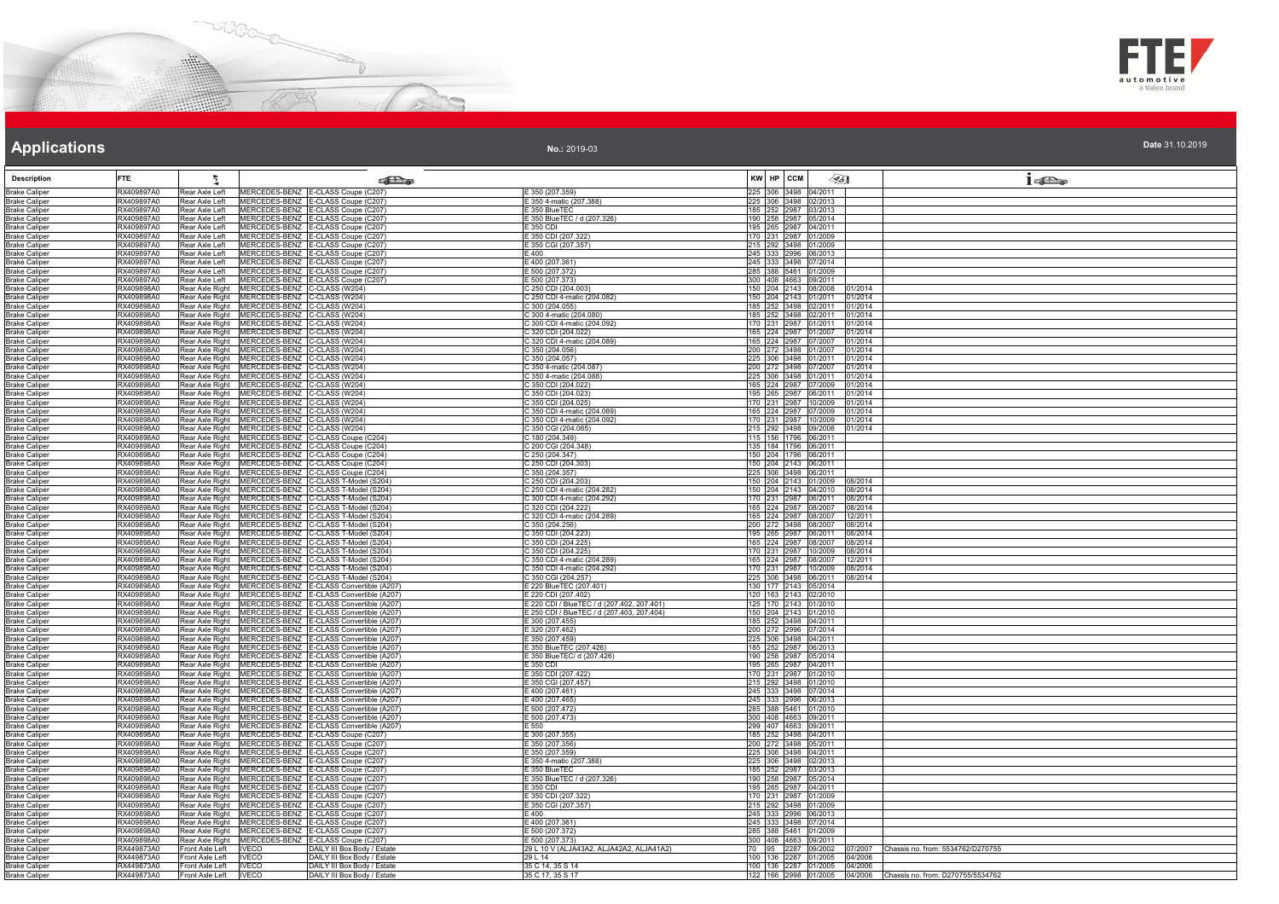



**No.:** 2019-03

| <b>Description</b>                           | <b>FTE</b>               |                                                                                                                  | $\epsilon$ of $\epsilon$                                                             |                                                                                          | KW HP CCM<br>⊲डा<br>16a                                            |
|----------------------------------------------|--------------------------|------------------------------------------------------------------------------------------------------------------|--------------------------------------------------------------------------------------|------------------------------------------------------------------------------------------|--------------------------------------------------------------------|
| <b>Brake Caliper</b>                         | RX409897A0               | Rear Axle Left                                                                                                   | MERCEDES-BENZ E-CLASS Coupe (C207)                                                   | E 350 (207.359)                                                                          | 225 306 3498 04/2011                                               |
| <b>Brake Caliper</b>                         | RX409897A0               | Rear Axle Left                                                                                                   | MERCEDES-BENZ E-CLASS Coupe (C207)                                                   | 350 4-matic (207.388)                                                                    | 225 306 3498 02/2013                                               |
| <b>Brake Caliper</b>                         | RX409897A0               | Rear Axle Left                                                                                                   | MERCEDES-BENZ E-CLASS Coupe (C207)                                                   | E 350 BlueTEC                                                                            | 185 252 2987 03/2013                                               |
| <b>Brake Caliper</b><br><b>Brake Caliper</b> | RX409897A0<br>RX409897A0 | Rear Axle Left<br>Rear Axle Left                                                                                 | MERCEDES-BENZ E-CLASS Coupe (C207)<br>MERCEDES-BENZ E-CLASS Coupe (C207)             | E 350 BlueTEC / d (207.326)<br>F 350 CDI                                                 | 190 258 2987 05/2014<br>195 265 2987 04/2011                       |
| <b>Brake Caliper</b>                         | RX409897A0               | Rear Axle Left                                                                                                   | MERCEDES-BENZ E-CLASS Coupe (C207)                                                   | E 350 CDI (207.322)                                                                      | 170 231 2987 01/2009                                               |
| <b>Brake Caliper</b>                         | RX409897A0               | Rear Axle Left                                                                                                   | MERCEDES-BENZ E-CLASS Coupe (C207)                                                   | E 350 CGI (207.357)                                                                      | 215 292 3498 01/2009                                               |
| <b>Brake Caliper</b>                         | RX409897A0               | Rear Axle Left                                                                                                   | MERCEDES-BENZ E-CLASS Coupe (C207)                                                   | $\overline{.}400$                                                                        | 245 333 2996 06/2013                                               |
| <b>Brake Caliper</b>                         | RX409897A0<br>RX409897A0 | Rear Axle Left<br>Rear Axle Left                                                                                 | MERCEDES-BENZ E-CLASS Coupe (C207)<br>MERCEDES-BENZ E-CLASS Coupe (C207)             | E 400 (207.361)<br>E 500 (207.372)                                                       | 245 333 3498 07/2014<br>285 388 5461 01/2009                       |
| <b>Brake Caliper</b><br><b>Brake Caliper</b> | RX409897A0               | Rear Axle Left                                                                                                   | MERCEDES-BENZ E-CLASS Coupe (C207)                                                   | E 500 (207.373)                                                                          | 300 408 4663 09/2011                                               |
| <b>Brake Caliper</b>                         | RX409898A0               | Rear Axle Right<br>MERCEDES-BENZ C-CLASS (W204)                                                                  |                                                                                      | C 250 CDI (204.003)                                                                      | 150 204 2143 08/2008 01/2014                                       |
| <b>Brake Caliper</b>                         | RX409898A0               | MERCEDES-BENZ C-CLASS (W204)<br>Rear Axle Right                                                                  |                                                                                      | C 250 CDI 4-matic (204.082)                                                              | 150 204 2143 01/2011<br>01/2014                                    |
| <b>Brake Caliper</b>                         | RX409898A0               | MERCEDES-BENZ C-CLASS (W204)<br>Rear Axle Right                                                                  |                                                                                      | 300 (204.055)                                                                            | 185 252 3498 02/2011<br>01/2014                                    |
| <b>Brake Caliper</b>                         | RX409898A0               | Rear Axle Right   MERCEDES-BENZ   C-CLASS (W204)<br>MERCEDES-BENZ C-CLASS (W204)                                 |                                                                                      | C 300 4-matic (204.080)<br>C 300 CDI 4-matic (204.092)                                   | 185 252 3498 02/2011<br>01/2014<br>170 231 2987 01/2011            |
| <b>Brake Caliper</b><br><b>Brake Caliper</b> | RX409898A0<br>RX409898A0 | Rear Axle Right<br>MERCEDES-BENZ C-CLASS (W204)<br>Rear Axle Right                                               |                                                                                      | C 320 CDI (204.022)                                                                      | 01/2014<br>165 224 2987 01/2007<br>01/2014                         |
| <b>Brake Caliper</b>                         | RX409898A0               | MERCEDES-BENZ C-CLASS (W204)<br>Rear Axle Right                                                                  |                                                                                      | C 320 CDI 4-matic (204.089)                                                              | 165 224 2987 07/2007<br>01/2014                                    |
| <b>Brake Caliper</b>                         | RX409898A0               | MERCEDES-BENZ C-CLASS (W204)<br>Rear Axle Right                                                                  |                                                                                      | C 350 (204.056)                                                                          | 200 272 3498 01/2007<br>01/2014                                    |
| <b>Brake Caliper</b>                         | RX409898A0               | Rear Axle Right MERCEDES-BENZ C-CLASS (W204)                                                                     |                                                                                      | C 350 (204.057)                                                                          | 225 306 3498 01/2011<br>01/2014                                    |
| <b>Brake Caliper</b>                         | RX409898A0               | Rear Axle Right MERCEDES-BENZ C-CLASS (W204)                                                                     |                                                                                      | C 350 4-matic (204.087)                                                                  | 200 272 3498 07/2007<br>01/2014                                    |
| <b>Brake Caliper</b><br><b>Brake Caliper</b> | RX409898A0<br>RX409898A0 | Rear Axle Right   MERCEDES-BENZ   C-CLASS (W204)<br>Rear Axle Right   MERCEDES-BENZ   C-CLASS (W204)             |                                                                                      | C 350 4-matic (204.088)<br>C 350 CDI (204.022)                                           | 225 306 3498 01/2011 01/2014<br>165 224 2987 07/2009 01/2014       |
| <b>Brake Caliper</b>                         | RX409898A0               | Rear Axle Right<br>MERCEDES-BENZ C-CLASS (W204)                                                                  |                                                                                      | C 350 CDI (204.023)                                                                      | 195 265 2987 06/2011<br>01/2014                                    |
| <b>Brake Caliper</b>                         | RX409898A0               | Rear Axle Right<br>MERCEDES-BENZ C-CLASS (W204)                                                                  |                                                                                      | C 350 CDI (204.025)                                                                      | 170 231 2987 10/2009<br>01/2014                                    |
| <b>Brake Caliper</b>                         | RX409898A0               | Rear Axle Right MERCEDES-BENZ C-CLASS (W204)                                                                     |                                                                                      | C 350 CDI 4-matic (204.089)                                                              | 165 224 2987 07/2009<br>01/2014                                    |
| <b>Brake Caliper</b>                         | RX409898A0               | MERCEDES-BENZ C-CLASS (W204)<br>Rear Axle Right                                                                  |                                                                                      | C 350 CDI 4-matic (204.092)                                                              | 170 231 2987 10/2009<br>01/2014                                    |
| <b>Brake Caliper</b>                         | RX409898A0<br>RX409898A0 | Rear Axle Right<br>MERCEDES-BENZ C-CLASS (W204)                                                                  |                                                                                      | C 350 CGI (204.065)                                                                      | 215 292 3498 09/2008 01/2014                                       |
| <b>Brake Caliper</b><br><b>Brake Caliper</b> | RX409898A0               | Rear Axle Right<br>Rear Axle Right                                                                               | MERCEDES-BENZ C-CLASS Coupe (C204)<br>MERCEDES-BENZ C-CLASS Coupe (C204)             | C 180 (204.349)<br>200 CGI (204.348)                                                     | 115 156 1796 06/2011<br>135 184 1796 06/2011                       |
| <b>Brake Caliper</b>                         | RX409898A0               | Rear Axle Right                                                                                                  | MERCEDES-BENZ C-CLASS Coupe (C204)                                                   | C 250 (204.347)                                                                          | 150 204 1796 06/2011                                               |
| <b>Brake Caliper</b>                         | RX409898A0               | Rear Axle Right                                                                                                  | MERCEDES-BENZ C-CLASS Coupe (C204)                                                   | C 250 CDI (204.303)                                                                      | 150 204 2143 06/2011                                               |
| <b>Brake Caliper</b>                         | RX409898A0               | Rear Axle Right                                                                                                  | MERCEDES-BENZ C-CLASS Coupe (C204)                                                   | C 350 (204.357)                                                                          | 225 306 3498 06/2011                                               |
| <b>Brake Caliper</b>                         | RX409898A0               | Rear Axle Right MERCEDES-BENZ C-CLASS T-Model (S204)                                                             |                                                                                      | C 250 CDI (204.203)                                                                      | 150 204 2143 01/2009 08/2014                                       |
| <b>Brake Caliper</b><br><b>Brake Caliper</b> | RX409898A0<br>RX409898A0 | Rear Axle Right<br>Rear Axle Right                                                                               | MERCEDES-BENZ C-CLASS T-Model (S204)<br>MERCEDES-BENZ C-CLASS T-Model (S204)         | C 250 CDI 4-matic (204.282)<br>300 CDI 4-matic (204.292)                                 | 150 204 2143 04/2010 08/2014<br>170 231 2987 06/2011<br>08/2014    |
| <b>Brake Caliper</b>                         | RX409898A0               | Rear Axle Right                                                                                                  | MERCEDES-BENZ C-CLASS T-Model (S204)                                                 | C 320 CDI (204.222)                                                                      | 165 224 2987 08/2007<br>08/2014                                    |
| <b>Brake Caliper</b>                         | RX409898A0               | Rear Axle Right                                                                                                  | MERCEDES-BENZ C-CLASS T-Model (S204)                                                 | C 320 CDI 4-matic (204.289)                                                              | 165 224 2987 08/2007<br>12/2011                                    |
| <b>Brake Caliper</b>                         | RX409898A0               | Rear Axle Right                                                                                                  | MERCEDES-BENZ C-CLASS T-Model (S204)                                                 | 350 (204.256)                                                                            | 200 272 3498 08/2007<br>08/2014                                    |
| <b>Brake Caliper</b>                         | RX409898A0               | Rear Axle Right                                                                                                  | MERCEDES-BENZ C-CLASS T-Model (S204)                                                 | C 350 CDI (204.223)                                                                      | 195 265 2987 06/2011 08/2014                                       |
| <b>Brake Caliper</b>                         | RX409898A0<br>RX409898A0 | Rear Axle Right                                                                                                  | MERCEDES-BENZ C-CLASS T-Model (S204)                                                 | C 350 CDI (204.225)<br>C 350 CDI (204.225)                                               | 165 224 2987 08/2007<br>08/2014<br>170 231 2987 10/2009<br>08/2014 |
| <b>Brake Caliper</b><br><b>Brake Caliper</b> | RX409898A0               | Rear Axle Right<br>Rear Axle Right                                                                               | MERCEDES-BENZ C-CLASS T-Model (S204)<br>MERCEDES-BENZ C-CLASS T-Model (S204)         | C 350 CDI 4-matic (204.289)                                                              | 165 224 2987 08/2007<br>12/2011                                    |
| <b>Brake Caliper</b>                         | RX409898A0               | Rear Axle Right                                                                                                  | MERCEDES-BENZ C-CLASS T-Model (S204)                                                 | C 350 CDI 4-matic (204.292)                                                              | 170 231 2987 10/2009 08/2014                                       |
| <b>Brake Caliper</b>                         | RX409898A0               | Rear Axle Right                                                                                                  | MERCEDES-BENZ C-CLASS T-Model (S204)                                                 | C 350 CGI (204.257)                                                                      | 225 306 3498 06/2011 08/2014                                       |
| <b>Brake Caliper</b>                         | RX409898A0               | Rear Axle Right                                                                                                  | MERCEDES-BENZ E-CLASS Convertible (A207)                                             | E 220 BlueTEC (207.401)                                                                  | 130 177 2143 05/2014                                               |
| <b>Brake Caliper</b>                         | RX409898A0<br>RX409898A0 | Rear Axle Right                                                                                                  | MERCEDES-BENZ E-CLASS Convertible (A207)<br>MERCEDES-BENZ E-CLASS Convertible (A207) | 220 CDI (207.402)                                                                        | 120 163 2143 02/2010<br>125 170 2143 01/2010                       |
| <b>Brake Caliper</b><br><b>Brake Caliper</b> | RX409898A0               | Rear Axle Right<br>Rear Axle Right                                                                               | MERCEDES-BENZ E-CLASS Convertible (A207)                                             | E 220 CDI / BlueTEC / d (207.402, 207.401)<br>E 250 CDI / BlueTEC / d (207.403, 207.404) | 150 204 2143 01/2010                                               |
| <b>Brake Caliper</b>                         | RX409898A0               | Rear Axle Right                                                                                                  | MERCEDES-BENZ E-CLASS Convertible (A207)                                             | E 300 (207.455)                                                                          | 185 252 3498 04/2011                                               |
| <b>Brake Caliper</b>                         | RX409898A0               | Rear Axle Right                                                                                                  | MERCEDES-BENZ E-CLASS Convertible (A207)                                             | E 320 (207.462)                                                                          | 200 272 2996 07/2014                                               |
| <b>Brake Caliper</b>                         | RX409898A0               | Rear Axle Right                                                                                                  | MERCEDES-BENZ E-CLASS Convertible (A207)                                             | E 350 (207.459)                                                                          | 225 306 3498 04/2011                                               |
| <b>Brake Caliper</b>                         | RX409898A0<br>RX409898A0 | Rear Axle Right<br>Rear Axle Right MERCEDES-BENZ E-CLASS Convertible (A207)                                      | MERCEDES-BENZ E-CLASS Convertible (A207)                                             | E 350 BlueTEC (207.426)                                                                  | 185 252 2987 06/2013<br>190 258 2987 05/2014                       |
| <b>Brake Caliper</b><br><b>Brake Caliper</b> | RX409898A0               | Rear Axle Right MERCEDES-BENZ E-CLASS Convertible (A207)                                                         |                                                                                      | E 350 BlueTEC/ d (207.426)<br>E 350 CDI                                                  | 195 265 2987 04/2011                                               |
| <b>Brake Caliper</b>                         | RX409898A0               | Rear Axle Right MERCEDES-BENZ E-CLASS Convertible (A207)                                                         |                                                                                      | E 350 CDI (207.422)                                                                      | 170 231 2987 01/2010                                               |
| <b>Brake Caliper</b>                         | RX409898A0               | Rear Axle Right                                                                                                  | MERCEDES-BENZ E-CLASS Convertible (A207)                                             | E 350 CGI (207.457)                                                                      | 215 292 3498 01/2010                                               |
| <b>Brake Caliper</b>                         | RX409898A0               | Rear Axle Right                                                                                                  | MERCEDES-BENZ E-CLASS Convertible (A207)                                             | E 400 (207.461)                                                                          | 245 333 3498 07/2014                                               |
| <b>Brake Caliper</b>                         | RX409898A0<br>RX409898A0 | Rear Axle Right                                                                                                  | MERCEDES-BENZ E-CLASS Convertible (A207)<br>MERCEDES-BENZ E-CLASS Convertible (A207) | 400 (207.465<br>E 500 (207.472)                                                          | 245 333 2996 06/2013<br>285 388 5461 01/2010                       |
| <b>Brake Caliper</b><br><b>Brake Caliper</b> | RX409898A0               | Rear Axle Right<br>Rear Axle Right                                                                               | MERCEDES-BENZ E-CLASS Convertible (A207)                                             | $= 500(207.473)$                                                                         | 300 408 4663 09/2011                                               |
| <b>Brake Caliper</b>                         | RX409898A0               | Rear Axle Right                                                                                                  | MERCEDES-BENZ E-CLASS Convertible (A207)                                             | E 550                                                                                    | 299 407 4663 09/2011                                               |
| <b>Brake Caliper</b>                         | RX409898A0               | Rear Axle Right                                                                                                  | MERCEDES-BENZ E-CLASS Coupe (C207)                                                   | E 300 (207.355)                                                                          | 185 252 3498 04/2011                                               |
| <b>Brake Caliper</b>                         | RX409898A0               | Rear Axle Right                                                                                                  | MERCEDES-BENZ E-CLASS Coupe (C207)                                                   | (350(207.356))                                                                           | 200 272 3498 05/2011                                               |
| <b>Brake Caliper</b><br><b>Brake Caliper</b> | RX409898A0<br>RX409898A0 | Rear Axle Right   MERCEDES-BENZ   E-CLASS Coupe (C207)<br>Rear Axle Right   MERCEDES-BENZ   E-CLASS Coupe (C207) |                                                                                      | E 350 (207.359)<br>E 350 4-matic (207.388)                                               | 225 306 3498 04/2011<br>225 306 3498 02/2013                       |
| <b>Brake Caliper</b>                         | RX409898A0               | Rear Axle Right MERCEDES-BENZ E-CLASS Coupe (C207)                                                               |                                                                                      | E 350 BlueTEC                                                                            | 185 252 2987 03/2013                                               |
| <b>Brake Caliper</b>                         | RX409898A0               | Rear Axle Right                                                                                                  | MERCEDES-BENZ E-CLASS Coupe (C207)                                                   | E 350 BlueTEC / d (207.326)                                                              | 190 258 2987 05/2014                                               |
| <b>Brake Caliper</b>                         | RX409898A0               | Rear Axle Right                                                                                                  | MERCEDES-BENZ E-CLASS Coupe (C207)                                                   | E 350 CDI                                                                                | 195 265 2987 04/2011                                               |
| <b>Brake Caliper</b>                         | RX409898A0               | Rear Axle Right<br>MERCEDES-BENZ                                                                                 | E-CLASS Coupe (C207)                                                                 | $-350$ CDI (207.322)                                                                     | 170 231 2987 01/2009                                               |
| <b>Brake Caliper</b><br><b>Brake Caliper</b> | RX409898A0<br>RX409898A0 | Rear Axle Right<br>Rear Axle Right                                                                               | MERCEDES-BENZ E-CLASS Coupe (C207)<br>MERCEDES-BENZ E-CLASS Coupe (C207)             | E 350 CGI (207.357)<br>$E = 400$                                                         | 215 292 3498 01/2009<br>245 333 2996 06/2013                       |
| <b>Brake Caliper</b>                         | RX409898A0               | Rear Axle Right                                                                                                  | MERCEDES-BENZ E-CLASS Coupe (C207)                                                   | E 400 (207.361)                                                                          | 245 333 3498 07/2014                                               |
| <b>Brake Caliper</b>                         | RX409898A0               | Rear Axle Right                                                                                                  | MERCEDES-BENZ E-CLASS Coupe (C207)                                                   | E 500 (207.372)                                                                          | 285 388 5461 01/2009                                               |
| <b>Brake Caliper</b>                         | RX409898A0               | Rear Axle Right                                                                                                  | MERCEDES-BENZ E-CLASS Coupe (C207)                                                   | 500 (207.373                                                                             | 300 408 4663 09/2011                                               |
| <b>Brake Caliper</b>                         | RX449873A0               | Front Axle Left<br><b>IVECO</b>                                                                                  | DAILY III Box Body / Estate                                                          | 29 L 10 V (ALJA43A2, ALJA42A2, ALJA41A2)                                                 | 70 95 2287 09/2002<br>07/2007<br>Chassis no. from: 5534762/D270755 |
| <b>Brake Caliper</b>                         | RX449873A0<br>RX449873A0 | <b>IVECO</b><br>Front Axle Left                                                                                  | DAILY III Box Body / Estate                                                          | 29114<br>35 C 14, 35 S 14                                                                | 100 136 2287 01/2005 04/2006<br>100 136 2287 01/2005 04/2006       |
| <b>Brake Caliper</b><br><b>Brake Caliper</b> | RX449873A0               | Front Axle Left<br><b>IVECO</b><br>Front Axle Left<br><b>IVECO</b>                                               | DAILY III Box Body / Estate<br>DAILY III Box Body / Estate                           | 35 C 17, 35 S 17                                                                         | 122 166 2998 01/2005 04/2006 Chassis no. from: D270755/5534762     |
|                                              |                          |                                                                                                                  |                                                                                      |                                                                                          |                                                                    |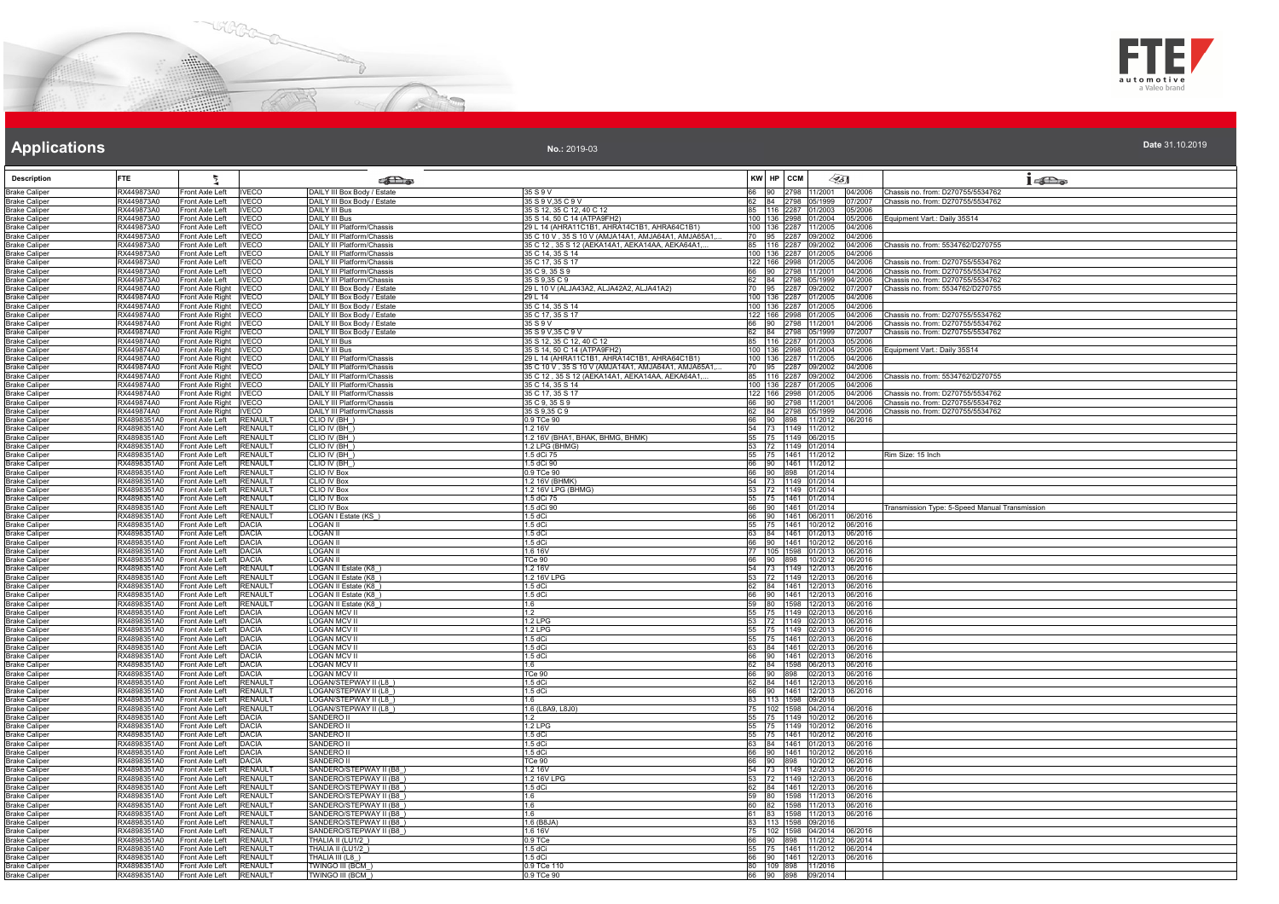



#### **No.:** 2019-03

| <b>Description</b>                           | <b>FTE</b>                 | ł                                                  |                                  | <b>REA</b>                                                      |                                                                     |       | KW HP CCM                                        |              | ∕€ક∏                                                    | 1522                                                                   |
|----------------------------------------------|----------------------------|----------------------------------------------------|----------------------------------|-----------------------------------------------------------------|---------------------------------------------------------------------|-------|--------------------------------------------------|--------------|---------------------------------------------------------|------------------------------------------------------------------------|
| <b>Brake Caliper</b>                         | RX449873A0                 | Front Axle Left                                    | <b>IVECO</b>                     | DAILY III Box Body / Estate                                     | 35 S 9 V                                                            | 66    |                                                  |              | 90 2798 11/2001 04/2006                                 | Chassis no. from: D270755/5534762                                      |
| <b>Brake Caliper</b>                         | RX449873A0                 | Front Axle Left                                    | <b>IVECO</b>                     | DAILY III Box Body / Estate                                     | 35 S 9 V.35 C 9 V                                                   | 62    |                                                  |              | 84 2798 05/1999 07/2007                                 | Chassis no. from: D270755/5534762                                      |
| <b>Brake Caliper</b>                         | RX449873A0<br>RX449873A0   | Front Axle Left                                    | <b>IVECO</b>                     | DAILY III Bus                                                   | 35 S 12, 35 C 12, 40 C 12<br>35 S 14, 50 C 14 (ATPA9FH2)            | 85    | 116 2287 01/2003                                 |              | 05/2006                                                 | Equipment Vart.: Daily 35S14                                           |
| <b>Brake Caliper</b><br><b>Brake Caliper</b> | RX449873A0                 | Front Axle Left<br>Front Axle Left                 | <b>IVECO</b><br><b>IVECO</b>     | DAILY III Bus<br><b>DAILY III Platform/Chassis</b>              | 29 L 14 (AHRA11C1B1, AHRA14C1B1, AHRA64C1B1)                        |       | 100 136 2998 01/2004<br>100 136 2287 11/2005     |              | 05/2006<br>04/2006                                      |                                                                        |
| <b>Brake Caliper</b>                         | RX449873A0                 | Front Axle Left                                    | <b>IVECO</b>                     | DAILY III Platform/Chassis                                      | 35 C 10 V, 35 S 10 V (AMJA14A1, AMJA64A1, AMJA65A1,                 |       | 70 95 2287 09/2002                               |              | 04/2006                                                 |                                                                        |
| <b>Brake Caliper</b>                         | RX449873A0                 | Front Axle Left                                    | <b>IVECO</b>                     | <b>DAILY III Platform/Chassis</b>                               | 35 C 12, 35 S 12 (AEKA14A1, AEKA14AA, AEKA64A1,.                    | 85    | 116 2287 09/2002                                 |              | 04/2006                                                 | Chassis no. from: 5534762/D270755                                      |
| <b>Brake Caliper</b>                         | RX449873A0                 | Front Axle Left                                    | <b>IVECO</b>                     | <b>DAILY III Platform/Chassis</b>                               | 35 C 14, 35 S 14                                                    |       | 100 136 2287 01/2005                             |              | 04/2006                                                 |                                                                        |
| <b>Brake Caliper</b><br><b>Brake Caliper</b> | RX449873A0<br>RX449873A0   | Front Axle Left<br>Front Axle Left                 | <b>IVECO</b><br><b>IVECO</b>     | DAILY III Platform/Chassis<br>DAILY III Platform/Chassis        | 35 C 17, 35 S 17<br>35 C 9, 35 S 9                                  |       | 122   166   2998   01/2005<br>66 90 2798 11/2001 |              | 04/2006<br>04/2006                                      | Chassis no. from: D270755/5534762<br>Chassis no. from: D270755/5534762 |
| <b>Brake Caliper</b>                         | RX449873A0                 | Front Axle Left                                    | <b>IVECO</b>                     | DAILY III Platform/Chassis                                      | 35 S 9,35 C 9                                                       |       | 84 2798 05/1999                                  |              | 04/2006                                                 | Chassis no. from: D270755/5534762                                      |
| <b>Brake Caliper</b>                         | RX449874A0                 | Front Axle Right                                   | <b>IVECO</b>                     | DAILY III Box Body / Estate                                     | 29 L 10 V (ALJA43A2, ALJA42A2, ALJA41A2)                            |       | 95 2287 09/2002                                  |              | 07/2007                                                 | Chassis no. from: 5534762/D270755                                      |
| <b>Brake Caliper</b>                         | RX449874A0                 | Front Axle Right   IVECO                           |                                  | DAILY III Box Body / Estate                                     | 29   14                                                             |       | 100 136 2287 01/2005                             |              | 04/2006                                                 |                                                                        |
| <b>Brake Caliper</b>                         | RX449874A0                 | Front Axle Right IVECO                             |                                  | DAILY III Box Body / Estate                                     | 35 C 14, 35 S 14                                                    |       | 100 136 2287 01/2005                             |              | 04/2006                                                 |                                                                        |
| <b>Brake Caliper</b><br><b>Brake Caliper</b> | RX449874A0<br>RX449874A0   | Front Axle Right IVECO<br>Front Axle Right   IVECO |                                  | DAILY III Box Body / Estate<br>DAILY III Box Body / Estate      | 35 C 17, 35 S 17<br>35 S 9 V                                        | 66    | 122 166 2998 01/2005<br>90 2798 11/2001          |              | 04/2006<br>04/2006                                      | Chassis no. from: D270755/5534762<br>Chassis no. from: D270755/5534762 |
| <b>Brake Caliper</b>                         | RX449874A0                 | Front Axle Right IVECO                             |                                  | DAILY III Box Body / Estate                                     | 35 S 9 V, 35 C 9 V                                                  |       | 84 2798 05/1999                                  |              | 07/2007                                                 | Chassis no. from: D270755/5534762                                      |
| <b>Brake Caliper</b>                         | RX449874A0                 | Front Axle Right IVECO                             |                                  | DAILY III Bus                                                   | 35 S 12, 35 C 12, 40 C 12                                           | 85    | 116 2287 01/2003                                 |              | 05/2006                                                 |                                                                        |
| <b>Brake Caliper</b>                         | RX449874A0                 | Front Axle Right IVECO                             |                                  | <b>DAILY III Bus</b>                                            | 35 S 14, 50 C 14 (ATPA9FH2)                                         |       |                                                  |              | 100 136 2998 01/2004 05/2006                            | Equipment Vart.: Daily 35S14                                           |
| <b>Brake Caliper</b>                         | RX449874A0                 | Front Axle Right IVECO                             |                                  | DAILY III Platform/Chassis                                      | 29 L 14 (AHRA11C1B1, AHRA14C1B1, AHRA64C1B1)                        |       | 100 136 2287 11/2005                             |              | 04/2006                                                 |                                                                        |
| <b>Brake Caliper</b>                         | RX449874A0<br>RX449874A0   | Front Axle Right   IVECO                           |                                  | DAILY III Platform/Chassis<br><b>DAILY III Platform/Chassis</b> | 35 C 10 V, 35 S 10 V (AMJA14A1, AMJA64A1, AMJA65A1,                 | 85    | 116 2287 09/2002                                 |              | 70 95 2287 09/2002 04/2006<br>04/2006                   | Chassis no. from: 5534762/D270755                                      |
| <b>Brake Caliper</b><br><b>Brake Caliper</b> | RX449874A0                 | Front Axle Right IVECO<br>Front Axle Right IVECO   |                                  | DAILY III Platform/Chassis                                      | 35 C 12, 35 S 12 (AEKA14A1, AEKA14AA, AEKA64A1,<br>35 C 14, 35 S 14 |       | 100 136 2287 01/2005                             |              | 04/2006                                                 |                                                                        |
| <b>Brake Caliper</b>                         | RX449874A0                 | Front Axle Right   IVECO                           |                                  | DAILY III Platform/Chassis                                      | 35 C 17, 35 S 17                                                    |       | 122 166 2998 01/2005                             |              | 04/2006                                                 | Chassis no. from: D270755/5534762                                      |
| <b>Brake Caliper</b>                         | RX449874A0                 | Front Axle Right   IVECO                           |                                  | <b>DAILY III Platform/Chassis</b>                               | 35 C 9, 35 S 9                                                      |       | 66 90 2798 11/2001                               |              | 04/2006                                                 | Chassis no. from: D270755/5534762                                      |
| <b>Brake Caliper</b>                         | RX449874A0                 | Front Axle Right IVECO                             |                                  | DAILY III Platform/Chassis                                      | 35 S 9,35 C 9                                                       | 62    | 84 2798 05/1999                                  |              | 04/2006                                                 | Chassis no. from: D270755/5534762                                      |
| <b>Brake Caliper</b>                         | RX4898351A0                | Front Axle Left                                    | <b>RENAUL1</b>                   | CLIO IV (BH_)                                                   | 0.9 TCe 90                                                          | 66    |                                                  |              | 90 898 11/2012 06/2016                                  |                                                                        |
| <b>Brake Caliper</b><br><b>Brake Caliper</b> | RX4898351A0<br>RX4898351A0 | Front Axle Left<br>Front Axle Left                 | <b>RENAULT</b><br><b>RENAULT</b> | CLIO IV (BH<br>CLIO IV (BH)                                     | 1.2 16V<br>1.2 16V (BHA1, BHAK, BHMG, BHMK)                         | 55    | 54 73 1149 11/2012<br>75 1149 06/2015            |              |                                                         |                                                                        |
| <b>Brake Caliper</b>                         | RX4898351A0                | Front Axle Left                                    | RENAUL 1                         | CLIO IV (BH)                                                    | 1.2 LPG (BHMG)                                                      |       | $\overline{53}$ 72 1149 01/2014                  |              |                                                         |                                                                        |
| <b>Brake Caliper</b>                         | RX4898351A0                | Front Axle Left                                    | RENAULT                          | CLIO IV (BH                                                     | 1.5 dCi 75                                                          |       | 55 75 1461 11/2012                               |              |                                                         | Rim Size: 15 Inch                                                      |
| <b>Brake Caliper</b>                         | RX4898351A0                | Front Axle Left                                    | <b>RENAULT</b>                   | CLIO IV (BH)                                                    | 1.5 dCi 90                                                          |       | 66 90 1461 11/2012                               |              |                                                         |                                                                        |
| <b>Brake Caliper</b>                         | RX4898351A0                | Front Axle Left                                    | RENAULT                          | CLIO IV Box                                                     | 0.9 TCe 90                                                          |       | 66 90 898 01/2014                                |              |                                                         |                                                                        |
| <b>Brake Caliper</b>                         | RX4898351A0                | Front Axle Left                                    | RENAULT                          | CLIO IV Box                                                     | 1.2 16V (BHMK)                                                      | 53    | 54 73 1149 01/2014                               |              |                                                         |                                                                        |
| <b>Brake Caliper</b><br><b>Brake Caliper</b> | RX4898351A0<br>RX4898351A0 | Front Axle Left<br>Front Axle Left                 | RENAULT<br><b>RENAULT</b>        | CLIO IV Box<br><b>CLIO IV Box</b>                               | 1.2 16V LPG (BHMG)<br>1.5 dCi 75                                    |       | 72 1149 01/2014<br>55 75 1461 01/2014            |              |                                                         |                                                                        |
| <b>Brake Caliper</b>                         | RX4898351A0                | Front Axle Left                                    | RENAULT                          | CLIO IV Box                                                     | 1.5 dCi 90                                                          |       | 66 90 1461 01/2014                               |              |                                                         | Transmission Type: 5-Speed Manual Transmission                         |
| <b>Brake Caliper</b>                         | RX4898351A0                | Front Axle Left                                    | <b>RENAULT</b>                   | LOGAN I Estate (KS)                                             | 1.5 dCi                                                             |       |                                                  |              | 66 90 1461 06/2011 06/2016                              |                                                                        |
| <b>Brake Caliper</b>                         | RX4898351A0                | Front Axle Left                                    | <b>DACIA</b>                     | OGAN II                                                         | $1.5$ dCi                                                           |       |                                                  |              | 55 75 1461 10/2012 06/2016                              |                                                                        |
| <b>Brake Caliper</b>                         | RX4898351A0                | Front Axle Left                                    | <b>DACIA</b>                     | OGAN II                                                         | 1.5 dCi                                                             |       | 63 84 1461 01/2013                               |              | 06/2016                                                 |                                                                        |
| <b>Brake Caliper</b><br><b>Brake Caliper</b> | RX4898351A0<br>RX4898351A0 | Front Axle Left<br>Front Axle Left                 | <b>DACIA</b><br><b>DACIA</b>     | LOGAN II<br><b>LOGAN II</b>                                     | 1.5 dCi<br>1.6 16V                                                  | 66    | 90 1461 10/2012<br>77 105 1598 01/2013           |              | 06/2016<br>06/2016                                      |                                                                        |
| <b>Brake Caliper</b>                         | RX4898351A0                | Front Axle Left                                    | <b>DACIA</b>                     | LOGAN II                                                        | TCe 90                                                              |       | 66 90 898 10/2012                                |              | 06/2016                                                 |                                                                        |
| <b>Brake Caliper</b>                         | RX4898351A0                | Front Axle Left                                    | <b>RENAUL1</b>                   | LOGAN II Estate (K8                                             | 1.2 16V                                                             |       |                                                  |              | 54 73 1149 12/2013 06/2016                              |                                                                        |
| <b>Brake Caliper</b>                         | RX4898351A0                | Front Axle Left                                    | RENAULT                          | OGAN II Estate (K8)                                             | 1.2 16V LPG                                                         |       | 53 72 1149 12/2013                               |              | 06/2016                                                 |                                                                        |
| <b>Brake Caliper</b>                         | RX4898351A0<br>RX4898351A0 | Front Axle Left                                    | RENAULT                          | OGAN II Estate (K8)<br>LOGAN II Estate (K8                      | 1.5 dCi                                                             | 66    | 84 1461 12/2013<br>90 1461 12/2013               |              | 06/2016                                                 |                                                                        |
| <b>Brake Caliper</b><br><b>Brake Caliper</b> | RX4898351A0                | Front Axle Left<br>Front Axle Left                 | RENAULT<br><b>RENAULT</b>        | LOGAN II Estate (K8                                             | $1.5$ dCi<br>1.6                                                    | 59    | 80                                               | 1598 12/2013 | 06/2016<br>06/2016                                      |                                                                        |
| <b>Brake Caliper</b>                         | RX4898351A0                | Front Axle Left                                    | <b>DACIA</b>                     | LOGAN MCV II                                                    | 1.2                                                                 | 55    | 75 1149 02/2013                                  |              | 06/2016                                                 |                                                                        |
| <b>Brake Caliper</b>                         | RX4898351A0                | Front Axle Left                                    | <b>DACIA</b>                     | LOGAN MCV II                                                    | 1.2 LPG                                                             |       | 53 72 1149 02/2013                               |              | 06/2016                                                 |                                                                        |
| <b>Brake Caliper</b>                         | RX4898351A0                | Front Axle Left                                    | <b>DACIA</b>                     | OGAN MCV II                                                     | $1.2$ LPG                                                           | 55 75 |                                                  | 1149 02/2013 | 06/2016                                                 |                                                                        |
| <b>Brake Caliper</b>                         | RX4898351A0<br>RX4898351A0 | Front Axle Left                                    | <b>DACIA</b><br><b>DACIA</b>     | OGAN MCV II<br><b>LOGAN MCV II</b>                              | 1.5 dCi                                                             | 55    | 75                                               | 1461 02/2013 | 06/2016                                                 |                                                                        |
| <b>Brake Caliper</b><br><b>Brake Caliper</b> | RX4898351A0                | Front Axle Left<br>Front Axle Left                 | <b>DACIA</b>                     | LOGAN MCV II                                                    | 1.5 dCi<br>$1.5$ dCi                                                |       | 66 90 1461 02/2013                               |              | 63 84 1461 02/2013 06/2016<br>06/2016                   |                                                                        |
| <b>Brake Caliper</b>                         | RX4898351A0                | Front Axle Left                                    | <b>DACIA</b>                     | <b>LOGAN MCV II</b>                                             | 1.6                                                                 |       |                                                  |              | 62 84 1598 06/2013 06/2016                              |                                                                        |
| <b>Brake Caliper</b>                         | RX4898351A0                | Front Axle Left                                    | DACIA                            | OGAN MCV II                                                     | TCe 90                                                              |       | 66 90 898 02/2013                                |              | 06/2016                                                 |                                                                        |
| <b>Brake Caliper</b>                         | RX4898351A0                | Front Axle Left                                    | RENAULT                          | OGAN/STEPWAY II (L8)                                            | 1.5 dCi                                                             | 62    | 84 1461 12/2013                                  |              | 06/2016                                                 |                                                                        |
| <b>Brake Caliper</b>                         | RX4898351A0                | Front Axle Left                                    | <b>RENAUL1</b>                   | _OGAN/STEPWAY II (L8)                                           | 1.5 dCi                                                             |       | 90 1461 12/2013                                  |              | 06/2016                                                 |                                                                        |
| <b>Brake Caliper</b><br><b>Brake Caliper</b> | RX4898351A0<br>RX4898351A0 | Front Axle Left<br>Front Axle Left                 | <b>RENAULT</b><br><b>RENAULT</b> | LOGAN/STEPWAY II (L8)<br>LOGAN/STEPWAY II (L8)                  | 1.6<br>1.6 (L8A9, L8J0)                                             | 75    | 83 113 1598 09/2016<br>102 1598 04/2014          |              | 06/2016                                                 |                                                                        |
| <b>Brake Caliper</b>                         | RX4898351A0                | Front Axle Left                                    | <b>DACIA</b>                     | SANDERO II                                                      | 1.2                                                                 |       |                                                  |              | 55 75 1149 10/2012 06/2016                              |                                                                        |
| Brake Caliper                                | RX4898351A0                | Front Axle Left                                    | <b>DACIA</b>                     | SANDERO II                                                      | 1.2 LPG                                                             |       | 55 75 1149 10/2012                               |              | 06/2016                                                 |                                                                        |
| <b>Brake Caliper</b>                         | RX4898351A0                | Front Axle Left                                    | <b>DACIA</b>                     | SANDERO II                                                      | $1.5$ dCi                                                           |       |                                                  | 1461 10/2012 | 06/2016                                                 |                                                                        |
| <b>Brake Caliper</b>                         | RX4898351A0                | Front Axle Left                                    | <b>DACIA</b>                     | SANDERO II                                                      | 1.5 dCi                                                             |       | 63 84 1461 01/2013                               |              | 06/2016                                                 |                                                                        |
| <b>Brake Caliper</b><br><b>Brake Caliper</b> | RX4898351A0<br>RX4898351A0 | Front Axle Left<br>Front Axle Left                 | <b>DACIA</b><br><b>DACIA</b>     | SANDERO II<br>SANDERO II                                        | 1.5 dCi<br>TCe 90                                                   |       |                                                  |              | 66 90 1461 10/2012 06/2016<br>66 90 898 10/2012 06/2016 |                                                                        |
| <b>Brake Caliper</b>                         | RX4898351A0                | Front Axle Left                                    | RENAULT                          | SANDERO/STEPWAY II (B8                                          | 1.2 16V                                                             |       |                                                  |              | 54 73 1149 12/2013 06/2016                              |                                                                        |
| <b>Brake Caliper</b>                         | RX4898351A0                | Front Axle Left                                    | RENAULT                          | SANDERO/STEPWAY II (B8)                                         | 1.2 16V LPG                                                         |       | 53 72 1149 12/2013                               |              | 06/2016                                                 |                                                                        |
| <b>Brake Caliper</b>                         | RX4898351A0                | Front Axle Left                                    | RENAULT                          | SANDERO/STEPWAY II (B8                                          | 1.5 dCi                                                             |       | 84 1461 12/2013                                  |              | 06/2016                                                 |                                                                        |
| <b>Brake Caliper</b>                         | RX4898351A0                | Front Axle Left                                    | <b>RENAULT</b>                   | SANDERO/STEPWAY II (B8)                                         | 1.6                                                                 |       | 59 80 1598 11/2013                               |              | 06/2016                                                 |                                                                        |
| <b>Brake Caliper</b>                         | RX4898351A0<br>RX4898351A0 | Front Axle Left<br>Front Axle Left                 | <b>RENAULT</b><br><b>RENAULT</b> | SANDERO/STEPWAY II (B8)<br>SANDERO/STEPWAY II (B8_)             | 1.6<br>1.6                                                          | 60    | 82 1598 11/2013<br>61 83 1598 11/2013            |              | 06/2016<br>06/2016                                      |                                                                        |
| <b>Brake Caliper</b><br><b>Brake Caliper</b> | RX4898351A0                | Front Axle Left                                    | RENAULT                          | SANDERO/STEPWAY II (B8_)                                        | 1.6 (B8JA)                                                          |       | 83 113 1598 09/2016                              |              |                                                         |                                                                        |
| <b>Brake Caliper</b>                         | RX4898351A0                | Front Axle Left                                    | RENAULT                          | SANDERO/STEPWAY II (B8)                                         | 1.6 16V                                                             | 75    | 102 1598 04/2014                                 |              | 06/2016                                                 |                                                                        |
| <b>Brake Caliper</b>                         | RX4898351A0                | Front Axle Left                                    | <b>RENAULT</b>                   | FHALIA II (LU1/2)                                               | $0.9$ TCe                                                           |       | 90 898 11/2012                                   |              | 06/2014                                                 |                                                                        |
| <b>Brake Caliper</b>                         | RX4898351A0                | Front Axle Left                                    | <b>RENAULT</b>                   | THALIA II (LU1/2_)                                              | 1.5 dCi                                                             |       |                                                  |              | 55 75 1461 11/2012 06/2014                              |                                                                        |
| <b>Brake Caliper</b>                         | RX4898351A0                | Front Axle Left                                    | RENAULT                          | THALIA III (L8)                                                 | 1.5 dC                                                              |       | 66 90 1461 12/2013                               |              | 06/2016                                                 |                                                                        |
| <b>Brake Caliper</b><br><b>Brake Caliper</b> | RX4898351A0<br>RX4898351A0 | Front Axle Left<br>Front Axle Left                 | <b>RENAULT</b><br><b>RENAULT</b> | [WINGO III (BCM )<br>TWINGO III (BCM                            | 0.9 TCe 110<br>0.9 TCe 90                                           |       | 80 109 898 11/2016<br>66 90 898 09/2014          |              |                                                         |                                                                        |
|                                              |                            |                                                    |                                  |                                                                 |                                                                     |       |                                                  |              |                                                         |                                                                        |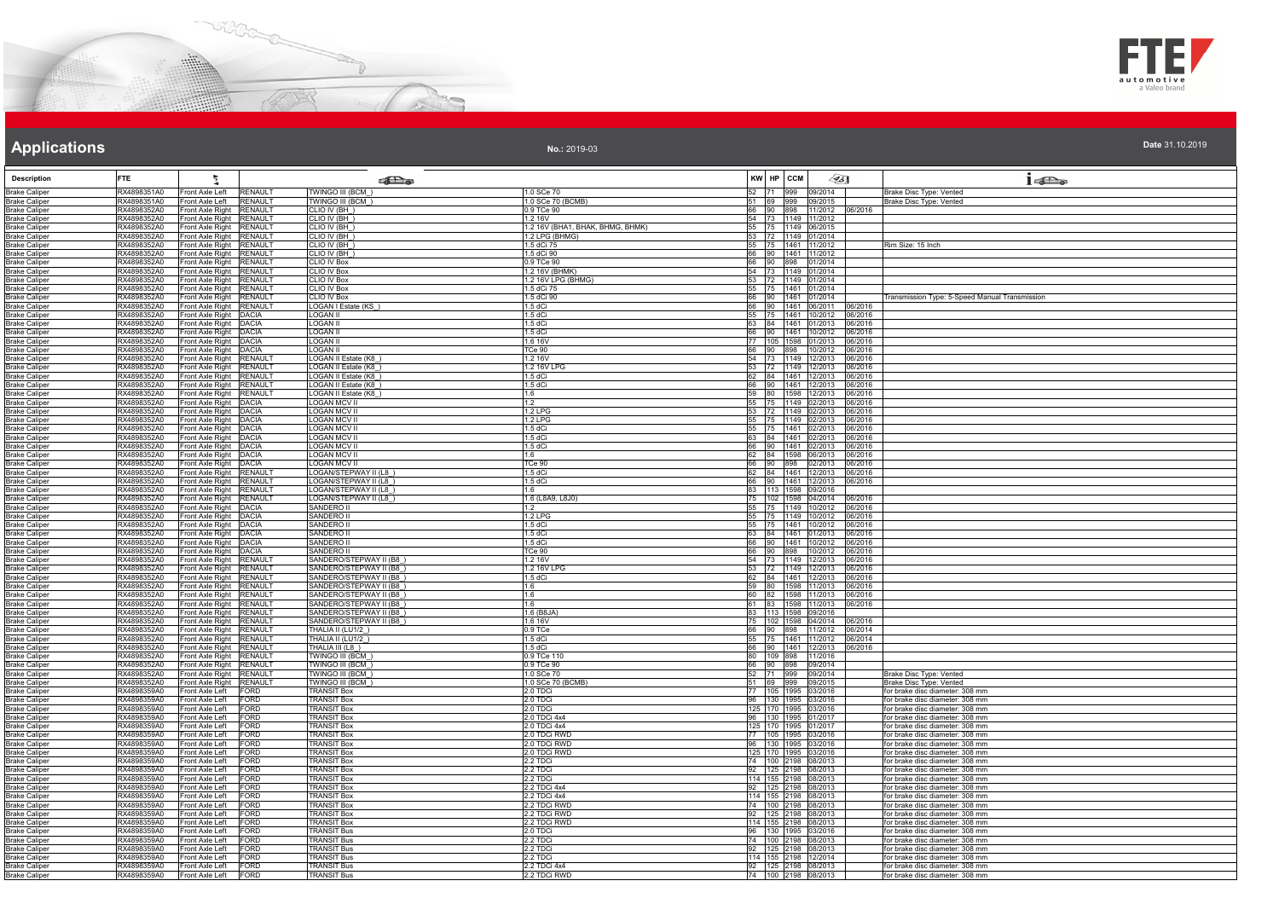



**No.:** 2019-03

| <b>Description</b>                           | <b>FTE</b>                 |                                                      |                                  | கில                                               |                                  |             | KW HP CCM                                     | $\llap{65}$  |                                       | $1 - \sum_{\omega}$                                                |
|----------------------------------------------|----------------------------|------------------------------------------------------|----------------------------------|---------------------------------------------------|----------------------------------|-------------|-----------------------------------------------|--------------|---------------------------------------|--------------------------------------------------------------------|
| <b>Brake Caliper</b>                         | RX4898351A0                | Front Axle Left                                      | <b>RENAULT</b>                   | TWINGO III (BCM                                   | 1.0 SCe 70                       | 52          | 71 999 09/2014                                |              |                                       | Brake Disc Type: Vented                                            |
| <b>Brake Caliper</b>                         | RX4898351A0                | Front Axle Left                                      | <b>RENAULT</b>                   | <b>TWINGO III (BCM</b>                            | 1.0 SCe 70 (BCMB)                | 51          | 69 999 09/2015                                |              |                                       | Brake Disc Type: Vented                                            |
| <b>Brake Caliper</b>                         | RX4898352A0                | Front Axle Right                                     | <b>RENAULT</b>                   | CLIO IV (BH)                                      | 0.9 TCe 90                       | 66          | 90 898 11/2012                                |              | 06/2016                               |                                                                    |
| <b>Brake Caliper</b>                         | RX4898352A0                | Front Axle Right                                     | <b>RENAULT</b>                   | CLIO IV (BH)                                      | 1.2 16V                          | 54          | 73 1149 11/2012                               |              |                                       |                                                                    |
| <b>Brake Caliper</b>                         | RX4898352A0                | Front Axle Right RENAULT                             |                                  | CLIO IV (BH)                                      | 1.2 16V (BHA1, BHAK, BHMG, BHMK) |             | 55 75 1149 06/2015                            |              |                                       |                                                                    |
| <b>Brake Caliper</b><br><b>Brake Caliper</b> | RX4898352A0<br>RX4898352A0 | Front Axle Right RENAULT<br>Front Axle Right RENAULT |                                  | CLIO IV (BH<br>CLIO IV (BH)                       | 1.2 LPG (BHMG)<br>1.5 dCi 75     |             | 53 72 1149 01/2014                            |              |                                       | Rim Size: 15 Inch                                                  |
| <b>Brake Caliper</b>                         | RX4898352A0                | Front Axle Right RENAULT                             |                                  | CLIO IV (BH)                                      | 1.5 dCi 90                       |             | 55 75 1461 11/2012<br>66 90 1461 11/2012      |              |                                       |                                                                    |
| <b>Brake Caliper</b>                         | RX4898352A0                | Front Axle Right RENAULT                             |                                  | <b>CLIO IV Box</b>                                | 0.9 TCe 90                       |             | 66 90 898 01/2014                             |              |                                       |                                                                    |
| <b>Brake Caliper</b>                         | RX4898352A0                | Front Axle Right RENAULT                             |                                  | CLIO IV Box                                       | 1.2 16V (BHMK)                   |             | 54 73 1149 01/2014                            |              |                                       |                                                                    |
| <b>Brake Caliper</b>                         | RX4898352A0                | Front Axle Right RENAULT                             |                                  | <b>CLIO IV Box</b>                                | 1.2 16V LPG (BHMG)               |             | 53 72 1149 01/2014                            |              |                                       |                                                                    |
| <b>Brake Caliper</b>                         | RX4898352A0                | Front Axle Right RENAULT                             |                                  | CLIO IV Box                                       | 1.5 dCi 75                       |             | 55 75 1461 01/2014                            |              |                                       |                                                                    |
| <b>Brake Caliper</b>                         | RX4898352A0                | Front Axle Right RENAULT                             |                                  | CLIO IV Box                                       | 1.5 dCi 90                       |             | 66 90 1461 01/2014                            |              |                                       | Transmission Type: 5-Speed Manual Transmission                     |
| <b>Brake Caliper</b>                         | RX4898352A0                | Front Axle Right                                     | <b>RENAULT</b>                   | OGAN I Estate (KS)                                | $1.5$ dCi                        | 66          | 90                                            | 1461 06/2011 | 06/2016                               |                                                                    |
| <b>Brake Caliper</b>                         | RX4898352A0<br>RX4898352A0 | Front Axle Right DACIA<br>Front Axle Right DACIA     |                                  | OGAN II<br>LOGAN II                               | 1.5 dCi<br>1.5 dCi               | 55          | 75 1461 10/2012<br>63 84 1461 01/2013         |              | 06/2016<br>06/2016                    |                                                                    |
| <b>Brake Caliper</b><br><b>Brake Caliper</b> | RX4898352A0                | Front Axle Right DACIA                               |                                  | <b>LOGAN II</b>                                   | 1.5 dCi                          |             |                                               |              | 66 90 1461 10/2012 06/2016            |                                                                    |
| <b>Brake Caliper</b>                         | RX4898352A0                | Front Axle Right DACIA                               |                                  | LOGAN II                                          | 1.6 16V                          |             |                                               |              | 77 105 1598 01/2013 06/2016           |                                                                    |
| <b>Brake Caliper</b>                         | RX4898352A0                | Front Axle Right DACIA                               |                                  | OGAN II                                           | TCe 90                           |             |                                               |              | 66 90 898 10/2012 06/2016             |                                                                    |
| <b>Brake Caliper</b>                         | RX4898352A0                | Front Axle Right RENAULT                             |                                  | OGAN II Estate (K8                                | 1.2 16V                          |             |                                               |              | 54 73 1149 12/2013 06/2016            |                                                                    |
| <b>Brake Caliper</b>                         | RX4898352A0                | Front Axle Right RENAULT                             |                                  | LOGAN II Estate (K8                               | 1.2 16V LPG                      |             |                                               |              | 53 72 1149 12/2013 06/2016            |                                                                    |
| <b>Brake Caliper</b>                         | RX4898352A0                | Front Axle Right RENAULT                             |                                  | OGAN II Estate (K8)                               | $1.5$ dCi                        |             |                                               |              | 62 84 1461 12/2013 06/2016            |                                                                    |
| <b>Brake Caliper</b>                         | RX4898352A0                | Front Axle Right RENAULT                             |                                  | OGAN II Estate (K8)                               | 1.5 dCi                          |             |                                               |              | 66 90 1461 12/2013 06/2016            |                                                                    |
| <b>Brake Caliper</b><br><b>Brake Calipe</b>  | RX4898352A0<br>RX4898352A0 | Front Axle Right RENAULT<br>Front Axle Right         | <b>DACIA</b>                     | OGAN II Estate (K8_)<br><b>LOGAN MCV II</b>       | 1.6<br>1.2                       |             | 59 80 1598 12/2013                            | 1149 02/2013 | 06/2016<br>06/2016                    |                                                                    |
| <b>Brake Caliper</b>                         | RX4898352A0                | Front Axle Right DACIA                               |                                  | OGAN MCV II                                       | 1.2 LPG                          | 55 75<br>53 | 72                                            | 1149 02/2013 | 06/2016                               |                                                                    |
| <b>Brake Caliper</b>                         | RX4898352A0                | Front Axle Right   DACIA                             |                                  | LOGAN MCV II                                      | 121PG                            | 55          | 75 1149 02/2013                               |              | 06/2016                               |                                                                    |
| <b>Brake Caliper</b>                         | RX4898352A0                | Front Axle Right DACIA                               |                                  | OGAN MCV II                                       | 1.5 dCi                          |             |                                               |              | 55 75 1461 02/2013 06/2016            |                                                                    |
| <b>Brake Caliper</b>                         | RX4898352A0                | Front Axle Right   DACIA                             |                                  | <b>OGAN MCV II</b>                                | 1.5 dCi                          |             |                                               |              | 63 84 1461 02/2013 06/2016            |                                                                    |
| <b>Brake Caliper</b>                         | RX4898352A0                | Front Axle Right DACIA                               |                                  | OGAN MCV II                                       | 1.5 dCi                          |             |                                               |              | 66 90 1461 02/2013 06/2016            |                                                                    |
| <b>Brake Caliper</b>                         | RX4898352A0                | Front Axle Right DACIA                               |                                  | OGAN MCV II                                       | 1.6                              |             | 62 84 1598 06/2013                            |              | 06/2016                               |                                                                    |
| <b>Brake Caliper</b>                         | RX4898352A0                | Front Axle Right DACIA                               |                                  | <b>LOGAN MCV II</b>                               | TCe 90                           |             | 66 90 898 02/2013                             |              | 06/2016<br>62 84 1461 12/2013 06/2016 |                                                                    |
| <b>Brake Caliper</b><br><b>Brake Caliper</b> | RX4898352A0<br>RX4898352A0 | Front Axle Right RENAULT<br>Front Axle Right RENAULT |                                  | LOGAN/STEPWAY II (L8<br>_OGAN/STEPWAY II (L8)     | $1.5$ dCi<br>$1.5$ dCi           |             |                                               |              | 66 90 1461 12/2013 06/2016            |                                                                    |
| <b>Brake Caliper</b>                         | RX4898352A0                | Front Axle Right RENAULT                             |                                  | OGAN/STEPWAY II (L8                               | 1.6                              |             | 83 113 1598 09/2016                           |              |                                       |                                                                    |
| <b>Brake Caliper</b>                         | RX4898352A0                | Front Axle Right RENAULT                             |                                  | OGAN/STEPWAY II (L8                               | 1.6 (L8A9, L8J0)                 | 75          | 102 1598 04/2014                              |              | 06/2016                               |                                                                    |
| <b>Brake Caliper</b>                         | RX4898352A0                | Front Axle Right DACIA                               |                                  | SANDERO II                                        | 1.2                              | 55          | 75 1149 10/2012                               |              | 06/2016                               |                                                                    |
| <b>Brake Caliper</b>                         | RX4898352A0                | Front Axle Right DACIA                               |                                  | SANDERO II                                        | $1.2$ I PC                       |             | 55 75 1149 10/2012                            |              | 06/2016                               |                                                                    |
| <b>Brake Caliper</b>                         | RX4898352A0                | Front Axle Right DACIA                               |                                  | SANDERO I                                         | $1.5$ dCi                        |             | 55 75 1461 10/2012                            |              | 06/2016                               |                                                                    |
| <b>Brake Caliper</b>                         | RX4898352A0                | Front Axle Right DACIA                               |                                  | SANDERO II                                        | 1.5 dCi                          |             | 63 84 1461 01/2013                            |              | 06/2016                               |                                                                    |
| <b>Brake Caliper</b><br><b>Brake Caliper</b> | RX4898352A0<br>RX4898352A0 | Front Axle Right DACIA<br>Front Axle Right DACIA     |                                  | SANDERO I<br>SANDERO I                            | 1.5 dCi<br>TCe 90                | 66          | 90<br>66 90 898 10/2012                       | 1461 10/2012 | 06/2016<br>06/2016                    |                                                                    |
| <b>Brake Caliper</b>                         | RX4898352A0                | Front Axle Right RENAULT                             |                                  | SANDERO/STEPWAY II (B8)                           | 1.2 16V                          |             | 54 73 1149 12/2013                            |              | 06/2016                               |                                                                    |
| <b>Brake Caliper</b>                         | RX4898352A0                | Front Axle Right RENAULT                             |                                  | SANDERO/STEPWAY II (B8                            | 1.2 16V LPG                      |             |                                               |              | 53 72 1149 12/2013 06/2016            |                                                                    |
| <b>Brake Caliper</b>                         | RX4898352A0                | Front Axle Right RENAULT                             |                                  | SANDERO/STEPWAY II (B8                            | 1.5 dCi                          |             |                                               |              | 62 84 1461 12/2013 06/2016            |                                                                    |
| <b>Brake Caliper</b>                         | RX4898352A0                | Front Axle Right RENAULT                             |                                  | SANDERO/STEPWAY II (B8)                           | 1.6                              |             |                                               |              | 59 80 1598 11/2013 06/2016            |                                                                    |
| <b>Brake Caliper</b>                         | RX4898352A0                | Front Axle Right                                     | <b>RENAULT</b>                   | SANDERO/STEPWAY II (B8                            | 1.6                              |             |                                               |              | 60 82 1598 11/2013 06/2016            |                                                                    |
| <b>Brake Caliper</b><br><b>Brake Caliper</b> | RX4898352A0<br>RX4898352A0 | Front Axle Right<br>Front Axle Right                 | <b>RENAULT</b><br><b>RENAULT</b> | SANDERO/STEPWAY II (B8)<br>SANDERO/STEPWAY II (B8 | 1.6<br>1.6 (B8JA                 | 83          | 61 83 1598 11/2013<br>113 1598 09/2016        |              | 06/2016                               |                                                                    |
| <b>Brake Caliper</b>                         | RX4898352A0                | Front Axle Right RENAULT                             |                                  | SANDERO/STEPWAY II (B8)                           | 1.6 16V                          |             |                                               |              | 75 102 1598 04/2014 06/2016           |                                                                    |
| <b>Brake Caliper</b>                         | RX4898352A0                | Front Axle Right                                     | <b>RENAULT</b>                   | THALIA II (LU1/2_)                                | $0.9$ TCe                        |             |                                               |              | 66 90 898 11/2012 06/2014             |                                                                    |
| <b>Brake Caliper</b>                         | RX4898352A0                | Front Axle Right RENAULT                             |                                  | THALIA II (LU1/2)                                 | 1.5 dCi                          |             |                                               |              | 55 75 1461 11/2012 06/2014            |                                                                    |
| <b>Brake Caliper</b>                         | RX4898352A0                | Front Axle Right                                     | <b>RENAULT</b>                   | HALIA III (L8)                                    | $1.5$ dCi                        |             | 66 90 1461 12/2013                            |              | 06/2016                               |                                                                    |
| <b>Brake Caliper</b>                         | RX4898352A0                | Front Axle Right RENAULT                             |                                  | TWINGO III (BCM                                   | 0.9 TCe 110                      |             | 80 109 898 11/2016                            |              |                                       |                                                                    |
| <b>Brake Caliper</b><br><b>Brake Caliper</b> | RX4898352A0<br>RX4898352A0 | Front Axle Right RENAULT<br>Front Axle Right RENAULT |                                  | <b>TWINGO III (BCM</b><br><b>TWINGO III (BCM_</b> | 0.9 TCe 90<br>1.0 SCe 70         | 66          | 90 898 09/2014<br>52 71 999 09/2014           |              |                                       | Brake Disc Type: Vented                                            |
| <b>Brake Caliper</b>                         | RX4898352A0                | Front Axle Right RENAULT                             |                                  | <b>TWINGO III (BCM_)</b>                          | 1.0 SCe 70 (BCMB)                |             | 51 69 999 09/2015                             |              |                                       | Brake Disc Type: Vented                                            |
| <b>Brake Caliper</b>                         | RX4898359A0                | Front Axle Left                                      | <b>FORD</b>                      | <b>FRANSIT Box</b>                                | 2.0 TDCi                         |             | 77 105 1995 03/2016                           |              |                                       | for brake disc diameter: 308 mm                                    |
| <b>Brake Caliper</b>                         | RX4898359A0                | Front Axle Left                                      | FORD                             | <b>RANSIT Box</b>                                 | 2.0 TDCi                         | 96          | 130 1995 03/2016                              |              |                                       | for brake disc diameter: 308 mm                                    |
| <b>Brake Caliper</b>                         | RX4898359A0                | Front Axle Left                                      | <b>FORD</b>                      | <b>TRANSIT Box</b>                                | 2.0 TDCi                         |             | 125 170 1995 03/2016                          |              |                                       | for brake disc diameter: 308 mm                                    |
| <b>Brake Caliper</b>                         | RX4898359A0                | Front Axle Left                                      | <b>FORD</b>                      | <b>RANSIT Box</b>                                 | 2.0 TDCi 4x4                     |             | 96 130 1995 01/2017                           |              |                                       | for brake disc diameter: 308 mm                                    |
| <b>Brake Caliper</b>                         | RX4898359A0                | Front Axle Left                                      | FORD                             | <b>FRANSIT Box</b>                                | 2.0 TDCi 4x4                     |             | 125 170 1995 01/2017                          |              |                                       | for brake disc diameter: 308 mm                                    |
| <b>Brake Caliper</b><br><b>Brake Caliper</b> | RX4898359A0<br>RX4898359A0 | Front Axle Left<br>Front Axle Left                   | <b>FORD</b><br><b>FORD</b>       | <b>FRANSIT Box</b><br><b>RANSIT Box</b>           | 2.0 TDCi RWD<br>2.0 TDCi RWD     | 96          | 77   105   1995   03/2016<br>130 1995 03/2016 |              |                                       | for brake disc diameter: 308 mm<br>for brake disc diameter: 308 mm |
| <b>Brake Caliper</b>                         | RX4898359A0                | Front Axle Left                                      | <b>FORD</b>                      | <b>TRANSIT Box</b>                                | 2.0 TDCi RWD                     |             | 125 170 1995 03/2016                          |              |                                       | for brake disc diameter: 308 mm                                    |
| <b>Brake Caliper</b>                         | RX4898359A0                | Front Axle Left                                      | <b>FORD</b>                      | <b>RANSIT Box</b>                                 | 2.2 TDCi                         |             | 74 100 2198 08/2013                           |              |                                       | for brake disc diameter: 308 mm                                    |
| <b>Brake Caliper</b>                         | RX4898359A0                | Front Axle Left                                      | FORD                             | <b>RANSIT Box</b>                                 | 2.2 TDCi                         |             | 92 125 2198 08/2013                           |              |                                       | for brake disc diameter: 308 mm                                    |
| <b>Brake Caliper</b>                         | RX4898359A0                | Front Axle Left                                      | <b>FORD</b>                      | <b>FRANSIT Box</b>                                | 2.2 TDCi                         |             | 114 155 2198 08/2013                          |              |                                       | for brake disc diameter: 308 mm                                    |
| <b>Brake Caliper</b>                         | RX4898359A0                | Front Axle Left                                      | <b>FORD</b>                      | <b>FRANSIT Box</b>                                | 2.2 TDCi 4x4                     |             | 92 125 2198 08/2013                           |              |                                       | for brake disc diameter: 308 mm                                    |
| <b>Brake Caliper</b>                         | RX4898359A0                | Front Axle Left                                      | FORD                             | <b>RANSIT Box</b>                                 | 2.2 TDCi 4x4                     |             | 114 155 2198 08/2013                          |              |                                       | for brake disc diameter: 308 mm                                    |
| <b>Brake Caliper</b><br><b>Brake Caliper</b> | RX4898359A0<br>RX4898359A0 | Front Axle Left<br>Front Axle Left                   | <b>FORD</b><br><b>FORD</b>       | <b>TRANSIT Box</b><br><b>RANSIT Box</b>           | 2.2 TDCi RWD<br>2.2 TDCi RWD     |             | 74 100 2198 08/2013<br>92 125 2198 08/2013    |              |                                       | for brake disc diameter: 308 mm<br>for brake disc diameter: 308 mm |
| <b>Brake Caliper</b>                         | RX4898359A0                | Front Axle Left                                      | <b>FORD</b>                      | <b>TRANSIT Box</b>                                | 2.2 TDCi RWD                     |             | 114 155 2198 08/2013                          |              |                                       | for brake disc diameter: 308 mm                                    |
| <b>Brake Caliper</b>                         | RX4898359A0                | Front Axle Left                                      | <b>FORD</b>                      | <b>RANSIT Bus</b>                                 | 2.0 TDCi                         | 96          | 130 1995 03/2016                              |              |                                       | for brake disc diameter: 308 mm                                    |
| <b>Brake Caliper</b>                         | RX4898359A0                | Front Axle Left                                      | <b>FORD</b>                      | <b>RANSIT Bus</b>                                 | 2.2 TDCi                         |             | 74 100 2198 08/2013                           |              |                                       | for brake disc diameter: 308 mm                                    |
| <b>Brake Caliper</b>                         | RX4898359A0                | Front Axle Left                                      | <b>FORD</b>                      | <b>FRANSIT Bus</b>                                | 2.2 TDCi                         | 92          | 125 2198 08/2013                              |              |                                       | for brake disc diameter: 308 mm                                    |
| <b>Brake Caliper</b>                         | RX4898359A0                | Front Axle Left                                      | FORD                             | <b>TRANSIT Bus</b>                                | 2.2 TDCi                         |             | 114 155 2198 12/2014                          |              |                                       | for brake disc diameter: 308 mm                                    |
| <b>Brake Caliper</b>                         | RX4898359A0                | Front Axle Left                                      | FORD                             | <b>RANSIT Bus</b>                                 | 2.2 TDCi 4x4                     |             | 92 125 2198 08/2013                           |              |                                       | for brake disc diameter: 308 mm                                    |
| <b>Brake Caliper</b>                         | RX4898359A0                | Front Axle Left                                      | <b>FORD</b>                      | <b>TRANSIT Bus</b>                                | 2.2 TDCi RWD                     |             | 74 100 2198 08/2013                           |              |                                       | for brake disc diameter: 308 mm                                    |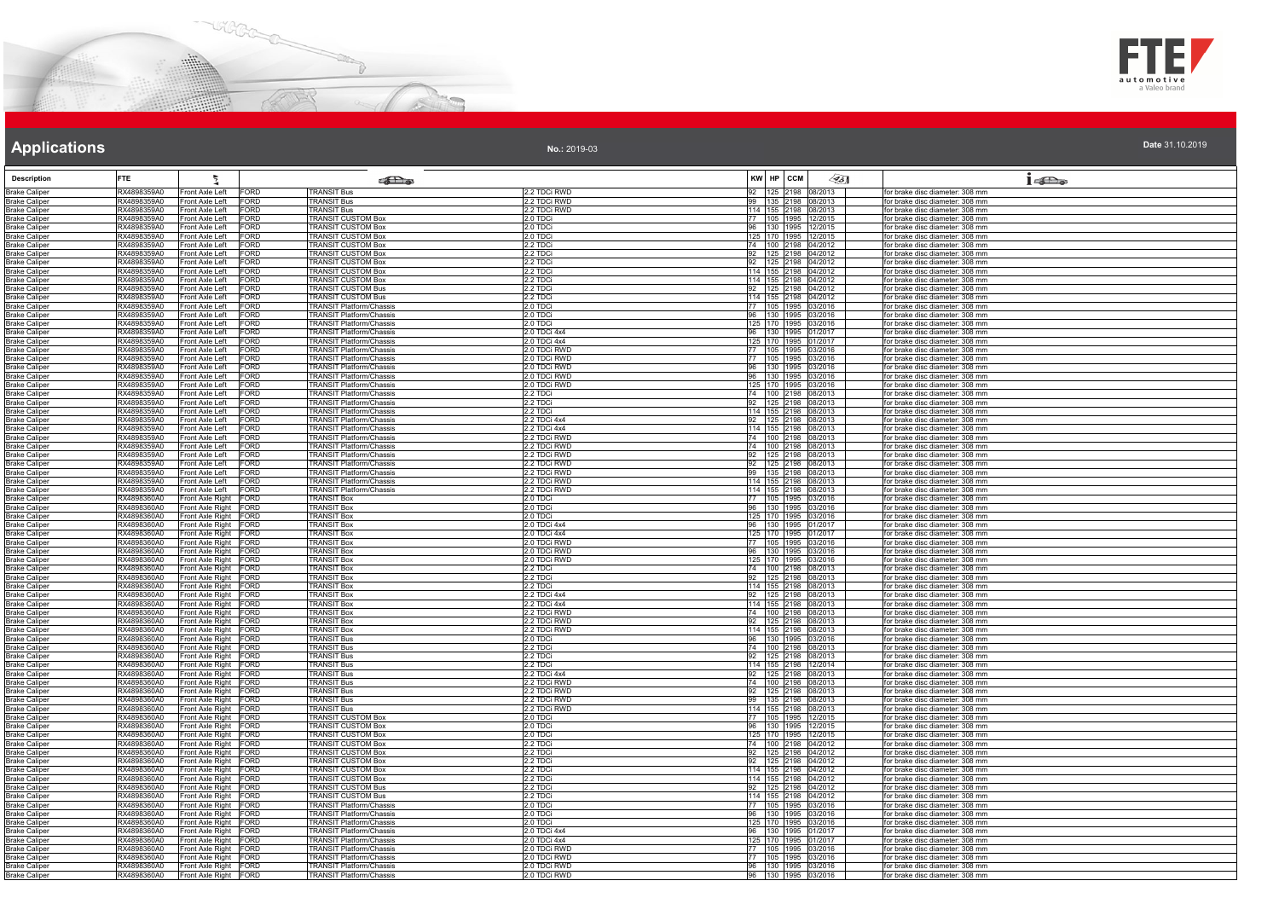



**Date** 31.10.2019

# **Applications**

**No.:** 2019-03

| <b>Description</b>                           | <b>FTE</b>                 | 뒾                                              |                            | <b>SER</b>                                                         |                              | KW HP CCM                                   | 45] | $1 - \sum_{\alpha}$                                                |
|----------------------------------------------|----------------------------|------------------------------------------------|----------------------------|--------------------------------------------------------------------|------------------------------|---------------------------------------------|-----|--------------------------------------------------------------------|
| <b>Brake Caliper</b>                         | RX4898359A0                | Front Axle Left                                | FORD                       | <b>TRANSIT Bus</b>                                                 | 2.2 TDCi RWD                 | 92 125 2198 08/2013                         |     | for brake disc diameter: 308 mm                                    |
| <b>Brake Caliper</b>                         | RX4898359A0                | Front Axle Left                                | FORD                       | <b>TRANSIT Bus</b>                                                 | 2.2 TDCi RWD                 | 99 135 2198 08/2013                         |     | for brake disc diameter: 308 mm                                    |
| <b>Brake Caliper</b>                         | RX4898359A0                | Front Axle Left                                | FORD                       | <b>TRANSIT Bus</b>                                                 | 2.2 TDCi RWD                 | 114 155 2198 08/2013                        |     | for brake disc diameter: 308 mm                                    |
| <b>Brake Caliper</b>                         | RX4898359A0                | Front Axle Left                                | FORD                       | TRANSIT CUSTOM Box                                                 | 2.0 TDCi                     | 77   105   1995   12/2015                   |     | for brake disc diameter: 308 mm                                    |
| <b>Brake Caliper</b>                         | RX4898359A0                | Front Axle Left                                | FORD                       | <b>TRANSIT CUSTOM Box</b>                                          | 2.0 TDCi                     | 96 130 1995 12/2015                         |     | for brake disc diameter: 308 mm                                    |
| <b>Brake Caliper</b>                         | RX4898359A0                | Front Axle Left                                | FORD                       | <b>TRANSIT CUSTOM Box</b>                                          | 2.0 TDCi                     | 125 170 1995 12/2015                        |     | for brake disc diameter: 308 mm                                    |
| <b>Brake Caliper</b>                         | RX4898359A0                | Front Axle Left                                | FORD                       | <b>TRANSIT CUSTOM Box</b>                                          | 2.2 TDCi                     | 74 100 2198 04/2012                         |     | for brake disc diameter: 308 mm                                    |
| <b>Brake Caliper</b><br><b>Brake Caliper</b> | RX4898359A0<br>RX4898359A0 | Front Axle Left<br>Front Axle Left             | FORD<br><b>FORD</b>        | <b>TRANSIT CUSTOM Box</b><br><b>TRANSIT CUSTOM Box</b>             | 2.2 TDCi<br>2.2 TDCi         | 92 125 2198 04/2012<br>92 125 2198 04/2012  |     | for brake disc diameter: 308 mm<br>for brake disc diameter: 308 mm |
| <b>Brake Caliper</b>                         | RX4898359A0                | Front Axle Left                                | FORD                       | TRANSIT CUSTOM Box                                                 | 2.2 TDCi                     | 114 155 2198 04/2012                        |     | for brake disc diameter: 308 mm                                    |
| <b>Brake Caliper</b>                         | RX4898359A0                | Front Axle Left                                | <b>FORD</b>                | <b>TRANSIT CUSTOM Box</b>                                          | 2.2 TDCi                     | 114 155 2198 04/2012                        |     | for brake disc diameter: 308 mm                                    |
| <b>Brake Caliper</b>                         | RX4898359A0                | Front Axle Left                                | FORD                       | <b>FRANSIT CUSTOM Bus</b>                                          | 2.2 TDCi                     | 92 125 2198 04/2012                         |     | for brake disc diameter: 308 mm                                    |
| <b>Brake Caliper</b>                         | RX4898359A0                | Front Axle Left                                | FORD                       | <b>TRANSIT CUSTOM Bus</b>                                          | 2.2 TDCi                     | 114 155 2198 04/2012                        |     | for brake disc diameter: 308 mm                                    |
| <b>Brake Caliper</b>                         | RX4898359A0                | Front Axle Left                                | FORD                       | <b>TRANSIT Platform/Chassis</b>                                    | 2.0 TDCi                     | 77 105 1995 03/2016                         |     | for brake disc diameter: 308 mm                                    |
| <b>Brake Caliper</b>                         | RX4898359A0                | Front Axle Left                                | FORD                       | TRANSIT Platform/Chassis                                           | 2.0 TDCi                     | 96 130 1995 03/2016                         |     | for brake disc diameter: 308 mm                                    |
| <b>Brake Caliper</b>                         | RX4898359A0                | Front Axle Left                                | FORD                       | TRANSIT Platform/Chassis                                           | 2.0 TDCi                     | 125 170 1995 03/2016                        |     | for brake disc diameter: 308 mm                                    |
| <b>Brake Caliper</b>                         | RX4898359A0                | Front Axle Left                                | FORD                       | <b>FRANSIT Platform/Chassis</b>                                    | 2.0 TDCi 4x4                 | 96 130 1995 01/2017                         |     | for brake disc diameter: 308 mm                                    |
| <b>Brake Caliper</b>                         | RX4898359A0                | Front Axle Left                                | FORD                       | <b>TRANSIT Platform/Chassis</b>                                    | 2.0 TDCi 4x4                 | 125 170 1995 01/2017                        |     | for brake disc diameter: 308 mm                                    |
| <b>Brake Caliper</b>                         | RX4898359A0                | Front Axle Left                                | FORD                       | <b>FRANSIT Platform/Chassis</b>                                    | 2.0 TDCi RWD                 | 77 105 1995 03/2016                         |     | for brake disc diameter: 308 mm                                    |
| <b>Brake Caliper</b>                         | RX4898359A0                | Front Axle Left                                | FORD                       | TRANSIT Platform/Chassis                                           | 2.0 TDCi RWD                 | 77 105 1995 03/2016                         |     | for brake disc diameter: 308 mm                                    |
| <b>Brake Caliper</b>                         | RX4898359A0<br>RX4898359A0 | Front Axle Left<br>Front Axle Left             | <b>FORD</b><br><b>FORD</b> | <b>TRANSIT Platform/Chassis</b><br><b>TRANSIT Platform/Chassis</b> | 2.0 TDCi RWD<br>2.0 TDCi RWD | 96 130 1995 03/2016<br>96 130 1995 03/2016  |     | for brake disc diameter: 308 mm<br>for brake disc diameter: 308 mm |
| <b>Brake Caliper</b><br><b>Brake Caliper</b> | RX4898359A0                | Front Axle Left                                | <b>FORD</b>                | <b>FRANSIT Platform/Chassis</b>                                    | 2.0 TDCi RWD                 | 125 170 1995 03/2016                        |     | for brake disc diameter: 308 mm                                    |
| <b>Brake Caliper</b>                         | RX4898359A0                | Front Axle Left                                | <b>FORD</b>                | TRANSIT Platform/Chassis                                           | 2.2 TDCi                     | 74 100 2198 08/2013                         |     | for brake disc diameter: 308 mm                                    |
| <b>Brake Caliper</b>                         | RX4898359A0                | Front Axle Left                                | FORD                       | <b>FRANSIT Platform/Chassis</b>                                    | 2.2 TDCi                     | 92 125 2198 08/2013                         |     | for brake disc diameter: 308 mm                                    |
| <b>Brake Caliper</b>                         | RX4898359A0                | Front Axle Left                                | FORD                       | TRANSIT Platform/Chassis                                           | 2.2 TDCi                     |                                             |     | for brake disc diameter: 308 mm                                    |
| <b>Brake Caliper</b>                         | RX4898359A0                | Front Axle Left                                | <b>FORD</b>                | TRANSIT Platform/Chassis                                           | 2.2 TDCi 4x4                 | 114 155 2198 08/2013<br>92 125 2198 08/2013 |     | for brake disc diameter: 308 mm                                    |
| <b>Brake Caliper</b>                         | RX4898359A0                | Front Axle Left                                | FORD                       | <b>FRANSIT Platform/Chassis</b>                                    | 2.2 TDCi 4x4                 | 114 155 2198 08/2013                        |     | for brake disc diameter: 308 mm                                    |
| <b>Brake Caliper</b>                         | RX4898359A0                | Front Axle Left                                | FORD                       | TRANSIT Platform/Chassis                                           | 2.2 TDCi RWD                 | 74 100 2198 08/2013                         |     | for brake disc diameter: 308 mm                                    |
| <b>Brake Caliper</b>                         | RX4898359A0                | Front Axle Left                                | FORD                       | <b>TRANSIT Platform/Chassis</b>                                    | 2.2 TDCi RWD                 | 74 100 2198 08/2013                         |     | for brake disc diameter: 308 mm                                    |
| <b>Brake Caliper</b>                         | RX4898359A0                | Front Axle Left                                | FORD                       | <b>FRANSIT Platform/Chassis</b>                                    | 2.2 TDCi RWD                 | 92 125 2198 08/2013                         |     | for brake disc diameter: 308 mm                                    |
| <b>Brake Caliper</b>                         | RX4898359A0                | Front Axle Left                                | FORD                       | TRANSIT Platform/Chassis                                           | 2.2 TDCi RWD                 | 92 125 2198 08/2013<br>99 135 2198 08/2013  |     | for brake disc diameter: 308 mm                                    |
| <b>Brake Caliper</b><br><b>Brake Caliper</b> | RX4898359A0<br>RX4898359A0 | Front Axle Left<br>Front Axle Left             | FORD<br><b>FORD</b>        | TRANSIT Platform/Chassis<br><b>TRANSIT Platform/Chassis</b>        | 2.2 TDCi RWD<br>2.2 TDCi RWD | 114 155 2198 08/2013                        |     | for brake disc diameter: 308 mm<br>for brake disc diameter: 308 mm |
| <b>Brake Caliper</b>                         | RX4898359A0                | Front Axle Left                                | FORD                       | TRANSIT Platform/Chassis                                           | 2.2 TDCi RWD                 | 114 155 2198 08/2013                        |     | for brake disc diameter: 308 mm                                    |
| <b>Brake Caliper</b>                         | RX4898360A0                | Front Axle Right                               | FORD                       | TRANSIT Box                                                        | 2.0 TDCi                     | 77 105 1995 03/2016                         |     | for brake disc diameter: 308 mm                                    |
| <b>Brake Caliper</b>                         | RX4898360A0                | Front Axle Right                               | <b>FORD</b>                | TRANSIT Box                                                        | 2.0 TDCi                     | 96 130 1995 03/2016                         |     | for brake disc diameter: 308 mm                                    |
| <b>Brake Caliper</b>                         | RX4898360A0                | Front Axle Right                               | FORD                       | <b>TRANSIT Box</b>                                                 | 2.0 TDCi                     | 125 170 1995 03/2016                        |     | for brake disc diameter: 308 mm                                    |
| <b>Brake Caliper</b>                         | RX4898360A0                | Front Axle Right                               | <b>FORD</b>                | TRANSIT Box                                                        | 2.0 TDCi 4x4                 | 96 130 1995 01/2017                         |     | for brake disc diameter: 308 mm                                    |
| <b>Brake Caliper</b>                         | RX4898360A0                | Front Axle Right FORD                          |                            | <b>TRANSIT Box</b>                                                 | 2.0 TDCi 4x4                 | 125 170 1995 01/2017                        |     | for brake disc diameter: 308 mm                                    |
| <b>Brake Caliper</b>                         | RX4898360A0                | Front Axle Right                               | FORD                       | <b>TRANSIT Box</b>                                                 | 2.0 TDCi RWD                 | 77 105 1995 03/2016                         |     | for brake disc diameter: 308 mm                                    |
| <b>Brake Caliper</b>                         | RX4898360A0                | Front Axle Right FORD                          |                            | TRANSIT Box                                                        | 2.0 TDCi RWD                 | 96 130 1995 03/2016                         |     | for brake disc diameter: 308 mm                                    |
| <b>Brake Caliper</b>                         | RX4898360A0                | Front Axle Right FORD                          |                            | <b>TRANSIT Box</b>                                                 | 2.0 TDCi RWD                 | 125 170 1995 03/2016                        |     | for brake disc diameter: 308 mm                                    |
| <b>Brake Caliper</b>                         | RX4898360A0<br>RX4898360A0 | Front Axle Right                               | <b>FORD</b>                | <b>TRANSIT Box</b><br><b>TRANSIT Box</b>                           | 2.2 TDCi                     | 74 100 2198 08/2013                         |     | for brake disc diameter: 308 mm                                    |
| <b>Brake Caliper</b><br><b>Brake Caliper</b> | RX4898360A0                | Front Axle Right<br>Front Axle Right           | FORD<br>FORD               | <b>TRANSIT Box</b>                                                 | 2.2 TDCi<br>2.2 TDCi         | 92 125 2198 08/2013<br>114 155 2198 08/2013 |     | for brake disc diameter: 308 mm<br>for brake disc diameter: 308 mm |
| <b>Brake Caliper</b>                         | RX4898360A0                | Front Axle Right FORD                          |                            | <b>TRANSIT Box</b>                                                 | 2.2 TDCi 4x4                 | 92 125 2198 08/2013                         |     | for brake disc diameter: 308 mm                                    |
| <b>Brake Caliper</b>                         | RX4898360A0                | Front Axle Right                               | <b>FORD</b>                | <b>TRANSIT Box</b>                                                 | 2.2 TDCi 4x4                 | 114 155 2198 08/2013                        |     | for brake disc diameter: 308 mm                                    |
| <b>Brake Caliper</b>                         | RX4898360A0                | Front Axle Right FORD                          |                            | TRANSIT Box                                                        | 2.2 TDCi RWD                 | 74 100 2198 08/2013                         |     | for brake disc diameter: 308 mm                                    |
| <b>Brake Caliper</b>                         | RX4898360A0                | Front Axle Right FORD                          |                            | <b>TRANSIT Box</b>                                                 | 2.2 TDCi RWD                 | 92 125 2198 08/2013                         |     | for brake disc diameter: 308 mm                                    |
| <b>Brake Caliper</b>                         | RX4898360A0                | Front Axle Right FORD                          |                            | <b>TRANSIT Box</b>                                                 | 2.2 TDCi RWD                 | 114 155 2198 08/2013                        |     | for brake disc diameter: 308 mm                                    |
| <b>Brake Caliper</b>                         | RX4898360A0                | Front Axle Right FORD                          |                            | TRANSIT Bus                                                        | 2.0 TDCi                     | 96 130 1995 03/2016                         |     | for brake disc diameter: 308 mm                                    |
| <b>Brake Caliper</b>                         | RX4898360A0                | Front Axle Right FORD                          |                            | <b>TRANSIT Bus</b>                                                 | 2.2 TDCi                     | 74 100 2198 08/2013                         |     | for brake disc diameter: 308 mm                                    |
| <b>Brake Caliper</b>                         | RX4898360A0                | Front Axle Right FORD                          |                            | <b>TRANSIT Bus</b>                                                 | 2.2 TDCi                     | 92 125 2198 08/2013                         |     | for brake disc diameter: 308 mm                                    |
| <b>Brake Caliper</b>                         | RX4898360A0<br>RX4898360A0 | Front Axle Right FORD<br>Front Axle Right FORD |                            | <b>TRANSIT Bus</b><br><b>TRANSIT Bus</b>                           | 2.2 TDCi<br>2.2 TDCi 4x4     | 114 155 2198 12/2014<br>92 125 2198 08/2013 |     | for brake disc diameter: 308 mm<br>for brake disc diameter: 308 mm |
| <b>Brake Caliper</b><br><b>Brake Caliper</b> | RX4898360A0                | Front Axle Right                               | <b>FORD</b>                | <b>TRANSIT Bus</b>                                                 | 2.2 TDCi RWD                 | 74 100 2198 08/2013                         |     | for brake disc diameter: 308 mm                                    |
| <b>Brake Caliper</b>                         | RX4898360A0                | Front Axle Right FORD                          |                            | <b>TRANSIT Bus</b>                                                 | 2.2 TDCi RWD                 | 92 125 2198 08/2013                         |     | for brake disc diameter: 308 mm                                    |
| <b>Brake Caliper</b>                         | RX4898360A0                | Front Axle Right                               | FORD                       | TRANSIT Bus                                                        | 2.2 TDCi RWD                 | 99 135 2198 08/2013                         |     | for brake disc diameter: 308 mm                                    |
| <b>Brake Caliper</b>                         | RX4898360A0                | Front Axle Right FORD                          |                            | <b>TRANSIT Bus</b>                                                 | 2.2 TDCi RWD                 | 114 155 2198 08/2013                        |     | for brake disc diameter: 308 mm                                    |
| <b>Brake Caliper</b>                         | RX4898360A0                | Front Axle Right FORD                          |                            | <b>TRANSIT CUSTOM Box</b>                                          | 2.0 TDCi                     | 77 105 1995 12/2015                         |     | for brake disc diameter: 308 mm                                    |
| <b>Brake Caliper</b>                         | RX4898360A0                | Front Axle Right FORD                          |                            | TRANSIT CUSTOM Box                                                 | 2.0 TDCi                     | 96   130   1995   12/2015                   |     | for brake disc diameter: 308 mm                                    |
| <b>Brake Caliper</b>                         | RX4898360A0                | Front Axle Right FORD                          |                            | <b>TRANSIT CUSTOM Box</b>                                          | 2.0 TDCi                     | 125 170 1995 12/2015                        |     | for brake disc diameter: 308 mm                                    |
| <b>Brake Caliper</b>                         | RX4898360A0                | Front Axle Right FORD                          |                            | <b>TRANSIT CUSTOM Box</b>                                          | 2.2 TDCi                     | 74 100 2198 04/2012                         |     | for brake disc diameter: 308 mm                                    |
| <b>Brake Caliper</b>                         | RX4898360A0                | Front Axle Right FORD                          |                            | <b>TRANSIT CUSTOM Box</b>                                          | 2.2 TDCi                     | 92 125 2198 04/2012                         |     | for brake disc diameter: 308 mm                                    |
| <b>Brake Caliper</b>                         | RX4898360A0<br>RX4898360A0 | Front Axle Right FORD                          |                            | <b>TRANSIT CUSTOM Box</b><br><b>TRANSIT CUSTOM Box</b>             | 2.2 TDCi<br>2.2 TDCi         | 92 125 2198 04/2012<br>114 155 2198 04/2012 |     | for brake disc diameter: 308 mm                                    |
| <b>Brake Caliper</b>                         | RX4898360A0                | Front Axle Right FORD<br>Front Axle Right FORD |                            | TRANSIT CUSTOM Box                                                 | 2.2 TDCi                     | 114 155 2198 04/2012                        |     | for brake disc diameter: 308 mm<br>for brake disc diameter: 308 mm |
| <b>Brake Caliper</b><br><b>Brake Caliper</b> | RX4898360A0                | Front Axle Right FORD                          |                            | <b>TRANSIT CUSTOM Bus</b>                                          | 2.2 TDCi                     | 92 125 2198 04/2012                         |     | for brake disc diameter: 308 mm                                    |
| <b>Brake Caliper</b>                         | RX4898360A0                | Front Axle Right                               | <b>FORD</b>                | <b>TRANSIT CUSTOM Bus</b>                                          | 2.2 TDCi                     | 114 155 2198 04/2012                        |     | for brake disc diameter: 308 mm                                    |
| <b>Brake Caliper</b>                         | RX4898360A0                | Front Axle Right                               | <b>FORD</b>                | TRANSIT Platform/Chassis                                           | 2.0 TDCi                     | 77 105 1995 03/2016                         |     | for brake disc diameter: 308 mm                                    |
| <b>Brake Caliper</b>                         | RX4898360A0                | Front Axle Right                               | <b>FORD</b>                | <b>TRANSIT Platform/Chassis</b>                                    | 2.0 TDCi                     | 96 130 1995 03/2016                         |     | for brake disc diameter: 308 mm                                    |
| <b>Brake Caliper</b>                         | RX4898360A0                | Front Axle Right FORD                          |                            | <b>TRANSIT Platform/Chassis</b>                                    | 2.0 TDCi                     | 125 170 1995 03/2016                        |     | for brake disc diameter: 308 mm                                    |
| <b>Brake Caliper</b>                         | RX4898360A0                | Front Axle Right                               | FORD                       | TRANSIT Platform/Chassis                                           | 2.0 TDCi 4x4                 | 96 130 1995 01/2017                         |     | for brake disc diameter: 308 mm                                    |
| <b>Brake Caliper</b>                         | RX4898360A0                | Front Axle Right FORD                          |                            | <b>TRANSIT Platform/Chassis</b>                                    | 2.0 TDCi 4x4                 | 125 170 1995 01/2017                        |     | for brake disc diameter: 308 mm                                    |
| <b>Brake Caliper</b>                         | RX4898360A0                | Front Axle Right FORD                          |                            | <b>TRANSIT Platform/Chassis</b>                                    | 2.0 TDCi RWD                 | 77 105 1995 03/2016                         |     | for brake disc diameter: 308 mm                                    |
| <b>Brake Caliper</b>                         | RX4898360A0                | Front Axle Right FORD                          |                            | <b>FRANSIT Platform/Chassis</b>                                    | 2.0 TDCi RWD                 | 77 105 1995 03/2016                         |     | for brake disc diameter: 308 mm                                    |
| <b>Brake Caliper</b>                         | RX4898360A0                | Front Axle Right FORD                          |                            | TRANSIT Platform/Chassis                                           | 2.0 TDCi RWD                 | 96 130 1995 03/2016                         |     | for brake disc diameter: 308 mm                                    |
| <b>Brake Caliper</b>                         | RX4898360A0                | Front Axle Right FORD                          |                            | TRANSIT Platform/Chassis                                           | 2.0 TDCi RWD                 | 96 130 1995 03/2016                         |     | for brake disc diameter: 308 mm                                    |

Brake Caliper 2008 RX4898360A0 Front Axle Right FORD TRANSIT Platform/Chassis 2.0 TDCi RWD 2.0 TDCi RWD 96 130 1995 03/2016 for brake disc diameter: 308 mm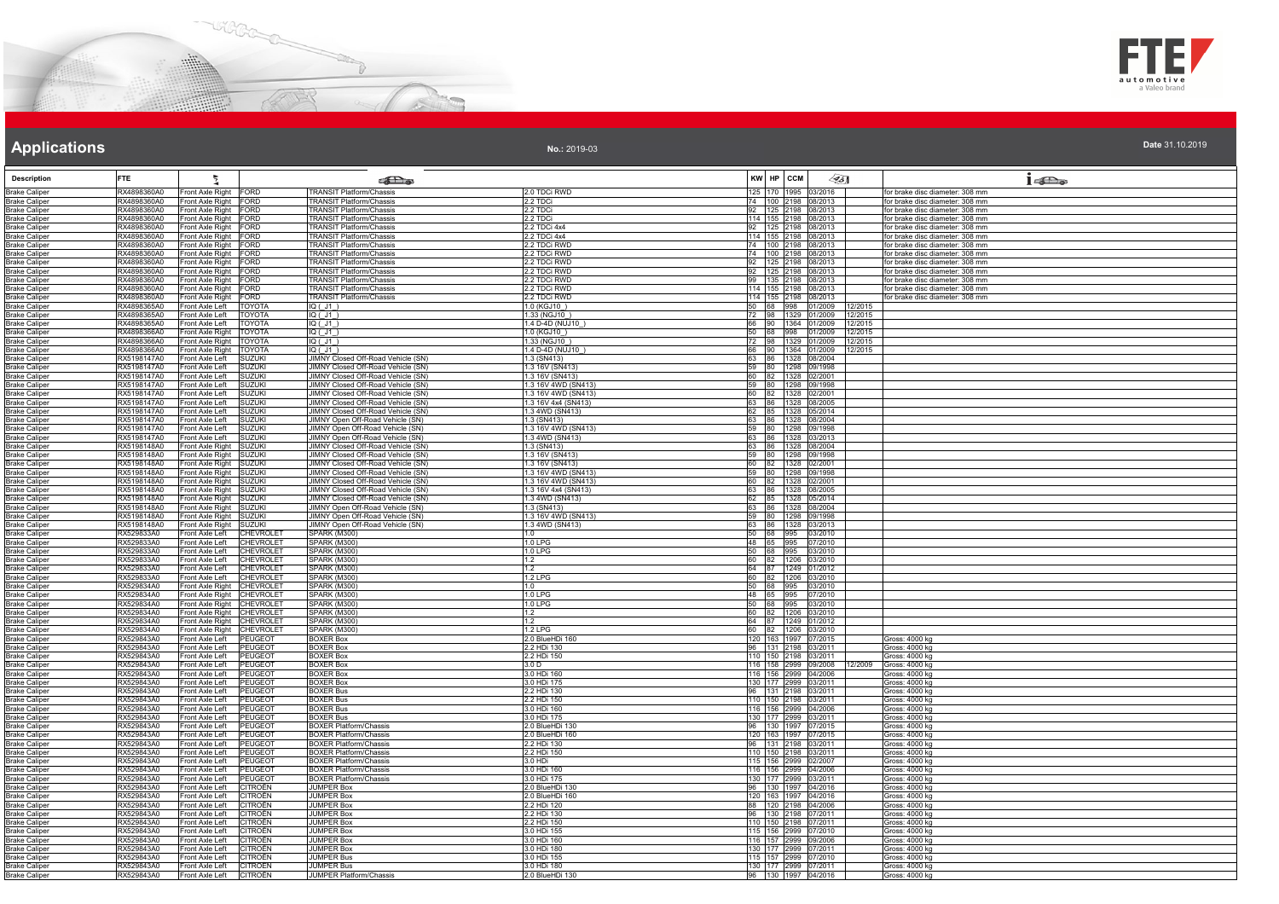



**No.:** 2019-03

| <b>Description</b>                           | <b>FTE</b>                 |                                                                        | <b>Pas</b>                                                                      |                                        |                 | KW HP CCM                                    | $\llap{65}$                     | $1 - \sum_{\alpha}$                                                |
|----------------------------------------------|----------------------------|------------------------------------------------------------------------|---------------------------------------------------------------------------------|----------------------------------------|-----------------|----------------------------------------------|---------------------------------|--------------------------------------------------------------------|
| <b>Brake Caliper</b>                         | RX4898360A0                | Front Axle Right FORD                                                  | <b>TRANSIT Platform/Chassis</b>                                                 | 2.0 TDCi RWD                           |                 | 125 170 1995 03/2016                         |                                 | for brake disc diameter: 308 mm                                    |
| <b>Brake Caliper</b>                         | RX4898360A0                | Front Axle Right FORD                                                  | <b>TRANSIT Platform/Chassis</b>                                                 | 2.2 TDCi                               |                 | 74 100 2198 08/2013                          |                                 | for brake disc diameter: 308 mm                                    |
| <b>Brake Caliper</b>                         | RX4898360A0                | Front Axle Right FORD                                                  | <b>FRANSIT Platform/Chassis</b>                                                 | 2.2 TDCi                               | 92              | 125 2198 08/2013                             |                                 | or brake disc diameter: 308 mm                                     |
| <b>Brake Caliper</b><br><b>Brake Caliper</b> | RX4898360A0<br>RX4898360A0 | Front Axle Right FORD<br>Front Axle Right FORD                         | TRANSIT Platform/Chassis<br><b>TRANSIT Platform/Chassis</b>                     | 2.2 TDCi<br>2.2 TDCi 4x4               | 92              | 114 155 2198 08/2013<br>125 2198 08/2013     |                                 | for brake disc diameter: 308 mm<br>for brake disc diameter: 308 mm |
| <b>Brake Caliper</b>                         | RX4898360A0                | Front Axle Right FORD                                                  | <b>FRANSIT Platform/Chassis</b>                                                 | 2.2 TDCi 4x4                           |                 | 114 155 2198 08/2013                         |                                 | for brake disc diameter: 308 mm                                    |
| <b>Brake Caliper</b>                         | RX4898360A0                | Front Axle Right FORD                                                  | TRANSIT Platform/Chassis                                                        | 2.2 TDCi RWD                           |                 | 74 100 2198 08/2013                          |                                 | for brake disc diameter: 308 mm                                    |
| <b>Brake Caliper</b>                         | RX4898360A0                | Front Axle Right FORD                                                  | <b>FRANSIT Platform/Chassis</b>                                                 | 2.2 TDCi RWD                           |                 | 74 100 2198 08/2013                          |                                 | for brake disc diameter: 308 mm                                    |
| <b>Brake Caliper</b>                         | RX4898360A0                | Front Axle Right FORD                                                  | TRANSIT Platform/Chassis                                                        | 2.2 TDCi RWD                           | 92              | 125 2198 08/2013                             |                                 | for brake disc diameter: 308 mm                                    |
| <b>Brake Caliper</b><br><b>Brake Caliper</b> | RX4898360A0<br>RX4898360A0 | Front Axle Right FORD<br>Front Axle Right FORD                         | <b>TRANSIT Platform/Chassis</b><br><b>FRANSIT Platform/Chassis</b>              | 2.2 TDCi RWD<br>2.2 TDCi RWD           | 92              | 125 2198 08/2013<br>99 135 2198 08/2013      |                                 | for brake disc diameter: 308 mm<br>for brake disc diameter: 308 mm |
| <b>Brake Caliper</b>                         | RX4898360A0                | Front Axle Right FORD                                                  | <b>RANSIT Platform/Chassis</b>                                                  | 2.2 TDCi RWD                           |                 | 114 155 2198 08/2013                         |                                 | for brake disc diameter: 308 mm                                    |
| <b>Brake Caliper</b>                         | RX4898360A0                | Front Axle Right FORD                                                  | <b>TRANSIT Platform/Chassis</b>                                                 | 2.2 TDCi RWD                           |                 | 114 155 2198 08/2013                         |                                 | for brake disc diameter: 308 mm                                    |
| <b>Brake Caliper</b>                         | RX4898365A0                | Front Axle Left<br><b>TOYOTA</b>                                       | IQ(JI)                                                                          | 1.0 (KGJ10)                            | 50 <sup>7</sup> |                                              | 68 998 01/2009<br>12/2015       |                                                                    |
| <b>Brake Caliper</b><br><b>Brake Caliper</b> | RX4898365A0<br>RX4898365A0 | Front Axle Left<br><b>TOYOTA</b><br><b>TOYOTA</b><br>Front Axle Left   | IQ ( J1 )<br>IQ( J1)                                                            | 1.33 (NGJ10)<br>1.4 D-4D (NUJ10        | 72<br>66        | 98 1329 01/2009<br>90 1364 01/2009           | 12/2015<br>12/2015              |                                                                    |
| <b>Brake Caliper</b>                         | RX4898366A0                | Front Axle Right   TOYOTA                                              | IQ ( J1 )                                                                       | 1.0 (KGJ10)                            |                 | 50 68 998 01/2009                            | 12/2015                         |                                                                    |
| <b>Brake Caliper</b>                         | RX4898366A0                | Front Axle Right   TOYOTA                                              | IQ ( J1 )                                                                       | 1.33 (NGJ10)                           |                 |                                              | 72 98 1329 01/2009 12/2015      |                                                                    |
| <b>Brake Caliper</b>                         | RX4898366A0                | Front Axle Right TOYOTA                                                | $IO$ $($ $.11$ $)$                                                              | 1.4 D-4D (NUJ10)                       |                 | 66 90 1364 01/2009                           | 12/2015                         |                                                                    |
| <b>Brake Caliper</b>                         | RX5198147A0                | Front Axle Left<br><b>SUZUKI</b>                                       | JIMNY Closed Off-Road Vehicle (SN)                                              | 1.3 (SN413)                            |                 | 63 86 1328 08/2004                           |                                 |                                                                    |
| <b>Brake Caliper</b><br><b>Brake Caliper</b> | RX5198147A0<br>RX5198147A0 | <b>SUZUKI</b><br>Front Axle Left<br>Front Axle Left<br><b>SUZUKI</b>   | JIMNY Closed Off-Road Vehicle (SN)<br><b>IIMNY Closed Off-Road Vehicle (SN)</b> | 1.3 16V (SN413)<br>1.3 16V (SN413)     |                 | 59 80 1298 09/1998<br>60 82 1328 02/2001     |                                 |                                                                    |
| <b>Brake Caliper</b>                         | RX5198147A0                | Front Axle Left<br><b>SUZUKI</b>                                       | JIMNY Closed Off-Road Vehicle (SN)                                              | 1.3 16V 4WD (SN413)                    |                 | 59 80 1298 09/1998                           |                                 |                                                                    |
| <b>Brake Caliper</b>                         | RX5198147A0                | Front Axle Left<br><b>SUZUKI</b>                                       | JIMNY Closed Off-Road Vehicle (SN)                                              | 1.3 16V 4WD (SN413)                    |                 | 60 82 1328 02/2001                           |                                 |                                                                    |
| <b>Brake Caliper</b>                         | RX5198147A0                | Front Axle Left<br><b>SUZUKI</b>                                       | <b>IIMNY Closed Off-Road Vehicle (SN)</b>                                       | 1.3 16V 4x4 (SN413)                    | 63              | 86 1328 08/2005                              |                                 |                                                                    |
| <b>Brake Caliper</b>                         | RX5198147A0<br>RX5198147A0 | Front Axle Left<br><b>SUZUKI</b><br>Front Axle Left<br><b>SUZUKI</b>   | JIMNY Closed Off-Road Vehicle (SN)<br>JIMNY Open Off-Road Vehicle (SN)          | 1.3 4WD (SN413)<br>1.3 (SN413)         | 62<br>63        | 85 1328 05/2014<br>86 1328 08/2004           |                                 |                                                                    |
| <b>Brake Caliper</b><br><b>Brake Caliper</b> | RX5198147A0                | <b>SUZUKI</b><br>Front Axle Left                                       | JIMNY Open Off-Road Vehicle (SN)                                                | 1.3 16V 4WD (SN413)                    |                 | 59 80 1298 09/1998                           |                                 |                                                                    |
| <b>Brake Caliper</b>                         | RX5198147A0                | Front Axle Left SUZUKI                                                 | JIMNY Open Off-Road Vehicle (SN)                                                | 1.3 4WD (SN413)                        |                 | 63 86 1328 03/2013                           |                                 |                                                                    |
| <b>Brake Caliper</b>                         | RX5198148A0                | Front Axle Right SUZUKI                                                | <b>IIMNY Closed Off-Road Vehicle (SN)</b>                                       | 1.3 (SN413)                            |                 | 63 86 1328 08/2004                           |                                 |                                                                    |
| <b>Brake Caliper</b>                         | RX5198148A0                | Front Axle Right SUZUKI                                                | IIMNY Closed Off-Road Vehicle (SN)                                              | 1.3 16V (SN413)                        |                 | 59 80 1298 09/1998                           |                                 |                                                                    |
| <b>Brake Caliper</b><br><b>Brake Caliper</b> | RX5198148A0<br>RX5198148A0 | Front Axle Right SUZUKI<br>Front Axle Right SUZUKI                     | JIMNY Closed Off-Road Vehicle (SN)<br><b>JIMNY Closed Off-Road Vehicle (SN)</b> | 1.3 16V (SN413)<br>1.3 16V 4WD (SN413) |                 | 60 82 1328 02/2001<br>59 80 1298 09/1998     |                                 |                                                                    |
| <b>Brake Caliper</b>                         | RX5198148A0                | Front Axle Right SUZUKI                                                | JIMNY Closed Off-Road Vehicle (SN)                                              | 1.3 16V 4WD (SN413)                    |                 | 60 82 1328 02/2001                           |                                 |                                                                    |
| <b>Brake Caliper</b>                         | RX5198148A0                | Front Axle Right SUZUKI                                                | JIMNY Closed Off-Road Vehicle (SN)                                              | 1.3 16V 4x4 (SN413)                    |                 | 63 86 1328 08/2005                           |                                 |                                                                    |
| <b>Brake Caliper</b>                         | RX5198148A0                | Front Axle Right SUZUKI                                                | IMNY Closed Off-Road Vehicle (SN)                                               | 1.3 4WD (SN413)                        | 62              | 85 1328 05/2014                              |                                 |                                                                    |
| <b>Brake Caliper</b>                         | RX5198148A0                | Front Axle Right SUZUKI                                                | IIMNY Open Off-Road Vehicle (SN)                                                | 1.3 (SN413)                            | 63              | 86 1328 08/2004                              |                                 |                                                                    |
| <b>Brake Caliper</b><br><b>Brake Caliper</b> | RX5198148A0<br>RX5198148A0 | Front Axle Right SUZUKI<br>Front Axle Right SUZUKI                     | JIMNY Open Off-Road Vehicle (SN)<br>JIMNY Open Off-Road Vehicle (SN)            | 1.3 16V 4WD (SN413)<br>1.3 4WD (SN413) |                 | 59 80 1298 09/1998<br>63 86 1328 03/2013     |                                 |                                                                    |
| <b>Brake Caliper</b>                         | RX529833A0                 | Front Axle Left<br><b>CHEVROLET</b>                                    | <b>SPARK (M300)</b>                                                             | 1.0                                    |                 | 50 68 995 03/2010                            |                                 |                                                                    |
| <b>Brake Caliper</b>                         | RX529833A0                 | Front Axle Left<br><b>CHEVROLET</b>                                    | SPARK (M300)                                                                    | $1.0$ LPG                              | 48              | 65 995 07/2010                               |                                 |                                                                    |
| <b>Brake Caliper</b>                         | RX529833A0                 | Front Axle Left<br><b>CHEVROLET</b>                                    | <b>SPARK (M300)</b>                                                             | 1.0 LPG                                | 50              | 68 995 03/2010                               |                                 |                                                                    |
| <b>Brake Caliper</b><br><b>Brake Caliper</b> | RX529833A0<br>RX529833A0   | <b>CHEVROLET</b><br>Front Axle Left<br>Front Axle Left CHEVROLET       | <b>SPARK (M300)</b><br>SPARK (M300)                                             | 1.2<br>1.2                             |                 | 60 82 1206 03/2010<br>64 87 1249 01/2012     |                                 |                                                                    |
| <b>Brake Caliper</b>                         | RX529833A0                 | Front Axle Left<br><b>CHEVROLET</b>                                    | SPARK (M300)                                                                    | 1.2 LPG                                |                 | 60 82 1206 03/2010                           |                                 |                                                                    |
| <b>Brake Caliper</b>                         | RX529834A0                 | Front Axle Right CHEVROLET                                             | <b>SPARK (M300)</b>                                                             | 1.0                                    |                 | 50 68 995 03/2010                            |                                 |                                                                    |
| <b>Brake Caliper</b>                         | RX529834A0                 | Front Axle Right CHEVROLET                                             | <b>SPARK (M300)</b>                                                             | 1.0 LPG                                |                 | 48 65 995 07/2010                            |                                 |                                                                    |
| <b>Brake Caliper</b>                         | RX529834A0                 | Front Axle Right CHEVROLET                                             | <b>SPARK (M300)</b>                                                             | 1.0 LPG                                |                 | 50 68 995 03/2010                            |                                 |                                                                    |
| <b>Brake Caliper</b><br><b>Brake Caliper</b> | RX529834A0<br>RX529834A0   | Front Axle Right CHEVROLET<br>Front Axle Right CHEVROLET               | SPARK (M300)<br><b>SPARK (M300)</b>                                             | 1.2<br>1.2                             | 60              | 82 1206 03/2010<br>64 87 1249 01/2012        |                                 |                                                                    |
| <b>Brake Caliper</b>                         | RX529834A0                 | Front Axle Right CHEVROLET                                             | <b>SPARK (M300)</b>                                                             | 1.2 LPG                                | 60              | 82 1206 03/2010                              |                                 |                                                                    |
| <b>Brake Caliper</b>                         | RX529843A0                 | Front Axle Left PEUGEOT                                                | <b>BOXER Box</b>                                                                | 2.0 BlueHDi 160                        |                 | 120 163 1997 07/2015                         |                                 | Gross: 4000 ka                                                     |
| <b>Brake Caliper</b>                         | RX529843A0                 | Front Axle Left<br><b>PEUGEOT</b>                                      | <b>BOXER Box</b>                                                                | 2.2 HDi 130                            | 96              | 131 2198 03/2011                             |                                 | Gross: 4000 kg                                                     |
| <b>Brake Caliper</b>                         | RX529843A0<br>RX529843A0   | PEUGEOT<br>Front Axle Left<br>PEUGEOT<br>Front Axle Left               | <b>BOXER Box</b><br><b>BOXER Box</b>                                            | 2.2 HDi 150<br>3.0 D                   |                 | 110 150 2198 03/2011                         | 116 158 2999 09/2008<br>12/2009 | Gross: 4000 kg<br>Gross: 4000 kg                                   |
| <b>Brake Caliper</b><br><b>Brake Caliper</b> | RX529843A0                 | Front Axle Left<br>PEUGEOT                                             | <b>BOXER Box</b>                                                                | 3.0 HDi 160                            |                 | 116 156 2999 04/2006                         |                                 | Gross: 4000 kg                                                     |
| <b>Brake Caliper</b>                         | RX529843A0                 | Front Axle Left<br>PEUGEOT                                             | <b>BOXER Box</b>                                                                | 3.0 HDi 175                            |                 | 130 177 2999 03/2011                         |                                 | Gross: 4000 kg                                                     |
| <b>Brake Caliper</b>                         | RX529843A0                 | Front Axle Left<br>PEUGEOT                                             | <b>BOXER Bus</b>                                                                | 2.2 HDi 130                            |                 | 96 131 2198 03/2011                          |                                 | Gross: 4000 kg                                                     |
| <b>Brake Caliper</b>                         | RX529843A0                 | Front Axle Left<br><b>PEUGEOT</b>                                      | 3OXER Bus                                                                       | 2.2 HDi 150                            |                 | 110 150 2198 03/2011                         |                                 | Gross: 4000 kg                                                     |
| <b>Brake Caliper</b><br><b>Brake Caliper</b> | RX529843A0<br>RX529843A0   | Front Axle Left<br>PEUGEOT<br>Front Axle Left<br><b>PEUGEOT</b>        | <b>BOXER Bus</b><br><b>BOXER Bus</b>                                            | 3.0 HDi 160<br>3.0 HDi 175             |                 | 116 156 2999 04/2006<br>130 177 2999 03/2011 |                                 | Gross: 4000 kg<br>Gross: 4000 kg                                   |
| <b>Brake Caliper</b>                         | RX529843A0                 | <b>PEUGEOT</b><br>Front Axle Left                                      | <b>BOXER Platform/Chassis</b>                                                   | 2.0 BlueHDi 130                        | 96              | 130 1997 07/2015                             |                                 | Gross: 4000 kg                                                     |
| <b>Brake Caliper</b>                         | RX529843A0                 | Front Axle Left<br><b>PFUGFOT</b>                                      | <b>BOXER Platform/Chassis</b>                                                   | 2 0 BlueHDi 160                        |                 | 120 163 1997 07/2015                         |                                 | Gross: 4000 kg                                                     |
| <b>Brake Caliper</b>                         | RX529843A0                 | Front Axle Left<br><b>PEUGEOT</b>                                      | <b>BOXER Platform/Chassis</b>                                                   | 2.2 HDi 130                            | 96              | 131 2198 03/2011                             |                                 | Gross: 4000 kg                                                     |
| <b>Brake Caliper</b>                         | RX529843A0                 | Front Axle Left<br>PEUGEOT                                             | <b>BOXER Platform/Chassis</b>                                                   | 2.2 HDi 150<br>3.0 HDi                 |                 | 110 150 2198 03/2011                         |                                 | Gross: 4000 kg                                                     |
| <b>Brake Caliper</b><br><b>Brake Caliper</b> | RX529843A0<br>RX529843A0   | <b>PEUGEOT</b><br>Front Axle Left<br>Front Axle Left<br>PEUGEOT        | <b>BOXER Platform/Chassis</b><br><b>BOXER Platform/Chassis</b>                  | 3.0 HDi 160                            |                 | 115 156 2999 02/2007<br>116 156 2999 04/2006 |                                 | Gross: 4000 kg<br>Gross: 4000 kg                                   |
| <b>Brake Caliper</b>                         | RX529843A0                 | Front Axle Left<br><b>PEUGEOT</b>                                      | <b>BOXER Platform/Chassis</b>                                                   | 3.0 HDi 175                            |                 | 130 177 2999 03/2011                         |                                 | Gross: 4000 kg                                                     |
| <b>Brake Caliper</b>                         | RX529843A0                 | Front Axle Left<br><b>CITROËN</b>                                      | <b>JUMPER Box</b>                                                               | 2.0 BlueHDi 130                        |                 | 96 130 1997 04/2016                          |                                 | Gross: 4000 kg                                                     |
| <b>Brake Caliper</b>                         | RX529843A0                 | Front Axle Left<br>CITROËN                                             | <b>IUMPER Box</b>                                                               | .0 BlueHDi 160                         |                 | 120 163 1997 04/2016                         |                                 | Gross: 4000 kg                                                     |
| <b>Brake Caliper</b>                         | RX529843A0<br>RX529843A0   | Front Axle Left<br><b>CITROËN</b><br>Front Axle Left<br><b>CITROËN</b> | <b>JUMPER Box</b><br><b>JUMPER Box</b>                                          | 2.2 HDi 120<br>2.2 HDi 130             | 88<br>96        | 120 2198 04/2006<br>130 2198 07/2011         |                                 | Gross: 4000 kg<br>Gross: 4000 kg                                   |
| <b>Brake Caliper</b><br><b>Brake Caliper</b> | RX529843A0                 | <b>CITROËN</b><br>Front Axle Left                                      | <b>JUMPER Box</b>                                                               | 2.2 HDi 150                            |                 | 110 150 2198 07/2011                         |                                 | Gross: 4000 kg                                                     |
| <b>Brake Caliper</b>                         | RX529843A0                 | Front Axle Left<br>CITROËN                                             | <b>JUMPER Box</b>                                                               | 3.0 HDi 155                            |                 | 115 156 2999 07/2010                         |                                 | Gross: 4000 kg                                                     |
| <b>Brake Caliper</b>                         | RX529843A0                 | Front Axle Left<br><b>CITROËN</b>                                      | <b>IUMPER Box</b>                                                               | 3.0 HDi 160                            |                 | 116 157 2999 09/2006                         |                                 | Gross: 4000 kg                                                     |
| <b>Brake Caliper</b>                         | RX529843A0                 | Front Axle Left<br>CITROËN                                             | JUMPER Box                                                                      | 3.0 HDi 180                            |                 | 130 177 2999 07/2011                         |                                 | Gross: 4000 kg                                                     |
| <b>Brake Caliper</b>                         | RX529843A0<br>RX529843A0   | <b>CITROËN</b><br>Front Axle Left<br><b>CITROËN</b>                    | <b>JUMPER Bus</b><br><b>UMPER Bus</b>                                           | 3 0 HDi 155<br>3.0 HDi 180             |                 | 115 157 2999 07/2010<br>130 177 2999 07/2011 |                                 | Gross: 4000 kg                                                     |
| <b>Brake Caliper</b><br><b>Brake Caliper</b> | RX529843A0                 | Front Axle Left<br>Front Axle Left<br>CITROËN                          | JUMPER Platform/Chassis                                                         | 2.0 BlueHDi 130                        |                 |                                              | 96 130 1997 04/2016             | Gross: 4000 kg<br>Gross: 4000 kg                                   |
|                                              |                            |                                                                        |                                                                                 |                                        |                 |                                              |                                 |                                                                    |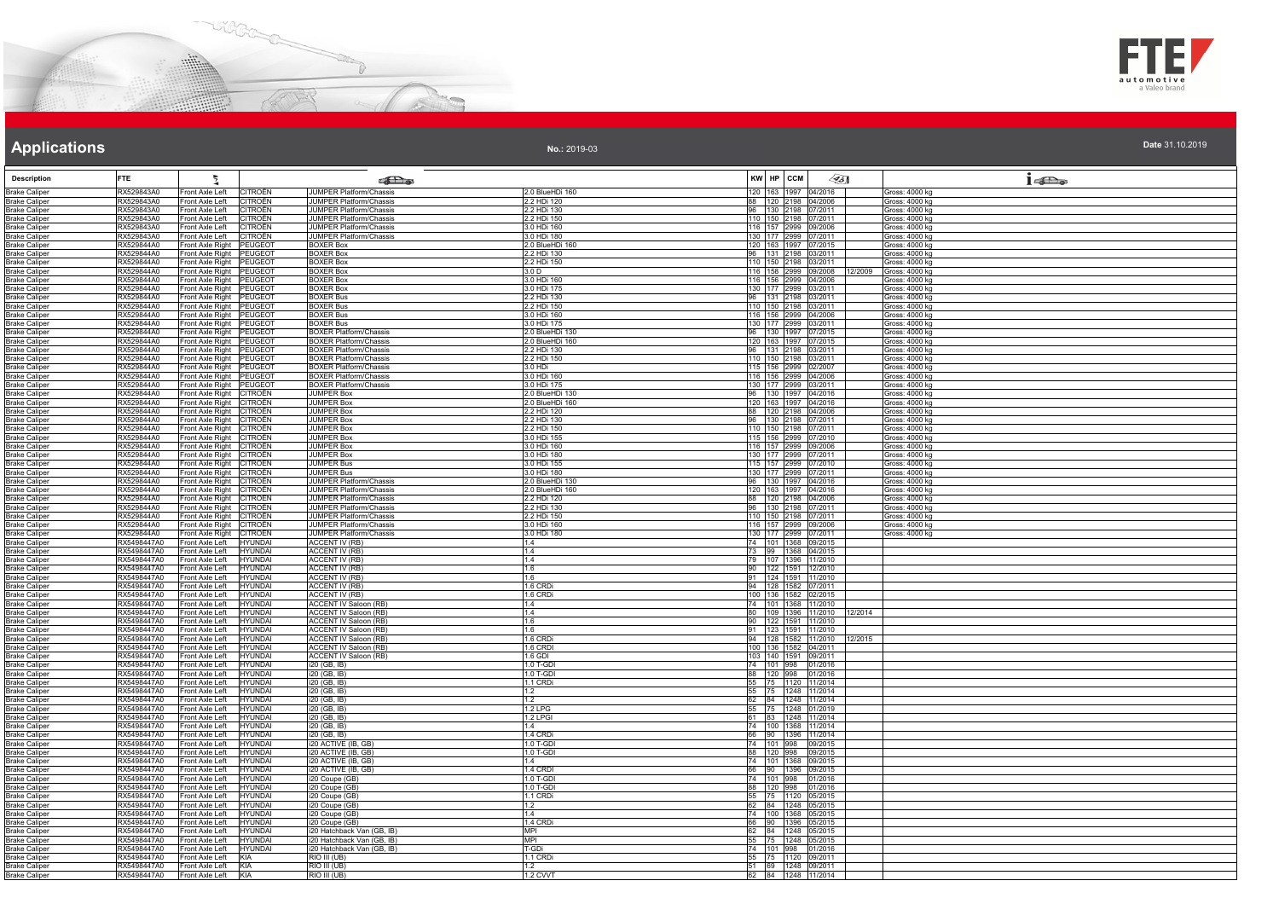



|  | Date 31.10.2019 |
|--|-----------------|

| <b>Description</b>                           | <b>FTE</b>                 | Ł                                                                      |                                                                |                                | $\mathscr{L}$ 5]<br>KW HP CCM                           | $1 - \sum_{\omega}$              |
|----------------------------------------------|----------------------------|------------------------------------------------------------------------|----------------------------------------------------------------|--------------------------------|---------------------------------------------------------|----------------------------------|
| <b>Brake Caliper</b>                         | RX529843A0                 | <b>ITROËN</b><br>Front Axle Left                                       | கில<br>JUMPER Platform/Chassis                                 | 2.0 BlueHDi 160                | 120 163 1997 04/2016                                    | Gross: 4000 kg                   |
| <b>Brake Caliper</b>                         | RX529843A0                 | Front Axle Left<br>CITROËN                                             | <b>IUMPER Platform/Chassis</b>                                 | 2.2 HDi 120                    | 88 120 2198 04/2006                                     | Gross: 4000 kg                   |
| <b>Brake Caliper</b>                         | RX529843A0                 | Front Axle Left<br><b>CITROËN</b>                                      | <b>UMPER Platform/Chassis</b>                                  | 2.2 HDi 130                    | 96 130 2198 07/2011                                     | Gross: 4000 kg                   |
| <b>Brake Caliper</b>                         | RX529843A0                 | Front Axle Left<br>CITROËN                                             | <b>UMPER Platform/Chassis</b>                                  | 2.2 HDi 150                    | 110 150 2198 07/2011                                    | Gross: 4000 ka                   |
| <b>Brake Caliper</b><br><b>Brake Caliper</b> | RX529843A0<br>RX529843A0   | Front Axle Left<br>CITROËN<br>CITROËN<br>Front Axle Left               | JUMPER Platform/Chassis<br><b>JUMPER Platform/Chassis</b>      | 3.0 HDi 160<br>3.0 HDi 180     | 116 157 2999 09/2006<br>130 177 2999 07/2011            | Gross: 4000 kg<br>Gross: 4000 kg |
| <b>Brake Caliper</b>                         | RX529844A0                 | Front Axle Right<br>PEUGEOT                                            | <b>BOXER Box</b>                                               | 2.0 BlueHDi 160                | 120 163 1997 07/2015                                    | Gross: 4000 kg                   |
| <b>Brake Caliper</b>                         | RX529844A0                 | Front Axle Right<br>PEUGEOT                                            | <b>BOXER Box</b>                                               | 2.2 HDi 130                    | 96   131   2198   03/2011                               | Gross: 4000 kg                   |
| <b>Brake Caliper</b>                         | RX529844A0                 | Front Axle Right<br><b>PEUGEOT</b>                                     | <b>BOXER Box</b>                                               | 2.2 HDi 150                    | 110 150 2198 03/2011                                    | Gross: 4000 kg                   |
| <b>Brake Caliper</b><br><b>Brake Caliper</b> | RX529844A0<br>RX529844A0   | Front Axle Right<br>PEUGEOT<br><b>PEUGEOT</b>                          | <b>BOXER Box</b><br><b>BOXER Box</b>                           | 3.0 D<br>3.0 HDi 160           | 116 158 2999 09/2008<br>12/2009<br>116 156 2999 04/2006 | Gross: 4000 kg<br>Gross: 4000 kg |
| <b>Brake Caliper</b>                         | RX529844A0                 | Front Axle Right<br>Front Axle Right<br><b>PEUGEOT</b>                 | <b>BOXER Box</b>                                               | 3.0 HDi 175                    | 130 177 2999 03/2011                                    | Gross: 4000 kg                   |
| <b>Brake Caliper</b>                         | RX529844A0                 | Front Axle Right<br>PEUGEOT                                            | <b>BOXER Bus</b>                                               | 2.2 HDi 130                    | 96 131 2198 03/2011                                     | Gross: 4000 kg                   |
| <b>Brake Caliper</b>                         | RX529844A0                 | Front Axle Right<br><b>PEUGEOT</b>                                     | <b>BOXER Bus</b>                                               | 2.2 HDi 150                    | 110 150 2198 03/2011                                    | Gross: 4000 kg                   |
| <b>Brake Caliper</b>                         | RX529844A0                 | Front Axle Right<br>PEUGEOT                                            | <b>BOXER Bus</b>                                               | 0.0 HDi 160                    | 116 156 2999 04/2006<br>130 177 2999 03/2011            | Gross: 4000 kg                   |
| <b>Brake Caliper</b><br><b>Brake Caliper</b> | RX529844A0<br>RX529844A0   | Front Axle Right<br>PEUGEOT<br>Front Axle Right PEUGEOT                | <b>BOXER Bus</b><br><b>BOXER Platform/Chassis</b>              | 3.0 HDi 175<br>2.0 BlueHDi 130 | 96 130 1997 07/2015                                     | Gross: 4000 kg<br>Gross: 4000 kg |
| <b>Brake Caliper</b>                         | RX529844A0                 | Front Axle Right<br>PEUGEOT                                            | <b>BOXER Platform/Chassis</b>                                  | 2.0 BlueHDi 160                | 120 163 1997 07/2015                                    | Gross: 4000 kg                   |
| <b>Brake Caliper</b>                         | RX529844A0                 | Front Axle Right<br>PEUGEOT                                            | <b>BOXER Platform/Chassis</b>                                  | 2.2 HDi 130                    | 96 131 2198 03/2011                                     | Gross: 4000 kg                   |
| <b>Brake Caliper</b>                         | RX529844A0                 | Front Axle Right<br><b>PEUGEOT</b>                                     | <b>BOXER Platform/Chassis</b>                                  | 2.2 HDi 150                    | 110 150 2198 03/2011                                    | Gross: 4000 kg                   |
| <b>Brake Caliper</b><br><b>Brake Caliper</b> | RX529844A0<br>RX529844A0   | Front Axle Right<br>PEUGEOT<br>PEUGEOT<br>Front Axle Right             | <b>BOXER Platform/Chassis</b><br><b>BOXER Platform/Chassis</b> | 3.0 HDi<br>3.0 HDi 160         | 115 156 2999 02/2007<br>116 156 2999 04/2006            | Gross: 4000 kg<br>Gross: 4000 kg |
| <b>Brake Caliper</b>                         | RX529844A0                 | Front Axle Right<br><b>PEUGEOT</b>                                     | <b>BOXER Platform/Chassis</b>                                  | 3.0 HDi 175                    | 130 177 2999 03/2011                                    | Gross: 4000 kg                   |
| <b>Brake Caliper</b>                         | RX529844A0                 | Front Axle Right<br>CITROËN                                            | JUMPER Box                                                     | 2.0 BlueHDi 130                | 96 130 1997 04/2016                                     | Gross: 4000 kg                   |
| <b>Brake Caliper</b>                         | RX529844A0                 | Front Axle Right<br>CITROËN                                            | <b>JUMPER Box</b>                                              | 2.0 BlueHDi 160                | 120 163 1997 04/2016                                    | Gross: 4000 kg                   |
| <b>Brake Caliper</b><br><b>Brake Caliper</b> | RX529844A0<br>RX529844A0   | Front Axle Right<br><b>CITROËN</b><br>Front Axle Right<br>CITROËN      | <b>UMPER Box</b><br><b>JUMPER Box</b>                          | 2.2 HDi 120<br>2.2 HDi 130     | 88 120 2198 04/2006<br>96 130 2198 07/2011              | Gross: 4000 kg<br>Gross: 4000 kg |
| <b>Brake Caliper</b>                         | RX529844A0                 | Front Axle Right<br>CITROËN                                            | <b>JUMPER Box</b>                                              | 2.2 HDi 150                    | 110 150 2198 07/2011                                    | Gross: 4000 kg                   |
| <b>Brake Caliper</b>                         | RX529844A0                 | Front Axle Right<br>CITROËN                                            | <b>JUMPER Box</b>                                              | 3.0 HDi 155                    | 115 156 2999 07/2010                                    | Gross: 4000 kg                   |
| <b>Brake Caliper</b>                         | RX529844A0                 | CITROËN<br>Front Axle Right                                            | <b>JUMPER Box</b>                                              | 3.0 HDi 160                    | 116 157 2999 09/2006                                    | Gross: 4000 kg                   |
| <b>Brake Caliper</b><br><b>Brake Caliper</b> | RX529844A0<br>RX529844A0   | Front Axle Right<br>CITROËN<br>Front Axle Right<br><b>CITROËN</b>      | <b>UMPER Box</b><br>UMPER Bus                                  | 3.0 HDi 180<br>3.0 HDi 155     | 130 177 2999 07/2011<br>115 157 2999 07/2010            | Gross: 4000 kg<br>Gross: 4000 kg |
| <b>Brake Caliper</b>                         | RX529844A0                 | <b>CITROEN</b><br>Front Axle Right                                     | <b>JUMPER Bus</b>                                              | 3.0 HDi 180                    | 130 177 2999 07/2011                                    | Gross: 4000 kg                   |
| <b>Brake Caliper</b>                         | RX529844A0                 | Front Axle Right<br>CITROËN                                            | <b>UMPER Platform/Chassis</b>                                  | 2.0 BlueHDi 130                | 96 130 1997 04/2016                                     | Gross: 4000 kg                   |
| <b>Brake Caliper</b>                         | RX529844A0                 | Front Axle Right<br>CITROËN                                            | UMPER Platform/Chassis                                         | 2.0 BlueHDi 160                | 120 163 1997 04/2016                                    | Gross: 4000 kg                   |
| <b>Brake Caliper</b><br><b>Brake Caliper</b> | RX529844A0<br>RX529844A0   | Front Axle Right<br>CITROËN<br>Front Axle Right<br><b>CITROËN</b>      | UMPER Platform/Chassis<br><b>UMPER Platform/Chassis</b>        | 2.2 HDi 120<br>2.2 HDi 130     | 88 120 2198 04/2006<br>96 130 2198 07/2011              | Gross: 4000 kg<br>Gross: 4000 kg |
| <b>Brake Caliper</b>                         | RX529844A0                 | Front Axle Right<br>CITROËN                                            | <b>JUMPER Platform/Chassis</b>                                 | 2.2 HDi 150                    | 110 150 2198 07/2011                                    | Gross: 4000 kg                   |
| <b>Brake Caliper</b>                         | RX529844A0                 | Front Axle Right<br>CITROËN                                            | <b>JUMPER Platform/Chassis</b>                                 | 3.0 HDi 160                    | 116 157 2999 09/2006                                    | Gross: 4000 kg                   |
| <b>Brake Caliper</b>                         | RX529844A0                 | Front Axle Right<br>CITROËN                                            | UMPER Platform/Chassis                                         | 3.0 HDi 180                    | 130 177 2999 07/2011                                    | Gross: 4000 kg                   |
| <b>Brake Caliper</b><br><b>Brake Caliper</b> | RX5498447A0<br>RX5498447A0 | Front Axle Left<br>HYUNDAI<br>Front Axle Left<br>HYUNDAI               | <b>ACCENT IV (RB)</b><br><b>ACCENT IV (RB)</b>                 | 1.4<br>1.4                     | 74 101 1368 09/2015<br>73 99 1368 04/2015               |                                  |
| <b>Brake Caliper</b>                         | RX5498447A0                | Front Axle Left<br>HYUNDAI                                             | <b>ACCENT IV (RB)</b>                                          | 1.4                            | 79 107 1396 11/2010                                     |                                  |
| <b>Brake Caliper</b>                         | RX5498447A0                | Front Axle Left<br><b>HYUNDAI</b>                                      | <b>ACCENT IV (RB)</b>                                          | 16                             | 90 122 1591 12/2010                                     |                                  |
| <b>Brake Caliper</b>                         | RX5498447A0                | Front Axle Left<br>HYUNDAI                                             | <b>ACCENT IV (RB)</b>                                          | 1.6                            | 91 124 1591 11/2010                                     |                                  |
| <b>Brake Caliper</b><br><b>Brake Caliper</b> | RX5498447A0<br>RX5498447A0 | HYUNDAI<br>Front Axle Left<br>Front Axle Left<br><b>HYUNDAI</b>        | <b>ACCENT IV (RB)</b><br><b>ACCENT IV (RB)</b>                 | 1.6 CRDi<br>1.6 CRDi           | 94 128 1582 07/2011<br>100 136 1582 02/2015             |                                  |
| <b>Brake Caliper</b>                         | RX5498447A0                | Front Axle Left<br><b>IYUNDAI</b>                                      | <b>ACCENT IV Saloon (RB)</b>                                   | 1.4                            | 74 101 1368 11/2010                                     |                                  |
| <b>Brake Caliper</b>                         | RX5498447A0                | HYUNDAI<br>Front Axle Left                                             | <b>ACCENT IV Saloon (RB)</b>                                   | 1.4                            | 80 109 1396 11/2010<br>12/2014                          |                                  |
| <b>Brake Caliper</b>                         | RX5498447A0                | Front Axle Left<br>HYUNDAI                                             | <b>ACCENT IV Saloon (RB)</b>                                   | 1.6                            | 90 122 1591 11/2010                                     |                                  |
| <b>Brake Caliper</b><br><b>Brake Caliper</b> | RX5498447A0<br>RX5498447A0 | Front Axle Left<br>HYUNDAI<br>Front Axle Left<br>HYI INDAI             | <b>ACCENT IV Saloon (RB)</b><br><b>ACCENT IV Saloon (RB)</b>   | 1.6<br>1.6 CRDi                | 91 123 1591 11/2010<br>94 128 1582 11/2010<br>12/2015   |                                  |
| <b>Brake Caliper</b>                         | RX5498447A0                | Front Axle Left<br>HYUNDAI                                             | ACCENT IV Saloon (RB)                                          | 1.6 CRDI                       | 100 136 1582 04/2011                                    |                                  |
| <b>Brake Caliper</b>                         | RX5498447A0                | Front Axle Left<br>HYUNDAI                                             | <b>ACCENT IV Saloon (RB)</b>                                   | 1.6 GDI                        | 103 140 1591 09/2011                                    |                                  |
| <b>Brake Caliper</b>                         | RX5498447A0                | <b>HYUNDAI</b><br>Front Axle Left                                      | $i20$ (GB, IB)                                                 | 1.0 T-GDI                      | 74 101 998 01/2016                                      |                                  |
| <b>Brake Caliper</b><br><b>Brake Caliper</b> | RX5498447A0<br>RX5498447A0 | Front Axle Left<br>HYUNDAI<br>Front Axle Left<br>HYUNDAI               | i20 (GB, IB)                                                   | 1.0 T-GDI<br>1.1 CRDi          | 88 120 998 01/2016<br>55 75 1120 11/2014                |                                  |
| <b>Brake Caliper</b>                         | RX5498447A0                | Front Axle Left<br><b>IYUNDAI</b>                                      | i20 (GB, IB)<br>i20 (GB, IB)                                   | 1.2                            | 55 75 1248 11/2014                                      |                                  |
| <b>Brake Caliper</b>                         | RX5498447A0                | Front Axle Left<br><b>IYUNDAI</b>                                      | i20 (GB, IB)                                                   | 1.2                            | 62<br>84 1248 11/2014                                   |                                  |
| <b>Brake Caliper</b>                         | RX5498447A0                | Front Axle Left<br>HYUNDAI                                             | i20 (GB, IB)                                                   | $1.2$ IPG                      | 55 75 1248 01/2019                                      |                                  |
| <b>Brake Caliper</b><br><b>Brake Caliper</b> | RX5498447A0<br>RX5498447A0 | Front Axle Left<br><b>HYUNDAI</b><br>Front Axle Left<br>HYUNDAI        | i20 (GB, IB)<br>i20 (GB, IB)                                   | 1.2 LPGI<br>1.4                | 61 83 1248 11/2014<br>74 100 1368 11/2014               |                                  |
| <b>Brake Caliper</b>                         | RX5498447A0                | Front Axle Left<br>HYUNDAI                                             | i20 (GB, IB                                                    | 1.4 CRDi                       | 66 90 1396 11/2014                                      |                                  |
| <b>Brake Caliper</b>                         | RX5498447A0                | Front Axle Left<br>HYUNDAI                                             | i20 ACTIVE (IB, GB)                                            | 1.0 T-GDI                      | 74 101 998 09/2015                                      |                                  |
| <b>Brake Caliper</b>                         | RX5498447A0                | Front Axle Left<br>HYUNDAI                                             | i20 ACTIVE (IB, GB)                                            | 1.0 T-GDI                      | 88 120 998 09/2015                                      |                                  |
| <b>Brake Caliper</b><br><b>Brake Caliper</b> | RX5498447A0<br>RX5498447A0 | Front Axle Left<br><b>HYUNDAI</b><br>Front Axle Left<br><b>HYUNDAI</b> | (20 ACTIVE (IB, GB)<br>i20 ACTIVE (IB, GB)                     | 1.4<br>1.4 CRDI                | 74 101 1368 09/2015<br>66 90 1396 09/2015               |                                  |
| <b>Brake Caliper</b>                         | RX5498447A0                | <b>HYUNDAI</b><br>Front Axle Left                                      | i20 Coupe (GB)                                                 | $1.0$ T-GDI                    | 74 101 998 01/2016                                      |                                  |
| <b>Brake Caliper</b>                         | RX5498447A0                | Front Axle Left<br><b>HYUNDAI</b>                                      | i20 Coupe (GB)                                                 | 1.0 T-GDI                      | 88 120 998 01/2016                                      |                                  |
| <b>Brake Caliper</b>                         | RX5498447A0                | HYUNDAI<br>Front Axle Left                                             | i20 Coupe (GB)                                                 | 1.1 CRDi                       | 55 75 1120 05/2015                                      |                                  |
| <b>Brake Caliper</b>                         | RX5498447A0<br>RX5498447A0 | HYUNDAI<br>Front Axle Left                                             | i20 Coupe (GB)                                                 | 1.2<br>1.4                     | 62 84 1248 05/2015<br>74 100 1368 05/2015               |                                  |
| <b>Brake Caliper</b><br><b>Brake Caliper</b> | RX5498447A0                | Front Axle Left<br>HYUNDAI<br>Front Axle Left<br>HYUNDAI               | i20 Coupe (GB)<br>20 Coupe (GB)                                | 1.4 CRD                        | 66 90 1396 05/2015                                      |                                  |
| <b>Brake Caliper</b>                         | RX5498447A0                | Front Axle Left<br>HYUNDAI                                             | i20 Hatchback Van (GB, IB)                                     | <b>MPI</b>                     | 62 84 1248 05/2015                                      |                                  |
| <b>Brake Caliper</b>                         | RX5498447A0                | Front Axle Left<br><b>HYUNDAI</b>                                      | i20 Hatchback Van (GB, IB)                                     | <b>MPI</b>                     | 55 75 1248 05/2015                                      |                                  |
| <b>Brake Caliper</b><br><b>Brake Caliper</b> | RX5498447A0<br>RX5498447A0 | HYUNDAI<br>Front Axle Left<br>Front Axle Left<br><b>KIA</b>            | i20 Hatchback Van (GB, IB)<br>RIO III (UB)                     | T-GDi<br>1.1 CRDi              | 74 101 998 01/2016<br>55 75 1120 09/2011                |                                  |
| <b>Brake Caliper</b>                         | RX5498447A0                | Front Axle Left<br>KIA                                                 | RIO III (UB)                                                   | 1.2                            | 51 69 1248 09/2011                                      |                                  |
| <b>Brake Caliper</b>                         | RX5498447A0                | Front Axle Left<br>KIA                                                 | RIO III (UB)                                                   | 1.2 CVVT                       | 62 84 1248 11/2014                                      |                                  |
|                                              |                            |                                                                        |                                                                |                                |                                                         |                                  |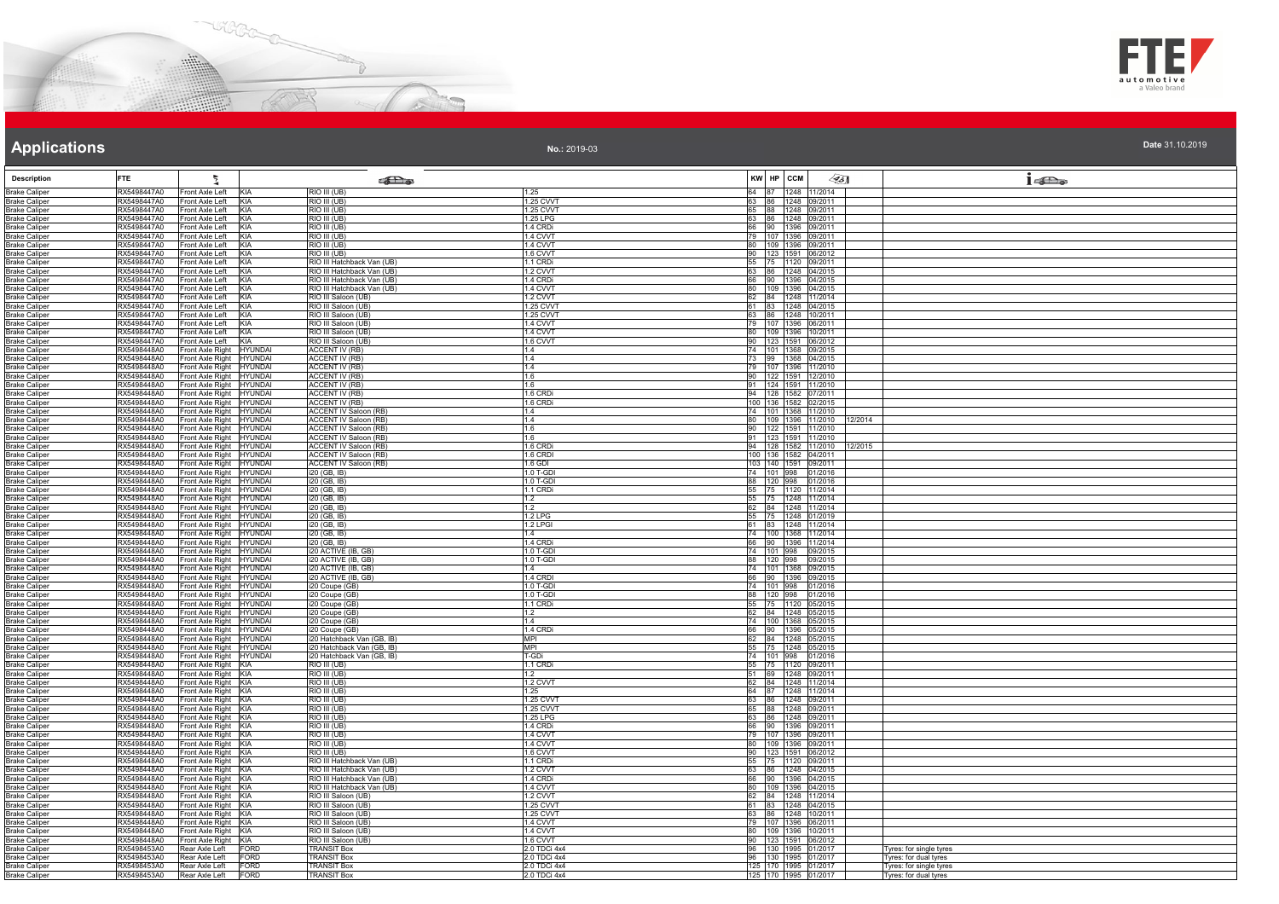



| Date 31.10.2019 |  |  |  |  |
|-----------------|--|--|--|--|
|                 |  |  |  |  |

| <b>Description</b>                           | <b>FTE</b>                 | Ł                                                                        | <b>SEL</b> @                                                 |                              | KW HP CCM |                                              | $\llap{0.1cm}$ | $1 - \sum_{\omega}$                              |
|----------------------------------------------|----------------------------|--------------------------------------------------------------------------|--------------------------------------------------------------|------------------------------|-----------|----------------------------------------------|----------------|--------------------------------------------------|
| <b>Brake Caliper</b><br><b>Brake Caliper</b> | RX5498447A0<br>RX5498447A0 | KIA<br>Front Axle Left<br>KIA<br>Front Axle Left                         | RIO III (UB)<br>RIO III (UB)                                 | 1.25<br>1.25 CVVT            |           | 64 87 1248 11/2014<br>63 86 1248 09/2011     |                |                                                  |
| <b>Brake Caliper</b>                         | RX5498447A0                | Front Axle Left<br>KIA                                                   | RIO III (UB)                                                 | 1.25 CVVT                    |           | 65 88 1248 09/2011                           |                |                                                  |
| <b>Brake Caliper</b><br><b>Brake Caliper</b> | RX5498447A0<br>RX5498447A0 | Front Axle Left<br>KIA<br>Front Axle Left<br>KIA                         | $\overline{RIO}$ $III (UB)$<br>RIO III (UB)                  | 1.25 LPG<br>1.4 CRDi         |           | 63 86 1248 09/2011<br>90 1396 09/2011        |                |                                                  |
| <b>Brake Caliper</b>                         | RX5498447A0                | KIA<br>Front Axle Left                                                   | RIO III (UB)                                                 | 1.4 CVVT                     |           | 79 107 1396 09/2011                          |                |                                                  |
| <b>Brake Caliper</b>                         | RX5498447A0                | Front Axle Left<br><b>KIA</b>                                            | RIO III (UB)                                                 | 1.4 CVVT                     |           | 80 109 1396 09/2011                          |                |                                                  |
| <b>Brake Caliper</b><br><b>Brake Caliper</b> | RX5498447A0<br>RX5498447A0 | Front Axle Left<br>KIA<br>Front Axle Left<br>KIA                         | RIO III (UB)<br>RIO III Hatchback Van (UB)                   | 1.6 CVVT<br>1.1 CRDi         |           | 90 123 1591 06/2012<br>55 75 1120 09/2011    |                |                                                  |
| <b>Brake Caliper</b>                         | RX5498447A0                | Front Axle Left<br><b>KIA</b>                                            | RIO III Hatchback Van (UB)                                   | 1.2 CVVT                     |           | 63 86 1248 04/2015                           |                |                                                  |
| <b>Brake Caliper</b>                         | RX5498447A0<br>RX5498447A0 | Front Axle Left<br>KIA<br>KIA<br>Front Axle Left                         | RIO III Hatchback Van (UB)<br>RIO III Hatchback Van (UB)     | 1.4 CRDi<br>1.4 CVVT         |           | 66 90 1396 04/2015<br>80 109 1396 04/2015    |                |                                                  |
| <b>Brake Caliper</b><br><b>Brake Caliper</b> | RX5498447A0                | Front Axle Left<br>KIA                                                   | RIO III Saloon (UB)                                          | 1.2 CVVT                     |           | 62 84 1248 11/2014                           |                |                                                  |
| <b>Brake Caliper</b>                         | RX5498447A0                | Front Axle Left<br>KIA                                                   | RIO III Saloon (UB)                                          | 1.25 CVVT                    |           | 61 83 1248 04/2015                           |                |                                                  |
| <b>Brake Caliper</b><br><b>Brake Caliper</b> | RX5498447A0<br>RX5498447A0 | Front Axle Left<br>KIA<br>Front Axle Left<br>KIA                         | RIO III Saloon (UB)<br>RIO III Saloon (UB)                   | 1.25 CVVT<br>1.4 CVVT        |           | 63 86 1248 10/2011<br>79 107 1396 06/2011    |                |                                                  |
| <b>Brake Caliper</b>                         | RX5498447A0                | KIA<br>Front Axle Left                                                   | RIO III Saloon (UB)                                          | 1.4 CVVT                     |           | 80 109 1396 10/2011                          |                |                                                  |
| <b>Brake Caliper</b>                         | RX5498447A0                | KIA<br>Front Axle Left                                                   | RIO III Saloon (UB)                                          | 1.6 CVVT                     |           | 90 123 1591 06/2012                          |                |                                                  |
| <b>Brake Caliper</b><br><b>Brake Caliper</b> | RX5498448A0<br>RX5498448A0 | Front Axle Right HYUNDAI<br>Front Axle Right<br><b>HYUNDAI</b>           | <b>ACCENT IV (RB)</b><br><b>ACCENT IV (RB)</b>               | 1.4<br>1.4                   |           | 74 101 1368 09/2015<br>73 99 1368 04/2015    |                |                                                  |
| <b>Brake Caliper</b>                         | RX5498448A0                | Front Axle Right<br>HYUNDAI                                              | <b>ACCENT IV (RB)</b>                                        | 1.4                          |           | 79 107 1396 11/2010                          |                |                                                  |
| <b>Brake Caliper</b>                         | RX5498448A0                | Front Axle Right<br>HYUNDAI                                              | <b>ACCENT IV (RB)</b>                                        | 1.6                          |           | 90 122 1591 12/2010                          |                |                                                  |
| <b>Brake Caliper</b><br><b>Brake Caliper</b> | RX5498448A0<br>RX5498448A0 | Front Axle Right<br><b>HYUNDAI</b><br>Front Axle Right<br>HYUNDAI        | <b>ACCENT IV (RB)</b><br><b>ACCENT IV (RB)</b>               | 1.6<br>1.6 CRDi              |           | 91 124 1591 11/2010<br>94 128 1582 07/2011   |                |                                                  |
| <b>Brake Caliper</b>                         | RX5498448A0                | Front Axle Right<br>HYUNDAI                                              | <b>ACCENT IV (RB)</b>                                        | 1.6 CRDi                     |           | 100 136 1582 02/2015                         |                |                                                  |
| <b>Brake Caliper</b>                         | RX5498448A0                | Front Axle Right<br>HYUNDAI                                              | <b>ACCENT IV Saloon (RB)</b>                                 | 1.4                          |           | 74 101 1368 11/2010                          |                |                                                  |
| <b>Brake Caliper</b><br><b>Brake Caliper</b> | RX5498448A0<br>RX5498448A0 | Front Axle Right<br>HYUNDAI<br><b>HYUNDAI</b><br>Front Axle Right        | <b>ACCENT IV Saloon (RB)</b><br><b>ACCENT IV Saloon (RB)</b> | 1.4<br>1.6                   |           | 109 1396 11/2010<br>90 122 1591 11/2010      |                | 12/2014                                          |
| <b>Brake Caliper</b>                         | RX5498448A0                | Front Axle Right<br>HYUNDAI                                              | <b>ACCENT IV Saloon (RB)</b>                                 | 1.6                          |           | 91 123 1591 11/2010                          |                |                                                  |
| <b>Brake Caliper</b>                         | RX5498448A0                | Front Axle Right<br><b>HYUNDAI</b>                                       | <b>ACCENT IV Saloon (RB)</b>                                 | 1.6 CRDi                     |           | 94 128 1582 11/2010 12/2015                  |                |                                                  |
| <b>Brake Caliper</b><br><b>Brake Caliper</b> | RX5498448A0<br>RX5498448A0 | Front Axle Right<br><b>HYUNDAI</b><br>Front Axle Right<br><b>HYUNDAI</b> | <b>ACCENT IV Saloon (RB)</b><br><b>ACCENT IV Saloon (RB)</b> | 1.6 CRDI<br>$1.6$ GDI        |           | 100 136 1582 04/2011<br>103 140 1591 09/2011 |                |                                                  |
| <b>Brake Caliper</b>                         | RX5498448A0                | Front Axle Right<br>HYUNDAI                                              | i20 (GB, IB)                                                 | 1.0 T-GDI                    |           | 74 101 998 01/2016                           |                |                                                  |
| <b>Brake Caliper</b>                         | RX5498448A0                | Front Axle Right<br><b>HYUNDAI</b>                                       | 120 (GB, IB)                                                 | 1.0 T-GDI                    |           | 88 120 998 01/2016                           |                |                                                  |
| <b>Brake Caliper</b><br><b>Brake Caliper</b> | RX5498448A0<br>RX5498448A0 | Front Axle Right<br>HYUNDAI<br>Front Axle Right<br>HYUNDAI               | i20 (GB, IB)<br>i20 (GB, IB)                                 | 1.1 CRDi<br>1.2              |           | 55 75 1120 11/2014<br>55 75 1248 11/2014     |                |                                                  |
| <b>Brake Caliper</b>                         | RX5498448A0                | Front Axle Right<br><b>HYUNDAI</b>                                       | i20 (GB, IB)                                                 | 1.2                          |           | 62 84 1248 11/2014                           |                |                                                  |
| <b>Brake Caliper</b>                         | RX5498448A0<br>RX5498448A0 | Front Axle Right<br>HYUNDAI                                              | i20 (GB, IB)                                                 | 1.2 LPG                      |           | 55 75 1248 01/2019<br>61 83 1248 11/2014     |                |                                                  |
| <b>Brake Caliper</b><br><b>Brake Caliper</b> | RX5498448A0                | Front Axle Right<br><b>HYUNDAI</b><br>Front Axle Right<br><b>HYUNDAI</b> | i20 (GB, IB)<br>i20 (GB, IB)                                 | 1.2 LPGI<br>1.4              |           | 74 100 1368 11/2014                          |                |                                                  |
| <b>Brake Caliper</b>                         | RX5498448A0                | Front Axle Right<br><b>HYUNDAI</b>                                       | i20 (GB, IB)                                                 | 1.4 CRDi                     |           | 66 90 1396 11/2014                           |                |                                                  |
| <b>Brake Caliper</b><br><b>Brake Caliper</b> | RX5498448A0<br>RX5498448A0 | Front Axle Right<br><b>HYUNDAI</b><br>Front Axle Right<br><b>HYUNDAI</b> | i20 ACTIVE (IB, GB)<br>i20 ACTIVE (IB, GB)                   | 1.0 T-GDI<br>1.0 T-GDI       |           | 74 101 998 09/2015<br>88 120 998 09/2015     |                |                                                  |
| <b>Brake Caliper</b>                         | RX5498448A0                | Front Axle Right<br><b>HYUNDAI</b>                                       | i20 ACTIVE (IB, GB)                                          | 1.4                          |           | 74 101 1368 09/2015                          |                |                                                  |
| <b>Brake Caliper</b>                         | RX5498448A0                | Front Axle Right<br><b>HYUNDAI</b>                                       | i20 ACTIVE (IB, GB)                                          | 1.4 CRDI                     |           | 66 90 1396 09/2015                           |                |                                                  |
| <b>Brake Caliper</b><br><b>Brake Caliper</b> | RX5498448A0<br>RX5498448A0 | Front Axle Right<br>HYUNDAI<br>Front Axle Right<br>HYUNDAI               | i20 Coupe (GB)<br>i20 Coupe (GB)                             | 1.0 T-GDI<br>1.0 T-GDI       |           | 74 101 998 01/2016<br>88 120 998 01/2016     |                |                                                  |
| <b>Brake Caliper</b>                         | RX5498448A0                | Front Axle Right<br><b>HYUNDAI</b>                                       | i20 Coupe (GB)                                               | 1.1 CRDi                     |           | 55 75 1120 05/2015                           |                |                                                  |
| <b>Brake Caliper</b>                         | RX5498448A0                | Front Axle Right<br>HYUNDAI                                              | i20 Coupe (GB)                                               | 1.2                          |           | 62 84 1248 05/2015                           |                |                                                  |
| <b>Brake Caliper</b><br><b>Brake Caliper</b> | RX5498448A0<br>RX5498448A0 | Front Axle Right<br><b>HYUNDAI</b><br>Front Axle Right<br><b>HYUNDAI</b> | i20 Coupe (GB)<br>i20 Coupe (GB)                             | 1.4<br>1.4 CRDi              |           | 74 100 1368 05/2015<br>66 90 1396 05/2015    |                |                                                  |
| <b>Brake Caliper</b>                         | RX5498448A0                | Front Axle Right<br><b>HYUNDAI</b>                                       | i20 Hatchback Van (GB, IB)                                   | MPI                          |           | 62 84 1248 05/2015                           |                |                                                  |
| <b>Brake Caliper</b>                         | RX5498448A0                | Front Axle Right<br><b>HYUNDAI</b>                                       | i20 Hatchback Van (GB, IB)                                   | <b>MPI</b>                   |           | 55 75 1248 05/2015                           |                |                                                  |
| <b>Brake Caliper</b><br><b>Brake Caliper</b> | RX5498448A0<br>RX5498448A0 | Front Axle Right<br><b>HYUNDAI</b><br>Front Axle Right<br>KIA            | i20 Hatchback Van (GB, IB)<br>RIO III (UB)                   | T-GDi<br>1.1 CRDi            |           | 74 101 998 01/2016<br>55 75 1120 09/2011     |                |                                                  |
| <b>Brake Caliper</b>                         | RX5498448A0                | KIA<br>Front Axle Right                                                  | RIO III (UB)                                                 | 1.2                          |           | 51 69 1248 09/2011                           |                |                                                  |
| <b>Brake Caliper</b><br><b>Brake Caliper</b> | RX5498448A0<br>RX5498448A0 | Front Axle Right KIA<br>Front Axle Right KIA                             | RIO III (UB)<br>RIO III (UB)                                 | 1.2 CVVT<br>1.25             |           | 62 84 1248 11/2014<br>64 87 1248 11/2014     |                |                                                  |
| <b>Brake Caliper</b>                         | RX5498448A0                | Front Axle Right KIA                                                     | RIO III (UB)                                                 | 1.25 CVVT                    |           | 63 86 1248 09/2011                           |                |                                                  |
| <b>Brake Caliper</b>                         | RX5498448A0                | Front Axle Right<br>KIA                                                  | RIO III (UB)                                                 | 1.25 CVVT                    |           | 65 88 1248 09/2011                           |                |                                                  |
| <b>Brake Caliper</b><br><b>Brake Caliper</b> | RX5498448A0<br>RX5498448A0 | Front Axle Right KIA<br>Front Axle Right KIA                             | RIO III (UB)<br>RIO III (UB)                                 | 1.25 LPG<br>1.4 CRDi         |           | 63 86 1248 09/2011<br>66 90 1396 09/2011     |                |                                                  |
| <b>Brake Caliper</b>                         | RX5498448A0                | Front Axle Right KIA                                                     | RIO III (UB)                                                 | 1.4 CVVT                     |           | 79 107 1396 09/2011                          |                |                                                  |
| <b>Brake Caliper</b>                         | RX5498448A0                | Front Axle Right KIA                                                     | RIO III (UB)                                                 | 1.4 CVVT                     |           | 80 109 1396 09/2011                          |                |                                                  |
| <b>Brake Caliper</b><br><b>Brake Caliper</b> | RX5498448A0<br>RX5498448A0 | Front Axle Right KIA<br>Front Axle Right KIA                             | RIO III (UB)<br>RIO III Hatchback Van (UB)                   | 1.6 CVVT<br>1.1 CRDi         |           | 90 123 1591 06/2012<br>55 75 1120 09/2011    |                |                                                  |
| <b>Brake Caliper</b>                         | RX5498448A0                | Front Axle Right KIA                                                     | RIO III Hatchback Van (UB)                                   | 1.2 CVVT                     |           | 63 86 1248 04/2015                           |                |                                                  |
| <b>Brake Caliper</b><br><b>Brake Caliper</b> | RX5498448A0<br>RX5498448A0 | Front Axle Right KIA<br>Front Axle Right KIA                             | RIO III Hatchback Van (UB)<br>RIO III Hatchback Van (UB)     | 1.4 CRDi<br>1.4 CVVT         |           | 66 90 1396 04/2015<br>80 109 1396 04/2015    |                |                                                  |
| <b>Brake Caliper</b>                         | RX5498448A0                | Front Axle Right KIA                                                     | RIO III Saloon (UB)                                          | 1.2 CVVT                     |           | 62 84 1248 11/2014                           |                |                                                  |
| <b>Brake Caliper</b>                         | RX5498448A0                | Front Axle Right<br>KIA                                                  | RIO III Saloon (UB)                                          | 1.25 CVVT                    |           | 61 83 1248 04/2015                           |                |                                                  |
| <b>Brake Caliper</b><br><b>Brake Caliper</b> | RX5498448A0<br>RX5498448A0 | Front Axle Right KIA<br>Front Axle Right KIA                             | RIO III Saloon (UB)<br>RIO III Saloon (UB)                   | 1.25 CVVT<br>1.4 CVVT        |           | 63 86 1248 10/2011<br>79 107 1396 06/2011    |                |                                                  |
| <b>Brake Caliper</b>                         | RX5498448A0                | Front Axle Right KIA                                                     | RIO III Saloon (UB)                                          | 1.4 CVVT                     |           | 80 109 1396 10/2011                          |                |                                                  |
| <b>Brake Caliper</b>                         | RX5498448A0                | Front Axle Right<br>KIA                                                  | RIO III Saloon (UB)                                          | 1.6 CVVT                     |           | 90 123 1591 06/2012                          |                |                                                  |
| <b>Brake Caliper</b><br><b>Brake Caliper</b> | RX5498453A0<br>RX5498453A0 | Rear Axle Left<br>FORD<br><b>FORD</b><br>Rear Axle Left                  | TRANSIT Box<br><b>TRANSIT Box</b>                            | 2.0 TDCi 4x4<br>2.0 TDCi 4x4 |           | 96 130 1995 01/2017<br>96 130 1995 01/2017   |                | Tyres: for single tyres<br>Tyres: for dual tyres |
| <b>Brake Caliper</b>                         | RX5498453A0                | <b>FORD</b><br>Rear Axle Left                                            | <b>TRANSIT Box</b>                                           | 2.0 TDCi 4x4                 |           | 125 170 1995 01/2017                         |                | Tyres: for single tyres                          |
| <b>Brake Caliper</b>                         | RX5498453A0                | Rear Axle Left<br>FORD                                                   | <b>TRANSIT Box</b>                                           | 2.0 TDCi 4x4                 |           | 125 170 1995 01/2017                         |                | Tyres: for dual tyres                            |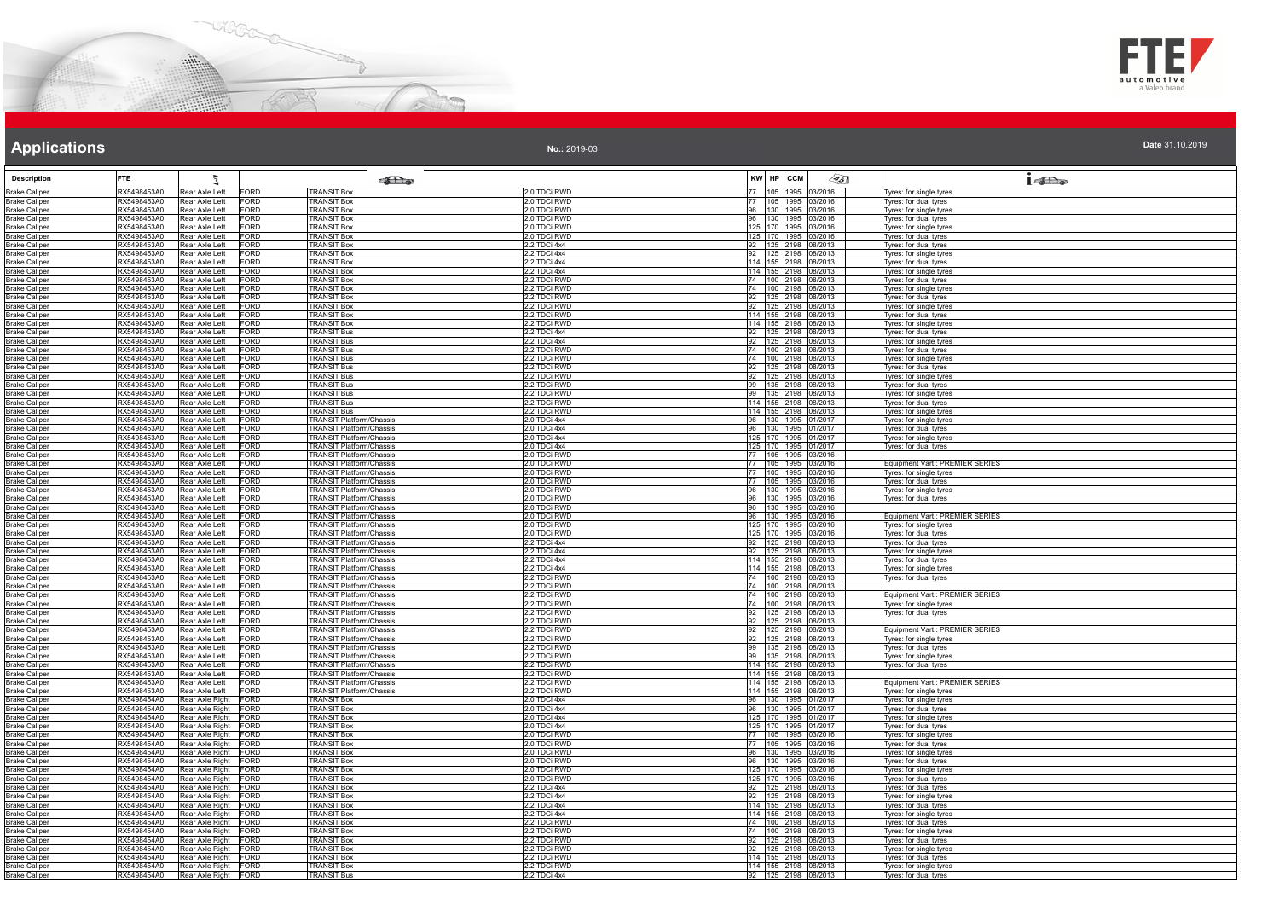



**Date** 31.10.2019

# **Applications**

| <b>Description</b>                           | <b>FTE</b>                 | ħ,                                                      | <b>SEX</b>                                                         |                              | KW HP CCM    | $\mathscr{A}_{5}$                             | $1 - \sum_{\alpha}$                                |
|----------------------------------------------|----------------------------|---------------------------------------------------------|--------------------------------------------------------------------|------------------------------|--------------|-----------------------------------------------|----------------------------------------------------|
| <b>Brake Caliper</b>                         | RX5498453A0                | Rear Axle Left<br>FORD                                  | <b>TRANSIT Box</b>                                                 | 2.0 TDCi RWD                 |              | 77 105 1995 03/2016                           | Tyres: for single tyres                            |
| <b>Brake Caliper</b>                         | RX5498453A0                | Rear Axle Left<br>FORD                                  | <b>TRANSIT Box</b>                                                 | 2.0 TDCi RWD                 |              | 77 105 1995 03/2016                           | vres: for dual tyres                               |
| <b>Brake Caliper</b>                         | RX5498453A0                | Rear Axle Left<br>FORD                                  | <b>TRANSIT Box</b>                                                 | 2.0 TDCi RWD                 |              | 96 130 1995 03/2016                           | yres: for single tyres                             |
| <b>Brake Caliper</b><br><b>Brake Caliper</b> | RX5498453A0<br>RX5498453A0 | Rear Axle Left<br>FORD<br>Rear Axle Left<br>FORD        | <b>TRANSIT Box</b><br><b>TRANSIT Box</b>                           | 2.0 TDCi RWD<br>2.0 TDCi RWD |              | 96 130 1995 03/2016<br>125 170 1995 03/2016   | Tyres: for dual tyres<br>Tyres: for single tyres   |
| <b>Brake Caliper</b>                         | RX5498453A0                | Rear Axle Left<br>FORD                                  | TRANSIT Box                                                        | 2.0 TDCi RWD                 |              | 125 170 1995 03/2016                          | Tyres: for dual tyres                              |
| <b>Brake Caliper</b>                         | RX5498453A0                | Rear Axle Left<br>FORD                                  | <b>TRANSIT Box</b>                                                 | 2.2 TDCi 4x4                 |              | 92 125 2198 08/2013                           | Tyres: for dual tyres                              |
| <b>Brake Caliper</b>                         | RX5498453A0                | Rear Axle Left<br>FORD                                  | <b>TRANSIT Box</b>                                                 | 2.2 TDCi 4x4                 |              | 92 125 2198 08/2013<br>114 155 2198 08/2013   | vres: for single tyres                             |
| <b>Brake Caliper</b>                         | RX5498453A0                | Rear Axle Left<br>FORD                                  | TRANSIT Box                                                        | 2.2 TDCi 4x4                 |              |                                               | yres: for dual tyres                               |
| <b>Brake Caliper</b>                         | RX5498453A0                | Rear Axle Left<br>FORD                                  | <b>TRANSIT Box</b>                                                 | 2.2 TDCi 4x4                 |              | 114 155 2198 08/2013                          | Tyres: for single tyres                            |
| <b>Brake Caliper</b><br><b>Brake Caliper</b> | RX5498453A0<br>RX5498453A0 | FORD<br>Rear Axle Left<br>Rear Axle Left<br>FORD        | <b>TRANSIT Box</b><br><b>TRANSIT Box</b>                           | 2.2 TDCi RWD<br>2.2 TDCi RWD |              | 74 100 2198 08/2013<br>74 100 2198 08/2013    | Tyres: for dual tyres<br>Tyres: for single tyres   |
| <b>Brake Caliper</b>                         | RX5498453A0                | Rear Axle Left<br>FORD                                  | <b>TRANSIT Box</b>                                                 | 2.2 TDCi RWD                 |              | 92 125 2198 08/2013                           | Tyres: for dual tyres                              |
| <b>Brake Caliper</b>                         | RX5498453A0                | Rear Axle Left<br>FORD                                  | <b>FRANSIT Box</b>                                                 | 2.2 TDCi RWD                 |              | 92 125 2198 08/2013                           | Tyres: for single tyres                            |
| <b>Brake Caliper</b>                         | RX5498453A0                | Rear Axle Left<br>FORD                                  | <b>TRANSIT Box</b>                                                 | 2.2 TDCi RWD                 |              | 114 155 2198 08/2013                          | Tyres: for dual tyres                              |
| <b>Brake Caliper</b>                         | RX5498453A0                | Rear Axle Left<br>FORD                                  | <b>TRANSIT Box</b>                                                 | 2.2 TDCi RWD                 |              | 114 155 2198 08/2013                          | Tyres: for single tyres                            |
| <b>Brake Caliper</b>                         | RX5498453A0                | Rear Axle Left<br>FORD                                  | <b>TRANSIT Bus</b>                                                 | 2.2 TDCi 4x4                 |              | 92 125 2198 08/2013                           | Tyres: for dual tyres                              |
| <b>Brake Caliper</b>                         | RX5498453A0<br>RX5498453A0 | Rear Axle Left<br>FORD<br>FORD.                         | <b>TRANSIT Bus</b><br><b>TRANSIT Bus</b>                           | 2.2 TDCi 4x4<br>2.2 TDCi RWD |              | 92 125 2198 08/2013                           | Tyres: for single tyres                            |
| <b>Brake Caliper</b><br><b>Brake Caliper</b> | RX5498453A0                | Rear Axle Left<br>FORD<br>Rear Axle Left                | <b>FRANSIT Bus</b>                                                 | 2.2 TDCi RWD                 |              | 74  100  2198  08/2013<br>74 100 2198 08/2013 | Tyres: for dual tyres<br>yres: for single tyres    |
| <b>Brake Caliper</b>                         | RX5498453A0                | Rear Axle Left<br>FORD                                  | <b>TRANSIT Bus</b>                                                 | 2.2 TDCi RWD                 |              | 92 125 2198 08/2013                           | yres: for dual tyres                               |
| <b>Brake Caliper</b>                         | RX5498453A0                | Rear Axle Left<br>FORD                                  | <b>TRANSIT Bus</b>                                                 | 2.2 TDCi RWD                 |              | 92 125 2198 08/2013                           | Tyres: for single tyres                            |
| <b>Brake Caliper</b>                         | RX5498453A0                | Rear Axle Left<br>FORD                                  | <b>TRANSIT Bus</b>                                                 | 2.2 TDCi RWD                 |              | 99 135 2198 08/2013                           | Tyres: for dual tyres                              |
| <b>Brake Caliper</b>                         | RX5498453A0                | Rear Axle Left<br><b>FORD</b>                           | <b>TRANSIT Bus</b>                                                 | 2.2 TDCi RWD                 |              | 99 135 2198 08/2013                           | Tyres: for single tyres                            |
| <b>Brake Caliper</b>                         | RX5498453A0                | FORD<br>Rear Axle Left                                  | <b>FRANSIT Bus</b><br><b>TRANSIT Bus</b>                           | 2.2 TDCi RWD                 |              | 114 155 2198 08/2013                          | Tyres: for dual tyres                              |
| <b>Brake Caliper</b><br><b>Brake Caliper</b> | RX5498453A0<br>RX5498453A0 | Rear Axle Left<br>FORD<br>Rear Axle Left<br>FORD        | TRANSIT Platform/Chassis                                           | 2.2 TDCi RWD<br>2.0 TDCi 4x4 |              | 114 155 2198 08/2013<br>96 130 1995 01/2017   | Tyres: for single tyres<br>Tyres: for single tyres |
| <b>Brake Caliper</b>                         | RX5498453A0                | Rear Axle Left<br>FORD                                  | <b>TRANSIT Platform/Chassis</b>                                    | 2.0 TDCi 4x4                 |              | 96 130 1995 01/2017                           | Tyres: for dual tyres                              |
| <b>Brake Caliper</b>                         | RX5498453A0                | Rear Axle Left<br>FORD                                  | <b>TRANSIT Platform/Chassis</b>                                    | 2.0 TDCi 4x4                 |              | 125 170 1995 01/2017                          | Tyres: for single tyres                            |
| <b>Brake Caliper</b>                         | RX5498453A0                | Rear Axle Left<br>FORD                                  | <b>FRANSIT Platform/Chassis</b>                                    | 2.0 TDCi 4x4                 |              | 125 170 1995 01/2017                          | Tyres: for dual tyres                              |
| <b>Brake Caliper</b>                         | RX5498453A0                | Rear Axle Left<br>FORD                                  | <b>FRANSIT Platform/Chassis</b>                                    | 2.0 TDCi RWD                 |              | 77 105 1995 03/2016                           |                                                    |
| <b>Brake Caliper</b>                         | RX5498453A0                | Rear Axle Left<br>FORD                                  | <b>FRANSIT Platform/Chassis</b>                                    | 2.0 TDCi RWD                 |              | 77 105 1995 03/2016                           | Equipment Vart.: PREMIER SERIES                    |
| <b>Brake Caliper</b><br><b>Brake Caliper</b> | RX5498453A0<br>RX5498453A0 | Rear Axle Left<br>FORD<br>FORD<br>Rear Axle Left        | <b>TRANSIT Platform/Chassis</b><br>TRANSIT Platform/Chassis        | 2.0 TDCi RWD<br>2.0 TDCi RWD |              | 77 105 1995 03/2016<br>77 105 1995 03/2016    | yres: for single tyres<br>Tyres: for dual tyres    |
| <b>Brake Caliper</b>                         | RX5498453A0                | Rear Axle Left<br>FORD                                  | <b>TRANSIT Platform/Chassis</b>                                    | 2.0 TDCi RWD                 |              | 96 130 1995 03/2016                           | Tyres: for single tyres                            |
| <b>Brake Caliper</b>                         | RX5498453A0                | Rear Axle Left<br>FORD                                  | <b>FRANSIT Platform/Chassis</b>                                    | 2.0 TDCi RWD                 |              | 96 130 1995 03/2016                           | Tyres: for dual tyres                              |
| <b>Brake Caliper</b>                         | RX5498453A0                | Rear Axle Left<br><b>FORD</b>                           | TRANSIT Platform/Chassis                                           | 2.0 TDCi RWD                 |              | 96 130 1995 03/2016                           |                                                    |
| <b>Brake Caliper</b>                         | RX5498453A0                | Rear Axle Left<br>FORD                                  | TRANSIT Platform/Chassis                                           | 2.0 TDCi RWD                 |              | 96 130 1995 03/2016                           | Equipment Vart.: PREMIER SERIES                    |
| <b>Brake Caliper</b>                         | RX5498453A0<br>RX5498453A0 | Rear Axle Left<br>FORD<br>Rear Axle Left<br>FORD        | <b>TRANSIT Platform/Chassis</b><br><b>TRANSIT Platform/Chassis</b> | 2.0 TDCi RWD<br>2.0 TDCi RWD |              | 125 170 1995 03/2016<br>125 170 1995 03/2016  | yres: for single tyres<br>Tyres: for dual tyres    |
| <b>Brake Caliper</b><br><b>Brake Caliper</b> | RX5498453A0                | Rear Axle Left<br>FORD                                  | <b>TRANSIT Platform/Chassis</b>                                    | 2.2 TDCi 4x4                 |              | 92 125 2198 08/2013                           | Tyres: for dual tyres                              |
| <b>Brake Caliper</b>                         | RX5498453A0                | Rear Axle Left<br>FORD                                  | TRANSIT Platform/Chassis                                           | 2.2 TDCi 4x4                 |              | 92 125 2198 08/2013                           | Tyres: for single tyres                            |
| <b>Brake Caliper</b>                         | RX5498453A0                | Rear Axle Left<br>FORD.                                 | TRANSIT Platform/Chassis                                           | 2.2 TDCi 4x4                 |              | 114 155 2198 08/2013                          | Tyres: for dual tyres                              |
| <b>Brake Caliper</b>                         | RX5498453A0                | Rear Axle Left<br>FORD                                  | <b>FRANSIT Platform/Chassis</b>                                    | 2.2 TDCi 4x4                 |              | 114 155 2198 08/2013                          | yres: for single tyres                             |
| <b>Brake Caliper</b>                         | RX5498453A0                | Rear Axle Left<br>ORD                                   | <b>FRANSIT Platform/Chassis</b>                                    | 2.2 TDCi RWD                 |              | 74 100 2198 08/2013                           | yres: for dual tyres                               |
| <b>Brake Caliper</b><br><b>Brake Caliper</b> | RX5498453A0<br>RX5498453A0 | FORD<br>Rear Axle Left<br>Rear Axle Left<br>FORD        | <b>TRANSIT Platform/Chassis</b><br><b>TRANSIT Platform/Chassis</b> | 2.2 TDCi RWD<br>2.2 TDCi RWD |              | 74 100 2198 08/2013<br>74 100 2198 08/2013    | Equipment Vart.: PREMIER SERIES                    |
| <b>Brake Caliper</b>                         | RX5498453A0                | Rear Axle Left<br>FORD                                  | <b>TRANSIT Platform/Chassis</b>                                    | 2.2 TDCi RWD                 |              | 74 100 2198 08/2013                           | Tyres: for single tyres                            |
| <b>Brake Caliper</b>                         | RX5498453A0                | Rear Axle Left<br>FORD                                  | TRANSIT Platform/Chassis                                           | 2.2 TDCi RWD                 |              | 92 125 2198 08/2013                           | Tyres: for dual tyres                              |
| <b>Brake Caliper</b>                         | RX5498453A0                | Rear Axle Left<br>FORD                                  | <b>FRANSIT Platform/Chassis</b>                                    | 2.2 TDCi RWD                 |              | 92 125 2198 08/2013                           |                                                    |
| <b>Brake Caliper</b>                         | RX5498453A0                | Rear Axle Left<br>FORD                                  | <b>TRANSIT Platform/Chassis</b>                                    | 2.2 TDCi RWD                 |              | 92 125 2198 08/2013                           | Equipment Vart.: PREMIER SERIES                    |
| <b>Brake Caliper</b>                         | RX5498453A0<br>RX5498453A0 | Rear Axle Left<br>FORD<br>Rear Axle Left<br>FORD        | <b>TRANSIT Platform/Chassis</b><br><b>TRANSIT Platform/Chassis</b> | 2.2 TDCi RWD<br>2.2 TDCi RWD |              | 92 125 2198 08/2013<br>99 135 2198 08/2013    | Tyres: for single tyres<br>Tyres: for dual tyres   |
| <b>Brake Caliper</b><br><b>Brake Caliper</b> | RX5498453A0                | Rear Axle Left<br>FORD                                  | <b>TRANSIT Platform/Chassis</b>                                    | 2.2 TDCi RWD                 |              | 99 135 2198 08/2013                           | Tyres: for single tyres                            |
| <b>Brake Caliper</b>                         | RX5498453A0                | Rear Axle Left<br>FORD                                  | <b>FRANSIT Platform/Chassis</b>                                    | 2.2 TDCi RWD                 |              | 114 155 2198 08/2013                          | Tyres: for dual tyres                              |
| <b>Brake Caliper</b>                         | RX5498453A0                | Rear Axle Left<br>FORD                                  | <b>TRANSIT Platform/Chassis</b>                                    | 2.2 TDCi RWD                 |              | 114 155 2198 08/2013                          |                                                    |
| <b>Brake Caliper</b>                         | RX5498453A0                | Rear Axle Left<br>FORD                                  | <b>TRANSIT Platform/Chassis</b>                                    | 2.2 TDCi RWD                 | 114 155 2198 | 08/2013                                       | Equipment Vart.: PREMIER SERIES                    |
| <b>Brake Caliper</b>                         | RX5498453A0                | Rear Axle Left<br>FORD                                  | <b>TRANSIT Platform/Chassis</b>                                    | 2.2 TDCi RWD                 |              | 114 155 2198 08/2013                          | Tyres: for single tyres                            |
| <b>Brake Caliper</b>                         | RX5498454A0<br>RX5498454A0 | Rear Axle Right<br>FORD<br><b>FORD</b>                  | <b>TRANSIT Box</b>                                                 | 2.0 TDCi 4x4                 | 96 130 1995  | 01/2017<br>96 130 1995 01/2017                | Tyres: for single tyres                            |
| <b>Brake Caliper</b><br><b>Brake Caliper</b> | RX5498454A0                | Rear Axle Right<br>FORD<br>Rear Axle Right              | <b>TRANSIT Box</b><br>TRANSIT Box                                  | 2.0 TDCi 4x4<br>2.0 TDCi 4x4 |              | 125 170 1995 01/2017                          | Tyres: for dual tyres<br>Tyres: for single tyres   |
| <b>Brake Caliper</b>                         | RX5498454A0                | Rear Axle Right<br>FORD                                 | <b>TRANSIT Box</b>                                                 | 2.0 TDCi 4x4                 |              | 125 170 1995 01/2017                          | Tyres: for dual tyres                              |
| <b>Brake Caliper</b>                         | RX5498454A0                | Rear Axle Right<br><b>FORD</b>                          | <b>TRANSIT Box</b>                                                 | 2.0 TDCi RWD                 |              | 77 105 1995 03/2016                           | Tyres: for single tyres                            |
| <b>Brake Caliper</b>                         | RX5498454A0                | <b>FORD</b><br>Rear Axle Right                          | TRANSIT Box                                                        | 2.0 TDCi RWD                 |              | 77 105 1995 03/2016                           | Tyres: for dual tyres                              |
| <b>Brake Caliper</b>                         | RX5498454A0                | Rear Axle Right FORD                                    | <b>TRANSIT Box</b>                                                 | 2.0 TDCi RWD                 |              | 96 130 1995 03/2016                           | Tyres: for single tyres                            |
| <b>Brake Caliper</b><br><b>Brake Caliper</b> | RX5498454A0<br>RX5498454A0 | Rear Axle Right FORD<br>Rear Axle Right<br>FORD         | <b>FRANSIT Box</b><br>TRANSIT Box                                  | 2.0 TDCi RWD<br>2.0 TDCi RWD |              | 96 130 1995 03/2016<br>125 170 1995 03/2016   | Tyres: for dual tyres<br>Tyres: for single tyres   |
| <b>Brake Caliper</b>                         | RX5498454A0                | Rear Axle Right<br>FORD                                 | <b>TRANSIT Box</b>                                                 | 2.0 TDCi RWD                 |              | 125 170 1995 03/2016                          | Tyres: for dual tyres                              |
| <b>Brake Caliper</b>                         | RX5498454A0                | Rear Axle Right<br>FORD                                 | <b>TRANSIT Box</b>                                                 | 2.2 TDCi 4x4                 |              | 92 125 2198 08/2013                           | Tyres: for dual tyres                              |
| <b>Brake Caliper</b>                         | RX5498454A0                | Rear Axle Right<br><b>FORD</b>                          | <b>TRANSIT Box</b>                                                 | 2.2 TDCi 4x4                 |              | 92 125 2198 08/2013                           | Tyres: for single tyres                            |
| <b>Brake Caliper</b>                         | RX5498454A0                | <b>FORD</b><br>Rear Axle Right                          | <b>TRANSIT Box</b>                                                 | 2.2 TDCi 4x4                 |              | 114 155 2198 08/2013                          | Tyres: for dual tyres                              |
| <b>Brake Caliper</b>                         | RX5498454A0                | Rear Axle Right FORD                                    | <b>TRANSIT Box</b>                                                 | 2.2 TDCi 4x4                 |              | 114 155 2198 08/2013                          | Tyres: for single tyres                            |
| <b>Brake Caliper</b>                         | RX5498454A0<br>RX5498454A0 | Rear Axle Right FORD<br>Rear Axle Right<br><b>IFORD</b> | TRANSIT Box<br><b>TRANSIT Box</b>                                  | 2.2 TDCi RWD<br>2.2 TDCi RWD |              | 74 100 2198 08/2013<br>74 100 2198 08/2013    | Tyres: for dual tyres                              |
| <b>Brake Caliper</b><br><b>Brake Caliper</b> | RX5498454A0                | Rear Axle Right<br><b>FORD</b>                          | <b>FRANSIT Box</b>                                                 | 2.2 TDCi RWD                 |              | 92 125 2198 08/2013                           | Tyres: for single tyres<br>yres: for dual tyres    |
| <b>Brake Caliper</b>                         | RX5498454A0                | Rear Axle Right FORD                                    | <b>TRANSIT Box</b>                                                 | 2.2 TDCi RWD                 |              | 92 125 2198 08/2013                           | Tyres: for single tyres                            |
| <b>Brake Caliper</b>                         | RX5498454A0                | Rear Axle Right FORD                                    | <b>TRANSIT Box</b>                                                 | 2.2 TDCi RWD                 |              | 114 155 2198 08/2013                          | Tyres: for dual tyres                              |
| <b>Brake Caliper</b>                         | RX5498454A0                | Rear Axle Right FORD                                    | <b>TRANSIT Box</b>                                                 | 2.2 TDCi RWD                 |              | 114 155 2198 08/2013                          | Tyres: for single tyres                            |
| <b>Brake Caliper</b>                         | RX5498454A0                | Rear Axle Right FORD                                    | <b>TRANSIT Bus</b>                                                 | 2.2 TDCi 4x4                 |              | 92 125 2198 08/2013                           | Tyres: for dual tyres                              |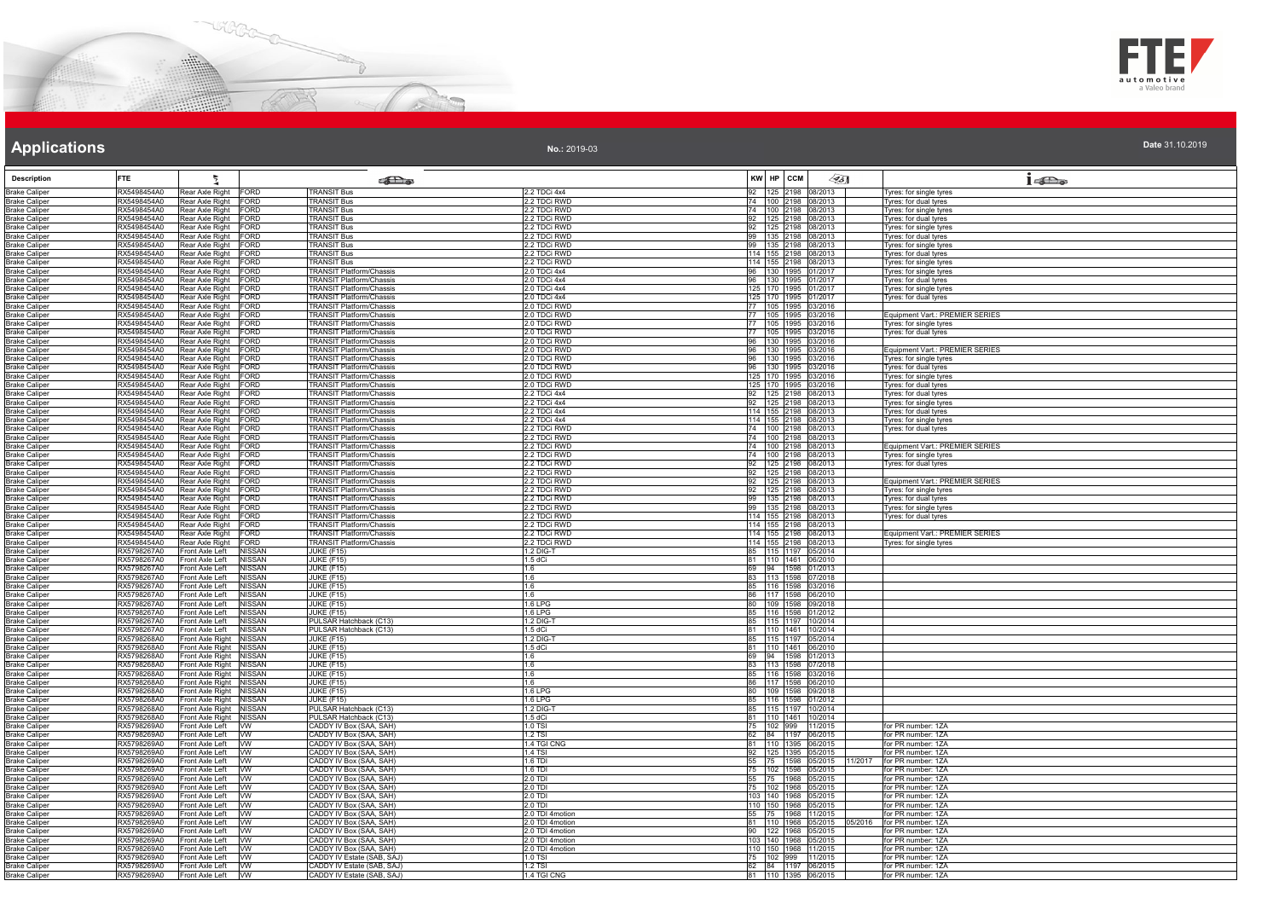



| Date 31.10.2019 |  |  |
|-----------------|--|--|
|                 |  |  |

| <b>Description</b>                           | ž<br><b>FTE</b>                                                                  |                                | <b>SEL</b> @                                                       |                                    | KW HP CCM                                  |                                              | 45] | $1 - \sum_{\alpha}$                                        |
|----------------------------------------------|----------------------------------------------------------------------------------|--------------------------------|--------------------------------------------------------------------|------------------------------------|--------------------------------------------|----------------------------------------------|-----|------------------------------------------------------------|
| <b>Brake Caliper</b>                         | RX5498454A0<br>Rear Axle Right FORD<br>RX5498454A0                               |                                | <b>TRANSIT Bus</b><br><b>TRANSIT Bus</b>                           | 2.2 TDCi 4x4<br>2.2 TDCi RWD       |                                            | 92 125 2198 08/2013<br>74 100 2198 08/2013   |     | Tyres: for single tyres                                    |
| <b>Brake Caliper</b><br><b>Brake Caliper</b> | Rear Axle Right FORD<br>RX5498454A0<br>Rear Axle Right FORD                      |                                | <b>TRANSIT Bus</b>                                                 | 2.2 TDCi RWD                       |                                            | 74  100  2198  08/2013                       |     | Tyres: for dual tyres<br>Tyres: for single tyres           |
| <b>Brake Caliper</b>                         | RX5498454A0<br>Rear Axle Right FORD                                              |                                | <b>TRANSIT Bus</b>                                                 | 2.2 TDCi RWD                       |                                            | 92 125 2198 08/2013                          |     | Tyres: for dual tyres                                      |
| <b>Brake Caliper</b><br>Brake Caliper        | RX5498454A0<br>Rear Axle Right FORD<br>Rear Axle Right FORD<br>RX5498454A0       |                                | <b>TRANSIT Bus</b><br><b>TRANSIT Bus</b>                           | 2.2 TDCi RWD<br>2.2 TDCi RWD       |                                            | 92 125 2198 08/2013<br>99 135 2198 08/2013   |     | Tyres: for single tyres<br>Tyres: for dual tyres           |
| <b>Brake Caliper</b>                         | Rear Axle Right FORD<br>RX5498454A0                                              |                                | <b>TRANSIT Bus</b>                                                 | 2.2 TDCi RWD                       |                                            | 99 135 2198 08/2013                          |     | Tyres: for single tyres                                    |
| <b>Brake Caliper</b>                         | Rear Axle Right FORD<br>RX5498454A0                                              |                                | <b>TRANSIT Bus</b>                                                 | 2.2 TDCi RWD                       |                                            | 114 155 2198 08/2013                         |     | Tyres: for dual tyres                                      |
| <b>Brake Caliper</b><br><b>Brake Caliper</b> | RX5498454A0<br>Rear Axle Right FORD<br>RX5498454A0<br>Rear Axle Right FORD       |                                | <b>TRANSIT Bus</b><br>TRANSIT Platform/Chassis                     | 2.2 TDCi RWD<br>2.0 TDCi 4x4       |                                            | 114 155 2198 08/2013<br>96 130 1995 01/2017  |     | Tyres: for single tyres<br>Tyres: for single tyres         |
| <b>Brake Caliper</b>                         | Rear Axle Right FORD<br>RX5498454A0                                              |                                | <b>TRANSIT Platform/Chassis</b>                                    | 2.0 TDCi 4x4                       |                                            | 96 130 1995 01/2017                          |     | Tyres: for dual tyres                                      |
| <b>Brake Caliper</b>                         | Rear Axle Right FORD<br>RX5498454A0<br>RX5498454A0<br>Rear Axle Right FORD       |                                | <b>TRANSIT Platform/Chassis</b><br><b>TRANSIT Platform/Chassis</b> | 2.0 TDCi 4x4<br>2.0 TDCi 4x4       |                                            | 125 170 1995 01/2017<br>125 170 1995 01/2017 |     | Tyres: for single tyres                                    |
| <b>Brake Caliper</b><br><b>Brake Caliper</b> | RX5498454A0<br>Rear Axle Right FORD                                              |                                | <b>FRANSIT Platform/Chassis</b>                                    | 2.0 TDCi RWD                       |                                            | 77 105 1995 03/2016                          |     | Tyres: for dual tyres                                      |
| <b>Brake Caliper</b>                         | RX5498454A0<br>Rear Axle Right FORD                                              |                                | <b>TRANSIT Platform/Chassis</b>                                    | 2.0 TDCi RWD                       |                                            | 77 105 1995 03/2016                          |     | Equipment Vart.: PREMIER SERIES                            |
| <b>Brake Caliper</b><br><b>Brake Caliper</b> | RX5498454A0<br>Rear Axle Right FORD<br>Rear Axle Right FORD<br>RX5498454A0       |                                | <b>TRANSIT Platform/Chassis</b><br><b>TRANSIT Platform/Chassis</b> | 2.0 TDCi RWD<br>2.0 TDCi RWD       | 77 105 1995 03/2016                        | 77 105 1995 03/2016                          |     | yres: for single tyres<br>Tyres: for dual tyres            |
| <b>Brake Caliper</b>                         | RX5498454A0<br>Rear Axle Right FORD                                              |                                | <b>TRANSIT Platform/Chassis</b>                                    | 2.0 TDCi RWD                       |                                            | 96 130 1995 03/2016                          |     |                                                            |
| <b>Brake Caliper</b>                         | Rear Axle Right FORD<br>RX5498454A0                                              |                                | <b>TRANSIT Platform/Chassis</b>                                    | 2.0 TDCi RWD                       |                                            | 96 130 1995 03/2016                          |     | Equipment Vart.: PREMIER SERIES                            |
| <b>Brake Caliper</b><br><b>Brake Caliper</b> | RX5498454A0<br>Rear Axle Right FORD<br>RX5498454A0<br>Rear Axle Right FORD       |                                | <b>FRANSIT Platform/Chassis</b><br>TRANSIT Platform/Chassis        | 2.0 TDCi RWD<br>2.0 TDCi RWD       |                                            | 96 130 1995 03/2016<br>96 130 1995 03/2016   |     | Tyres: for single tyres<br>Tyres: for dual tyres           |
| <b>Brake Caliper</b>                         | Rear Axle Right FORD<br>RX5498454A0                                              |                                | TRANSIT Platform/Chassis                                           | 2.0 TDCi RWD                       |                                            | 125 170 1995 03/2016                         |     | Tyres: for single tyres                                    |
| <b>Brake Caliper</b>                         | RX5498454A0<br>Rear Axle Right FORD                                              |                                | <b>TRANSIT Platform/Chassis</b>                                    | 2.0 TDCi RWD                       |                                            | 125 170 1995 03/2016                         |     | Tyres: for dual tyres                                      |
| <b>Brake Caliper</b>                         | RX5498454A0<br>Rear Axle Right FORD<br>Rear Axle Right FORD<br>RX5498454A0       |                                | <b>TRANSIT Platform/Chassis</b><br><b>TRANSIT Platform/Chassis</b> | 2.2 TDCi 4x4<br>2.2 TDCi 4x4       |                                            | 92 125 2198 08/2013<br>92 125 2198 08/2013   |     | Tyres: for dual tyres                                      |
| Brake Caliper<br><b>Brake Caliper</b>        | RX5498454A0<br>Rear Axle Right FORD                                              |                                | TRANSIT Platform/Chassis                                           | 2.2 TDCi 4x4                       |                                            | 114 155 2198 08/2013                         |     | Tyres: for single tyres<br>Tyres: for dual tyres           |
| <b>Brake Caliper</b>                         | RX5498454A0<br>Rear Axle Right FORD                                              |                                | <b>TRANSIT Platform/Chassis</b>                                    | 2.2 TDCi 4x4                       |                                            | 114 155 2198 08/2013                         |     | Tyres: for single tyres                                    |
| <b>Brake Caliper</b><br><b>Brake Caliper</b> | Rear Axle Right FORD<br>RX5498454A0<br>RX5498454A0<br>Rear Axle Right FORD       |                                | <b>TRANSIT Platform/Chassis</b><br><b>TRANSIT Platform/Chassis</b> | 2.2 TDCi RWD<br>2.2 TDCi RWD       |                                            | 74 100 2198 08/2013<br>74 100 2198 08/2013   |     | Tyres: for dual tyres                                      |
| <b>Brake Caliper</b>                         | RX5498454A0<br>Rear Axle Right FORD                                              |                                | <b>TRANSIT Platform/Chassis</b>                                    | 2.2 TDCi RWD                       |                                            | 74  100  2198  08/2013                       |     | Equipment Vart.: PREMIER SERIES                            |
| <b>Brake Caliper</b>                         | RX5498454A0<br>Rear Axle Right FORD                                              |                                | <b>TRANSIT Platform/Chassis</b>                                    | 2.2 TDCi RWD                       |                                            | 74 100 2198 08/2013                          |     | Tyres: for single tyres                                    |
| <b>Brake Caliper</b><br><b>Brake Caliper</b> | RX5498454A0<br>Rear Axle Right FORD<br>Rear Axle Right FORD<br>RX5498454A0       |                                | TRANSIT Platform/Chassis<br><b>TRANSIT Platform/Chassis</b>        | 2.2 TDCi RWD<br>2.2 TDCi RWD       |                                            | 92 125 2198 08/2013<br>92 125 2198 08/2013   |     | Tyres: for dual tyres                                      |
| <b>Brake Caliper</b>                         | RX5498454A0<br>Rear Axle Right FORD                                              |                                | <b>FRANSIT Platform/Chassis</b>                                    | 2.2 TDCi RWD                       |                                            | 92 125 2198 08/2013                          |     | Equipment Vart.: PREMIER SERIES                            |
| <b>Brake Caliper</b>                         | RX5498454A0<br>Rear Axle Right FORD                                              |                                | <b>TRANSIT Platform/Chassis</b>                                    | 2.2 TDCi RWD                       |                                            | 92 125 2198 08/2013                          |     | Tyres: for single tyres                                    |
| <b>Brake Caliper</b><br><b>Brake Caliper</b> | RX5498454A0<br>Rear Axle Right FORD<br>RX5498454A0<br>Rear Axle Right FORD       |                                | TRANSIT Platform/Chassis<br>TRANSIT Platform/Chassis               | 2.2 TDCi RWD<br>2.2 TDCi RWD       |                                            | 99 135 2198 08/2013<br>99 135 2198 08/2013   |     | Tyres: for dual tyres<br>Tyres: for single tyres           |
| <b>Brake Caliper</b>                         | RX5498454A0<br>Rear Axle Right FORD                                              |                                | <b>TRANSIT Platform/Chassis</b>                                    | 2.2 TDCi RWD                       |                                            | 114 155 2198 08/2013                         |     | Tyres: for dual tyres                                      |
| <b>Brake Caliper</b>                         | Rear Axle Right FORD<br>RX5498454A0                                              |                                | <b>TRANSIT Platform/Chassis</b>                                    | 2.2 TDCi RWD                       |                                            | 114 155 2198 08/2013                         |     |                                                            |
| <b>Brake Caliper</b><br><b>Brake Caliper</b> | Rear Axle Right FORD<br>RX5498454A0<br>RX5498454A0<br>Rear Axle Right FORD       |                                | <b>TRANSIT Platform/Chassis</b><br><b>TRANSIT Platform/Chassis</b> | 2.2 TDCi RWD<br>2.2 TDCi RWD       |                                            | 114 155 2198 08/2013<br>114 155 2198 08/2013 |     | Equipment Vart.: PREMIER SERIES<br>Tyres: for single tyres |
| <b>Brake Caliper</b>                         | RX5798267A0<br>Front Axle Left                                                   | <b>NISSAN</b>                  | JUKE (F15)                                                         | 1.2 DIG-T                          |                                            | 85 115 1197 05/2014                          |     |                                                            |
| <b>Brake Caliper</b>                         | RX5798267A0<br>Front Axle Left                                                   | <b>NISSAN</b>                  | JUKE (F15)                                                         | 1.5 dCi                            | 81 110 1461 06/2010                        |                                              |     |                                                            |
| <b>Brake Caliper</b><br><b>Brake Caliper</b> | RX5798267A0<br>Front Axle Left<br>RX5798267A0<br>Front Axle Left                 | <b>NISSAN</b><br><b>NISSAN</b> | <b>JUKE (F15)</b><br><b>JUKE (F15)</b>                             | 11.6<br>1.6                        | 69 94 1598 01/2013<br>83 113 1598 07/2018  |                                              |     |                                                            |
| <b>Brake Caliper</b>                         | RX5798267A0<br>Front Axle Left                                                   | <b>NISSAN</b>                  | JUKE (F15)                                                         | 1.6                                |                                            | 85 116 1598 03/2016                          |     |                                                            |
| <b>Brake Caliper</b>                         | RX5798267A0<br>Front Axle Left                                                   | <b>NISSAN</b>                  | <b>JUKE (F15)</b>                                                  | 16                                 |                                            | 86 117 1598 06/2010<br>80 109 1598 09/2018   |     |                                                            |
| <b>Brake Caliper</b><br><b>Brake Caliper</b> | RX5798267A0<br>Front Axle Left<br>RX5798267A0<br>Front Axle Left                 | <b>NISSAN</b><br><b>NISSAN</b> | JUKE (F15)<br>JUKE (F15)                                           | 1.6 LPG<br>1.6 LPG                 |                                            | 85 116 1598 01/2012                          |     |                                                            |
| <b>Brake Caliper</b>                         | RX5798267A0<br>Front Axle Left                                                   | <b>NISSAN</b>                  | PULSAR Hatchback (C13)                                             | 1.2 DIG-T                          |                                            | 85 115 1197 10/2014                          |     |                                                            |
| <b>Brake Caliper</b><br><b>Brake Caliper</b> | RX5798267A0<br>Front Axle Left<br>Front Axle Right NISSAN<br>RX5798268A0         | <b>NISSAN</b>                  | PULSAR Hatchback (C13)<br>JUKE (F15)                               | 1.5 dCi<br>1.2 DIG-1               | 81 110 1461 10/2014                        | 85 115 1197 05/2014                          |     |                                                            |
| <b>Brake Caliper</b>                         | RX5798268A0<br>Front Axle Right NISSAN                                           |                                | <b>JUKE (F15)</b>                                                  | $1.5$ dCi                          |                                            | 81 110 1461 06/2010                          |     |                                                            |
| <b>Brake Caliper</b>                         | RX5798268A0<br>Front Axle Right NISSAN                                           |                                | JUKE (F15)                                                         | 1.6                                | 69 94 1598 01/2013                         |                                              |     |                                                            |
| Brake Caliper<br><b>Brake Caliper</b>        | RX5798268A0<br>Front Axle Right NISSAN<br>RX5798268A0<br>Front Axle Right NISSAN |                                | JUKE (F15)<br>JUKE (F15)                                           | 1.6<br>1.6                         | 83 113 1598 07/2018<br>85 116 1598 03/2016 |                                              |     |                                                            |
| <b>Brake Caliper</b>                         | RX5798268A0<br>Front Axle Right NISSAN                                           |                                | JUKE (F15)                                                         | 1.6                                |                                            | 86 117 1598 06/2010                          |     |                                                            |
| <b>Brake Caliper</b>                         | RX5798268A0<br>Front Axle Right NISSAN                                           |                                | <b>JUKE (F15)</b>                                                  | 1.6 LPG                            |                                            | 80 109 1598 09/2018                          |     |                                                            |
| <b>Brake Caliper</b><br><b>Brake Caliper</b> | Front Axle Right NISSAN<br>RX5798268A0<br>Front Axle Right NISSAN<br>RX5798268A0 |                                | <b>JUKE (F15)</b><br>PULSAR Hatchback (C13)                        | 1.6 LPG<br>1.2 DIG-T               |                                            | 85 116 1598 01/2012<br>85 115 1197 10/2014   |     |                                                            |
| <b>Brake Caliper</b>                         | RX5798268A0<br>Front Axle Right NISSAN                                           |                                | PULSAR Hatchback (C13)                                             | $1.5$ dCi                          |                                            | 81 110 1461 10/2014                          |     |                                                            |
| <b>Brake Caliper</b>                         | RX5798269A0<br>Front Axle Left VW<br>Front Axle Left VW<br>RX5798269A0           |                                | CADDY IV Box (SAA, SAH)                                            | 1.0 TSI<br>1 2 T.SI                |                                            | 75 102 999 11/2015                           |     | for PR number: 1ZA<br>for PR number: 1ZA                   |
| <b>Brake Caliper</b><br><b>Brake Caliper</b> | Front Axle Left<br>RX5798269A0                                                   | <b>WW</b>                      | CADDY IV Box (SAA, SAH)<br>CADDY IV Box (SAA, SAH)                 | 1.4 TGI CNG                        |                                            | 62 84 1197 06/2015<br>81 110 1395 06/2015    |     | for PR number: 1ZA                                         |
| <b>Brake Caliper</b>                         | RX5798269A0<br>Front Axle Left VW                                                |                                | CADDY IV Box (SAA, SAH)                                            | 1.4 TSI                            | 92 125 1395 05/2015                        |                                              |     | for PR number: 1ZA                                         |
| <b>Brake Caliper</b><br><b>Brake Caliper</b> | RX5798269A0<br>Front Axle Left VW<br>RX5798269A0<br>Front Axle Left VW           |                                | CADDY IV Box (SAA, SAH)<br>CADDY IV Box (SAA, SAH)                 | 1.6 TDI<br>$1.6$ TDI               | 55 75 1598 05/2015<br>75 102 1598 05/2015  |                                              |     | 11/2017 for PR number: 1ZA<br>for PR number: 1ZA           |
| <b>Brake Caliper</b>                         | RX5798269A0<br>Front Axle Left VW                                                |                                | CADDY IV Box (SAA, SAH)                                            | 2.0 TDI                            |                                            | 55 75 1968 05/2015                           |     | for PR number: 1ZA                                         |
| <b>Brake Caliper</b>                         | RX5798269A0<br>Front Axle Left                                                   | <b>W</b>                       | CADDY IV Box (SAA, SAH)                                            | $2.0$ TDI                          |                                            | 75 102 1968 05/2015                          |     | for PR number: 1ZA                                         |
| <b>Brake Caliper</b>                         | RX5798269A0<br>Front Axle Left<br>RX5798269A0<br>Front Axle Left                 | <b>WW</b><br><b>WW</b>         | CADDY IV Box (SAA, SAH)<br>CADDY IV Box (SAA, SAH)                 | 2.0 TDI<br>$\overline{2}$ .0 TDI   | 110 150 1968 05/2015                       | 103 140 1968 05/2015                         |     | for PR number: 1ZA<br>for PR number: 17A                   |
| <b>Brake Caliper</b><br><b>Brake Caliper</b> | RX5798269A0<br>Front Axle Left VW                                                |                                | CADDY IV Box (SAA, SAH)                                            | 2.0 TDI 4motion                    |                                            | 55 75 1968 11/2015                           |     | for PR number: 1ZA                                         |
| <b>Brake Caliper</b>                         | RX5798269A0<br>Front Axle Left VW                                                |                                | CADDY IV Box (SAA, SAH)                                            | 2.0 TDI 4motion                    |                                            | 81 110 1968 05/2015                          |     | for PR number: 1ZA<br>05/2016                              |
| <b>Brake Caliper</b><br><b>Brake Caliper</b> | RX5798269A0<br>Front Axle Left VW<br>RX5798269A0<br>Front Axle Left              | <b>W</b>                       | CADDY IV Box (SAA, SAH)<br>CADDY IV Box (SAA, SAH)                 | 2.0 TDI 4motion<br>2.0 TDI 4motion |                                            | 90 122 1968 05/2015<br>103 140 1968 05/2015  |     | for PR number: 17A<br>for PR number: 1ZA                   |
| <b>Brake Caliper</b>                         | Front Axle Left VW<br>RX5798269A0                                                |                                | CADDY IV Box (SAA, SAH)                                            | 2.0 TDI 4motion                    | 110 150 1968 11/2015                       |                                              |     | for PR number: 1ZA                                         |
| <b>Brake Caliper</b>                         | RX5798269A0<br>Front Axle Left VW                                                |                                | CADDY IV Estate (SAB, SAJ)                                         | 1.0 TSI                            |                                            | 75 102 999 11/2015                           |     | for PR number: 1ZA                                         |
| Brake Caliper                                | RX5798269A0<br>Front Axle Left VW<br>RX5798269A0<br>Front Axle Left VW           |                                | CADDY IV Estate (SAB, SAJ)<br>CADDY IV Estate (SAB, SAJ)           | 1.2 TSI<br>1.4 TGI CNG             | 81 110 1395 06/2015                        | 62 84 1197 06/2015                           |     | for PR number: 1ZA<br>for PR number: 1ZA                   |
| <b>Brake Caliper</b>                         |                                                                                  |                                |                                                                    |                                    |                                            |                                              |     |                                                            |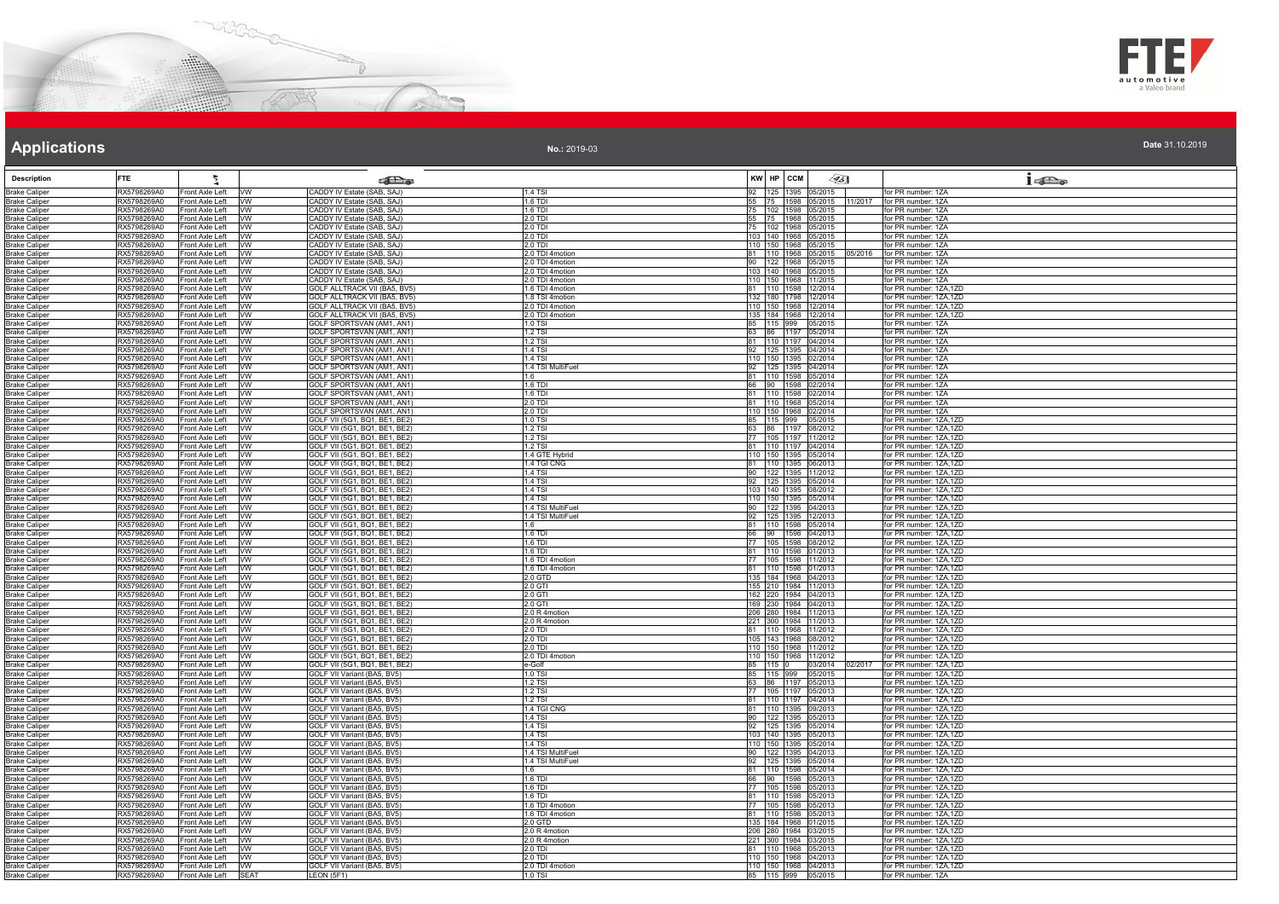



**No.:** 2019-03

| <b>Description</b>                           | <b>FTE</b>                 |                                          |                        | $\sum_{\infty}$                                                          |                                    | KW HP CCM |                                                    | ∕95∏    | $1 - \sum_{\omega}$                                                 |
|----------------------------------------------|----------------------------|------------------------------------------|------------------------|--------------------------------------------------------------------------|------------------------------------|-----------|----------------------------------------------------|---------|---------------------------------------------------------------------|
| <b>Brake Caliper</b>                         | RX5798269A0                | Front Axle Left VW                       |                        | CADDY IV Estate (SAB, SAJ)                                               | <b>1.4 TSI</b>                     |           | 92 125 1395 05/2015                                |         | for PR number: 1ZA                                                  |
| <b>Brake Caliper</b>                         | RX5798269A0<br>RX5798269A0 | Front Axle Left<br>Front Axle Left       | W<br><b>WW</b>         | CADDY IV Estate (SAB, SAJ)<br>CADDY IV Estate (SAB, SAJ)                 | 1.6 TDI<br>1.6 TDI                 |           | 75   102   1598   05/2015                          |         | 55 75 1598 05/2015 11/2017 for PR number: 1ZA<br>for PR number: 1ZA |
| <b>Brake Caliper</b><br><b>Brake Caliper</b> | RX5798269A0                | Front Axle Left                          | <b>VW</b>              | CADDY IV Estate (SAB, SAJ)                                               | 2.0 TDI                            |           | 55 75 1968 05/2015                                 |         | for PR number: 1ZA                                                  |
| <b>Brake Caliper</b>                         | RX5798269A0                | Front Axle Left                          | <b>VW</b>              | CADDY IV Estate (SAB, SAJ)                                               | 2.0 TDI                            |           | 102 1968 05/2015                                   |         | or PR number: 1ZA                                                   |
| <b>Brake Caliper</b>                         | RX5798269A0                | Front Axle Left                          | W                      | CADDY IV Estate (SAB, SAJ)                                               | 2.0 TDI                            |           | 103 140 1968 05/2015                               |         | for PR number: 1ZA                                                  |
| <b>Brake Caliper</b><br><b>Brake Caliper</b> | RX5798269A0<br>RX5798269A0 | Front Axle Left VW<br>Front Axle Left VW |                        | CADDY IV Estate (SAB, SAJ)<br>CADDY IV Estate (SAB, SAJ)                 | $2.0$ TDI<br>2.0 TDI 4motion       |           | 110 150 1968 05/2015<br>81 110 1968 05/2015        | 05/2016 | for PR number: 1ZA<br>for PR number: 1ZA                            |
| <b>Brake Caliper</b>                         | RX5798269A0                | Front Axle Left VW                       |                        | CADDY IV Estate (SAB, SAJ)                                               | 2.0 TDI 4motion                    |           | 90 122 1968 05/2015                                |         | for PR number: 1ZA                                                  |
| <b>Brake Caliper</b>                         | RX5798269A0                | Front Axle Left                          | <b>VW</b>              | CADDY IV Estate (SAB, SAJ)                                               | 2.0 TDI 4motion                    |           | 103 140 1968 05/2015                               |         | for PR number: 1ZA                                                  |
| <b>Brake Caliper</b><br><b>Brake Caliper</b> | RX5798269A0<br>RX5798269A0 | Front Axle Left<br>Front Axle Left VW    | <b>VW</b>              | CADDY IV Estate (SAB, SAJ)<br>GOLF ALLTRACK VII (BA5, BV5)               | 2.0 TDI 4motion<br>1.6 TDI 4motion |           | 110 150 1968 11/2015<br>81 110 1598 12/2014        |         | for PR number: 1ZA<br>for PR number: 1ZA.1ZD                        |
| <b>Brake Caliper</b>                         | RX5798269A0                | Front Axle Left                          | <b>WW</b>              | GOLF ALLTRACK VII (BA5, BV5)                                             | 1.8 TSI 4motion                    |           | 132 180 1798 12/2014                               |         | for PR number: 1ZA,1ZD                                              |
| <b>Brake Caliper</b>                         | RX5798269A0                | Front Axle Left   VW                     |                        | <b>GOLF ALLTRACK VII (BA5, BV5)</b>                                      | 2.0 TDI 4motion                    |           | 110 150 1968 12/2014                               |         | for PR number: 1ZA,1ZD                                              |
| <b>Brake Caliper</b>                         | RX5798269A0                | Front Axle Left                          | <b>VW</b>              | <b>GOLF ALLTRACK VII (BA5, BV5)</b>                                      | 2.0 TDI 4motion                    |           | 135 184 1968 12/2014                               |         | for PR number: 1ZA,1ZD                                              |
| <b>Brake Caliper</b><br><b>Brake Caliper</b> | RX5798269A0<br>RX5798269A0 | Front Axle Left<br>Front Axle Left       | <b>VW</b><br>W         | <b>GOLF SPORTSVAN (AM1, AN1)</b><br>GOLF SPORTSVAN (AM1, AN1)            | 1.0 TSI<br><b>1.2 TSI</b>          |           | 85 115 999 05/2015<br>63 86 1197 05/2014           |         | for PR number: 1ZA<br>for PR number: 1ZA                            |
| <b>Brake Caliper</b>                         | RX5798269A0                | Front Axle Left                          | <b>W</b>               | GOLF SPORTSVAN (AM1, AN1)                                                | 1.2 TSI                            |           | 81 110 1197 04/2014                                |         | for PR number: 1ZA                                                  |
| <b>Brake Caliper</b>                         | RX5798269A0                | Front Axle Left VW                       |                        | <b>GOLF SPORTSVAN (AM1, AN1)</b>                                         | 1.4 TSI                            |           | 92 125 1395 04/2014                                |         | for PR number: 1ZA                                                  |
| <b>Brake Caliper</b>                         | RX5798269A0<br>RX5798269A0 | Front Axle Left VW<br>Front Axle Left    | <b>VW</b>              | GOLF SPORTSVAN (AM1, AN1)<br>GOLF SPORTSVAN (AM1, AN1)                   | $1.4$ TSI<br>1.4 TSI MultiFuel     |           | 110 150 1395 02/2014<br>92 125 1395 04/2014        |         | for PR number: 1ZA<br>for PR number: 1ZA                            |
| <b>Brake Caliper</b><br><b>Brake Caliper</b> | RX5798269A0                | Front Axle Left                          | <b>VW</b>              | GOLF SPORTSVAN (AM1, AN1)                                                | 16                                 |           | 81 110 1598 05/2014                                |         | for PR number: 1ZA                                                  |
| <b>Brake Caliper</b>                         | RX5798269A0                | Front Axle Left VW                       |                        | GOLF SPORTSVAN (AM1, AN1)                                                | 1.6 TDI                            |           | 66 90 1598 02/2014                                 |         | for PR number: 1ZA                                                  |
| <b>Brake Caliper</b>                         | RX5798269A0                | Front Axle Left                          | <b>VW</b>              | GOLF SPORTSVAN (AM1, AN1)                                                | 1.6 TDI                            |           | 81 110 1598 02/2014                                |         | for PR number: 1ZA                                                  |
| <b>Brake Caliper</b>                         | RX5798269A0<br>RX5798269A0 | Front Axle Left VW<br>Front Axle Left    | <b>VW</b>              | <b>GOLF SPORTSVAN (AM1, AN1)</b><br>GOLF SPORTSVAN (AM1, AN1)            | 2.0 TDI<br>$2.0$ TDI               |           | 81 110 1968 05/2014<br>110 150 1968 02/2014        |         | for PR number: 1ZA<br>for PR number: 1ZA                            |
| <b>Brake Caliper</b><br><b>Brake Caliper</b> | RX5798269A0                | Front Axle Left                          | <b>VW</b>              | GOLF VII (5G1, BQ1, BE1, BE2)                                            | 1.0 TSI                            |           | 85 115 999 05/2015                                 |         | for PR number: 1ZA,1ZD                                              |
| <b>Brake Caliper</b>                         | RX5798269A0                | Front Axle Left                          | <b>W</b>               | GOLF VII (5G1, BQ1, BE1, BE2)                                            | 1.2 TSI                            |           | 63 86 1197 08/2012                                 |         | for PR number: 1ZA,1ZD                                              |
| <b>Brake Caliper</b>                         | RX5798269A0                | Front Axle Left                          | <b>Ivw</b>             | GOLF VII (5G1, BQ1, BE1, BE2)                                            | 1.2 TSI                            |           | 77 105 1197 11/2012                                |         | for PR number: 1ZA.1ZD                                              |
| <b>Brake Caliper</b><br><b>Brake Caliper</b> | RX5798269A0<br>RX5798269A0 | Front Axle Left VW<br>Front Axle Left VW |                        | 3OLF VII (5G1, BQ1, BE1, BE2)<br>GOLF VII (5G1, BQ1, BE1, BE2)           | 1.2 TSI<br>1.4 GTE Hybrid          |           | 81   110   1197   04/2014<br>110 150 1395 05/2014  |         | for PR number: 1ZA,1ZD<br>for PR number: 1ZA.1ZD                    |
| <b>Brake Caliper</b>                         | RX5798269A0                | Front Axle Left                          | <b>VW</b>              | GOLF VII (5G1, BQ1, BE1, BE2)                                            | 1.4 TGI CNG                        |           | 81 110 1395 06/2013                                |         | for PR number: 1ZA,1ZD                                              |
| <b>Brake Caliper</b>                         | RX5798269A0                | Front Axle Left                          | <b>W</b>               | GOLF VII (5G1, BQ1, BE1, BE2)                                            | <b>1.4 TSI</b>                     |           | 90 122 1395 11/2012                                |         | for PR number: 1ZA,1ZD                                              |
| <b>Brake Caliper</b>                         | RX5798269A0<br>RX5798269A0 | Front Axle Left VW<br>Front Axle Left    | <b>WW</b>              | GOLF VII (5G1, BQ1, BE1, BE2)<br>GOLF VII (5G1, BQ1, BE1, BE2)           | <b>1.4 TSI</b><br><b>1.4 TSI</b>   |           | 92 125 1395 05/2014<br>103 140 1395 08/2012        |         | for PR number: 1ZA.1ZD<br>for PR number: 1ZA,1ZD                    |
| <b>Brake Caliper</b><br>Brake Caliper        | RX5798269A0                | Front Axle Left                          | <b>VW</b>              | GOLF VII (5G1, BQ1, BE1, BE2)                                            | $1.4$ TSI                          |           | 110 150 1395 05/2014                               |         | for PR number: 1ZA, 1ZD                                             |
| <b>Brake Caliper</b>                         | RX5798269A0                | Front Axle Left                          | <b>VW</b>              | GOLF VII (5G1, BQ1, BE1, BE2)                                            | 1.4 TSI MultiFuel                  |           | 90 122 1395 04/2013                                |         | for PR number: 1ZA,1ZD                                              |
| <b>Brake Caliper</b>                         | RX5798269A0                | Front Axle Left                          | <b>VW</b>              | GOLF VII (5G1, BQ1, BE1, BE2)                                            | 1.4 TSI MultiFuel                  |           | 92 125 1395 12/2013                                |         | for PR number: 1ZA,1ZD                                              |
| <b>Brake Caliper</b><br><b>Brake Caliper</b> | RX5798269A0<br>RX5798269A0 | Front Axle Left VW<br>Front Axle Left VW |                        | GOLF VII (5G1, BQ1, BE1, BE2)<br>GOLF VII (5G1, BQ1, BE1, BE2)           | 1.6<br>1.6 TDI                     |           | 81 110 1598 05/2014<br>66 90 1598 04/2013          |         | for PR number: 1ZA,1ZD<br>for PR number: 1ZA.1ZD                    |
| <b>Brake Caliper</b>                         | RX5798269A0                | Front Axle Left VW                       |                        | GOLF VII (5G1, BQ1, BE1, BE2)                                            | 1.6 TDI                            |           | 77  105  1598  08/2012                             |         | for PR number: 1ZA,1ZD                                              |
| <b>Brake Caliper</b>                         | RX5798269A0                | Front Axle Left VW                       |                        | GOLF VII (5G1, BQ1, BE1, BE2)                                            | $1.6$ TDI                          |           | 81 110 1598 01/2013                                |         | for PR number: 1ZA,1ZD                                              |
| <b>Brake Caliper</b>                         | RX5798269A0                | Front Axle Left                          | <b>VW</b>              | GOLF VII (5G1, BQ1, BE1, BE2)                                            | 1.6 TDI 4motion                    |           | 77 105 1598 11/2012<br>81 110 1598 01/2013         |         | for PR number: 1ZA,1ZD                                              |
| <b>Brake Caliper</b><br><b>Brake Caliper</b> | RX5798269A0<br>RX5798269A0 | Front Axle Left<br>Front Axle Left       | <b>W</b><br><b>W</b>   | GOLF VII (5G1, BQ1, BE1, BE2)<br>GOLF VII (5G1, BQ1, BE1, BE2)           | 1.6 TDI 4motion<br>2.0 GTD         |           | 135 184 1968 04/2013                               |         | for PR number: 1ZA,1ZD<br>for PR number: 1ZA,1ZD                    |
| <b>Brake Caliper</b>                         | RX5798269A0                | Front Axle Left                          | <b>Ivw</b>             | GOLF VII (5G1, BQ1, BE1, BE2)                                            | 2.0 GTI                            |           | 155 210 1984 11/2013                               |         | for PR number: 1ZA,1ZD                                              |
| <b>Brake Caliper</b>                         | RX5798269A0                | Front Axle Left                          | <b>VW</b>              | GOLF VII (5G1, BQ1, BE1, BE2)                                            | 2.0 GTI                            |           | 162 220 1984 04/2013                               |         | for PR number: 1ZA, 1ZD                                             |
| <b>Brake Caliper</b><br><b>Brake Caliper</b> | RX5798269A0<br>RX5798269A0 | Front Axle Left<br>Front Axle Left       | <b>VW</b><br><b>VW</b> | 3OLF VII (5G1, BQ1, BE1, BE2)<br>GOLF VII (5G1, BQ1, BE1, BE2)           | 2.0 GTI<br>2.0 R 4motion           |           | 169 230 1984 04/2013<br>206 280 1984 11/2013       |         | for PR number: 1ZA,1ZD<br>for PR number: 1ZA,1ZD                    |
| <b>Brake Caliper</b>                         | RX5798269A0                | Front Axle Left VW                       |                        | GOLF VII (5G1, BQ1, BE1, BE2)                                            | 2.0 R 4motion                      |           | 221 300 1984 11/2013                               |         | for PR number: 1ZA.1ZD                                              |
| <b>Brake Caliper</b>                         | RX5798269A0                | Front Axle Left VW                       |                        | GOLF VII (5G1, BQ1, BE1, BE2)                                            | 2.0 TDI                            |           | 81 110 1968 11/2012                                |         | for PR number: 1ZA,1ZD                                              |
| <b>Brake Caliper</b>                         | RX5798269A0<br>RX5798269A0 | Front Axle Left VW<br>Front Axle Left WW |                        | GOLF VII (5G1, BQ1, BE1, BE2)<br>GOLF VII (5G1, BQ1, BE1, BE2)           | 2.0 TDI<br>2.0 TDI                 |           | 105   143   1968   08/2012<br>110 150 1968 11/2012 |         | for PR number: 1ZA,1ZD<br>for PR number: 1ZA.1ZD                    |
| <b>Brake Caliper</b><br><b>Brake Caliper</b> | RX5798269A0                | Front Axle Left                          | <b>WW</b>              | 3OLF VII (5G1, BQ1, BE1, BE2)                                            | 2.0 TDI 4motion                    |           | 110 150 1968 11/2012                               |         | for PR number: 1ZA.1ZD                                              |
| <b>Brake Caliper</b>                         | RX5798269A0                | Front Axle Left                          | <b>W</b>               | GOLF VII (5G1, BQ1, BE1, BE2)                                            | e-Golf                             | 85 115 0  |                                                    |         | 03/2014 02/2017 for PR number: 1ZA,1ZD                              |
| <b>Brake Caliper</b>                         | RX5798269A0                | Front Axle Left                          | <b>W</b>               | GOLF VII Variant (BA5, BV5)                                              | 1.0 TSI                            |           | 85 115 999 05/2015                                 |         | for PR number: 1ZA, 1ZD                                             |
| <b>Brake Caliper</b><br><b>Brake Caliper</b> | RX5798269A0<br>RX5798269A0 | Front Axle Left<br>Front Axle Left VW    | <b>VW</b>              | GOLF VII Variant (BA5, BV5)<br>GOLF VII Variant (BA5, BV5)               | 1.2 TSI<br>1.2 TSI                 |           | 63 86 1197 05/2013<br>77 105 1197 05/2013          |         | for PR number: 1ZA, 1ZD<br>for PR number: 1ZA,1ZD                   |
| <b>Brake Caliper</b>                         | RX5798269A0                | Front Axle Left                          | <b>VW</b>              | <b>GOLF VII Variant (BA5, BV5)</b>                                       | <b>1.2 TSI</b>                     |           | 81 110 1197 04/2014                                |         | or PR number: 1ZA,1ZD                                               |
| <b>Brake Caliper</b>                         | RX5798269A0                | Front Axle Left                          | <b>WW</b>              | GOLF VII Variant (BA5, BV5)                                              | 1.4 TGI CNG                        |           | 81 110 1395 09/2013                                |         | for PR number: 1ZA,1ZD                                              |
| <b>Brake Caliper</b>                         | RX5798269A0<br>RX5798269A0 | Front Axle Left VW<br>Front Axle Left    | <b>WW</b>              | GOLF VII Variant (BA5, BV5)<br>GOLF VII Variant (BA5, BV5)               | <b>1.4 TSI</b><br>1.4 TSI          |           | 90 122 1395 05/2013<br>92 125 1395 05/2014         |         | for PR number: 1ZA.1ZD<br>for PR number: 1ZA,1ZD                    |
| <b>Brake Caliper</b><br><b>Brake Caliper</b> | RX5798269A0                | Front Axle Left VW                       |                        | GOLF VII Variant (BA5, BV5)                                              | <b>1.4 TSI</b>                     |           | 103 140 1395 05/2013                               |         | for PR number: 1ZA, 1ZD                                             |
| <b>Brake Caliper</b>                         | RX5798269A0                | Front Axle Left WW                       |                        | <b>GOLF VII Variant (BA5, BV5)</b>                                       | 1.4 TSI                            |           | 110 150 1395 05/2014                               |         | for PR number: 1ZA,1ZD                                              |
| <b>Brake Caliper</b>                         | RX5798269A0                | Front Axle Left                          | <b>VW</b>              | <b>GOLF VII Variant (BA5, BV5)</b>                                       | 1.4 TSI MultiFuel                  |           | 90 122 1395 04/2013                                |         | for PR number: 1ZA, 1ZD                                             |
| <b>Brake Caliper</b><br><b>Brake Caliper</b> | RX5798269A0<br>RX5798269A0 | Front Axle Left VW<br>Front Axle Left    | <b>WW</b>              | GOLF VII Variant (BA5, BV5)<br>GOLF VII Variant (BA5, BV5)               | 1.4 TSI MultiFuel<br>1.6           |           | 92 125 1395 05/2014<br>81 110 1598 05/2014         |         | for PR number: 1ZA, 1ZD<br>for PR number: 1ZA, 1ZD                  |
| <b>Brake Caliper</b>                         | RX5798269A0                | Front Axle Left VW                       |                        | GOLF VII Variant (BA5, BV5)                                              | 1.6 TDI                            |           | 66 90 1598 05/2013                                 |         | for PR number: 1ZA, 1ZD                                             |
| <b>Brake Caliper</b>                         | RX5798269A0                | Front Axle Left VW                       |                        | GOLF VII Variant (BA5, BV5)                                              | $1.6$ TDI                          |           | 77 105 1598 05/2013                                |         | for PR number: 1ZA,1ZD                                              |
| <b>Brake Caliper</b>                         | RX5798269A0                | Front Axle Left                          | <b>WW</b>              | <b>GOLF VII Variant (BA5, BV5)</b>                                       | 1.6 TDI                            |           | 81 110 1598 05/2013                                |         | for PR number: 1ZA,1ZD<br>for PR number: 1ZA,1ZD                    |
| <b>Brake Caliper</b><br><b>Brake Caliper</b> | RX5798269A0<br>RX5798269A0 | Front Axle Left<br>Front Axle Left VW    | <b>VW</b>              | GOLF VII Variant (BA5, BV5)<br>GOLF VII Variant (BA5, BV5)               | 1.6 TDI 4motion<br>1.6 TDI 4motion |           | 77 105 1598 05/2013<br>81 110 1598 05/2013         |         | for PR number: 1ZA.1ZD                                              |
| <b>Brake Caliper</b>                         | RX5798269A0                | Front Axle Left VW                       |                        | GOLF VII Variant (BA5, BV5)                                              | 2.0 GTD                            |           | 135 184 1968 01/2015                               |         | for PR number: 1ZA, 1ZD                                             |
| <b>Brake Caliper</b>                         | RX5798269A0                | Front Axle Left VW                       |                        | GOLF VII Variant (BA5, BV5)                                              | 2.0 R 4motion                      |           | 206 280 1984 03/2015                               |         | for PR number: 1ZA,1ZD                                              |
| <b>Brake Caliper</b><br><b>Brake Caliper</b> | RX5798269A0<br>RX5798269A0 | Front Axle Left<br>Front Axle Left       | <b>WW</b><br><b>VW</b> | <b>GOLF VII Variant (BA5, BV5)</b><br><b>GOLF VII Variant (BA5, BV5)</b> | 2.0 R 4motion<br>2.0 TDI           |           | 221 300 1984 03/2015<br>81 110 1968 05/2013        |         | for PR number: 1ZA,1ZD<br>for PR number: 1ZA,1ZD                    |
| <b>Brake Caliper</b>                         | RX5798269A0                | Front Axle Left VW                       |                        | GOLF VII Variant (BA5, BV5)                                              | $2.0$ TDI                          |           | 110 150 1968 04/2013                               |         | for PR number: 1ZA.1ZD                                              |
| <b>Brake Caliper</b>                         | RX5798269A0                | Front Axle Left WW                       |                        | <b>GOLF VII Variant (BA5, BV5)</b>                                       | 2.0 TDI 4motion                    |           | 110 150 1968 04/2013                               |         | for PR number: 1ZA, 1ZD                                             |
| <b>Brake Caliper</b>                         | RX5798269A0                | Front Axle Left SEAT                     |                        | LEON (5F1)                                                               | 1.0 TSI                            |           | 85 115 999 05/2015                                 |         | for PR number: 1ZA                                                  |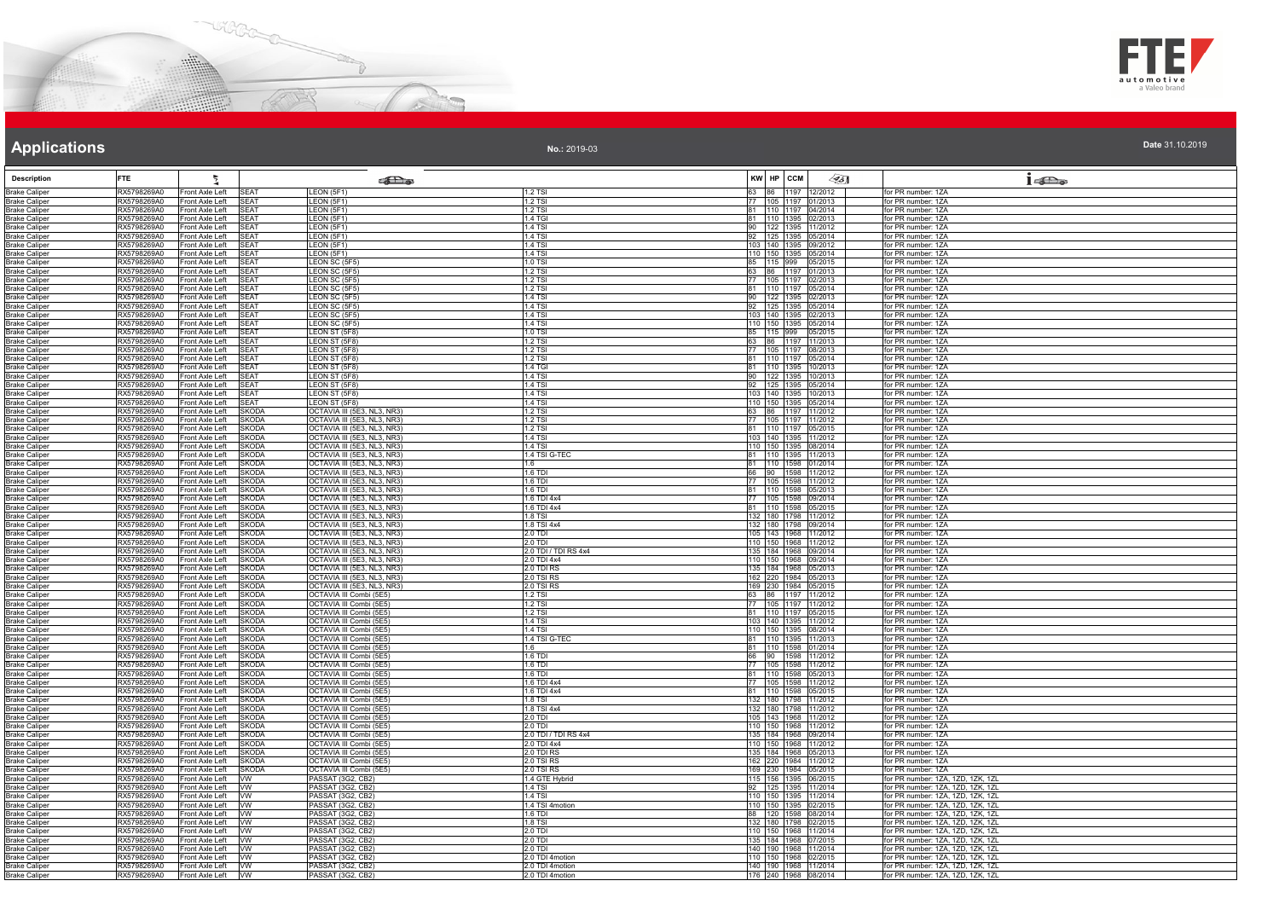



**No.:** 2019-03

| <b>Description</b>                           | <b>FTE</b>                 | ħ,                                                               | கில                                                        |                                 | KW HP CCM | $\llap{0.1cm}$                                  | $1 - \sum_{\omega}$                                                    |
|----------------------------------------------|----------------------------|------------------------------------------------------------------|------------------------------------------------------------|---------------------------------|-----------|-------------------------------------------------|------------------------------------------------------------------------|
| <b>Brake Caliper</b>                         | RX5798269A0                | Front Axle Left<br><b>SEAT</b>                                   | LEON (5F1)                                                 | $1.2$ TSI                       |           | 63 86 1197 12/2012                              | for PR number: 1ZA                                                     |
| <b>Brake Caliper</b>                         | RX5798269A0                | Front Axle Left<br>SEAT                                          | <b>EON (5F1)</b>                                           | 1.2 TSI                         |           | 77 105 1197 01/2013                             | for PR number: 1ZA                                                     |
| <b>Brake Caliper</b>                         | RX5798269A0                | Front Axle Left<br><b>SEAT</b>                                   | LEON(5F1)                                                  | $1.2$ TSI                       |           | 81 110 1197 04/2014                             | for PR number: 1ZA                                                     |
| <b>Brake Caliper</b><br><b>Brake Caliper</b> | RX5798269A0<br>RX5798269A0 | Front Axle Left<br><b>SEAT</b><br>Front Axle Left<br>SEAT        | <b>EON (5F1)</b><br>LEON (5F1)                             | .4 TGI<br>1.4 TSI               |           | 81 110 1395 02/2013<br>90 122 1395 11/2012      | for PR number: 1ZA<br>for PR number: 1ZA                               |
| <b>Brake Caliper</b>                         | RX5798269A0                | <b>SFAT</b><br>Front Axle Left                                   | LEON (5F1)                                                 | $1.4$ TSI                       |           | 92 125 1395 05/2014                             | for PR number: 1ZA                                                     |
| <b>Brake Caliper</b>                         | RX5798269A0                | Front Axle Left<br><b>SEAT</b>                                   | LEON (5F1)                                                 | $1.4$ TSI                       |           | 103 140 1395 09/2012                            | for PR number: 1ZA                                                     |
| <b>Brake Caliper</b><br><b>Brake Caliper</b> | RX5798269A0<br>RX5798269A0 | Front Axle Left<br><b>SEAT</b><br>Front Axle Left<br><b>SEAT</b> | LEON (5F1)<br>LEON SC (5F5)                                | 1.4 TSI<br>$1.0$ TSI            |           | 110 150 1395 05/2014<br>85 115 999 05/2015      | for PR number: 1ZA<br>for PR number: 1ZA                               |
| <b>Brake Caliper</b>                         | RX5798269A0                | Front Axle Left<br><b>SFAT</b>                                   | LEON SC (5F5)                                              | 1.2 TSI                         |           | 63 86 1197 01/2013                              | for PR number: 1ZA                                                     |
| <b>Brake Caliper</b>                         | RX5798269A0                | SEAT<br>Front Axle Left                                          | LEON SC (5F5                                               | 1.2 TSI                         |           | 77 105 1197 02/2013                             | for PR number: 1ZA                                                     |
| <b>Brake Caliper</b>                         | RX5798269A0<br>RX5798269A0 | Front Axle Left<br>SEAT<br>SEAT                                  | LEON SC (5F5)                                              | 1.2 TSI<br>1.4 TSI              |           | 81 110 1197 05/2014                             | for PR number: 1ZA<br>for PR number: 1ZA                               |
| <b>Brake Caliper</b><br><b>Brake Caliper</b> | RX5798269A0                | Front Axle Left<br><b>SEAT</b><br>Front Axle Left                | EON SC (5F5)<br>LEON SC (5F5)                              | $1.4$ TSI                       |           | 90 122 1395 02/2013<br>92 125 1395 05/2014      | for PR number: 1ZA                                                     |
| <b>Brake Caliper</b>                         | RX5798269A0                | Front Axle Left<br>EAT                                           | EON SC (5F5)                                               | .4 TSI                          |           | 103 140 1395 02/2013                            | or PR number: 1ZA                                                      |
| <b>Brake Caliper</b>                         | RX5798269A0<br>RX5798269A0 | Front Axle Left<br>SEAT<br><b>SEAT</b><br>Front Axle Left        | LEON SC (5F5)<br>LEON ST (5F8)                             | 1.4 TSI<br>1.0 TSI              |           | 110 150 1395 05/2014<br>85 115 999 05/2015      | for PR number: 1ZA<br>for PR number: 1ZA                               |
| <b>Brake Caliper</b><br><b>Brake Caliper</b> | RX5798269A0                | Front Axle Left<br><b>SEAT</b>                                   | LEON ST (5F8)                                              | 1.2 TSI                         |           | 63 86 1197 11/2013                              | for PR number: 1ZA                                                     |
| <b>Brake Caliper</b>                         | RX5798269A0                | <b>SEAT</b><br>Front Axle Left                                   | EON ST (5F8)                                               | $1.2$ TSI                       |           | 77 105 1197 08/2013                             | for PR number: 1ZA                                                     |
| <b>Brake Caliper</b>                         | RX5798269A0                | Front Axle Left<br><b>SEAT</b>                                   | LEON ST (5F8)                                              | $1.2$ TSI                       |           | 81 110 1197 05/2014                             | for PR number: 1ZA                                                     |
| <b>Brake Caliper</b>                         | RX5798269A0                | Front Axle Left<br><b>SFAT</b>                                   | LEON ST (5F8)                                              | 1.4 TGI<br>1.4 TSI              |           | 81 110 1395 10/2013                             | for PR number: 1ZA                                                     |
| <b>Brake Caliper</b><br><b>Brake Caliper</b> | RX5798269A0<br>RX5798269A0 | <b>SEAT</b><br>Front Axle Left<br>Front Axle Left<br>SEAT        | LEON ST (5F8)<br>LEON ST (5F8)                             | $1.4$ TSI                       |           | 90 122 1395 10/2013<br>92 125 1395 05/2014      | for PR number: 1ZA<br>for PR number: 1ZA                               |
| <b>Brake Caliper</b>                         | RX5798269A0                | Front Axle Left<br>SEAT                                          | LEON ST (5F8)                                              | $1.4$ TSI                       |           | 103 140 1395 10/2013                            | for PR number: 1ZA                                                     |
| <b>Brake Caliper</b>                         | RX5798269A0                | Front Axle Left<br><b>SEAT</b>                                   | <b>EON ST (5F8)</b>                                        | $1.4$ TSI                       |           | 110 150 1395 05/2014                            | for PR number: 1ZA                                                     |
| <b>Brake Caliper</b>                         | RX5798269A0<br>RX5798269A0 | Front Axle Left<br><b>SKODA</b><br>Front Axle Left<br>SKODA      | OCTAVIA III (5E3, NL3, NR3)<br>OCTAVIA III (5E3, NL3, NR3) | 1.2 TSI<br>1.2 TSI              |           | 63 86 1197 11/2012<br>77   105   1197   11/2012 | for PR number: 1ZA<br>for PR number: 1ZA                               |
| <b>Brake Caliper</b><br><b>Brake Caliper</b> | RX5798269A0                | SKODA<br>Front Axle Left                                         | OCTAVIA III (5E3, NL3, NR3)                                | $1.2$ TSI                       |           | 81 110 1197 05/2015                             | for PR number: 1ZA                                                     |
| <b>Brake Caliper</b>                         | RX5798269A0                | Front Axle Left<br>SKODA                                         | OCTAVIA III (5E3, NL3, NR3)                                | $1.4$ TSI                       |           | 103 140 1395 11/2012                            | for PR number: 1ZA                                                     |
| <b>Brake Caliper</b>                         | RX5798269A0                | Front Axle Left<br><b>SKODA</b>                                  | OCTAVIA III (5E3, NL3, NR3)                                | 1.4 TSI                         |           | 110 150 1395 08/2014                            | for PR number: 1ZA                                                     |
| <b>Brake Caliper</b><br><b>Brake Caliper</b> | RX5798269A0<br>RX5798269A0 | Front Axle Left<br>SKODA<br>Front Axle Left<br>SKODA             | OCTAVIA III (5E3, NL3, NR3)<br>OCTAVIA III (5E3, NL3, NR3) | 1.4 TSI G-TEC<br>1.6            |           | 81 110 1395 11/2013<br>81 110 1598 01/2014      | for PR number: 1ZA<br>for PR number: 1ZA                               |
| <b>Brake Caliper</b>                         | RX5798269A0                | SKODA<br>Front Axle Left                                         | OCTAVIA III (5E3, NL3, NR3)                                | $1.6$ TDI                       |           | 66 90 1598 11/2012                              | for PR number: 1ZA                                                     |
| <b>Brake Caliper</b>                         | RX5798269A0                | Front Axle Left<br>SKODA                                         | OCTAVIA III (5E3, NL3, NR3)                                | $1.6$ TDI                       |           | 77 105 1598 11/2012                             | for PR number: 1ZA                                                     |
| <b>Brake Caliper</b>                         | RX5798269A0<br>RX5798269A0 | Front Axle Left<br>SKODA<br>Front Axle Left<br>SKODA             | OCTAVIA III (5E3, NL3, NR3)<br>OCTAVIA III (5E3, NL3, NR3) | 1.6 TDI<br>$1.6$ TDI $4x4$      |           | 81 110 1598 05/2013<br>77 105 1598 09/2014      | for PR number: 1ZA<br>for PR number: 1ZA                               |
| <b>Brake Caliper</b><br><b>Brake Caliper</b> | RX5798269A0                | Front Axle Left<br>SKODA                                         | OCTAVIA III (5E3, NL3, NR3)                                | .6 TDI 4x4                      |           | 81 110 1598 05/2015                             | for PR number: 1ZA                                                     |
| <b>Brake Caliper</b>                         | RX5798269A0                | Front Axle Left<br>SKODA                                         | OCTAVIA III (5E3, NL3, NR3)                                | 1.8 TSI                         |           | 132 180 1798 11/2012                            | for PR number: 1ZA                                                     |
| <b>Brake Caliper</b>                         | RX5798269A0                | <b>SKODA</b><br>Front Axle Left                                  | OCTAVIA III (5E3, NL3, NR3)                                | 1.8 TSI 4x4                     |           | 132 180 1798 09/2014                            | for PR number: 1ZA                                                     |
| <b>Brake Caliper</b><br><b>Brake Caliper</b> | RX5798269A0<br>RX5798269A0 | Front Axle Left<br>SKODA<br>Front Axle Left<br><b>SKODA</b>      | OCTAVIA III (5E3, NL3, NR3)<br>OCTAVIA III (5E3, NL3, NR3) | 2.0 TDI<br>2.0 TDI              |           | 105 143 1968 11/2012<br>110 150 1968 11/2012    | for PR number: 1ZA<br>for PR number: 1ZA                               |
| <b>Brake Caliper</b>                         | RX5798269A0                | Front Axle Left<br>SKODA                                         | OCTAVIA III (5E3, NL3, NR3)                                | 2.0 TDI / TDI RS 4x4            |           | 135 184 1968 09/2014                            | for PR number: 1ZA                                                     |
| <b>Brake Caliper</b>                         | RX5798269A0                | Front Axle Left<br><b>SKODA</b>                                  | OCTAVIA III (5E3, NL3, NR3)                                | 2.0 TDI 4x4                     |           | 110 150 1968 09/2014                            | for PR number: 1ZA                                                     |
| <b>Brake Caliper</b><br><b>Brake Caliper</b> | RX5798269A0<br>RX5798269A0 | SKODA<br>Front Axle Left<br>Front Axle Left<br>SKODA             | OCTAVIA III (5E3, NL3, NR3)<br>OCTAVIA III (5E3, NL3, NR3) | 2.0 TDI RS<br>2.0 TSI RS        |           | 135 184 1968 05/2013<br>162 220 1984 05/2013    | for PR number: 1ZA<br>for PR number: 1ZA                               |
| <b>Brake Caliper</b>                         | RX5798269A0                | Front Axle Left<br>SKODA                                         | OCTAVIA III (5E3, NL3, NR3)                                | 2.0 TSI RS                      |           | 169 230 1984 05/2015                            | for PR number: 1ZA                                                     |
| <b>Brake Caliper</b>                         | RX5798269A0                | Front Axle Left<br><b>SKODA</b>                                  | OCTAVIA III Combi (5E5)                                    | $1.2$ TSI                       |           | 63 86 1197 11/2012                              | for PR number: 1ZA                                                     |
| <b>Brake Caliper</b><br><b>Brake Caliper</b> | RX5798269A0<br>RX5798269A0 | Front Axle Left<br>SKODA<br>Front Axle Left<br>SKODA             | OCTAVIA III Combi (5E5)<br>OCTAVIA III Combi (5E5)         | $1.2$ TSI<br>$1.2$ TSI          |           | 77 105 1197 11/2012<br>81 110 1197 05/2015      | for PR number: 1ZA<br>for PR number: 1ZA                               |
| <b>Brake Caliper</b>                         | RX5798269A0                | SKODA<br>Front Axle Left                                         | OCTAVIA III Combi (5E5)                                    | $1.4$ TSI                       |           | 103 140 1395 11/2012                            | for PR number: 1ZA                                                     |
| <b>Brake Caliper</b>                         | RX5798269A0                | Front Axle Left<br><b>SKODA</b>                                  | OCTAVIA III Combi (5E5)                                    | 1.4 TSI                         |           | 110 150 1395 08/2014                            | for PR number: 1ZA                                                     |
| <b>Brake Caliper</b>                         | RX5798269A0<br>RX5798269A0 | Front Axle Left<br><b>SKODA</b><br>Front Axle Left<br>SKODA      | OCTAVIA III Combi (5E5)<br>OCTAVIA III Combi (5E5)         | 1.4 TSI G-TEC                   |           | 81  110  1395  11/2013<br>81 110 1598 01/2014   | for PR number: 1ZA<br>for PR number: 1ZA                               |
| <b>Brake Caliper</b><br><b>Brake Caliper</b> | RX5798269A0                | Front Axle Left<br>SKODA                                         | OCTAVIA III Combi (5E5)                                    | 1.6<br>1.6 TDI                  |           | 90 1598 11/2012                                 | for PR number: 1ZA                                                     |
| <b>Brake Caliper</b>                         | RX5798269A0                | SKODA<br>Front Axle Left                                         | OCTAVIA III Combi (5E5)                                    | $16$ TDI                        |           | 77 105 1598 11/2012                             | for PR number: 1ZA                                                     |
| <b>Brake Caliper</b>                         | RX5798269A0                | Front Axle Left<br>SKODA                                         | OCTAVIA III Combi (5E5)                                    | $1.6$ TDI                       |           | 81 110 1598 05/2013                             | for PR number: 1ZA                                                     |
| <b>Brake Caliper</b><br><b>Brake Caliper</b> | RX5798269A0<br>RX5798269A0 | Front Axle Left<br>SKODA<br>SKODA<br>Front Axle Left             | OCTAVIA III Combi (5E5)<br><b>OCTAVIA III Combi (5E5)</b>  | 1.6 TDI 4x4<br>1.6 TDI 4x4      |           | 77 105 1598 11/2012<br>81 110 1598 05/2015      | for PR number: 1ZA<br>for PR number: 1ZA                               |
| <b>Brake Caliper</b>                         | RX5798269A0                | Front Axle Left<br>SKODA                                         | <b>OCTAVIA III Combi (5E5)</b>                             | $.8$ TSI                        |           | 132 180 1798 11/2012                            | for PR number: 1ZA                                                     |
| <b>Brake Caliper</b>                         | RX5798269A0                | Front Axle Left<br>SKODA                                         | OCTAVIA III Combi (5E5)                                    | 1.8 TSI 4x4                     |           | 132 180 1798 11/2012                            | for PR number: 1ZA                                                     |
| <b>Brake Caliper</b>                         | RX5798269A0                | <b>SKODA</b><br>Front Axle Left                                  | OCTAVIA III Combi (5E5)                                    | 2.0 TDI                         |           | 105 143 1968 11/2012                            | for PR number: 1ZA                                                     |
| <b>Brake Caliper</b><br><b>Brake Caliper</b> | RX5798269A0<br>RX5798269A0 | Front Axle Left<br>SKODA<br>Front Axle Left<br><b>SKODA</b>      | OCTAVIA III Combi (5E5)<br>OCTAVIA III Combi (5E5)         | 2.0 TDI<br>2.0 TDI / TDI RS 4x4 |           | 110 150 1968 11/2012<br>135 184 1968 09/2014    | for PR number: 1ZA<br>for PR number: 1ZA                               |
| <b>Brake Caliper</b>                         | RX5798269A0                | Front Axle Left<br>SKODA                                         | <b>OCTAVIA III Combi (5E5)</b>                             | 2.0 TDI 4x4                     |           | 110 150 1968 11/2012                            | for PR number: 1ZA                                                     |
| <b>Brake Caliper</b>                         | RX5798269A0                | Front Axle Left<br>SKODA                                         | OCTAVIA III Combi (5E5)                                    | 2.0 TDI RS                      |           | 135 184 1968 05/2013                            | for PR number: 1ZA                                                     |
| <b>Brake Caliper</b><br><b>Brake Caliper</b> | RX5798269A0<br>RX5798269A0 | SKODA<br>Front Axle Left<br>Front Axle Left<br>SKODA             | OCTAVIA III Combi (5E5)<br>OCTAVIA III Combi (5E5)         | 2.0 TSI RS<br>2.0 TSI RS        |           | 162 220 1984 11/2012<br>169 230 1984 05/2015    | for PR number: 1ZA<br>for PR number: 1ZA                               |
| <b>Brake Caliper</b>                         | RX5798269A0                | Front Axle Left<br><b>VW</b>                                     | PASSAT (3G2, CB2)                                          | 1.4 GTE Hybrid                  |           | 115 156 1395 06/2015                            | for PR number: 1ZA, 1ZD, 1ZK, 1ZL                                      |
| <b>Brake Caliper</b>                         | RX5798269A0                | Front Axle Left<br>VW.                                           | PASSAT (3G2, CB2)                                          | $1.4$ TSI                       |           | 92 125 1395 11/2014                             | for PR number: 1ZA, 1ZD, 1ZK, 1ZL                                      |
| <b>Brake Caliper</b>                         | RX5798269A0<br>RX5798269A0 | Front Axle Left<br>W<br>VW.                                      | PASSAT (3G2, CB2)                                          | .4 TSI                          |           | 110 150 1395 11/2014                            | for PR number: 1ZA, 1ZD, 1ZK, 1ZL                                      |
| <b>Brake Caliper</b><br><b>Brake Caliper</b> | RX5798269A0                | Front Axle Left<br><b>VW</b><br>Front Axle Left                  | PASSAT (3G2, CB2)<br>PASSAT (3G2, CB2)                     | 1.4 TSI 4motion<br>$1.6$ TDI    |           | 110 150 1395 02/2015<br>88 120 1598 08/2014     | for PR number: 1ZA, 1ZD, 1ZK, 1ZL<br>for PR number: 1ZA, 1ZD, 1ZK, 1ZL |
| <b>Brake Caliper</b>                         | RX5798269A0                | Front Axle Left<br><b>VW</b>                                     | PASSAT (3G2, CB2)                                          | 1.8 TSI                         |           | 132 180 1798 02/2015                            | for PR number: 1ZA, 1ZD, 1ZK, 1ZL                                      |
| <b>Brake Caliper</b>                         | RX5798269A0                | Front Axle Left<br><b>VW</b>                                     | PASSAT (3G2, CB2)                                          | 2.0 TDI                         |           | 110 150 1968 11/2014                            | for PR number: 1ZA, 1ZD, 1ZK, 1ZL                                      |
| <b>Brake Caliper</b><br><b>Brake Caliper</b> | RX5798269A0<br>RX5798269A0 | Front Axle Left<br><b>VW</b><br>Front Axle Left<br><b>VW</b>     | PASSAT (3G2, CB2)<br>PASSAT (3G2, CB2)                     | 2.0 TDI<br>2.0 TDI              |           | 135 184 1968 07/2015<br>140 190 1968 11/2014    | for PR number: 1ZA, 1ZD, 1ZK, 1ZL<br>for PR number: 1ZA, 1ZD, 1ZK, 1ZL |
| <b>Brake Caliper</b>                         | RX5798269A0                | <b>VW</b><br>Front Axle Left                                     | PASSAT (3G2, CB2)                                          | 2.0 TDI 4motion                 |           | 110 150 1968 02/2015                            | for PR number: 1ZA, 1ZD, 1ZK, 1ZL                                      |
| <b>Brake Caliper</b>                         | RX5798269A0                | Front Axle Left<br><b>VW</b>                                     | PASSAT (3G2, CB2)                                          | 2.0 TDI 4motion                 |           | 140 190 1968 11/2014                            | for PR number: 1ZA, 1ZD, 1ZK, 1ZL                                      |
| <b>Brake Caliper</b>                         | RX5798269A0                | Front Axle Left<br><b>VW</b>                                     | PASSAT (3G2, CB2)                                          | 2.0 TDI 4motion                 |           | 176 240 1968 08/2014                            | for PR number: 1ZA, 1ZD, 1ZK, 1ZL                                      |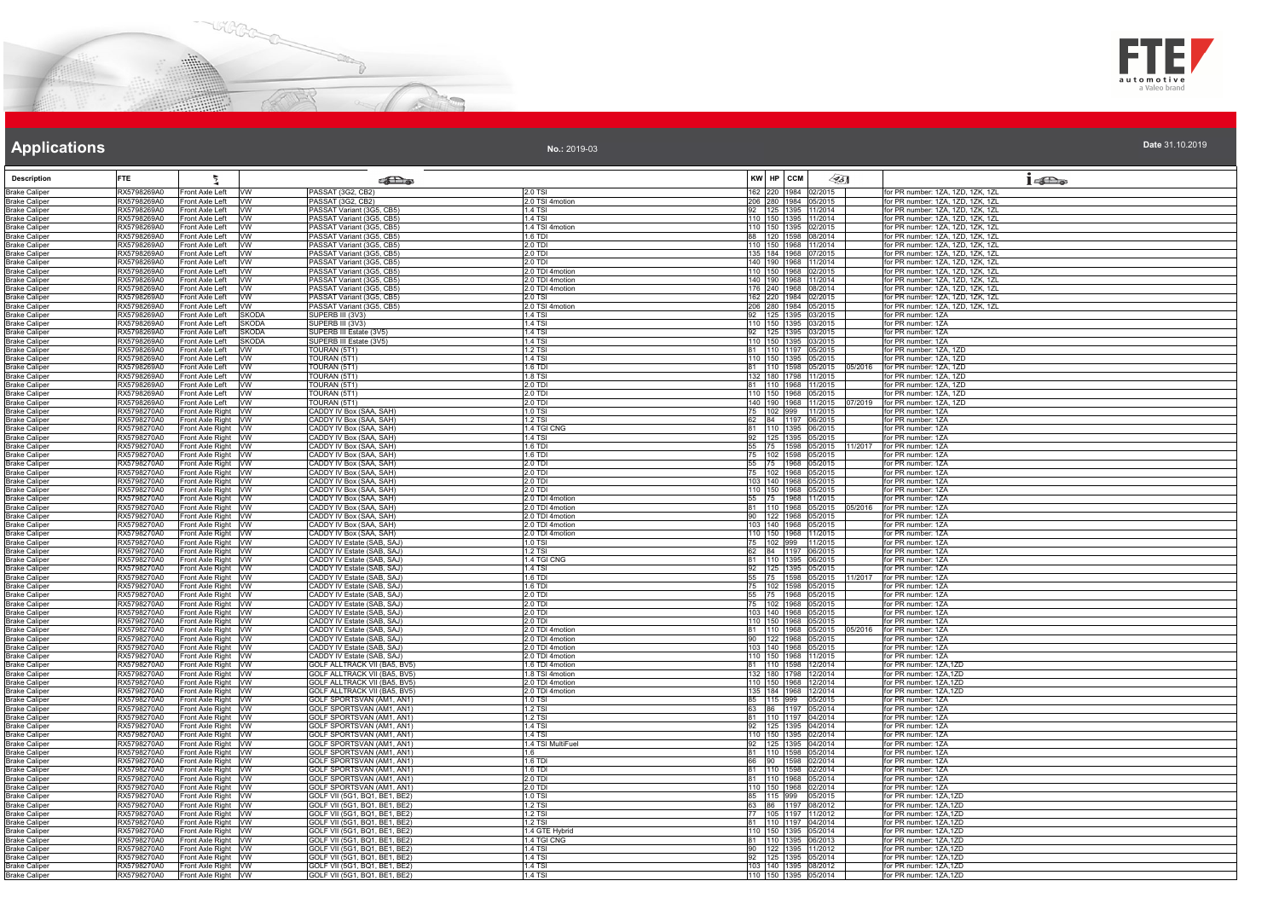



| Date 31.10.2019 |  |  |  |  |
|-----------------|--|--|--|--|
|                 |  |  |  |  |

|                                              | <b>FTE</b>                 |                                            |                              |                                                                   |                                    |                                              |                                |                                                                        |
|----------------------------------------------|----------------------------|--------------------------------------------|------------------------------|-------------------------------------------------------------------|------------------------------------|----------------------------------------------|--------------------------------|------------------------------------------------------------------------|
| <b>Description</b>                           | RX5798269A0                | Ĭ.                                         |                              | <b>SEL</b> @                                                      | 2.0 TSI                            | KW HP CCM                                    | $\llap{0.1cm}$                 | 1522                                                                   |
| <b>Brake Caliper</b><br><b>Brake Caliper</b> | RX5798269A0                | Front Axle Left<br>Front Axle Left         | <b>WW</b><br><b>VW</b>       | PASSAT (3G2, CB2)<br>PASSAT (3G2, CB2)                            | 2.0 TSI 4motion                    | 162 220 1984 02/2015<br>206 280 1984 05/2015 |                                | for PR number: 1ZA, 1ZD, 1ZK, 1ZL<br>for PR number: 1ZA, 1ZD, 1ZK, 1ZL |
| <b>Brake Caliper</b>                         | RX5798269A0                | Front Axle Left   VW                       |                              | PASSAT Variant (3G5, CB5)                                         | 1.4 TSI                            | 92   125   1395   11/2014                    |                                | for PR number: 1ZA, 1ZD, 1ZK, 1ZL                                      |
| <b>Brake Caliper</b>                         | RX5798269A0                | Front Axle Left                            | <b>VW</b>                    | PASSAT Variant (3G5, CB5)                                         | 1.4 TSI                            | 110 150 1395 11/2014                         |                                | for PR number: 1ZA, 1ZD, 1ZK, 1ZL                                      |
| <b>Brake Caliper</b><br>Brake Caliper        | RX5798269A0<br>RX5798269A0 | Front Axle Left<br>Front Axle Left         | <b>VW</b><br>W               | PASSAT Variant (3G5, CB5)<br>PASSAT Variant (3G5, CB5)            | 1.4 TSI 4motion<br>$1.6$ TDI       | 110 150 1395 02/2015<br>88 120 1598 08/2014  |                                | for PR number: 1ZA, 1ZD, 1ZK, 1ZL<br>for PR number: 1ZA, 1ZD, 1ZK, 1ZL |
| <b>Brake Caliper</b>                         | RX5798269A0                | Front Axle Left                            | <b>W</b>                     | PASSAT Variant (3G5, CB5)                                         | 2.0 TDI                            | 110 150 1968 11/2014                         |                                | for PR number: 1ZA, 1ZD, 1ZK, 1ZL                                      |
| <b>Brake Caliper</b>                         | RX5798269A0                | Front Axle Left VW                         |                              | PASSAT Variant (3G5, CB5)                                         | 2.0 TDI                            | 135 184 1968 07/2015                         |                                | for PR number: 1ZA, 1ZD, 1ZK, 1ZL                                      |
| Brake Caliper<br><b>Brake Caliper</b>        | RX5798269A0<br>RX5798269A0 | Front Axle Left WW<br>Front Axle Left      | <b>VW</b>                    | PASSAT Variant (3G5, CB5)<br>PASSAT Variant (3G5, CB5)            | 2.0 TDI<br>2.0 TDI 4motion         | 140 190 1968 11/2014<br>110 150 1968 02/2015 |                                | for PR number: 1ZA, 1ZD, 1ZK, 1ZL<br>for PR number: 1ZA, 1ZD, 1ZK, 1ZL |
| <b>Brake Caliper</b>                         | RX5798269A0                | Front Axle Left                            | <b>VW</b>                    | PASSAT Variant (3G5, CB5)                                         | 2.0 TDI 4motion                    | 140 190 1968 11/2014                         |                                | for PR number: 1ZA, 1ZD, 1ZK, 1ZL                                      |
| <b>Brake Caliper</b>                         | RX5798269A0                | Front Axle Left VW                         |                              | PASSAT Variant (3G5, CB5)                                         | 2.0 TDI 4motion                    | 176 240 1968 08/2014                         |                                | for PR number: 1ZA, 1ZD, 1ZK, 1ZL                                      |
| <b>Brake Caliper</b><br><b>Brake Caliper</b> | RX5798269A0<br>RX5798269A0 | Front Axle Left VW<br>Front Axle Left      | W                            | PASSAT Variant (3G5, CB5)<br>PASSAT Variant (3G5, CB5)            | 2.0 TSI<br>2.0 TSI 4motion         | 162 220 1984 02/2015<br>206 280 1984 05/2015 |                                | for PR number: 1ZA, 1ZD, 1ZK, 1ZL<br>for PR number: 1ZA, 1ZD, 1ZK, 1ZL |
| Brake Caliper                                | RX5798269A0                | Front Axle Left                            | <b>SKODA</b>                 | SUPERB III (3V3)                                                  | 1.4 TSI                            | 92 125 1395 03/2015                          |                                | for PR number: 1ZA                                                     |
| <b>Brake Caliper</b>                         | RX5798269A0                | Front Axle Left                            | <b>SKODA</b>                 | SUPERB III (3V3)                                                  | 1.4 TSI                            | 110 150 1395 03/2015                         |                                | for PR number: 1ZA                                                     |
| Brake Caliper<br><b>Brake Caliper</b>        | RX5798269A0<br>RX5798269A0 | Front Axle Left<br>Front Axle Left         | <b>SKODA</b><br><b>SKODA</b> | SUPERB III Estate (3V5)<br>SUPERB III Estate (3V5)                | 1.4 TSI<br>1.4 TSI                 | 92 125 1395 03/2015<br>110 150 1395 03/2015  |                                | for PR number: 1ZA<br>for PR number: 1ZA                               |
| <b>Brake Caliper</b>                         | RX5798269A0                | Front Axle Left VW                         |                              | TOURAN (5T1)                                                      | $1.2$ TSI                          | 81 110 1197 05/2015                          |                                | for PR number: 1ZA, 1ZD                                                |
| <b>Brake Caliper</b>                         | RX5798269A0                | Front Axle Left VW                         |                              | TOURAN (5T1)                                                      | $1.4$ TSI                          | 110 150 1395 05/2015                         |                                | for PR number: 1ZA, 1ZD                                                |
| <b>Brake Caliper</b><br>Brake Caliper        | RX5798269A0<br>RX5798269A0 | Front Axle Left<br>Front Axle Left         | <b>VW</b><br><b>VW</b>       | TOURAN (5T1)<br>TOURAN (5T1)                                      | 1.6 TDI<br>1.8 TSI                 | 132 180 1798 11/2015                         | 81 110 1598 05/2015<br>05/2016 | for PR number: 1ZA, 1ZD<br>for PR number: 1ZA, 1ZD                     |
| <b>Brake Caliper</b>                         | RX5798269A0                | Front Axle Left VW                         |                              | TOURAN (5T1)                                                      | 2.0 TDI                            | 81 110 1968 11/2015                          |                                | for PR number: 1ZA, 1ZD                                                |
| <b>Brake Caliper</b>                         | RX5798269A0                | Front Axle Left                            | <b>VW</b>                    | TOURAN (5T1)                                                      | 2.0 TDI                            | 110 150 1968 05/2015                         |                                | for PR number: 1ZA, 1ZD                                                |
| <b>Brake Caliper</b>                         | RX5798269A0<br>RX5798270A0 | Front Axle Left VW<br>Front Axle Right VW  |                              | TOURAN (5T1)<br>CADDY IV Box (SAA, SAH)                           | 2.0 TDI<br>1.0 TSI                 | 75 102 999 11/2015                           | 140 190 1968 11/2015           | 07/2019 for PR number: 1ZA, 1ZD<br>for PR number: 1ZA                  |
| <b>Brake Caliper</b><br><b>Brake Caliper</b> | RX5798270A0                | Front Axle Right VW                        |                              | CADDY IV Box (SAA, SAH)                                           | 1.2 TSI                            | 62 84 1197 06/2015                           |                                | for PR number: 1ZA                                                     |
| Brake Caliper                                | RX5798270A0                | Front Axle Right VW                        |                              | CADDY IV Box (SAA, SAH)                                           | 1.4 TGI CNG                        | 81 110 1395 06/2015                          |                                | for PR number: 1ZA                                                     |
| <b>Brake Caliper</b><br><b>Brake Caliper</b> | RX5798270A0<br>RX5798270A0 | Front Axle Right VW                        |                              | CADDY IV Box (SAA, SAH)                                           | <b>1.4 TSI</b><br>1.6 TDI          | 92 125 1395 05/2015                          | 11/2017                        | for PR number: 1ZA<br>for PR number: 1ZA                               |
| <b>Brake Caliper</b>                         | RX5798270A0                | Front Axle Right VW<br>Front Axle Right VW |                              | CADDY IV Box (SAA, SAH)<br>CADDY IV Box (SAA, SAH)                | $1.6$ TDI                          | 55 75 1598 05/2015<br>75 102 1598 05/2015    |                                | for PR number: 1ZA                                                     |
| <b>Brake Caliper</b>                         | RX5798270A0                | Front Axle Right VW                        |                              | CADDY IV Box (SAA, SAH)                                           | 2.0 TDI                            | 55 75 1968 05/2015                           |                                | for PR number: 1ZA                                                     |
| <b>Brake Caliper</b>                         | RX5798270A0<br>RX5798270A0 | Front Axle Right VW<br>Front Axle Right WW |                              | CADDY IV Box (SAA, SAH)<br>CADDY IV Box (SAA, SAH)                | 2.0 TDI<br>2.0 TDI                 | 75 102 1968 05/2015<br>103 140 1968 05/2015  |                                | for PR number: 1ZA<br>for PR number: 1ZA                               |
| <b>Brake Caliper</b><br><b>Brake Caliper</b> | RX5798270A0                | Front Axle Right VW                        |                              | CADDY IV Box (SAA, SAH)                                           | 2.0 TDI                            | 110 150 1968 05/2015                         |                                | for PR number: 1ZA                                                     |
| Brake Caliper                                | RX5798270A0                | Front Axle Right VW                        |                              | CADDY IV Box (SAA, SAH)                                           | 2.0 TDI 4motion                    | 55 75 1968 11/2015                           |                                | for PR number: 1ZA                                                     |
| <b>Brake Caliper</b>                         | RX5798270A0                | Front Axle Right VW                        |                              | CADDY IV Box (SAA, SAH)                                           | 2.0 TDI 4motion                    |                                              | 81 110 1968 05/2015<br>5/2016  | for PR number: 1ZA                                                     |
| <b>Brake Caliper</b><br><b>Brake Caliper</b> | RX5798270A0<br>RX5798270A0 | Front Axle Right VW<br>Front Axle Right WW |                              | CADDY IV Box (SAA, SAH)<br>CADDY IV Box (SAA, SAH)                | 2.0 TDI 4motion<br>2.0 TDI 4motion | 90 122 1968 05/2015<br>103 140 1968 05/2015  |                                | for PR number: 1ZA<br>for PR number: 1ZA                               |
| <b>Brake Caliper</b>                         | RX5798270A0                | Front Axle Right VW                        |                              | CADDY IV Box (SAA, SAH)                                           | 2.0 TDI 4motion                    | 110 150 1968 11/2015                         |                                | for PR number: 1ZA                                                     |
| <b>Brake Caliper</b>                         | RX5798270A0<br>RX5798270A0 | Front Axle Right VW<br>Front Axle Right VW |                              | CADDY IV Estate (SAB, SAJ)<br>CADDY IV Estate (SAB, SAJ)          | 1.0 TSI<br>$1.2$ TSI               | 75 102 999 11/2015                           |                                | for PR number: 1ZA<br>for PR number: 1ZA                               |
| <b>Brake Caliper</b><br><b>Brake Caliper</b> | RX5798270A0                | Front Axle Right VW                        |                              | CADDY IV Estate (SAB, SAJ)                                        | 1.4 TGI CNG                        | 62 84 1197 06/2015<br>81 110 1395 06/2015    |                                | for PR number: 1ZA                                                     |
| <b>Brake Caliper</b>                         | RX5798270A0                | Front Axle Right VW                        |                              | CADDY IV Estate (SAB, SAJ)                                        | 1.4 TSI                            | 92   125   1395   05/2015                    |                                | for PR number: 1ZA                                                     |
| <b>Brake Caliper</b>                         | RX5798270A0                | Front Axle Right VW                        |                              | CADDY IV Estate (SAB, SAJ)                                        | 1.6 TDI                            | 55 75 1598 05/2015                           |                                | 1/2017 for PR number: 1ZA                                              |
| <b>Brake Caliper</b><br>Brake Caliper        | RX5798270A0<br>RX5798270A0 | Front Axle Right VW<br>Front Axle Right VW |                              | CADDY IV Estate (SAB, SAJ)<br>CADDY IV Estate (SAB, SAJ)          | 1.6 TDI<br>2.0 TDI                 | 75 102 1598 05/2015<br>55 75 1968 05/2015    |                                | for PR number: 1ZA<br>for PR number: 1ZA                               |
| Brake Caliper                                | RX5798270A0                | Front Axle Right VW                        |                              | CADDY IV Estate (SAB, SAJ)                                        | 2.0 TDI                            | 75 102 1968 05/2015                          |                                | for PR number: 1ZA                                                     |
| <b>Brake Caliper</b>                         | RX5798270A0<br>RX5798270A0 | Front Axle Right VW<br>Front Axle Right VW |                              | CADDY IV Estate (SAB, SAJ)<br>CADDY IV Estate (SAB, SAJ)          | 2.0 TDI<br>2.0 TDI                 | 103 140 1968 05/2015<br>110 150 1968 05/2015 |                                | for PR number: 1ZA<br>for PR number: 1ZA                               |
| <b>Brake Caliper</b><br><b>Brake Caliper</b> | RX5798270A0                | Front Axle Right VW                        |                              | CADDY IV Estate (SAB, SAJ)                                        | 2.0 TDI 4motion                    | 81 110 1968 05/2015                          | 05/2016                        | for PR number: 1ZA                                                     |
| <b>Brake Caliper</b>                         | RX5798270A0                | Front Axle Right VW                        |                              | CADDY IV Estate (SAB, SAJ)                                        | 2.0 TDI 4motion                    | 90   122   1968   05/2015                    |                                | for PR number: 1ZA                                                     |
| <b>Brake Caliper</b>                         | RX5798270A0                | Front Axle Right WW                        |                              | CADDY IV Estate (SAB, SAJ)                                        | 2.0 TDI 4motion                    | 103 140 1968 05/2015                         |                                | for PR number: 1ZA                                                     |
| <b>Brake Caliper</b><br><b>Brake Caliper</b> | RX5798270A0<br>RX5798270A0 | Front Axle Right VW<br>Front Axle Right VW |                              | CADDY IV Estate (SAB, SAJ)<br><b>GOLF ALLTRACK VII (BA5, BV5)</b> | 2.0 TDI 4motion<br>1.6 TDI 4motion | 110 150 1968 11/2015<br>81 110 1598 12/2014  |                                | for PR number: 1ZA<br>for PR number: 1ZA,1ZD                           |
| <b>Brake Caliper</b>                         | RX5798270A0                | Front Axle Right VW                        |                              | GOLF ALLTRACK VII (BA5, BV5)                                      | 1.8 TSI 4motion                    | 132 180 1798 12/2014                         |                                | for PR number: 1ZA,1ZD                                                 |
| <b>Brake Caliper</b>                         | RX5798270A0<br>RX5798270A0 | Front Axle Right VW<br>Front Axle Right VW |                              | GOLF ALLTRACK VII (BA5, BV5)<br>GOLF ALLTRACK VII (BA5, BV5)      | 2.0 TDI 4motion<br>2.0 TDI 4motion | 110 150 1968 12/2014<br>135 184 1968 12/2014 |                                | for PR number: 1ZA,1ZD<br>for PR number: 1ZA,1ZD                       |
| Brake Caliper<br><b>Brake Caliper</b>        | RX5798270A0                | Front Axle Right VW                        |                              | GOLF SPORTSVAN (AM1, AN1)                                         | $1.0$ TSI                          | 85 115 999 05/2015                           |                                | for PR number: 1ZA                                                     |
| Brake Caliper                                | RX5798270A0                | Front Axle Right VW                        |                              | GOLF SPORTSVAN (AM1, AN1)                                         | 1.2 TSI                            | 63 86 1197 05/2014                           |                                | for PR number: 1ZA                                                     |
| <b>Brake Caliper</b>                         | RX5798270A0                | Front Axle Right WW                        |                              | GOLF SPORTSVAN (AM1, AN1)                                         | $1.2$ TSI                          | 81 110 1197 04/2014                          |                                | for PR number: 1ZA                                                     |
| Brake Caliper<br><b>Brake Caliper</b>        | RX5798270A0<br>RX5798270A0 | Front Axle Right VW<br>Front Axle Right VW |                              | GOLF SPORTSVAN (AM1, AN1)<br>GOLF SPORTSVAN (AM1, AN1)            | 1.4 TSI<br>1.4 TSI                 | 92 125 1395 04/2014<br>110 150 1395 02/2014  |                                | for PR number: 1ZA<br>for PR number: 1ZA                               |
| <b>Brake Caliper</b>                         | RX5798270A0                | Front Axle Right WW                        |                              | GOLF SPORTSVAN (AM1, AN1)                                         | 1.4 TSI MultiFuel                  | 92 125 1395 04/2014                          |                                | for PR number: 1ZA                                                     |
| <b>Brake Caliper</b>                         | RX5798270A0                | Front Axle Right VW                        |                              | GOLF SPORTSVAN (AM1, AN1)<br><b>GOLF SPORTSVAN (AM1, AN1)</b>     | 1.6<br>16TD                        | 81 110 1598 05/2014                          |                                | for PR number: 1ZA                                                     |
| Brake Caliper<br><b>Brake Caliper</b>        | RX5798270A0<br>RX5798270A0 | Front Axle Right VW<br>Front Axle Right VW |                              | GOLF SPORTSVAN (AM1, AN1)                                         | 1.6 TDI                            | 66 90 1598 02/2014<br>81 110 1598 02/2014    |                                | for PR number: 1ZA<br>for PR number: 1ZA                               |
| <b>Brake Caliper</b>                         | RX5798270A0                | Front Axle Right VW                        |                              | GOLF SPORTSVAN (AM1, AN1)                                         | 2.0 TDI                            | 81 110 1968 05/2014                          |                                | for PR number: 1ZA                                                     |
| <b>Brake Caliper</b>                         | RX5798270A0                | Front Axle Right WW                        |                              | GOLF SPORTSVAN (AM1, AN1)                                         | 2.0 TDI                            | 110 150 1968 02/2014                         |                                | for PR number: 17A                                                     |
| <b>Brake Caliper</b><br><b>Brake Caliper</b> | RX5798270A0<br>RX5798270A0 | Front Axle Right VW<br>Front Axle Right VW |                              | GOLF VII (5G1, BQ1, BE1, BE2)<br>GOLF VII (5G1, BQ1, BE1, BE2)    | $1.0$ TSI<br>$1.2$ TSI             | 85 115 999 05/2015<br>63 86 1197 08/2012     |                                | for PR number: 1ZA,1ZD<br>for PR number: 1ZA,1ZD                       |
| <b>Brake Caliper</b>                         | RX5798270A0                | Front Axle Right VW                        |                              | GOLF VII (5G1, BQ1, BE1, BE2)                                     | $1.2$ TSI                          | 77 105 1197 11/2012                          |                                | for PR number: 1ZA.1ZD                                                 |
| <b>Brake Caliper</b>                         | RX5798270A0                | Front Axle Right VW                        |                              | GOLF VII (5G1, BQ1, BE1, BE2)                                     | $1.2$ TSI                          | 81 110 1197 04/2014                          |                                | for PR number: 1ZA,1ZD                                                 |
| <b>Brake Caliper</b><br><b>Brake Caliper</b> | RX5798270A0<br>RX5798270A0 | Front Axle Right VW<br>Front Axle Right VW |                              | GOLF VII (5G1, BQ1, BE1, BE2)<br>GOLF VII (5G1, BQ1, BE1, BE2)    | 1.4 GTE Hybrid<br>1.4 TGI CNG      | 110 150 1395 05/2014<br>81 110 1395 06/2013  |                                | for PR number: 1ZA,1ZD<br>for PR number: 1ZA,1ZD                       |
| <b>Brake Caliper</b>                         | RX5798270A0                | Front Axle Right VW                        |                              | GOLF VII (5G1, BQ1, BE1, BE2)                                     | 1.4 TSI                            | 90 122 1395 11/2012                          |                                | for PR number: 1ZA,1ZD                                                 |
| <b>Brake Caliper</b>                         | RX5798270A0                | Front Axle Right VW                        |                              | GOLF VII (5G1, BQ1, BE1, BE2)                                     | 1 4 T.SI                           | 92 125 1395 05/2014                          |                                | for PR number: 1ZA,1ZD                                                 |
| <b>Brake Caliper</b><br><b>Brake Caliper</b> | RX5798270A0<br>RX5798270A0 | Front Axle Right WW<br>Front Axle Right VW |                              | GOLF VII (5G1, BQ1, BE1, BE2)<br>GOLF VII (5G1, BQ1, BE1, BE2)    | 1.4 TSI<br>1.4 TSI                 | 103 140 1395 08/2012                         | 110 150 1395 05/2014           | for PR number: 1ZA,1ZD<br>for PR number: 1ZA,1ZD                       |
|                                              |                            |                                            |                              |                                                                   |                                    |                                              |                                |                                                                        |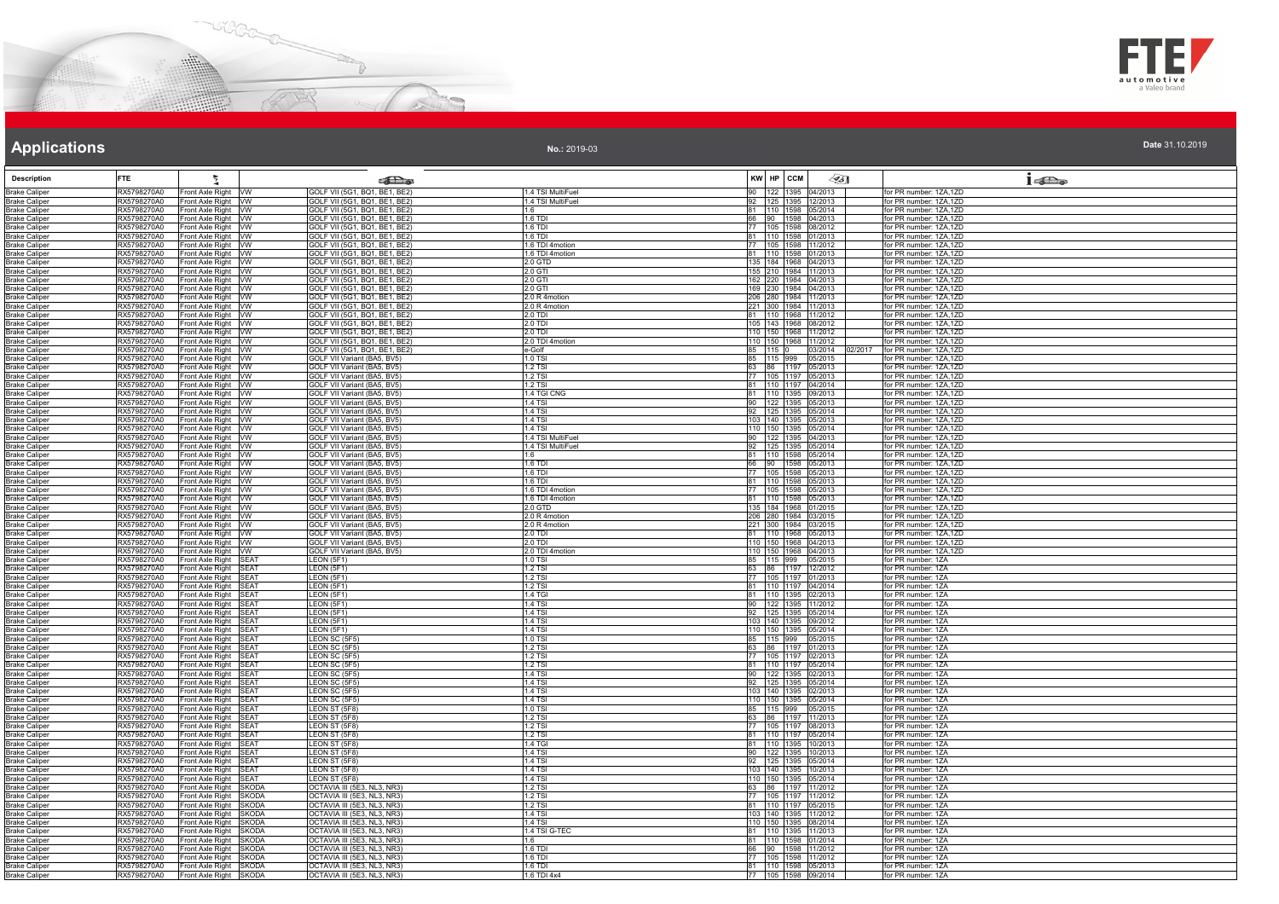



| Date 31.10.2019 |  |  |  |  |
|-----------------|--|--|--|--|
|                 |  |  |  |  |

| <b>Description</b>                           | <b>FTE</b>                 |                                                  | <b>SEL</b> @                                                   |                                |       | KW HP CCM           | $\sqrt{351}$                                     | $1 - \sum_{\alpha}$                              |
|----------------------------------------------|----------------------------|--------------------------------------------------|----------------------------------------------------------------|--------------------------------|-------|---------------------|--------------------------------------------------|--------------------------------------------------|
| <b>Brake Caliper</b>                         | RX5798270A0                | ront Axle Right VW                               | GOLF VII (5G1, BQ1, BE1, BE2)                                  | 1.4 TSI MultiFuel              |       |                     | 90 122 1395 04/2013                              | for PR number: 1ZA,1ZD                           |
| <b>Brake Caliper</b>                         | RX5798270A0                | Front Axle Right VW                              | GOLF VII (5G1, BQ1, BE1, BE2)                                  | 1.4 TSI MultiFuel              |       |                     | 92 125 1395 12/2013                              | for PR number: 1ZA,1ZD                           |
| <b>Brake Caliper</b>                         | RX5798270A0                | Front Axle Right VW                              | GOLF VII (5G1, BQ1, BE1, BE2)                                  | 1.6                            |       |                     | 81 110 1598 05/2014                              | for PR number: 1ZA,1ZD                           |
| Brake Caliper                                | RX5798270A0                | Front Axle Right VW                              | GOLF VII (5G1, BQ1, BE1, BE2)                                  | 1.6 TDI                        |       |                     | 66 90 1598 04/2013                               | for PR number: 1ZA,1ZD                           |
| <b>Brake Caliper</b><br>Brake Caliper        | RX5798270A0<br>RX5798270A0 | Front Axle Right VW<br>Front Axle Right VW       | GOLF VII (5G1, BQ1, BE1, BE2)<br>GOLF VII (5G1, BQ1, BE1, BE2) | 1.6 TDI<br>$1.6$ TDI           |       |                     | 77 105 1598 08/2012<br>81 110 1598 01/2013       | for PR number: 1ZA,1ZD<br>for PR number: 1ZA,1ZD |
| <b>Brake Caliper</b>                         | RX5798270A0                | Front Axle Right VW                              | GOLF VII (5G1, BQ1, BE1, BE2)                                  | 1.6 TDI 4motion                |       |                     | 77 105 1598 11/2012                              | for PR number: 1ZA.1ZD                           |
| <b>Brake Caliper</b>                         | RX5798270A0                | Front Axle Right VW                              | GOLF VII (5G1, BQ1, BE1, BE2)                                  | 1.6 TDI 4motion                |       |                     | 81 110 1598 01/2013                              | for PR number: 1ZA.1ZD                           |
| <b>Brake Caliper</b>                         | RX5798270A0                | Front Axle Right VW                              | GOLF VII (5G1, BQ1, BE1, BE2)                                  | 2.0 GTD                        |       |                     | 135 184 1968 04/2013                             | for PR number: 1ZA,1ZD                           |
| <b>Brake Caliper</b>                         | RX5798270A0                | Front Axle Right VW                              | GOLF VII (5G1, BQ1, BE1, BE2)                                  | 2.0 GTI                        |       |                     | 155 210 1984 11/2013                             | for PR number: 1ZA,1ZD                           |
| <b>Brake Caliper</b><br><b>Brake Caliper</b> | RX5798270A0<br>RX5798270A0 | Front Axle Right VW<br>Front Axle Right VW       | GOLF VII (5G1, BQ1, BE1, BE2)<br>GOLF VII (5G1, BQ1, BE1, BE2) | $2.0$ GTI<br>2.0 GTI           |       |                     | 162 220 1984 04/2013<br>169 230 1984 04/2013     | for PR number: 1ZA.1ZD<br>for PR number: 1ZA,1ZD |
| <b>Brake Caliper</b>                         | RX5798270A0                | Front Axle Right VW                              | GOLF VII (5G1, BQ1, BE1, BE2)                                  | 2.0 R 4motion                  |       |                     | 206 280 1984 11/2013                             | for PR number: 1ZA,1ZD                           |
| <b>Brake Caliper</b>                         | RX5798270A0                | Front Axle Right VW                              | GOLF VII (5G1, BQ1, BE1, BE2)                                  | 2.0 R 4motion                  |       |                     | 221 300 1984 11/2013                             | for PR number: 1ZA,1ZD                           |
| <b>Brake Caliper</b>                         | RX5798270A0                | Front Axle Right VW                              | GOLF VII (5G1, BQ1, BE1, BE2)                                  | 2.0 TDI                        |       |                     | 81 110 1968 11/2012                              | for PR number: 1ZA,1ZD                           |
| Brake Caliper                                | RX5798270A0<br>RX5798270A0 | Front Axle Right VW<br>Front Axle Right VW       | GOLF VII (5G1, BQ1, BE1, BE2)<br>GOLF VII (5G1, BQ1, BE1, BE2) | 2.0 TDI<br>$2.0$ TDI           |       |                     | 105 143 1968 08/2012<br>110 150 1968 11/2012     | for PR number: 1ZA,1ZD<br>for PR number: 1ZA,1ZD |
| <b>Brake Caliper</b><br><b>Brake Caliper</b> | RX5798270A0                | Front Axle Right VW                              | GOLF VII (5G1, BQ1, BE1, BE2)                                  | 2.0 TDI 4motion                |       |                     | 110 150 1968 11/2012                             | for PR number: 1ZA,1ZD                           |
| <b>Brake Caliper</b>                         | RX5798270A0                | Front Axle Right VW                              | GOLF VII (5G1, BQ1, BE1, BE2)                                  | le-Golf                        |       |                     | 85 115 0 03/2014<br>02/2017                      | for PR number: 1ZA,1ZD                           |
| <b>Brake Caliper</b>                         | RX5798270A0                | Front Axle Right VW                              | GOLF VII Variant (BA5, BV5)                                    | 1.0 TSI                        |       |                     | 85 115 999 05/2015                               | for PR number: 1ZA,1ZD                           |
| <b>Brake Caliper</b>                         | RX5798270A0                | Front Axle Right VW                              | GOLF VII Variant (BA5, BV5)                                    | 1.2 TSI                        |       |                     | 63 86 1197 05/2013                               | for PR number: 1ZA,1ZD                           |
| <b>Brake Caliper</b>                         | RX5798270A0                | Front Axle Right WW                              | GOLF VII Variant (BA5, BV5)                                    | $1.2$ TSI                      |       |                     | 77 105 1197 05/2013                              | for PR number: 1ZA.1ZD                           |
| Brake Caliper<br><b>Brake Caliper</b>        | RX5798270A0<br>RX5798270A0 | Front Axle Right VW<br>Front Axle Right VW       | GOLF VII Variant (BA5, BV5)<br>GOLF VII Variant (BA5, BV5)     | 1.2 TSI<br>1.4 TGI CNG         |       |                     | 81 110 1197 04/2014<br>81 110 1395 09/2013       | for PR number: 1ZA,1ZD<br>for PR number: 1ZA,1ZD |
| <b>Brake Caliper</b>                         | RX5798270A0                | Front Axle Right VW                              | GOLF VII Variant (BA5, BV5)                                    | <b>1.4 TSI</b>                 |       |                     | 90 122 1395 05/2013                              | for PR number: 1ZA,1ZD                           |
| <b>Brake Caliper</b>                         | RX5798270A0                | Front Axle Right VW                              | GOLF VII Variant (BA5, BV5)                                    | 1.4 TSI                        |       |                     | 92 125 1395 05/2014                              | for PR number: 1ZA,1ZD                           |
| <b>Brake Caliper</b>                         | RX5798270A0                | Front Axle Right VW                              | GOLF VII Variant (BA5, BV5)                                    | 1.4 TSI                        |       |                     | 103 140 1395 05/2013                             | for PR number: 1ZA,1ZD                           |
| <b>Brake Caliper</b>                         | RX5798270A0<br>RX5798270A0 | Front Axle Right VW<br>Front Axle Right VW       | GOLF VII Variant (BA5, BV5)<br>GOLF VII Variant (BA5, BV5)     | $1.4$ TSI<br>1.4 TSI MultiFuel |       |                     | 110 150 1395 05/2014<br>90 122 1395 04/2013      | for PR number: 1ZA,1ZD<br>for PR number: 1ZA,1ZD |
| <b>Brake Caliper</b><br><b>Brake Caliper</b> | RX5798270A0                | Front Axle Right VW                              | GOLF VII Variant (BA5, BV5)                                    | 1.4 TSI MultiFuel              |       |                     | 92 125 1395 05/2014                              | for PR number: 1ZA.1ZD                           |
| <b>Brake Caliper</b>                         | RX5798270A0                | Front Axle Right VW                              | GOLF VII Variant (BA5, BV5)                                    | 1.6                            |       |                     | 81  110  1598  05/2014                           | for PR number: 1ZA,1ZD                           |
| <b>Brake Caliper</b>                         | RX5798270A0                | Front Axle Right VW                              | GOLF VII Variant (BA5, BV5)                                    | 1.6 TDI                        |       |                     | 66 90 1598 05/2013                               | for PR number: 1ZA,1ZD                           |
| <b>Brake Caliper</b>                         | RX5798270A0                | ront Axle Right VW                               | GOLF VII Variant (BA5, BV5)                                    | $1.6$ TDI                      |       |                     | 77 105 1598 05/2013                              | for PR number: 1ZA,1ZD<br>for PR number: 1ZA,1ZD |
| <b>Brake Caliper</b><br><b>Brake Caliper</b> | RX5798270A0<br>RX5798270A0 | Front Axle Right VW<br>Front Axle Right VW       | GOLF VII Variant (BA5, BV5)<br>GOLF VII Variant (BA5, BV5)     | $1.6$ TDI<br>1.6 TDI 4motion   |       |                     | 81 110 1598 05/2013<br>77 105 1598 05/2013       | for PR number: 1ZA.1ZD                           |
| <b>Brake Caliper</b>                         | RX5798270A0                | Front Axle Right VW                              | GOLF VII Variant (BA5, BV5)                                    | 1.6 TDI 4motion                |       |                     | 81 110 1598 05/2013                              | for PR number: 1ZA,1ZD                           |
| <b>Brake Caliper</b>                         | RX5798270A0                | Front Axle Right VW                              | GOLF VII Variant (BA5, BV5)                                    | 2.0 GTD                        |       |                     | 135 184 1968 01/2015                             | for PR number: 1ZA,1ZD                           |
| Brake Caliper                                | RX5798270A0                | Front Axle Right VW                              | GOLF VII Variant (BA5, BV5)                                    | 2.0 R 4motion                  |       |                     | 206 280 1984 03/2015                             | for PR number: 1ZA.1ZD                           |
| <b>Brake Caliper</b>                         | RX5798270A0                | Front Axle Right VW<br>Front Axle Right VW       | GOLF VII Variant (BA5, BV5)<br>GOLF VII Variant (BA5, BV5)     | 2.0 R 4motion<br>2.0 TDI       |       |                     | 221 300 1984 03/2015<br>81 110 1968 05/2013      | for PR number: 1ZA,1ZD<br>for PR number: 1ZA.1ZD |
| <b>Brake Caliper</b><br><b>Brake Caliper</b> | RX5798270A0<br>RX5798270A0 | Front Axle Right VW                              | GOLF VII Variant (BA5, BV5)                                    | 2.0 TDI                        |       |                     | 110 150 1968 04/2013                             | for PR number: 1ZA,1ZD                           |
| <b>Brake Caliper</b>                         | RX5798270A0                | Front Axle Right VW                              | GOLF VII Variant (BA5, BV5)                                    | 2.0 TDI 4motion                |       |                     | 110 150 1968 04/2013                             | for PR number: 1ZA,1ZD                           |
| <b>Brake Caliper</b>                         | RX5798270A0                | Front Axle Right SEAT                            | LEON (5F1)                                                     | 1.0 TSI                        |       |                     | 85 115 999 05/2015                               | for PR number: 1ZA                               |
| <b>Brake Caliper</b>                         | RX5798270A0                | Front Axle Right SEAT                            | LEON (5F1)                                                     | $1.2$ TSI<br>$1.2$ TSI         |       |                     | 63 86 1197 12/2012<br>77 105 1197 01/2013        | for PR number: 1ZA<br>for PR number: 1ZA         |
| Brake Caliper<br><b>Brake Caliper</b>        | RX5798270A0<br>RX5798270A0 | Front Axle Right SEAT<br>Front Axle Right SEAT   | LEON (5F1)<br>LEON (5F1)                                       | <b>1.2 TSI</b>                 |       |                     | 81 110 1197 04/2014                              | for PR number: 1ZA                               |
| <b>Brake Caliper</b>                         | RX5798270A0                | Front Axle Right SEAT                            | LEON (5F1)                                                     | 1.4 TGI                        |       |                     | 81  110  1395  02/2013                           | for PR number: 1ZA                               |
| <b>Brake Caliper</b>                         | RX5798270A0                | Front Axle Right SEAT                            | EON (5F1)                                                      | 1.4 TSI                        |       |                     | 90 122 1395 11/2012                              | for PR number: 1ZA                               |
| Brake Caliper                                | RX5798270A0                | Front Axle Right SEAT                            | EON (5F1)                                                      | $1.4$ TSI                      |       |                     | 92 125 1395 05/2014                              | for PR number: 1ZA                               |
| <b>Brake Caliper</b>                         | RX5798270A0<br>RX5798270A0 | Front Axle Right SEAT<br>Front Axle Right SEAT   | LEON (5F1)                                                     | $1.4$ TSI<br>1.4 TSI           |       |                     | 103 140 1395 09/2012<br>110 150 1395 05/2014     | for PR number: 1ZA<br>for PR number: 1ZA         |
| <b>Brake Caliper</b><br><b>Brake Caliper</b> | RX5798270A0                | Front Axle Right SEAT                            | LEON (5F1)<br>LEON SC (5F5)                                    | 1.0 TSI                        |       |                     | 85 115 999 05/2015                               | for PR number: 1ZA                               |
| Brake Caliper                                | RX5798270A0                | Front Axle Right SEAT                            | LEON SC (5F5)                                                  | $1.2$ TSI                      |       |                     | 63 86 1197 01/2013                               | for PR number: 17A                               |
| <b>Brake Caliper</b>                         | RX5798270A0                | Front Axle Right SEAT                            | EON SC (5F5)                                                   | 1.2 TSI                        |       |                     | 77 105 1197 02/2013                              | for PR number: 1ZA                               |
| <b>Brake Caliper</b>                         | RX5798270A0                | Front Axle Right SEAT                            | LEON SC (5F5)                                                  | 1.2 TSI                        |       |                     | 81 110 1197 05/2014                              | for PR number: 1ZA                               |
| <b>Brake Caliper</b><br><b>Brake Caliper</b> | RX5798270A0<br>RX5798270A0 | Front Axle Right SEAT<br>Front Axle Right SEAT   | LEON SC (5F5)<br>LEON SC (5F5)                                 | $1.4$ TSI<br>1.4 TSI           |       |                     | 90 122 1395 02/2013<br>92 125 1395 05/2014       | for PR number: 1ZA<br>for PR number: 1ZA         |
| <b>Brake Caliper</b>                         | RX5798270A0                | Front Axle Right SEAT                            | EON SC (5F5)                                                   | $1.4$ TSI                      |       |                     | 103 140 1395 02/2013                             | for PR number: 1ZA                               |
| <b>Brake Caliper</b>                         | RX5798270A0                | Front Axle Right SEAT                            | LEON SC (5F5)                                                  | $1.4$ TSI                      |       |                     | 110 150 1395 05/2014                             | for PR number: 1ZA                               |
| <b>Brake Caliper</b>                         | RX5798270A0                | Front Axle Right SEAT                            | LEON ST (5F8)                                                  | 1.0 TSI                        |       |                     | 85 115 999 05/2015                               | for PR number: 1ZA                               |
| Brake Caliper                                | RX5798270A0                | Front Axle Right SEAT                            | LEON ST (5F8)                                                  | 1.2 TSI                        |       |                     | 63 86 1197 11/2013<br>77 105 1197 08/2013        | for PR number: 1ZA                               |
| <b>Brake Caliper</b><br><b>Brake Caliper</b> | RX5798270A0<br>RX5798270A0 | Front Axle Right SEAT<br>Front Axle Right SEAT   | LEON ST (5F8)<br>LEON ST (5F8)                                 | 1.2 TSI<br>1.2 TSI             |       |                     | 81  110  1197  05/2014                           | for PR number: 1ZA<br>for PR number: 1ZA         |
| <b>Brake Caliper</b>                         | RX5798270A0                | Front Axle Right SEAT                            | LEON ST (5F8)                                                  | $1.4$ TGI                      |       |                     | 81 110 1395 10/2013                              | for PR number: 1ZA                               |
| <b>Brake Caliper</b>                         | RX5798270A0                | Front Axle Right SEAT                            | LEON ST (5F8)                                                  | $1.4$ TSI                      |       |                     | 90 122 1395 10/2013                              | for PR number: 1ZA                               |
| <b>Brake Caliper</b>                         | RX5798270A0                | Front Axle Right SEAT                            | LEON ST (5F8)                                                  | <b>1.4 TSI</b>                 |       |                     | 92 125 1395 05/2014                              | for PR number: 1ZA                               |
| <b>Brake Caliper</b>                         | RX5798270A0                | Front Axle Right SEAT                            | LEON ST (5F8)                                                  | 1.4 TSI                        |       |                     | 103 140 1395 10/2013                             | for PR number: 1ZA                               |
| <b>Brake Caliper</b><br>Brake Caliper        | RX5798270A0<br>RX5798270A0 | Front Axle Right SEAT<br>Front Axle Right SKODA  | LEON ST (5F8)<br>OCTAVIA III (5E3, NL3, NR3)                   | 1.4 TSI<br>1.2 TSI             |       |                     | 110 150 1395 05/2014<br>63 86 1197 11/2012       | for PR number: 1ZA<br>for PR number: 17A         |
| <b>Brake Caliper</b>                         | RX5798270A0                | Front Axle Right SKODA                           | OCTAVIA III (5E3, NL3, NR3)                                    | $1.2$ TSI                      |       | 77 105 1197 11/2012 |                                                  | for PR number: 1ZA                               |
| <b>Brake Caliper</b>                         | RX5798270A0                | Front Axle Right SKODA                           | OCTAVIA III (5E3, NL3, NR3)                                    | 1.2 TSI                        |       |                     | 81 110 1197 05/2015                              | for PR number: 1ZA                               |
| <b>Brake Caliper</b>                         | RX5798270A0                | Front Axle Right SKODA                           | OCTAVIA III (5E3, NL3, NR3)                                    | $1.4$ TSI                      |       |                     | 103 140 1395 11/2012                             | for PR number: 1ZA                               |
| <b>Brake Caliper</b>                         | RX5798270A0                | Front Axle Right SKODA                           | OCTAVIA III (5E3, NL3, NR3)                                    | 1.4 TSI                        |       |                     | 110 150 1395 08/2014                             | for PR number: 1ZA                               |
| <b>Brake Caliper</b><br><b>Brake Caliper</b> | RX5798270A0<br>RX5798270A0 | Front Axle Right SKODA<br>Front Axle Right SKODA | OCTAVIA III (5E3, NL3, NR3)<br>OCTAVIA III (5E3, NL3, NR3)     | 1.4 TSI G-TEC<br>1.6           |       |                     | 81   110   1395   11/2013<br>81 110 1598 01/2014 | for PR number: 1ZA<br>for PR number: 1ZA         |
| <b>Brake Caliper</b>                         | RX5798270A0                | Front Axle Right SKODA                           | OCTAVIA III (5E3, NL3, NR3)                                    | 1.6 TDI                        | 66 90 |                     | 1598 11/2012                                     | for PR number: 1ZA                               |
| <b>Brake Caliper</b>                         | RX5798270A0                | Front Axle Right SKODA                           | OCTAVIA III (5E3, NL3, NR3)                                    | $1.6$ TDI                      |       |                     | 77 105 1598 11/2012                              | for PR number: 1ZA                               |
| <b>Brake Caliper</b>                         | RX5798270A0                | Front Axle Right SKODA                           | OCTAVIA III (5E3, NL3, NR3)                                    | 1.6 TDI                        |       |                     | 81 110 1598 05/2013                              | for PR number: 1ZA                               |
| <b>Brake Caliper</b>                         | RX5798270A0                | Front Axle Right SKODA                           | OCTAVIA III (5E3, NL3, NR3)                                    | 1.6 TDI 4x4                    |       |                     | 77 105 1598 09/2014                              | for PR number: 1ZA                               |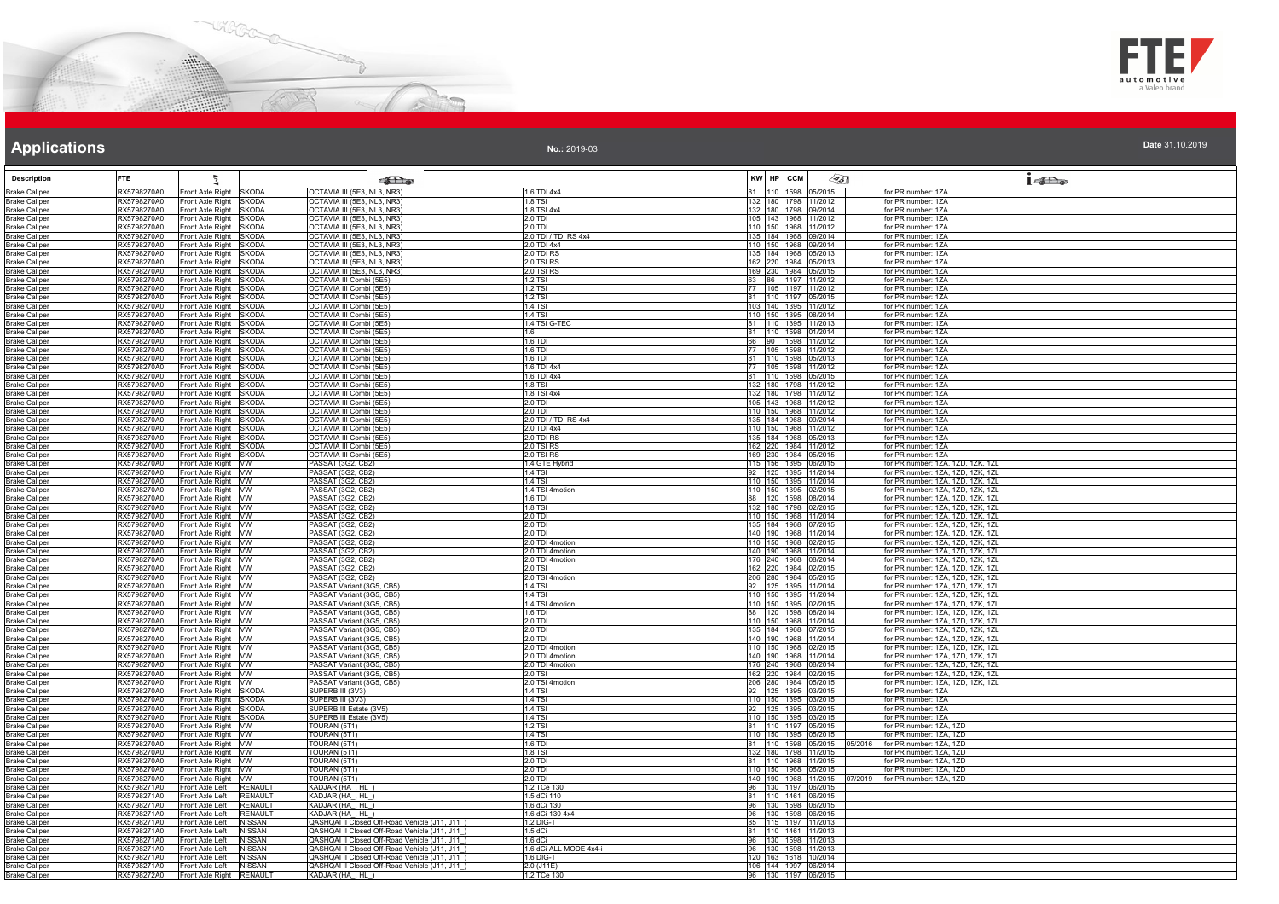



**No.:** 2019-03

| <b>Description</b>                           | FTE                                                              |                                                  |                                | <b>Extra</b> s                                                                                 |                                  | KW HP CCM | $\mathscr{L}$ 5]                                  | $1 \circ \Box$                                                         |
|----------------------------------------------|------------------------------------------------------------------|--------------------------------------------------|--------------------------------|------------------------------------------------------------------------------------------------|----------------------------------|-----------|---------------------------------------------------|------------------------------------------------------------------------|
| <b>Brake Caliper</b>                         | RX5798270A0                                                      | Front Axle Right SKODA                           |                                | OCTAVIA III (5E3, NL3, NR3)                                                                    | 1.6 TDI 4x4                      |           | 81 110 1598 05/2015                               | for PR number: 1ZA                                                     |
| <b>Brake Caliper</b>                         | RX5798270A0                                                      | Front Axle Right SKODA                           |                                | OCTAVIA III (5E3, NL3, NR3)                                                                    | 1.8 TSI                          |           | 132 180 1798 11/2012                              | for PR number: 1ZA                                                     |
| <b>Brake Caliper</b>                         | RX5798270A0                                                      | Front Axle Right SKODA                           |                                | OCTAVIA III (5E3, NL3, NR3)                                                                    | 1.8 TSI 4x4                      |           | 132 180 1798 09/2014                              | for PR number: 1ZA                                                     |
| <b>Brake Caliper</b>                         | RX5798270A0                                                      | Front Axle Right SKODA                           |                                | OCTAVIA III (5E3, NL3, NR3)                                                                    | 2.0 TDI<br>וחד מ פ               |           | 105 143 1968 11/2012                              | for PR number: 1ZA<br>for PR number: 17A                               |
| <b>Brake Caliper</b><br><b>Brake Caliper</b> | RX5798270A0<br>RX5798270A0                                       | Front Axle Right SKODA<br>Front Axle Right SKODA |                                | OCTAVIA III (5E3, NL3, NR3)<br><b>DCTAVIA III (5E3, NL3, NR3)</b>                              | 2.0 TDI / TDI RS 4x4             |           | 110 150 1968 11/2012<br>135 184 1968 09/2014      | for PR number: 1ZA                                                     |
| <b>Brake Caliper</b>                         | RX5798270A0                                                      | Front Axle Right SKODA                           |                                | OCTAVIA III (5E3, NL3, NR3)                                                                    | 2.0 TDI 4x4                      |           | 110 150 1968 09/2014                              | for PR number: 1ZA                                                     |
| <b>Brake Caliper</b>                         | RX5798270A0                                                      | Front Axle Right SKODA                           |                                | OCTAVIA III (5E3, NL3, NR3)                                                                    | 2.0 TDI RS                       |           | 135 184 1968 05/2013                              | for PR number: 1ZA                                                     |
| <b>Brake Caliper</b>                         | RX5798270A0                                                      | Front Axle Right SKODA                           |                                | OCTAVIA III (5E3, NL3, NR3)                                                                    | 2.0 TSI RS                       |           | 162 220 1984 05/2013                              | for PR number: 1ZA                                                     |
| <b>Brake Caliper</b>                         | RX5798270A0<br>RX5798270A0                                       | Front Axle Right SKODA                           |                                | OCTAVIA III (5E3, NL3, NR3)<br>OCTAVIA III Combi (5E5)                                         | 2.0 TSI RS                       |           | 169 230 1984 05/2015<br>63 86 1197 11/2012        | for PR number: 1ZA<br>for PR number: 1ZA                               |
| <b>Brake Caliper</b><br><b>Brake Caliper</b> | RX5798270A0                                                      | Front Axle Right SKODA<br>Front Axle Right SKODA |                                | OCTAVIA III Combi (5E5)                                                                        | $1.2$ TSI<br>1.2 TSI             |           | 77 105 1197 11/2012                               | for PR number: 1ZA                                                     |
| <b>Brake Caliper</b>                         | RX5798270A0                                                      | Front Axle Right SKODA                           |                                | OCTAVIA III Combi (5E5)                                                                        | 1.2 TSI                          |           | 81 110 1197 05/2015                               | for PR number: 1ZA                                                     |
| <b>Brake Caliper</b>                         | RX5798270A0                                                      | Front Axle Right SKODA                           |                                | OCTAVIA III Combi (5E5)                                                                        | 1.4 TSI                          |           | 103 140 1395 11/2012                              | for PR number: 1ZA                                                     |
| <b>Brake Caliper</b>                         | RX5798270A0                                                      | Front Axle Right SKODA                           |                                | OCTAVIA III Combi (5E5)                                                                        | 1.4 TSI                          |           | 110 150 1395 08/2014                              | for PR number: 1ZA                                                     |
| <b>Brake Caliper</b>                         | RX5798270A0                                                      | Front Axle Right SKODA                           |                                | OCTAVIA III Combi (5E5)                                                                        | 1.4 TSI G-TEC                    |           | 81 110 1395 11/2013                               | for PR number: 1ZA                                                     |
| <b>Brake Caliper</b><br><b>Brake Caliper</b> | RX5798270A0<br>RX5798270A0                                       | Front Axle Right SKODA<br>Front Axle Right SKODA |                                | OCTAVIA III Combi (5E5)<br>OCTAVIA III Combi (5E5)                                             | 1.6<br>1.6 TDI                   |           | 81 110 1598 01/2014<br>66 90 1598 11/2012         | for PR number: 1ZA<br>for PR number: 17A                               |
| <b>Brake Caliper</b>                         | RX5798270A0                                                      | Front Axle Right SKODA                           |                                | OCTAVIA III Combi (5E5)                                                                        | 1.6 TDI                          |           | 77 105 1598 11/2012                               | for PR number: 1ZA                                                     |
| <b>Brake Caliper</b>                         | RX5798270A0                                                      | Front Axle Right SKODA                           |                                | OCTAVIA III Combi (5E5)                                                                        | 1.6 TDI                          |           | 81 110 1598 05/2013                               | for PR number: 1ZA                                                     |
| <b>Brake Caliper</b>                         | RX5798270A0                                                      | Front Axle Right SKODA                           |                                | OCTAVIA III Combi (5E5)                                                                        | 1.6 TDI 4x4                      |           | 77 105 1598 11/2012                               | for PR number: 1ZA                                                     |
| <b>Brake Caliper</b>                         | RX5798270A0                                                      | Front Axle Right SKODA                           |                                | OCTAVIA III Combi (5E5)                                                                        | 1.6 TDI 4x4                      |           | 81 110 1598 05/2015                               | for PR number: 1ZA                                                     |
| <b>Brake Caliper</b>                         | RX5798270A0<br>RX5798270A0                                       | Front Axle Right SKODA<br>Front Axle Right SKODA |                                | OCTAVIA III Combi (5E5)<br>OCTAVIA III Combi (5E5)                                             | $1.8$ TSI<br>1.8 TSI 4x4         |           | 132 180 1798 11/2012<br>132 180 1798 11/2012      | for PR number: 1ZA<br>for PR number: 1ZA                               |
| <b>Brake Caliper</b><br><b>Brake Caliper</b> | RX5798270A0                                                      | Front Axle Right SKODA                           |                                | OCTAVIA III Combi (5E5)                                                                        | 2.0 TDI                          |           | 105 143 1968 11/2012                              | for PR number: 1ZA                                                     |
| <b>Brake Caliper</b>                         | RX5798270A0                                                      | Front Axle Right SKODA                           |                                | OCTAVIA III Combi (5E5)                                                                        | 2.0 TDI                          |           | 110 150 1968 11/2012                              | for PR number: 1ZA                                                     |
| <b>Brake Caliper</b>                         | RX5798270A0                                                      | Front Axle Right SKODA                           |                                | OCTAVIA III Combi (5E5)                                                                        | 2.0 TDI / TDI RS 4x4             |           | 135 184 1968 09/2014                              | for PR number: 1ZA                                                     |
| <b>Brake Caliper</b>                         | RX5798270A0                                                      | Front Axle Right SKODA                           |                                | OCTAVIA III Combi (5E5)                                                                        | 2.0 TDI 4x4                      |           | 110 150 1968 11/2012                              | for PR number: 1ZA                                                     |
| <b>Brake Caliper</b>                         | RX5798270A0                                                      | Front Axle Right SKODA                           |                                | OCTAVIA III Combi (5E5)                                                                        | 2.0 TDI RS                       |           | 135 184 1968 05/2013                              | for PR number: 1ZA                                                     |
| <b>Brake Caliper</b><br><b>Brake Caliper</b> | RX5798270A0<br>RX5798270A0                                       | Front Axle Right SKODA<br>Front Axle Right SKODA |                                | OCTAVIA III Combi (5E5)<br>OCTAVIA III Combi (5E5)                                             | 2.0 TSI RS<br>2.0 TSI RS         |           | 162 220 1984 11/2012<br>169 230 1984 05/2015      | for PR number: 1ZA<br>for PR number: 1ZA                               |
| <b>Brake Caliper</b>                         | RX5798270A0                                                      | Front Axle Right VW                              |                                | PASSAT (3G2, CB2)                                                                              | 1.4 GTE Hybrid                   |           | 115 156 1395 06/2015                              | for PR number: 1ZA, 1ZD, 1ZK, 1ZL                                      |
| <b>Brake Caliper</b>                         | RX5798270A0                                                      | Front Axle Right VW                              |                                | PASSAT (3G2, CB2)                                                                              | 1.4 TSI                          |           | 92 125 1395 11/2014                               | for PR number: 1ZA, 1ZD, 1ZK, 1ZL                                      |
| <b>Brake Caliper</b>                         | RX5798270A0                                                      | Front Axle Right VW                              |                                | PASSAT (3G2, CB2)                                                                              | <b>1.4 TSI</b>                   |           | 110 150 1395 11/2014                              | for PR number: 1ZA, 1ZD, 1ZK, 1ZL                                      |
| <b>Brake Caliper</b>                         | RX5798270A0                                                      | Front Axle Right VW                              |                                | PASSAT (3G2, CB2)                                                                              | 1.4 TSI 4motion                  |           | 110 150 1395 02/2015                              | for PR number: 1ZA, 1ZD, 1ZK, 1ZL                                      |
| <b>Brake Caliper</b>                         | RX5798270A0                                                      | Front Axle Right VW                              |                                | PASSAT (3G2, CB2)                                                                              | 1.6 TDI                          |           | 88   120   1598   08/2014                         | for PR number: 1ZA, 1ZD, 1ZK, 1ZL                                      |
| <b>Brake Caliper</b><br><b>Brake Caliper</b> | RX5798270A0<br>RX5798270A0                                       | Front Axle Right VW<br>Front Axle Right VW       |                                | PASSAT (3G2, CB2)<br>PASSAT (3G2, CB2)                                                         | 1.8 TSI<br>2.0 TDI               |           | 132 180 1798 02/2015<br>110 150 1968 11/2014      | for PR number: 1ZA, 1ZD, 1ZK, 1ZL<br>for PR number: 1ZA, 1ZD, 1ZK, 1ZL |
| <b>Brake Caliper</b>                         | RX5798270A0                                                      | Front Axle Right VW                              |                                | PASSAT (3G2, CB2)                                                                              | $2.0$ TDI                        |           | 135 184 1968 07/2015                              | for PR number: 1ZA, 1ZD, 1ZK, 1ZL                                      |
| <b>Brake Caliper</b>                         | RX5798270A0                                                      | Front Axle Right VW                              |                                | PASSAT (3G2, CB2)                                                                              | 2.0 TDI                          |           | 140 190 1968 11/2014                              | for PR number: 1ZA, 1ZD, 1ZK, 1ZL                                      |
| <b>Brake Caliper</b>                         | RX5798270A0                                                      | Front Axle Right VW                              |                                | PASSAT (3G2, CB2)                                                                              | 2.0 TDI 4motion                  |           | 110 150 1968 02/2015                              | for PR number: 1ZA, 1ZD, 1ZK, 1ZL                                      |
| <b>Brake Caliper</b>                         | RX5798270A0                                                      | Front Axle Right VW                              |                                | PASSAT (3G2, CB2)                                                                              | 2.0 TDI 4motion                  |           | 140 190 1968 11/2014                              | for PR number: 1ZA, 1ZD, 1ZK, 1ZL                                      |
| <b>Brake Caliper</b><br><b>Brake Caliper</b> | RX5798270A0<br>RX5798270A0                                       | Front Axle Right VW<br>Front Axle Right VW       |                                | PASSAT (3G2, CB2)<br>PASSAT (3G2, CB2)                                                         | 2.0 TDI 4motion<br>2.0 TSI       |           | 176 240 1968 08/2014<br>162 220 1984 02/2015      | for PR number: 1ZA, 1ZD, 1ZK, 1ZL<br>for PR number: 1ZA, 1ZD, 1ZK, 1ZL |
| Brake Caliper                                | RX5798270A0                                                      | Front Axle Right VW                              |                                | PASSAT (3G2, CB2)                                                                              | 2.0 TSI 4motion                  |           | 206 280 1984 05/2015                              | for PR number: 1ZA, 1ZD, 1ZK, 1ZL                                      |
| <b>Brake Caliper</b>                         | RX5798270A0                                                      | Front Axle Right VW                              |                                | PASSAT Variant (3G5, CB5)                                                                      | 1.4 TSI                          |           | 92 125 1395 11/2014                               | for PR number: 1ZA, 1ZD, 1ZK, 1ZL                                      |
| <b>Brake Caliper</b>                         | RX5798270A0                                                      | Front Axle Right VW                              |                                | PASSAT Variant (3G5, CB5)                                                                      | 1.4 TSI                          |           | 110 150 1395 11/2014                              | for PR number: 1ZA, 1ZD, 1ZK, 1ZL                                      |
| <b>Brake Caliper</b>                         | RX5798270A0                                                      | Front Axle Right VW                              |                                | PASSAT Variant (3G5, CB5)                                                                      | 1.4 TSI 4motion                  |           | 110 150 1395 02/2015                              | for PR number: 1ZA, 1ZD, 1ZK, 1ZL                                      |
| <b>Brake Caliper</b><br>Brake Caliper        | RX5798270A0<br>RX5798270A0                                       | Front Axle Right VW<br>Front Axle Right VW       |                                | PASSAT Variant (3G5, CB5)<br>PASSAT Variant (3G5, CB5)                                         | 1.6 TDI<br>$2.0$ TDI             |           | 88 120 1598 08/2014<br>110 150 1968 11/2014       | for PR number: 1ZA, 1ZD, 1ZK, 1ZL<br>for PR number: 1ZA, 1ZD, 1ZK, 1ZL |
| <b>Brake Caliper</b>                         | RX5798270A0                                                      | Front Axle Right VW                              |                                | PASSAT Variant (3G5, CB5)                                                                      | 2.0 TDI                          |           | 135 184 1968 07/2015                              | for PR number: 1ZA, 1ZD, 1ZK, 1ZL                                      |
| <b>Brake Caliper</b>                         | RX5798270A0                                                      | Front Axle Right VW                              |                                | PASSAT Variant (3G5, CB5)                                                                      | 2.0 TDI                          |           | 140 190 1968 11/2014                              | for PR number: 1ZA, 1ZD, 1ZK, 1ZL                                      |
| <b>Brake Caliper</b>                         | RX5798270A0                                                      | Front Axle Right VW                              |                                | PASSAT Variant (3G5, CB5)                                                                      | 2.0 TDI 4motion                  |           | 110 150 1968 02/2015                              | for PR number: 1ZA, 1ZD, 1ZK, 1ZL                                      |
| <b>Brake Caliper</b>                         | RX5798270A0                                                      | Front Axle Right VW                              |                                | PASSAT Variant (3G5, CB5)                                                                      | 2.0 TDI 4motion                  |           | 140 190 1968 11/2014                              | for PR number: 1ZA, 1ZD, 1ZK, 1ZL                                      |
| <b>Brake Caliper</b>                         | RX5798270A0<br>RX5798270A0                                       | Front Axle Right VW<br>Front Axle Right VW       |                                | PASSAT Variant (3G5, CB5)<br>PASSAT Variant (3G5, CB5)                                         | 2.0 TDI 4motion<br>2.0 TSI       |           | 176 240 1968 08/2014<br>162 220 1984 02/2015      | for PR number: 1ZA, 1ZD, 1ZK, 1ZL<br>for PR number: 1ZA, 1ZD, 1ZK, 1ZL |
| <b>Brake Caliper</b><br><b>Brake Caliper</b> | RX5798270A0                                                      | Front Axle Right VW                              |                                | PASSAT Variant (3G5, CB5)                                                                      | 2.0 TSI 4motion                  |           | 206 280 1984 05/2015                              | for PR number: 1ZA, 1ZD, 1ZK, 1ZL                                      |
| <b>Brake Caliper</b>                         | RX5798270A0                                                      | Front Axle Right SKODA                           |                                | SUPERB III (3V3)                                                                               | 1.4 TSI                          |           | 92 125 1395 03/2015                               | for PR number: 1ZA                                                     |
| <b>Brake Caliper</b>                         | RX5798270A0                                                      | Front Axle Right SKODA                           |                                | <b>SUPERB III</b> (3V3)                                                                        | $1.4$ TSI                        |           | 110 150 1395 03/2015                              | for PR number: 1ZA                                                     |
| <b>Brake Caliper</b>                         | RX5798270A0                                                      | Front Axle Right SKODA                           |                                | SUPERB III Estate (3V5)                                                                        | 1.4 TSI                          |           | 92 125 1395 03/2015                               | for PR number: 1ZA                                                     |
| Brake Caliper                                | RX5798270A0<br>RX5798270A0                                       | Front Axle Right SKODA                           |                                | SUPERB III Estate (3V5)<br>TOURAN (5T1)                                                        | <b>1.4 TSI</b><br><b>1.2 TSI</b> |           | 110 150 1395 03/2015<br>81 110 1197 05/2015       | for PR number: 1ZA<br>for PR number: 1ZA, 1ZD                          |
| <b>Brake Caliper</b><br><b>Brake Caliper</b> | RX5798270A0                                                      | Front Axle Right VW<br>Front Axle Right VW       |                                | TOURAN (5T1)                                                                                   | 1.4 TSI                          |           | 110 150 1395 05/2015                              | for PR number: 1ZA, 1ZD                                                |
| <b>Brake Caliper</b>                         | RX5798270A0                                                      | Front Axle Right VW                              |                                | TOURAN (5T1)                                                                                   | $1.6$ TDI                        |           | 81 110 1598 05/2015                               | 05/2016 for PR number: 1ZA, 1ZD                                        |
| <b>Brake Caliper</b>                         | RX5798270A0                                                      | Front Axle Right VW                              |                                | TOURAN (5T1)                                                                                   | $1.8$ TSI                        |           | 132 180 1798 11/2015                              | or PR number: 1ZA, 1ZD                                                 |
| <b>Brake Caliper</b>                         | RX5798270A0                                                      | Front Axle Right VW                              |                                | TOURAN (5T1)                                                                                   | 2.0 TDI                          |           | 81 110 1968 11/2015                               | for PR number: 1ZA, 1ZD                                                |
| <b>Brake Caliper</b>                         | RX5798270A0                                                      | Front Axle Right VW                              |                                | TOURAN (5T1)                                                                                   | 2.0 TDI                          |           | 110 150 1968 05/2015                              | for PR number: 1ZA, 1ZD                                                |
| <b>Brake Caliper</b>                         | RX5798270A0<br>Front Axle Left<br>RX5798271A0                    | Front Axle Right VW                              | RENAULT                        | TOURAN (5T1)<br>KADJAR (HA_, HL_)                                                              | 2.0 TDI<br>1.2 TCe 130           |           | 140 190 1968 11/2015<br>96   130   1197   06/2015 | 07/2019 for PR number: 1ZA, 1ZD                                        |
| Brake Caliper<br><b>Brake Caliper</b>        | RX5798271A0<br>Front Axle Left                                   |                                                  | <b>RENAULT</b>                 | KADJAR (HA_, HL_)                                                                              | 1.5 dCi 110                      |           | 81 110 1461 06/2015                               |                                                                        |
| <b>Brake Caliper</b>                         | RX5798271A0<br>Front Axle Left                                   |                                                  | <b>RENAULT</b>                 | KADJAR (HA, HL)                                                                                | 1.6 dCi 130                      |           | 96   130   1598   06/2015                         |                                                                        |
| <b>Brake Caliper</b>                         | RX5798271A0<br>Front Axle Left                                   |                                                  | RENAULT                        | KADJAR (HA . HL)                                                                               | 1.6 dCi 130 4x4                  |           | 96 130 1598 06/2015                               |                                                                        |
| <b>Brake Caliper</b>                         | RX5798271A0<br>Front Axle Left                                   |                                                  | <b>NISSAN</b>                  | QASHQAI II Closed Off-Road Vehicle (J11, J11)                                                  | 1.2 DIG-T                        |           | 85 115 1197 11/2013                               |                                                                        |
| <b>Brake Caliper</b><br><b>Brake Caliper</b> | RX5798271A0<br>Front Axle Left<br>RX5798271A0<br>Front Axle Left |                                                  | <b>NISSAN</b><br><b>NISSAN</b> | QASHQAI II Closed Off-Road Vehicle (J11, J11_)<br>QASHQAI II Closed Off-Road Vehicle (J11, J11 | 1.5 dCi<br>1.6 dCi               |           | 81 110 1461 11/2013<br>96 130 1598 11/2013        |                                                                        |
| <b>Brake Caliper</b>                         | RX5798271A0<br>Front Axle Left                                   |                                                  | <b>NISSAN</b>                  | QASHQAI II Closed Off-Road Vehicle (J11, J11_)                                                 | 1.6 dCi ALL MODE 4x4-i           |           | 96 130 1598 11/2013                               |                                                                        |
| <b>Brake Caliper</b>                         | RX5798271A0<br>Front Axle Left                                   |                                                  | <b>NISSAN</b>                  | QASHQAI II Closed Off-Road Vehicle (J11, J11)                                                  | 1.6 DIG-T                        |           | 120 163 1618 10/2014                              |                                                                        |
| <b>Brake Caliper</b>                         | RX5798271A0<br>Front Axle Left NISSAN                            |                                                  |                                | QASHQAI II Closed Off-Road Vehicle (J11, J11)                                                  | 2.0 (J11E)                       |           | 106 144 1997 06/2014                              |                                                                        |
| <b>Brake Caliper</b>                         | RX5798272A0<br>Front Axle Right RENAULT                          |                                                  |                                | KADJAR (HA, HL)                                                                                | 1.2 TCe 130                      |           | 96 130 1197 06/2015                               |                                                                        |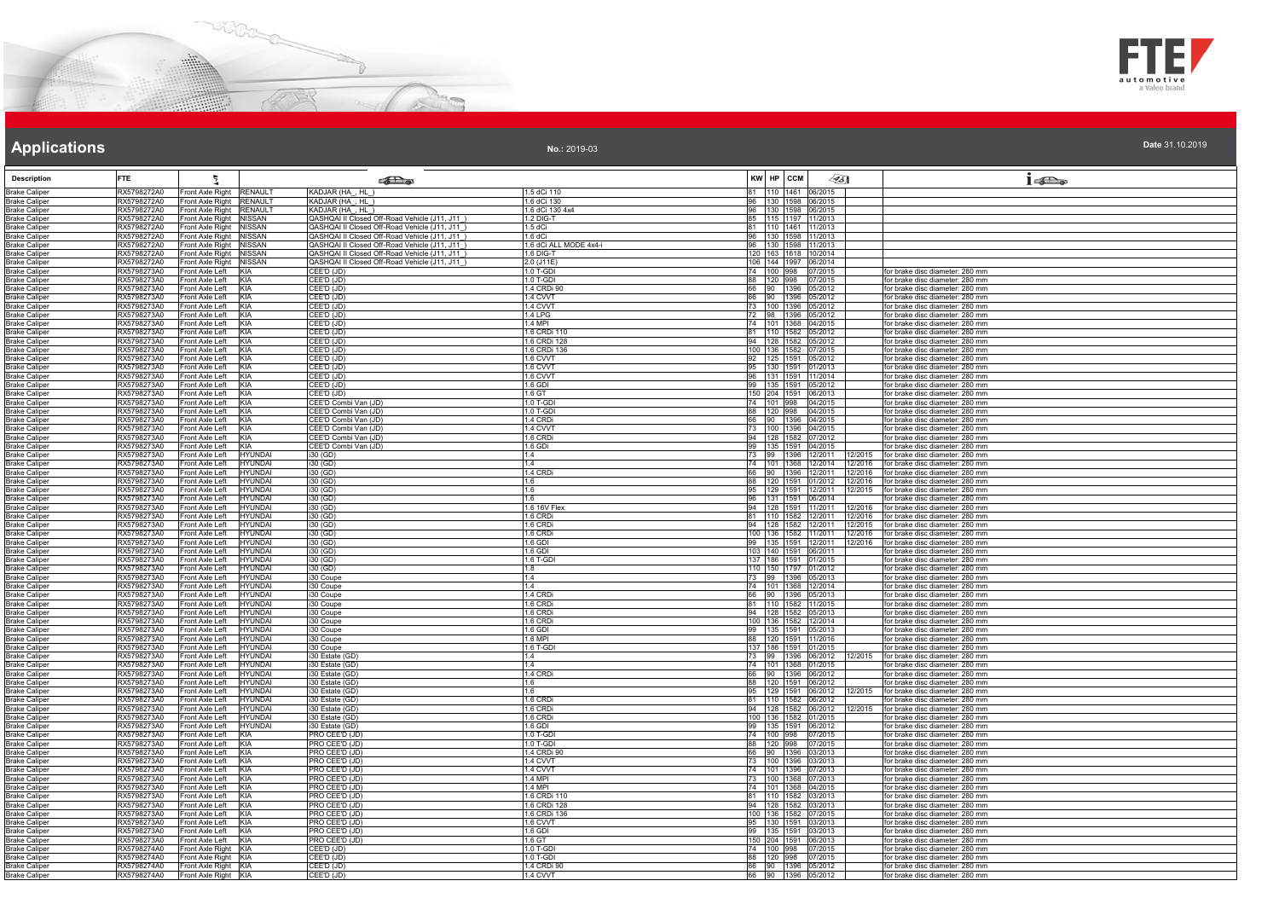



| Date 31.10.2019 |  |  |
|-----------------|--|--|

|                                              | FTE.                       |                                                                 |                                                                                                |                          | KW HP CCM                                            |                                                                    |
|----------------------------------------------|----------------------------|-----------------------------------------------------------------|------------------------------------------------------------------------------------------------|--------------------------|------------------------------------------------------|--------------------------------------------------------------------|
| <b>Description</b>                           |                            |                                                                 | கில                                                                                            |                          | $\llap{35}$                                          | 152                                                                |
| <b>Brake Caliper</b>                         | RX5798272A0                | Front Axle Right<br><b>RENAULT</b>                              | KADJAR (HA, HL)                                                                                | 1.5 dCi 110              | 81 110 1461 06/2015                                  |                                                                    |
| <b>Brake Caliper</b>                         | RX5798272A0                | Front Axle Right RENAULT                                        | KADJAR (HA_, HL_)                                                                              | 1.6 dCi 130              | 96 130 1598 06/2015                                  |                                                                    |
| <b>Brake Caliper</b>                         | RX5798272A0                | <b>RENAULT</b><br>Front Axle Right                              | KADJAR (HA, HL)                                                                                | 1.6 dCi 130 4x4          | 96 130 1598 06/2015                                  |                                                                    |
| <b>Brake Caliper</b>                         | RX5798272A0                | Front Axle Right<br><b>NISSAN</b>                               | QASHQAI II Closed Off-Road Vehicle (J11, J11_)                                                 | 1.2 DIG-T                | 85 115 1197 11/2013                                  |                                                                    |
| <b>Brake Caliper</b>                         | RX5798272A0                | Front Axle Right NISSAN                                         | QASHQAI II Closed Off-Road Vehicle (J11, J11)                                                  | 1.5 dCi                  | 81 110 1461 11/2013                                  |                                                                    |
| <b>Brake Caliper</b>                         | RX5798272A0                | Front Axle Right NISSAN                                         | QASHQAI II Closed Off-Road Vehicle (J11, J11                                                   | $1.6$ dCi                | 96 130 1598 11/2013                                  |                                                                    |
| <b>Brake Caliper</b>                         | RX5798272A0                | Front Axle Right NISSAN<br>Front Axle Right                     | QASHQAI II Closed Off-Road Vehicle (J11, J11_)<br>QASHQAI II Closed Off-Road Vehicle (J11, J11 | 1.6 dCi ALL MODE 4x4-i   | 96 130 1598 11/2013                                  |                                                                    |
| <b>Brake Caliper</b><br><b>Brake Caliper</b> | RX5798272A0<br>RX5798272A0 | <b>NISSAN</b><br>Front Axle Right<br><b>NISSAN</b>              | QASHQAI II Closed Off-Road Vehicle (J11, J11_)                                                 | 1.6 DIG-T<br>2.0 (J11E)  | 120 163 1618 10/2014<br>106 144 1997 06/2014         |                                                                    |
| <b>Brake Caliper</b>                         | RX5798273A0                | KIA<br>Front Axle Left                                          | CEE'D (JD)                                                                                     | 1.0 T-GDI                | 74 100 998 07/2015                                   | for brake disc diameter: 280 mm                                    |
| <b>Brake Caliper</b>                         | RX5798273A0                | Front Axle Left<br>KIA                                          | CEE'D (JD)                                                                                     | 1.0 T-GDI                | 88 120 998 07/2015                                   | for brake disc diameter: 280 mm                                    |
| <b>Brake Caliper</b>                         | RX5798273A0                | Front Axle Left<br>KIA                                          | CEE'D (JD)                                                                                     | 1.4 CRDi 90              | 66 90 1396 05/2012                                   | for brake disc diameter: 280 mm                                    |
| <b>Brake Caliper</b>                         | RX5798273A0                | Front Axle Left<br><b>KIA</b>                                   | CEE'D (JD)                                                                                     | 1.4 CVVT                 | 66 90 1396 05/2012                                   | for brake disc diameter: 280 mm                                    |
| <b>Brake Caliper</b>                         | RX5798273A0                | Front Axle Left<br>KIA                                          | CEE'D (JD)                                                                                     | 1.4 CVVT                 | 73 100 1396 05/2012                                  | for brake disc diameter: 280 mm                                    |
| <b>Brake Caliper</b>                         | RX5798273A0                | KIA<br>Front Axle Left                                          | CEE'D (JD)                                                                                     | <b>1.4 LPG</b>           | 72 98 1396 05/2012                                   | for brake disc diameter: 280 mm                                    |
| <b>Brake Caliper</b>                         | RX5798273A0                | KIA<br>Front Axle Left                                          | CEE'D (JD)                                                                                     | 1.4 MPI                  | 74 101 1368 04/2015                                  | for brake disc diameter: 280 mm                                    |
| <b>Brake Caliper</b>                         | RX5798273A0                | Front Axle Left<br>KIA                                          | CEE'D (JD)                                                                                     | 1.6 CRDi 110             | 81 110 1582 05/2012                                  | for brake disc diameter: 280 mm                                    |
| <b>Brake Caliper</b>                         | RX5798273A0                | Front Axle Left<br>KIA                                          | CEE'D (JD)                                                                                     | 1.6 CRDi 128             | 94 128 1582 05/2012                                  | for brake disc diameter: 280 mm                                    |
| <b>Brake Caliper</b>                         | RX5798273A0                | Front Axle Left<br>KIA                                          | CEE'D (JD)                                                                                     | 1.6 CRDi 136             | 100 136 1582 07/2015                                 | for brake disc diameter: 280 mm                                    |
| <b>Brake Caliper</b>                         | RX5798273A0                | KIA<br>Front Axle Left                                          | CEE'D (JD)                                                                                     | 1.6 CVVT                 | 92 125 1591 05/2012                                  | for brake disc diameter: 280 mm                                    |
| <b>Brake Caliper</b>                         | RX5798273A0                | Front Axle Left<br>KIA                                          | CEE'D (JD)                                                                                     | 1.6 CVVT                 | 95 130 1591 01/2013                                  | for brake disc diameter: 280 mm                                    |
| <b>Brake Caliper</b>                         | RX5798273A0                | Front Axle Left<br>KIA                                          | CEE'D (JD)                                                                                     | 1.6 CVVT                 | 96 131 1591 11/2014                                  | for brake disc diameter: 280 mm                                    |
| <b>Brake Caliper</b>                         | RX5798273A0                | Front Axle Left<br>KIA                                          | CEE'D (JD)                                                                                     | 1.6 GDI                  | 99 135 1591 05/2012                                  | for brake disc diameter: 280 mm                                    |
| <b>Brake Caliper</b>                         | RX5798273A0                | Front Axle Left<br>KIA                                          | CEE'D (JD)                                                                                     | 1.6 GT                   | 150 204 1591 06/2013<br>74 101 998 04/2015           | for brake disc diameter: 280 mm                                    |
| <b>Brake Caliper</b>                         | RX5798273A0<br>RX5798273A0 | KIA<br>Front Axle Left<br>Front Axle Left<br>KIA                | CEE'D Combi Van (JD)<br>CEE'D Combi Van (JD)                                                   | 1.0 T-GDI<br>1.0 T-GDI   | 88 120 998 04/2015                                   | for brake disc diameter: 280 mm<br>for brake disc diameter: 280 mm |
| <b>Brake Caliper</b><br><b>Brake Caliper</b> | RX5798273A0                | Front Axle Left<br>KIA                                          | CEE'D Combi Van (JD)                                                                           | 1.4 CRDi                 | 66 90 1396 04/2015                                   | for brake disc diameter: 280 mm                                    |
| <b>Brake Caliper</b>                         | RX5798273A0                | Front Axle Left<br>KIA                                          | CEE'D Combi Van (JD)                                                                           | 1.4 CVVT                 | 73 100 1396 04/2015                                  | for brake disc diameter: 280 mm                                    |
| <b>Brake Caliper</b>                         | RX5798273A0                | Front Axle Left<br>KIA                                          | CEE'D Combi Van (JD)                                                                           | 1.6 CRDi                 | 94 128 1582 07/2012                                  | for brake disc diameter: 280 mm                                    |
| <b>Brake Caliper</b>                         | RX5798273A0                | KIA<br>Front Axle Left                                          | CEE'D Combi Van (JD)                                                                           | 1.6 GDi                  | 99 135 1591 04/2015                                  | for brake disc diameter: 280 mm                                    |
| <b>Brake Caliper</b>                         | RX5798273A0                | Front Axle Left<br><b>HYUNDAI</b>                               | i30 (GD)                                                                                       | 1.4                      | 73 99 1396 12/2011<br>12/2015                        | for brake disc diameter: 280 mm                                    |
| <b>Brake Caliper</b>                         | RX5798273A0                | Front Axle Left<br>HYUNDAI                                      | i30 (GD)                                                                                       | 1.4                      | 74 101 1368 12/2014<br>12/2016                       | for brake disc diameter: 280 mm                                    |
| <b>Brake Caliper</b>                         | RX5798273A0                | <b>HYUNDAI</b><br>Front Axle Left                               | i30 (GD)                                                                                       | 1.4 CRD                  | 66 90 1396 12/2011<br>12/2016                        | for brake disc diameter: 280 mm                                    |
| <b>Brake Caliper</b>                         | RX5798273A0                | Front Axle Left<br><b>HYUNDAI</b>                               | i30 (GD)                                                                                       | 1.6                      | 88 120 1591 01/2012<br>12/2016                       | for brake disc diameter: 280 mm                                    |
| <b>Brake Caliper</b>                         | RX5798273A0                | Front Axle Left<br>HYUNDAI                                      | i30 (GD)                                                                                       | 1.6                      | 95 129 1591 12/2011<br>12/2015                       | for brake disc diameter: 280 mm                                    |
| <b>Brake Caliper</b>                         | RX5798273A0                | Front Axle Left<br><b>HYUNDAI</b>                               | i30 (GD)                                                                                       | 1.6                      | 96 131 1591 06/2014                                  | for brake disc diameter: 280 mm                                    |
| <b>Brake Caliper</b>                         | RX5798273A0                | Front Axle Left<br><b>IYUNDAI</b>                               | i30 (GD)                                                                                       | 1.6 16V Flex             | 94 128 1591 11/2011<br>2/2016                        | for brake disc diameter: 280 mm                                    |
| <b>Brake Caliper</b>                         | RX5798273A0                | Front Axle Left<br>HYUNDAI                                      | i30 (GD)                                                                                       | 1.6 CRDi                 | 81 110 1582 12/2011                                  | 12/2016 for brake disc diameter: 280 mm                            |
| <b>Brake Caliper</b>                         | RX5798273A0                | Front Axle Left<br><b>IYUNDAI</b>                               | i30 (GD)                                                                                       | 1.6 CRD                  | 94 128 1582 12/2011<br>12/2015                       | for brake disc diameter: 280 mm                                    |
| <b>Brake Caliper</b>                         | RX5798273A0                | Front Axle Left<br><b>HYUNDAI</b>                               | i30 (GD)                                                                                       | 1.6 CRD                  | 100 136 1582 11/2011<br>12/2016                      | for brake disc diameter: 280 mm                                    |
| <b>Brake Caliper</b>                         | RX5798273A0                | Front Axle Left<br>HYUNDAI                                      | 130 (GD)                                                                                       | $1.6$ GDI                | 99 135 1591 12/2011<br>12/2016                       | for brake disc diameter: 280 mm                                    |
| <b>Brake Caliper</b>                         | RX5798273A0                | Front Axle Left<br><b>HYUNDAI</b>                               | i30 (GD)                                                                                       | 1.6 GDI                  | 103 140 1591 06/2011                                 | for brake disc diameter: 280 mm                                    |
| <b>Brake Caliper</b><br><b>Brake Caliper</b> | RX5798273A0<br>RX5798273A0 | Front Axle Left<br>HYUNDAI<br>Front Axle Left<br><b>HYUNDAI</b> | i30 (GD)<br>$i30$ (GD)                                                                         | 1.6 T-GDI<br>1.8         | 137 186 1591 01/2015<br>110 150 1797 01/2012         | for brake disc diameter: 280 mm<br>for brake disc diameter: 280 mm |
| <b>Brake Caliper</b>                         | RX5798273A0                | Front Axle Left<br><b>HYUNDAI</b>                               | i30 Coupe                                                                                      | 1.4                      |                                                      | for brake disc diameter: 280 mm                                    |
| <b>Brake Caliper</b>                         | RX5798273A0                | HYUNDAI<br>Front Axle Left                                      | i30 Coupe                                                                                      | 11.4                     | 73 99 1396 05/2013                                   | for brake disc diameter: 280 mm                                    |
| <b>Brake Caliper</b>                         | RX5798273A0                | Front Axle Left<br><b>HYUNDAI</b>                               | i30 Coupe                                                                                      | <b>1.4 CRD</b>           | 66 90 1396 05/2013                                   | for brake disc diameter: 280 mm                                    |
| <b>Brake Caliper</b>                         | RX5798273A0                | Front Axle Left<br><b>HYUNDAI</b>                               | i30 Coupe                                                                                      | 1.6 CRD                  | 81 110 1582 11/2015                                  | for brake disc diameter: 280 mm                                    |
| <b>Brake Caliper</b>                         | RX5798273A0                | Front Axle Left<br><b>HYUNDAI</b>                               | i30 Coupe                                                                                      | 1.6 CRD                  | 94 128 1582 05/2013                                  | for brake disc diameter: 280 mm                                    |
| <b>Brake Caliper</b>                         | RX5798273A0                | Front Axle Left<br><b>HYUNDAI</b>                               | i30 Coupe                                                                                      | 1.6 CRDi                 | 100 136 1582 12/2014                                 | for brake disc diameter: 280 mm                                    |
| <b>Brake Caliper</b>                         | RX5798273A0                | HYUNDAI<br>Front Axle Left                                      | i30 Coupe                                                                                      | 1.6 GDI                  | 99 135 1591 05/2013                                  | for brake disc diameter: 280 mm                                    |
| <b>Brake Caliper</b>                         | RX5798273A0                | Front Axle Left<br>HYUNDAI                                      | i30 Coupe                                                                                      | 1.6 MPI                  | 88 120 1591 11/2016                                  | for brake disc diameter: 280 mm                                    |
| <b>Brake Caliper</b>                         | RX5798273A0                | Front Axle Left<br>HYUNDAI                                      | i30 Coupe                                                                                      | 1.6 T-GDI                | 137 186 1591 01/2015                                 | for brake disc diameter: 280 mm                                    |
| <b>Brake Caliper</b>                         | RX5798273A0                | Front Axle Left<br>HYI INDAI                                    | i30 Estate (GD)                                                                                | 14                       | 73 99 1396 06/2012                                   | 12/2015 for brake disc diameter: 280 mm                            |
| <b>Brake Caliper</b>                         | RX5798273A0                | Front Axle Left<br><b>HYUNDAI</b>                               | 30 Estate (GD)                                                                                 | 1.4                      | 74 101 1368 01/2015                                  | for brake disc diameter: 280 mm                                    |
| <b>Brake Caliper</b>                         | RX5798273A0                | HYUNDAI<br>Front Axle Left                                      | i30 Estate (GD)                                                                                | 1.4 CRD                  | 66 90 1396 06/2012                                   | for brake disc diameter: 280 mm                                    |
| <b>Brake Caliper</b>                         | RX5798273A0                | Front Axle Left<br><b>HYUNDAI</b>                               | i30 Estate (GD)                                                                                | 1.6                      | 88 120 1591 06/2012                                  | for brake disc diameter: 280 mm                                    |
| <b>Brake Caliper</b>                         | RX5798273A0                | Front Axle Left<br>HYUNDAI<br><b>HYUNDAI</b>                    | i30 Estate (GD)                                                                                | 1.6                      | 95 129 1591 06/2012<br>2/2015                        | for brake disc diameter: 280 mm                                    |
| <b>Brake Caliper</b><br><b>Brake Caliper</b> | RX5798273A0<br>RX5798273A0 | Front Axle Left<br>Front Axle Left<br><b>IYUNDAI</b>            | i30 Estate (GD)<br>30 Estate (GD)                                                              | 1.6 CRD<br>1.6 CRD       | 81 110 1582 06/2012<br>94 128 1582 06/2012<br>2/2015 | for brake disc diameter: 280 mm<br>for brake disc diameter: 280 mm |
| <b>Brake Caliper</b>                         | RX5798273A0                | Front Axle Left<br>HYUNDAI                                      | i30 Estate (GD)                                                                                | 1.6 CRD                  | 100 136 1582 01/2015                                 | for brake disc diameter: 280 mm                                    |
| <b>Brake Caliper</b>                         | RX5798273A0                | Front Axle Left<br><b>HYUNDAI</b>                               | i30 Estate (GD)                                                                                | 1.6 GDI                  | 99 135 1591 06/2012                                  | for brake disc diameter: 280 mm                                    |
| <b>Brake Caliper</b>                         | RX5798273A0                | Front Axle Left<br>KIA                                          | PRO CEE'D (JD)                                                                                 | 1.0 T-GDI                | 74 100 998 07/2015                                   | for brake disc diameter: 280 mm                                    |
| <b>Brake Caliper</b>                         | RX5798273A0                | KIA<br>Front Axle Left                                          | PRO CEE'D (JD)                                                                                 | 1.0 T-GDI                | 88 120 998 07/2015                                   | for brake disc diameter: 280 mm                                    |
| <b>Brake Caliper</b>                         | RX5798273A0                | Front Axle Left<br><b>KIA</b>                                   | PRO CEE'D (JD)                                                                                 | 1.4 CRDi 90              | 66 90 1396 03/2013                                   | for brake disc diameter: 280 mm                                    |
| <b>Brake Caliper</b>                         | RX5798273A0                | Front Axle Left<br>KIA                                          | PRO CEE'D (JD)                                                                                 | 1.4 CVVT                 | 73 100 1396 03/2013                                  | for brake disc diameter: 280 mm                                    |
| <b>Brake Caliper</b>                         | RX5798273A0                | KIA<br>Front Axle Left                                          | PRO CEE'D (JD)                                                                                 | 1.4 CWT                  | 74 101 1396 07/2013                                  | for brake disc diameter: 280 mm                                    |
| <b>Brake Caliper</b>                         | RX5798273A0                | Front Axle Left<br>KIA                                          | PRO CEE'D (JD)                                                                                 | 1.4 MPI                  | 73 100 1368 07/2013                                  | for brake disc diameter: 280 mm                                    |
| <b>Brake Caliper</b>                         | RX5798273A0                | Front Axle Left<br><b>KIA</b>                                   | PRO CEE'D (JD)                                                                                 | 1.4 MPI                  | 74 101 1368 04/2015                                  | for brake disc diameter: 280 mm                                    |
| <b>Brake Caliper</b>                         | RX5798273A0                | Front Axle Left<br><b>KIA</b>                                   | PRO CEE'D (JD)                                                                                 | 1.6 CRDi 110             | 81 110 1582 03/2013                                  | for brake disc diameter: 280 mm                                    |
| <b>Brake Caliper</b>                         | RX5798273A0                | Front Axle Left<br>KIA                                          | PRO CEE'D (JD)                                                                                 | 1.6 CRDi 128             | 94   128   1582   03/2013                            | for brake disc diameter: 280 mm                                    |
| <b>Brake Caliper</b>                         | RX5798273A0                | KIA<br>Front Axle Left                                          | PRO CEE'D (JD)                                                                                 | 1.6 CRDi 136             | 100 136 1582 07/2015                                 | for brake disc diameter: 280 mm                                    |
| <b>Brake Caliper</b>                         | RX5798273A0                | Front Axle Left<br>KIA                                          | PRO CEE'D (JD)                                                                                 | 1.6 CVVT                 | 95 130 1591 03/2013                                  | for brake disc diameter: 280 mm                                    |
| <b>Brake Caliper</b>                         | RX5798273A0                | Front Axle Left<br>KIA                                          | PRO CEE'D (JD)                                                                                 | 1.6 GDI                  | 99 135 1591 03/2013                                  | for brake disc diameter: 280 mm                                    |
| <b>Brake Caliper</b>                         | RX5798273A0                | Front Axle Left<br>KIA                                          | PRO CEE'D (JD)                                                                                 | 1.6 GT                   | 150 204 1591 06/2013                                 | for brake disc diameter: 280 mm                                    |
| <b>Brake Caliper</b>                         | RX5798274A0                | Front Axle Right<br>KIA                                         | CEE'D (JD)                                                                                     | 1.0 T-GDI                | 74 100 998<br>07/2015                                | for brake disc diameter: 280 mm                                    |
| <b>Brake Caliper</b><br><b>Brake Caliper</b> | RX5798274A0<br>RX5798274A0 | Front Axle Right KIA<br>Front Axle Right KIA                    | CEE'D (JD)<br>CEE'D (JD)                                                                       | 1.0 T-GDI<br>1.4 CRDi 90 | 88 120 998 07/2015<br>66 90 1396 05/2012             | for brake disc diameter: 280 mm<br>for brake disc diameter: 280 mm |
|                                              | RX5798274A0                |                                                                 | CEE'D (JD)                                                                                     | 1.4 CVVT                 |                                                      | for brake disc diameter: 280 mm                                    |
| <b>Brake Caliper</b>                         |                            | Front Axle Right KIA                                            |                                                                                                |                          | 66 90 1396 05/2012                                   |                                                                    |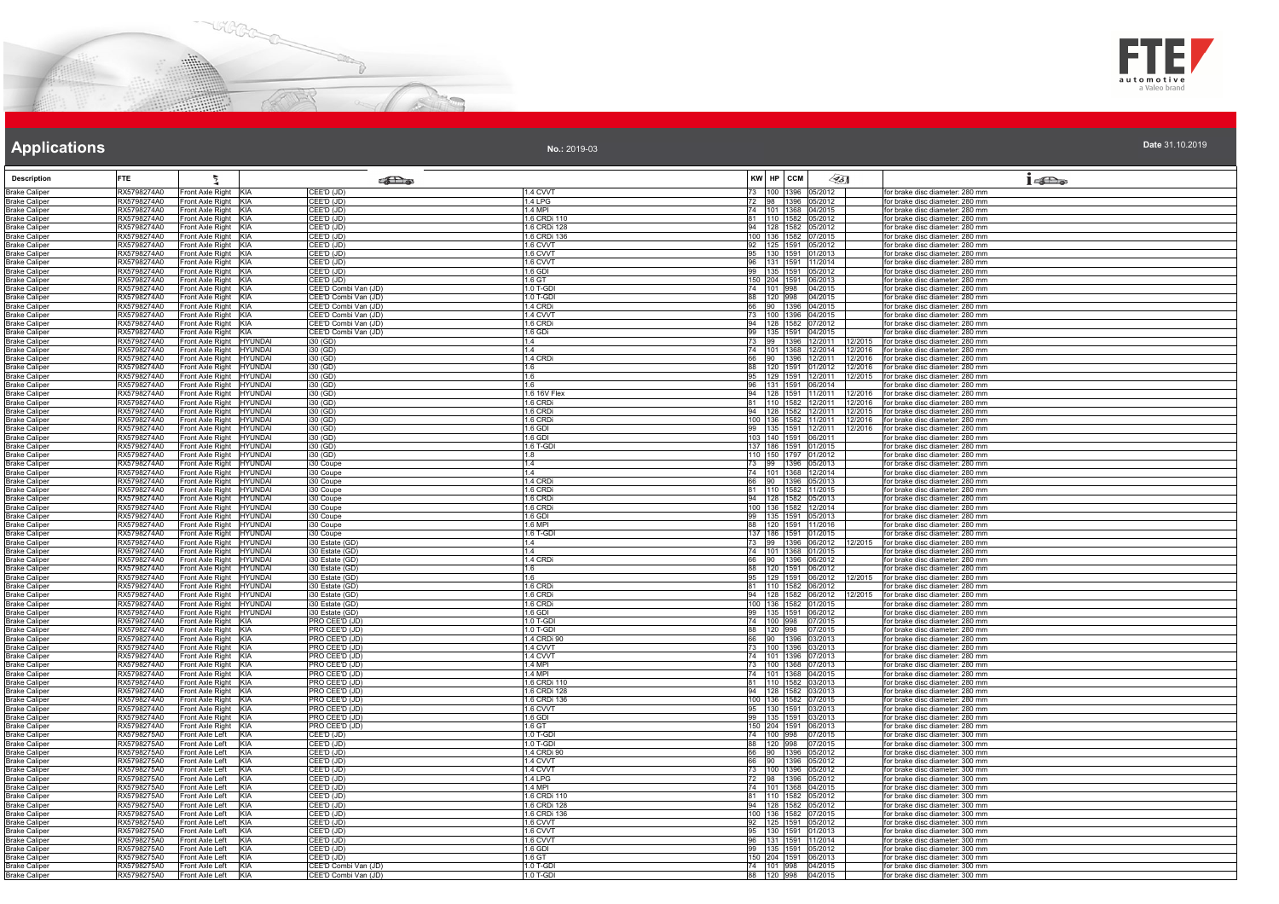



| Date 31.10.2019 |  |
|-----------------|--|

| <b>Description</b>                           | <b>FTE</b>                                                                         |                   | <b>SEL</b> @                                 |                            | KW HP CCM                                         | $\mathscr{G}_{5}$ |         | $1 - \sum_{\alpha}$                                                                |
|----------------------------------------------|------------------------------------------------------------------------------------|-------------------|----------------------------------------------|----------------------------|---------------------------------------------------|-------------------|---------|------------------------------------------------------------------------------------|
| <b>Brake Caliper</b>                         | RX5798274A0<br>Front Axle Right KIA<br>Front Axle Right KIA<br>RX5798274A0         |                   | CEE'D (JD)<br>CEE'D (JD)                     | 1.4 CVVT<br><b>1.4 LPG</b> | 73 100 1396 05/2012<br>72 98 1396 05/2012         |                   |         | for brake disc diameter: 280 mm<br>for brake disc diameter: 280 mm                 |
| <b>Brake Caliper</b><br><b>Brake Caliper</b> | RX5798274A0<br>Front Axle Right KIA                                                |                   | CEE'D (JD)                                   | 1.4 MPI                    | 74 101 1368 04/2015                               |                   |         | for brake disc diameter: 280 mm                                                    |
| <b>Brake Caliper</b>                         | RX5798274A0<br>Front Axle Right KIA                                                |                   | CEE'D (JD)                                   | 1.6 CRDi 110               | 81  110  1582  05/2012                            |                   |         | for brake disc diameter: 280 mm                                                    |
| <b>Brake Caliper</b>                         | RX5798274A0<br>Front Axle Right KIA                                                |                   | $\overline{\mathsf{CEE'D}}$ (JD)             | 1.6 CRDi 128               | 94 128 1582 05/2012                               |                   |         | for brake disc diameter: 280 mm                                                    |
| <b>Brake Caliper</b><br><b>Brake Caliper</b> | RX5798274A0<br>Front Axle Right KIA<br>Front Axle Right KIA<br>RX5798274A0         |                   | CEE'D (JD)<br>CEE'D (JD)                     | 1.6 CRDi 136<br>1.6 CVVT   | 100 136 1582 07/2015<br>92 125 1591 05/2012       |                   |         | for brake disc diameter: 280 mm<br>for brake disc diameter: 280 mm                 |
| <b>Brake Caliper</b>                         | Front Axle Right KIA<br>RX5798274A0                                                |                   | CEE'D (JD)                                   | 1.6 CVVT                   | 95 130 1591 01/2013                               |                   |         | for brake disc diameter: 280 mm                                                    |
| <b>Brake Caliper</b>                         | RX5798274A0<br>Front Axle Right KIA                                                |                   | CEE'D (JD)                                   | 1.6 CVVT                   | 96   131   1591   11/2014                         |                   |         | for brake disc diameter: 280 mm                                                    |
| <b>Brake Caliper</b>                         | RX5798274A0<br>Front Axle Right KIA                                                |                   | CEE'D (JD)                                   | 1.6 GDI                    | 99 135 1591 05/2012                               |                   |         | for brake disc diameter: 280 mm                                                    |
| <b>Brake Caliper</b><br><b>Brake Caliper</b> | RX5798274A0<br>Front Axle Right KIA<br>Front Axle Right KIA<br>RX5798274A0         |                   | CEE'D (JD)<br>CEE'D Combi Van (JD)           | 1.6 GT<br>1.0 T-GDI        | 150 204 1591 06/2013<br>74 101 998 04/2015        |                   |         | for brake disc diameter: 280 mm<br>for brake disc diameter: 280 mm                 |
| <b>Brake Caliper</b>                         | Front Axle Right KIA<br>RX5798274A0                                                |                   | CEE'D Combi Van (JD)                         | 1.0 T-GDI                  | 88 120 998 04/2015                                |                   |         | for brake disc diameter: 280 mm                                                    |
| <b>Brake Caliper</b>                         | RX5798274A0<br>Front Axle Right KIA                                                |                   | CEE'D Combi Van (JD)                         | 1.4 CRDi                   | 66 90 1396 04/2015                                |                   |         | for brake disc diameter: 280 mm                                                    |
| <b>Brake Caliper</b>                         | RX5798274A0<br>Front Axle Right KIA                                                |                   | CEE'D Combi Van (JD)                         | 1.4 CVVT                   | 73 100 1396 04/2015                               |                   |         | for brake disc diameter: 280 mm<br>for brake disc diameter: 280 mm                 |
| <b>Brake Caliper</b><br><b>Brake Caliper</b> | RX5798274A0<br>Front Axle Right KIA<br>RX5798274A0<br>Front Axle Right KIA         |                   | CEE'D Combi Van (JD)<br>CEE'D Combi Van (JD) | 1.6 CRDi<br>1.6 GDi        | 94 128 1582 07/2012<br>99 135 1591 04/2015        |                   |         | for brake disc diameter: 280 mm                                                    |
| <b>Brake Caliper</b>                         | Front Axle Right HYUNDAI<br>RX5798274A0                                            |                   | $i30$ (GD)                                   | 14.4                       | 73 99 1396 12/2011                                |                   | 12/2015 | for brake disc diameter: 280 mm                                                    |
| <b>Brake Caliper</b>                         | Front Axle Right HYUNDAI<br>RX5798274A0                                            |                   | i30 (GD)                                     | 1.4                        | 74 101 1368 12/2014                               |                   |         | 12/2016 for brake disc diameter: 280 mm                                            |
| <b>Brake Caliper</b>                         | RX5798274A0<br>Front Axle Right HYUNDAI<br>RX5798274A0                             |                   | i30 (GD)                                     | <b>1.4 CRD</b>             | 66 90 1396 12/2011                                |                   | 12/2016 | 12/2016 for brake disc diameter: 280 mm                                            |
| <b>Brake Caliper</b><br><b>Brake Caliper</b> | Front Axle Right HYUNDAI<br>RX5798274A0<br>Front Axle Right HYUNDAI                |                   | $\overline{130}$ (GD)<br>i30 (GD)            | 1.6<br>1.6                 | 88 120 1591 01/2012<br>95 129 1591 12/2011        |                   | 12/2015 | for brake disc diameter: 280 mm<br>for brake disc diameter: 280 mm                 |
| <b>Brake Caliper</b>                         | Front Axle Right HYUNDAI<br>RX5798274A0                                            |                   | i30(GD)                                      | 1.6                        | 96 131 1591 06/2014                               |                   |         | for brake disc diameter: 280 mm                                                    |
| <b>Brake Caliper</b>                         | RX5798274A0<br>Front Axle Right HYUNDAI                                            |                   | i30 (GD)                                     | 1.6 16V Flex               | 94 128 1591 11/2011                               |                   |         | 12/2016 for brake disc diameter: 280 mm                                            |
| <b>Brake Caliper</b>                         | RX5798274A0<br>Front Axle Right HYUNDAI                                            |                   | i30 (GD)                                     | 1.6 CRDi<br>1.6 CRDi       | 81  110  1582  12/2011                            |                   |         | 12/2016 for brake disc diameter: 280 mm<br>12/2015 for brake disc diameter: 280 mm |
| <b>Brake Caliper</b><br><b>Brake Caliper</b> | RX5798274A0<br>Front Axle Right HYUNDAI<br>Front Axle Right HYUNDAI<br>RX5798274A0 |                   | i30 (GD)<br>i30 (GD)                         | 1.6 CRDi                   | 94 128 1582 12/2011<br>100 136 1582 11/2011       |                   | 12/2016 | for brake disc diameter: 280 mm                                                    |
| <b>Brake Caliper</b>                         | RX5798274A0<br>Front Axle Right HYUNDAI                                            |                   | i30 (GD)                                     | 1.6 GDI                    | 99 135 1591 12/2011                               |                   | 12/2016 | for brake disc diameter: 280 mm                                                    |
| <b>Brake Caliper</b>                         | RX5798274A0<br>Front Axle Right HYUNDAI                                            |                   | i30 (GD)                                     | 1.6 GDI                    | 103 140 1591 06/2011                              |                   |         | for brake disc diameter: 280 mm                                                    |
| <b>Brake Caliper</b>                         | RX5798274A0<br>Front Axle Right HYUNDAI<br>RX5798274A0                             |                   | i30 (GD)                                     | 1.6 T-GDI<br>1.8           | 137 186 1591 01/2015                              |                   |         | for brake disc diameter: 280 mm                                                    |
| <b>Brake Caliper</b><br><b>Brake Caliper</b> | Front Axle Right HYUNDAI<br>RX5798274A0<br>Front Axle Right HYUNDAI                |                   | i30 (GD)<br>i30 Coupe                        | 1.4                        | 110 150 1797 01/2012<br>73 99 1396 05/2013        |                   |         | for brake disc diameter: 280 mm<br>for brake disc diameter: 280 mm                 |
| <b>Brake Caliper</b>                         | RX5798274A0<br>Front Axle Right HYUNDAI                                            |                   | i30 Coupe                                    | 1.4                        | 74 101 1368 12/2014                               |                   |         | for brake disc diameter: 280 mm                                                    |
| <b>Brake Caliper</b>                         | Front Axle Right HYUNDAI<br>RX5798274A0                                            |                   | i30 Coupe                                    | 1.4 CRD                    | 66 90 1396 05/2013                                |                   |         | for brake disc diameter: 280 mm                                                    |
| <b>Brake Caliper</b>                         | Front Axle Right HYUNDAI<br>RX5798274A0                                            |                   | i30 Coupe                                    | 1.6 CRDi                   | 81 110 1582 11/2015                               |                   |         | for brake disc diameter: 280 mm                                                    |
| <b>Brake Caliper</b><br><b>Brake Caliper</b> | RX5798274A0<br>Front Axle Right HYUNDAI<br>RX5798274A0<br>Front Axle Right HYUNDAI |                   | i30 Coupe<br>i30 Coupe                       | 1.6 CRD<br>1.6 CRD         | 94   128   1582   05/2013<br>100 136 1582 12/2014 |                   |         | for brake disc diameter: 280 mm<br>for brake disc diameter: 280 mm                 |
| <b>Brake Caliper</b>                         | RX5798274A0<br>Front Axle Right HYUNDAI                                            |                   | i30 Coupe                                    | 1.6 GDI                    | 135 1591 05/2013                                  |                   |         | or brake disc diameter: 280 mm                                                     |
| Brake Caliper                                | RX5798274A0<br>Front Axle Right HYUNDAI                                            |                   | i30 Coupe                                    | 1.6 MPI                    | 88 120 1591 11/2016                               |                   |         | for brake disc diameter: 280 mm                                                    |
| <b>Brake Caliper</b><br><b>Brake Caliper</b> | RX5798274A0<br>Front Axle Right HYUNDAI<br>RX5798274A0<br>Front Axle Right HYUNDAI |                   | i30 Coupe<br>i30 Estate (GD)                 | 1.6 T-GDI<br>1.4           | 137 186 1591 01/2015<br>73 99 1396 06/2012        |                   |         | for brake disc diameter: 280 mm<br>12/2015 for brake disc diameter: 280 mm         |
| <b>Brake Caliper</b>                         | RX5798274A0<br>Front Axle Right HYUNDAI                                            |                   | i30 Estate (GD)                              | 1.4                        | 74 101 1368 01/2015                               |                   |         | for brake disc diameter: 280 mm                                                    |
| <b>Brake Caliper</b>                         | RX5798274A0<br>Front Axle Right HYUNDAI                                            |                   | i30 Estate (GD)                              | 1.4 CRDi                   | 66 90 1396 06/2012                                |                   |         | or brake disc diameter: 280 mm                                                     |
| <b>Brake Caliper</b>                         | RX5798274A0<br>Front Axle Right HYUNDAI                                            |                   | i30 Estate (GD)                              | 1.6                        | 88 120 1591 06/2012                               |                   |         | for brake disc diameter: 280 mm                                                    |
| <b>Brake Caliper</b><br><b>Brake Caliper</b> | Front Axle Right HYUNDAI<br>RX5798274A0<br>Front Axle Right HYUNDAI<br>RX5798274A0 |                   | i30 Estate (GD)<br>i30 Estate (GD)           | 1.6<br>1.6 CRD             | 95 129 1591 06/2012<br>81 110 1582 06/2012        |                   |         | 12/2015 for brake disc diameter: 280 mm<br>for brake disc diameter: 280 mm         |
| <b>Brake Caliper</b>                         | RX5798274A0<br>Front Axle Right HYUNDAI                                            |                   | 130 Estate (GD)                              | 1.6 CRDi                   | 94 128 1582 06/2012                               |                   |         | 12/2015 for brake disc diameter: 280 mm                                            |
| <b>Brake Caliper</b>                         | RX5798274A0<br>Front Axle Right HYUNDAI                                            |                   | i30 Estate (GD)                              | 1.6 CRDi                   | 100 136 1582 01/2015                              |                   |         | for brake disc diameter: 280 mm                                                    |
| <b>Brake Caliper</b>                         | RX5798274A0<br>Front Axle Right HYUNDAI                                            |                   | i30 Estate (GD)                              | 1.6 GDI                    | 99 135 1591 06/2012                               |                   |         | for brake disc diameter: 280 mm                                                    |
| <b>Brake Caliper</b><br><b>Brake Caliper</b> | RX5798274A0<br>Front Axle Right KIA<br>RX5798274A0<br>Front Axle Right KIA         |                   | PRO CEE'D (JD)<br>PRO CEE'D (JD)             | 1.0 T-GDI<br>1.0 T-GDI     | 74 100 998 07/2015<br>88 120 998 07/2015          |                   |         | for brake disc diameter: 280 mm<br>for brake disc diameter: 280 mm                 |
| <b>Brake Caliper</b>                         | RX5798274A0<br>Front Axle Right KIA                                                |                   | PRO CEE'D (JD)                               | 1.4 CRDi 90                | 66 90 1396 03/2013                                |                   |         | for brake disc diameter: 280 mm                                                    |
| <b>Brake Caliper</b>                         | RX5798274A0<br>Front Axle Right KIA                                                |                   | PRO CEE'D (JD)                               | 1.4 CVVT                   | 73 100 1396 03/2013                               |                   |         | for brake disc diameter: 280 mm                                                    |
| <b>Brake Caliper</b>                         | RX5798274A0<br>Front Axle Right KIA                                                |                   | PRO CEE'D (JD)                               | 1.4 CVVT<br>1.4 MPI        | 74 101 1396 07/2013                               |                   |         | for brake disc diameter: 280 mm                                                    |
| <b>Brake Caliper</b><br><b>Brake Caliper</b> | RX5798274A0<br>Front Axle Right KIA<br>Front Axle Right KIA<br>RX5798274A0         |                   | PRO CEE'D (JD)<br>PRO CEE'D (JD)             | 1.4 MPI                    | 73 100 1368 07/2013<br>74 101 1368 04/2015        |                   |         | for brake disc diameter: 280 mm<br>for brake disc diameter: 280 mm                 |
| <b>Brake Caliper</b>                         | RX5798274A0<br>Front Axle Right KIA                                                |                   | PRO CEE'D (JD)                               | 1.6 CRDi 110               | 81 110 1582 03/2013                               |                   |         | for brake disc diameter: 280 mm                                                    |
| Brake Caliper                                | RX5798274A0<br>Front Axle Right KIA                                                |                   | PRO CEE'D (JD)                               | 1.6 CRDi 128               | 94   128   1582   03/2013                         |                   |         | for brake disc diameter: 280 mm                                                    |
| <b>Brake Caliper</b>                         | RX5798274A0<br>Front Axle Right KIA<br>RX5798274A0<br>Front Axle Right KIA         |                   | PRO CEE'D (JD)<br>PRO CEE'D (JD)             | 1.6 CRDi 136<br>1.6 CVVT   | 100 136 1582 07/2015<br>95 130 1591 03/2013       |                   |         | for brake disc diameter: 280 mm<br>for brake disc diameter: 280 mm                 |
| <b>Brake Caliper</b><br><b>Brake Caliper</b> | Front Axle Right KIA<br>RX5798274A0                                                |                   | PRO CEE'D (JD)                               | $1.6$ GDI                  | 99 135 1591 03/2013                               |                   |         | for brake disc diameter: 280 mm                                                    |
| <b>Brake Caliper</b>                         | RX5798274A0<br>Front Axle Right KIA                                                |                   | PRO CEE'D (JD)                               | 1.6 GT                     | 150 204 1591 06/2013                              |                   |         | for brake disc diameter: 280 mm                                                    |
| <b>Brake Caliper</b>                         | RX5798275A0<br>Front Axle Left KIA                                                 |                   | CEE'D (JD)                                   | 1.0 T-GDI                  | 74 100 998 07/2015                                |                   |         | for brake disc diameter: 300 mm                                                    |
| <b>Brake Caliper</b>                         | RX5798275A0<br>Front Axle Left KIA                                                 |                   | CEE'D (JD)                                   | 1.0 T-GDI                  | 88 120 998 07/2015                                |                   |         | for brake disc diameter: 300 mm                                                    |
| <b>Brake Caliper</b><br><b>Brake Caliper</b> | RX5798275A0<br>Front Axle Left<br>RX5798275A0<br>Front Axle Left                   | KIA<br>KIA        | CEE'D (JD)<br>CEE'D (JD)                     | 1.4 CRDi 90<br>1.4 CVVT    | 66 90 1396 05/2012<br>66 90 1396 05/2012          |                   |         | for brake disc diameter: 300 mm<br>for brake disc diameter: 300 mm                 |
| <b>Brake Caliper</b>                         | Front Axle Left KIA<br>RX5798275A0                                                 |                   | CEE'D (JD)                                   | 1.4 CVVT                   | 73 100 1396 05/2012                               |                   |         | for brake disc diameter: 300 mm                                                    |
| <b>Brake Caliper</b>                         | RX5798275A0<br>Front Axle Left                                                     | KIA               | CEE'D (JD)                                   | 1.4 LPG                    | 72 98 1396 05/2012                                |                   |         | for brake disc diameter: 300 mm                                                    |
| <b>Brake Caliper</b>                         | RX5798275A0<br>Front Axle Left KIA<br>RX5798275A0<br>Front Axle Left               |                   | ICEE'D (JD)                                  | 1 4 MPI<br>1.6 CRDi 110    | 74 101 1368 04/2015                               |                   |         | for brake disc diameter: 300 mm                                                    |
| <b>Brake Caliper</b><br><b>Brake Caliper</b> | RX5798275A0<br>Front Axle Left                                                     | <b>KIA</b><br>KIA | CEE'D (JD)<br>CEE'D (JD)                     | 1.6 CRDi 128               | 81 110 1582 05/2012<br>94   128   1582   05/2012  |                   |         | for brake disc diameter: 300 mm<br>for brake disc diameter: 300 mm                 |
| <b>Brake Caliper</b>                         | RX5798275A0<br>Front Axle Left KIA                                                 |                   | CEE'D (JD)                                   | 1.6 CRDi 136               | 100 136 1582 07/2015                              |                   |         | for brake disc diameter: 300 mm                                                    |
| <b>Brake Caliper</b>                         | RX5798275A0<br>Front Axle Left KIA                                                 |                   | CEE'D (JD)                                   | 1.6 CVVT                   | 92 125 1591 05/2012                               |                   |         | for brake disc diameter: 300 mm                                                    |
| <b>Brake Caliper</b><br><b>Brake Caliper</b> | RX5798275A0<br>Front Axle Left KIA<br>RX5798275A0<br>Front Axle Left KIA           |                   | CEE'D (JD)<br>CEE'D (JD)                     | 1.6 CVVT<br>1.6 CVVT       | 95 130 1591 01/2013<br>96 131 1591 11/2014        |                   |         | for brake disc diameter: 300 mm<br>for brake disc diameter: 300 mm                 |
| <b>Brake Caliper</b>                         | RX5798275A0<br>Front Axle Left                                                     | KIA               | CEE'D (JD)                                   | 1.6 GDI                    | l qq<br>135 1591 05/2012                          |                   |         | for brake disc diameter: 300 mm                                                    |
| <b>Brake Caliper</b>                         | Front Axle Left KIA<br>RX5798275A0                                                 |                   | CEE'D (JD)                                   | 1.6 GT                     | 150 204 1591 06/2013                              |                   |         | for brake disc diameter: 300 mm                                                    |
| <b>Brake Caliper</b>                         | Front Axle Left KIA<br>RX5798275A0                                                 |                   | CEE'D Combi Van (JD)                         | 1.0 T-GDI                  | 74 101 998 04/2015                                |                   |         | for brake disc diameter: 300 mm                                                    |
| <b>Brake Caliper</b>                         | RX5798275A0<br>Front Axle Left KIA                                                 |                   | CEE'D Combi Van (JD)                         | 1.0 T-GDI                  | 88 120 998 04/2015                                |                   |         | for brake disc diameter: 300 mm                                                    |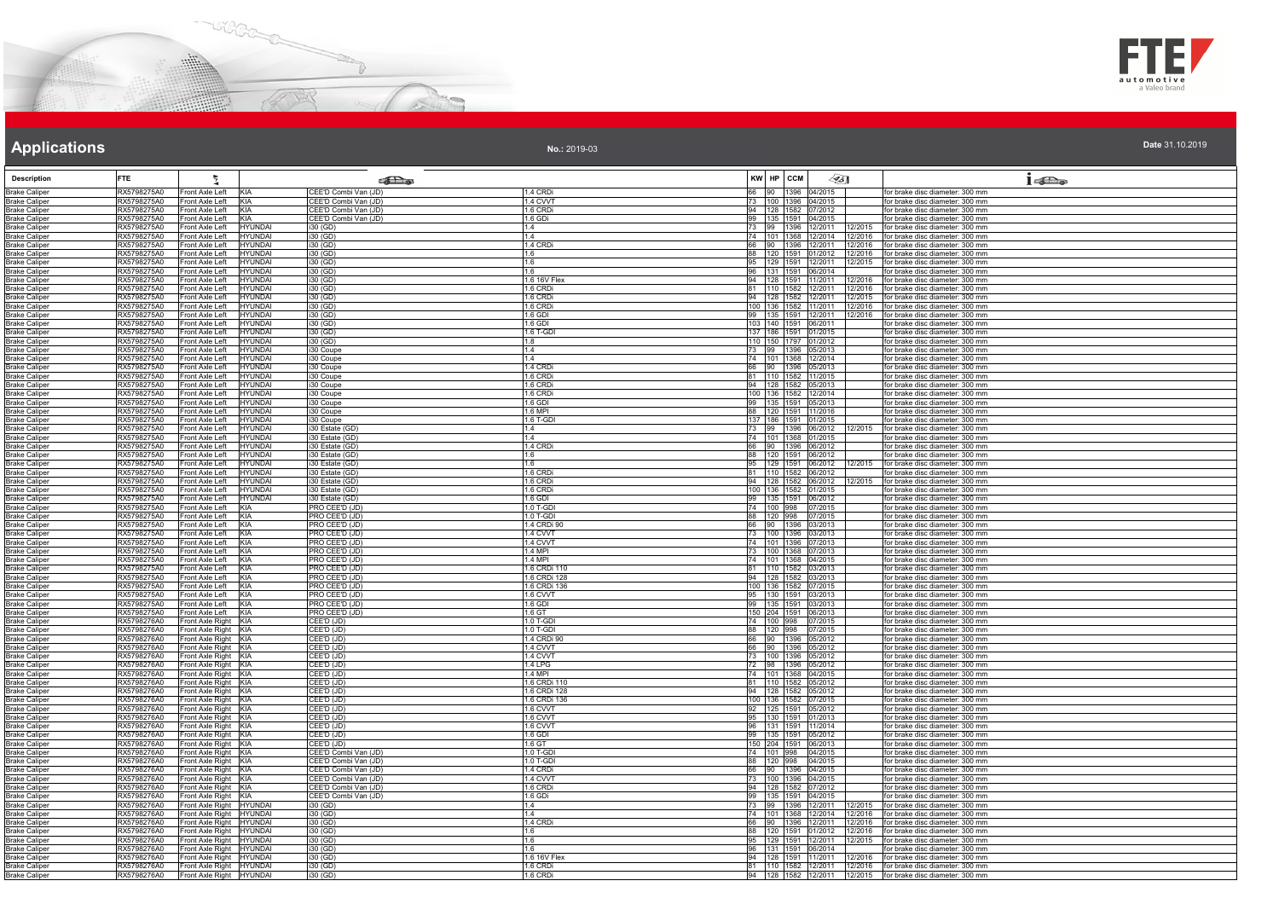



| Date 31.10.2019 |  |
|-----------------|--|

| <b>Description</b>                           | <b>FTE</b>                 | ħ                                                                        |                                              |                              | KW HP CCM | $\mathscr{G}_{5}$                                |                    |                                                                                                                                      |
|----------------------------------------------|----------------------------|--------------------------------------------------------------------------|----------------------------------------------|------------------------------|-----------|--------------------------------------------------|--------------------|--------------------------------------------------------------------------------------------------------------------------------------|
|                                              |                            |                                                                          | <b>SEL</b> @                                 | 1.4 CRDi                     |           | 66 90 1396 04/2015                               |                    | 16a                                                                                                                                  |
| <b>Brake Caliper</b><br><b>Brake Caliper</b> | RX5798275A0<br>RX5798275A0 | KIA<br>Front Axle Left<br>KIA<br>Front Axle Left                         | CEE'D Combi Van (JD)<br>CEE'D Combi Van (JD) | 1.4 CVVT                     |           | 73 100 1396 04/2015                              |                    | for brake disc diameter: 300 mm<br>for brake disc diameter: 300 mm                                                                   |
| <b>Brake Caliper</b>                         | RX5798275A0                | KIA<br>Front Axle Left                                                   | CEE'D Combi Van (JD)                         | 1.6 CRDi                     |           | 94 128 1582 07/2012                              |                    | for brake disc diameter: 300 mm                                                                                                      |
| <b>Brake Caliper</b>                         | RX5798275A0                | Front Axle Left<br><b>KIA</b>                                            | CEE'D Combi Van (JD)                         | 1.6 GDi                      |           | 99 135 1591 04/2015                              |                    | for brake disc diameter: 300 mm                                                                                                      |
| <b>Brake Caliper</b><br><b>Brake Caliper</b> | RX5798275A0<br>RX5798275A0 | Front Axle Left<br>HYUNDAI<br>Front Axle Left<br>HYUNDAI                 | i30 (GD)<br>i30 (GD)                         | 1.4<br>1.4                   |           | 73 99 1396 12/2011<br>74 101 1368 12/2014        | 12/2015<br>12/2016 | for brake disc diameter: 300 mm<br>for brake disc diameter: 300 mm                                                                   |
| <b>Brake Caliper</b>                         | RX5798275A0                | <b>HYUNDAI</b><br>Front Axle Left                                        | $i30$ (GD)                                   | 1.4 CRD                      |           | 66 90 1396 12/2011                               | 12/2016            | for brake disc diameter: 300 mm                                                                                                      |
| <b>Brake Caliper</b>                         | RX5798275A0                | Front Axle Left<br><b>HYUNDAI</b>                                        | i30 (GD)                                     | 1.6                          |           | 88 120 1591 01/2012                              |                    | 12/2016 for brake disc diameter: 300 mm                                                                                              |
| <b>Brake Caliper</b><br><b>Brake Caliper</b> | RX5798275A0<br>RX5798275A0 | <b>HYUNDAI</b><br>Front Axle Left<br>Front Axle Left<br><b>HYUNDAI</b>   | i30 (GD)<br>$\overline{130}$ (GD)            | 1.6<br>1.6                   |           | 95   129   1591   12/2011<br>96 131 1591 06/2014 | 12/2015            | for brake disc diameter: 300 mm<br>for brake disc diameter: 300 mm                                                                   |
| <b>Brake Caliper</b>                         | RX5798275A0                | Front Axle Left<br>HYUNDAI                                               | i30 (GD)                                     | 1.6 16V Flex                 |           | 94   128   1591   11/2011                        | 12/2016            | for brake disc diameter: 300 mm                                                                                                      |
| <b>Brake Caliper</b>                         | RX5798275A0                | HYUNDAI<br>Front Axle Left                                               | i30(GD)                                      | 1.6 CRDi                     |           | 81 110 1582 12/2011                              | 12/2016            | for brake disc diameter: 300 mm                                                                                                      |
| <b>Brake Caliper</b>                         | RX5798275A0<br>RX5798275A0 | Front Axle Left<br>HYUNDAI<br>Front Axle Left<br>HYUNDAI                 | i30 (GD)                                     | 1.6 CRDi<br>1.6 CRDi         |           | 94 128 1582 12/2011<br>100 136 1582 11/2011      | 12/2015            | for brake disc diameter: 300 mm                                                                                                      |
| <b>Brake Caliper</b><br><b>Brake Caliper</b> | RX5798275A0                | Front Axle Left<br>HYUNDAI                                               | $\overline{130}$ (GD)<br>i30 (GD)            | 1.6 GDI                      |           | 99 135 1591 12/2011                              | 12/2016            | 12/2016 for brake disc diameter: 300 mm<br>for brake disc diameter: 300 mm                                                           |
| <b>Brake Caliper</b>                         | RX5798275A0                | Front Axle Left<br>IYUNDAI                                               | i30 (GD)                                     | 1.6 GDI                      |           | 103 140 1591 06/2011                             |                    | for brake disc diameter: 300 mm                                                                                                      |
| <b>Brake Caliper</b>                         | RX5798275A0                | Front Axle Left<br>HYUNDAI                                               | i30 (GD)                                     | 1.6 T-GDI                    |           | 137 186 1591 01/2015                             |                    | for brake disc diameter: 300 mm                                                                                                      |
| <b>Brake Caliper</b><br><b>Brake Caliper</b> | RX5798275A0<br>RX5798275A0 | HYUNDAI<br>Front Axle Left<br><b>HYUNDAI</b><br>Front Axle Left          | $\overline{130}$ (GD)<br>i30 Coupe           | 18<br>1.4                    |           | 110 150 1797 01/2012<br>73 99 1396 05/2013       |                    | for brake disc diameter: 300 mm<br>for brake disc diameter: 300 mm                                                                   |
| <b>Brake Caliper</b>                         | RX5798275A0                | <b>HYUNDAI</b><br>Front Axle Left                                        | i30 Coupe                                    | 1.4                          |           | 74   101   1368   12/2014                        |                    | for brake disc diameter: 300 mm                                                                                                      |
| <b>Brake Caliper</b>                         | RX5798275A0                | Front Axle Left<br><b>HYUNDAI</b>                                        | i30 Coupe                                    | 1.4 CRDi                     |           | 66 90 1396 05/2013                               |                    | for brake disc diameter: 300 mm                                                                                                      |
| <b>Brake Caliper</b><br><b>Brake Caliper</b> | RX5798275A0<br>RX5798275A0 | Front Axle Left<br>HYUNDAI<br><b>HYUNDAI</b><br>Front Axle Left          | i30 Coupe<br>i30 Coupe                       | 1.6 CRDi<br>1.6 CRDi         |           | 81 110 1582 11/2015<br>94 128 1582 05/2013       |                    | for brake disc diameter: 300 mm<br>for brake disc diameter: 300 mm                                                                   |
| <b>Brake Caliper</b>                         | RX5798275A0                | Front Axle Left<br>HYUNDAI                                               | i30 Coupe                                    | 1.6 CRDi                     |           | 100 136 1582 12/2014                             |                    | for brake disc diameter: 300 mm                                                                                                      |
| <b>Brake Caliper</b>                         | RX5798275A0                | Front Axle Left<br>HYUNDAI                                               | 30 Coupe                                     | 1.6 GDI                      |           | 99 135 1591 05/2013                              |                    | for brake disc diameter: 300 mm                                                                                                      |
| <b>Brake Caliper</b>                         | RX5798275A0                | Front Axle Left<br>HYUNDAI                                               | i30 Coupe                                    | $6$ MPI                      |           | 88 120 1591 11/2016                              |                    | for brake disc diameter: 300 mm                                                                                                      |
| <b>Brake Caliper</b><br><b>Brake Caliper</b> | RX5798275A0<br>RX5798275A0 | Front Axle Left<br><b>IYUNDAI</b><br>Front Axle Left<br>HYUNDAI          | i30 Coupe<br>i30 Estate (GD                  | .6 T-GDI<br>1.4              |           | 137 186 1591 01/2015<br>73 99 1396 06/2012       |                    | for brake disc diameter: 300 mm<br>for brake disc diameter: 300 mm                                                                   |
| <b>Brake Caliper</b>                         | RX5798275A0                | Front Axle Left<br>HYUNDAI                                               | i30 Estate (GD)                              | 1.4                          |           | 74 101 1368 01/2015                              |                    | for brake disc diameter: 300 mm                                                                                                      |
| <b>Brake Caliper</b>                         | RX5798275A0                | <b>HYUNDAI</b><br>Front Axle Left                                        | i30 Estate (GD)                              | 1.4 CRDi                     |           | 66 90 1396 06/2012                               |                    | for brake disc diameter: 300 mm                                                                                                      |
| <b>Brake Caliper</b><br><b>Brake Caliper</b> | RX5798275A0<br>RX5798275A0 | <b>HYUNDAI</b><br>Front Axle Left<br>Front Axle Left<br>HYUNDAI          | i30 Estate (GD)<br>i30 Estate (GD)           | 1.6<br>1.6                   |           | 88 120 1591 06/2012                              |                    | for brake disc diameter: 300 mm<br>95 129 1591 06/2012 12/2015 for brake disc diameter: 300 mm                                       |
| <b>Brake Caliper</b>                         | RX5798275A0                | Front Axle Left<br><b>HYUNDAI</b>                                        | i30 Estate (GD)                              | 1.6 CRD                      |           | 81 110 1582 06/2012                              |                    | for brake disc diameter: 300 mm                                                                                                      |
| <b>Brake Caliper</b>                         | RX5798275A0                | <b>HYUNDAI</b><br>Front Axle Left                                        | i30 Estate (GD)                              | 1.6 CRDi                     |           | 94 128 1582 06/2012                              | 12/2015            | for brake disc diameter: 300 mm                                                                                                      |
| <b>Brake Caliper</b>                         | RX5798275A0                | Front Axle Left<br>HYUNDAI                                               | i30 Estate (GD)                              | 1.6 CRDi                     |           | 100 136 1582 01/2015                             |                    | for brake disc diameter: 300 mm                                                                                                      |
| <b>Brake Caliper</b><br><b>Brake Caliper</b> | RX5798275A0<br>RX5798275A0 | Front Axle Left<br>HYUNDAI<br>Front Axle Left<br>KIA                     | i30 Estate (GD)<br>PRO CEE'D (JD)            | 1.6 GDI<br>1.0 T-GDI         |           | 99   135   1591   06/2012<br>74 100 998 07/2015  |                    | for brake disc diameter: 300 mm<br>for brake disc diameter: 300 mm                                                                   |
| <b>Brake Caliper</b>                         | RX5798275A0                | Front Axle Left<br>KIA                                                   | PRO CEE'D (JD)                               | 1.0 T-GDI                    |           | 88 120 998 07/2015<br>66 90 1396 03/2013         |                    | or brake disc diameter: 300 mm                                                                                                       |
| <b>Brake Caliper</b>                         | RX5798275A0                | Front Axle Left<br><b>KIA</b>                                            | PRO CEE'D (JD)                               | 1.4 CRDi 90                  |           |                                                  |                    | for brake disc diameter: 300 mm                                                                                                      |
| <b>Brake Caliper</b><br><b>Brake Caliper</b> | RX5798275A0<br>RX5798275A0 | KIA<br>Front Axle Left<br>Front Axle Left<br>KIA                         | PRO CEE'D (JD)<br>PRO CEE'D (JD)             | 1.4 CVVT<br>1.4 CVVT         |           | 73 100 1396 03/2013<br>74 101 1396 07/2013       |                    | for brake disc diameter: 300 mm<br>for brake disc diameter: 300 mm                                                                   |
| <b>Brake Caliper</b>                         | RX5798275A0                | KIA<br>Front Axle Left                                                   | PRO CEE'D (JD)                               | 1.4 MPI                      |           | 73 100 1368 07/2013                              |                    | for brake disc diameter: 300 mm                                                                                                      |
| <b>Brake Caliper</b>                         | RX5798275A0                | Front Axle Left<br>KIA                                                   | PRO CEE'D (JD)                               | .4 MPI                       |           | 74 101 1368 04/2015                              |                    | for brake disc diameter: 300 mm                                                                                                      |
| <b>Brake Caliper</b><br><b>Brake Caliper</b> | RX5798275A0<br>RX5798275A0 | Front Axle Left<br>KIA<br>Front Axle Left<br>KIA                         | PRO CEE'D (JD)<br>PRO CEE'D (JD)             | 1.6 CRDi 110<br>1.6 CRDi 128 |           | 81 110 1582 03/2013<br>94 128 1582 03/2013       |                    | for brake disc diameter: 300 mm<br>for brake disc diameter: 300 mm                                                                   |
| <b>Brake Caliper</b>                         | RX5798275A0                | Front Axle Left<br>KIA                                                   | PRO CEE'D (JD)                               | 1.6 CRDi 136                 |           | 100 136 1582 07/2015                             |                    | for brake disc diameter: 300 mm                                                                                                      |
| <b>Brake Caliper</b>                         | RX5798275A0                | KIA<br>Front Axle Left                                                   | PRO CEE'D (JD)                               | 1.6 CVVT                     |           | 95 130 1591 03/2013                              |                    | for brake disc diameter: 300 mm                                                                                                      |
| <b>Brake Caliper</b><br><b>Brake Caliper</b> | RX5798275A0<br>RX5798275A0 | Front Axle Left<br><b>KIA</b><br>KIA<br>Front Axle Left                  | PRO CEE'D (JD)<br>PRO CEE'D (JD)             | 1.6 GDI<br>1.6 GT            |           | 99 135 1591 03/2013<br>150 204 1591 06/2013      |                    | for brake disc diameter: 300 mm<br>for brake disc diameter: 300 mm                                                                   |
| <b>Brake Caliper</b>                         | RX5798276A0                | Front Axle Right<br>KIA                                                  | CEE'D (JD)                                   | 1.0 T-GDI                    |           | 74 100 998 07/2015                               |                    | for brake disc diameter: 300 mm                                                                                                      |
| <b>Brake Caliper</b>                         | RX5798276A0                | Front Axle Right KIA                                                     | CEE'D (JD)                                   | $1.0$ T-GDI                  |           | 88 120 998 07/2015                               |                    | for brake disc diameter: 300 mm                                                                                                      |
| <b>Brake Caliper</b><br><b>Brake Caliper</b> | RX5798276A0<br>RX5798276A0 | Front Axle Right KIA<br>Front Axle Right KIA                             | CEE'D (JD)<br>CEE'D (JD)                     | 1.4 CRDi 90<br>1.4 CVVT      |           | 66 90 1396 05/2012<br>66 90 1396 05/2012         |                    | for brake disc diameter: 300 mm<br>for brake disc diameter: 300 mm                                                                   |
| <b>Brake Caliper</b>                         | RX5798276A0                | Front Axle Right KIA                                                     | CEE'D (JD)                                   | 1.4 CVVT                     |           | 73 100 1396 05/2012                              |                    | for brake disc diameter: 300 mm                                                                                                      |
| <b>Brake Caliper</b>                         | RX5798276A0                | Front Axle Right KIA                                                     | CEE'D (JD)                                   | 1.4 LPG                      |           | 72 98 1396 05/2012                               |                    | for brake disc diameter: 300 mm                                                                                                      |
| <b>Brake Caliper</b>                         | RX5798276A0                | Front Axle Right KIA                                                     | CEE'D (JD)                                   | 1 4 MPI                      |           | 74 101 1368 04/2015                              |                    | for brake disc diameter: 300 mm                                                                                                      |
| <b>Brake Caliper</b><br><b>Brake Caliper</b> | RX5798276A0<br>RX5798276A0 | Front Axle Right KIA<br>Front Axle Right KIA                             | CEE'D (JD)<br>CEE'D (JD)                     | 1.6 CRDi 110<br>1.6 CRDi 128 |           | 81 110 1582 05/2012<br>94 128 1582 05/2012       |                    | for brake disc diameter: 300 mm<br>for brake disc diameter: 300 mm                                                                   |
| <b>Brake Caliper</b>                         | RX5798276A0                | Front Axle Right KIA                                                     | CEE'D (JD)                                   | .6 CRDi 136                  |           | 100 136 1582 07/2015                             |                    | or brake disc diameter: 300 mm                                                                                                       |
| <b>Brake Caliper</b>                         | RX5798276A0                | Front Axle Right<br>KIA                                                  | CEE'D (JD)                                   | 1.6 CVVT                     |           | 92 125 1591 05/2012                              |                    | for brake disc diameter: 300 mm                                                                                                      |
| <b>Brake Caliper</b><br><b>Brake Caliper</b> | RX5798276A0<br>RX5798276A0 | Front Axle Right KIA<br>Front Axle Right KIA                             | CEE'D (JD)<br>CEE'D (JD)                     | 1.6 CVVT<br>1.6 CVVT         |           | 95 130 1591 01/2013<br>96 131 1591 11/2014       |                    | for brake disc diameter: 300 mm<br>for brake disc diameter: 300 mm                                                                   |
| <b>Brake Caliper</b>                         | RX5798276A0                | Front Axle Right KIA                                                     | CEE'D (JD)                                   | 1.6 GDI                      |           | 99 135 1591 05/2012                              |                    | for brake disc diameter: 300 mm                                                                                                      |
| <b>Brake Caliper</b>                         | RX5798276A0                | Front Axle Right KIA                                                     | CEE'D (JD)                                   | 1.6 <sub>GT</sub>            |           | 150 204 1591 06/2013                             |                    | for brake disc diameter: 300 mm                                                                                                      |
| <b>Brake Caliper</b><br><b>Brake Caliper</b> | RX5798276A0<br>RX5798276A0 | Front Axle Right KIA<br>Front Axle Right KIA                             | CEE'D Combi Van (JD)<br>CEE'D Combi Van (JD) | 1.0 T-GDI<br>$1.0$ T-GDI     |           | 74 101 998 04/2015<br>88 120 998 04/2015         |                    | for brake disc diameter: 300 mm<br>for brake disc diameter: 300 mm                                                                   |
| <b>Brake Caliper</b>                         | RX5798276A0                | Front Axle Right KIA                                                     | CEE'D Combi Van (JD)                         | 1.4 CRDi                     |           | 66 90 1396 04/2015                               |                    | for brake disc diameter: 300 mm                                                                                                      |
| <b>Brake Caliper</b>                         | RX5798276A0                | Front Axle Right KIA                                                     | CEE'D Combi Van (JD)                         | 1.4 CVVT                     |           | 73 100 1396 04/2015                              |                    | for brake disc diameter: 300 mm                                                                                                      |
| <b>Brake Caliper</b>                         | RX5798276A0                | Front Axle Right KIA                                                     | CEE'D Combi Van (JD)                         | 1.6 CRDi                     |           | 94 128 1582 07/2012                              |                    | for brake disc diameter: 300 mm                                                                                                      |
| <b>Brake Caliper</b><br><b>Brake Caliper</b> | RX5798276A0<br>RX5798276A0 | Front Axle Right KIA<br>Front Axle Right<br><b>HYUNDAI</b>               | CEE'D Combi Van (JD)<br>i30 (GD)             | .6 GDi<br>1.4                |           | 99 135 1591 04/2015<br>73 99 1396 12/2011        | 12/2015            | for brake disc diameter: 300 mm<br>for brake disc diameter: 300 mm                                                                   |
| <b>Brake Caliper</b>                         | RX5798276A0                | Front Axle Right HYUNDAI                                                 | i30 (GD)                                     | 1.4                          |           | 74 101 1368 12/2014                              | 12/2016            | for brake disc diameter: 300 mm                                                                                                      |
| <b>Brake Caliper</b>                         | RX5798276A0                | Front Axle Right HYUNDAI                                                 | i30 (GD)                                     | 1.4 CRDi                     |           | 66 90 1396 12/2011                               | 12/2016            | for brake disc diameter: 300 mm                                                                                                      |
| <b>Brake Caliper</b><br><b>Brake Caliper</b> | RX5798276A0<br>RX5798276A0 | Front Axle Right<br><b>HYUNDAI</b><br>Front Axle Right<br><b>HYUNDAI</b> | i30 (GD)<br>i30 (GD)                         | 1.6<br>1.6                   |           | 88 120 1591 01/2012<br>95 129 1591 12/2011       | 12/2016<br>12/2015 | for brake disc diameter: 300 mm<br>for brake disc diameter: 300 mm                                                                   |
| <b>Brake Caliper</b>                         | RX5798276A0                | HYUNDAI<br>Front Axle Right                                              | i30 (GD)                                     | 1.6                          |           | 96 131 1591 06/2014                              |                    | for brake disc diameter: 300 mm                                                                                                      |
| <b>Brake Caliper</b>                         | RX5798276A0                | Front Axle Right HYUNDAI                                                 | $i30$ (GD)                                   | 1.6.16V Flex                 |           |                                                  |                    | 94 128 1591 11/2011 12/2016 for brake disc diameter: 300 mm                                                                          |
| <b>Brake Caliper</b><br><b>Brake Caliper</b> | RX5798276A0<br>RX5798276A0 | Front Axle Right HYUNDAI<br>Front Axle Right HYUNDAI                     | i30 (GD)<br>i30 (GD)                         | 1.6 CRDi<br>1.6 CRDi         |           |                                                  |                    | 81   110   1582   12/2011   12/2016   for brake disc diameter: 300 mm<br>94 128 1582 12/2011 12/2015 for brake disc diameter: 300 mm |
|                                              |                            |                                                                          |                                              |                              |           |                                                  |                    |                                                                                                                                      |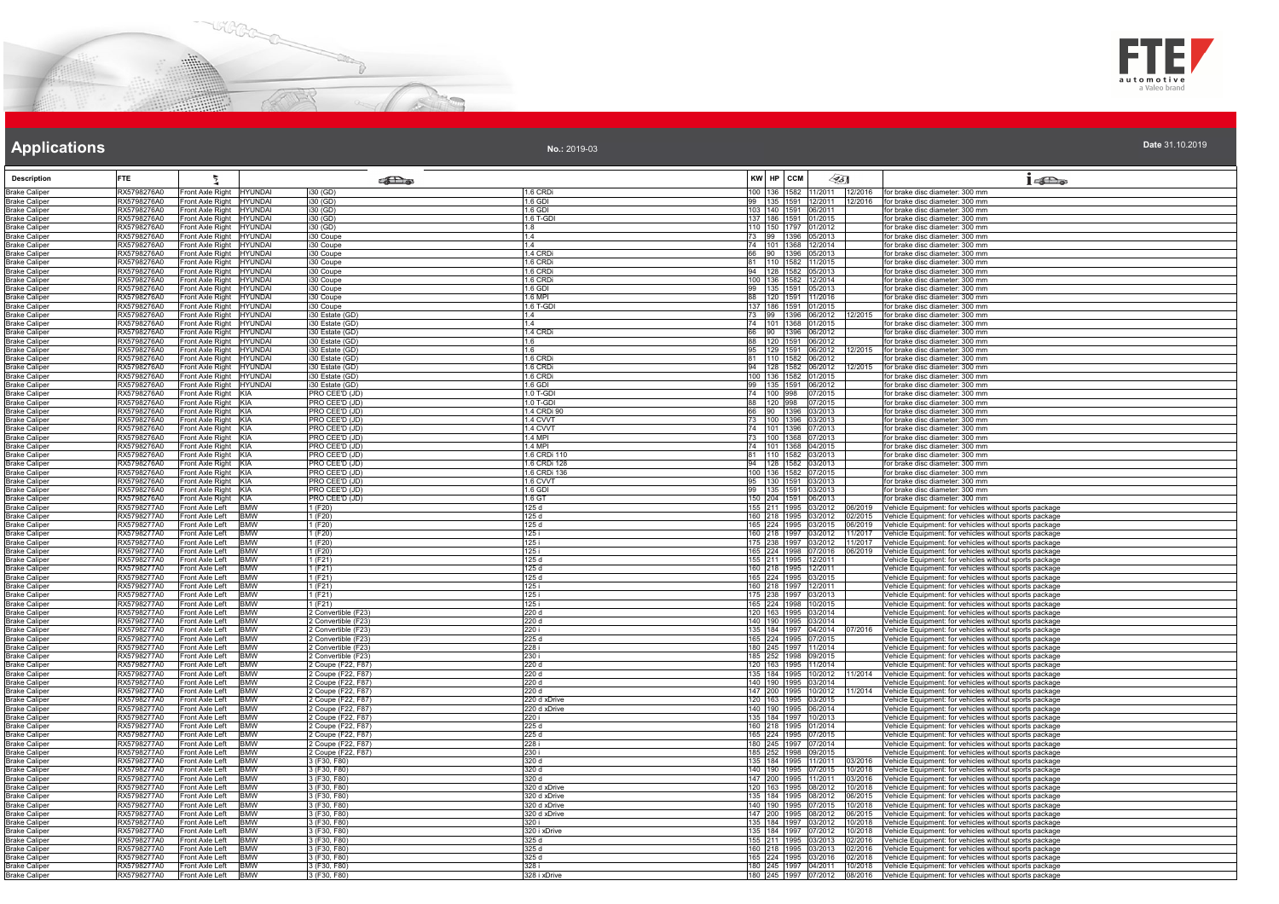



**Date** 31.10.2019

# **Applications**

| <b>Description</b>                           | <b>FTE</b>                                                                 |                                                      | <b>Colle</b>                               |                              |         | KW HP CCM                                    |              | <45∏                         | $1 - \sum_{\omega}$                                                                                              |
|----------------------------------------------|----------------------------------------------------------------------------|------------------------------------------------------|--------------------------------------------|------------------------------|---------|----------------------------------------------|--------------|------------------------------|------------------------------------------------------------------------------------------------------------------|
| <b>Brake Caliper</b>                         | RX5798276A0                                                                | Front Axle Right HYUNDAI                             | i30 (GD)                                   | 1.6 CRDi                     | 100 136 |                                              |              |                              | 1582 11/2011 12/2016 for brake disc diameter: 300 mm                                                             |
| <b>Brake Caliper</b>                         | RX5798276A0                                                                | Front Axle Right HYUNDAI                             | i30 (GD)                                   | .6 GDI                       | 135     |                                              | 1591 12/2011 | 12/2016                      | for brake disc diameter: 300 mm                                                                                  |
| <b>Brake Caliper</b>                         | RX5798276A0                                                                | Front Axle Right HYUNDAI                             | $\overline{130}$ (GD)                      | 1.6 GDI                      |         | 103 140 1591 06/2011                         |              |                              | or brake disc diameter: 300 mm                                                                                   |
| <b>Brake Caliper</b><br><b>Brake Caliper</b> | RX5798276A0<br>RX5798276A0                                                 | Front Axle Right HYUNDAI<br>Front Axle Right HYUNDAI | $130$ (GD)<br>$i30$ (GD)                   | 1.6 T-GDI<br>1.8             |         | 137 186 1591 01/2015<br>110 150 1797 01/2012 |              |                              | or brake disc diameter: 300 mm<br>for brake disc diameter: 300 mm                                                |
| <b>Brake Caliper</b>                         | RX5798276A0                                                                | Front Axle Right HYUNDAI                             | i30 Coupe                                  | 14                           |         | 73 99 1396 05/2013                           |              |                              | for brake disc diameter: 300 mm                                                                                  |
| <b>Brake Caliper</b>                         | RX5798276A0                                                                | Front Axle Right HYUNDAI                             | i30 Coupe                                  | 1.4                          |         | 74 101 1368 12/2014                          |              |                              | for brake disc diameter: 300 mm                                                                                  |
| <b>Brake Caliper</b>                         | RX5798276A0                                                                | Front Axle Right HYUNDAI                             | i30 Coupe                                  | <b>1.4 CRD</b>               | 66 90   |                                              | 1396 05/2013 |                              | or brake disc diameter: 300 mm                                                                                   |
| <b>Brake Caliper</b>                         | RX5798276A0<br>RX5798276A0                                                 | Front Axle Right HYUNDAI                             | i30 Coupe                                  | 1.6 CRD<br>1.6 CRDi          |         | 81 110 1582 11/2015<br>94 128 1582 05/2013   |              |                              | for brake disc diameter: 300 mm<br>for brake disc diameter: 300 mm                                               |
| <b>Brake Caliper</b><br><b>Brake Caliper</b> | RX5798276A0                                                                | Front Axle Right HYUNDAI<br>Front Axle Right HYUNDAI | i30 Coupe<br>i30 Coupe                     | 1.6 CRDi                     |         | 100 136 1582 12/2014                         |              |                              | for brake disc diameter: 300 mm                                                                                  |
| <b>Brake Caliper</b>                         | RX5798276A0                                                                | Front Axle Right HYUNDAI                             | i30 Coupe                                  | 1.6 GDI                      |         | 99 135 1591 05/2013                          |              |                              | for brake disc diameter: 300 mm                                                                                  |
| <b>Brake Caliper</b>                         | RX5798276A0                                                                | Front Axle Right HYUNDAI                             | i30 Coupe                                  | $6$ MPI                      |         | 88 120 1591 11/2016                          |              |                              | or brake disc diameter: 300 mm                                                                                   |
| <b>Brake Caliper</b>                         | RX5798276A0                                                                | Front Axle Right HYUNDAI                             | i30 Coupe                                  | 1.6 T-GDI                    |         | 137 186 1591 01/2015                         |              |                              | for brake disc diameter: 300 mm                                                                                  |
| <b>Brake Caliper</b><br><b>Brake Caliper</b> | RX5798276A0<br>RX5798276A0                                                 | Front Axle Right HYUNDAI<br>Front Axle Right HYUNDAI | 130 Estate (GD)<br>i30 Estate (GD)         | 14<br>1.4                    | 73 99   | 74 101 1368 01/2015                          | 1396 06/2012 | 12/2015                      | for brake disc diameter: 300 mm<br>for brake disc diameter: 300 mm                                               |
| <b>Brake Caliper</b>                         | RX5798276A0                                                                | Front Axle Right   HYUNDAI                           | i30 Estate (GD)                            | 1.4 CRD                      |         | 66 90 1396 06/2012                           |              |                              | or brake disc diameter: 300 mm                                                                                   |
| <b>Brake Caliper</b>                         | RX5798276A0                                                                | Front Axle Right HYUNDAI                             | i30 Estate (GD)                            | 1.6                          |         | 88 120 1591 06/2012                          |              |                              | for brake disc diameter: 300 mm                                                                                  |
| <b>Brake Caliper</b>                         | RX5798276A0                                                                | Front Axle Right HYUNDAI                             | i30 Estate (GD)                            | 1.6                          |         | 95 129 1591 06/2012                          |              | 12/2015                      | for brake disc diameter: 300 mm                                                                                  |
| <b>Brake Caliper</b>                         | RX5798276A0                                                                | Front Axle Right HYUNDAI                             | 130 Estate (GD)                            | 1.6 CRD                      |         | 81 110 1582 06/2012                          |              |                              | for brake disc diameter: 300 mm                                                                                  |
| <b>Brake Caliper</b><br><b>Brake Caliper</b> | RX5798276A0<br>RX5798276A0                                                 | Front Axle Right HYUNDAI<br>Front Axle Right HYUNDAI | i30 Estate (GD)<br>i30 Estate (GD)         | 1.6 CRD<br>1.6 CRDi          |         | 94 128 1582 06/2012<br>100 136 1582 01/2015  |              | 12/2015                      | for brake disc diameter: 300 mm<br>or brake disc diameter: 300 mm                                                |
| <b>Brake Caliper</b>                         | RX5798276A0                                                                | Front Axle Right HYUNDAI                             | i30 Estate (GD)                            | 1.6 GDI                      |         | 99 135 1591 06/2012                          |              |                              | for brake disc diameter: 300 mm                                                                                  |
| <b>Brake Caliper</b>                         | RX5798276A0<br>Front Axle Right KIA                                        |                                                      | PRO CEE'D (JD)                             | 1.0 T-GDI                    |         | 74 100 998 07/2015                           |              |                              | for brake disc diameter: 300 mm                                                                                  |
| <b>Brake Caliper</b>                         | RX5798276A0<br>Front Axle Right KIA                                        |                                                      | PRO CEE'D (JD)                             | 1.0 T-GDI                    |         | 88 120 998 07/2015                           |              |                              | for brake disc diameter: 300 mm                                                                                  |
| <b>Brake Caliper</b>                         | RX5798276A0<br>Front Axle Right KIA                                        |                                                      | PRO CEE'D (JD)                             | 1.4 CRDi 90                  | 66 90   |                                              | 1396 03/2013 |                              | or brake disc diameter: 300 mm                                                                                   |
| <b>Brake Caliper</b><br><b>Brake Caliper</b> | RX5798276A0<br>Front Axle Right KIA<br>RX5798276A0                         |                                                      | PRO CEE'D (JD)<br>PRO CEE'D (JD)           | 1.4 CVVT<br>1.4 CVVT         |         | 73 100 1396 03/2013<br>74 101 1396 07/2013   |              |                              | for brake disc diameter: 300 mm<br>for brake disc diameter: 300 mm                                               |
| <b>Brake Caliper</b>                         | Front Axle Right KIA<br>RX5798276A0<br>Front Axle Right KIA                |                                                      | PRO CEE'D (JD)                             | $1.4$ MPI                    |         | 73 100 1368 07/2013                          |              |                              | for brake disc diameter: 300 mm                                                                                  |
| <b>Brake Caliper</b>                         | RX5798276A0<br>Front Axle Right KIA                                        |                                                      | PRO CEE'D (JD)                             | 4 MPI                        |         | 74 101 1368 04/2015                          |              |                              | or brake disc diameter: 300 mm                                                                                   |
| <b>Brake Caliper</b>                         | RX5798276A0<br>Front Axle Right KIA                                        |                                                      | PRO CEE'D (JD)                             | 1.6 CRDi 110                 |         | 81 110 1582 03/2013                          |              |                              | for brake disc diameter: 300 mm                                                                                  |
| <b>Brake Caliper</b>                         | RX5798276A0<br>Front Axle Right KIA                                        |                                                      | PRO CEE'D (JD)                             | 1.6 CRDi 128                 |         | 94 128 1582 03/2013                          |              |                              | for brake disc diameter: 300 mm                                                                                  |
| <b>Brake Caliper</b>                         | Front Axle Right KIA<br>RX5798276A0                                        |                                                      | PRO CEE'D (JD)                             | 1.6 CRDi 136                 |         | 100 136 1582 07/2015                         |              |                              | for brake disc diameter: 300 mm                                                                                  |
| <b>Brake Caliper</b><br><b>Brake Caliper</b> | Front Axle Right KIA<br>RX5798276A0<br>RX5798276A0<br>Front Axle Right KIA |                                                      | PRO CEE'D (JD)<br>PRO CEE'D (JD)           | 1.6 CVVT<br>$1.6$ GDI        |         | 95 130 1591 03/2013<br>99 135 1591 03/2013   |              |                              | or brake disc diameter: 300 mm<br>for brake disc diameter: 300 mm                                                |
| <b>Brake Caliper</b>                         | RX5798276A0<br>Front Axle Right KIA                                        |                                                      | PRO CEE'D (JD)                             | 1.6 GT                       |         | 150 204 1591 06/2013                         |              |                              | or brake disc diameter: 300 mm                                                                                   |
| <b>Brake Caliper</b>                         | RX5798277A0<br>Front Axle Left                                             | BMW                                                  | 1 (F20)                                    | 125 d                        |         | 155 211 1995 03/2012                         |              | 06/2019                      | /ehicle Equipment: for vehicles without sports package                                                           |
| <b>Brake Caliper</b>                         | RX5798277A0<br>Front Axle Left                                             | <b>BMW</b>                                           | 1 (F20)                                    | 125d                         |         | 160 218 1995 03/2012                         |              | 02/2015                      | Vehicle Equipment: for vehicles without sports package                                                           |
| <b>Brake Caliper</b>                         | RX5798277A0<br>Front Axle Left                                             | <b>BMW</b>                                           | 1 (F20)                                    | 125 d                        |         | 165 224 1995 03/2015                         |              | 06/2019                      | Vehicle Equipment: for vehicles without sports package                                                           |
| <b>Brake Caliper</b>                         | RX5798277A0<br>Front Axle Left BMW<br>RX5798277A0<br>Front Axle Left       | <b>BMW</b>                                           | 1 (F20)                                    | 125 i<br>125 i               |         | 160 218 1997 03/2012<br>175 238 1997 03/2012 |              | 11/2017<br>11/2017           | Vehicle Equipment: for vehicles without sports package                                                           |
| <b>Brake Caliper</b><br><b>Brake Caliper</b> | RX5798277A0<br>Front Axle Left                                             | <b>BMW</b>                                           | 1 (F20)<br>1 (F20)                         | 125 i                        |         | 165 224 1998 07/2016                         |              | 06/2019                      | Vehicle Equipment: for vehicles without sports package<br>Vehicle Equipment: for vehicles without sports package |
| <b>Brake Caliper</b>                         | RX5798277A0<br>Front Axle Left                                             | <b>BMW</b>                                           | 1(F21)                                     | 125d                         |         | 155 211 1995 12/2011                         |              |                              | /ehicle Equipment: for vehicles without sports package                                                           |
| <b>Brake Caliper</b>                         | RX5798277A0<br>Front Axle Left                                             | <b>BMW</b>                                           | 1 (F21)                                    | 125d                         |         | 160 218 1995 12/2011                         |              |                              | /ehicle Equipment: for vehicles without sports package                                                           |
| <b>Brake Caliper</b>                         | RX5798277A0<br>Front Axle Left                                             | <b>BMW</b>                                           | 1 (F21)                                    | 125 d                        |         | 165 224 1995 03/2015                         |              |                              | Vehicle Equipment: for vehicles without sports package                                                           |
| <b>Brake Caliper</b>                         | RX5798277A0<br>Front Axle Left                                             | <b>RMW</b>                                           | 1 (F21)                                    | 125 i                        |         | 160 218 1997 12/2011                         |              |                              | Vehicle Equipment: for vehicles without sports package                                                           |
| <b>Brake Caliper</b><br><b>Brake Caliper</b> | RX5798277A0<br>Front Axle Left<br>RX5798277A0<br>Front Axle Left           | <b>BMW</b><br><b>BMW</b>                             | 1(F21)<br>1 (F21)                          | 125 i<br>125 i               |         | 175 238 1997 03/2013<br>165 224 1998 10/2015 |              |                              | ehicle Equipment: for vehicles without sports package<br>/ehicle Equipment: for vehicles without sports package  |
| <b>Brake Caliper</b>                         | RX5798277A0<br>Front Axle Left                                             | <b>BMW</b>                                           | 2 Convertible (F23)                        | 220 d                        |         | 120 163 1995 03/2014                         |              |                              | Vehicle Equipment: for vehicles without sports package                                                           |
| <b>Brake Caliper</b>                         | RX5798277A0<br>Front Axle Left                                             | <b>BMW</b>                                           | 2 Convertible (F23)                        | 220 d                        |         | 140 190 1995 03/2014                         |              |                              | Vehicle Equipment: for vehicles without sports package                                                           |
| <b>Brake Caliper</b>                         | RX5798277A0<br>Front Axle Left                                             | <b>BMW</b>                                           | 2 Convertible (F23)                        | 220 i                        |         |                                              |              | 135 184 1997 04/2014 07/2016 | Vehicle Equipment: for vehicles without sports package                                                           |
| <b>Brake Caliper</b>                         | RX5798277A0<br>Front Axle Left<br>RX5798277A0<br>Front Axle Left           | <b>BMW</b><br><b>BMW</b>                             | 2 Convertible (F23)<br>2 Convertible (F23) | 225 d<br>228 i               |         | 165 224 1995 07/2015                         |              |                              | Vehicle Equipment: for vehicles without sports package                                                           |
| <b>Brake Caliper</b><br><b>Brake Caliper</b> | RX5798277A0<br>Front Axle Left                                             | <b>BMW</b>                                           | 2 Convertible (F23)                        | 230 i                        |         | 180 245 1997 11/2014<br>185 252 1998 09/2015 |              |                              | /ehicle Equipment: for vehicles without sports package<br>Vehicle Equipment: for vehicles without sports package |
| <b>Brake Caliper</b>                         | RX5798277A0<br>Front Axle Left                                             | <b>BMW</b>                                           | 2 Coupe (F22, F87)                         | 220 d                        |         | 120 163 1995 11/2014                         |              |                              | Vehicle Equipment: for vehicles without sports package                                                           |
| <b>Brake Caliper</b>                         | RX5798277A0<br>Front Axle Left                                             | <b>BMW</b>                                           | 2 Coupe (F22, F87                          | 220 d                        |         |                                              |              | 135 184 1995 10/2012 11/2014 | Vehicle Equipment: for vehicles without sports package                                                           |
| <b>Brake Caliper</b>                         | RX5798277A0<br>Front Axle Left                                             | <b>RMW</b>                                           | 2 Coupe (F22, F87)                         | 220 d                        |         | 140 190 1995 03/2014                         |              |                              | /ehicle Equipment: for vehicles without sports package                                                           |
| <b>Brake Caliper</b>                         | RX5798277A0<br>Front Axle Left                                             | <b>BMW</b>                                           | 2 Coupe (F22, F87                          | 220 d                        |         | 147 200 1995 10/2012                         |              | 11/2014                      | ehicle Equipment: for vehicles without sports package                                                            |
| <b>Brake Caliper</b><br><b>Brake Caliper</b> | RX5798277A0<br>Front Axle Left<br>RX5798277A0<br>Front Axle Left           | <b>BMW</b><br><b>BMW</b>                             | 2 Coupe (F22, F87)<br>2 Coupe (F22, F87)   | 220 d xDrive<br>220 d xDrive |         | 120 163 1995 03/2015<br>140 190 1995 06/2014 |              |                              | ehicle Equipment: for vehicles without sports package                                                            |
| <b>Brake Caliper</b>                         | RX5798277A0<br>Front Axle Left                                             | <b>BMW</b>                                           | 2 Coupe (F22, F87                          | 220 i                        |         | 135 184 1997 10/2013                         |              |                              | Vehicle Equipment: for vehicles without sports package<br>Vehicle Equipment: for vehicles without sports package |
| <b>Brake Caliper</b>                         | RX5798277A0<br>Front Axle Left                                             | <b>BMW</b>                                           | 2 Coupe (F22, F87)                         | 225 d                        |         | 160 218 1995 01/2014                         |              |                              | Vehicle Equipment: for vehicles without sports package                                                           |
| <b>Brake Caliper</b>                         | RX5798277A0<br>Front Axle Left                                             | <b>BMW</b>                                           | 2 Coupe (F22, F87)                         | 225 d                        |         | 165 224 1995 07/2015                         |              |                              | Vehicle Equipment: for vehicles without sports package                                                           |
| <b>Brake Caliper</b>                         | RX5798277A0<br>Front Axle Left                                             | <b>BMW</b>                                           | Coupe (F22, F87)                           | 228 i                        |         | 180 245 1997 07/2014                         |              |                              | /ehicle Equipment: for vehicles without sports package                                                           |
| <b>Brake Caliper</b><br><b>Brake Caliper</b> | RX5798277A0<br>Front Axle Left<br>RX5798277A0<br>Front Axle Left           | <b>BMW</b><br><b>BMW</b>                             | 2 Coupe (F22, F87)<br>3 (F30, F80)         | 230 i<br>320 d               |         | 185 252 1998 09/2015<br>135 184 1995 11/2011 |              | 03/2016                      | Vehicle Equipment: for vehicles without sports package<br>Vehicle Equipment: for vehicles without sports package |
| <b>Brake Caliper</b>                         | RX5798277A0<br>Front Axle Left                                             | <b>BMW</b>                                           | 3 (F30, F80)                               | 320 d                        |         | 140 190 1995 07/2015                         |              | 10/2018                      | Vehicle Equipment: for vehicles without sports package                                                           |
| <b>Brake Caliper</b>                         | RX5798277A0<br>Front Axle Left                                             | <b>RMW</b>                                           | 3 (F30, F80)                               | 320 d                        |         |                                              |              | 147 200 1995 11/2011 03/2016 | Vehicle Equipment: for vehicles without sports package                                                           |
| <b>Brake Caliper</b>                         | RX5798277A0<br>Front Axle Left                                             | <b>BMW</b>                                           | 3 (F30, F80)                               | 320 d xDrive                 |         | 120 163 1995 08/2012                         |              | 10/2018                      | Vehicle Equipment: for vehicles without sports package                                                           |
| <b>Brake Caliper</b>                         | RX5798277A0<br>Front Axle Left                                             | <b>BMW</b>                                           | 3 (F30, F80)                               | 320 d xDrive                 |         | 135   184   1995   08/2012                   |              | 06/2015                      | /ehicle Equipment: for vehicles without sports package                                                           |
| <b>Brake Caliper</b>                         | RX5798277A0<br>Front Axle Left                                             | <b>BMW</b>                                           | 3 (F30, F80)                               | 320 d xDrive                 |         | 140 190 1995 07/2015                         |              | 10/2018                      | Vehicle Equipment: for vehicles without sports package                                                           |
| <b>Brake Caliper</b><br><b>Brake Caliper</b> | RX5798277A0<br>Front Axle Left<br>RX5798277A0<br>Front Axle Left           | <b>BMW</b><br><b>BMW</b>                             | 3 (F30, F80)<br>3 (F30, F80)               | 320 d xDrive<br>320 i        |         | 147 200 1995 08/2012<br>135 184 1997 03/2012 |              | 06/2015<br>10/2018           | Vehicle Equipment: for vehicles without sports package<br>Vehicle Equipment: for vehicles without sports package |
| <b>Brake Caliper</b>                         | RX5798277A0<br>Front Axle Left                                             | <b>BMW</b>                                           | 3 (F30, F80)                               | 320 i xDrive                 |         | 135   184   1997   07/2012                   |              | 10/2018                      | Vehicle Equipment: for vehicles without sports package                                                           |
| <b>Brake Caliper</b>                         | RX5798277A0<br>Front Axle Left                                             | <b>BMW</b>                                           | 3 (F30, F80)                               | 325 d                        |         | 155 211 1995 03/2013                         |              | 02/2016                      | Vehicle Equipment: for vehicles without sports package                                                           |
| <b>Brake Caliper</b>                         | RX5798277A0<br>Front Axle Left                                             | <b>BMW</b>                                           | 3 (F30, F80)                               | 325 d                        |         | 160 218 1995 03/2013                         |              | 02/2016                      | Vehicle Equipment: for vehicles without sports package                                                           |
| <b>Brake Caliper</b>                         | RX5798277A0<br>Front Axle Left                                             | <b>BMW</b>                                           | 3 (F30, F80)                               | 325 d                        |         | 165 224 1995 03/2016                         |              | 02/2018                      | Vehicle Equipment: for vehicles without sports package                                                           |
| <b>Brake Caliper</b>                         | RX5798277A0<br>Front Axle Left                                             | <b>BMW</b>                                           | 3 (F30, F80)                               | 328 i                        |         |                                              |              | 180 245 1997 04/2011 10/2018 | Vehicle Equipment: for vehicles without sports package                                                           |
| <b>Brake Caliper</b>                         | RX5798277A0<br>Front Axle Left BMW                                         |                                                      | 3 (F30, F80)                               | 328 i xDrive                 |         |                                              |              | 180 245 1997 07/2012 08/2016 | Vehicle Equipment: for vehicles without sports package                                                           |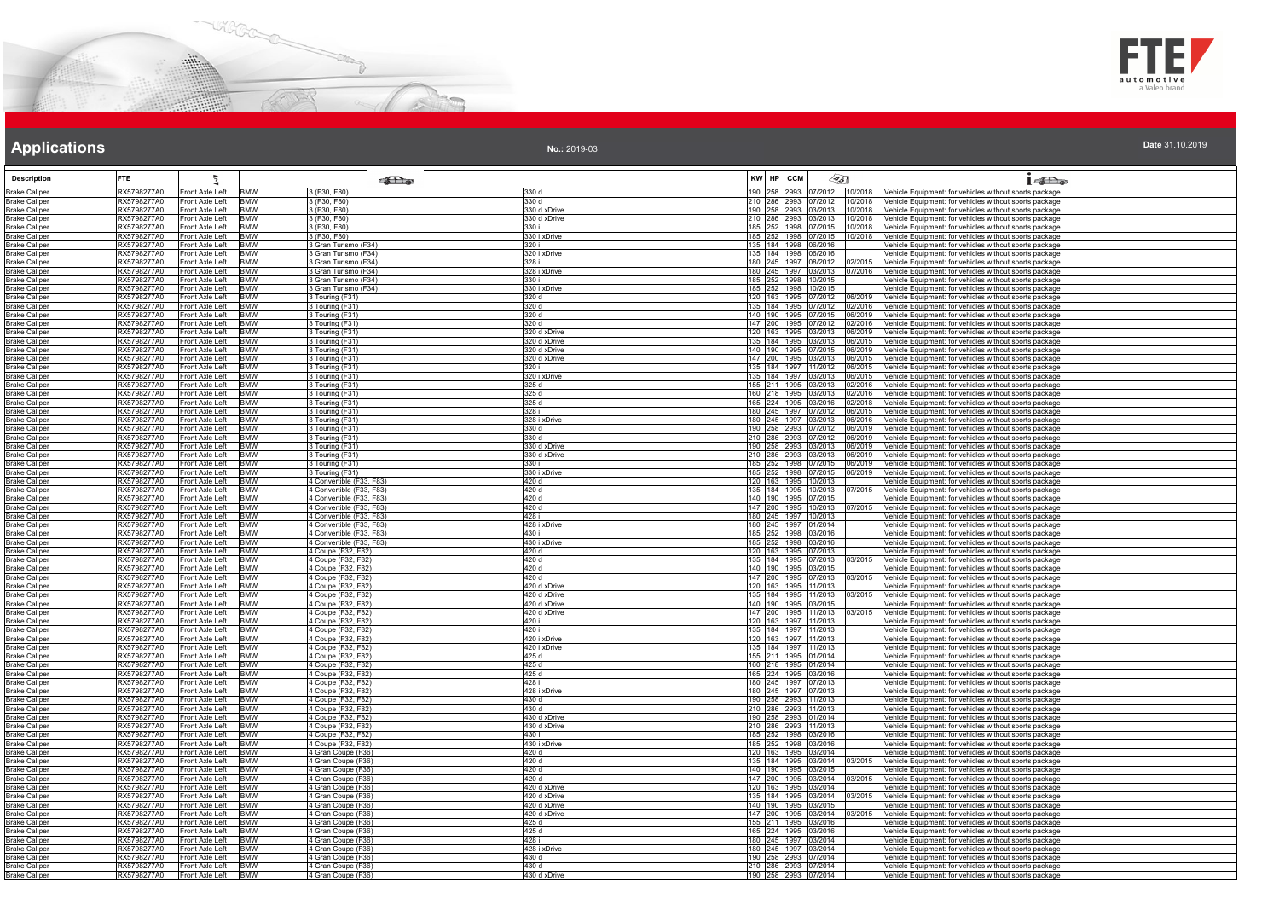



| Date 31.10.2019 |  |  |
|-----------------|--|--|

| <b>Description</b>                           | <b>FTE</b>                                                           |                          | $\epsilon$ as                                        |                              | KW HP CCM                                          | $\llap{65}$                  |                    | $1 - \sum_{\alpha}$                                                                                              |
|----------------------------------------------|----------------------------------------------------------------------|--------------------------|------------------------------------------------------|------------------------------|----------------------------------------------------|------------------------------|--------------------|------------------------------------------------------------------------------------------------------------------|
| <b>Brake Caliper</b>                         | RX5798277A0<br>Front Axle Left                                       | <b>BMW</b>               | 3 (F30, F80)                                         | 330 d                        |                                                    | 190 258 2993 07/2012 10/2018 |                    | Vehicle Equipment: for vehicles without sports package                                                           |
| <b>Brake Caliper</b><br><b>Brake Caliper</b> | RX5798277A0<br>Front Axle Left<br>RX5798277A0<br>Front Axle Left     | <b>BMW</b><br><b>BMW</b> | 3 (F30, F80)<br>3 (F30, F80)                         | 330 d<br>330 d xDrive        | 190 258 2993 03/2013                               | 210 286 2993 07/2012 10/2018 | 10/2018            | Vehicle Equipment: for vehicles without sports package<br>Vehicle Equipment: for vehicles without sports package |
| <b>Brake Caliper</b>                         | RX5798277A0<br>Front Axle Left                                       | <b>BMW</b>               | 3 (F30, F80)                                         | 330 d xDrive                 | 210 286 2993 03/2013                               |                              | 10/2018            | /ehicle Equipment: for vehicles without sports package                                                           |
| Brake Caliper                                | Front Axle Left<br>RX5798277A0                                       | <b>BMW</b>               | 3 (F30, F80)                                         | 330 i                        |                                                    | 185 252 1998 07/2015 10/2018 |                    | Vehicle Equipment: for vehicles without sports package                                                           |
| <b>Brake Caliper</b>                         | RX5798277A0<br>Front Axle Left                                       | <b>BMW</b>               | 3 (F30, F80)                                         | 330 i xDrive<br>320 i        |                                                    | 185 252 1998 07/2015 10/2018 |                    | ehicle Equipment: for vehicles without sports package                                                            |
| <b>Brake Caliper</b><br><b>Brake Caliper</b> | RX5798277A0<br>Front Axle Left<br>RX5798277A0<br>Front Axle Left     | <b>BMW</b><br><b>BMW</b> | 3 Gran Turismo (F34)<br>3 Gran Turismo (F34)         | 320 i xDrive                 | 135   184   1998   06/2016<br>135 184 1998 06/2016 |                              |                    | ehicle Equipment: for vehicles without sports package<br>/ehicle Equipment: for vehicles without sports package  |
| <b>Brake Caliper</b>                         | RX5798277A0<br>Front Axle Left BMW                                   |                          | 3 Gran Turismo (F34)                                 | 328 i                        |                                                    | 180 245 1997 08/2012         | 02/2015            | Vehicle Equipment: for vehicles without sports package                                                           |
| <b>Brake Caliper</b>                         | RX5798277A0<br>Front Axle Left                                       | <b>BMW</b>               | 3 Gran Turismo (F34)                                 | 328 i xDrive                 | 180 245 1997 03/2013                               |                              | 07/2016            | Vehicle Equipment: for vehicles without sports package                                                           |
| <b>Brake Caliper</b><br><b>Brake Caliper</b> | RX5798277A0<br>Front Axle Left<br>RX5798277A0<br>Front Axle Left     | <b>BMW</b><br><b>BMW</b> | Gran Turismo (F34)<br>3 Gran Turismo (F34)           | 330 i<br>330 i xDrive        | 185 252 1998 10/2015<br>185 252 1998 10/2015       |                              |                    | ehicle Equipment: for vehicles without sports package<br>ehicle Equipment: for vehicles without sports package   |
| <b>Brake Caliper</b>                         | RX5798277A0<br>Front Axle Left                                       | <b>TBMW</b>              | 3 Touring (F31)                                      | 320 d                        | 120 163 1995 07/2012                               |                              | 06/2019            | Vehicle Equipment: for vehicles without sports package                                                           |
| <b>Brake Caliper</b>                         | RX5798277A0<br>Front Axle Left                                       | <b>BMW</b>               | 3 Touring (F31)                                      | 320 d                        |                                                    | 135 184 1995 07/2012 02/2016 |                    | /ehicle Equipment: for vehicles without sports package                                                           |
| <b>Brake Caliper</b>                         | RX5798277A0<br>Front Axle Left<br>Front Axle Left<br>RX5798277A0     | <b>BMW</b><br><b>BMW</b> | 3 Touring (F31)<br>Touring (F31)                     | 320 d<br>320 d               | 147 200 1995 07/2012                               | 140 190 1995 07/2015 06/2019 | 02/2016            | /ehicle Equipment: for vehicles without sports package<br>/ehicle Equipment: for vehicles without sports package |
| Brake Caliper<br><b>Brake Caliper</b>        | RX5798277A0<br>Front Axle Left                                       | <b>BMW</b>               | Touring (F31)                                        | 320 d xDrive                 | 120 163 1995 03/2013                               |                              | 06/2019            | ehicle Equipment: for vehicles without sports package                                                            |
| <b>Brake Caliper</b>                         | RX5798277A0<br>Front Axle Left                                       | <b>BMW</b>               | 3 Touring (F31)                                      | 320 d xDrive                 | 135 184 1995 03/2013                               |                              | 06/2015            | /ehicle Equipment: for vehicles without sports package                                                           |
| <b>Brake Caliper</b>                         | RX5798277A0<br>Front Axle Left                                       | <b>BMW</b>               | 3 Touring (F31)                                      | 320 d xDrive                 | 140 190 1995 07/2015                               |                              | 06/2019            | /ehicle Equipment: for vehicles without sports package                                                           |
| <b>Brake Caliper</b><br><b>Brake Caliper</b> | RX5798277A0<br>Front Axle Left BMW<br>RX5798277A0<br>Front Axle Left | <b>RMW</b>               | 3 Touring (F31)<br>3 Touring (F31)                   | 320 d xDrive<br>320 i        | 147 200 1995 03/2013<br>135 184 1997 11/2012       |                              | 06/2015<br>06/2015 | Vehicle Equipment: for vehicles without sports package<br>Vehicle Equipment: for vehicles without sports package |
| <b>Brake Caliper</b>                         | RX5798277A0<br>Front Axle Left                                       | <b>BMW</b>               | Touring (F31)                                        | 320 i xDrive                 | 135 184 1997 03/2013                               |                              | 06/2015            | /ehicle Equipment: for vehicles without sports package                                                           |
| <b>Brake Caliper</b>                         | RX5798277A0<br>Front Axle Left                                       | <b>BMW</b>               | Touring (F31)                                        | 325 d                        | 155 211 1995 03/2013                               |                              | 02/2016            | /ehicle Equipment: for vehicles without sports package                                                           |
| <b>Brake Caliper</b>                         | RX5798277A0<br>Front Axle Left                                       | <b>BMW</b>               | 3 Touring (F31)                                      | 325 d                        | 160 218 1995 03/2013                               |                              | 02/2016            | Vehicle Equipment: for vehicles without sports package                                                           |
| <b>Brake Caliper</b><br><b>Brake Caliper</b> | RX5798277A0<br>Front Axle Left<br>RX5798277A0<br>Front Axle Left     | <b>BMW</b><br><b>BMW</b> | Touring (F31)<br>3 Touring (F31)                     | 325 d<br>328 i               | 165 224 1995 03/2016                               | 180 245 1997 07/2012         | 02/2018<br>06/2015 | ehicle Equipment: for vehicles without sports package<br>Vehicle Equipment: for vehicles without sports package  |
| <b>Brake Caliper</b>                         | RX5798277A0<br>Front Axle Left                                       | <b>BMW</b>               | Touring (F31)                                        | 328 i xDrive                 | 180 245 1997 03/2013                               |                              | 06/2016            | ehicle Equipment: for vehicles without sports package                                                            |
| <b>Brake Caliper</b>                         | RX5798277A0<br>Front Axle Left                                       | <b>BMW</b>               | 3 Touring (F31)                                      | 330 d                        | 190 258 2993 07/2012                               |                              | 06/2019            | ehicle Equipment: for vehicles without sports package                                                            |
| <b>Brake Caliper</b>                         | RX5798277A0<br>Front Axle Left                                       | <b>BMW</b>               | 3 Touring (F31)                                      | 330 d                        | 210 286 2993 07/2012                               |                              | 06/2019            | /ehicle Equipment: for vehicles without sports package                                                           |
| <b>Brake Caliper</b><br><b>Brake Caliper</b> | RX5798277A0<br>Front Axle Left<br>RX5798277A0<br>Front Axle Left BMW | <b>BMW</b>               | 3 Touring (F31)<br>3 Touring (F31)                   | 330 d xDrive<br>330 d xDrive | 190 258 2993 03/2013                               | 210 286 2993 03/2013 06/2019 | 06/2019            | ehicle Equipment: for vehicles without sports package<br>Vehicle Equipment: for vehicles without sports package  |
| <b>Brake Caliper</b>                         | RX5798277A0<br>Front Axle Left                                       | <b>IBMW</b>              | Touring (F31)                                        | 330 i                        |                                                    | 185 252 1998 07/2015 06/2019 |                    | Vehicle Equipment: for vehicles without sports package                                                           |
| <b>Brake Caliper</b>                         | RX5798277A0<br>Front Axle Left                                       | <b>BMW</b>               | Touring (F31)                                        | 330 i xDrive                 | 185 252 1998 07/2015                               |                              | 06/2019            | ehicle Equipment: for vehicles without sports package                                                            |
| <b>Brake Caliper</b>                         | RX5798277A0<br>Front Axle Left                                       | <b>BMW</b>               | 4 Convertible (F33, F83)                             | 420d                         | 120 163 1995 10/2013                               |                              |                    | ehicle Equipment: for vehicles without sports package                                                            |
| <b>Brake Caliper</b><br><b>Brake Caliper</b> | RX5798277A0<br>Front Axle Left<br>RX5798277A0<br>Front Axle Left     | <b>BMW</b><br><b>BMW</b> | 4 Convertible (F33, F83)<br>4 Convertible (F33, F83) | 420 d<br>420 d               | 135 184 1995 10/2013<br>140 190 1995 07/2015       |                              | 07/2015            | /ehicle Equipment: for vehicles without sports package<br>/ehicle Equipment: for vehicles without sports package |
| <b>Brake Caliper</b>                         | RX5798277A0<br>Front Axle Left                                       | <b>TBMW</b>              | 4 Convertible (F33, F83)                             | 420 d                        | 147 200 1995 10/2013                               |                              | 17/2015            | /ehicle Equipment: for vehicles without sports package                                                           |
| <b>Brake Caliper</b>                         | RX5798277A0<br>Front Axle Left                                       | <b>BMW</b>               | 4 Convertible (F33, F83)                             | 428 i                        | 180 245 1997 10/2013                               |                              |                    | ehicle Equipment: for vehicles without sports package                                                            |
| Brake Caliper                                | RX5798277A0<br>Front Axle Left<br>RX5798277A0                        | <b>BMW</b><br><b>BMW</b> | 4 Convertible (F33, F83)<br>4 Convertible (F33, F83) | 428 i xDrive<br>430 i        | 180 245 1997 01/2014                               |                              |                    | /ehicle Equipment: for vehicles without sports package                                                           |
| <b>Brake Caliper</b><br><b>Brake Caliper</b> | Front Axle Left<br>RX5798277A0<br>Front Axle Left BMW                |                          | 4 Convertible (F33, F83)                             | 430 i xDrive                 | 185 252 1998 03/2016<br>185 252 1998 03/2016       |                              |                    | /ehicle Equipment: for vehicles without sports package<br>Vehicle Equipment: for vehicles without sports package |
| <b>Brake Caliper</b>                         | Front Axle Left BMW<br>RX5798277A0                                   |                          | 4 Coupe (F32, F82)                                   | 420 d                        | 120 163 1995 07/2013                               |                              |                    | Vehicle Equipment: for vehicles without sports package                                                           |
| <b>Brake Caliper</b>                         | RX5798277A0<br>Front Axle Left                                       | <b>BMW</b>               | 4 Coupe (F32, F82)                                   | 420 d                        | 135 184 1995 07/2013                               |                              | 03/2015            | /ehicle Equipment: for vehicles without sports package                                                           |
| <b>Brake Caliper</b><br><b>Brake Caliper</b> | RX5798277A0<br>Front Axle Left<br>RX5798277A0<br>Front Axle Left     | <b>BMW</b><br><b>BMW</b> | 4 Coupe (F32, F82)<br>4 Coupe (F32, F82)             | 420 d<br>420 d               | 140 190 1995 03/2015<br>147 200 1995 07/2013       |                              | 03/2015            | ehicle Equipment: for vehicles without sports package<br>Vehicle Equipment: for vehicles without sports package  |
| <b>Brake Caliper</b>                         | RX5798277A0<br>Front Axle Left                                       | <b>BMW</b>               | 4 Coupe (F32, F82)                                   | 420 d xDrive                 | 120 163 1995 11/2013                               |                              |                    | ehicle Equipment: for vehicles without sports package                                                            |
| Brake Caliper                                | RX5798277A0<br>Front Axle Left                                       | <b>BMW</b>               | 4 Coupe (F32, F82)                                   | 420 d xDrive                 |                                                    | 135 184 1995 11/2013 03/2015 |                    | Vehicle Equipment: for vehicles without sports package                                                           |
| <b>Brake Caliper</b>                         | RX5798277A0<br>Front Axle Left<br>RX5798277A0<br>Front Axle Left     | <b>BMW</b><br><b>BMW</b> | 4 Coupe (F32, F82)<br>4 Coupe (F32, F82)             | 420 d xDrive<br>420 d xDrive | 140 190 1995 03/2015                               |                              | 03/2015            | ehicle Equipment: for vehicles without sports package                                                            |
| <b>Brake Caliper</b><br><b>Brake Caliper</b> | RX5798277A0<br>Front Axle Left                                       | <b>BMW</b>               | 4 Coupe (F32, F82)                                   | 420 i                        | 147 200 1995 11/2013<br>120 163 1997 11/2013       |                              |                    | ehicle Equipment: for vehicles without sports package<br>ehicle Equipment: for vehicles without sports package   |
| <b>Brake Caliper</b>                         | RX5798277A0<br>Front Axle Left                                       | <b>BMW</b>               | 4 Coupe (F32, F82)                                   | 420 i                        | 135 184 1997 11/2013                               |                              |                    | ehicle Equipment: for vehicles without sports package                                                            |
| <b>Brake Caliper</b>                         | RX5798277A0<br>Front Axle Left BMW                                   |                          | 4 Coupe (F32, F82)                                   | 420 i xDrive                 | 120 163 1997 11/2013                               |                              |                    | Vehicle Equipment: for vehicles without sports package                                                           |
| <b>Brake Caliper</b><br><b>Brake Caliper</b> | RX5798277A0<br>Front Axle Left BMW<br>RX5798277A0<br>Front Axle Left | <b>BMW</b>               | 4 Coupe (F32, F82)<br>4 Coupe (F32, F82)             | 420 i xDrive<br>425 d        | 135 184 1997 11/2013<br>155 211 1995 01/2014       |                              |                    | Vehicle Equipment: for vehicles without sports package<br>ehicle Equipment: for vehicles without sports package  |
| Brake Caliper                                | RX5798277A0<br>Front Axle Left                                       | <b>BMW</b>               | 4 Coupe (F32, F82)                                   | 425 d                        | 160 218 1995 01/2014                               |                              |                    | Vehicle Equipment: for vehicles without sports package                                                           |
| <b>Brake Caliper</b>                         | RX5798277A0<br>Front Axle Left                                       | <b>BMW</b>               | 4 Coupe (F32, F82)                                   | 425 d                        | 165 224 1995 03/2016                               |                              |                    | ehicle Equipment: for vehicles without sports package                                                            |
| <b>Brake Caliper</b>                         | RX5798277A0<br>Front Axle Left BMW<br>RX5798277A0                    | <b>BMW</b>               | 4 Coupe (F32, F82)                                   | 428i<br>428 i xDrive         | 180 245 1997 07/2013                               |                              |                    | Vehicle Equipment: for vehicles without sports package                                                           |
| <b>Brake Caliper</b><br><b>Brake Caliper</b> | Front Axle Left<br>RX5798277A0<br>Front Axle Left                    | <b>BMW</b>               | 4 Coupe (F32, F82)<br>4 Coupe (F32, F82)             | 430 d                        | 180 245 1997 07/2013<br>190 258 2993 11/2013       |                              |                    | Vehicle Equipment: for vehicles without sports package<br>ehicle Equipment: for vehicles without sports package  |
| <b>Brake Caliper</b>                         | RX5798277A0<br>Front Axle Left                                       | <b>BMW</b>               | 4 Coupe (F32, F82)                                   | 430 d                        | 210 286 2993 11/2013                               |                              |                    | /ehicle Equipment: for vehicles without sports package                                                           |
| <b>Brake Caliper</b>                         | RX5798277A0<br>Front Axle Left BMW                                   |                          | 4 Coupe (F32, F82)                                   | 430 d xDrive                 | 190 258 2993 01/2014                               |                              |                    | Vehicle Equipment: for vehicles without sports package                                                           |
| <b>Brake Caliper</b>                         | RX5798277A0<br>Front Axle Left                                       | <b>BMW</b>               | 4 Coupe (F32, F82)                                   | 430 d xDrive                 | 210 286 2993 11/2013                               |                              |                    | Vehicle Equipment: for vehicles without sports package                                                           |
| Brake Caliper<br><b>Brake Caliper</b>        | Front Axle Left BMW<br>RX5798277A0<br>RX5798277A0<br>Front Axle Left | <b>BMW</b>               | 4 Coupe (F32, F82)<br>4 Coupe (F32, F82)             | 430 i<br>430 i xDrive        | 185 252 1998 03/2016<br>185 252 1998 03/2016       |                              |                    | Vehicle Equipment: for vehicles without sports package<br>ehicle Equipment: for vehicles without sports package  |
| <b>Brake Caliper</b>                         | RX5798277A0<br>Front Axle Left                                       | <b>BMW</b>               | 4 Gran Coupe (F36)                                   | 420 d                        | 120 163 1995 03/2014                               |                              |                    | ehicle Equipment: for vehicles without sports package                                                            |
| <b>Brake Caliper</b>                         | Front Axle Left BMW<br>RX5798277A0                                   |                          | 4 Gran Coupe (F36)                                   | 420 d                        |                                                    | 135 184 1995 03/2014 03/2015 |                    | Vehicle Equipment: for vehicles without sports package                                                           |
| <b>Brake Caliper</b><br><b>Brake Caliper</b> | RX5798277A0<br>Front Axle Left<br>Front Axle Left BMW<br>RX5798277A0 | <b>BMW</b>               | 4 Gran Coupe (F36)<br>4 Gran Coupe (F36)             | 420 d<br>420 d               | 140 190 1995 03/2015                               | 147 200 1995 03/2014 03/2015 |                    | ehicle Equipment: for vehicles without sports package<br>Vehicle Equipment: for vehicles without sports package  |
| <b>Brake Caliper</b>                         | RX5798277A0<br>Front Axle Left                                       | <b>BMW</b>               | 4 Gran Coupe (F36)                                   | 420 d xDrive                 | 120 163 1995 03/2014                               |                              |                    | /ehicle Equipment: for vehicles without sports package                                                           |
| <b>Brake Caliper</b>                         | RX5798277A0<br>Front Axle Left                                       | <b>BMW</b>               | 4 Gran Coupe (F36)                                   | 420 d xDrive                 | 135 184 1995 03/2014                               |                              | 03/2015            | ehicle Equipment: for vehicles without sports package                                                            |
| <b>Brake Caliper</b>                         | RX5798277A0<br>Front Axle Left                                       | <b>BMW</b>               | 4 Gran Coupe (F36)                                   | 420 d xDrive                 | 140 190 1995 03/2015                               |                              |                    | /ehicle Equipment: for vehicles without sports package                                                           |
| <b>Brake Caliper</b><br><b>Brake Caliper</b> | Front Axle Left BMW<br>RX5798277A0<br>RX5798277A0<br>Front Axle Left | <b>BMW</b>               | 4 Gran Coupe (F36)<br>4 Gran Coupe (F36)             | 420 d xDrive<br>425 d        | 147 200 1995 03/2014<br>155 211 1995 03/2016       |                              | 03/2015            | /ehicle Equipment: for vehicles without sports package<br>/ehicle Equipment: for vehicles without sports package |
| <b>Brake Caliper</b>                         | Front Axle Left BMW<br>RX5798277A0                                   |                          | 4 Gran Coupe (F36)                                   | 425d                         | 165 224 1995 03/2016                               |                              |                    | Vehicle Equipment: for vehicles without sports package                                                           |
| <b>Brake Caliper</b>                         | RX5798277A0<br>Front Axle Left                                       | <b>BMW</b>               | 4 Gran Coupe (F36)                                   | 428 i                        | 180 245 1997 03/2014                               |                              |                    | ehicle Equipment: for vehicles without sports package                                                            |
| <b>Brake Caliper</b>                         | RX5798277A0<br>Front Axle Left BMW                                   |                          | 4 Gran Coupe (F36)                                   | 428 i xDrive                 | 180 245 1997 03/2014<br>190 258 2993 07/2014       |                              |                    | Vehicle Equipment: for vehicles without sports package                                                           |
| <b>Brake Caliper</b><br>Brake Caliper        | RX5798277A0<br>Front Axle Left<br>Front Axle Left BMW<br>RX5798277A0 | <b>BMW</b>               | 4 Gran Coupe (F36)<br>4 Gran Coupe (F36)             | 430 d<br>430 d               | 210 286 2993 07/2014                               |                              |                    | Vehicle Equipment: for vehicles without sports package<br>Vehicle Equipment: for vehicles without sports package |
| <b>Brake Caliper</b>                         | Front Axle Left BMW<br>RX5798277A0                                   |                          | 4 Gran Coupe (F36)                                   | 430 d xDrive                 | 190 258 2993 07/2014                               |                              |                    | Vehicle Equipment: for vehicles without sports package                                                           |
|                                              |                                                                      |                          |                                                      |                              |                                                    |                              |                    |                                                                                                                  |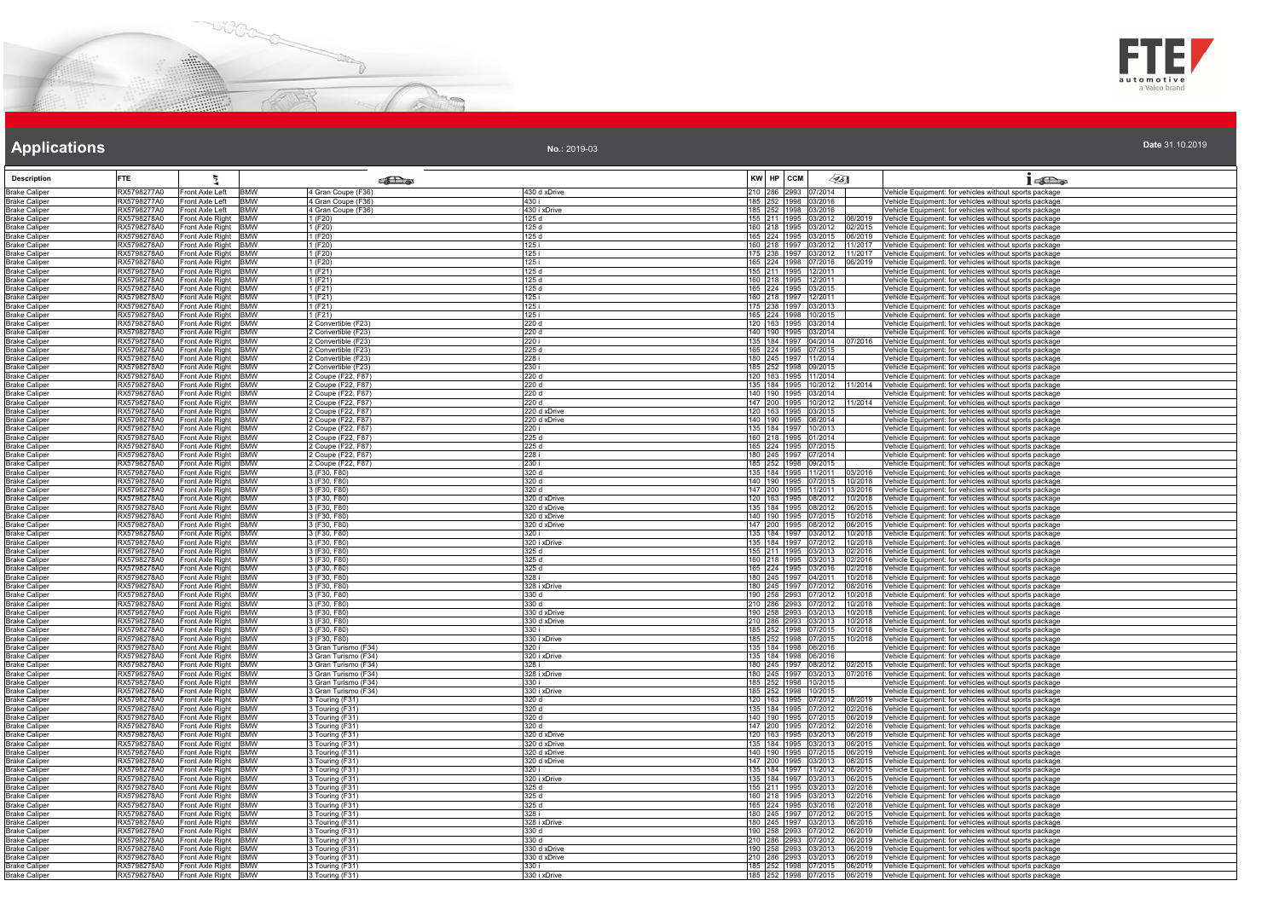



|  |  | Date 31.10.2019 |  |
|--|--|-----------------|--|
|  |  |                 |  |

| <b>Description</b>                           | <b>FTE</b>                 | Ł                                            |                          | <b>READ</b>                                |                              | KW HP CCM                                    | ∕95]               | 16a                                                                                                                                                   |
|----------------------------------------------|----------------------------|----------------------------------------------|--------------------------|--------------------------------------------|------------------------------|----------------------------------------------|--------------------|-------------------------------------------------------------------------------------------------------------------------------------------------------|
| <b>Brake Caliper</b>                         | RX5798277A0                | Front Axle Left                              | <b>BMW</b>               | 4 Gran Coupe (F36)                         | 430 d xDrive                 | 210 286 2993 07/2014                         |                    | Vehicle Equipment: for vehicles without sports package                                                                                                |
| Brake Caliper                                | RX5798277A0                | Front Axle Left                              | <b>BMW</b>               | 4 Gran Coupe (F36)                         | 430 i                        | 185 252 1998 03/2016                         |                    | Vehicle Equipment: for vehicles without sports package                                                                                                |
| <b>Brake Caliper</b>                         | RX5798277A0                | Front Axle Left                              | <b>BMW</b>               | Gran Coupe (F36)                           | 430 i xDrive                 | 185 252 1998 03/2016                         |                    | Vehicle Equipment: for vehicles without sports package                                                                                                |
| <b>Brake Caliper</b><br>Brake Caliper        | RX5798278A0<br>RX5798278A0 | Front Axle Right<br>Front Axle Right         | <b>BMW</b><br><b>BMW</b> | (F20)<br>1 (F20)                           | 125 d<br>125 d               | 155 211 1995 03/2012<br>160 218 1995 03/2012 | 06/2019<br>02/2015 | Vehicle Equipment: for vehicles without sports package<br>Vehicle Equipment: for vehicles without sports package                                      |
| <b>Brake Caliper</b>                         | RX5798278A0                | Front Axle Right BMW                         |                          | 1 (F20)                                    | 125d                         | 165 224 1995 03/2015                         |                    | 06/2019 Vehicle Equipment: for vehicles without sports package                                                                                        |
| <b>Brake Caliper</b>                         | RX5798278A0                | Front Axle Right BMW                         |                          | 1 (F20)                                    | 125 i                        | 160 218 1997 03/2012                         | 11/2017            | Vehicle Equipment: for vehicles without sports package                                                                                                |
| <b>Brake Caliper</b><br><b>Brake Caliper</b> | RX5798278A0<br>RX5798278A0 | Front Axle Right BMW<br>Front Axle Right BMW |                          | 1 (F20)<br>(F20)                           | 125 i<br>125 i               | 175 238 1997 03/2012<br>165 224 1998 07/2016 |                    | 11/2017 Vehicle Equipment: for vehicles without sports package<br>06/2019 Vehicle Equipment: for vehicles without sports package                      |
| <b>Brake Caliper</b>                         | RX5798278A0                | Front Axle Right BMW                         |                          | 1 (F21)                                    | 125 d                        | 155 211 1995 12/2011                         |                    | Vehicle Equipment: for vehicles without sports package                                                                                                |
| Brake Caliper                                | RX5798278A0                | Front Axle Right BMW                         |                          | 1(F21)                                     | 125 d                        | 160 218 1995 12/2011                         |                    | Vehicle Equipment: for vehicles without sports package                                                                                                |
| <b>Brake Caliper</b>                         | RX5798278A0<br>RX5798278A0 | Front Axle Right BMW<br>Front Axle Right BMW |                          | 1 (F21)<br>1 (F21)                         | 125 d<br>125 i               | 165 224 1995 03/2015                         |                    | Vehicle Equipment: for vehicles without sports package                                                                                                |
| <b>Brake Caliper</b><br><b>Brake Caliper</b> | RX5798278A0                | Front Axle Right BMW                         |                          | l (F21)                                    | 125i                         | 160 218 1997 12/2011<br>175 238 1997 03/2013 |                    | Vehicle Equipment: for vehicles without sports package<br>Vehicle Equipment: for vehicles without sports package                                      |
| <b>Brake Caliper</b>                         | RX5798278A0                | Front Axle Right BMW                         |                          | (F21)                                      | 125 i                        | 165 224 1998 10/2015                         |                    | Vehicle Equipment: for vehicles without sports package                                                                                                |
| <b>Brake Caliper</b><br><b>Brake Caliper</b> | RX5798278A0<br>RX5798278A0 | Front Axle Right BMW<br>Front Axle Right BMW |                          | 2 Convertible (F23)<br>2 Convertible (F23) | 220 d<br>220 d               | 120 163 1995 03/2014<br>140 190 1995 03/2014 |                    | Vehicle Equipment: for vehicles without sports package<br>Vehicle Equipment: for vehicles without sports package                                      |
| <b>Brake Caliper</b>                         | RX5798278A0                | Front Axle Right BMW                         |                          | 2 Convertible (F23)                        | 220 i                        | 135 184 1997 04/2014                         |                    | Vehicle Equipment: for vehicles without sports package                                                                                                |
| Brake Caliper                                | RX5798278A0                | Front Axle Right BMW                         |                          | Convertible (F23)                          | 225d                         | 165 224 1995 07/2015                         |                    | Vehicle Equipment: for vehicles without sports package                                                                                                |
| <b>Brake Caliper</b>                         | RX5798278A0                | Front Axle Right BMW                         |                          | Convertible (F23)                          | 228 i                        | 180 245 1997 11/2014                         |                    | Vehicle Equipment: for vehicles without sports package                                                                                                |
| Brake Caliper<br><b>Brake Caliper</b>        | RX5798278A0<br>RX5798278A0 | Front Axle Right BMW<br>Front Axle Right BMW |                          | 2 Convertible (F23)<br>2 Coupe (F22, F87)  | 230 i<br>220 d               | 185 252 1998 09/2015<br>120 163 1995 11/2014 |                    | Vehicle Equipment: for vehicles without sports package<br>Vehicle Equipment: for vehicles without sports package                                      |
| <b>Brake Caliper</b>                         | RX5798278A0                | Front Axle Right BMW                         |                          | 2 Coupe (F22, F87)                         | 220 d                        | 135 184 1995 10/2012                         | 1/2014             | Vehicle Equipment: for vehicles without sports package                                                                                                |
| <b>Brake Caliper</b>                         | RX5798278A0                | Front Axle Right BMW                         |                          | 2 Coupe (F22, F87)                         | 220 d                        | 140 190 1995 03/2014                         |                    | Vehicle Equipment: for vehicles without sports package                                                                                                |
| <b>Brake Caliper</b><br><b>Brake Caliper</b> | RX5798278A0<br>RX5798278A0 | Front Axle Right BMW<br>Front Axle Right BMW |                          | Coupe (F22, F87)<br>2 Coupe (F22, F87)     | 220d<br>220 d xDrive         | 147 200 1995 10/2012<br>120 163 1995 03/2015 | 1/2014             | Vehicle Equipment: for vehicles without sports package<br>Vehicle Equipment: for vehicles without sports package                                      |
| Brake Caliper                                | RX5798278A0                | Front Axle Right BMW                         |                          | 2 Coupe (F22, F87)                         | 220 d xDrive                 | 140 190 1995 06/2014                         |                    | Vehicle Equipment: for vehicles without sports package                                                                                                |
| <b>Brake Caliper</b>                         | RX5798278A0                | Front Axle Right BMW                         |                          | 2 Coupe (F22, F87)                         | 220 i                        | 135 184 1997 10/2013                         |                    | Vehicle Equipment: for vehicles without sports package                                                                                                |
| <b>Brake Caliper</b>                         | RX5798278A0<br>RX5798278A0 | Front Axle Right BMW                         |                          | 2 Coupe (F22, F87)                         | 225 d<br>225d                | 160 218 1995 01/2014                         |                    | Vehicle Equipment: for vehicles without sports package                                                                                                |
| <b>Brake Caliper</b><br><b>Brake Caliper</b> | RX5798278A0                | Front Axle Right BMW<br>Front Axle Right BMW |                          | 2 Coupe (F22, F87)<br>Coupe (F22, F87)     | 228i                         | 165 224 1995 07/2015<br>180 245 1997 07/2014 |                    | Vehicle Equipment: for vehicles without sports package<br>Vehicle Equipment: for vehicles without sports package                                      |
| Brake Caliper                                | RX5798278A0                | Front Axle Right BMW                         |                          | 2 Coupe (F22, F87)                         | 230 i                        | 185 252 1998 09/2015                         |                    | Vehicle Equipment: for vehicles without sports package                                                                                                |
| <b>Brake Caliper</b>                         | RX5798278A0                | Front Axle Right BMW                         |                          | 3 (F30, F80)                               | 320 d                        | 135 184 1995 11/2011                         | 3/2016             | Vehicle Equipment: for vehicles without sports package                                                                                                |
| Brake Caliper<br>Brake Caliper               | RX5798278A0<br>RX5798278A0 | Front Axle Right BMW<br>Front Axle Right BMW |                          | 3 (F30, F80)<br>3 (F30, F80)               | 320 d<br>320 d               | 140 190 1995 07/2015<br>147 200 1995 11/2011 | 03/2016            | 10/2018 Vehicle Equipment: for vehicles without sports package<br>Vehicle Equipment: for vehicles without sports package                              |
| <b>Brake Caliper</b>                         | RX5798278A0                | Front Axle Right BMW                         |                          | 3 (F30, F80)                               | 320 d xDrive                 | 120 163 1995 08/2012                         | 0/2018             | Vehicle Equipment: for vehicles without sports package                                                                                                |
| <b>Brake Caliper</b>                         | RX5798278A0                | Front Axle Right                             | <b>BMW</b>               | 3 (F30, F80)                               | 320 d xDrive                 | 135 184 1995 08/2012                         | 06/2015            | Vehicle Equipment: for vehicles without sports package                                                                                                |
| <b>Brake Caliper</b>                         | RX5798278A0<br>RX5798278A0 | Front Axle Right BMW<br>Front Axle Right BMW |                          | 3 (F30, F80)<br>3 (F30, F80)               | 320 d xDrive<br>320 d xDrive | 140 190 1995 07/2015                         | 10/2018<br>06/2015 | Vehicle Equipment: for vehicles without sports package                                                                                                |
| <b>Brake Caliper</b><br><b>Brake Caliper</b> | RX5798278A0                | Front Axle Right BMW                         |                          | 3 (F30, F80)                               | 320 i                        | 147 200 1995 08/2012<br>135 184 1997 03/2012 |                    | Vehicle Equipment: for vehicles without sports package<br>10/2018 Vehicle Equipment: for vehicles without sports package                              |
| <b>Brake Caliper</b>                         | RX5798278A0                | Front Axle Right BMW                         |                          | 3 (F30, F80)                               | 320 i xDrive                 | 135 184 1997 07/2012                         | 10/2018            | Vehicle Equipment: for vehicles without sports package                                                                                                |
| Brake Caliper                                | RX5798278A0                | Front Axle Right BMW                         |                          | 3 (F30, F80)                               | 325 d                        | 155 211 1995 03/2013                         | 02/2016            | Vehicle Equipment: for vehicles without sports package                                                                                                |
| <b>Brake Caliper</b><br><b>Brake Caliper</b> | RX5798278A0<br>RX5798278A0 | Front Axle Right BMW<br>Front Axle Right BMW |                          | 3 (F30, F80)<br>3 (F30, F80)               | 325 d<br>325 d               | 160 218 1995 03/2013<br>165 224 1995 03/2016 | 02/2016<br>02/2018 | Vehicle Equipment: for vehicles without sports package<br>Vehicle Equipment: for vehicles without sports package                                      |
| <b>Brake Caliper</b>                         | RX5798278A0                | Front Axle Right BMW                         |                          | 3 (F30, F80)                               | 328 i                        | 180 245 1997 04/2011                         |                    | 10/2018 Vehicle Equipment: for vehicles without sports package                                                                                        |
| <b>Brake Caliper</b>                         | RX5798278A0                | Front Axle Right BMW                         |                          | 3 (F30, F80)                               | 328 i xDrive                 | 180 245 1997 07/2012                         | 08/2016            | Vehicle Equipment: for vehicles without sports package                                                                                                |
| <b>Brake Caliper</b><br>Brake Caliper        | RX5798278A0<br>RX5798278A0 | Front Axle Right BMW<br>Front Axle Right BMW |                          | 3 (F30, F80)<br>3 (F30, F80)               | 330 d<br>330 d               | 190 258 2993 07/2012<br>210 286 2993 07/2012 | 0/2018<br>10/2018  | Vehicle Equipment: for vehicles without sports package<br>Vehicle Equipment: for vehicles without sports package                                      |
| <b>Brake Caliper</b>                         | RX5798278A0                | Front Axle Right BMW                         |                          | 3 (F30, F80)                               | 330 d xDrive                 | 190 258 2993 03/2013                         | 10/2018            | Vehicle Equipment: for vehicles without sports package                                                                                                |
| <b>Brake Caliper</b>                         | RX5798278A0                | Front Axle Right BMW                         |                          | 3 (F30, F80)                               | 330 d xDrive                 | 210 286 2993 03/2013                         |                    | 10/2018  Vehicle Equipment: for vehicles without sports package                                                                                       |
| <b>Brake Caliper</b><br><b>Brake Caliper</b> | RX5798278A0<br>RX5798278A0 | Front Axle Right BMW<br>Front Axle Right BMW |                          | 3 (F30, F80)<br>3 (F30, F80)               | 330 i<br>330 i xDrive        | 185 252 1998 07/2015<br>185 252 1998 07/2015 | 10/2018            | 10/2018 Vehicle Equipment: for vehicles without sports package<br>Vehicle Equipment: for vehicles without sports package                              |
| <b>Brake Caliper</b>                         | RX5798278A0                | Front Axle Right BMW                         |                          | 3 Gran Turismo (F34)                       | 320 i                        | 135 184 1998 06/2016                         |                    | Vehicle Equipment: for vehicles without sports package                                                                                                |
| <b>Brake Caliper</b>                         | RX5798278A0                | Front Axle Right BMW                         |                          | 3 Gran Turismo (F34)                       | 320 i xDrive                 | 135 184 1998 06/2016                         |                    | Vehicle Equipment: for vehicles without sports package                                                                                                |
| <b>Brake Caliper</b>                         | RX5798278A0<br>RX5798278A0 | Front Axle Right BMW<br>Front Axle Right BMW |                          | Gran Turismo (F34)<br>Gran Turismo (F34)   | 328 i<br>328 i xDrive        | 180 245 1997 08/2012<br>180 245 1997 03/2013 |                    | 02/2015 Vehicle Equipment: for vehicles without sports package                                                                                        |
| Brake Caliper<br><b>Brake Caliper</b>        | RX5798278A0                | Front Axle Right BMW                         |                          | Gran Turismo (F34)                         | 330 i                        | 185 252 1998 10/2015                         |                    | 07/2016  Vehicle Equipment: for vehicles without sports package<br>Vehicle Equipment: for vehicles without sports package                             |
| <b>Brake Caliper</b>                         | RX5798278A0                | Front Axle Right BMW                         |                          | Gran Turismo (F34)                         | 330 i xDrive                 | 185 252 1998 10/2015                         |                    | Vehicle Equipment: for vehicles without sports package                                                                                                |
| <b>Brake Caliper</b>                         | RX5798278A0<br>RX5798278A0 | Front Axle Right BMW                         |                          | Touring (F31)                              | 320 d<br>320 d               | 120 163 1995 07/2012<br>135 184 1995 07/2012 | 06/2019<br>02/2016 | Vehicle Equipment: for vehicles without sports package                                                                                                |
| <b>Brake Caliper</b><br><b>Brake Caliper</b> | RX5798278A0                | Front Axle Right BMW<br>Front Axle Right BMW |                          | 3 Touring (F31)<br>3 Touring (F31)         | 320 d                        | 140 190 1995 07/2015                         |                    | Vehicle Equipment: for vehicles without sports package<br>06/2019 Vehicle Equipment: for vehicles without sports package                              |
| <b>Brake Caliper</b>                         | RX5798278A0                | Front Axle Right BMW                         |                          | 3 Touring (F31)                            | 320 d                        | 147 200 1995 07/2012                         | 02/2016            | Vehicle Equipment: for vehicles without sports package                                                                                                |
| Brake Caliper                                | RX5798278A0                | Front Axle Right BMW                         |                          | Touring (F31)                              | 320 d xDrive                 | 120 163 1995 03/2013                         | 06/2019            | Vehicle Equipment: for vehicles without sports package                                                                                                |
| <b>Brake Caliper</b><br><b>Brake Caliper</b> | RX5798278A0<br>RX5798278A0 | Front Axle Right BMW<br>Front Axle Right BMW |                          | Touring (F31)<br>Touring (F31)             | 320 d xDrive<br>320 d xDrive | 135 184 1995 03/2013<br>140 190 1995 07/2015 | 06/2015<br>06/2019 | Vehicle Equipment: for vehicles without sports package<br>Vehicle Equipment: for vehicles without sports package                                      |
| <b>Brake Caliper</b>                         | RX5798278A0                | Front Axle Right BMW                         |                          | Touring (F31)                              | 320 d xDrive                 | 147 200 1995 03/2013                         | 06/2015            | Vehicle Equipment: for vehicles without sports package                                                                                                |
| Brake Caliper                                | RX5798278A0                | Front Axle Right BMW                         |                          | Touring (F31)                              | 320 i                        | 135 184 1997 11/2012                         |                    | 06/2015 Vehicle Equipment: for vehicles without sports package                                                                                        |
| <b>Brake Caliper</b>                         | RX5798278A0<br>RX5798278A0 | Front Axle Right BMW                         |                          | Touring (F31)<br>Touring (F31)             | 320 i xDrive<br>325 d        | 135 184 1997 03/2013<br>155 211 1995 03/2013 | 06/2015<br>02/2016 | Vehicle Equipment: for vehicles without sports package                                                                                                |
| <b>Brake Caliper</b><br>Brake Caliper        | RX5798278A0                | Front Axle Right BMW<br>Front Axle Right BMW |                          | Touring (F31)                              | 325 d                        | 160 218 1995 03/2013                         | 02/2016            | Vehicle Equipment: for vehicles without sports package<br>Vehicle Equipment: for vehicles without sports package                                      |
| <b>Brake Caliper</b>                         | RX5798278A0                | Front Axle Right BMW                         |                          | 3 Touring (F31)                            | 325 d                        | 165 224 1995 03/2016                         | 02/2018            | Vehicle Equipment: for vehicles without sports package                                                                                                |
| <b>Brake Caliper</b>                         | RX5798278A0                | Front Axle Right BMW                         |                          | 3 Touring (F31)                            | 328 i                        | 180 245 1997 07/2012                         |                    | 06/2015 Vehicle Equipment: for vehicles without sports package                                                                                        |
| <b>Brake Caliper</b><br><b>Brake Caliper</b> | RX5798278A0<br>RX5798278A0 | Front Axle Right BMW<br>Front Axle Right BMW |                          | Touring (F31)<br>Touring (F31)             | 328 i xDrive<br>330 d        | 180 245 1997 03/2013<br>190 258 2993 07/2012 | 06/2016<br>06/2019 | Vehicle Equipment: for vehicles without sports package<br>Vehicle Equipment: for vehicles without sports package                                      |
| <b>Brake Caliper</b>                         | RX5798278A0                | Front Axle Right BMW                         |                          | Touring (F31)                              | 330 d                        | 210 286 2993 07/2012                         | 06/2019            | Vehicle Equipment: for vehicles without sports package                                                                                                |
| <b>Brake Caliper</b>                         | RX5798278A0                | Front Axle Right BMW                         |                          | Touring (F31)                              | 330 d xDrive                 | 190 258 2993 03/2013                         |                    | 06/2019 Vehicle Equipment: for vehicles without sports package                                                                                        |
| <b>Brake Caliper</b><br><b>Brake Caliper</b> | RX5798278A0<br>RX5798278A0 | Front Axle Right BMW<br>Front Axle Right BMW |                          | Touring (F31)<br>Touring (F31)             | 330 d xDrive<br>330 i        | 210 286 2993 03/2013                         |                    | 06/2019 Vehicle Equipment: for vehicles without sports package<br>185 252 1998 07/2015 06/2019 Vehicle Equipment: for vehicles without sports package |
| <b>Brake Caliper</b>                         | RX5798278A0                | Front Axle Right BMW                         |                          | 3 Touring (F31)                            | 330 i xDrive                 |                                              |                    | 185 252 1998 07/2015 06/2019 Vehicle Equipment: for vehicles without sports package                                                                   |
|                                              |                            |                                              |                          |                                            |                              |                                              |                    |                                                                                                                                                       |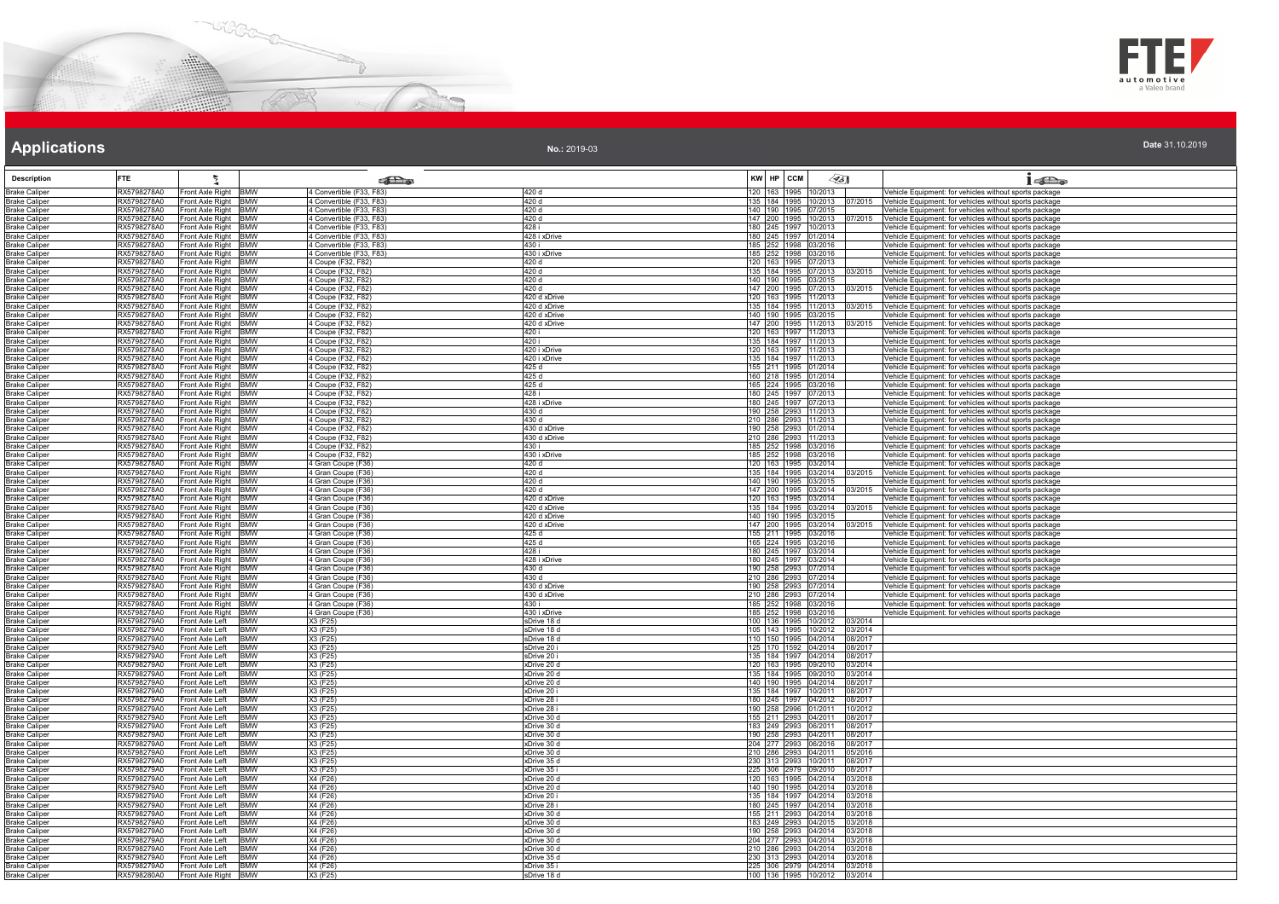



|  | Date 31.10.2019 |
|--|-----------------|

| <b>Description</b>                           | <b>FTE</b>                 |                                                                  | கில                                                  |                              | KW HP ССМ | $\mathscr{L}$ 5]                                             |                    | 16a                                                                                                                                           |
|----------------------------------------------|----------------------------|------------------------------------------------------------------|------------------------------------------------------|------------------------------|-----------|--------------------------------------------------------------|--------------------|-----------------------------------------------------------------------------------------------------------------------------------------------|
| <b>Brake Caliper</b><br><b>Brake Caliper</b> | RX5798278A0<br>RX5798278A0 | Front Axle Right<br><b>BMW</b><br>Front Axle Right BMW           | 4 Convertible (F33, F83)<br>4 Convertible (F33, F83) | 420 d<br>420 d               |           | 120 163 1995 10/2013                                         |                    | Vehicle Equipment: for vehicles without sports package<br>135 184 1995 10/2013 07/2015 Vehicle Equipment: for vehicles without sports package |
| <b>Brake Caliper</b>                         | RX5798278A0                | Front Axle Right BMW                                             | 4 Convertible (F33, F83)                             | 420 d                        |           | 140 190 1995 07/2015                                         |                    | /ehicle Equipment: for vehicles without sports package                                                                                        |
| <b>Brake Caliper</b>                         | RX5798278A0                | Front Axle Right BMW                                             | 4 Convertible (F33, F83)                             | 420 d                        |           | 147 200 1995 10/2013                                         | 17/2015            | Vehicle Equipment: for vehicles without sports package                                                                                        |
| <b>Brake Caliper</b><br><b>Brake Caliper</b> | RX5798278A0<br>RX5798278A0 | Front Axle Right<br><b>BMW</b><br>Front Axle Right<br><b>BMW</b> | 4 Convertible (F33, F83)<br>4 Convertible (F33, F83) | 428 i<br>428 i xDrive        |           | 180 245 1997 10/2013<br>180 245 1997 01/2014                 |                    | ehicle Equipment: for vehicles without sports package<br>Vehicle Equipment: for vehicles without sports package                               |
| <b>Brake Caliper</b>                         | RX5798278A0                | <b>BMW</b><br>Front Axle Right                                   | 4 Convertible (F33, F83)                             | 430 i                        |           | 185 252 1998 03/2016                                         |                    | Vehicle Equipment: for vehicles without sports package                                                                                        |
| <b>Brake Caliper</b>                         | RX5798278A0                | Front Axle Right BMW                                             | 4 Convertible (F33, F83)                             | 430 i xDrive                 |           | 185 252 1998 03/2016                                         |                    | Vehicle Equipment: for vehicles without sports package                                                                                        |
| <b>Brake Caliper</b><br><b>Brake Caliper</b> | RX5798278A0<br>RX5798278A0 | Front Axle Right BMW<br>Front Axle Right BMW                     | 4 Coupe (F32, F82)                                   | 420 d<br>420d                |           | 120 163 1995 07/2013<br>135 184 1995 07/2013 03/2015         |                    | Vehicle Equipment: for vehicles without sports package<br>Vehicle Equipment: for vehicles without sports package                              |
| <b>Brake Caliper</b>                         | RX5798278A0                | Front Axle Right BMW                                             | 4 Coupe (F32, F82)<br>4 Coupe (F32, F82)             | 420 d                        |           | 140 190 1995 03/2015                                         |                    | /ehicle Equipment: for vehicles without sports package                                                                                        |
| <b>Brake Caliper</b>                         | RX5798278A0                | Front Axle Right BMW                                             | 4 Coupe (F32, F82)                                   | 420 d                        |           | 147 200 1995 07/2013                                         | 03/2015            | Vehicle Equipment: for vehicles without sports package                                                                                        |
| <b>Brake Caliper</b><br><b>Brake Caliper</b> | RX5798278A0<br>RX5798278A0 | Front Axle Right BMW<br>Front Axle Right BMW                     | 4 Coupe (F32, F82)<br>4 Coupe (F32, F82)             | 420 d xDrive<br>420 d xDrive |           | 120 163 1995 11/2013<br>135 184 1995 11/2013                 | 03/2015            | Vehicle Equipment: for vehicles without sports package<br>Vehicle Equipment: for vehicles without sports package                              |
| <b>Brake Caliper</b>                         | RX5798278A0                | Front Axle Right BMW                                             | 4 Coupe (F32, F82)                                   | 420 d xDrive                 |           | 140 190 1995 03/2015                                         |                    | Vehicle Equipment: for vehicles without sports package                                                                                        |
| <b>Brake Caliper</b>                         | RX5798278A0                | Front Axle Right<br><b>BMW</b>                                   | 4 Coupe (F32, F82)                                   | 420 d xDrive                 |           | 147 200 1995 11/2013                                         | 03/2015            | Vehicle Equipment: for vehicles without sports package                                                                                        |
| <b>Brake Caliper</b><br><b>Brake Caliper</b> | RX5798278A0<br>RX5798278A0 | Front Axle Right<br>BMW<br>Front Axle Right BMW                  | 4 Coupe (F32, F82)<br>4 Coupe (F32, F82)             | 420 i<br>420 i               |           | 120 163 1997 11/2013<br>135 184 1997 11/2013                 |                    | /ehicle Equipment: for vehicles without sports package<br>Vehicle Equipment: for vehicles without sports package                              |
| <b>Brake Caliper</b>                         | RX5798278A0                | Front Axle Right BMW                                             | 4 Coupe (F32, F82)                                   | 420 i xDrive                 |           | 120 163 1997 11/2013                                         |                    | Vehicle Equipment: for vehicles without sports package                                                                                        |
| <b>Brake Caliper</b>                         | RX5798278A0                | Front Axle Right BMW                                             | 4 Coupe (F32, F82)                                   | 420 i xDrive                 |           | 135   184   1997   11/2013                                   |                    | Vehicle Equipment: for vehicles without sports package                                                                                        |
| <b>Brake Caliper</b>                         | RX5798278A0<br>RX5798278A0 | Front Axle Right<br><b>BMW</b>                                   | 4 Coupe (F32, F82)                                   | 425 d<br>425 d               |           | 155 211 1995 01/2014<br>160 218 1995 01/2014                 |                    | Vehicle Equipment: for vehicles without sports package                                                                                        |
| <b>Brake Caliper</b><br><b>Brake Caliper</b> | RX5798278A0                | Front Axle Right BMW<br>Front Axle Right BMW                     | 4 Coupe (F32, F82)<br>4 Coupe (F32, F82)             | 425 d                        |           | 165 224 1995 03/2016                                         |                    | Vehicle Equipment: for vehicles without sports package<br>Vehicle Equipment: for vehicles without sports package                              |
| <b>Brake Caliper</b>                         | RX5798278A0                | Front Axle Right BMW                                             | 4 Coupe (F32, F82)                                   | 428i                         |           | 180 245 1997 07/2013                                         |                    | Vehicle Equipment: for vehicles without sports package                                                                                        |
| <b>Brake Caliper</b>                         | RX5798278A0                | Front Axle Right BMW                                             | 4 Coupe (F32, F82)                                   | 428 i xDrive                 |           | 180 245 1997 07/2013                                         |                    | Vehicle Equipment: for vehicles without sports package                                                                                        |
| <b>Brake Caliper</b><br><b>Brake Caliper</b> | RX5798278A0<br>RX5798278A0 | Front Axle Right<br><b>BMW</b><br>Front Axle Right<br><b>BMW</b> | 4 Coupe (F32, F82)<br>4 Coupe (F32, F82)             | 430 d<br>430 d               |           | 190 258 2993 11/2013<br>210 286 2993 11/2013                 |                    | Vehicle Equipment: for vehicles without sports package<br>Vehicle Equipment: for vehicles without sports package                              |
| <b>Brake Caliper</b>                         | RX5798278A0                | <b>BMW</b><br>Front Axle Right                                   | 4 Coupe (F32, F82)                                   | 430 d xDrive                 |           | 190 258 2993 01/2014                                         |                    | Vehicle Equipment: for vehicles without sports package                                                                                        |
| <b>Brake Caliper</b>                         | RX5798278A0                | Front Axle Right BMW                                             | 4 Coupe (F32, F82)                                   | 430 d xDrive                 |           | 210 286 2993 11/2013                                         |                    | Vehicle Equipment: for vehicles without sports package                                                                                        |
| <b>Brake Caliper</b><br><b>Brake Caliper</b> | RX5798278A0<br>RX5798278A0 | Front Axle Right BMW<br>Front Axle Right BMW                     | 4 Coupe (F32, F82)<br>4 Coupe (F32, F82)             | 430 i<br>430 i xDrive        |           | 185 252 1998 03/2016<br>185 252 1998 03/2016                 |                    | Vehicle Equipment: for vehicles without sports package<br>Vehicle Equipment: for vehicles without sports package                              |
| <b>Brake Caliper</b>                         | RX5798278A0                | Front Axle Right<br><b>BMW</b>                                   | 4 Gran Coupe (F36)                                   | 420 d                        |           | 120 163 1995 03/2014                                         |                    | Vehicle Equipment: for vehicles without sports package                                                                                        |
| <b>Brake Caliper</b>                         | RX5798278A0<br>RX5798278A0 | Front Axle Right BMW                                             | 4 Gran Coupe (F36)                                   | 420 d<br>420 d               |           | 135 184 1995 03/2014 03/2015                                 |                    | Vehicle Equipment: for vehicles without sports package                                                                                        |
| <b>Brake Caliper</b><br><b>Brake Caliper</b> | RX5798278A0                | Front Axle Right BMW<br>Front Axle Right BMW                     | 4 Gran Coupe (F36)<br>4 Gran Coupe (F36)             | 420 d                        |           | 140 190 1995 03/2015<br>147 200 1995 03/2014                 | 03/2015            | Vehicle Equipment: for vehicles without sports package<br>Vehicle Equipment: for vehicles without sports package                              |
| <b>Brake Caliper</b>                         | RX5798278A0                | Front Axle Right<br><b>BMW</b>                                   | 4 Gran Coupe (F36)                                   | 420 d xDrive                 |           | 120 163 1995 03/2014                                         |                    | /ehicle Equipment: for vehicles without sports package                                                                                        |
| <b>Brake Caliper</b>                         | RX5798278A0                | Front Axle Right<br><b>BMW</b>                                   | 4 Gran Coupe (F36)                                   | 420 d xDrive                 |           | 135 184 1995 03/2014                                         |                    | Vehicle Equipment: for vehicles without sports package                                                                                        |
| <b>Brake Caliper</b><br><b>Brake Caliper</b> | RX5798278A0<br>RX5798278A0 | Front Axle Right<br><b>BMW</b><br>Front Axle Right BMW           | 4 Gran Coupe (F36)<br>4 Gran Coupe (F36)             | 420 d xDrive<br>420 d xDrive |           | 140 190 1995 03/2015<br>147 200 1995 03/2014                 | 03/2015            | /ehicle Equipment: for vehicles without sports package<br>Vehicle Equipment: for vehicles without sports package                              |
| <b>Brake Caliper</b>                         | RX5798278A0                | Front Axle Right BMW                                             | 4 Gran Coupe (F36)                                   | 425 d                        |           | 155 211 1995 03/2016                                         |                    | /ehicle Equipment: for vehicles without sports package                                                                                        |
| <b>Brake Caliper</b>                         | RX5798278A0                | Front Axle Right BMW                                             | 4 Gran Coupe (F36)                                   | 425 d                        |           | 165 224 1995 03/2016                                         |                    | Vehicle Equipment: for vehicles without sports package                                                                                        |
| <b>Brake Caliper</b><br><b>Brake Caliper</b> | RX5798278A0<br>RX5798278A0 | Front Axle Right BMW<br>Front Axle Right BMW                     | 4 Gran Coupe (F36)<br>4 Gran Coupe (F36)             | 428 i<br>428 i xDrive        |           | 180 245 1997 03/2014<br>180 245 1997 03/2014                 |                    | Vehicle Equipment: for vehicles without sports package<br>Vehicle Equipment: for vehicles without sports package                              |
| <b>Brake Caliper</b>                         | RX5798278A0                | Front Axle Right BMW                                             | 4 Gran Coupe (F36)                                   | 430 d                        |           | 190 258 2993 07/2014                                         |                    | Vehicle Equipment: for vehicles without sports package                                                                                        |
| <b>Brake Caliper</b>                         | RX5798278A0                | Front Axle Right BMW                                             | 4 Gran Coupe (F36)                                   | 430 d                        |           | 210 286 2993 07/2014                                         |                    | Vehicle Equipment: for vehicles without sports package                                                                                        |
| <b>Brake Caliper</b><br><b>Brake Caliper</b> | RX5798278A0<br>RX5798278A0 | Front Axle Right BMW<br>Front Axle Right<br><b>BMW</b>           | 4 Gran Coupe (F36)<br>4 Gran Coupe (F36)             | 430 d xDrive<br>430 d xDrive |           | 190 258 2993 07/2014<br>210 286 2993 07/2014                 |                    | Vehicle Equipment: for vehicles without sports package<br>Vehicle Equipment: for vehicles without sports package                              |
| <b>Brake Caliper</b>                         | RX5798278A0                | Front Axle Right<br><b>BMW</b>                                   | 4 Gran Coupe (F36)                                   | 430 i                        |           | 185 252 1998 03/2016                                         |                    | /ehicle Equipment: for vehicles without sports package                                                                                        |
| <b>Brake Caliper</b>                         | RX5798278A0<br>RX5798279A0 | Front Axle Right<br><b>BMW</b><br><b>BMW</b><br>Front Axle Left  | 4 Gran Coupe (F36)<br>X3 (F25)                       | 430 i xDrive<br>sDrive 18 d  |           | 185 252 1998 03/2016<br>100 136 1995 10/2012 03/2014         |                    | Vehicle Equipment: for vehicles without sports package                                                                                        |
| <b>Brake Caliper</b><br><b>Brake Caliper</b> | RX5798279A0                | Front Axle Left<br><b>BMW</b>                                    | X3 (F25)                                             | sDrive 18 d                  |           | 105 143 1995 10/2012 03/2014                                 |                    |                                                                                                                                               |
| <b>Brake Caliper</b>                         | RX5798279A0                | Front Axle Left<br><b>BMW</b>                                    | X3 (F25)                                             | sDrive 18 d                  |           | 110 150 1995 04/2014 08/2017                                 |                    |                                                                                                                                               |
| <b>Brake Caliper</b>                         | RX5798279A0                | Front Axle Left<br><b>BMW</b><br><b>BMW</b>                      | X3 (F25)                                             | sDrive 20 i                  |           | 125 170 1592 04/2014 08/2017                                 | 08/2017            |                                                                                                                                               |
| <b>Brake Caliper</b><br><b>Brake Caliper</b> | RX5798279A0<br>RX5798279A0 | Front Axle Left<br><b>BMW</b><br>Front Axle Left                 | X3 (F25)<br>X3(F25)                                  | sDrive 20 i<br>xDrive 20 d   |           | 135 184 1997 04/2014<br>120 163 1995 09/2010 03/2014         |                    |                                                                                                                                               |
| <b>Brake Caliper</b>                         | RX5798279A0                | Front Axle Left<br><b>BMW</b>                                    | X3 (F25)                                             | xDrive 20 d                  |           | 135 184 1995 09/2010 03/2014                                 |                    |                                                                                                                                               |
| <b>Brake Caliper</b>                         | RX5798279A0<br>RX5798279A0 | Front Axle Left<br><b>BMW</b><br>BMW<br>Front Axle Left          | X3 (F25)                                             | xDrive 20 d<br>xDrive 20 i   |           | 140 190 1995 04/2014 08/2017                                 |                    |                                                                                                                                               |
| <b>Brake Caliper</b><br><b>Brake Caliper</b> | RX5798279A0                | Front Axle Left<br>BMW                                           | X3 (F25)<br>X3 (F25)                                 | xDrive 28 i                  |           | 135 184 1997 10/2011 08/2017<br>180 245 1997 04/2012         | 08/2017            |                                                                                                                                               |
| <b>Brake Caliper</b>                         | RX5798279A0                | Front Axle Left<br>BMW                                           | X3 (F25)                                             | xDrive 28 i                  |           | 190 258 2996 01/2011                                         | 10/2012            |                                                                                                                                               |
| <b>Brake Caliper</b>                         | RX5798279A0<br>RX5798279A0 | <b>BMW</b><br>Front Axle Left<br>Front Axle Left<br><b>BMW</b>   | X3 (F25)<br>X3 (F25)                                 | xDrive 30 d                  |           | 155 211 2993 04/2011<br>183 249 2993 06/2011 08/2017         | 08/2017            |                                                                                                                                               |
| <b>Brake Caliper</b><br><b>Brake Caliper</b> | RX5798279A0                | Front Axle Left<br><b>BMW</b>                                    | X3 (F25)                                             | xDrive 30 d<br>xDrive 30 d   |           | 190 258 2993 04/2011 08/2017                                 |                    |                                                                                                                                               |
| <b>Brake Caliper</b>                         | RX5798279A0                | Front Axle Left<br>BMW                                           | X3 (F25)                                             | xDrive 30 d                  |           | 204 277 2993 06/2016 08/2017                                 |                    |                                                                                                                                               |
| <b>Brake Caliper</b>                         | RX5798279A0<br>RX5798279A0 | Front Axle Left<br><b>BMW</b><br><b>BMW</b>                      | X3 (F25)<br>X3 (F25)                                 | xDrive 30 d<br>xDrive 35 d   |           | 210 286 2993 04/2011<br>230 313 2993 10/2011 08/2017         | 05/2016            |                                                                                                                                               |
| <b>Brake Caliper</b><br><b>Brake Caliper</b> | RX5798279A0                | Front Axle Left<br>Front Axle Left<br>BMW                        | X3 (F25)                                             | xDrive 35 i                  |           | 225 306 2979 09/2010 08/2017                                 |                    |                                                                                                                                               |
| <b>Brake Caliper</b>                         | RX5798279A0                | Front Axle Left<br><b>BMW</b>                                    | X4 (F26)                                             | xDrive 20 d                  |           | 120 163 1995 04/2014 03/2018                                 |                    |                                                                                                                                               |
| <b>Brake Caliper</b>                         | RX5798279A0                | Front Axle Left<br>BMW                                           | X4 (F26)                                             | xDrive 20 d                  |           | 140 190 1995 04/2014 03/2018                                 |                    |                                                                                                                                               |
| <b>Brake Caliper</b><br><b>Brake Caliper</b> | RX5798279A0<br>RX5798279A0 | Front Axle Left<br><b>BMW</b><br><b>BMW</b><br>Front Axle Left   | X4 (F26)<br>X4 (F26)                                 | xDrive 20 i<br>xDrive 28 i   |           | 135 184 1997 04/2014<br>180 245 1997 04/2014                 | 03/2018<br>03/2018 |                                                                                                                                               |
| <b>Brake Caliper</b>                         | RX5798279A0                | Front Axle Left<br><b>BMW</b>                                    | X4 (F26)                                             | xDrive 30 d                  |           | 155 211 2993 04/2014 03/2018                                 |                    |                                                                                                                                               |
| <b>Brake Caliper</b>                         | RX5798279A0                | Front Axle Left<br><b>BMW</b>                                    | X4 (F26)                                             | xDrive 30 d                  |           | 183 249 2993 04/2015                                         | 03/2018            |                                                                                                                                               |
| <b>Brake Caliper</b><br><b>Brake Caliper</b> | RX5798279A0<br>RX5798279A0 | Front Axle Left<br><b>BMW</b><br>Front Axle Left<br>BMW          | X4 (F26)<br>X4 (F26)                                 | xDrive 30 d<br>xDrive 30 d   |           | 190 258 2993 04/2014 03/2018<br>204 277 2993 04/2014 03/2018 |                    |                                                                                                                                               |
| <b>Brake Caliper</b>                         | RX5798279A0                | Front Axle Left<br><b>BMW</b>                                    | X4 (F26)                                             | xDrive 30 d                  |           | 210 286 2993 04/2014 03/2018                                 |                    |                                                                                                                                               |
| <b>Brake Caliper</b>                         | RX5798279A0                | <b>BMW</b><br>Front Axle Left                                    | X4 (F26)                                             | xDrive 35 d                  |           | 230 313 2993 04/2014 03/2018                                 |                    |                                                                                                                                               |
| <b>Brake Caliper</b><br><b>Brake Caliper</b> | RX5798279A0<br>RX5798280A0 | Front Axle Left<br><b>BMW</b><br>Front Axle Right BMW            | X4 (F26)<br>X3 (F25)                                 | xDrive 35 i<br>sDrive 18 d   |           | 225 306 2979 04/2014 03/2018<br>100 136 1995 10/2012 03/2014 |                    |                                                                                                                                               |
|                                              |                            |                                                                  |                                                      |                              |           |                                                              |                    |                                                                                                                                               |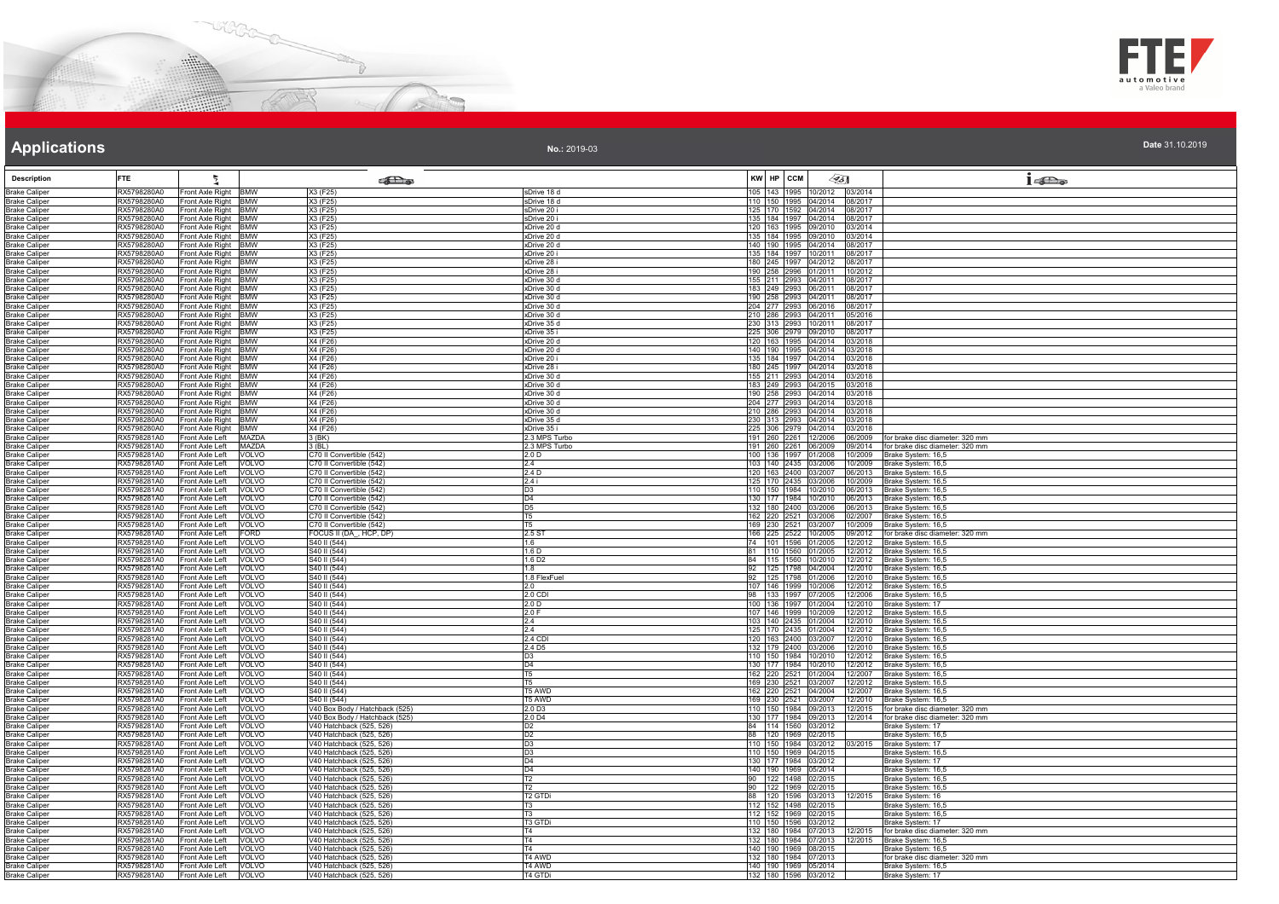



**Date** 31.10.2019

# **Applications**

Ł

| <b>Description</b>                           | <b>FTE</b>                 |                                                  |                              | <b>College</b>                                       |                                   | KW HP CCM                                                    | $\llap{65}$ |                    | 16a                                                           |
|----------------------------------------------|----------------------------|--------------------------------------------------|------------------------------|------------------------------------------------------|-----------------------------------|--------------------------------------------------------------|-------------|--------------------|---------------------------------------------------------------|
|                                              |                            |                                                  |                              |                                                      |                                   | 105 143 1995 10/2012 03/2014                                 |             |                    |                                                               |
| <b>Brake Caliper</b><br>Brake Caliper        | RX5798280A0<br>RX5798280A0 | Front Axle Right BMW<br>Front Axle Right BMW     |                              | X3 (F25)<br>X3 (F25)                                 | sDrive 18 d<br>sDrive 18 d        | 110 150 1995 04/2014 08/2017                                 |             |                    |                                                               |
| <b>Brake Caliper</b>                         | RX5798280A0                | Front Axle Right BMW                             |                              | X3 (F25)                                             | sDrive 20 i                       |                                                              |             |                    |                                                               |
| <b>Brake Caliper</b>                         | RX5798280A0                | Front Axle Right BMW                             |                              | X3 (F25)                                             | sDrive 20 i                       | 125 170 1592 04/2014 08/2017<br>135 184 1997 04/2014 08/2017 |             |                    |                                                               |
| <b>Brake Caliper</b>                         | RX5798280A0                | Front Axle Right BMW                             |                              | X3 (F25)                                             | xDrive 20 d                       | 120 163 1995 09/2010 03/2014                                 |             |                    |                                                               |
| <b>Brake Caliper</b>                         | RX5798280A0<br>RX5798280A0 | Front Axle Right BMW<br>Front Axle Right BMW     |                              | X3 (F25)<br>X3 (F25)                                 | xDrive 20 d                       | 135 184 1995 09/2010 03/2014<br>140 190 1995 04/2014 08/2017 |             |                    |                                                               |
| <b>Brake Caliper</b><br><b>Brake Caliper</b> | RX5798280A0                | Front Axle Right BMW                             |                              | X3 (F25)                                             | xDrive 20 d<br>xDrive 20 i        |                                                              |             | 08/2017            |                                                               |
| <b>Brake Caliper</b>                         | RX5798280A0                | Front Axle Right BMW                             |                              | X3 (F25)                                             | xDrive 28 i                       | 135 184 1997 10/2011<br>180 245 1997 04/2012                 |             | 08/2017            |                                                               |
| <b>Brake Caliper</b>                         | RX5798280A0                | Front Axle Right BMW                             |                              | X3 (F25)                                             | xDrive 28 i                       | 190 258 2996 01/2011                                         |             | 10/2012            |                                                               |
| <b>Brake Caliper</b>                         | RX5798280A0                | Front Axle Right BMW                             |                              | X3 (F25)                                             | xDrive 30 d                       | 155 211 2993 04/2011 08/2017                                 |             |                    |                                                               |
| <b>Brake Caliper</b><br><b>Brake Caliper</b> | RX5798280A0<br>RX5798280A0 | Front Axle Right BMW<br>Front Axle Right BMW     |                              | X3 (F25)<br>X3 (F25)                                 | xDrive 30 d<br>xDrive 30 d        | 183 249 2993 06/2011 08/2017<br>190 258 2993 04/2011         |             | 08/2017            |                                                               |
| <b>Brake Caliper</b>                         | RX5798280A0                | Front Axle Right BMW                             |                              | X3 (F25)                                             | xDrive 30 d                       | 204 277 2993 06/2016                                         |             | 08/2017            |                                                               |
| <b>Brake Caliper</b>                         | RX5798280A0                | Front Axle Right BMW                             |                              | X3 (F25)                                             | xDrive 30 d                       | 210 286 2993 04/2011 05/2016                                 |             |                    |                                                               |
| <b>Brake Caliper</b>                         | RX5798280A0                | Front Axle Right BMW                             |                              | X3 (F25)                                             | xDrive 35 d                       | 230 313 2993 10/2011                                         |             | 08/2017            |                                                               |
| <b>Brake Caliper</b>                         | RX5798280A0<br>RX5798280A0 | Front Axle Right BMW                             |                              | X3 (F25)<br>X4 (F26)                                 | xDrive 35 i<br>xDrive 20 d        | 225 306 2979 09/2010<br>120 163 1995 04/2014 03/2018         |             | 08/2017            |                                                               |
| <b>Brake Caliper</b><br><b>Brake Caliper</b> | RX5798280A0                | Front Axle Right BMW<br>Front Axle Right BMW     |                              | X4 (F26)                                             | xDrive 20 d                       | 140 190 1995 04/2014                                         |             | 03/2018            |                                                               |
| <b>Brake Caliper</b>                         | RX5798280A0                | Front Axle Right BMW                             |                              | X4 (F26)                                             | xDrive 20 i                       | 135 184 1997 04/2014 03/2018                                 |             |                    |                                                               |
| <b>Brake Caliper</b>                         | RX5798280A0                | Front Axle Right BMW                             |                              | X4 (F26)                                             | xDrive 28 i                       | 180 245 1997 04/2014 03/2018                                 |             |                    |                                                               |
| <b>Brake Caliper</b>                         | RX5798280A0                | Front Axle Right BMW                             |                              | X4 (F26)                                             | xDrive 30 d                       | 155 211 2993 04/2014 03/2018                                 |             |                    |                                                               |
| <b>Brake Caliper</b>                         | RX5798280A0                | Front Axle Right BMW                             |                              | X4 (F26)                                             | xDrive 30 d                       | 183 249 2993 04/2015 03/2018                                 |             |                    |                                                               |
| <b>Brake Caliper</b><br><b>Brake Caliper</b> | RX5798280A0<br>RX5798280A0 | Front Axle Right BMW<br>Front Axle Right BMW     |                              | X4 (F26)<br>X4 (F26)                                 | xDrive 30 d<br>xDrive 30 d        | 190 258 2993 04/2014<br>204 277 2993 04/2014                 |             | 03/2018<br>03/2018 |                                                               |
| <b>Brake Caliper</b>                         | RX5798280A0                | Front Axle Right BMW                             |                              | X4 (F26)                                             | xDrive 30 d                       | 210 286 2993 04/2014                                         |             | 03/2018            |                                                               |
| <b>Brake Caliper</b>                         | RX5798280A0                | Front Axle Right BMW                             |                              | X4 (F26)                                             | xDrive 35 d                       | 230 313 2993 04/2014 03/2018                                 |             |                    |                                                               |
| <b>Brake Caliper</b>                         | RX5798280A0                | Front Axle Right BMW                             |                              | X4 (F26)                                             | xDrive 35 i                       | 225 306 2979 04/2014 03/2018                                 |             |                    |                                                               |
| <b>Brake Caliper</b>                         | RX5798281A0                | Front Axle Left MAZDA                            |                              | 3 (BK)                                               | .3 MPS Turbo                      | 191 260 2261 12/2006<br>191 260 2261 06/2009                 |             | 06/2009            | for brake disc diameter: 320 mm                               |
| <b>Brake Caliper</b><br><b>Brake Caliper</b> | RX5798281A0<br>RX5798281A0 | Front Axle Left<br>Front Axle Left               | <b>MAZDA</b><br>VOLVO        | $3$ (BL)<br>C70 II Convertible (542)                 | 2.3 MPS Turbo<br>2.0 <sub>D</sub> | 100 136 1997 01/2008                                         |             | 09/2014            | for brake disc diameter: 320 mm<br>10/2009 Brake System: 16,5 |
| <b>Brake Caliper</b>                         | RX5798281A0                | Front Axle Left                                  | VOLVO                        | C70 II Convertible (542)                             | 2.4                               | 103 140 2435 03/2006                                         |             |                    | 10/2009 Brake System: 16,5                                    |
| Brake Caliper                                | RX5798281A0                | Front Axle Left                                  | VOLVO                        | C70 Il Convertible (542)                             | 2.4 D                             | 120 163 2400 03/2007                                         |             |                    | 06/2013 Brake System: 16,5                                    |
| <b>Brake Caliper</b>                         | RX5798281A0                | Front Axle Left                                  | <b>VOLVO</b>                 | C70 II Convertible (542)                             | 2.4 i                             | 125 170 2435 03/2006                                         |             |                    | 10/2009 Brake System: 16,5                                    |
| <b>Brake Caliper</b>                         | RX5798281A0                | Front Axle Left                                  | VOLVO                        | C70 II Convertible (542)                             | D <sub>3</sub>                    | 110 150 1984 10/2010                                         |             |                    | 06/2013 Brake System: 16,5                                    |
| <b>Brake Caliper</b>                         | RX5798281A0                | Front Axle Left                                  | VOLVO                        | C70 II Convertible (542)                             | D <sub>4</sub>                    | 130 177 1984 10/2010                                         |             |                    | 06/2013 Brake System: 16,5                                    |
| Brake Caliper<br><b>Brake Caliper</b>        | RX5798281A0<br>RX5798281A0 | Front Axle Left<br>Front Axle Left               | VOLVO<br>VOLVO               | C70 II Convertible (542)<br>C70 Il Convertible (542) | D <sub>5</sub><br>T <sub>5</sub>  | 132 180 2400 03/2006<br>162 220 2521 03/2006                 |             |                    | 06/2013 Brake System: 16,5                                    |
| <b>Brake Caliper</b>                         | RX5798281A0                | Front Axle Left                                  | <b>VOLVO</b>                 | C70 Il Convertible (542)                             |                                   | 169 230 2521 03/2007                                         |             | 10/2009            | 02/2007 Brake System: 16,5<br>Brake System: 16,5              |
| <b>Brake Caliper</b>                         | RX5798281A0                | Front Axle Left                                  | <b>FORD</b>                  | FOCUS II (DA_, HCP, DP)                              | 2.5 ST                            | 166 225 2522 10/2005                                         |             | 09/2012            | for brake disc diameter: 320 mm                               |
| <b>Brake Caliper</b>                         | RX5798281A0                | Front Axle Left                                  | <b>VOLVO</b>                 | S40 II (544)                                         | 1.6                               | 74 101 1596 01/2005                                          |             | 12/2012            | Brake System: 16,5                                            |
| <b>Brake Caliper</b>                         | RX5798281A0                | Front Axle Left                                  | <b>VOLVO</b>                 | S40 II (544)                                         | 1.6 D                             | 81 110 1560 01/2005                                          |             |                    | 12/2012 Brake System: 16,5                                    |
| <b>Brake Caliper</b><br><b>Brake Caliper</b> | RX5798281A0<br>RX5798281A0 | Front Axle Left<br>Front Axle Left               | VOLVO<br><b>VOLVO</b>        | S40 II (544)<br>S40 II (544)                         | 1.6 D <sub>2</sub><br>1.8         | 84 115 1560 10/2010                                          |             |                    | 12/2012 Brake System: 16,5<br>12/2010 Brake System: 16,5      |
| <b>Brake Caliper</b>                         | RX5798281A0                | Front Axle Left                                  | VOLVO                        | S40 II (544)                                         | 1.8 FlexFuel                      | 92 125 1798 04/2004<br>92 125 1798 01/2006                   |             | 12/2010            | Brake System: 16,5                                            |
| <b>Brake Caliper</b>                         | RX5798281A0                | Front Axle Left                                  | VOLVO                        | S40 II (544)                                         | 20                                | 107 146 1999 10/2006                                         |             |                    | 12/2012 Brake System: 16,5                                    |
| <b>Brake Caliper</b>                         | RX5798281A0                | Front Axle Left                                  | VOLVO                        | S40 II (544)                                         | 2.0 CDI                           | 98 133 1997 07/2005                                          |             |                    | 12/2006 Brake System: 16,5                                    |
| Brake Caliper                                | RX5798281A0                | Front Axle Left                                  | <b>VOLVO</b>                 | S40 II (544)                                         | 2.0 D                             | 100 136 1997 01/2004                                         |             |                    | 12/2010 Brake System: 17                                      |
| Brake Caliper                                | RX5798281A0                | Front Axle Left                                  | VOLVO                        | S40 II (544)                                         | 2.0 F                             | 107 146 1999 10/2009                                         |             | 12/2012            | Brake System: 16,5                                            |
| <b>Brake Caliper</b>                         | RX5798281A0<br>RX5798281A0 | Front Axle Left                                  | VOLVO                        | S40 II (544)<br>S40 II (544)                         | 2.4<br>2.4                        | 103 140 2435 01/2004<br>125 170 2435 01/2004                 |             | 12/2010            | Brake System: 16,5                                            |
| <b>Brake Caliper</b><br><b>Brake Caliper</b> | RX5798281A0                | Front Axle Left<br>Front Axle Left               | <b>VOLVO</b><br>VOLVO        | S40 II (544)                                         | 2.4 CDI                           | 120 163 2400 03/2007                                         |             | 12/2012<br>12/2010 | Brake System: 16,5<br>Brake System: 16,5                      |
| <b>Brake Caliper</b>                         | RX5798281A0                | Front Axle Left                                  | VOLVO                        | S40 II (544)                                         | 2.4 D <sub>5</sub>                | 132 179 2400 03/2006                                         |             |                    | 12/2010 Brake System: 16,5                                    |
| <b>Brake Caliper</b>                         | RX5798281A0                | Front Axle Left                                  | VOLVO                        | S40 II (544)                                         | D3.                               | 110 150 1984 10/2010                                         |             |                    | 12/2012 Brake System: 16,5                                    |
| <b>Brake Caliper</b>                         | RX5798281A0                | Front Axle Left                                  | <b>VOLVO</b>                 | S40 II (544)                                         | D <sub>4</sub>                    | 130 177 1984 10/2010<br>162 220 2521 01/2004                 |             | 12/2012            | Brake System: 16,5                                            |
| <b>Brake Caliper</b><br><b>Brake Caliper</b> | RX5798281A0<br>RX5798281A0 | Front Axle Left<br>Front Axle Left               | <b>VOLVO</b><br>VOLVO        | S40 II (544)<br>S40 II (544)                         | T5                                | 169 230 2521 03/2007                                         |             | 12/2007            | Brake System: 16,5                                            |
| <b>Brake Caliper</b>                         | RX5798281A0                | Front Axle Left                                  | <b>VOLVO</b>                 | S40 II (544)                                         | T5 AWD                            | 162 220 2521 04/2004                                         |             |                    | 12/2012 Brake System: 16,5<br>12/2007 Brake System: 16,5      |
| <b>Brake Caliper</b>                         | RX5798281A0                | Front Axle Left                                  | <b>VOLVO</b>                 | S40 II (544)                                         | T5 AWD                            | 169 230 2521 03/2007                                         |             | 12/2010            | Brake System: 16,5                                            |
| <b>Brake Caliper</b>                         | RX5798281A0                | Front Axle Left                                  | <b>VOLVO</b>                 | V40 Box Body / Hatchback (525)                       | 2.0 D3                            | 110 150 1984 09/2013<br>130 177 1984 09/2013                 |             | 12/2015            | for brake disc diameter: 320 mm                               |
| <b>Brake Caliper</b>                         | RX5798281A0                | Front Axle Left                                  | <b>VOLVO</b>                 | V40 Box Body / Hatchback (525)                       | 2.0 D4                            |                                                              |             |                    | 12/2014 for brake disc diameter: 320 mm                       |
| <b>Brake Caliper</b>                         | RX5798281A0                | Front Axle Left                                  | VOLVO                        | V40 Hatchback (525, 526)                             | D <sub>2</sub>                    | 84 114 1560 03/2012                                          |             |                    | Brake System: 17                                              |
| <b>Brake Caliper</b>                         | RX5798281A0<br>RX5798281A0 | Front Axle Left                                  | VOLVO                        | V40 Hatchback (525, 526)<br>V40 Hatchback (525, 526) | D <sub>2</sub><br>D3              | 88 120 1969 02/2015<br>110 150 1984 03/2012                  |             |                    | Brake System: 16,5                                            |
| <b>Brake Caliper</b><br><b>Brake Caliper</b> | RX5798281A0                | Front Axle Left<br>Front Axle Left               | <b>VOLVO</b><br><b>VOLVO</b> | V40 Hatchback (525, 526)                             | D <sub>3</sub>                    | 110 150 1969 04/2015                                         |             |                    | 03/2015 Brake System: 17<br>Brake System: 16,5                |
| <b>Brake Caliper</b>                         | RX5798281A0                | Front Axle Left                                  | <b>VOLVO</b>                 | V40 Hatchback (525, 526)                             | D4                                | 130 177 1984 03/2012                                         |             |                    | Brake System: 17                                              |
| <b>Brake Caliper</b>                         | RX5798281A0                | Front Axle Left                                  | VOLVO                        | V40 Hatchback (525, 526)                             | D <sub>4</sub>                    | 140 190 1969 05/2014                                         |             |                    | Brake System: 16,5                                            |
| <b>Brake Caliper</b>                         | RX5798281A0                | Front Axle Left                                  | VOLVO                        | V40 Hatchback (525, 526)                             | T <sub>2</sub>                    | 90 122 1498 02/2015                                          |             |                    | Brake System: 16,5                                            |
| <b>Brake Caliper</b>                         | RX5798281A0                | Front Axle Left                                  | VOLVO                        | V40 Hatchback (525, 526)                             | T2                                | 90 122 1969 02/2015                                          |             |                    | Brake System: 16,5                                            |
| <b>Brake Caliper</b><br><b>Brake Caliper</b> | RX5798281A0<br>RX5798281A0 | Front Axle Left<br>Front Axle Left               | VOLVO<br>VOLVO               | v40 Hatchback (525, 526)<br>V40 Hatchback (525, 526) | T2 GTDi                           | 88 120 1596 03/2013<br>112 152 1498 02/2015                  |             | 12/2015            | Brake System: 16<br>Brake System: 16,5                        |
| <b>Brake Caliper</b>                         | RX5798281A0                | Front Axle Left                                  | <b>VOLVO</b>                 | V40 Hatchback (525, 526)                             | T3                                | 112 152 1969 02/2015                                         |             |                    | Brake System: 16,5                                            |
| <b>Brake Caliper</b>                         | RX5798281A0                | Front Axle Left                                  | VOLVO                        | V40 Hatchback (525, 526)                             | T3 GTDi                           | 110 150 1596 03/2012                                         |             |                    | Brake System: 17                                              |
| <b>Brake Caliper</b>                         | RX5798281A0                | Front Axle Left                                  | VOLVO                        | V40 Hatchback (525, 526)                             | T4                                | 132 180 1984 07/2013                                         |             |                    | 12/2015 for brake disc diameter: 320 mm                       |
| <b>Brake Caliper</b>                         | RX5798281A0                | Front Axle Left                                  | <b>AOLAO</b>                 | V40 Hatchback (525, 526)                             | Τ4                                | 132 180 1984 07/2013                                         |             |                    | 12/2015 Brake System: 16,5                                    |
| <b>Brake Caliper</b>                         | RX5798281A0                | Front Axle Left                                  | VOLVO                        | V40 Hatchback (525, 526)<br>V40 Hatchback (525, 526) | T4 AWD                            | 140 190 1969 08/2015<br>132 180 1984 07/2013                 |             |                    | Brake System: 16,5<br>for brake disc diameter: 320 mm         |
| <b>Brake Caliper</b><br><b>Brake Caliper</b> | RX5798281A0<br>RX5798281A0 | Front Axle Left   VOLVO<br>Front Axle Left VOLVO |                              | V40 Hatchback (525, 526)                             | <b>T4 AWD</b>                     | 140 190 1969 05/2014                                         |             |                    | Brake System: 16,5                                            |
| <b>Brake Caliper</b>                         | RX5798281A0                | Front Axle Left VOLVO                            |                              | V40 Hatchback (525, 526)                             | T4 GTDi                           | 132 180 1596 03/2012                                         |             |                    | Brake System: 17                                              |
|                                              |                            |                                                  |                              |                                                      |                                   |                                                              |             |                    |                                                               |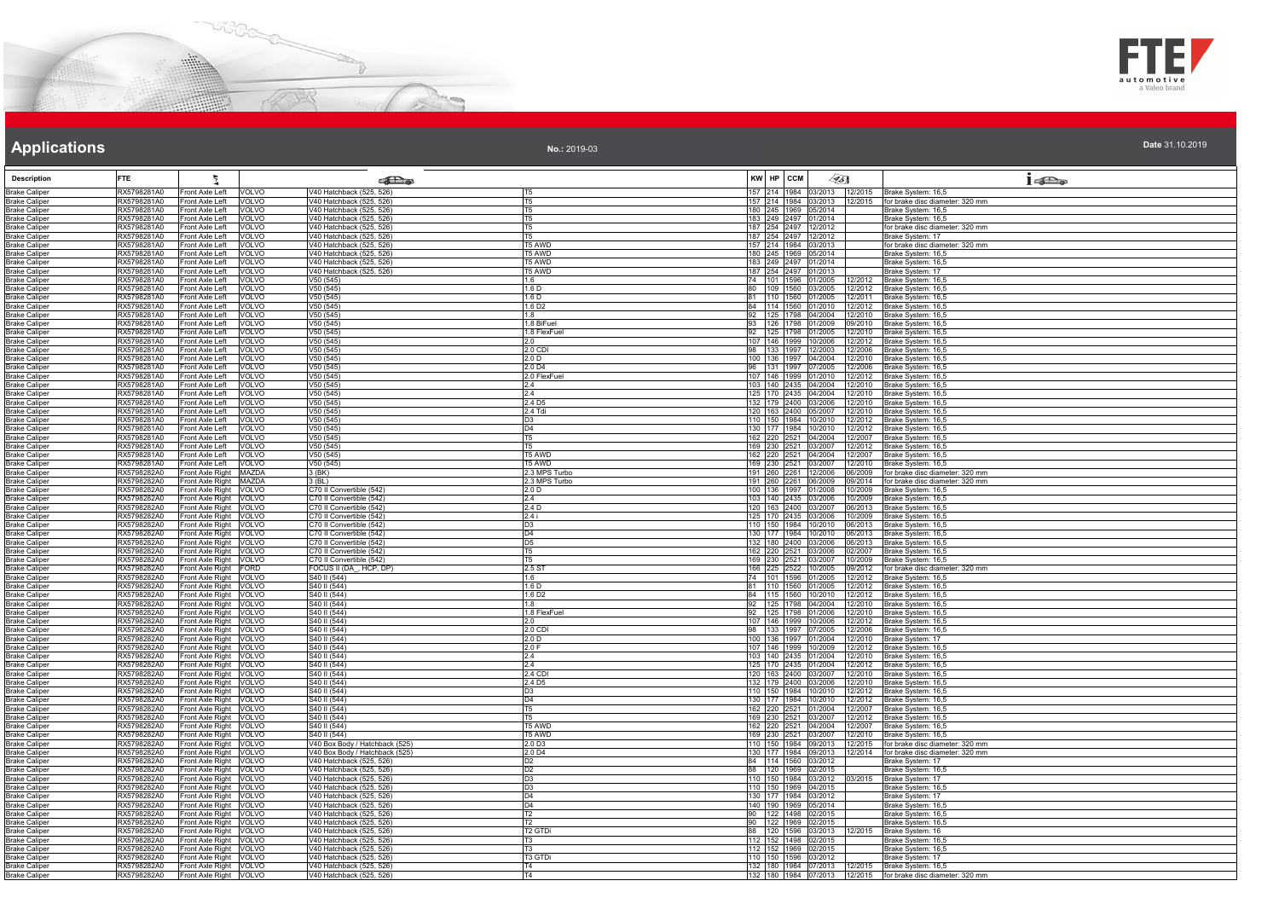



**No.:** 2019-03

| <b>Description</b>                           | FTE.                       |                                                   | <b>RE</b>                                            |                                  | KW HP CCM |                                              | $\llap{65}$                                                        | $1 - \sum_{\omega}$                                          |
|----------------------------------------------|----------------------------|---------------------------------------------------|------------------------------------------------------|----------------------------------|-----------|----------------------------------------------|--------------------------------------------------------------------|--------------------------------------------------------------|
| <b>Brake Caliper</b>                         | RX5798281A0                | Front Axle Left                                   | V40 Hatchback (525, 526)                             | IT <sub>5</sub>                  |           |                                              | 157 214 1984 03/2013 12/2015                                       |                                                              |
| <b>Brake Caliper</b>                         | RX5798281A0                | <b>VOLVO</b><br>Front Axle Left<br><b>VOLVO</b>   | V40 Hatchback (525, 526)                             | T <sub>5</sub>                   |           |                                              | 157 214 1984 03/2013 12/2015                                       | Brake System: 16,5<br>for brake disc diameter: 320 mm        |
| <b>Brake Caliper</b>                         | RX5798281A0                | Front Axle Left VOLVO                             | V40 Hatchback (525, 526)                             | T <sub>5</sub>                   |           | 180 245 1969 05/2014                         |                                                                    | Brake System: 16,5                                           |
| <b>Brake Caliper</b>                         | RX5798281A0                | Front Axle Left VOLVO                             | V40 Hatchback (525, 526)                             | T <sub>5</sub>                   |           | 183 249 2497 01/2014                         |                                                                    | Brake System: 16,5                                           |
| <b>Brake Caliper</b>                         | RX5798281A0                | Front Axle Left VOLVO                             | V40 Hatchback (525, 526)                             | T <sub>5</sub>                   |           | 187 254 2497 12/2012                         |                                                                    | for brake disc diameter: 320 mm                              |
| Brake Caliper                                | RX5798281A0                | Front Axle Left VOLVO                             | V40 Hatchback (525, 526)                             | <b>T5</b>                        |           | 187 254 2497 12/2012                         |                                                                    | Brake System: 17                                             |
| <b>Brake Caliper</b>                         | RX5798281A0                | Front Axle Left<br>VOLVO                          | V40 Hatchback (525, 526)                             | T5 AWD                           |           | 57 214 1984 03/2013                          |                                                                    | or brake disc diameter: 320 mm                               |
| <b>Brake Caliper</b><br>Brake Caliper        | RX5798281A0<br>RX5798281A0 | Front Axle Left<br>VOLVO<br>Front Axle Left VOLVO | V40 Hatchback (525, 526)<br>V40 Hatchback (525, 526) | T5 AWD<br>T5 AWD                 |           | 180 245 1969 05/2014<br>183 249 2497 01/2014 |                                                                    | Brake System: 16,5<br>Brake System: 16.5                     |
| <b>Brake Caliper</b>                         | RX5798281A0                | Front Axle Left VOLVO                             | V40 Hatchback (525, 526)                             | T5 AWD                           |           | 187 254 2497 01/2013                         |                                                                    | Brake System: 17                                             |
| Brake Caliper                                | RX5798281A0                | Front Axle Left VOLVO                             | V50(545)                                             | 1.6                              |           |                                              | 74 101 1596 01/2005 12/2012                                        | Brake System: 16,5                                           |
| <b>Brake Caliper</b>                         | RX5798281A0                | Front Axle Left VOLVO                             | V50 (545)                                            | 1.6 <sub>D</sub>                 |           |                                              | 80 109 1560 03/2005 12/2012                                        | Brake System: 16,5                                           |
| <b>Brake Caliper</b>                         | RX5798281A0                | Front Axle Left VOLVO                             | V50 (545)                                            | 1.6 D                            |           | 81 110 1560 01/2005                          | 12/2011                                                            | Brake System: 16,5                                           |
| Brake Caliper                                | RX5798281A0                | Front Axle Left VOLVO                             | V50 (545)                                            | 1.6 D <sub>2</sub>               |           |                                              | 84 114 1560 01/2010 12/2012                                        | Brake System: 16,5                                           |
| <b>Brake Caliper</b>                         | RX5798281A0                | Front Axle Left VOLVO                             | V50(545)                                             | 1.8<br>1.8 BiFuel                |           |                                              | 92 125 1798 04/2004 12/2010                                        | Brake System: 16,5                                           |
| <b>Brake Caliper</b><br><b>Brake Caliper</b> | RX5798281A0<br>RX5798281A0 | Front Axle Left VOLVO<br>Front Axle Left<br>VOLVO | V50 (545)<br>V50(545)                                | 1.8 FlexFuel                     |           |                                              | 93   126   1798   01/2009   09/2010<br>92 125 1798 01/2005 12/2010 | Brake System: 16,5<br>Brake System: 16,5                     |
| <b>Brake Caliper</b>                         | RX5798281A0                | Front Axle Left<br><b>VOLVO</b>                   | V50(545)                                             | 2.0                              |           | 107 146 1999 10/2006                         | 12/2012                                                            | Brake System: 16,5                                           |
| Brake Caliper                                | RX5798281A0                | Front Axle Left<br>VOLVO                          | V50 (545)                                            | 2.0 CDI                          |           |                                              | 98 133 1997 12/2003 12/2006                                        | Brake Svstem: 16.5                                           |
| <b>Brake Caliper</b>                         | RX5798281A0                | Front Axle Left VOLVO                             | V50(545)                                             | 2.0 D                            |           |                                              | 100 136 1997 04/2004 12/2010                                       | Brake System: 16,5                                           |
| <b>Brake Caliper</b>                         | RX5798281A0                | Front Axle Left VOLVO                             | V50(545)                                             | 2.0 D4                           |           |                                              | 96 131 1997 07/2005 12/2006                                        | Brake System: 16,5                                           |
| Brake Caliper                                | RX5798281A0                | Front Axle Left VOLVO                             | V50(545)                                             | 2.0 FlexFuel                     |           |                                              | 107 146 1999 01/2010 12/2012                                       | Brake System: 16,5                                           |
| <b>Brake Caliper</b>                         | RX5798281A0                | Front Axle Left    VOLVO                          | V50 (545)                                            | 2.4<br>2.4                       |           |                                              | 103 140 2435 04/2004 12/2010<br>125 170 2435 04/2004 12/2010       | Brake System: 16,5                                           |
| <b>Brake Caliper</b><br><b>Brake Caliper</b> | RX5798281A0<br>RX5798281A0 | Front Axle Left VOLVO<br>Front Axle Left VOLVO    | V50 (545)<br>V50(545)                                | 2.4 D <sub>5</sub>               |           |                                              | 132 179 2400 03/2006 12/2010                                       | Brake System: 16,5<br>Brake System: 16,5                     |
| Brake Caliper                                | RX5798281A0                | Front Axle Left VOLVO                             | V50(545)                                             | 2.4 Tdi                          |           | 120 163 2400 05/2007                         | 12/2010                                                            | Brake System: 16,5                                           |
| Brake Caliper                                | RX5798281A0                | Front Axle Left   VOLVO                           | V50 (545)                                            | D <sub>3</sub>                   |           |                                              | 110 150 1984 10/2010 12/2012                                       | Brake System: 16,5                                           |
| <b>Brake Caliper</b>                         | RX5798281A0                | Front Axle Left<br><b>VOLVO</b>                   | V50 (545)                                            | D <sub>4</sub>                   |           |                                              | 130 177 1984 10/2010 12/2012                                       | Brake System: 16,5                                           |
| <b>Brake Caliper</b>                         | RX5798281A0                | Front Axle Left<br>VOLVO                          | V50 (545)                                            | T <sub>5</sub>                   |           | 162 220 2521 04/2004                         | 12/2007                                                            | Brake System: 16,5                                           |
| Brake Caliper                                | RX5798281A0                | Front Axle Left VOLVO                             | V50(545)                                             | T <sub>5</sub>                   |           | 169 230 2521 03/2007                         | 12/2012                                                            | Brake System: 16,5                                           |
| Brake Caliper                                | RX5798281A0<br>RX5798281A0 | Front Axle Left    VOLVO<br>Front Axle Left VOLVO | V50 (545)<br>V50 (545)                               | <b>T5 AWD</b><br>T5 AWD          |           |                                              | 162 220 2521 04/2004 12/2007<br>169 230 2521 03/2007 12/2010       | Brake System: 16,5<br>Brake System: 16,5                     |
| <b>Brake Caliper</b><br><b>Brake Caliper</b> | RX5798282A0                | Front Axle Right MAZDA                            | 3 (BK)                                               | 2.3 MPS Turbo                    |           |                                              | 06/2009                                                            | for brake disc diameter: 320 mm                              |
| Brake Caliper                                | RX5798282A0                | Front Axle Right MAZDA                            | $3$ (BL)                                             | 2.3 MPS Turbo                    |           | 191 260 2261 12/2006<br>191 260 2261 06/2009 | 09/2014                                                            | for brake disc diameter: 320 mm                              |
| <b>Brake Caliper</b>                         | RX5798282A0                | Front Axle Right VOLVO                            | C70 II Convertible (542)                             | 2.0 <sub>D</sub>                 |           | 100 136 1997 01/2008                         | 10/2009                                                            | Brake System: 16,5                                           |
| <b>Brake Caliper</b>                         | RX5798282A0                | Front Axle Right VOLVO                            | C70 II Convertible (542)                             | 2.4                              |           | 103 140 2435 03/2006                         | 10/2009                                                            | Brake System: 16,5                                           |
| <b>Brake Caliper</b>                         | RX5798282A0                | Front Axle Right VOLVO                            | C70 II Convertible (542)                             | 2.4 D                            |           |                                              | 120 163 2400 03/2007 06/2013                                       | Brake System: 16,5                                           |
| <b>Brake Caliper</b>                         | RX5798282A0<br>RX5798282A0 | Front Axle Right VOLVO<br>Front Axle Right VOLVO  | C70 II Convertible (542)<br>C70 II Convertible (542) | 2.4i<br>D <sub>3</sub>           |           | 125 170 2435 03/2006                         | 10/2009<br>110 150 1984 10/2010 06/2013                            | Brake System: 16,5<br>Brake System: 16,5                     |
| <b>Brake Caliper</b><br><b>Brake Caliper</b> | RX5798282A0                | Front Axle Right VOLVO                            | C70 II Convertible (542)                             | D <sub>4</sub>                   |           | 130 177 1984 10/2010                         | 06/2013                                                            | Brake System: 16,5                                           |
| <b>Brake Caliper</b>                         | RX5798282A0                | Front Axle Right VOLVO                            | C70 II Convertible (542)                             | D <sub>5</sub>                   |           |                                              | 132 180 2400 03/2006 06/2013                                       | Brake System: 16,5                                           |
| <b>Brake Caliper</b>                         | RX5798282A0                | Front Axle Right VOLVO                            | C70 II Convertible (542)                             | T <sub>5</sub>                   |           |                                              | 162 220 2521 03/2006 02/2007                                       | Brake System: 16,5                                           |
| <b>Brake Caliper</b>                         | RX5798282A0                | Front Axle Right VOLVO                            | C70 II Convertible (542)                             | IT5                              |           | 169 230 2521 03/2007                         | 10/2009                                                            | Brake System: 16,5                                           |
| <b>Brake Caliper</b>                         | RX5798282A0                | Front Axle Right FORD                             | FOCUS II (DA, HCP, DP)                               | 2.5 ST                           |           | 166 225 2522 10/2005                         | 09/2012                                                            | for brake disc diameter: 320 mm                              |
| <b>Brake Caliper</b><br><b>Brake Caliper</b> | RX5798282A0<br>RX5798282A0 | Front Axle Right VOLVO<br>Front Axle Right VOLVO  | S40 II (544)<br>S40 II (544)                         | 1.6<br>1.6 D                     |           |                                              | 74 101 1596 01/2005 12/2012<br>81 110 1560 01/2005 12/2012         | Brake System: 16,5<br>Brake System: 16,5                     |
| <b>Brake Caliper</b>                         | RX5798282A0                | Front Axle Right VOLVO                            | S40 II (544)                                         | 1.6 D <sub>2</sub>               |           |                                              | 84 115 1560 10/2010 12/2012                                        | Brake System: 16,5                                           |
| <b>Brake Caliper</b>                         | RX5798282A0                | Front Axle Right VOLVO                            | S40 II (544)                                         | 1.8                              |           |                                              | 92 125 1798 04/2004 12/2010                                        | Brake System: 16,5                                           |
| <b>Brake Caliper</b>                         | RX5798282A0                | Front Axle Right VOLVO                            | S40 II (544)                                         | 1.8 FlexFuel                     |           |                                              | 125 1798 01/2006 12/2010                                           | Brake System: 16,5                                           |
| <b>Brake Caliper</b>                         | RX5798282A0                | Front Axle Right VOLVO                            | S40 II (544)                                         | 2.0                              |           | 107 146 1999 10/2006                         | 12/2012                                                            | Brake System: 16,5                                           |
| <b>Brake Caliper</b>                         | RX5798282A0                | Front Axle Right VOLVO                            | S40 II (544)                                         | 2.0 CDI                          |           |                                              | 98 133 1997 07/2005 12/2006                                        | Brake System: 16,5                                           |
| <b>Brake Caliper</b><br>Brake Caliper        | RX5798282A0<br>RX5798282A0 | Front Axle Right VOLVO<br>Front Axle Right VOLVO  | S40 II (544)<br>S40 II (544)                         | 2.0 <sub>D</sub><br>2.0 F        |           | 100 136 1997 01/2004                         | 12/2010<br>107 146 1999 10/2009 12/2012                            | Brake System: 17<br>Brake System: 16,5                       |
| <b>Brake Caliper</b>                         | RX5798282A0                | Front Axle Right VOLVO                            | S40 II (544)                                         | 2.4                              |           |                                              | 103 140 2435 01/2004 12/2010                                       | Brake System: 16,5                                           |
| <b>Brake Caliper</b>                         | RX5798282A0                | Front Axle Right VOLVO                            | S40 II (544)                                         | 2.4                              |           |                                              | 125 170 2435 01/2004 12/2012                                       | Brake System: 16,5                                           |
| <b>Brake Caliper</b>                         | RX5798282A0                | Front Axle Right VOLVO                            | S40 II (544)                                         | 2.4 CDI                          |           | 120 163 2400 03/2007                         | 12/2010                                                            | Brake System: 16,5                                           |
| <b>Brake Caliper</b>                         | RX5798282A0                | Front Axle Right VOLVO                            | S40 II (544)                                         | 2.4 D <sub>5</sub>               |           |                                              | 132 179 2400 03/2006 12/2010                                       | Brake System: 16,5                                           |
| <b>Brake Caliper</b>                         | RX5798282A0<br>RX5798282A0 | Front Axle Right VOLVO                            | S40 II (544)<br>S40 II (544)                         | D <sub>3</sub><br>D <sub>4</sub> |           | 110 150 1984 10/2010                         | 12/2012<br>130 177 1984 10/2010 12/2012                            | Brake System: 16,5                                           |
| <b>Brake Caliper</b><br><b>Brake Caliper</b> | RX5798282A0                | Front Axle Right VOLVO<br>Front Axle Right VOLVO  | S40 II (544)                                         | T <sub>5</sub>                   |           |                                              | 12/2007                                                            | Brake System: 16,5<br>Brake System: 16,5                     |
| Brake Caliper                                | RX5798282A0                | Front Axle Right VOLVO                            | S40 II (544)                                         | T <sub>5</sub>                   |           | 162 220 2521 01/2004<br>169 230 2521 03/2007 | 12/2012                                                            | Brake System: 16,5                                           |
| <b>Brake Caliper</b>                         | RX5798282A0                | Front Axle Right VOLVO                            | S40 II (544)                                         | <b>T5 AWD</b>                    |           | 162 220 2521 04/2004                         | 12/2007                                                            | Brake System: 16,5                                           |
| <b>Brake Caliper</b>                         | RX5798282A0                | Front Axle Right VOLVO                            | S40 II (544)                                         | T5 AWD                           |           | 169 230 2521 03/2007                         | 12/2010                                                            | Brake System: 16,5                                           |
| <b>Brake Caliper</b>                         | RX5798282A0                | Front Axle Right VOLVO                            | V40 Box Body / Hatchback (525)                       | 2.0 D3                           |           |                                              | 110 150 1984 09/2013 12/2015                                       | for brake disc diameter: 320 mm                              |
| <b>Brake Caliper</b>                         | RX5798282A0                | Front Axle Right VOLVO                            | V40 Box Body / Hatchback (525)                       | 2.0 D4                           |           | 130 177 1984 09/2013<br>84 114 1560 03/2012  | 12/2014                                                            | for brake disc diameter: 320 mm                              |
| <b>Brake Caliper</b><br><b>Brake Caliper</b> | RX5798282A0<br>RX5798282A0 | Front Axle Right VOLVO<br>Front Axle Right VOLVO  | V40 Hatchback (525, 526)<br>V40 Hatchback (525, 526) | D <sub>2</sub><br>D <sub>2</sub> |           | 88 120 1969 02/2015                          |                                                                    | Brake System: 17<br>Brake System: 16,5                       |
| <b>Brake Caliper</b>                         | RX5798282A0                | Front Axle Right VOLVO                            | V40 Hatchback (525, 526)                             | D <sub>3</sub>                   |           | 110 150 1984 03/2012                         | 03/2015                                                            | Brake System: 17                                             |
| Brake Caliper                                | RX5798282A0                | Front Axle Right VOLVO                            | V40 Hatchback (525, 526)                             | D3                               |           | 110 150 1969 04/2015                         |                                                                    | Brake System: 16,5                                           |
| <b>Brake Caliper</b>                         | RX5798282A0                | Front Axle Right VOLVO                            | V40 Hatchback (525, 526)                             | D <sub>4</sub>                   |           | 130 177 1984 03/2012                         |                                                                    | Brake System: 17                                             |
| <b>Brake Caliper</b>                         | RX5798282A0                | Front Axle Right VOLVO                            | V40 Hatchback (525, 526)                             | D <sub>4</sub>                   |           | 140 190 1969 05/2014                         |                                                                    | Brake System: 16,5                                           |
| <b>Brake Caliper</b>                         | RX5798282A0                | Front Axle Right VOLVO                            | V40 Hatchback (525, 526)                             | T <sub>2</sub>                   |           | 90 122 1498 02/2015                          |                                                                    | Brake System: 16,5                                           |
| <b>Brake Caliper</b>                         | RX5798282A0                | Front Axle Right VOLVO                            | V40 Hatchback (525, 526)<br>V40 Hatchback (525, 526) | T <sub>2</sub>                   |           | 90 122 1969 02/2015                          |                                                                    | Brake System: 16,5                                           |
| <b>Brake Caliper</b><br><b>Brake Caliper</b> | RX5798282A0<br>RX5798282A0 | Front Axle Right VOLVO<br>Front Axle Right VOLVO  | V40 Hatchback (525, 526)                             | T <sub>2</sub> GTDi<br>IT3       |           | 88 120 1596 03/2013<br>112 152 1498 02/2015  | 12/2015                                                            | Brake System: 16<br>Brake System: 16,5                       |
| <b>Brake Caliper</b>                         | RX5798282A0                | Front Axle Right VOLVO                            | V40 Hatchback (525, 526)                             | T <sub>3</sub>                   |           | 112 152 1969 02/2015                         |                                                                    | Brake System: 16,5                                           |
| <b>Brake Caliper</b>                         | RX5798282A0                | Front Axle Right VOLVO                            | V40 Hatchback (525, 526)                             | T3 GTDi                          |           | 110 150 1596 03/2012                         |                                                                    | Brake Svstem: 17                                             |
| <b>Brake Caliper</b>                         | RX5798282A0                | Front Axle Right VOLVO                            | V40 Hatchback (525, 526)                             | T <sub>4</sub>                   |           |                                              | 132 180 1984 07/2013 12/2015                                       | Brake System: 16,5                                           |
| <b>Brake Caliper</b>                         | RX5798282A0                | Front Axle Right VOLVO                            | V40 Hatchback (525, 526)                             | T <sub>4</sub>                   |           |                                              |                                                                    | 132 180 1984 07/2013 12/2015 for brake disc diameter: 320 mm |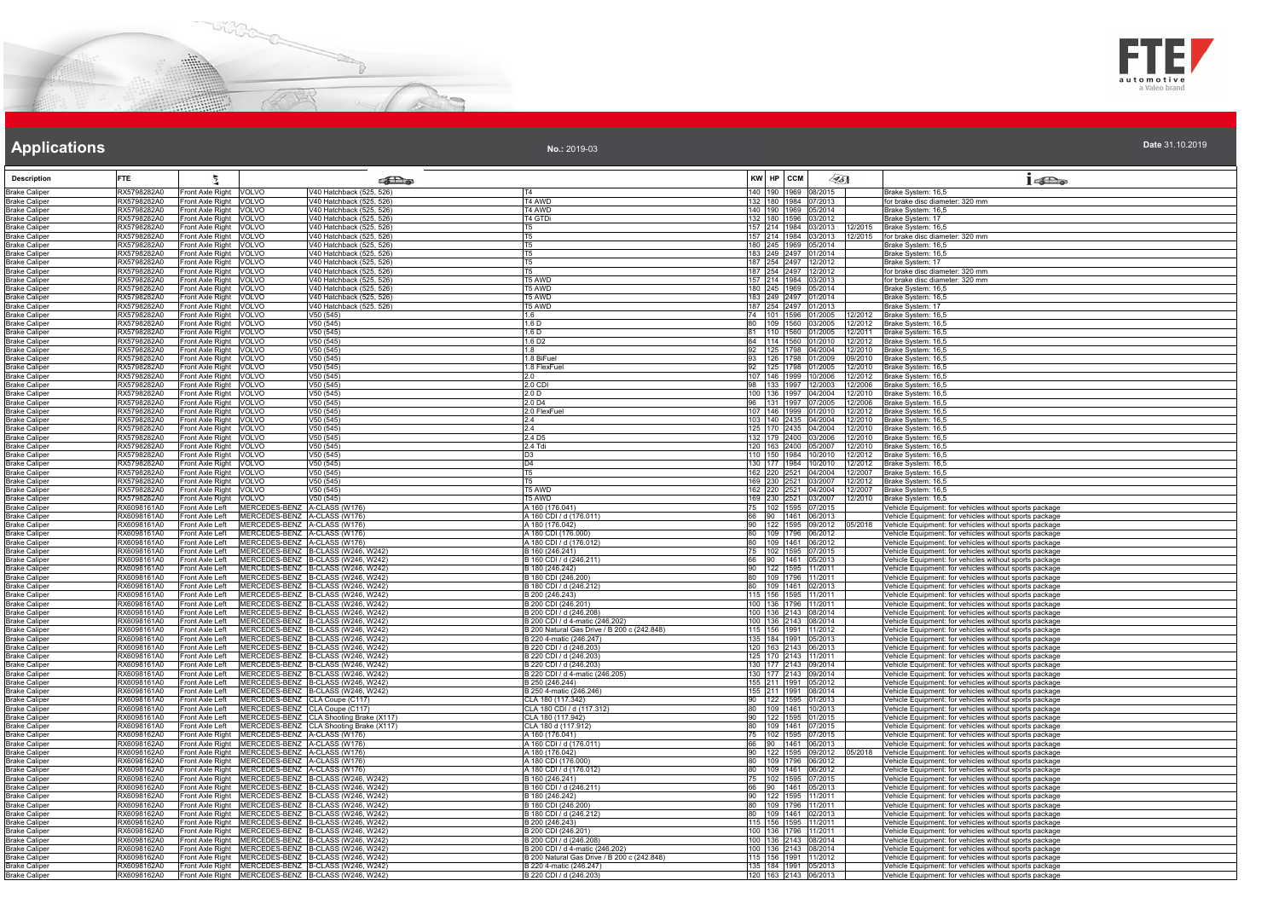



**No.:** 2019-03

| <b>Description</b>                           | <b>FTE</b>                 |                                                                                                                | <b>SE</b> a                                                              |                                                                                |                       | KW HP CCM                |                                              | ∕95∏                                     | $1 - \sum_{\alpha}$                                                                                              |
|----------------------------------------------|----------------------------|----------------------------------------------------------------------------------------------------------------|--------------------------------------------------------------------------|--------------------------------------------------------------------------------|-----------------------|--------------------------|----------------------------------------------|------------------------------------------|------------------------------------------------------------------------------------------------------------------|
| <b>Brake Caliper</b>                         | RX5798282A0                | Front Axle Right VOLVO                                                                                         | V40 Hatchback (525, 526)                                                 |                                                                                |                       |                          | 140 190 1969 08/2015                         |                                          | Brake System: 16,5                                                                                               |
| <b>Brake Caliper</b>                         | RX5798282A0                | Front Axle Right<br>VOLVO                                                                                      | V40 Hatchback (525, 526)                                                 | T4 AWD                                                                         |                       |                          | 132 180 1984 07/2013                         |                                          | for brake disc diameter: 320 mm                                                                                  |
| <b>Brake Caliper</b>                         | RX5798282A0                | Front Axle Right<br><b>VOLVO</b>                                                                               | V40 Hatchback (525, 526)                                                 | T4 AWD                                                                         |                       | 140 190 1969             |                                              | 05/2014                                  | Brake System: 16,5                                                                                               |
| <b>Brake Caliper</b><br><b>Brake Caliper</b> | RX5798282A0<br>RX5798282A0 | Front Axle Right VOLVO<br>Front Axle Right VOLVO                                                               | V40 Hatchback (525, 526)<br>V40 Hatchback (525, 526)                     | T4 GTDi<br>T <sub>5</sub>                                                      |                       |                          | 132 180 1596 03/2012<br>157 214 1984 03/2013 | 12/2015                                  | Brake System: 17<br>Brake System: 16,5                                                                           |
| <b>Brake Caliper</b>                         | RX5798282A0                | Front Axle Right VOLVO                                                                                         | V40 Hatchback (525, 526)                                                 | T5                                                                             |                       |                          |                                              |                                          | 157 214 1984 03/2013 12/2015 for brake disc diameter: 320 mm                                                     |
| <b>Brake Caliper</b>                         | RX5798282A0                | Front Axle Right VOLVO                                                                                         | V40 Hatchback (525, 526)                                                 | T5.                                                                            |                       |                          | 180 245 1969 05/2014                         |                                          | Brake System: 16,5                                                                                               |
| <b>Brake Caliper</b>                         | RX5798282A0                | Front Axle Right VOLVO                                                                                         | V40 Hatchback (525, 526)                                                 |                                                                                |                       |                          | 183 249 2497 01/2014                         |                                          | Brake System: 16,5                                                                                               |
| <b>Brake Caliper</b><br><b>Brake Caliper</b> | RX5798282A0<br>RX5798282A0 | Front Axle Right VOLVO<br>Front Axle Right VOLVO                                                               | V40 Hatchback (525, 526)<br>V40 Hatchback (525, 526)                     | <b>T5</b>                                                                      |                       |                          | 187 254 2497 12/2012<br>187 254 2497 12/2012 |                                          | Brake System: 17<br>for brake disc diameter: 320 mm                                                              |
| <b>Brake Caliper</b>                         | RX5798282A0                | Front Axle Right VOLVO                                                                                         | V40 Hatchback (525, 526)                                                 | T5 AWD                                                                         |                       |                          | 157 214 1984 03/2013                         |                                          | for brake disc diameter: 320 mm                                                                                  |
| <b>Brake Caliper</b>                         | RX5798282A0                | Front Axle Right VOLVO                                                                                         | V40 Hatchback (525, 526)                                                 | T5 AWD                                                                         |                       |                          | 180 245 1969 05/2014                         |                                          | Brake System: 16,5                                                                                               |
| <b>Brake Caliper</b>                         | RX5798282A0                | Front Axle Right<br>VOLVO                                                                                      | V40 Hatchback (525, 526)                                                 | T5 AWD                                                                         |                       |                          | 183 249 2497 01/2014                         |                                          | Brake System: 16,5                                                                                               |
| <b>Brake Caliper</b>                         | RX5798282A0                | Front Axle Right<br><b>VOLVO</b>                                                                               | V40 Hatchback (525, 526)<br>V50(545)                                     | T5 AWD<br>1.6                                                                  | 74                    | 187 254 2497<br>101 1596 |                                              | 01/2013                                  | Brake System: 17<br>Brake System: 16,5                                                                           |
| <b>Brake Caliper</b><br><b>Brake Caliper</b> | RX5798282A0<br>RX5798282A0 | Front Axle Right<br>VOLVO<br>Front Axle Right VOLVO                                                            | V50 (545)                                                                | 1.6 <sub>D</sub>                                                               | 80                    | 109 1560                 |                                              | 01/2005<br>12/2012<br>03/2005<br>12/2012 | Brake System: 16,5                                                                                               |
| <b>Brake Caliper</b>                         | RX5798282A0                | Front Axle Right VOLVO                                                                                         | V50(545)                                                                 | 1.6 <sub>D</sub>                                                               | 81                    |                          | 110 1560 01/2005                             |                                          | 12/2011 Brake System: 16,5                                                                                       |
| <b>Brake Caliper</b>                         | RX5798282A0                | Front Axle Right VOLVO                                                                                         | V50(545)                                                                 | 1.6 D <sub>2</sub>                                                             | 84                    | 114 1560                 |                                              | 01/2010<br>12/2012                       | Brake System: 16,5                                                                                               |
| <b>Brake Caliper</b><br><b>Brake Caliper</b> | RX5798282A0<br>RX5798282A0 | Front Axle Right VOLVO<br>Front Axle Right VOLVO                                                               | V50(545)<br>V50 (545)                                                    | 1.8<br>1.8 BiFuel                                                              | 92<br>93              | 125 1798                 | 126 1798 01/2009                             | 04/2004<br>12/2010<br>09/2010            | Brake System: 16,5<br>Brake System: 16,5                                                                         |
| <b>Brake Caliper</b>                         | RX5798282A0                | Front Axle Right VOLVO                                                                                         | V50 (545)                                                                | 1.8 FlexFuel                                                                   | 92                    |                          |                                              | 125 1798 01/2005 12/2010                 | Brake System: 16,5                                                                                               |
| <b>Brake Caliper</b>                         | RX5798282A0                | Front Axle Right VOLVO                                                                                         | V50(545)                                                                 | 2.0                                                                            |                       |                          |                                              |                                          | 107 146 1999 10/2006 12/2012 Brake System: 16,5                                                                  |
| <b>Brake Caliper</b>                         | RX5798282A0                | Front Axle Right VOLVO                                                                                         | V50 (545)                                                                | 2.0 CDI                                                                        | 98                    |                          |                                              | 133 1997 12/2003 12/2006                 | Brake System: 16,5                                                                                               |
| <b>Brake Caliper</b>                         | RX5798282A0                | Front Axle Right<br>VOLVO                                                                                      | V50(545)                                                                 | 2.0 D                                                                          |                       |                          | 100 136 1997 04/2004                         | 12/2010                                  | Brake System: 16,5                                                                                               |
| <b>Brake Caliper</b><br><b>Brake Caliper</b> | RX5798282A0<br>RX5798282A0 | Front Axle Right<br><b>VOLVO</b><br>Front Axle Right<br>VOLVO                                                  | V50(545)<br>V50 (545)                                                    | 2.0 <sub>D4</sub><br>2.0 FlexFue                                               |                       | 131 1997                 | 07/2005<br>107 146 1999 01/2010              | 12/2006<br>12/2012                       | Brake System: 16,5<br>Brake System: 16,5                                                                         |
| <b>Brake Caliper</b>                         | RX5798282A0                | Front Axle Right VOLVO                                                                                         | V50 (545)                                                                | 2.4                                                                            |                       |                          | 103 140 2435 04/2004                         | 12/2010                                  | Brake System: 16,5                                                                                               |
| <b>Brake Caliper</b>                         | RX5798282A0                | Front Axle Right VOLVO                                                                                         | V50(545)                                                                 | 2.4                                                                            |                       |                          |                                              |                                          | 125 170 2435 04/2004 12/2010 Brake System: 16,5                                                                  |
| <b>Brake Caliper</b>                         | RX5798282A0                | Front Axle Right VOLVO                                                                                         | V50(545)                                                                 | 2.4 D <sub>5</sub>                                                             |                       |                          | 132 179 2400 03/2006                         |                                          | 12/2010 Brake System: 16,5                                                                                       |
| <b>Brake Caliper</b><br><b>Brake Caliper</b> | RX5798282A0<br>RX5798282A0 | Front Axle Right VOLVO<br>Front Axle Right VOLVO                                                               | V50(545)<br>V50 (545)                                                    | $2.4$ Tdi<br>D3                                                                |                       |                          | 120 163 2400 05/2007<br>110 150 1984 10/2010 | 12/2010<br>12/2012                       | Brake System: 16,5<br>Brake System: 16,5                                                                         |
| <b>Brake Caliper</b>                         | RX5798282A0                | Front Axle Right VOLVO                                                                                         | V50 (545)                                                                | D4                                                                             |                       |                          |                                              | 130 177 1984 10/2010 12/2012             | Brake System: 16,5                                                                                               |
| <b>Brake Caliper</b>                         | RX5798282A0                | Front Axle Right VOLVO                                                                                         | V50(545)                                                                 | T <sub>5</sub>                                                                 |                       |                          |                                              | 162 220 2521 04/2004 12/2007             | Brake System: 16,5                                                                                               |
| <b>Brake Caliper</b>                         | RX5798282A0                | Front Axle Right VOLVO                                                                                         | V50 (545)                                                                | T5                                                                             |                       |                          |                                              |                                          | 169 230 2521 03/2007 12/2012 Brake System: 16,5                                                                  |
| <b>Brake Caliper</b><br><b>Brake Caliper</b> | RX5798282A0<br>RX5798282A0 | Front Axle Right<br>VOLVO<br>Front Axle Right<br><b>VOLVO</b>                                                  | V50(545)<br>V50 (545)                                                    | T5 AWD<br>T5 AWD                                                               |                       |                          | 169 230 2521 03/2007                         | 162 220 2521 04/2004 12/2007<br>12/2010  | Brake System: 16,5<br>Brake System: 16,5                                                                         |
| <b>Brake Caliper</b>                         | RX6098161A0                | Front Axle Left                                                                                                | MERCEDES-BENZ A-CLASS (W176)                                             | A 160 (176.041)                                                                | 75                    | 102 1595                 |                                              | 07/2015                                  | ehicle Equipment: for vehicles without sports package                                                            |
| <b>Brake Caliper</b>                         | RX6098161A0                | Front Axle Left                                                                                                | MERCEDES-BENZ A-CLASS (W176)                                             | A 160 CDI / d (176.011)                                                        | 66                    |                          | 90 1461 06/2013                              |                                          | Vehicle Equipment: for vehicles without sports package                                                           |
| <b>Brake Caliper</b>                         | RX6098161A0                | Front Axle Left                                                                                                | MERCEDES-BENZ A-CLASS (W176)                                             | A 180 (176.042)                                                                | $90 -$                |                          | 122 1595 09/2012                             | 05/2018                                  | Vehicle Equipment: for vehicles without sports package                                                           |
| <b>Brake Caliper</b><br><b>Brake Caliper</b> | RX6098161A0<br>RX6098161A0 | Front Axle Left<br>Front Axle Left                                                                             | MERCEDES-BENZ A-CLASS (W176)<br>MERCEDES-BENZ A-CLASS (W176)             | A 180 CDI (176.000)<br>A 180 CDI / d (176.012)                                 | 80                    |                          | 80 109 1796 06/2012<br>109 1461 06/2012      |                                          | Vehicle Equipment: for vehicles without sports package<br>ehicle Equipment: for vehicles without sports package  |
| <b>Brake Caliper</b>                         | RX6098161A0                | Front Axle Left                                                                                                | MERCEDES-BENZ B-CLASS (W246, W242)                                       | B 160 (246.241)                                                                |                       |                          | 75 102 1595 07/2015                          |                                          | Vehicle Equipment: for vehicles without sports package                                                           |
| <b>Brake Caliper</b>                         | RX6098161A0                | Front Axle Left                                                                                                | MERCEDES-BENZ B-CLASS (W246, W242)                                       | B 160 CDI / d (246.211)                                                        |                       |                          | 66 90 1461 05/2013                           |                                          | Vehicle Equipment: for vehicles without sports package                                                           |
| <b>Brake Caliper</b>                         | RX6098161A0                | Front Axle Left                                                                                                | MERCEDES-BENZ B-CLASS (W246, W242)                                       | B 180 (246.242)                                                                |                       |                          | 90 122 1595 11/2011                          |                                          | ehicle Equipment: for vehicles without sports package                                                            |
| <b>Brake Caliper</b><br><b>Brake Caliper</b> | RX6098161A0<br>RX6098161A0 | Front Axle Left<br>Front Axle Left                                                                             | MERCEDES-BENZ B-CLASS (W246, W242)<br>MERCEDES-BENZ B-CLASS (W246, W242) | B 180 CDI (246.200<br>B 180 CDI / d (246.212)                                  | 80                    |                          | 80 109 1796 11/2011<br>109 1461 02/2013      |                                          | /ehicle Equipment: for vehicles without sports package<br>Vehicle Equipment: for vehicles without sports package |
| <b>Brake Caliper</b>                         | RX6098161A0                | Front Axle Left                                                                                                | MERCEDES-BENZ B-CLASS (W246, W242)                                       | B 200 (246.243)                                                                |                       |                          | 115 156 1595 11/2011                         |                                          | ehicle Equipment: for vehicles without sports package                                                            |
| <b>Brake Caliper</b>                         | RX6098161A0                | Front Axle Left                                                                                                | MERCEDES-BENZ B-CLASS (W246, W242)                                       | B 200 CDI (246.201)                                                            |                       |                          | 100 136 1796 11/2011                         |                                          | Vehicle Equipment: for vehicles without sports package                                                           |
| <b>Brake Caliper</b>                         | RX6098161A0                | Front Axle Left                                                                                                | MERCEDES-BENZ B-CLASS (W246, W242)                                       | B 200 CDI / d (246.208)                                                        |                       |                          | 100 136 2143 08/2014                         |                                          | Vehicle Equipment: for vehicles without sports package                                                           |
| <b>Brake Caliper</b><br><b>Brake Caliper</b> | RX6098161A0<br>RX6098161A0 | Front Axle Left<br>Front Axle Left                                                                             | MERCEDES-BENZ B-CLASS (W246, W242)<br>MERCEDES-BENZ B-CLASS (W246, W242) | B 200 CDI / d 4-matic (246.202)<br>B 200 Natural Gas Drive / B 200 c (242.848) |                       |                          | 100 136 2143 08/2014<br>115 156 1991 11/2012 |                                          | Vehicle Equipment: for vehicles without sports package<br>Vehicle Equipment: for vehicles without sports package |
| <b>Brake Caliper</b>                         | RX6098161A0                | Front Axle Left                                                                                                | MERCEDES-BENZ B-CLASS (W246, W242)                                       | B 220 4-matic (246.247)                                                        |                       |                          | 135 184 1991 05/2013                         |                                          | /ehicle Equipment: for vehicles without sports package                                                           |
| <b>Brake Caliper</b>                         | RX6098161A0                | Front Axle Left                                                                                                | MERCEDES-BENZ B-CLASS (W246, W242                                        | B 220 CDI / d (246.203)                                                        |                       |                          | 120 163 2143 06/2013                         |                                          | /ehicle Equipment: for vehicles without sports package                                                           |
| <b>Brake Caliper</b>                         | RX6098161A0                | Front Axle Left                                                                                                | MERCEDES-BENZ B-CLASS (W246, W242)                                       | B 220 CDI / d (246.203)                                                        |                       |                          | 125 170 2143 11/2011                         |                                          | Vehicle Equipment: for vehicles without sports package                                                           |
| <b>Brake Caliper</b><br><b>Brake Caliper</b> | RX6098161A0<br>RX6098161A0 | Front Axle Left<br>Front Axle Left                                                                             | MERCEDES-BENZ B-CLASS (W246, W242)<br>MERCEDES-BENZ B-CLASS (W246, W242) | B 220 CDI / d (246.203)<br>B 220 CDI / d 4-matic (246.205)                     |                       |                          | 130 177 2143 09/2014<br>130 177 2143 09/2014 |                                          | Vehicle Equipment: for vehicles without sports package<br>Vehicle Equipment: for vehicles without sports package |
| <b>Brake Caliper</b>                         | RX6098161A0                | Front Axle Left                                                                                                | MERCEDES-BENZ B-CLASS (W246, W242)                                       | B 250 (246.244)                                                                |                       |                          | 155 211 1991 05/2012                         |                                          | Vehicle Equipment: for vehicles without sports package                                                           |
| <b>Brake Caliper</b>                         | RX6098161A0                | Front Axle Left                                                                                                | MERCEDES-BENZ B-CLASS (W246, W242)                                       | B 250 4-matic (246.246)                                                        |                       |                          | 155 211 1991 08/2014                         |                                          | ehicle Equipment: for vehicles without sports package                                                            |
| <b>Brake Caliper</b>                         | RX6098161A0                | Front Axle Left                                                                                                | MERCEDES-BENZ CLA Coupe (C117)                                           | CLA 180 (117.342)                                                              | 90                    | 122 1595                 |                                              | 01/2013                                  | ehicle Equipment: for vehicles without sports package                                                            |
| <b>Brake Caliper</b><br><b>Brake Caliper</b> | RX6098161A0<br>RX6098161A0 | Front Axle Left<br>Front Axle Left                                                                             | MERCEDES-BENZ CLA Coupe (C117)<br>MERCEDES-BENZ CLA Shooting Brake (X117 | CLA 180 CDL/ d (117.312)<br>CLA 180 (117,942)                                  | 80<br>90 <sub>0</sub> |                          | 109 1461 10/2013<br>122 1595 01/2015         |                                          | Vehicle Equipment: for vehicles without sports package<br>Vehicle Equipment: for vehicles without sports package |
| <b>Brake Caliper</b>                         | RX6098161A0                | Front Axle Left                                                                                                | MERCEDES-BENZ CLA Shooting Brake (X117)                                  | CLA 180 d (117.912)                                                            | 80                    |                          | 109 1461 07/2015                             |                                          | Vehicle Equipment: for vehicles without sports package                                                           |
| <b>Brake Caliper</b>                         | RX6098162A0                | Front Axle Right                                                                                               | MERCEDES-BENZ A-CLASS (W176)                                             | A 160 (176.041)                                                                | 75                    |                          | 102 1595 07/2015                             |                                          | /ehicle Equipment: for vehicles without sports package                                                           |
| <b>Brake Caliper</b>                         | RX6098162A0                | Front Axle Right   MERCEDES-BENZ   A-CLASS (W176)                                                              |                                                                          | A 160 CDI / d (176.011)                                                        | 66                    |                          | 90 1461 06/2013                              |                                          | Vehicle Equipment: for vehicles without sports package                                                           |
| <b>Brake Caliper</b><br><b>Brake Caliper</b> | RX6098162A0<br>RX6098162A0 | Front Axle Right MERCEDES-BENZ A-CLASS (W176)<br>Front Axle Right MERCEDES-BENZ A-CLASS (W176)                 |                                                                          | A 180 (176.042)<br>A 180 CDI (176.000)                                         | 90                    |                          | 122 1595 09/2012<br>80 109 1796 06/2012      | 05/2018                                  | Vehicle Equipment: for vehicles without sports package<br>/ehicle Equipment: for vehicles without sports package |
| <b>Brake Caliper</b>                         | RX6098162A0                | Front Axle Right MERCEDES-BENZ A-CLASS (W176)                                                                  |                                                                          | A 180 CDI / d (176.012)                                                        | 80                    |                          | 109 1461 06/2012                             |                                          | /ehicle Equipment: for vehicles without sports package                                                           |
| <b>Brake Caliper</b>                         | RX6098162A0                | Front Axle Right MERCEDES-BENZ B-CLASS (W246, W242)                                                            |                                                                          | B 160 (246.241)                                                                |                       |                          | 75 102 1595 07/2015                          |                                          | Vehicle Equipment: for vehicles without sports package                                                           |
| <b>Brake Caliper</b>                         | RX6098162A0                | Front Axle Right MERCEDES-BENZ B-CLASS (W246, W242)                                                            |                                                                          | 3 160 CDI / d (246.211)                                                        | 66                    |                          | 90 1461 05/2013                              |                                          | ehicle Equipment: for vehicles without sports package                                                            |
| <b>Brake Caliper</b><br><b>Brake Caliper</b> | RX6098162A0<br>RX6098162A0 | Front Axle Right   MERCEDES-BENZ   B-CLASS (W246, W242)<br>Front Axle Right MERCEDES-BENZ B-CLASS (W246, W242) |                                                                          | B 180 (246.242)<br>B 180 CDI (246.200)                                         | 90<br>80              |                          | 122 1595 11/2011<br>109 1796 11/2011         |                                          | /ehicle Equipment: for vehicles without sports package<br>Vehicle Equipment: for vehicles without sports package |
| <b>Brake Caliper</b>                         | RX6098162A0                | Front Axle Right MERCEDES-BENZ B-CLASS (W246, W242)                                                            |                                                                          | B 180 CDI / d (246.212)                                                        | 80                    |                          | 109 1461 02/2013                             |                                          | Vehicle Equipment: for vehicles without sports package                                                           |
| <b>Brake Caliper</b>                         | RX6098162A0                | Front Axle Right   MERCEDES-BENZ   B-CLASS (W246, W242)                                                        |                                                                          | B 200 (246.243)                                                                |                       |                          | 115 156 1595 11/2011                         |                                          | Vehicle Equipment: for vehicles without sports package                                                           |
| <b>Brake Caliper</b>                         | RX6098162A0                | Front Axle Right MERCEDES-BENZ B-CLASS (W246, W242)                                                            |                                                                          | B 200 CDI (246.201)                                                            |                       |                          | 100 136 1796 11/2011                         |                                          | Vehicle Equipment: for vehicles without sports package                                                           |
| <b>Brake Caliper</b>                         | RX6098162A0                | Front Axle Right MERCEDES-BENZ B-CLASS (W246, W242)<br>Front Axle Right MERCEDES-BENZ B-CLASS (W246, W242)     |                                                                          | B 200 CDI / d (246.208<br>B 200 CDI / d 4-matic (246.202)                      |                       |                          | 100 136 2143 08/2014<br>100 136 2143 08/2014 |                                          | /ehicle Equipment: for vehicles without sports package<br>Vehicle Equipment: for vehicles without sports package |
| <b>Brake Caliper</b><br><b>Brake Caliper</b> | RX6098162A0<br>RX6098162A0 | Front Axle Right MERCEDES-BENZ B-CLASS (W246, W242)                                                            |                                                                          | B 200 Natural Gas Drive / B 200 c (242.848)                                    |                       |                          | 115 156 1991 11/2012                         |                                          | Vehicle Equipment: for vehicles without sports package                                                           |
| <b>Brake Caliper</b>                         | RX6098162A0                | Front Axle Right   MERCEDES-BENZ   B-CLASS (W246, W242)                                                        |                                                                          | B 220 4-matic (246.247)                                                        |                       |                          | 135 184 1991 05/2013                         |                                          | Vehicle Equipment: for vehicles without sports package                                                           |
| <b>Brake Caliper</b>                         | RX6098162A0                | Front Axle Right MERCEDES-BENZ B-CLASS (W246, W242)                                                            |                                                                          | B 220 CDI / d (246.203)                                                        |                       |                          | 120 163 2143 06/2013                         |                                          | Vehicle Equipment: for vehicles without sports package                                                           |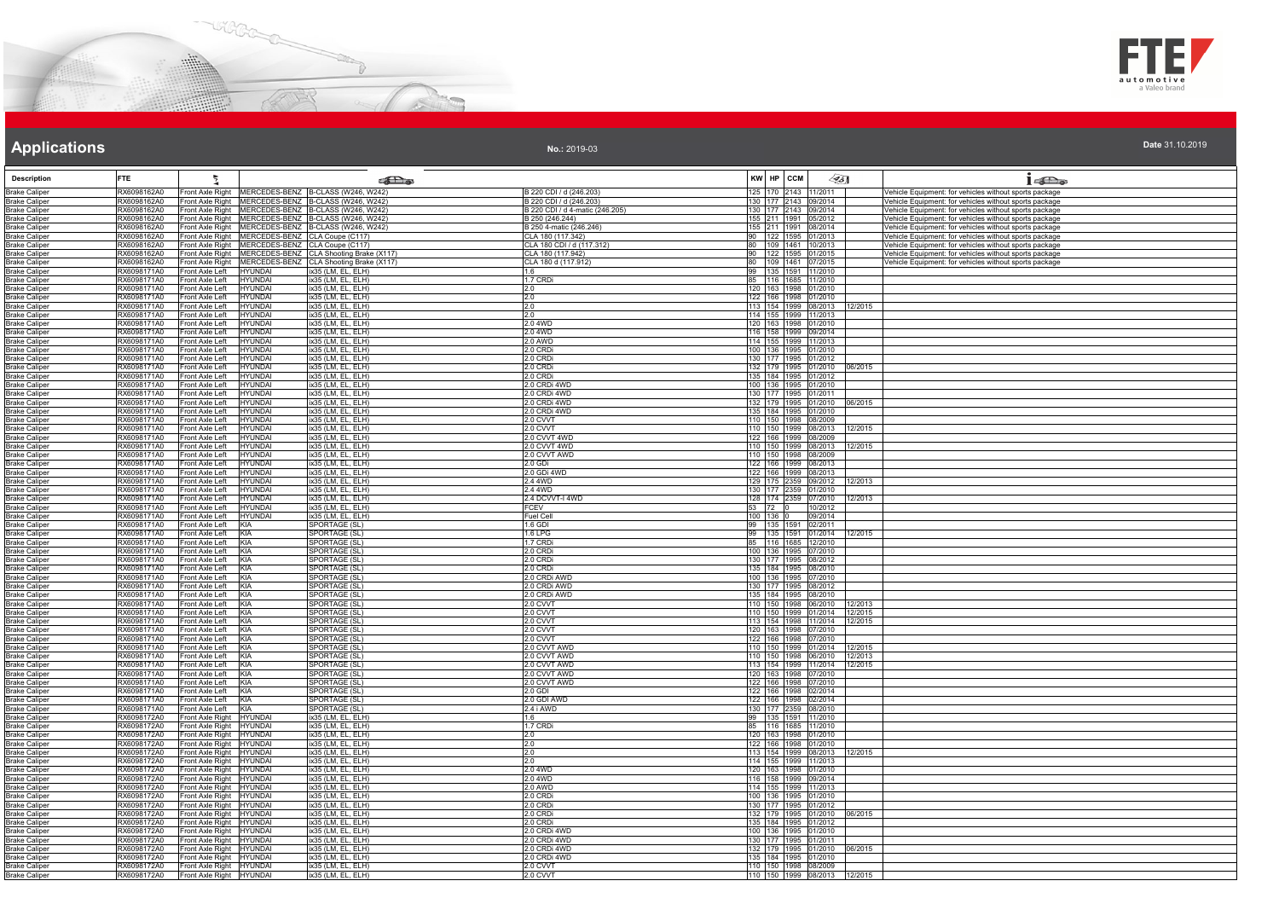



**No.:** 2019-03

| <b>Description</b>                           | <b>FTE</b>                 |                                                      |                                                                                                             | கில                                          | KW HP CCM                                    |                  | $\mathscr{G}_{5}$            | 16D <sub>o</sub>                                                                                                 |
|----------------------------------------------|----------------------------|------------------------------------------------------|-------------------------------------------------------------------------------------------------------------|----------------------------------------------|----------------------------------------------|------------------|------------------------------|------------------------------------------------------------------------------------------------------------------|
| <b>Brake Caliper</b>                         | RX6098162A0                |                                                      | Front Axle Right MERCEDES-BENZ B-CLASS (W246, W242)                                                         | B 220 CDI / d (246.203)                      | 125 170 2143 11/2011                         |                  |                              | Vehicle Equipment: for vehicles without sports package                                                           |
| <b>Brake Caliper</b>                         | RX6098162A0                |                                                      | Front Axle Right MERCEDES-BENZ B-CLASS (W246, W242)                                                         | B 220 CDI / d (246.203)                      | 130 177 2143 09/2014                         |                  |                              | Vehicle Equipment: for vehicles without sports package                                                           |
| <b>Brake Caliper</b>                         | RX6098162A0                |                                                      | Front Axle Right MERCEDES-BENZ B-CLASS (W246, W242)                                                         | B 220 CDI / d 4-matic (246.205)              | 130 177 2143 09/2014                         |                  |                              | Vehicle Equipment: for vehicles without sports package                                                           |
| <b>Brake Caliper</b>                         | RX6098162A0                |                                                      | Front Axle Right MERCEDES-BENZ B-CLASS (W246, W242)                                                         | B 250 (246.244)                              | 155 211 1991 05/2012                         |                  |                              | Vehicle Equipment: for vehicles without sports package                                                           |
| <b>Brake Caliper</b><br><b>Brake Caliper</b> | RX6098162A0<br>RX6098162A0 |                                                      | Front Axle Right MERCEDES-BENZ B-CLASS (W246, W242)<br>Front Axle Right MERCEDES-BENZ CLA Coupe (C117)      | B 250 4-matic (246.246)<br>CLA 180 (117.342) | 155 211 1991 08/2014<br>90 122 1595 01/2013  |                  |                              | Vehicle Equipment: for vehicles without sports package<br>Vehicle Equipment: for vehicles without sports package |
| <b>Brake Caliper</b>                         | RX6098162A0                |                                                      |                                                                                                             | CLA 180 CDI / d (117.312)                    | 80                                           | 109 1461 10/2013 |                              | Vehicle Equipment: for vehicles without sports package                                                           |
| <b>Brake Caliper</b>                         | RX6098162A0                |                                                      | Front Axle Right MERCEDES-BENZ CLA Coupe (C117)<br>Front Axle Right MERCEDES-BENZ CLA Shooting Brake (X117) | CLA 180 (117.942)                            | 90 122 1595 01/2015                          |                  |                              | Vehicle Equipment: for vehicles without sports package                                                           |
| <b>Brake Caliper</b>                         | RX6098162A0                |                                                      | Front Axle Right MERCEDES-BENZ CLA Shooting Brake (X117)                                                    | CLA 180 d (117.912)                          | 80 109 1461 07/2015                          |                  |                              | Vehicle Equipment: for vehicles without sports package                                                           |
| <b>Brake Caliper</b><br><b>Brake Caliper</b> | RX6098171A0<br>RX6098171A0 | Front Axle Left HYUNDAI<br>Front Axle Left           | ix35 (LM, EL, ELH)<br><b>HYUNDAI</b><br>ix35 (LM, EL, ELH)                                                  | 1.6<br>1.7 CRDi                              | 99 135 1591 11/2010<br>85 116 1685 11/2010   |                  |                              |                                                                                                                  |
| <b>Brake Caliper</b>                         | RX6098171A0                | Front Axle Left                                      | <b>HYUNDAI</b><br>ix35 (LM, EL, ELH)                                                                        | 2.0                                          | 120 163 1998 01/2010                         |                  |                              |                                                                                                                  |
| <b>Brake Caliper</b>                         | RX6098171A0                | Front Axle Left                                      | ix35 (LM, EL, ELH)<br><b>HYUNDAI</b>                                                                        | 2.0                                          | 122 166 1998 01/2010                         |                  |                              |                                                                                                                  |
| <b>Brake Caliper</b>                         | RX6098171A0<br>RX6098171A0 | Front Axle Left                                      | <b>HYUNDAI</b><br>ix35 (LM, EL, ELH)                                                                        | 2.0                                          | 113 154 1999 08/2013                         |                  | 12/2015                      |                                                                                                                  |
| <b>Brake Caliper</b><br><b>Brake Caliper</b> | RX6098171A0                | Front Axle Left<br>Front Axle Left                   | <b>HYUNDAI</b><br>ix35 (LM, EL, ELH)<br><b>HYUNDAI</b><br>ix35 (LM, EL, ELH)                                | 2.0<br>2.0 4WD                               | 114 155 1999 11/2013<br>120 163 1998 01/2010 |                  |                              |                                                                                                                  |
| <b>Brake Caliper</b>                         | RX6098171A0                | Front Axle Left                                      | <b>HYUNDAI</b><br>ix35 (LM, EL, ELH)                                                                        | 20 4 WD                                      | 116 158 1999 09/2014                         |                  |                              |                                                                                                                  |
| <b>Brake Caliper</b>                         | RX6098171A0                | Front Axle Left                                      | <b>HYUNDAI</b><br>ix35 (LM, EL, ELH)                                                                        | 2.0 AWD                                      | 114 155 1999 11/2013                         |                  |                              |                                                                                                                  |
| <b>Brake Caliper</b>                         | RX6098171A0                | Front Axle Left                                      | <b>HYUNDAI</b><br>ix35 (LM, EL, ELH)                                                                        | 2.0 CRDi                                     | 100 136 1995 01/2010                         |                  |                              |                                                                                                                  |
| <b>Brake Caliper</b><br><b>Brake Caliper</b> | RX6098171A0<br>RX6098171A0 | Front Axle Left<br>Front Axle Left                   | ix35 (LM, EL, ELH)<br><b>HYUNDAI</b><br><b>HYUNDAI</b><br>ix35 (LM, EL, ELH)                                | 2.0 CRDi<br>2.0 CRDi                         | 130 177 1995 01/2012                         |                  | 132 179 1995 01/2010 06/2015 |                                                                                                                  |
| <b>Brake Caliper</b>                         | RX6098171A0                | Front Axle Left                                      | <b>HYUNDAI</b><br>ix35 (LM, EL, ELH)                                                                        | 2.0 CRDi                                     | 135 184 1995 01/2012                         |                  |                              |                                                                                                                  |
| <b>Brake Caliper</b>                         | RX6098171A0                | Front Axle Left                                      | <b>HYUNDAI</b><br>ix35 (LM, EL, ELH)                                                                        | 2.0 CRDi 4WD                                 | 100 136 1995 01/2010                         |                  |                              |                                                                                                                  |
| <b>Brake Caliper</b>                         | RX6098171A0                | Front Axle Left                                      | <b>HYUNDAI</b><br>ix35 (LM, EL, ELH)                                                                        | 2.0 CRDi 4WD                                 | 130 177 1995 01/2011                         |                  |                              |                                                                                                                  |
| <b>Brake Caliper</b><br><b>Brake Caliper</b> | RX6098171A0<br>RX6098171A0 | Front Axle Left<br>Front Axle Left                   | <b>HYUNDAI</b><br>ix35 (LM, EL, ELH)<br><b>HYUNDAI</b><br>ix35 (LM, EL, ELH)                                | 2.0 CRDi 4WD<br>2.0 CRDi 4WD                 | 132 179 1995 01/2010<br>135 184 1995 01/2010 |                  | 06/2015                      |                                                                                                                  |
| <b>Brake Caliper</b>                         | RX6098171A0                | Front Axle Left                                      | ix35 (LM, EL, ELH)<br><b>HYUNDAI</b>                                                                        | 2.0 CVVT                                     | 110 150 1998 08/2009                         |                  |                              |                                                                                                                  |
| <b>Brake Caliper</b>                         | RX6098171A0                | Front Axle Left                                      | <b>HYUNDAI</b><br>ix35 (LM, EL, ELH)                                                                        | 2.0 CVVT                                     | 110 150 1999 08/2013                         |                  | 12/2015                      |                                                                                                                  |
| <b>Brake Caliper</b>                         | RX6098171A0                | Front Axle Left                                      | <b>HYUNDAI</b><br>ix35 (LM, EL, ELH)                                                                        | 2.0 CVVT 4WD                                 | 122 166 1999 08/2009                         |                  |                              |                                                                                                                  |
| <b>Brake Caliper</b><br><b>Brake Caliper</b> | RX6098171A0<br>RX6098171A0 | Front Axle Left<br>Front Axle Left                   | <b>HYUNDAI</b><br>ix35 (LM, EL, ELH)<br><b>HYUNDAI</b><br>ix35 (LM, EL, ELH)                                | 2.0 CVVT 4WD<br>2.0 CVVT AWD                 | 110 150 1999 08/2013<br>110 150 1998 08/2009 |                  | 12/2015                      |                                                                                                                  |
| <b>Brake Caliper</b>                         | RX6098171A0                | Front Axle Left                                      | <b>HYUNDAI</b><br>ix35 (LM, EL, ELH)                                                                        | 2.0 GDi                                      | 122 166 1999 08/2013                         |                  |                              |                                                                                                                  |
| <b>Brake Caliper</b>                         | RX6098171A0                | Front Axle Left                                      | <b>HYUNDAI</b><br>ix35 (LM, EL, ELH)                                                                        | 2.0 GDi 4WD                                  | 122 166 1999 08/2013                         |                  |                              |                                                                                                                  |
| <b>Brake Caliper</b>                         | RX6098171A0                | Front Axle Left                                      | <b>HYUNDAI</b><br>ix35 (LM, EL, ELH)                                                                        | 2.4 4WD                                      | 129 175 2359 09/2012                         |                  | 12/2013                      |                                                                                                                  |
| <b>Brake Caliper</b>                         | RX6098171A0<br>RX6098171A0 | Front Axle Left<br>Front Axle Left                   | <b>HYUNDAI</b><br>ix35 (LM, EL, ELH)<br><b>HYUNDAI</b><br>ix35 (LM, EL, ELH)                                | 2.4 4WD<br>2.4 DCVVT-I 4WD                   | 130 177 2359 01/2010<br>128 174 2359 07/2010 |                  | 12/2013                      |                                                                                                                  |
| <b>Brake Caliper</b><br><b>Brake Caliper</b> | RX6098171A0                | Front Axle Left                                      | <b>HYUNDAI</b><br>ix35 (LM, EL, ELH)                                                                        | <b>FCEV</b>                                  | 53 72 0                                      | 10/2012          |                              |                                                                                                                  |
| <b>Brake Caliper</b>                         | RX6098171A0                | Front Axle Left                                      | ix35 (LM, EL, ELH)<br><b>HYUNDAI</b>                                                                        | Fuel Cell                                    | 100 136 0                                    | 09/2014          |                              |                                                                                                                  |
| <b>Brake Caliper</b>                         | RX6098171A0                | Front Axle Left                                      | KIA<br>SPORTAGE (SL)                                                                                        | 1.6 GDI                                      | 99 135 1591 02/2011                          |                  |                              |                                                                                                                  |
| <b>Brake Caliper</b><br><b>Brake Caliper</b> | RX6098171A0<br>RX6098171A0 | Front Axle Left KIA<br>Front Axle Left               | SPORTAGE (SL)<br>KIA<br>SPORTAGE (SL)                                                                       | 1.6 LPG<br>1.7 CRDi                          | 85 116 1685 12/2010                          |                  | 99 135 1591 01/2014 12/2015  |                                                                                                                  |
| <b>Brake Caliper</b>                         | RX6098171A0                | Front Axle Left                                      | KIA<br>SPORTAGE (SL)                                                                                        | 2.0 CRDi                                     | 100 136 1995 07/2010                         |                  |                              |                                                                                                                  |
| <b>Brake Caliper</b>                         | RX6098171A0                | Front Axle Left                                      | KIA<br>SPORTAGE (SL)                                                                                        | 2.0 CRDi                                     | 130 177 1995 08/2012                         |                  |                              |                                                                                                                  |
| <b>Brake Caliper</b>                         | RX6098171A0                | Front Axle Left                                      | KIA<br>SPORTAGE (SL)                                                                                        | 2.0 CRDi                                     | 135 184 1995 08/2010                         |                  |                              |                                                                                                                  |
| <b>Brake Caliper</b><br><b>Brake Caliper</b> | RX6098171A0<br>RX6098171A0 | Front Axle Left KIA<br>Front Axle Left               | SPORTAGE (SL)<br>SPORTAGE (SL)<br>KIA                                                                       | 2.0 CRDi AWD<br>2.0 CRDi AWD                 | 100 136 1995 07/2010<br>130 177 1995 08/2012 |                  |                              |                                                                                                                  |
| <b>Brake Caliper</b>                         | RX6098171A0                | Front Axle Left                                      | KIA<br>SPORTAGE (SL)                                                                                        | 2.0 CRDi AWD                                 | 135 184 1995 08/2010                         |                  |                              |                                                                                                                  |
| <b>Brake Caliper</b>                         | RX6098171A0                | Front Axle Left                                      | SPORTAGE (SL)<br>KIA                                                                                        | 2.0 CVVT                                     |                                              |                  | 110 150 1998 06/2010 12/2013 |                                                                                                                  |
| <b>Brake Caliper</b>                         | RX6098171A0                | Front Axle Left                                      | KIA<br>SPORTAGE (SL)                                                                                        | 2.0 CVVT                                     |                                              |                  | 110 150 1999 01/2014 12/2015 |                                                                                                                  |
| <b>Brake Caliper</b><br><b>Brake Caliper</b> | RX6098171A0<br>RX6098171A0 | Front Axle Left KIA<br>Front Axle Left KIA           | SPORTAGE (SL)<br>SPORTAGE (SL)                                                                              | 2.0 CVVT<br>2.0 CVVT                         | 120 163 1998 07/2010                         |                  | 113 154 1998 11/2014 12/2015 |                                                                                                                  |
| <b>Brake Caliper</b>                         | RX6098171A0                | Front Axle Left                                      | KIA<br>SPORTAGE (SL)                                                                                        | 2.0 CVVT                                     | 122 166 1998 07/2010                         |                  |                              |                                                                                                                  |
| <b>Brake Caliper</b>                         | RX6098171A0                | Front Axle Left                                      | SPORTAGE (SL)<br>KIA                                                                                        | 2.0 CVVT AWD                                 |                                              |                  | 110 150 1999 01/2014 12/2015 |                                                                                                                  |
| <b>Brake Caliper</b>                         | RX6098171A0                | Front Axle Left                                      | KIA<br>SPORTAGE (SL)                                                                                        | 2.0 CVVT AWD                                 |                                              |                  | 110 150 1998 06/2010 12/2013 |                                                                                                                  |
| <b>Brake Caliper</b><br><b>Brake Caliper</b> | RX6098171A0<br>RX6098171A0 | Front Axle Left<br>Front Axle Left KIA               | KIA<br>SPORTAGE (SL)<br>SPORTAGE (SL)                                                                       | 2.0 CVVT AWD<br>2.0 CVVT AWD                 | 120 163 1998 07/2010                         |                  | 113 154 1999 11/2014 12/2015 |                                                                                                                  |
| <b>Brake Caliper</b>                         | RX6098171A0                | Front Axle Left KIA                                  | SPORTAGE (SL)                                                                                               | 2.0 CVVT AWD                                 | 122 166 1998 07/2010                         |                  |                              |                                                                                                                  |
| <b>Brake Caliper</b>                         | RX6098171A0                | Front Axle Left                                      | <b>SPORTAGE (SL)</b><br>KIA                                                                                 | 2.0 GDI                                      | 122 166 1998 02/2014                         |                  |                              |                                                                                                                  |
| <b>Brake Caliper</b>                         | RX6098171A0                | Front Axle Left                                      | KIA<br>SPORTAGE (SL)                                                                                        | 2.0 GDI AWD                                  | 122 166 1998 02/2014                         |                  |                              |                                                                                                                  |
| <b>Brake Caliper</b><br><b>Brake Caliper</b> | RX6098171A0<br>RX6098172A0 | Front Axle Left<br>Front Axle Right HYUNDAI          | KIA<br>SPORTAGE (SL)<br>ix35 (LM, EL, ELH)                                                                  | 2.4 i AWD<br>1.6                             | 130 177 2359 08/2010<br>99 135 1591 11/2010  |                  |                              |                                                                                                                  |
| <b>Brake Caliper</b>                         | RX6098172A0                | Front Axle Right HYUNDAI                             | ix35 (LM, EL, ELH)                                                                                          | 1.7 CRDi                                     | 85 116 1685 11/2010                          |                  |                              |                                                                                                                  |
| <b>Brake Caliper</b>                         | RX6098172A0                | Front Axle Right HYUNDAI                             | ix35 (LM, FL, FLH)                                                                                          | 2.0                                          | 120 163 1998 01/2010                         |                  |                              |                                                                                                                  |
| <b>Brake Caliper</b>                         | RX6098172A0                | Front Axle Right HYUNDAI                             | ix35 (LM, EL, ELH)                                                                                          | 2.0                                          | 122 166 1998 01/2010                         |                  |                              |                                                                                                                  |
| <b>Brake Caliper</b><br><b>Brake Caliper</b> | RX6098172A0<br>RX6098172A0 | Front Axle Right HYUNDAI<br>Front Axle Right HYUNDAI | ix35 (LM, EL, ELH)<br>ix35 (LM, EL, ELH)                                                                    | 2.0<br>2.0                                   | 114 155 1999 11/2013                         |                  | 113 154 1999 08/2013 12/2015 |                                                                                                                  |
| <b>Brake Caliper</b>                         | RX6098172A0                | Front Axle Right HYUNDAI                             | ix35 (LM, EL, ELH)                                                                                          | 2.0 4WD                                      | 120 163 1998 01/2010                         |                  |                              |                                                                                                                  |
| <b>Brake Caliper</b>                         | RX6098172A0                | Front Axle Right HYUNDAI                             | ix35 (LM, EL, ELH)                                                                                          | 2.0 4WD                                      | 116 158 1999 09/2014                         |                  |                              |                                                                                                                  |
| <b>Brake Caliper</b>                         | RX6098172A0                | Front Axle Right HYUNDAI                             | ix35 (LM, EL, ELH)                                                                                          | 2.0 AWD                                      | 114 155 1999 11/2013                         |                  |                              |                                                                                                                  |
| <b>Brake Caliper</b><br><b>Brake Caliper</b> | RX6098172A0<br>RX6098172A0 | Front Axle Right HYUNDAI<br>Front Axle Right HYUNDAI | ix35 (LM, EL, ELH)<br>ix35 (LM, EL, ELH)                                                                    | 2.0 CRDi<br>2.0 CRDi                         | 100 136 1995<br>130 177 1995 01/2012         | 1/2010           |                              |                                                                                                                  |
| <b>Brake Caliper</b>                         | RX6098172A0                | Front Axle Right HYUNDAI                             | ix35 (LM, EL, ELH)                                                                                          | 2.0 CRDi                                     |                                              |                  | 132 179 1995 01/2010 06/2015 |                                                                                                                  |
| <b>Brake Caliper</b>                         | RX6098172A0                | Front Axle Right HYUNDAI                             | ix35 (LM, FL, FLH)                                                                                          | 2.0 CRDi                                     | 135 184 1995 01/2012                         |                  |                              |                                                                                                                  |
| <b>Brake Caliper</b>                         | RX6098172A0                | Front Axle Right HYUNDAI                             | lix35 (LM, EL, ELH)                                                                                         | 2.0 CRDi 4WD                                 | 100 136 1995 01/2010                         |                  |                              |                                                                                                                  |
| <b>Brake Caliper</b><br><b>Brake Caliper</b> | RX6098172A0<br>RX6098172A0 | Front Axle Right HYUNDAI<br>Front Axle Right HYUNDAI | ix35 (LM, EL, ELH)<br>ix35 (LM, EL, ELH)                                                                    | 2.0 CRDi 4WD<br>2.0 CRDi 4WD                 | 130 177 1995 01/2011<br>132 179 1995 01/2010 |                  | 06/2015                      |                                                                                                                  |
| <b>Brake Caliper</b>                         | RX6098172A0                | Front Axle Right HYUNDAI                             | ix35 (LM, EL, ELH)                                                                                          | 2.0 CRDi 4WD                                 | 135 184 1995 01/2010                         |                  |                              |                                                                                                                  |
| <b>Brake Caliper</b>                         | RX6098172A0                | Front Axle Right HYUNDAI                             | ix35 (LM, EL, ELH)                                                                                          | 2.0 CVVT                                     | 110 150 1998 08/2009                         |                  |                              |                                                                                                                  |
| <b>Brake Caliper</b>                         | RX6098172A0                | Front Axle Right HYUNDAI                             | ix35 (LM, EL, ELH)                                                                                          | 2.0 CVVT                                     |                                              |                  | 110 150 1999 08/2013 12/2015 |                                                                                                                  |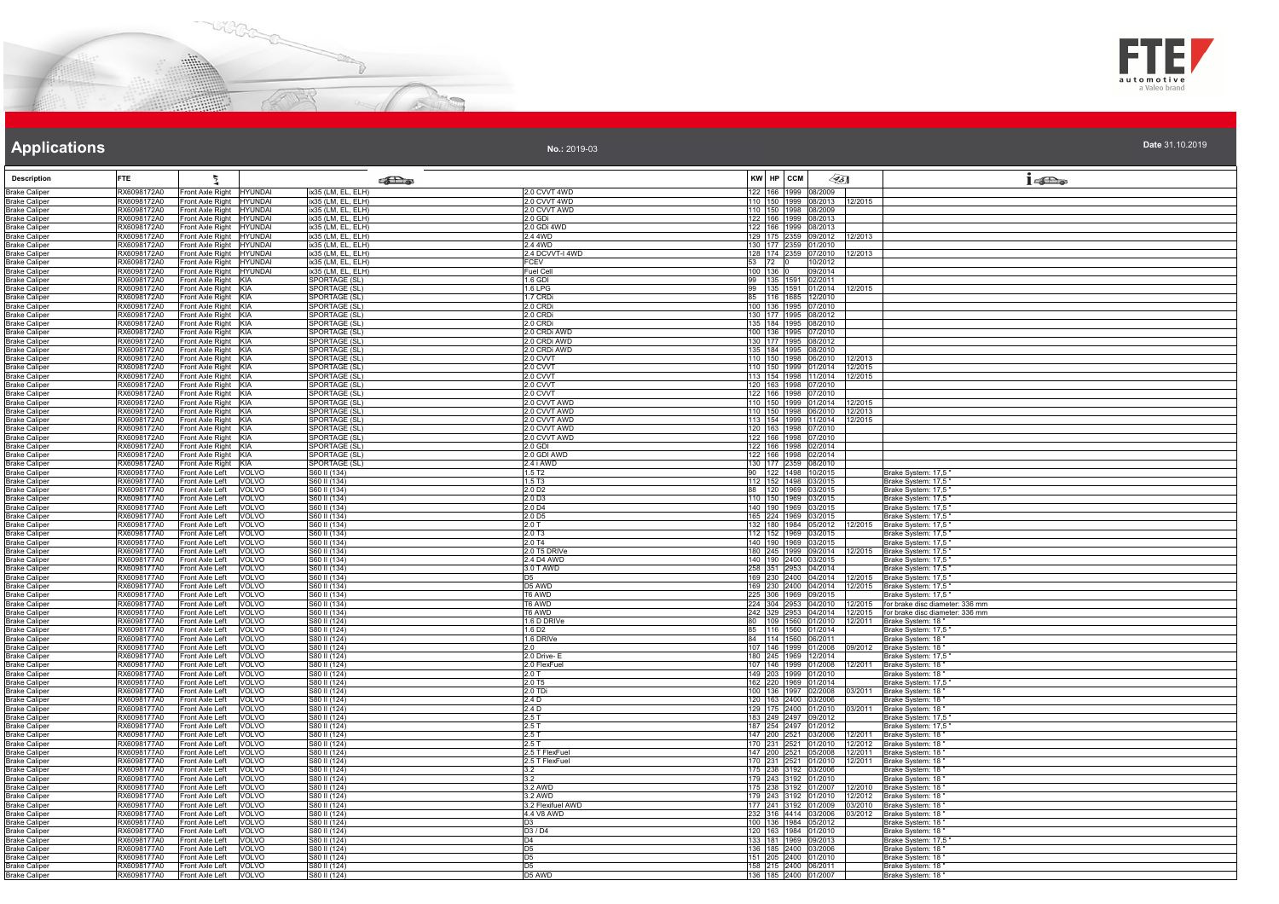



| Date 31.10.2019 |  |  |  |  |
|-----------------|--|--|--|--|
|                 |  |  |  |  |

| <b>Description</b>                           | <b>FTE</b>                 |                                                                    | <b>Pas</b>                               |                                          | KW HP CCM                                    | $\mathscr{G}_{5}$ |                              | 1520                                                               |
|----------------------------------------------|----------------------------|--------------------------------------------------------------------|------------------------------------------|------------------------------------------|----------------------------------------------|-------------------|------------------------------|--------------------------------------------------------------------|
|                                              |                            |                                                                    |                                          |                                          |                                              |                   |                              |                                                                    |
| <b>Brake Caliper</b>                         | RX6098172A0<br>RX6098172A0 | Front Axle Right<br><b>HYUNDAI</b>                                 | ix35 (LM, EL, ELH)                       | 2.0 CVVT 4WD<br>2.0 CVVT 4WD             | 122 166 1999 08/2009                         |                   | 110 150 1999 08/2013 12/2015 |                                                                    |
| <b>Brake Caliper</b><br><b>Brake Caliper</b> | RX6098172A0                | Front Axle Right HYUNDAI<br>Front Axle Right<br><b>HYUNDAI</b>     | ix35 (LM, EL, ELH)<br>ix35 (LM, EL, ELH) | 2.0 CVVT AWD                             | 110 150 1998 08/2009                         |                   |                              |                                                                    |
| <b>Brake Caliper</b>                         | RX6098172A0                | Front Axle Right<br><b>HYUNDAI</b>                                 | ix35 (LM, EL, ELH)                       | 2.0 GDi                                  | 122 166 1999 08/2013                         |                   |                              |                                                                    |
| <b>Brake Caliper</b>                         | RX6098172A0                | Front Axle Right HYUNDAI                                           | ix35 (LM. EL. ELH)                       | 2.0 GDi 4WD                              | 122 166 1999 08/2013                         |                   |                              |                                                                    |
| <b>Brake Caliper</b>                         | RX6098172A0                | Front Axle Right HYUNDAI                                           | ix35 (LM, EL, ELH)                       | 2.4 4WD                                  | 129 175 2359 09/2012                         |                   | 12/2013                      |                                                                    |
| <b>Brake Caliper</b>                         | RX6098172A0                | Front Axle Right HYUNDAI                                           | ix35 (LM, EL, ELH)                       | 2.4 4WD                                  | 130 177 2359 01/2010                         |                   |                              |                                                                    |
| <b>Brake Caliper</b><br><b>Brake Caliper</b> | RX6098172A0<br>RX6098172A0 | Front Axle Right<br><b>HYUNDAI</b>                                 | ix35 (LM, EL, ELH)<br>ix35 (LM, EL, ELH) | 2.4 DCVVT-I 4WD<br>FCEV                  | 128 174 2359 07/2010<br>53 72 0              | 10/2012           | 2/2013                       |                                                                    |
| <b>Brake Caliper</b>                         | RX6098172A0                | Front Axle Right HYUNDAI<br>Front Axle Right HYUNDAI               | ix35 (LM, EL, ELH)                       | <b>Fuel Cell</b>                         | 100 136 0                                    | 09/2014           |                              |                                                                    |
| <b>Brake Caliper</b>                         | RX6098172A0                | Front Axle Right KIA                                               | SPORTAGE (SL)                            | 1.6 GDI                                  | 99 135 1591 02/2011                          |                   |                              |                                                                    |
| <b>Brake Caliper</b>                         | RX6098172A0                | Front Axle Right KIA                                               | SPORTAGE (SL)                            | $1.6$ LPG                                |                                              |                   | 99 135 1591 01/2014 12/2015  |                                                                    |
| <b>Brake Caliper</b>                         | RX6098172A0                | Front Axle Right KIA                                               | SPORTAGE (SL)                            | 1.7 CRDi                                 | 85 116 1685 12/2010                          |                   |                              |                                                                    |
| <b>Brake Caliper</b>                         | RX6098172A0                | Front Axle Right KIA                                               | SPORTAGE (SL)                            | 2.0 CRDi                                 | 100 136 1995 07/2010                         |                   |                              |                                                                    |
| <b>Brake Caliper</b><br><b>Brake Caliper</b> | RX6098172A0<br>RX6098172A0 | Front Axle Right KIA<br>Front Axle Right KIA                       | SPORTAGE (SL)<br>SPORTAGE (SL)           | 2.0 CRDi<br>2.0 CRDi                     | 130 177 1995 08/2012<br>135 184 1995 08/2010 |                   |                              |                                                                    |
| <b>Brake Caliper</b>                         | RX6098172A0                | Front Axle Right KIA                                               | <b>SPORTAGE (SL)</b>                     | 2.0 CRDi AWD                             | 100 136 1995 07/2010                         |                   |                              |                                                                    |
| <b>Brake Caliper</b>                         | RX6098172A0                | Front Axle Right KIA                                               | SPORTAGE (SL)                            | 2.0 CRDi AWD                             | 130 177 1995 08/2012                         |                   |                              |                                                                    |
| <b>Brake Caliper</b>                         | RX6098172A0                | Front Axle Right KIA                                               | <b>SPORTAGE (SL)</b>                     | 2.0 CRDi AWD                             | 135 184 1995 08/2010                         |                   |                              |                                                                    |
| <b>Brake Caliper</b>                         | RX6098172A0                | Front Axle Right KIA                                               | SPORTAGE (SL)                            | 2.0 CVVT                                 |                                              |                   | 110 150 1998 06/2010 12/2013 |                                                                    |
| <b>Brake Caliper</b>                         | RX6098172A0                | Front Axle Right KIA                                               | SPORTAGE (SL)                            | 2.0 CVVT                                 |                                              |                   | 110 150 1999 01/2014 12/2015 |                                                                    |
| <b>Brake Caliper</b><br><b>Brake Caliper</b> | RX6098172A0<br>RX6098172A0 | Front Axle Right KIA<br>Front Axle Right KIA                       | SPORTAGE (SL)<br>SPORTAGE (SL)           | 2.0 CVVT<br>2.0 CVVT                     | 120 163 1998 07/2010                         |                   | 113 154 1998 11/2014 12/2015 |                                                                    |
| <b>Brake Caliper</b>                         | RX6098172A0                | Front Axle Right KIA                                               | SPORTAGE (SL)                            | 2.0 CVVT                                 | 122 166 1998 07/2010                         |                   |                              |                                                                    |
| <b>Brake Caliper</b>                         | RX6098172A0                | Front Axle Right KIA                                               | SPORTAGE (SL)                            | 2.0 CVVT AWD                             | 110 150 1999 01/2014                         |                   | 12/2015                      |                                                                    |
| <b>Brake Caliper</b>                         | RX6098172A0                | Front Axle Right KIA                                               | SPORTAGE (SL)                            | 2.0 CVVT AWD                             | 110 150 1998 06/2010                         |                   | 12/2013                      |                                                                    |
| <b>Brake Caliper</b>                         | RX6098172A0                | Front Axle Right KIA                                               | SPORTAGE (SL)                            | 2.0 CVVT AWD                             | 113 154 1999 11/2014                         |                   | 12/2015                      |                                                                    |
| <b>Brake Caliper</b>                         | RX6098172A0                | Front Axle Right KIA                                               | SPORTAGE (SL)                            | 2.0 CVVT AWD                             | 120 163 1998 07/2010                         |                   |                              |                                                                    |
| <b>Brake Caliper</b><br><b>Brake Caliper</b> | RX6098172A0<br>RX6098172A0 | Front Axle Right KIA<br>Front Axle Right KIA                       | SPORTAGE (SL)<br>SPORTAGE (SL)           | 2.0 CVVT AWD<br>$2.0$ GDI                | 122 166 1998 07/2010<br>122 166 1998 02/2014 |                   |                              |                                                                    |
| <b>Brake Caliper</b>                         | RX6098172A0                | Front Axle Right KIA                                               | SPORTAGE (SL)                            | 2.0 GDI AWD                              | 122 166 1998 02/2014                         |                   |                              |                                                                    |
| <b>Brake Caliper</b>                         | RX6098172A0                | Front Axle Right KIA                                               | SPORTAGE (SL)                            | 2.4 i AWD                                | 130 177 2359 08/2010                         |                   |                              |                                                                    |
| <b>Brake Caliper</b>                         | RX6098177A0                | Front Axle Left<br>VOLVO                                           | S60 II (134)                             | 1.5T <sub>2</sub>                        | 90 122 1498 10/2015                          |                   |                              | Brake System: 17,5                                                 |
| <b>Brake Caliper</b>                         | RX6098177A0                | Front Axle Left<br><b>VOLVO</b>                                    | S60 II (134)                             | 1.5T3                                    | 112 152 1498 03/2015                         |                   |                              | Brake System: 17,5                                                 |
| <b>Brake Caliper</b>                         | RX6098177A0<br>RX6098177A0 | Front Axle Left<br><b>VOLVO</b><br>Front Axle Left<br>VOLVO        | S60 II (134)<br>S60 II (134)             | 2.0 D <sub>2</sub><br>2.0 D <sub>3</sub> | 88 120 1969 03/2015<br>110 150 1969 03/2015  |                   |                              | Brake System: 17,5<br>Brake System: 17,5                           |
| <b>Brake Caliper</b><br><b>Brake Caliper</b> | RX6098177A0                | Front Axle Left<br>VOLVO                                           | S60 II (134)                             | 2.0 D4                                   | 140 190 1969 03/2015                         |                   |                              | Brake System: 17,5"                                                |
| <b>Brake Caliper</b>                         | RX6098177A0                | Front Axle Left<br><b>VOLVO</b>                                    | S60 II (134)                             | 2.0 D <sub>5</sub>                       | 165 224 1969 03/2015                         |                   |                              | Brake System: 17,5                                                 |
| <b>Brake Caliper</b>                         | RX6098177A0                | Front Axle Left<br>VOLVO                                           | S60 II (134)                             | 2.0T                                     | 132 180 1984 05/2012                         |                   | 2/2015                       | Brake System: 17,5                                                 |
| <b>Brake Caliper</b>                         | RX6098177A0                | Front Axle Left<br>VOLVO                                           | S60 II (134)                             | 2.0 T3                                   | 112 152 1969 03/2015                         |                   |                              | Brake System: 17,5                                                 |
| <b>Brake Caliper</b>                         | RX6098177A0                | Front Axle Left<br><b>VOLVO</b>                                    | S60 II (134)                             | 2.0 T4                                   | 140 190 1969 03/2015                         |                   |                              | Brake System: 17,5                                                 |
| <b>Brake Caliper</b>                         | RX6098177A0<br>RX6098177A0 | Front Axle Left<br><b>VOLVO</b><br>Front Axle Left                 | S60 II (134)                             | 2.0 T5 DRIVe<br>2.4 D4 AWD               | 180 245 1999 09/2014                         |                   | 12/2015                      | Brake System: 17,5                                                 |
| <b>Brake Caliper</b><br><b>Brake Caliper</b> | RX6098177A0                | <b>VOLVO</b><br>Front Axle Left<br><b>VOLVO</b>                    | S60 II (134)<br>S60 II (134)             | 3.0 T AWD                                | 140 190 2400 03/2015<br>258 351 2953 04/2014 |                   |                              | Brake System: 17,5<br>Brake System: 17,5                           |
| <b>Brake Caliper</b>                         | RX6098177A0                | Front Axle Left<br><b>VOLVO</b>                                    | S60 II (134)                             | D <sub>5</sub>                           | 169 230 2400 04/2014                         |                   | 12/2015                      | Brake System: 17,5                                                 |
| <b>Brake Caliper</b>                         | RX6098177A0                | Front Axle Left<br><b>VOLVO</b>                                    | S60 II (134)                             | D <sub>5</sub> AWD                       | 169 230 2400 04/2014                         |                   | 12/2015                      | Brake System: 17,5                                                 |
| <b>Brake Caliper</b>                         | RX6098177A0                | VOLVO<br>Front Axle Left                                           | S60 II (134)                             | T6 AWD                                   | 225 306 1969 09/2015                         |                   |                              | Brake System: 17,5"                                                |
| <b>Brake Caliper</b><br><b>Brake Caliper</b> | RX6098177A0<br>RX6098177A0 | Front Axle Left<br>VOLVO<br>Front Axle Left<br>VOLVO               | S60 II (134)<br>S60 II (134)             | T6 AWD<br>T6 AWD                         | 224 304 2953 04/2010<br>242 329 2953 04/2014 |                   | 2/2015<br>12/2015            | for brake disc diameter: 336 mm<br>for brake disc diameter: 336 mm |
| <b>Brake Caliper</b>                         | RX6098177A0                | Front Axle Left<br>VOLVO                                           | S80 II (124)                             | 1.6 D DRIVe                              | 80 109 1560 01/2010                          |                   | 12/2011                      | Brake System: 18"                                                  |
| <b>Brake Caliper</b>                         | RX6098177A0                | Front Axle Left<br><b>VOLVO</b>                                    | S80 II (124)                             | 1.6 D <sub>2</sub>                       | 85 116 1560 01/2014                          |                   |                              | Brake System: 17,5                                                 |
| <b>Brake Caliper</b>                         | RX6098177A0                | <b>VOLVO</b><br>Front Axle Left                                    | S80 II (124)                             | 1.6 DRIVe                                | 84 114 1560 06/2011                          |                   |                              | Brake System: 18                                                   |
| <b>Brake Caliper</b>                         | RX6098177A0                | Front Axle Left<br><b>VOLVO</b>                                    | S80 II (124)                             | 2.0                                      | 107 146 1999 01/2008                         |                   | 09/2012                      | Brake System: 18                                                   |
| <b>Brake Caliper</b>                         | RX6098177A0                | Front Axle Left<br><b>VOLVO</b>                                    | S80 II (124)                             | 2.0 Drive- E                             | 180 245 1969 12/2014                         |                   |                              | Brake System: 17,5                                                 |
| <b>Brake Caliper</b><br><b>Brake Caliper</b> | RX6098177A0<br>RX6098177A0 | Front Axle Left<br><b>VOLVO</b><br>Front Axle Left<br><b>VOLVO</b> | S80 II (124)<br>S80 II (124)             | 2.0 FlexFuel<br>2.0T                     | 107 146 1999 01/2008<br>149 203 1999 01/2010 |                   | 2/2011                       | Brake System: 18<br>Brake System: 18                               |
| <b>Brake Caliper</b>                         | RX6098177A0                | Front Axle Left<br><b>VOLVO</b>                                    | S80 II (124)                             | 2.0 T <sub>5</sub>                       | 162 220 1969 01/2014                         |                   |                              | Brake System: 17,5                                                 |
| <b>Brake Caliper</b>                         | RX6098177A0                | Front Axle Left<br><b>VOLVO</b>                                    | S80 II (124)                             | 2.0 TDi                                  | 100 136 1997 02/2008                         |                   | 03/2011                      | Brake System: 18"                                                  |
| <b>Brake Caliper</b>                         | RX6098177A0                | Front Axle Left<br>VOLVO                                           | S80 II (124)                             | 2.4 D                                    | 120 163 2400 03/2006                         |                   |                              | Brake System: 18                                                   |
| <b>Brake Caliper</b>                         | RX6098177A0                | Front Axle Left<br>VOLVO                                           | S80 II (124)                             | 2.4 D                                    | 129 175 2400 01/2010                         |                   | 03/2011                      | Brake System: 18                                                   |
| <b>Brake Caliper</b>                         | RX6098177A0                | Front Axle Left<br>VOLVO                                           | S80 II (124)<br>S80 II (124)             | 2.5T<br>2.5T                             | 183 249 2497 09/2012<br>187 254 2497 01/2012 |                   |                              | Brake System: 17,5                                                 |
| <b>Brake Caliper</b><br><b>Brake Caliper</b> | RX6098177A0<br>RX6098177A0 | Front Axle Left<br>VOLVO<br>Front Axle Left<br><b>VOLVO</b>        | S80 II (124)                             | 2.5 T                                    | 147 200 2521 03/2006                         |                   | 12/2011                      | Brake System: 17,5<br>Brake System: 18"                            |
| <b>Brake Caliper</b>                         | RX6098177A0                | Front Axle Left<br>VOLVO                                           | S80 II (124)                             | 2.5T                                     | 170 231 2521 01/2010                         |                   | 12/2012                      | Brake System: 18                                                   |
| <b>Brake Caliper</b>                         | RX6098177A0                | Front Axle Left<br>VOLVO                                           | S80 II (124)                             | 2.5 T FlexFuel                           | 147 200 2521 05/2008<br>170 231 2521 01/2010 |                   | 12/2011                      | Brake System: 18"                                                  |
| <b>Brake Caliper</b>                         | RX6098177A0                | Front Axle Left<br><b>VOLVO</b>                                    | S80 II (124)                             | 2.5 T FlexFuel                           |                                              |                   | 12/2011                      | Brake System: 18                                                   |
| <b>Brake Caliper</b>                         | RX6098177A0                | Front Axle Left<br><b>VOLVO</b>                                    | S80 II (124)                             | 3.2                                      | 175 238 3192 03/2006                         |                   |                              | Brake System: 18                                                   |
| <b>Brake Caliper</b>                         | RX6098177A0<br>RX6098177A0 | Front Axle Left<br>VOLVO<br>Front Axle Left                        | S80 II (124)                             | 3.2<br>3.2 AWD                           | 179 243 3192 01/2010<br>175 238 3192 01/2007 |                   | 12/2010                      | Brake System: 18<br>Brake System: 18                               |
| <b>Brake Caliper</b><br><b>Brake Caliper</b> | RX6098177A0                | VOLVO<br>Front Axle Left<br>VOLVO                                  | S80 II (124)<br>S80 II (124)             | 3.2 AWD                                  | 179 243 3192 01/2010                         |                   | 12/2012                      | Brake System: 18'                                                  |
| <b>Brake Caliper</b>                         | RX6098177A0                | Front Axle Left<br>VOLVO                                           | S80 II (124)                             | 3.2 Flexifuel AWD                        | 177 241 3192 01/2009                         |                   | 03/2010                      | Brake System: 18                                                   |
| <b>Brake Caliper</b>                         | RX6098177A0                | <b>VOLVO</b><br>Front Axle Left                                    | S80 II (124)                             | 4.4 V8 AWD                               | 232 316 4414 03/2006                         |                   | 03/2012                      | Brake System: 18                                                   |
| <b>Brake Caliper</b>                         | RX6098177A0                | Front Axle Left<br>VOLVO                                           | S80 II (124)                             | D <sub>3</sub>                           | 100 136 1984 05/2012                         |                   |                              | Brake System: 18                                                   |
| <b>Brake Caliper</b>                         | RX6098177A0                | Front Axle Left<br><b>VOLVO</b>                                    | S80 II (124)                             | D3 / D4                                  | 120 163 1984 01/2010                         |                   |                              | Brake System: 18"                                                  |
| <b>Brake Caliper</b>                         | RX6098177A0                | Front Axle Left<br><b>VOLVO</b>                                    | S80 II (124)                             | ID <sub>4</sub>                          | 133 181 1969 09/2013                         |                   |                              | Brake System: 17,5                                                 |
| <b>Brake Caliper</b><br><b>Brake Caliper</b> | RX6098177A0<br>RX6098177A0 | Front Axle Left<br><b>VOLVO</b><br>Front Axle Left<br>VOLVO        | S80 II (124)<br>S80 II (124)             | D <sub>5</sub><br>D <sub>5</sub>         | 136 185 2400 03/2006<br>151 205 2400 01/2010 |                   |                              | Brake System: 18<br>Brake System: 18                               |
| <b>Brake Caliper</b>                         | RX6098177A0                | VOLVO<br>Front Axle Left                                           | S80 II (124)                             | D <sub>5</sub>                           | 158 215 2400 06/2011                         |                   |                              | Brake System: 18                                                   |
| <b>Brake Caliper</b>                         | RX6098177A0                | Front Axle Left<br>VOLVO                                           | S80 II (124)                             | D5 AWD                                   | 136 185 2400 01/2007                         |                   |                              | Brake System: 18"                                                  |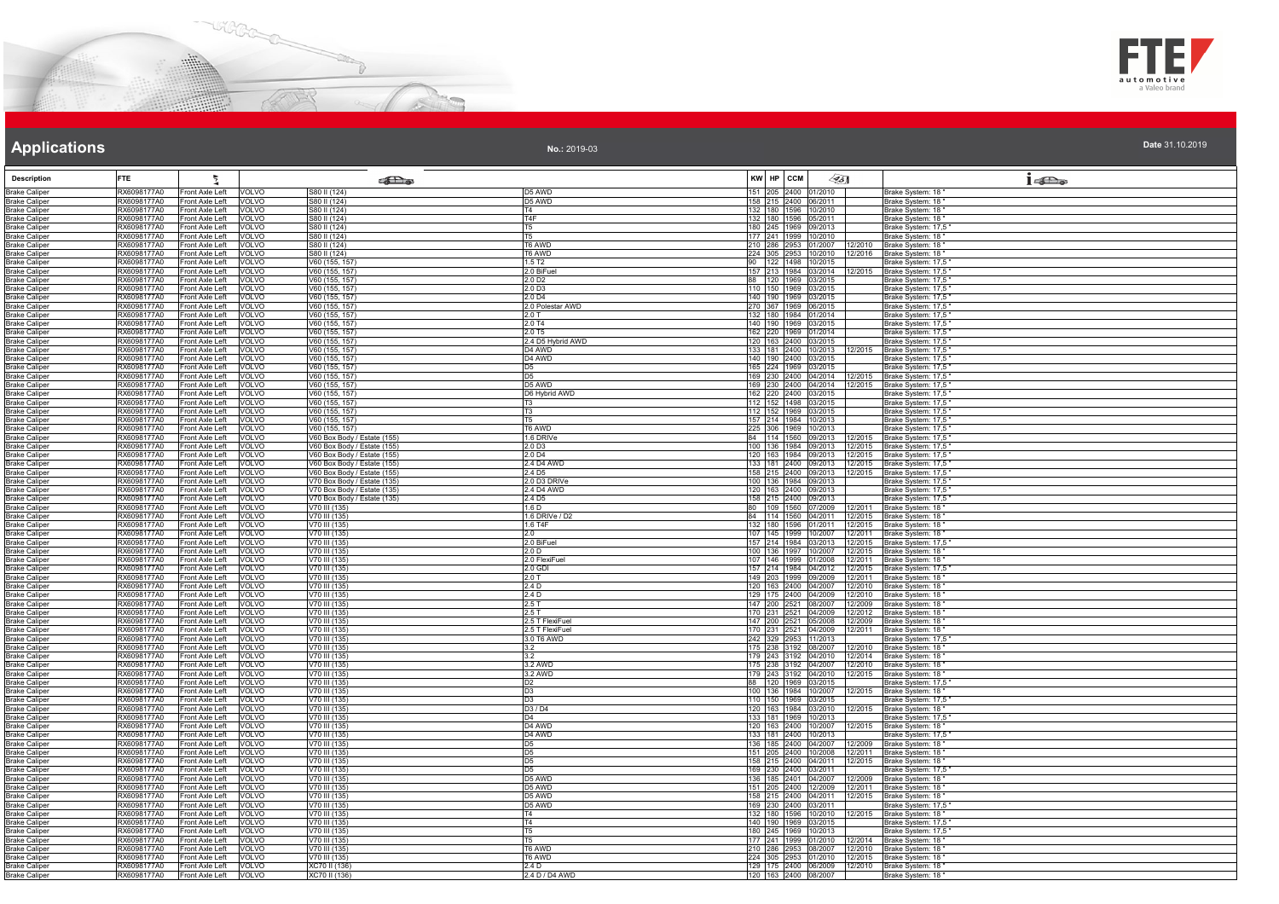



| Date 31.10.2019 |  |
|-----------------|--|

| <b>Description</b>                           | ŧ<br><b>FTE</b>                                                  |                                                  | <b>SEL</b> @                                               |                                      | KW HP CCM                                                                                          | $\mathscr{L}$ 5]   | $1 - \sum_{\omega}$                                    |
|----------------------------------------------|------------------------------------------------------------------|--------------------------------------------------|------------------------------------------------------------|--------------------------------------|----------------------------------------------------------------------------------------------------|--------------------|--------------------------------------------------------|
| <b>Brake Caliper</b><br><b>Brake Caliper</b> | RX6098177A0<br>Front Axle Left<br>RX6098177A0                    | <b>VOLVO</b><br>Front Axle Left VOLVO            | S80 II (124)<br>S80 II (124)                               | D5 AWD<br>D <sub>5</sub> AWD         | 151 205 2400 01/2010<br>158 215 2400 06/2011                                                       |                    | Brake System: 18<br>Brake System: 18                   |
| <b>Brake Caliper</b>                         | RX6098177A0<br>Front Axle Left                                   | <b>VOLVO</b>                                     | S80 II (124)                                               | Τ4                                   | 132 180 1596 10/2010                                                                               |                    | Brake System: 18                                       |
| <b>Brake Caliper</b>                         | RX6098177A0<br>Front Axle Left                                   | VOLVO                                            | S80 II (124)                                               | TAF                                  | 132 180 1596 05/2011                                                                               |                    | Brake System: 18                                       |
| <b>Brake Caliper</b>                         | RX6098177A0<br>Front Axle Left                                   | VOLVO                                            | S80 II (124)                                               | lt5<br>IT <sub>5</sub>               | 180 245 1969 09/2013<br>177 241 1999 10/2010                                                       |                    | Brake System: 17,5                                     |
| <b>Brake Caliper</b><br><b>Brake Caliper</b> | RX6098177A0<br>Front Axle Left<br>RX6098177A0<br>Front Axle Left | VOLVO<br>VOLVO                                   | S80 II (124)<br>S80 II (124)                               | T6 AWD                               | 210 286 2953 01/2007                                                                               | 12/2010            | Brake System: 18<br>Brake System: 18                   |
| <b>Brake Caliper</b>                         | RX6098177A0                                                      | Front Axle Left VOLVO                            | S80 II (124)                                               | T6 AWD                               | 224 305 2953 10/2010                                                                               |                    | 12/2016 Brake System: 18                               |
| <b>Brake Caliper</b>                         | RX6098177A0                                                      | Front Axle Left VOLVO                            | V60 (155, 157                                              | 1.5T2                                | 90 122 1498 10/2015                                                                                |                    | Brake System: 17,5                                     |
| <b>Brake Caliper</b><br><b>Brake Caliper</b> | RX6098177A0<br>RX6098177A0                                       | Front Axle Left VOLVO                            | V60 (155, 157)<br>V60 (155, 157                            | 2.0 BiFuel<br>2.0 D <sub>2</sub>     | 157 213 1984 03/2014                                                                               |                    | 12/2015 Brake System: 17,5<br>Brake System: 17,5       |
| <b>Brake Caliper</b>                         | RX6098177A0                                                      | Front Axle Left VOLVO<br>Front Axle Left VOLVO   | V60 (155, 157)                                             | 2.0 D3                               | 88 120 1969 03/2015<br>110 150 1969 03/2015                                                        |                    | Brake System: 17,5                                     |
| <b>Brake Caliper</b>                         | RX6098177A0<br>Front Axle Left                                   | VOLVO                                            | V60 (155, 157)                                             | 2.0 D4                               | 140 190 1969 03/2015                                                                               |                    | Brake System: 17,5"                                    |
| <b>Brake Caliper</b>                         | RX6098177A0<br>Front Axle Left                                   | VOLVO                                            | V60 (155, 157)                                             | 2.0 Polestar AWD                     | 270 367 1969 06/2015                                                                               |                    | Brake System: 17,5"                                    |
| <b>Brake Caliper</b><br><b>Brake Caliper</b> | RX6098177A0<br>Front Axle Left<br>Front Axle Left<br>RX6098177A0 | VOLVO<br>VOLVO                                   | V60 (155, 157)<br>V60 (155, 157)                           | 2.0T<br>2.0 T4                       | 132 180 1984 01/2014<br>140 190 1969 03/2015                                                       |                    | Brake System: 17,5<br>Brake System: 17,5               |
| <b>Brake Caliper</b>                         | RX6098177A0<br>Front Axle Left                                   | <b>VOLVO</b>                                     | V60 (155, 157)                                             | 2.0 T5                               | 162 220 1969 01/2014                                                                               |                    | Brake System: 17,5                                     |
| <b>Brake Caliper</b>                         | RX6098177A0<br>Front Axle Left                                   | VOLVO                                            | V60 (155, 157)                                             | 2.4 D5 Hybrid AWD                    | 120 163 2400 03/2015                                                                               |                    | Brake System: 17,5                                     |
| <b>Brake Caliper</b>                         | RX6098177A0                                                      | Front Axle Left VOLVO                            | V60 (155, 157)                                             | D4 AWD                               | 133 181 2400 10/2013                                                                               | 12/2015            | Brake System: 17,5                                     |
| <b>Brake Caliper</b><br><b>Brake Caliper</b> | RX6098177A0<br>RX6098177A0<br>Front Axle Left                    | Front Axle Left VOLVO                            | V60 (155, 157)<br>V60 (155, 157)                           | D <sub>4</sub> AWD<br>D <sub>5</sub> | 140 190 2400 03/2015<br>165 224 1969 03/2015                                                       |                    | Brake System: 17,5<br>Brake System: 17,5               |
| <b>Brake Caliper</b>                         | RX6098177A0                                                      | VOLVO<br>Front Axle Left VOLVO                   | V60 (155, 157)                                             | D <sub>5</sub>                       | 169 230 2400 04/2014 12/2015 Brake System: 17,5                                                    |                    |                                                        |
| <b>Brake Caliper</b>                         | RX6098177A0                                                      | Front Axle Left VOLVO                            | V60 (155, 157)                                             | D <sub>5</sub> AWD                   | 169 230 2400 04/2014 12/2015 Brake System: 17,5                                                    |                    |                                                        |
| <b>Brake Caliper</b>                         | Front Axle Left<br>RX6098177A0                                   | VOLVO                                            | V60 (155, 157)                                             | D6 Hybrid AWD                        | 162 220 2400 03/2015                                                                               |                    | Brake System: 17,5"                                    |
| <b>Brake Caliper</b>                         | RX6098177A0<br>Front Axle Left<br>RX6098177A0<br>Front Axle Left | <b>VOLVO</b>                                     | V60 (155, 157)<br>V60 (155, 157)                           | T <sub>3</sub>                       | 112 152 1498 03/2015                                                                               |                    | Brake System: 17,5                                     |
| <b>Brake Caliper</b><br><b>Brake Caliper</b> | RX6098177A0<br>Front Axle Left                                   | VOLVO<br><b>VOLVO</b>                            | V60 (155, 157)                                             | l T5                                 | 112 152 1969 03/2015<br>157 214 1984 10/2013                                                       |                    | Brake System: 17,5<br>Brake System: 17,5               |
| <b>Brake Caliper</b>                         | RX6098177A0<br>Front Axle Left                                   | VOLVO                                            | V60 (155, 157)                                             | T6 AWD                               | 225 306 1969 10/2013                                                                               |                    | Brake System: 17.5                                     |
| <b>Brake Caliper</b>                         | RX6098177A0<br>Front Axle Left                                   | VOLVO                                            | V60 Box Body / Estate (155)                                | 1.6 DRIVe                            | 84 114 1560 09/2013                                                                                | 12/2015            | Brake System: 17,5                                     |
| <b>Brake Caliper</b><br><b>Brake Caliper</b> | RX6098177A0<br>RX6098177A0                                       | Front Axle Left   VOLVO<br>Front Axle Left VOLVO | V60 Box Body / Estate (155)<br>V60 Box Body / Estate (155) | 2.0 D <sub>3</sub><br>2.0 D4         | 100 136 1984 09/2013 12/2015 Brake System: 17,5<br>120 163 1984 09/2013 12/2015 Brake System: 17,5 |                    |                                                        |
| <b>Brake Caliper</b>                         | RX6098177A0                                                      | Front Axle Left VOLVO                            | V60 Box Body / Estate (155)                                | 2.4 D4 AWD                           | 133 181 2400 09/2013                                                                               |                    | 12/2015 Brake System: 17,5                             |
| <b>Brake Caliper</b>                         | RX6098177A0<br>Front Axle Left                                   | <b>VOLVO</b>                                     | V60 Box Body / Estate (155)                                | 2.4 D <sub>5</sub>                   | 158 215 2400 09/2013                                                                               | 12/2015            | Brake System: 17,5                                     |
| <b>Brake Caliper</b>                         | RX6098177A0                                                      | Front Axle Left VOLVO                            | V70 Box Body / Estate (135)                                | 2.0 D3 DRIVe                         | 100 136 1984 09/2013                                                                               |                    | Brake System: 17,5                                     |
| <b>Brake Caliper</b>                         | RX6098177A0<br>Front Axle Left<br>RX6098177A0<br>Front Axle Left | VOLVO                                            | V70 Box Body / Estate (135)<br>V70 Box Body / Estate (135) | 2.4 D4 AWD<br>2.4 D <sub>5</sub>     | 120 163 2400 09/2013<br>158 215 2400 09/2013                                                       |                    | Brake System: 17,5"                                    |
| <b>Brake Caliper</b><br><b>Brake Caliper</b> | RX6098177A0<br>Front Axle Left                                   | VOLVO<br>VOLVO                                   | V70 III (135)                                              | 1.6 <sub>D</sub>                     | 80 109 1560 07/2009                                                                                | 2/2011             | Brake System: 17,5"<br>Brake System: 18                |
| <b>Brake Caliper</b>                         | RX6098177A0<br>Front Axle Left                                   | VOLVO                                            | V70 III (135)                                              | 1.6 DRIVe / D2                       | 84 114 1560 04/2011                                                                                | 12/2015            | Brake System: 18                                       |
| <b>Brake Caliper</b>                         | RX6098177A0<br>Front Axle Left                                   | <b>VOLVO</b>                                     | V70 III (135)                                              | 1.6 T4F                              | 132 180 1596 01/2011                                                                               | 12/2015            | Brake System: 18                                       |
| <b>Brake Caliper</b><br><b>Brake Caliper</b> | RX6098177A0<br>RX6098177A0                                       | Front Axle Left VOLVO<br>Front Axle Left VOLVO   | V70 III (135)<br>V70 III (135)                             | 2.0<br>2.0 BiFuel                    | 107 145 1999 10/2007<br>157 214 1984 03/2013                                                       |                    | 12/2011 Brake System: 18<br>12/2015 Brake System: 17,5 |
| <b>Brake Caliper</b>                         | RX6098177A0                                                      | Front Axle Left VOLVO                            | V70 III (135)                                              | 2.0 <sub>D</sub>                     | 100 136 1997 10/2007                                                                               |                    | 12/2015 Brake System: 18                               |
| <b>Brake Caliper</b>                         | RX6098177A0<br>Front Axle Left                                   | VOLVO                                            | V70 III (135)                                              | 2.0 FlexiFuel                        | 107 146 1999 01/2008                                                                               | 12/2011            | Brake System: 18                                       |
| <b>Brake Caliper</b>                         | RX6098177A0<br>RX6098177A0                                       | Front Axle Left   VOLVO<br>VOLVO                 | V70 III (135)                                              | 2.0 GDI                              | 157 214 1984 04/2012<br>149 203 1999 09/2009                                                       | 12/2015            | Brake System: 17,5                                     |
| <b>Brake Caliper</b><br><b>Brake Caliper</b> | Front Axle Left<br>RX6098177A0<br>Front Axle Left                | VOLVO                                            | V70 III (135)<br>V70 III (135)                             | 2.0T<br>2.4 D                        | 120 163 2400 04/2007                                                                               |                    | 12/2011 Brake System: 18<br>12/2010 Brake System: 18   |
| <b>Brake Caliper</b>                         | RX6098177A0<br>Front Axle Left                                   | <b>VOLVO</b>                                     | V70 III (135)                                              | 2.4 <sub>D</sub>                     | 129 175 2400 04/2009                                                                               |                    | 12/2010 Brake System: 18                               |
| <b>Brake Caliper</b>                         | RX6098177A0<br>Front Axle Left                                   | <b>VOLVO</b>                                     | V70 III (135)                                              | 2.5T                                 | 147 200 2521 08/2007                                                                               | 12/2009            | Brake System: 18                                       |
| <b>Brake Caliper</b>                         | RX6098177A0<br>Front Axle Left<br>RX6098177A0                    | <b>VOLVO</b><br>Front Axle Left VOLVO            | V70 III (135)<br>V70 III (135)                             | 2.5T<br>2.5 T FlexiFuel              | 170 231 2521 04/2009<br>147 200 2521 05/2008 12/2009                                               | 12/2012            | Brake System: 18                                       |
| <b>Brake Caliper</b><br><b>Brake Caliper</b> | RX6098177A0<br>Front Axle Left                                   | VOLVO                                            | V70 III (135)                                              | 2.5 T FlexiFuel                      | 170 231 2521 04/2009                                                                               | 12/2011            | Brake System: 18<br>Brake System: 18                   |
| <b>Brake Caliper</b>                         | RX6098177A0                                                      | Front Axle Left   VOLVO                          | V70 III (135)                                              | 3.0 T6 AWD                           | 242 329 2953 11/2013                                                                               |                    | Brake System: 17,5                                     |
| <b>Brake Caliper</b>                         | RX6098177A0<br>Front Axle Left                                   | <b>VOLVO</b>                                     | V70 III (135)                                              | 3.2                                  | 175 238 3192 08/2007                                                                               | 12/2010            | Brake System: 18                                       |
| <b>Brake Caliper</b>                         | RX6098177A0<br>Front Axle Left                                   | VOLVO<br>Front Axle Left VOLVO                   | V70 III (135)                                              | 3.2<br>3.2 AWD                       | 179 243 3192 04/2010                                                                               |                    | 12/2014 Brake System: 18<br>Brake System: 18           |
| <b>Brake Caliper</b><br><b>Brake Caliper</b> | RX6098177A0<br>RX6098177A0                                       | Front Axle Left VOLVO                            | V70 III (135)<br>V70 III (135)                             | 3.2 AWD                              | 175 238 3192 04/2007<br>179 243 3192 04/2010                                                       | 12/2010            | 12/2015 Brake System: 18                               |
| <b>Brake Caliper</b>                         | RX6098177A0<br>Front Axle Left                                   | VOLVO                                            | V70 III (135)                                              | D <sub>2</sub>                       | 88 120 1969 03/2015                                                                                |                    | Brake System: 17,5                                     |
| <b>Brake Caliper</b>                         | RX6098177A0<br>Front Axle Left                                   | <b>VOLVO</b>                                     | V70 III (135)                                              | D <sub>3</sub>                       | 100 136 1984 10/2007                                                                               |                    | 12/2015 Brake System: 18                               |
| <b>Brake Caliper</b>                         | RX6098177A0<br>Front Axle Left                                   | VOLVO                                            | V70 III (135)                                              | D <sub>3</sub>                       | 110 150 1969 03/2015                                                                               |                    | Brake System: 17,5                                     |
| <b>Brake Caliper</b><br><b>Brake Caliper</b> | RX6098177A0<br>Front Axle Left<br>RX6098177A0<br>Front Axle Left | VOLVO<br><b>VOLVO</b>                            | V70 III (135)<br>V70 III (135)                             | D3 / D4<br>D <sub>4</sub>            | 120 163 1984 03/2010<br>133 181 1969 10/2013                                                       | 12/2015            | Brake System: 18<br>Brake System: 17,5                 |
| <b>Brake Caliper</b>                         | RX6098177A0<br>Front Axle Left                                   | VOLVO                                            | V70 III (135)                                              | D4 AWD                               | 120 163 2400 10/2007                                                                               |                    | 12/2015 Brake System: 18                               |
| <b>Brake Caliper</b>                         | RX6098177A0                                                      | Front Axle Left VOLVO                            | V70 III (135)                                              | D <sub>4</sub> AWD                   | 133 181 2400 10/2013                                                                               |                    | Brake System: 17,5                                     |
| <b>Brake Caliper</b><br><b>Brake Caliper</b> | RX6098177A0<br>Front Axle Left<br>RX6098177A0<br>Front Axle Left | <b>VOLVO</b><br>VOLVO                            | V70 III (135)<br>V70 III (135)                             | ID5<br>D <sub>5</sub>                | 136 185 2400 04/2007<br>151 205 2400 10/2008                                                       | 12/2009<br>12/2011 | Brake System: 18<br>Brake System: 18                   |
| <b>Brake Caliper</b>                         | RX6098177A0                                                      | Front Axle Left VOLVO                            | V70 III (135)                                              | $\overline{D5}$                      | 158 215 2400 04/2011                                                                               |                    | 12/2015 Brake System: 18                               |
| <b>Brake Caliper</b>                         | RX6098177A0<br>Front Axle Left                                   | <b>VOLVO</b>                                     | V70 III (135)                                              | ID <sub>5</sub>                      | 169 230 2400 03/2011                                                                               |                    | Brake System: 17,5                                     |
| <b>Brake Caliper</b>                         | RX6098177A0                                                      | Front Axle Left   VOLVO                          | V70 III (135)                                              | D5 AWD                               | 136 185 2401 04/2007                                                                               |                    | 12/2009 Brake System: 18                               |
| <b>Brake Caliper</b><br><b>Brake Caliper</b> | RX6098177A0<br>Front Axle Left<br>RX6098177A0<br>Front Axle Left | VOLVO                                            | V70 III (135)<br>V70 III (135)                             | D5 AWD<br>D5 AWD                     | 151 205 2400 12/2009<br>158 215 2400 04/2011                                                       | 12/2015            | 12/2011 Brake System: 18<br>Brake System: 18           |
| <b>Brake Caliper</b>                         | RX6098177A0<br>Front Axle Left                                   | VOLVO<br>VOLVO                                   | V70 III (135)                                              | D5 AWD                               | 169 230 2400 03/2011                                                                               |                    | Brake System: 17,5                                     |
| <b>Brake Caliper</b>                         | RX6098177A0                                                      | Front Axle Left VOLVO                            | V70 III (135)                                              | T4                                   | 132 180 1596 10/2010                                                                               |                    | 12/2015 Brake System: 18                               |
| <b>Brake Caliper</b>                         | RX6098177A0<br>Front Axle Left                                   | VOLVO                                            | V70 III (135)                                              | T <sub>4</sub>                       | 140 190 1969 03/2015                                                                               |                    | Brake System: 17,5                                     |
| <b>Brake Caliper</b><br><b>Brake Caliper</b> | RX6098177A0<br>RX6098177A0                                       | Front Axle Left VOLVO<br>Front Axle Left VOLVO   | V70 III (135)<br>V70 III (135)                             | IT <sub>5</sub><br>T <sub>5</sub>    | 180 245 1969 10/2013<br>177 241 1999 01/2010                                                       |                    | Brake System: 17.5<br>12/2014 Brake System: 18         |
| <b>Brake Caliper</b>                         | RX6098177A0                                                      | Front Axle Left VOLVO                            | V70 III (135)                                              | T6 AWD                               | 210 286 2953 08/2007                                                                               |                    | 12/2010 Brake System: 18                               |
| <b>Brake Caliper</b>                         | RX6098177A0                                                      | Front Axle Left VOLVO                            | V70 III (135)                                              | T6 AWD                               | 224 305 2953 01/2010                                                                               |                    | 12/2015 Brake System: 18                               |
| <b>Brake Caliper</b>                         | RX6098177A0 Front Axle Left VOLVO                                |                                                  | XC70 II (136)                                              | 2.4 <sub>D</sub>                     | 129 175 2400 06/2009                                                                               |                    | 12/2010 Brake System: 18                               |
| <b>Brake Caliper</b>                         | RX6098177A0 Front Axle Left VOLVO                                |                                                  | XC70 II (136)                                              | 2.4 D / D4 AWD                       | 120 163 2400 08/2007                                                                               |                    | Brake System: 18'                                      |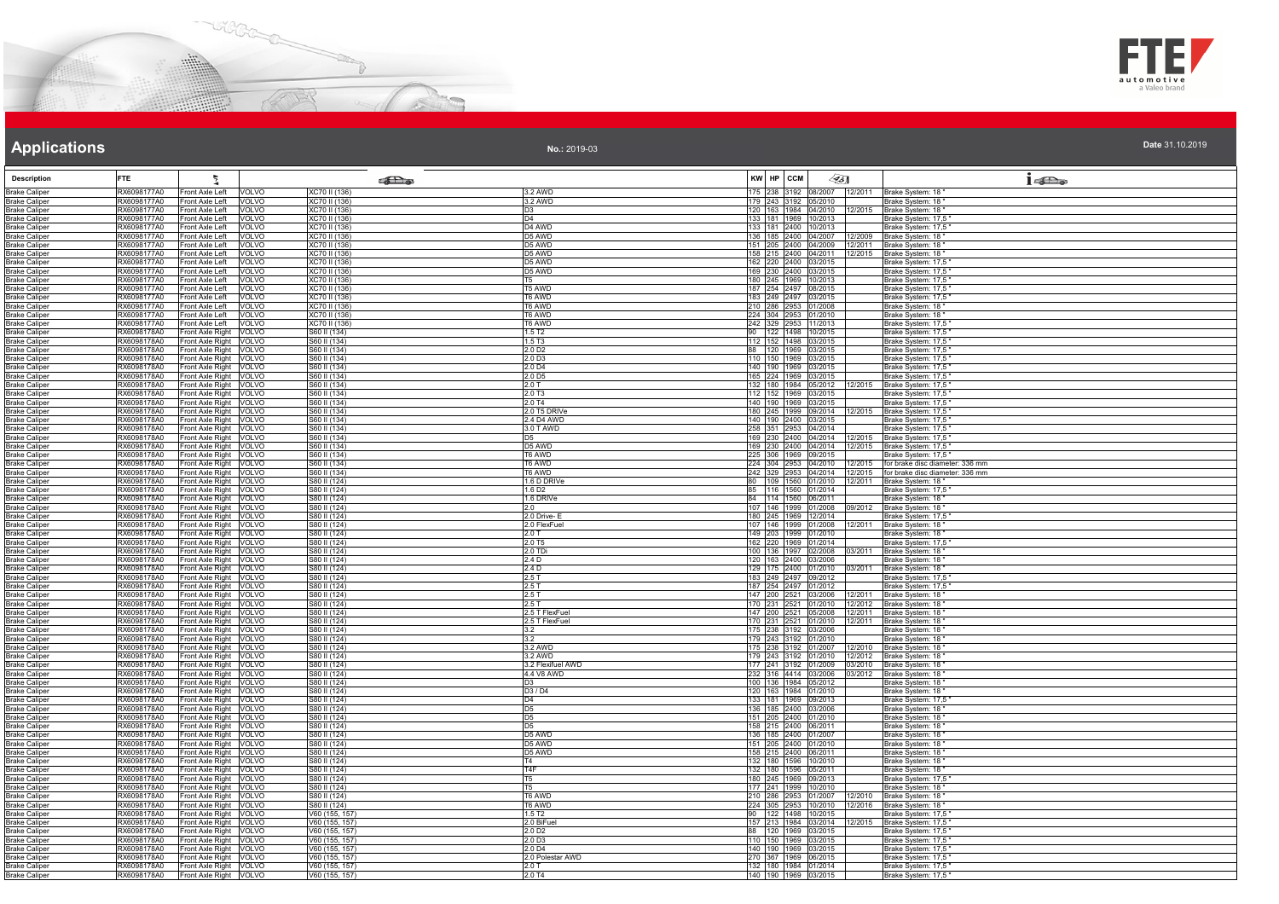



| Date 31.10.2019 |  |  |
|-----------------|--|--|

| <b>Description</b>                           | <b>FTE</b>                 |                                                      | கில                              |                                        | KW HP CCM |                                              | $\llap{65}$                                                  | $1 - \sum_{\omega}$                       |
|----------------------------------------------|----------------------------|------------------------------------------------------|----------------------------------|----------------------------------------|-----------|----------------------------------------------|--------------------------------------------------------------|-------------------------------------------|
| <b>Brake Caliper</b>                         | RX6098177A0                | ront Axle Left<br>VOLVO                              | XC70 II (136)                    | 3.2 AWD                                |           |                                              | 175 238 3192 08/2007 12/2011                                 | Brake System: 18"                         |
| <b>Brake Caliper</b>                         | RX6098177A0                | Front Axle Left   VOLVO                              | XC70 II (136)                    | 3.2 AWD                                |           | 179 243 3192 05/2010                         |                                                              | Brake System: 18'                         |
| <b>Brake Caliper</b>                         | RX6098177A0                | Front Axle Left VOLVO                                | XC70 II (136)                    | D <sub>3</sub>                         |           |                                              | 120 163 1984 04/2010 12/2015                                 | Brake System: 18"                         |
| Brake Caliper                                | RX6098177A0                | Front Axle Left VOLVO                                | XC70 II (136)                    | D <sub>4</sub>                         |           | 133 181 1969 10/2013                         |                                                              | Brake System: 17,5"                       |
| <b>Brake Caliper</b>                         | RX6098177A0                | Front Axle Left VOLVO                                | XC70 II (136)                    | D4 AWD                                 |           | 133 181 2400 10/2013                         |                                                              | Brake System: 17,5'                       |
| <b>Brake Caliper</b>                         | RX6098177A0                | Front Axle Left<br><b>VOLVO</b>                      | XC70 II (136)                    | D5 AWD                                 |           |                                              | 36 185 2400 04/2007 12/2009                                  | Brake System: 18'                         |
| <b>Brake Caliper</b><br>Brake Caliner        | RX6098177A0<br>RX6098177A0 | Front Axle Left<br>VOLVO<br>Front Axle Left    VOLVO | XC70 II (136)<br>XC70 II (136)   | D5 AWD<br>D <sub>5</sub> AWD           |           | 151 205 2400 04/2009<br>158 215 2400 04/2011 | 12/2011<br>12/2015                                           | Brake System: 18"<br>Brake System: 18     |
| <b>Brake Caliper</b>                         | RX6098177A0                | Front Axle Left VOLVO                                | XC70 II (136)                    | D5 AWD                                 |           | 162 220 2400 03/2015                         |                                                              | 3rake System: 17,5                        |
| <b>Brake Caliper</b>                         | RX6098177A0                | Front Axle Left   VOLVO                              | XC70 II (136)                    | D5 AWD                                 |           | 169 230 2400 03/2015                         |                                                              | Brake System: 17,5 '                      |
| <b>Brake Caliper</b>                         | RX6098177A0                | Front Axle Left VOLVO                                | XC70 II (136)                    | T5.                                    |           | 180 245 1969 10/2013                         |                                                              | Brake System: 17,5                        |
| <b>Brake Caliper</b>                         | RX6098177A0                | Front Axle Left VOLVO                                | XC70 II (136)                    | <b>T5 AWD</b>                          |           | 187 254 2497 08/2015                         |                                                              | Brake System: 17,5                        |
| <b>Brake Caliper</b>                         | RX6098177A0                | Front Axle Left VOLVO                                | XC70 II (136)                    | T6 AWD                                 |           | 183 249 2497 03/2015<br>210 286 2953 01/2008 |                                                              | Brake System: 17,5                        |
| <b>Brake Caliper</b><br><b>Brake Caliper</b> | RX6098177A0<br>RX6098177A0 | Front Axle Left VOLVO<br>Front Axle Left VOLVO       | XC70 II (136)<br>XC70 II (136)   | T6 AWD<br>T6 AWD                       |           | 224 304 2953 01/2010                         |                                                              | Brake System: 18"<br>Brake System: 18"    |
| Brake Caliper                                | RX6098177A0                | Front Axle Left VOLVO                                | XC70 II (136)                    | <b>TA AWD</b>                          |           | 242 329 2953 11/2013                         |                                                              | Brake System: 17,5                        |
| <b>Brake Caliper</b>                         | RX6098178A0                | Front Axle Right VOLVO                               | S60 II (134)                     | 1.5 T <sub>2</sub>                     |           | 90 122 1498 10/2015                          |                                                              | Brake System: 17,5                        |
| <b>Brake Caliper</b>                         | RX6098178A0                | Front Axle Right VOLVO                               | S60 II (134)                     | 1.5 T <sub>3</sub>                     |           | 112 152 1498 03/2015                         |                                                              | Brake System: 17,5                        |
| <b>Brake Caliper</b>                         | RX6098178A0                | Front Axle Right VOLVO                               | S60 II (134)                     | 2.0 D <sub>2</sub>                     |           | 88 120 1969 03/2015                          |                                                              | Brake System: 17,5                        |
| <b>Brake Caliper</b>                         | RX6098178A0<br>RX6098178A0 | Front Axle Right VOLVO                               | S60 II (134)<br>S60 II (134)     | 2.0 D3<br>2.0 D4                       |           | 110 150 1969 03/2015<br>140 190 1969 03/2015 |                                                              | Brake System: 17,5"<br>Brake System: 17,5 |
| <b>Brake Caliper</b><br>Brake Caliper        | RX6098178A0                | Front Axle Right VOLVO<br>Front Axle Right VOLVO     | S60 II (134)                     |                                        |           | 165 224 1969 03/2015                         |                                                              | Brake System: 17,5                        |
| Brake Caliper                                | RX6098178A0                | Front Axle Right VOLVO                               | S60 II (134)                     | $\frac{2.0 \text{ D5}}{2.0 \text{ T}}$ |           | 132 180 1984 05/2012                         | 12/2015                                                      | Brake System: 17,5                        |
| <b>Brake Caliper</b>                         | RX6098178A0                | Front Axle Right VOLVO                               | S60 II (134)                     | $2.0$ T <sub>3</sub>                   |           | 112 152 1969 03/2015                         |                                                              | Brake System: 17,5                        |
| <b>Brake Caliper</b>                         | RX6098178A0                | Front Axle Right VOLVO                               | S60 II (134)                     | 2.0 T4                                 |           | 140 190 1969 03/2015                         |                                                              | Brake System: 17,5"                       |
| <b>Brake Caliper</b>                         | RX6098178A0                | Front Axle Right VOLVO                               | S60 II (134)                     | 2.0 T5 DRIVe                           |           |                                              | 180 245 1999 09/2014 12/2015                                 | Brake System: 17,5"                       |
| Brake Caliper<br><b>Brake Caliper</b>        | RX6098178A0<br>RX6098178A0 | Front Axle Right VOLVO<br>Front Axle Right VOLVO     | S60 II (134)<br>S60 II (134)     | 2.4 D4 AWD<br>3.0 T AWD                |           | 140 190 2400 03/2015<br>258 351 2953 04/2014 |                                                              | Brake System: 17,5<br>Brake System: 17,5  |
| <b>Brake Caliper</b>                         | RX6098178A0                | Front Axle Right VOLVO                               | S60 II (134)                     | D <sub>5</sub>                         |           |                                              | 169 230 2400 04/2014 12/2015                                 | Brake System: 17,5                        |
| <b>Brake Caliper</b>                         | RX6098178A0                | Front Axle Right VOLVO                               | S60 II (134)                     | D5 AWD                                 |           |                                              | 169 230 2400 04/2014 12/2015                                 | Brake System: 17,5                        |
| <b>Brake Caliper</b>                         | RX6098178A0                | Front Axle Right VOLVO                               | S60 II (134)                     | T6 AWD                                 |           | 225 306 1969 09/2015                         |                                                              | Brake System: 17,5                        |
| <b>Brake Caliper</b>                         | RX6098178A0                | Front Axle Right VOLVO                               | S60 II (134)                     | T6 AWD                                 |           |                                              | 224 304 2953 04/2010 12/2015                                 | for brake disc diameter: 336 mm           |
| <b>Brake Caliper</b>                         | RX6098178A0                | Front Axle Right VOLVO<br>Front Axle Right VOLVO     | S60 II (134)                     | T6 AWD                                 |           |                                              | 242 329 2953 04/2014 12/2015<br>80 109 1560 01/2010 12/2011  | for brake disc diameter: 336 mm           |
| Brake Caliper<br><b>Brake Caliper</b>        | RX6098178A0<br>RX6098178A0 | Front Axle Right VOLVO                               | S80 II (124)<br>S80 II (124)     | 1.6 D DRIVe<br>1.6 D <sub>2</sub>      |           | 85 116 1560 01/2014                          |                                                              | Brake System: 18"<br>Brake System: 17,5"  |
| <b>Brake Caliper</b>                         | RX6098178A0                | Front Axle Right VOLVO                               | S80 II (124)                     | 1.6 DRIVe                              |           | 84 114 1560 06/2011                          |                                                              | Brake System: 18"                         |
| <b>Brake Caliper</b>                         | RX6098178A0                | Front Axle Right VOLVO                               | S80 II (124)                     | 2.0                                    |           | 107 146 1999 01/2008                         | 09/2012                                                      | Brake System: 18"                         |
| Brake Caliper                                | RX6098178A0                | Front Axle Right VOLVO                               | S80 II (124)                     | 2.0 Drive-E                            |           | 180 245 1969 12/2014                         |                                                              | Brake System: 17,5                        |
| <b>Brake Caliper</b>                         | RX6098178A0                | Front Axle Right VOLVO                               | S80 II (124)                     | 2.0 FlexFuel                           |           | 107 146 1999 01/2008                         | 12/2011                                                      | Brake System: 18                          |
| <b>Brake Caliper</b>                         | RX6098178A0<br>RX6098178A0 | Front Axle Right VOLVO<br>Front Axle Right VOLVO     | S80 II (124)<br>S80 II (124)     | 2.0T<br>2.0 T5                         |           | 149 203 1999 01/2010<br>162 220 1969 01/2014 |                                                              | Brake System: 18'<br>Brake System: 17,5   |
| <b>Brake Caliper</b><br>Brake Caliper        | RX6098178A0                | Front Axle Right VOLVO                               | S80 II (124)                     | 2.0 TDi                                |           | 100 136 1997 02/2008                         | 03/2011                                                      | Brake System: 18'                         |
| <b>Brake Caliper</b>                         | RX6098178A0                | Front Axle Right VOLVO                               | S80 II (124)                     | 2.4 D                                  |           | 120 163 2400 03/2006                         |                                                              | Brake System: 18'                         |
| <b>Brake Caliper</b>                         | RX6098178A0                | Front Axle Right VOLVO                               | S80 II (124)                     | 2.4 D                                  |           |                                              | 129 175 2400 01/2010 03/2011                                 | Brake System: 18"                         |
| <b>Brake Caliper</b>                         | RX6098178A0                | Front Axle Right VOLVO                               | S80 II (124)                     | 2.5 T                                  |           | 183 249 2497 09/2012                         |                                                              | Brake System: 17,5                        |
| <b>Brake Caliper</b>                         | RX6098178A0                | Front Axle Right VOLVO                               | S80 II (124)                     | 2.5T                                   |           | 187 254 2497 01/2012                         |                                                              | Brake System: 17,5"                       |
| <b>Brake Caliper</b><br>Brake Caliper        | RX6098178A0<br>RX6098178A0 | Front Axle Right VOLVO<br>Front Axle Right VOLVO     | S80 II (124)<br>S80 II (124)     | 2.5T<br>2.5T                           |           |                                              | 147 200 2521 03/2006 12/2011<br>170 231 2521 01/2010 12/2012 | Brake System: 18"<br>Brake System: 18"    |
| <b>Brake Caliper</b>                         | RX6098178A0                | Front Axle Right VOLVO                               | S80 II (124)                     | 2.5 T FlexFue                          |           | 147 200 2521 05/2008                         | 12/2011                                                      | Brake System: 18'                         |
| Brake Caliper                                | RX6098178A0                | Front Axle Right VOLVO                               | S80 II (124)                     | 2.5 T FlexFuel                         |           |                                              | 170 231 2521 01/2010 12/2011                                 | Brake System: 18'                         |
| <b>Brake Caliper</b>                         | RX6098178A0                | Front Axle Right VOLVO                               | S80 II (124)                     | 3.2                                    |           | 175 238 3192 03/2006                         |                                                              | Brake System: 18 '                        |
| <b>Brake Caliper</b>                         | RX6098178A0                | Front Axle Right VOLVO                               | S80 II (124)                     | 3.2                                    |           | 179 243 3192 01/2010                         |                                                              | Brake System: 18'                         |
| <b>Brake Caliper</b>                         | RX6098178A0<br>RX6098178A0 | Front Axle Right VOLVO<br>Front Axle Right VOLVO     | S80 II (124)<br>S80 II (124)     | 3.2 AWD<br>3.2 AWD                     |           | 175 238 3192 01/2007<br>179 243 3192 01/2010 | 12/2010                                                      | Brake System: 18"<br>Brake System: 18"    |
| <b>Brake Caliper</b><br><b>Brake Caliper</b> | RX6098178A0                | Front Axle Right VOLVO                               | S80 II (124)                     | 3.2 Flexifuel AWD                      |           | 177 241 3192 01/2009                         | 12/2012<br>03/2010                                           | Brake System: 18                          |
| <b>Brake Caliper</b>                         | RX6098178A0                | Front Axle Right VOLVO                               | S80 II (124)                     | 4.4 V8 AWD                             |           | 232 316 4414 03/2006                         | 03/2012                                                      | Brake System: 18                          |
| <b>Brake Caliper</b>                         | RX6098178A0                | Front Axle Right VOLVO                               | S80 II (124)                     | D <sub>3</sub>                         |           | 100 136 1984 05/2012                         |                                                              | Brake System: 18'                         |
| Brake Caliper                                | RX6098178A0                | Front Axle Right VOLVO                               | S80 II (124)                     | D3 / D4                                |           | 120 163 1984 01/2010                         |                                                              | Brake System: 18"                         |
| <b>Brake Caliper</b>                         | RX6098178A0                | Front Axle Right VOLVO                               | S80 II (124)                     | D <sub>4</sub>                         |           | 133 181 1969 09/2013                         |                                                              | Brake System: 17,5                        |
| <b>Brake Caliper</b><br><b>Brake Caliper</b> | RX6098178A0<br>RX6098178A0 | Front Axle Right VOLVO<br>Front Axle Right VOLVO     | S80 II (124)<br>S80 II (124)     | D <sub>5</sub><br>D <sub>5</sub>       |           | 136 185 2400 03/2006<br>151 205 2400 01/2010 |                                                              | Brake System: 18'<br>Brake System: 18"    |
| <b>Brake Caliper</b>                         | RX6098178A0                | Front Axle Right VOLVO                               | S80 II (124)                     | D <sub>5</sub>                         |           | 158 215 2400 06/2011                         |                                                              | Brake System: 18'                         |
| <b>Brake Caliper</b>                         | RX6098178A0                | Front Axle Right VOLVO                               | S80 II (124)                     | D5 AWD                                 |           | 136 185 2400 01/2007                         |                                                              | Brake System: 18'                         |
| <b>Brake Caliper</b>                         | RX6098178A0                | Front Axle Right VOLVO                               | S80 II (124)                     | D5 AWD                                 |           | 151 205 2400 01/2010                         |                                                              | Brake System: 18                          |
| <b>Brake Caliper</b>                         | RX6098178A0                | Front Axle Right VOLVO                               | S80 II (124)                     | D5 AWD                                 |           | 158 215 2400 06/2011                         |                                                              | Brake System: 18'                         |
| Brake Caliper<br><b>Brake Caliper</b>        | RX6098178A0<br>RX6098178A0 | Front Axle Right VOLVO<br>Front Axle Right VOLVO     | S80 II (124)<br>S80 II (124)     | T4<br><b>T4F</b>                       |           | 132 180 1596 10/2010<br>132 180 1596 05/2011 |                                                              | Brake System: 18<br>Brake System: 18'     |
| <b>Brake Caliper</b>                         | RX6098178A0                | Front Axle Right VOLVO                               | S80 II (124)                     | T <sub>5</sub>                         |           | 180 245 1969 09/2013                         |                                                              | Brake System: 17,5                        |
| <b>Brake Caliper</b>                         | RX6098178A0                | Front Axle Right VOLVO                               | S80 II (124)                     | T <sub>5</sub>                         |           | 177 241 1999 10/2010                         |                                                              | Brake System: 18"                         |
| <b>Brake Caliper</b>                         | RX6098178A0                | Front Axle Right VOLVO                               | S80 II (124)                     | T6 AWD                                 |           | 210 286 2953 01/2007                         | 12/2010                                                      | Brake System: 18"                         |
| <b>Brake Caliper</b>                         | RX6098178A0                | Front Axle Right VOLVO                               | S80 II (124)                     | T6 AWD                                 |           | 224 305 2953 10/2010                         | 12/2016                                                      | Brake System: 18'                         |
| <b>Brake Caliper</b>                         | RX6098178A0                | Front Axle Right VOLVO                               | V60 (155, 157                    | 1.5T <sub>2</sub>                      |           | 90 122 1498 10/2015                          |                                                              | Brake System: 17,5                        |
| <b>Brake Caliper</b><br>Brake Caliper        | RX6098178A0<br>RX6098178A0 | Front Axle Right VOLVO<br>Front Axle Right VOLVO     | V60 (155, 157)<br>V60 (155, 157) | 2.0 BiFuel<br>2.0 D <sub>2</sub>       |           | 157 213 1984 03/2014<br>88 120 1969 03/2015  | 12/2015                                                      | Brake System: 17,5"<br>Brake System: 17,5 |
| <b>Brake Caliper</b>                         | RX6098178A0                | Front Axle Right VOLVO                               | V60 (155, 157                    | 2.0 D3                                 |           | 110 150 1969 03/2015                         |                                                              | Brake System: 17,5                        |
| <b>Brake Caliper</b>                         | RX6098178A0                | Front Axle Right VOLVO                               | V60 (155, 157)                   | 2.0 D4                                 |           | 140 190 1969 03/2015                         |                                                              | Brake System: 17,5"                       |
| <b>Brake Caliper</b>                         | RX6098178A0                | Front Axle Right VOLVO                               | V60 (155, 157                    | 2.0 Polestar AWD                       |           | 270 367 1969 06/2015                         |                                                              | Brake System: 17,5                        |
| <b>Brake Caliper</b>                         | RX6098178A0                | Front Axle Right VOLVO                               | V60 (155, 157)                   | 2.0T                                   |           | 132 180 1984 01/2014                         |                                                              | Brake System: 17,5                        |
| <b>Brake Caliper</b>                         | RX6098178A0                | Front Axle Right VOLVO                               | V60 (155, 157)                   | 2.0 T4                                 |           | 140 190 1969 03/2015                         |                                                              | Brake System: 17,5                        |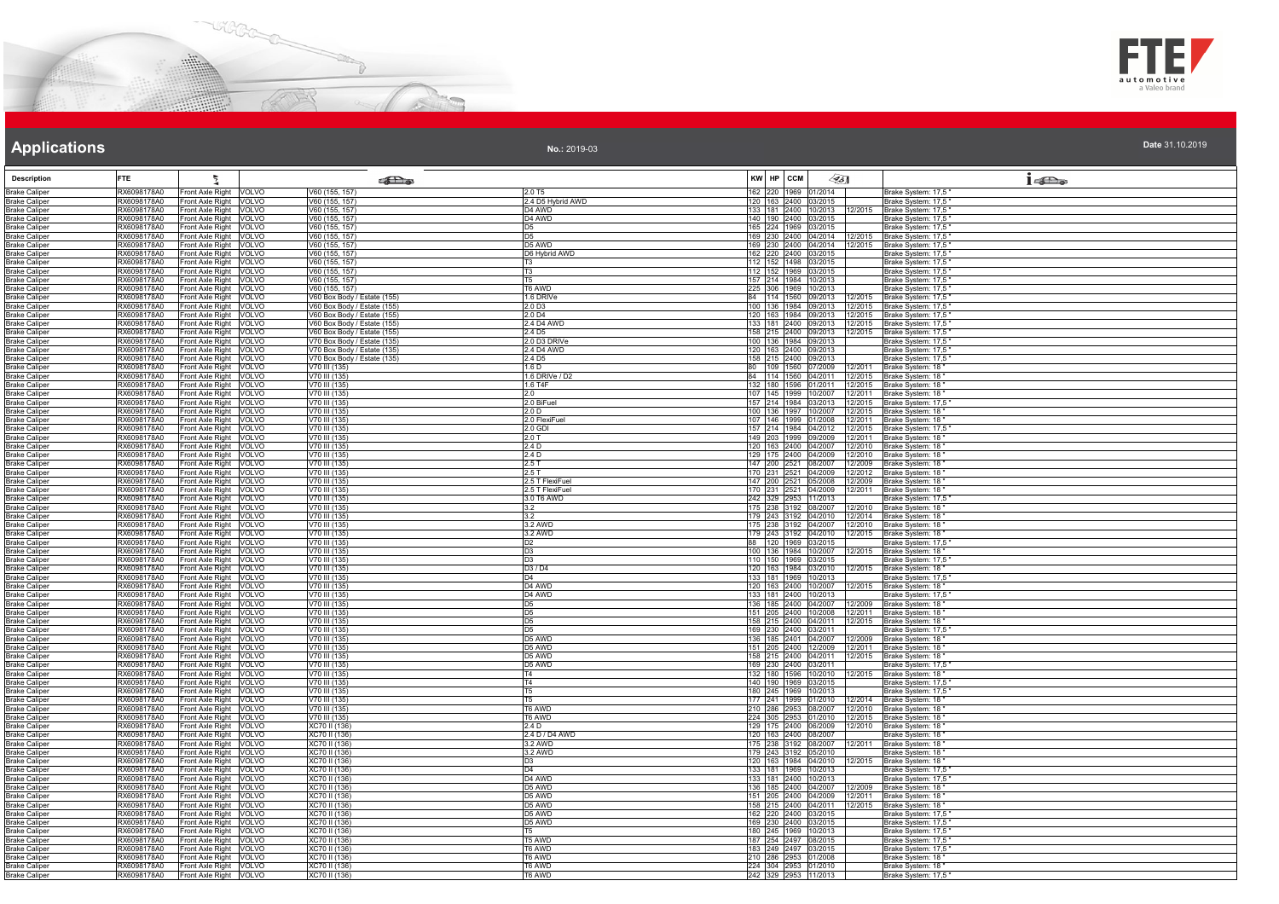



**No.:** 2019-03

| <b>Description</b>                           | <b>FTE</b>                 | ħ                                                                    | <b>SEL</b> @                                               |                                         | KW HP CCM                                    | $\mathscr{L}$ 5]             |                              | $1 - \sum_{\omega}$                                                              |
|----------------------------------------------|----------------------------|----------------------------------------------------------------------|------------------------------------------------------------|-----------------------------------------|----------------------------------------------|------------------------------|------------------------------|----------------------------------------------------------------------------------|
| <b>Brake Caliper</b><br><b>Brake Caliper</b> | RX6098178A0<br>RX6098178A0 | Front Axle Right<br><b>VOLVO</b><br>Front Axle Right<br>VOLVO        | V60 (155, 157)<br>V60 (155, 157)                           | 2.0 T <sub>5</sub><br>2.4 D5 Hybrid AWD | 162 220 1969 01/2014<br>120 163 2400 03/2015 |                              |                              | Brake System: 17,5"<br>Brake System: 17,5"                                       |
| <b>Brake Caliper</b>                         | RX6098178A0                | Front Axle Right<br>VOLVO                                            | V60 (155, 157)                                             | D4 AWD                                  |                                              |                              |                              | 133   181   2400   10/2013   12/2015   Brake System: 17,5"                       |
| <b>Brake Caliper</b>                         | RX6098178A0                | Front Axle Right<br><b>VOLVO</b>                                     | V60 (155, 157)                                             | D4 AWD                                  | 140 190 2400 03/2015                         |                              |                              | Brake System: 17,5"                                                              |
| <b>Brake Caliper</b><br><b>Brake Caliper</b> | RX6098178A0<br>RX6098178A0 | Front Axle Right<br>VOLVO<br><b>VOLVO</b><br>Front Axle Right        | /60 (155, 157)<br>V60 (155, 157)                           | D5<br>D <sub>5</sub>                    | 165 224 1969 03/2015                         | 169 230 2400 04/2014 12/2015 |                              | Brake System: 17,5<br>Brake System: 17,5                                         |
| <b>Brake Caliper</b>                         | RX6098178A0                | Front Axle Right VOLVO                                               | V60 (155, 157)                                             | D5 AWD                                  |                                              |                              | 169 230 2400 04/2014 12/2015 | Brake System: 17.5                                                               |
| <b>Brake Caliper</b>                         | RX6098178A0<br>RX6098178A0 | Front Axle Right VOLVO                                               | V60 (155, 157)                                             | D6 Hybrid AWD                           | 162 220 2400 03/2015                         |                              |                              | Brake System: 17,5                                                               |
| <b>Brake Caliper</b><br><b>Brake Caliper</b> | RX6098178A0                | Front Axle Right VOLVO<br>Front Axle Right<br>VOLVO                  | V60 (155, 157)<br>V60 (155, 157)                           | T3<br>T3                                | 112 152 1498 03/2015<br>112 152 1969 03/2015 |                              |                              | Brake System: 17,5<br>Brake System: 17,5                                         |
| <b>Brake Caliper</b>                         | RX6098178A0                | Front Axle Right VOLVO                                               | V60 (155, 157)                                             |                                         | 157 214 1984 10/2013                         |                              |                              | Brake System: 17,5                                                               |
| <b>Brake Caliper</b><br><b>Brake Caliper</b> | RX6098178A0<br>RX6098178A0 | Front Axle Right VOLVO<br>Front Axle Right<br>VOLVO                  | V60 (155, 157)<br>V60 Box Body / Estate (155)              | T6 AWD<br>1.6 DRIVe                     | 225 306 1969 10/2013                         |                              |                              | Brake System: 17,5"<br>84   114   1560   09/2013   12/2015   Brake System: 17,5" |
| <b>Brake Caliper</b>                         | RX6098178A0                | Front Axle Right<br>VOLVO                                            | V60 Box Body / Estate (155)                                | 2.0 D3                                  |                                              |                              |                              | 100   136   1984   09/2013   12/2015   Brake System: 17,5                        |
| <b>Brake Caliper</b>                         | RX6098178A0                | Front Axle Right<br>VOLVO                                            | V60 Box Body / Estate (155)                                | 2.0 D <sub>4</sub>                      |                                              | 120 163 1984 09/2013         |                              | 12/2015 Brake System: 17,5                                                       |
| <b>Brake Caliper</b><br><b>Brake Caliper</b> | RX6098178A0<br>RX6098178A0 | Front Axle Right<br>VOLVO<br>VOLVO<br>Front Axle Right               | V60 Box Body / Estate (155)<br>V60 Box Body / Estate (155) | 2.4 D4 AWD<br>2.4 D <sub>5</sub>        | 133 181 2400 09/2013<br>158 215 2400 09/2013 |                              | 12/2015<br>12/2015           | Brake System: 17,5<br>Brake System: 17,5                                         |
| <b>Brake Caliper</b>                         | RX6098178A0                | Front Axle Right<br>VOLVO                                            | V70 Box Body / Estate (135)                                | 2.0 D3 DRIVe                            | 100 136 1984 09/2013                         |                              |                              | Brake System: 17,5                                                               |
| <b>Brake Caliper</b><br><b>Brake Caliper</b> | RX6098178A0<br>RX6098178A0 | Front Axle Right VOLVO<br>Front Axle Right VOLVO                     | V70 Box Body / Estate (135)<br>V70 Box Body / Estate (135) | 2.4 D4 AWD<br>24D <sub>5</sub>          | 120 163 2400 09/2013<br>158 215 2400 09/2013 |                              |                              | Brake System: 17,5<br>Brake System: 17,5                                         |
| <b>Brake Caliper</b>                         | RX6098178A0                | Front Axle Right<br>VOLVO                                            | V70 III (135)                                              | 1.6 D                                   |                                              | 80 109 1560 07/2009 12/2011  |                              | Brake System: 18                                                                 |
| <b>Brake Caliper</b>                         | RX6098178A0                | Front Axle Right<br><b>VOLVO</b>                                     | V70 III (135)                                              | 1.6 DRIVe / D2                          | 84 114 1560 04/2011                          |                              | 12/2015                      | Brake System: 18                                                                 |
| <b>Brake Caliper</b><br><b>Brake Caliper</b> | RX6098178A0<br>RX6098178A0 | Front Axle Right VOLVO<br>Front Axle Right VOLVO                     | V70 III (135)<br>V70 III (135)                             | 1.6 T4F<br>2.0                          | 132 180 1596 01/2011<br>107 145 1999 10/2007 |                              | 12/2015                      | Brake System: 18<br>12/2011 Brake System: 18                                     |
| <b>Brake Caliper</b>                         | RX6098178A0                | Front Axle Right<br>VOLVO                                            | V70 III (135)                                              | 2.0 BiFuel                              | 157 214 1984 03/2013                         |                              | 12/2015                      | Brake System: 17,5                                                               |
| <b>Brake Caliper</b>                         | RX6098178A0                | Front Axle Right<br>VOLVO                                            | $\overline{V70}$ III (135)                                 | 2.0 D                                   | 100 136 1997 10/2007                         |                              | 12/2015                      | Brake System: 18'                                                                |
| <b>Brake Caliper</b><br><b>Brake Caliper</b> | RX6098178A0<br>RX6098178A0 | Front Axle Right<br>VOLVO<br>Front Axle Right VOLVO                  | V70 III (135)<br>V70 III (135)                             | 2.0 FlexiFue<br>2.0 GDI                 | 107 146 1999 01/2008                         | 157 214 1984 04/2012 12/2015 | 12/2011                      | Brake System: 18<br>Brake System: 17,5                                           |
| <b>Brake Caliper</b>                         | RX6098178A0                | Front Axle Right VOLVO                                               | V70 III (135)                                              | 2.0 T                                   | 149 203 1999 09/2009                         |                              | 12/2011                      | Brake System: 18                                                                 |
| <b>Brake Caliper</b><br><b>Brake Caliper</b> | RX6098178A0<br>RX6098178A0 | Front Axle Right VOLVO<br>Front Axle Right VOLVO                     | V70 III (135)<br>V70 III (135)                             | 2.4 D<br>2.4 D                          | 120 163 2400 04/2007<br>129 175 2400 04/2009 |                              | 12/2010                      | 12/2010 Brake System: 18<br>Brake System: 18                                     |
| <b>Brake Caliper</b>                         | RX6098178A0                | Front Axle Right<br>VOLVO                                            | V70 III (135)                                              | 2.5T                                    | 147 200 2521 08/2007                         |                              | 12/2009                      | Brake System: 18                                                                 |
| <b>Brake Caliper</b>                         | RX6098178A0                | Front Axle Right<br><b>VOLVO</b>                                     | V70 III (135)                                              | 2.5T                                    | 170 231 2521 04/2009                         |                              | 12/2012                      | Brake System: 18                                                                 |
| <b>Brake Caliper</b><br><b>Brake Caliper</b> | RX6098178A0<br>RX6098178A0 | Front Axle Right VOLVO<br>Front Axle Right<br>VOLVO                  | V70 III (135)<br>V70 III (135)                             | 2.5 T FlexiFuel<br>2.5 T FlexiFuel      | 147 200 2521 05/2008<br>170 231 2521 04/2009 |                              | 12/2009<br>12/2011           | Brake System: 18<br>Brake System: 18                                             |
| <b>Brake Caliper</b>                         | RX6098178A0                | Front Axle Right VOLVO                                               | V70 III (135)                                              | 3.0 T6 AWD                              | 242 329 2953 11/2013                         |                              |                              | Brake System: 17,5                                                               |
| <b>Brake Caliper</b>                         | RX6098178A0                | Front Axle Right<br>VOLVO                                            | V <sub>70</sub> III (135)                                  |                                         | 175 238 3192 08/2007                         |                              | 12/2010                      | Brake System: 18                                                                 |
| <b>Brake Caliper</b><br><b>Brake Caliper</b> | RX6098178A0<br>RX6098178A0 | Front Axle Right<br><b>VOLVO</b><br><b>VOLVO</b><br>Front Axle Right | V70 III (135)<br>V70 III (135)                             | 3.2<br>3.2 AWD                          | 179 243 3192 04/2010<br>175 238 3192 04/2007 |                              | 12/2014<br>12/2010           | Brake System: 18<br>Brake System: 18                                             |
| <b>Brake Caliper</b>                         | RX6098178A0                | Front Axle Right VOLVO                                               | V70 III (135)                                              | 3.2 AWD                                 | 179 243 3192 04/2010                         |                              | 12/2015                      | Brake System: 18                                                                 |
| <b>Brake Caliper</b><br><b>Brake Caliper</b> | RX6098178A0<br>RX6098178A0 | Front Axle Right VOLVO<br>Front Axle Right VOLVO                     | V70 III (135)<br>V70 III (135)                             | D <sub>2</sub><br>D <sub>3</sub>        | 88 120 1969 03/2015<br>100 136 1984 10/2007  |                              |                              | Brake System: 17,5<br>12/2015 Brake System: 18                                   |
| <b>Brake Caliper</b>                         | RX6098178A0                | Front Axle Right<br>VOLVO                                            | V70 III (135)                                              | D <sub>3</sub>                          | 110 150 1969 03/2015                         |                              |                              | Brake System: 17,5                                                               |
| <b>Brake Caliper</b>                         | RX6098178A0                | Front Axle Right VOLVO                                               | V70 III (135)                                              | D3 / D4                                 | 120 163 1984 03/2010                         |                              | 12/2015                      | Brake System: 18                                                                 |
| <b>Brake Caliper</b><br><b>Brake Caliper</b> | RX6098178A0<br>RX6098178A0 | Front Axle Right<br><b>VOLVO</b><br>Front Axle Right VOLVO           | V70 III (135)<br>V70 III (135)                             | D <sub>4</sub><br>D4 AWD                | 133 181 1969 10/2013<br>120 163 2400 10/2007 |                              |                              | Brake System: 17,5<br>12/2015 Brake System: 18                                   |
| <b>Brake Caliper</b>                         | RX6098178A0                | Front Axle Right<br>VOLVO                                            | $\sqrt{70}$ III (135)                                      | D <sub>4</sub> AWD                      | 133 181 2400 10/2013                         |                              |                              | Brake System: 17,5                                                               |
| <b>Brake Caliper</b>                         | RX6098178A0<br>RX6098178A0 | Front Axle Right<br>VOLVO<br>Front Axle Right<br>VOLVO               | V70 III (135)<br>V70 III (135)                             | D <sub>5</sub><br>D <sub>5</sub>        | 136 185 2400 04/2007<br>151 205 2400 10/2008 |                              | 12/2009                      | Brake System: 18<br>Brake System: 18                                             |
| <b>Brake Caliper</b><br><b>Brake Caliper</b> | RX6098178A0                | Front Axle Right VOLVO                                               | V70 III (135)                                              | D <sub>5</sub>                          | 158 215 2400 04/2011                         |                              | 12/2011<br>12/2015           | Brake System: 18                                                                 |
| <b>Brake Caliper</b>                         | RX6098178A0                | Front Axle Right VOLVO                                               | V70 III (135)                                              | D <sub>5</sub>                          | 169 230 2400 03/2011                         |                              |                              | Brake System: 17,5                                                               |
| <b>Brake Caliper</b><br><b>Brake Caliper</b> | RX6098178A0<br>RX6098178A0 | Front Axle Right VOLVO<br>Front Axle Right<br><b>VOLVO</b>           | V70 III (135)<br>V70 III (135)                             | D <sub>5</sub> AWD<br>D5 AWD            | 136 185 2401 04/2007<br>151 205 2400 12/2009 |                              | 12/2011                      | 12/2009 Brake System: 18"<br>Brake System: 18                                    |
| <b>Brake Caliper</b>                         | RX6098178A0                | Front Axle Right<br>VOLVO                                            | V70 III (135)                                              | D5 AWD                                  | 158 215 2400 04/2011                         |                              | 12/2015                      | Brake System: 18                                                                 |
| <b>Brake Caliper</b><br><b>Brake Caliper</b> | RX6098178A0<br>RX6098178A0 | <b>VOLVO</b><br>Front Axle Right<br><b>VOLVO</b>                     | V70 III (135)<br>V70 III (135)                             | D5 AWD<br>T4                            | 169 230 2400 03/2011<br>132 180 1596 10/2010 |                              |                              | Brake System: 17.5<br>Brake System: 18                                           |
| <b>Brake Caliper</b>                         | RX6098178A0                | Front Axle Right<br>Front Axle Right<br>VOLVO                        | V70 III (135)                                              | T4                                      | 140 190 1969 03/2015                         |                              | 12/2015                      | Brake System: 17,5                                                               |
| <b>Brake Caliper</b>                         | RX6098178A0                | Front Axle Right<br>VOLVO                                            | $\sqrt{70 \text{ III}} (135)$                              | T5.                                     | 180 245 1969 10/2013                         |                              |                              | Brake System: 17,5                                                               |
| <b>Brake Caliper</b><br><b>Brake Caliper</b> | RX6098178A0<br>RX6098178A0 | Front Axle Right<br>VOI VO<br>Front Axle Right<br>VOLVO              | V70 III (135)<br>V70 III (135)                             | T6 AWD                                  | 177 241 1999 01/2010<br>210 286 2953 08/2007 |                              | 12/2014<br>12/2010           | Brake System: 18<br>Brake System: 18                                             |
| <b>Brake Caliper</b>                         | RX6098178A0                | Front Axle Right VOLVO                                               | V70 III (135)                                              | T6 AWD                                  |                                              | 224 305 2953 01/2010         | 12/2015                      | Brake System: 18                                                                 |
| <b>Brake Caliper</b>                         | RX6098178A0                | Front Axle Right<br>VOLVO                                            | XC70 II (136)                                              | 2.4 D                                   | 129 175 2400 06/2009                         |                              | 12/2010                      | Brake System: 18                                                                 |
| <b>Brake Caliper</b><br><b>Brake Caliper</b> | RX6098178A0<br>RX6098178A0 | Front Axle Right VOLVO<br>Front Axle Right<br>VOLVO                  | XC70 II (136)<br>XC70 II (136)                             | 2.4 D / D4 AWD<br>3.2 AWD               | 120 163 2400 08/2007<br>175 238 3192 08/2007 |                              | 12/2011                      | Brake System: 18'<br>Brake System: 18                                            |
| <b>Brake Caliper</b>                         | RX6098178A0                | Front Axle Right<br>VOLVO                                            | XC70 II (136                                               | 3.2 AWD                                 | 179 243 3192 05/2010                         |                              |                              | Brake System: 18                                                                 |
| <b>Brake Caliper</b><br><b>Brake Caliper</b> | RX6098178A0<br>RX6098178A0 | VOLVO<br>Front Axle Right<br>Front Axle Right VOLVO                  | XC70 II (136)<br>XC70 II (136)                             | D <sub>3</sub><br>D <sub>4</sub>        | 120 163 1984 04/2010<br>133 181 1969 10/2013 |                              | 12/2015                      | Brake System: 18<br>Brake System: 17,5                                           |
| <b>Brake Caliper</b>                         | RX6098178A0                | Front Axle Right<br>VOLVO                                            | XC70 II (136)                                              | D4 AWD                                  | 133 181 2400 10/2013                         |                              |                              | Brake System: 17,5"                                                              |
| <b>Brake Caliper</b>                         | RX6098178A0                | Front Axle Right<br><b>VOLVO</b>                                     | XC70 II (136)                                              | D5 AWD                                  |                                              |                              | 136 185 2400 04/2007 12/2009 | Brake System: 18'                                                                |
| <b>Brake Caliper</b><br><b>Brake Caliper</b> | RX6098178A0<br>RX6098178A0 | Front Axle Right<br>VOLVO<br>Front Axle Right<br>VOLVO               | XC70 II (136)<br>XC70 II (136)                             | D5 AWD<br>D5 AWD                        | 158 215 2400 04/2011                         | 151 205 2400 04/2009         | 12/2011<br>12/2015           | Brake System: 18<br>Brake System: 18                                             |
| <b>Brake Caliper</b>                         | RX6098178A0                | <b>VOLVO</b><br>Front Axle Right                                     | XC70 II (136)                                              | D5 AWD                                  | 162 220 2400 03/2015                         |                              |                              | Brake System: 17,5                                                               |
| <b>Brake Caliper</b>                         | RX6098178A0                | Front Axle Right VOLVO                                               | XC70 II (136)                                              | D5 AWD                                  | 169 230 2400 03/2015                         |                              |                              | Brake System: 17,5"                                                              |
| <b>Brake Caliper</b><br><b>Brake Caliper</b> | RX6098178A0<br>RX6098178A0 | Front Axle Right VOLVO<br>Front Axle Right<br><b>VOLVO</b>           | XC70 II (136<br>XC70 II (136                               | T5<br>T5 AWD                            | 180 245 1969 10/2013<br>187 254 2497 08/2015 |                              |                              | Brake System: 17,5"<br>Brake System: 17,5                                        |
| <b>Brake Caliper</b>                         | RX6098178A0                | Front Axle Right<br>VOLVO                                            | XC70 II (136)                                              | T6 AWD                                  | 183 249 2497 03/2015                         |                              |                              | Brake System: 17,5                                                               |
| <b>Brake Caliper</b>                         | RX6098178A0<br>RX6098178A0 | Front Axle Right VOLVO                                               | XC70 II (136)<br>XC70 II (136                              | T6 AWD                                  | 210 286 2953 01/2008<br>224 304 2953 01/2010 |                              |                              | Brake System: 18                                                                 |
| <b>Brake Caliper</b><br><b>Brake Caliper</b> | RX6098178A0                | Front Axle Right VOLVO<br>Front Axle Right VOLVO                     | XC70 II (136)                                              | 6 AWD<br>T6 AWD                         | 242 329 2953 11/2013                         |                              |                              | Brake System: 18<br>Brake System: 17,5                                           |
|                                              |                            |                                                                      |                                                            |                                         |                                              |                              |                              |                                                                                  |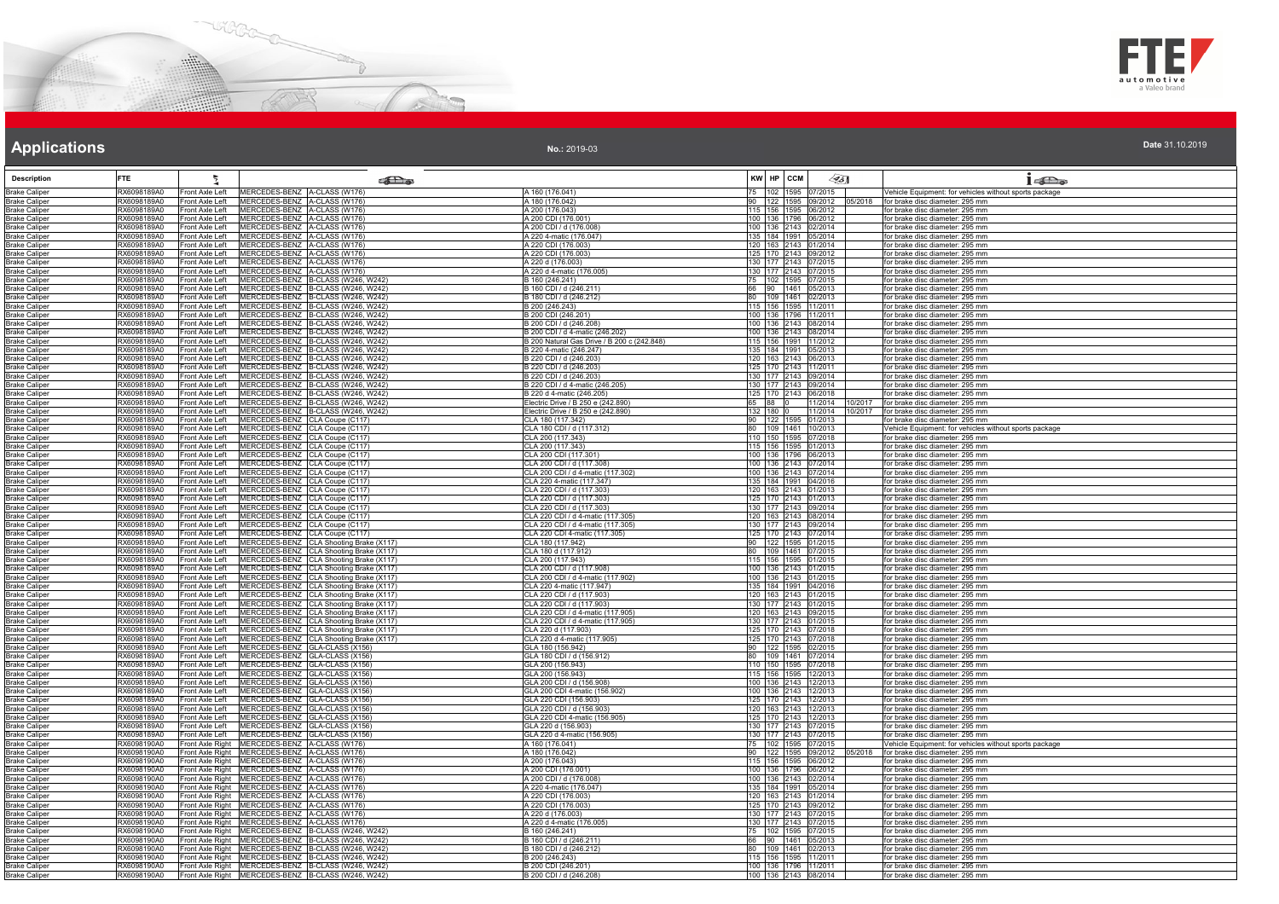



**No.:** 2019-03

| <b>Description</b>                           | <b>FTE</b>                 |                                    |                                                                                                    | <b>SET</b>                                                                         |                                                                        | KW HP CCM                                    | ∕95∏                        | 1522                                                               |
|----------------------------------------------|----------------------------|------------------------------------|----------------------------------------------------------------------------------------------------|------------------------------------------------------------------------------------|------------------------------------------------------------------------|----------------------------------------------|-----------------------------|--------------------------------------------------------------------|
| <b>Brake Caliper</b>                         | RX6098189A0                | Front Axle Left                    | MERCEDES-BENZ A-CLASS (W176)                                                                       |                                                                                    | A 160 (176.041)                                                        | 75 102 1595 07/2015                          |                             | Vehicle Equipment: for vehicles without sports package             |
| <b>Brake Caliper</b>                         | RX6098189A0                | Front Axle Left                    | MERCEDES-BENZ A-CLASS (W176)                                                                       |                                                                                    | A 180 (176,042)                                                        | 90 <sub>o</sub>                              | 122 1595 09/2012 05/2018    | for brake disc diameter: 295 mm                                    |
| <b>Brake Caliper</b><br><b>Brake Caliper</b> | RX6098189A0<br>RX6098189A0 | Front Axle Left<br>Front Axle Left | MERCEDES-BENZ A-CLASS (W176)<br>MERCEDES-BENZ A-CLASS (W176)                                       |                                                                                    | A 200 (176.043)<br>A 200 CDI (176.001)                                 | 115 156 1595 06/2012<br>100 136 1796 06/2012 |                             | for brake disc diameter: 295 mm<br>for brake disc diameter: 295 mm |
| <b>Brake Caliper</b>                         | RX6098189A0                | Front Axle Left                    | MERCEDES-BENZ A-CLASS (W176)                                                                       |                                                                                    | A 200 CDI / d (176.008)                                                | 100 136 2143 02/2014                         |                             | or brake disc diameter: 295 mm                                     |
| <b>Brake Caliper</b>                         | RX6098189A0                | Front Axle Left                    | MERCEDES-BENZ A-CLASS (W176)                                                                       |                                                                                    | A 220 4-matic (176.047)                                                | 135 184 1991 05/2014                         |                             | for brake disc diameter: 295 mm                                    |
| <b>Brake Caliper</b>                         | RX6098189A0                | Front Axle Left                    | MERCEDES-BENZ A-CLASS (W176)                                                                       |                                                                                    | A 220 CDI (176.003)                                                    | 120 163 2143 01/2014                         |                             | for brake disc diameter: 295 mm                                    |
| <b>Brake Caliper</b>                         | RX6098189A0                | Front Axle Left                    | MERCEDES-BENZ A-CLASS (W176)<br>MERCEDES-BENZ A-CLASS (W176)                                       |                                                                                    | A 220 CDI (176.003)                                                    | 125 170 2143 09/2012                         |                             | for brake disc diameter: 295 mm                                    |
| <b>Brake Caliper</b><br><b>Brake Caliper</b> | RX6098189A0<br>RX6098189A0 | Front Axle Left<br>Front Axle Left | MERCEDES-BENZ A-CLASS (W176)                                                                       |                                                                                    | A 220 d (176.003)<br>A 220 d 4-matic (176.005)                         | 130 177 2143 07/2015<br>130 177 2143 07/2015 |                             | for brake disc diameter: 295 mm<br>for brake disc diameter: 295 mm |
| <b>Brake Caliper</b>                         | RX6098189A0                | Front Axle Left                    |                                                                                                    | MERCEDES-BENZ B-CLASS (W246, W242)                                                 | 3 160 (246.241)                                                        |                                              | 102 1595 07/2015            | or brake disc diameter: 295 mm                                     |
| <b>Brake Caliper</b>                         | RX6098189A0                | Front Axle Left                    |                                                                                                    | MERCEDES-BENZ B-CLASS (W246, W242)                                                 | B 160 CDI / d (246.211)                                                | 90 1461 05/2013<br>66                        |                             | for brake disc diameter: 295 mm                                    |
| <b>Brake Caliper</b>                         | RX6098189A0                | Front Axle Left                    |                                                                                                    | MERCEDES-BENZ B-CLASS (W246, W242)                                                 | B 180 CDI / d (246.212)                                                | 80<br>109 1461 02/2013                       |                             | for brake disc diameter: 295 mm                                    |
| <b>Brake Caliper</b><br><b>Brake Caliper</b> | RX6098189A0<br>RX6098189A0 | Front Axle Left<br>Front Axle Left |                                                                                                    | MERCEDES-BENZ B-CLASS (W246, W242)<br>MERCEDES-BENZ B-CLASS (W246, W242)           | B 200 (246.243)<br>B 200 CDI (246.201)                                 | 115 156 1595 11/2011<br>100 136 1796 11/2011 |                             | for brake disc diameter: 295 mm<br>for brake disc diameter: 295 mm |
| <b>Brake Caliper</b>                         | RX6098189A0                | Front Axle Left                    |                                                                                                    | MERCEDES-BENZ B-CLASS (W246, W242)                                                 | B 200 CDI / d (246.208)                                                | 100 136 2143 08/2014                         |                             | for brake disc diameter: 295 mm                                    |
| <b>Brake Caliper</b>                         | RX6098189A0                | Front Axle Left                    |                                                                                                    | MERCEDES-BENZ B-CLASS (W246, W242)                                                 | B 200 CDI / d 4-matic (246.202)                                        | 100 136 2143 08/2014                         |                             | for brake disc diameter: 295 mm                                    |
| <b>Brake Caliper</b>                         | RX6098189A0                | Front Axle Left                    |                                                                                                    | MERCEDES-BENZ B-CLASS (W246, W242)                                                 | B 200 Natural Gas Drive / B 200 c (242.848)                            | 115 156 1991 11/2012                         |                             | for brake disc diameter: 295 mm                                    |
| <b>Brake Caliper</b>                         | RX6098189A0                | Front Axle Left                    |                                                                                                    | MERCEDES-BENZ B-CLASS (W246, W242)                                                 | B 220 4-matic (246.247)                                                | 135 184 1991 05/2013                         |                             | for brake disc diameter: 295 mm                                    |
| <b>Brake Caliper</b><br><b>Brake Caliper</b> | RX6098189A0<br>RX6098189A0 | Front Axle Left<br>Front Axle Left |                                                                                                    | MERCEDES-BENZ B-CLASS (W246, W242)<br>MERCEDES-BENZ B-CLASS (W246, W242)           | B 220 CDI / d (246.203)<br>B 220 CDI / d (246.203)                     | 120 163 2143 06/2013<br>125 170 2143 11/2011 |                             | for brake disc diameter: 295 mm<br>for brake disc diameter: 295 mm |
| <b>Brake Caliper</b>                         | RX6098189A0                | Front Axle Left                    |                                                                                                    | MERCEDES-BENZ B-CLASS (W246, W242)                                                 | 3 220 CDI / d (246.203)                                                | 130 177 2143 09/2014                         |                             | or brake disc diameter: 295 mm                                     |
| <b>Brake Caliper</b>                         | RX6098189A0                | Front Axle Left                    |                                                                                                    | MERCEDES-BENZ B-CLASS (W246, W242)                                                 | B 220 CDI / d 4-matic (246.205)                                        | 130 177 2143 09/2014                         |                             | for brake disc diameter: 295 mm                                    |
| <b>Brake Caliper</b>                         | RX6098189A0                | Front Axle Left                    |                                                                                                    | MERCEDES-BENZ B-CLASS (W246, W242)                                                 | B 220 d 4-matic (246.205)                                              | 125 170 2143 06/2018                         |                             | for brake disc diameter: 295 mm                                    |
| <b>Brake Caliper</b>                         | RX6098189A0                | Front Axle Left                    |                                                                                                    | MERCEDES-BENZ B-CLASS (W246, W242)                                                 | Electric Drive / B 250 e (242.890)                                     | 65 88                                        | 11/2014 10/2017             | for brake disc diameter: 295 mm                                    |
| <b>Brake Caliper</b><br><b>Brake Caliper</b> | RX6098189A0<br>RX6098189A0 | Front Axle Left<br>Front Axle Left | MERCEDES-BENZ CLA Coupe (C117)                                                                     | MERCEDES-BENZ B-CLASS (W246, W242)                                                 | Electric Drive / B 250 e (242.890)<br>CLA 180 (117.342)                | 132 180 0<br>122 1595 01/2013<br>90          | 11/2014 10/2017             | for brake disc diameter: 295 mm<br>for brake disc diameter: 295 mm |
| <b>Brake Caliper</b>                         | RX6098189A0                | Front Axle Left                    | MERCEDES-BENZ CLA Coupe (C117)                                                                     |                                                                                    | CLA 180 CDI / d (117.312)                                              | 80                                           | 109 1461 10/2013            | ehicle Equipment: for vehicles without sports package              |
| <b>Brake Caliper</b>                         | RX6098189A0                | Front Axle Left                    | MERCEDES-BENZ CLA Coupe (C117)                                                                     |                                                                                    | CLA 200 (117.343)                                                      | 110 150 1595 07/2018                         |                             | for brake disc diameter: 295 mm                                    |
| <b>Brake Caliper</b>                         | RX6098189A0                | Front Axle Left                    | MERCEDES-BENZ CLA Coupe (C117)                                                                     |                                                                                    | CLA 200 (117.343)                                                      | 115 156 1595 01/2013                         |                             | for brake disc diameter: 295 mm                                    |
| <b>Brake Caliper</b>                         | RX6098189A0<br>RX6098189A0 | Front Axle Left                    | MERCEDES-BENZ CLA Coupe (C117)                                                                     |                                                                                    | CLA 200 CDI (117.301)                                                  | 100 136 1796 06/2013                         |                             | for brake disc diameter: 295 mm                                    |
| <b>Brake Caliper</b><br><b>Brake Caliper</b> | RX6098189A0                | Front Axle Left<br>Front Axle Left | MERCEDES-BENZ CLA Coupe (C117)<br>MERCEDES-BENZ CLA Coupe (C117)                                   |                                                                                    | CLA 200 CDI / d (117.308)<br>CLA 200 CDI / d 4-matic (117.302)         | 100 136 2143 07/2014<br>100 136 2143 07/2014 |                             | for brake disc diameter: 295 mm<br>or brake disc diameter: 295 mm  |
| <b>Brake Caliper</b>                         | RX6098189A0                | Front Axle Left                    | MERCEDES-BENZ CLA Coupe (C117)                                                                     |                                                                                    | CLA 220 4-matic (117.347)                                              | 135 184 1991 04/2016                         |                             | for brake disc diameter: 295 mm                                    |
| <b>Brake Caliper</b>                         | RX6098189A0                | Front Axle Left                    | MERCEDES-BENZ CLA Coupe (C117)                                                                     |                                                                                    | CLA 220 CDI / d (117.303)                                              | 120 163 2143 01/2013                         |                             | for brake disc diameter: 295 mm                                    |
| <b>Brake Caliper</b>                         | RX6098189A0                | Front Axle Left                    | MERCEDES-BENZ CLA Coupe (C117)                                                                     |                                                                                    | CLA 220 CDI / d (117.303)                                              | 125 170 2143 01/2013                         |                             | for brake disc diameter: 295 mm                                    |
| <b>Brake Caliper</b>                         | RX6098189A0<br>RX6098189A0 | Front Axle Left                    | MERCEDES-BENZ CLA Coupe (C117)                                                                     |                                                                                    | CLA 220 CDI / d (117.303)                                              | 130 177 2143 09/2014                         |                             | for brake disc diameter: 295 mm                                    |
| <b>Brake Caliper</b><br><b>Brake Caliper</b> | RX6098189A0                | Front Axle Left<br>Front Axle Left | MERCEDES-BENZ CLA Coupe (C117)<br>MERCEDES-BENZ CLA Coupe (C117)                                   |                                                                                    | CLA 220 CDI / d 4-matic (117.305)<br>CLA 220 CDI / d 4-matic (117.305) | 120 163 2143 08/2014<br>130 177 2143 09/2014 |                             | for brake disc diameter: 295 mm<br>for brake disc diameter: 295 mm |
| <b>Brake Caliper</b>                         | RX6098189A0                | Front Axle Left                    | MERCEDES-BENZ CLA Coupe (C117)                                                                     |                                                                                    | CLA 220 CDI 4-matic (117.305)                                          | 125 170 2143 07/2014                         |                             | for brake disc diameter: 295 mm                                    |
| <b>Brake Caliper</b>                         | RX6098189A0                | Front Axle Left                    |                                                                                                    | MERCEDES-BENZ CLA Shooting Brake (X117)                                            | CLA 180 (117.942)                                                      | 90 122 1595 01/2015                          |                             | for brake disc diameter: 295 mm                                    |
| <b>Brake Caliper</b>                         | RX6098189A0                | Front Axle Left                    |                                                                                                    | MERCEDES-BENZ CLA Shooting Brake (X117)                                            | CLA 180 d (117.912)                                                    | 80<br>109 1461 07/2015                       |                             | for brake disc diameter: 295 mm                                    |
| <b>Brake Caliper</b><br><b>Brake Caliper</b> | RX6098189A0<br>RX6098189A0 | Front Axle Left<br>Front Axle Left |                                                                                                    | MERCEDES-BENZ CLA Shooting Brake (X117)<br>MERCEDES-BENZ CLA Shooting Brake (X117) | CLA 200 (117.943)<br>CLA 200 CDI / d (117.908)                         | 115 156 1595 01/2015<br>100 136 2143 01/2015 |                             | for brake disc diameter: 295 mm<br>for brake disc diameter: 295 mm |
| <b>Brake Caliper</b>                         | RX6098189A0                | Front Axle Left                    |                                                                                                    | MERCEDES-BENZ CLA Shooting Brake (X117)                                            | CLA 200 CDI / d 4-matic (117.902)                                      | 100 136 2143 01/2015                         |                             | for brake disc diameter: 295 mm                                    |
| <b>Brake Caliper</b>                         | RX6098189A0                | Front Axle Left                    |                                                                                                    | MERCEDES-BENZ CLA Shooting Brake (X117)                                            | CLA 220 4-matic (117.947)                                              | 135 184 1991 04/2016                         |                             | for brake disc diameter: 295 mm                                    |
| <b>Brake Caliper</b>                         | RX6098189A0                | Front Axle Left                    |                                                                                                    | MERCEDES-BENZ CLA Shooting Brake (X117)                                            | CLA 220 CDI / d (117.903)                                              | 120 163 2143 01/2015                         |                             | for brake disc diameter: 295 mm                                    |
| <b>Brake Caliper</b>                         | RX6098189A0                | Front Axle Left                    |                                                                                                    | MERCEDES-BENZ CLA Shooting Brake (X117)                                            | CLA 220 CDI / d (117.903)                                              | 130 177 2143 01/2015                         |                             | for brake disc diameter: 295 mm                                    |
| <b>Brake Caliper</b><br><b>Brake Caliper</b> | RX6098189A0<br>RX6098189A0 | Front Axle Left<br>Front Axle Left |                                                                                                    | MERCEDES-BENZ CLA Shooting Brake (X117)<br>MERCEDES-BENZ CLA Shooting Brake (X117) | CLA 220 CDI / d 4-matic (117.905)<br>CLA 220 CDI / d 4-matic (117.905) | 120 163 2143 09/2015<br>130 177 2143 01/2015 |                             | for brake disc diameter: 295 mm<br>or brake disc diameter: 295 mm  |
| <b>Brake Caliper</b>                         | RX6098189A0                | Front Axle Left                    |                                                                                                    | MERCEDES-BENZ CLA Shooting Brake (X117)                                            | CLA 220 d (117.903)                                                    | 125 170 2143 07/2018                         |                             | for brake disc diameter: 295 mm                                    |
| <b>Brake Caliper</b>                         | RX6098189A0                | Front Axle Left                    |                                                                                                    | MERCEDES-BENZ CLA Shooting Brake (X117)                                            | CLA 220 d 4-matic (117.905)                                            | 125 170 2143 07/2018                         |                             | for brake disc diameter: 295 mm                                    |
| <b>Brake Caliper</b>                         | RX6098189A0                | Front Axle Left                    | MERCEDES-BENZ GLA-CLASS (X156)                                                                     |                                                                                    | GLA 180 (156.942)                                                      | 90 122 1595 02/2015                          |                             | for brake disc diameter: 295 mm                                    |
| <b>Brake Caliper</b><br><b>Brake Caliper</b> | RX6098189A0<br>RX6098189A0 | Front Axle Left<br>Front Axle Left | MERCEDES-BENZ GLA-CLASS (X156)<br>MERCEDES-BENZ GLA-CLASS (X156)                                   |                                                                                    | GLA 180 CDI / d (156.912)<br>GLA 200 (156.943)                         | 80 109 1461 07/2014<br>110 150 1595 07/2018  |                             | for brake disc diameter: 295 mm<br>for brake disc diameter: 295 mm |
| <b>Brake Caliper</b>                         | RX6098189A0                | Front Axle Left                    | MERCEDES-BENZ                                                                                      | GLA-CLASS (X156)                                                                   | GLA 200 (156.943)                                                      | 115 156 1595 12/2013                         |                             | or brake disc diameter: 295 mm                                     |
| <b>Brake Caliper</b>                         | RX6098189A0                | Front Axle Left                    | MERCEDES-BENZ GLA-CLASS (X156)                                                                     |                                                                                    | GLA 200 CDI / d (156.908)                                              | 100 136 2143 12/2013                         |                             | for brake disc diameter: 295 mm                                    |
| <b>Brake Caliper</b>                         | RX6098189A0                | Front Axle Left                    | MERCEDES-BENZ GLA-CLASS (X156)                                                                     |                                                                                    | GLA 200 CDI 4-matic (156.902)                                          | 100 136 2143 12/2013                         |                             | for brake disc diameter: 295 mm                                    |
| <b>Brake Caliper</b>                         | RX6098189A0                | Front Axle Left                    | MERCEDES-BENZ GLA-CLASS (X156)                                                                     |                                                                                    | GLA 220 CDI (156.903)                                                  | 125 170 2143 12/2013                         |                             | for brake disc diameter: 295 mm                                    |
| <b>Brake Caliper</b><br><b>Brake Caliper</b> | RX6098189A0<br>RX6098189A0 | Front Axle Left<br>Front Axle Left | MERCEDES-BENZ GLA-CLASS (X156)<br>MERCEDES-BENZ                                                    | GLA-CLASS (X156)                                                                   | GLA 220 CDI / d (156.903)<br>GLA 220 CDI 4-matic (156.905)             | 120 163 2143 12/2013                         |                             | for brake disc diameter: 295 mm<br>for brake disc diameter: 295 mm |
| <b>Brake Caliper</b>                         | RX6098189A0                | Front Axle Left                    | MERCEDES-BENZ                                                                                      | GLA-CLASS (X156)                                                                   | GLA 220 d (156.903)                                                    | 125 170 2143 12/2013                         |                             | for brake disc diameter: 295 mm                                    |
| <b>Brake Caliper</b>                         | RX6098189A0                |                                    | Front Axle Left   MERCEDES-BENZ   GLA-CLASS (X156)                                                 |                                                                                    | GLA 220 d 4-matic (156.905)                                            | 130 177 2143 07/2015<br>130 177 2143 07/2015 |                             | for brake disc diameter: 295 mm                                    |
| <b>Brake Caliper</b>                         | RX6098190A0                |                                    | Front Axle Right MERCEDES-BENZ A-CLASS (W176)                                                      |                                                                                    | A 160 (176.041)                                                        | 75 102 1595 07/2015                          |                             | /ehicle Equipment: for vehicles without sports package             |
| <b>Brake Caliper</b>                         | RX6098190A0                |                                    | Front Axle Right MERCEDES-BENZ A-CLASS (W176)                                                      |                                                                                    | A 180 (176.042)                                                        |                                              | 90 122 1595 09/2012 05/2018 | for brake disc diameter: 295 mm                                    |
| <b>Brake Caliper</b>                         | RX6098190A0                |                                    | Front Axle Right MERCEDES-BENZ A-CLASS (W176)                                                      |                                                                                    | A 200 (176.043)                                                        | 115 156 1595 06/2012                         |                             | for brake disc diameter: 295 mm                                    |
| <b>Brake Caliper</b><br><b>Brake Caliper</b> | RX6098190A0<br>RX6098190A0 |                                    | Front Axle Right   MERCEDES-BENZ   A-CLASS (W176)<br>Front Axle Right MERCEDES-BENZ A-CLASS (W176) |                                                                                    | A 200 CDI (176.001)<br>A 200 CDI / d (176.008)                         | 100 136 1796 06/2012<br>100 136 2143 02/2014 |                             | or brake disc diameter: 295 mm<br>for brake disc diameter: 295 mm  |
| <b>Brake Caliper</b>                         | RX6098190A0                |                                    | Front Axle Right MERCEDES-BENZ A-CLASS (W176)                                                      |                                                                                    | A 220 4-matic (176.047)                                                | 135 184 1991 05/2014                         |                             | for brake disc diameter: 295 mm                                    |
| <b>Brake Caliper</b>                         | RX6098190A0                |                                    | Front Axle Right   MERCEDES-BENZ   A-CLASS (W176)                                                  |                                                                                    | A 220 CDI (176.003)                                                    | 120 163 2143 01/2014                         |                             | for brake disc diameter: 295 mm                                    |
| <b>Brake Caliper</b>                         | RX6098190A0                |                                    | Front Axle Right   MERCEDES-BENZ   A-CLASS (W176)                                                  |                                                                                    | A 220 CDI (176.003)                                                    | 125 170 2143 09/2012                         |                             | for brake disc diameter: 295 mm                                    |
| <b>Brake Caliper</b>                         | RX6098190A0                |                                    | Front Axle Right MERCEDES-BENZ A-CLASS (W176)                                                      |                                                                                    | A 220 d (176,003)                                                      | 130 177 2143 07/2015                         |                             | for brake disc diameter: 295 mm                                    |
| <b>Brake Caliper</b><br><b>Brake Caliper</b> | RX6098190A0<br>RX6098190A0 |                                    | Front Axle Right MERCEDES-BENZ A-CLASS (W176)                                                      | Front Axle Right MERCEDES-BENZ B-CLASS (W246, W242)                                | A 220 d 4-matic (176.005)<br>B 160 (246.241)                           | 130 177 2143 07/2015<br>75 102 1595 07/2015  |                             | for brake disc diameter: 295 mm<br>for brake disc diameter: 295 mm |
| <b>Brake Caliper</b>                         | RX6098190A0                |                                    |                                                                                                    | Front Axle Right MERCEDES-BENZ B-CLASS (W246, W242)                                | B 160 CDI / d (246.211)                                                | 66 90 1461 05/2013                           |                             | for brake disc diameter: 295 mm                                    |
| <b>Brake Caliper</b>                         | RX6098190A0                |                                    |                                                                                                    | Front Axle Right   MERCEDES-BENZ   B-CLASS (W246, W242)                            | B 180 CDI / d (246.212)                                                | 80<br>109 1461 02/2013                       |                             | for brake disc diameter: 295 mm                                    |
| <b>Brake Caliper</b>                         | RX6098190A0                |                                    |                                                                                                    | Front Axle Right MERCEDES-BENZ B-CLASS (W246, W242)                                | B 200 (246.243)                                                        | 115 156 1595 11/2011                         |                             | for brake disc diameter: 295 mm                                    |
| <b>Brake Caliper</b>                         | RX6098190A0                |                                    |                                                                                                    | Front Axle Right MERCEDES-BENZ B-CLASS (W246, W242)                                | B 200 CDI (246.201)                                                    | 100 136 1796 11/2011                         |                             | or brake disc diameter: 295 mm                                     |
| <b>Brake Caliper</b>                         | RX6098190A0                |                                    |                                                                                                    | Front Axle Right   MERCEDES-BENZ   B-CLASS (W246, W242)                            | B 200 CDI / d (246.208)                                                | 100 136 2143 08/2014                         |                             | for brake disc diameter: 295 mm                                    |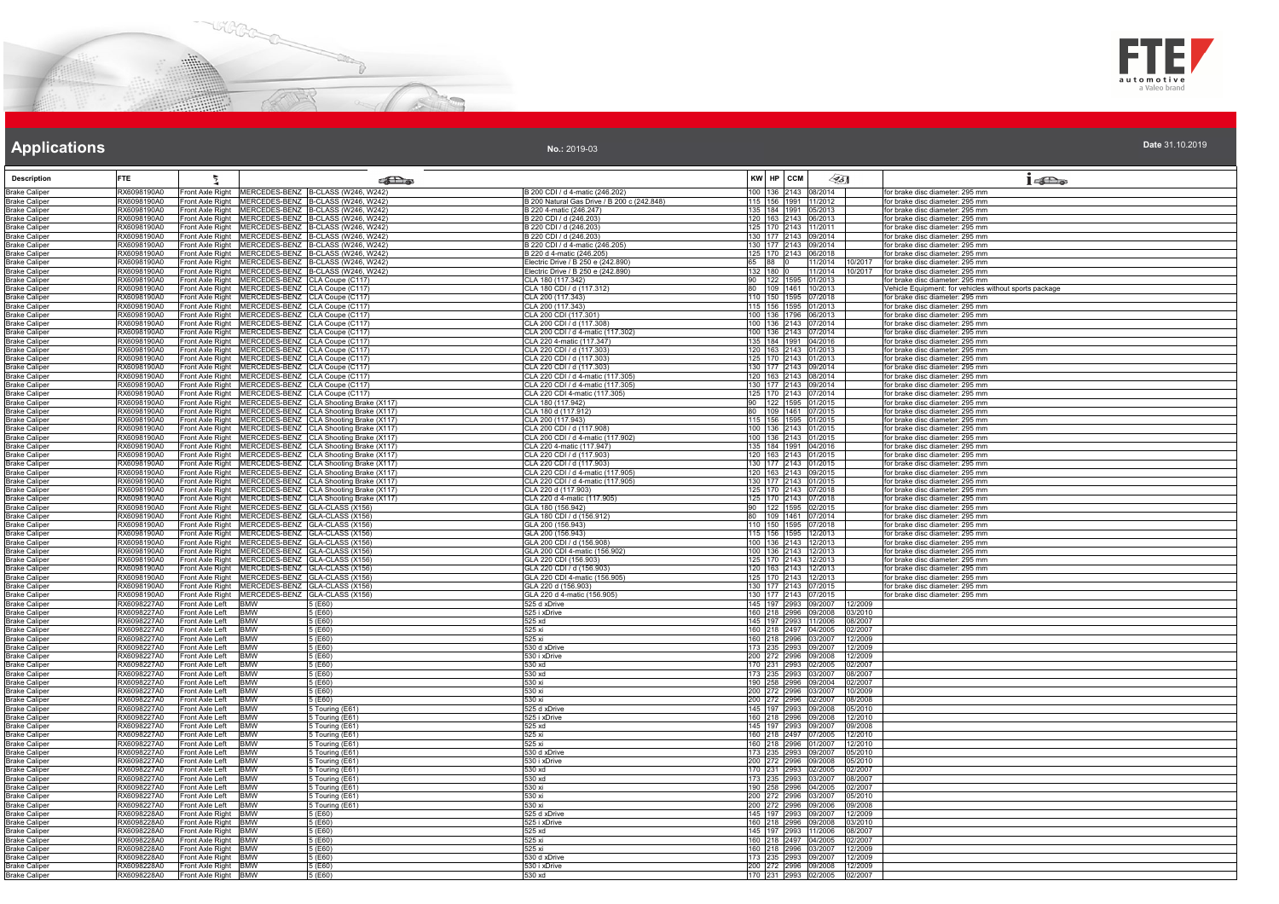



**No.:** 2019-03

| <b>Description</b>                           | <b>FTE</b>                 |                                                                                                                        | கில                                |                                                            | ∕95∏<br>KW HP CCM                                                  | $1 - \sum_{\alpha}$                                                                       |
|----------------------------------------------|----------------------------|------------------------------------------------------------------------------------------------------------------------|------------------------------------|------------------------------------------------------------|--------------------------------------------------------------------|-------------------------------------------------------------------------------------------|
| <b>Brake Caliper</b>                         | RX6098190A0                | Front Axle Right MERCEDES-BENZ B-CLASS (W246, W242)                                                                    |                                    | B 200 CDI / d 4-matic (246.202)                            | 100 136 2143 08/2014                                               | for brake disc diameter: 295 mm                                                           |
| <b>Brake Caliper</b>                         | RX6098190A0                | Front Axle Right   MERCEDES-BENZ B-CLASS (W246, W242)                                                                  |                                    | B 200 Natural Gas Drive / B 200 c (242.848)                | 115 156 1991 11/2012                                               | for brake disc diameter: 295 mm                                                           |
| <b>Brake Caliper</b>                         | RX6098190A0                | Front Axle Right   MERCEDES-BENZ   B-CLASS (W246, W242)                                                                |                                    | B 220 4-matic (246.247)                                    | 135 184 1991 05/2013                                               | for brake disc diameter: 295 mm                                                           |
| <b>Brake Caliper</b>                         | RX6098190A0                | Front Axle Right MERCEDES-BENZ B-CLASS (W246, W242)                                                                    |                                    | B 220 CDI / d (246.203)                                    | 120 163 2143 06/2013                                               | for brake disc diameter: 295 mm                                                           |
| <b>Brake Caliper</b>                         | RX6098190A0                | Front Axle Right MERCEDES-BENZ B-CLASS (W246, W242)<br>Front Axle Right MERCEDES-BENZ B-CLASS (W246, W242)             |                                    | B 220 CDI / d (246.203)                                    | 125 170 2143 11/2011                                               | for brake disc diameter: 295 mm                                                           |
| <b>Brake Caliper</b>                         | RX6098190A0<br>RX6098190A0 | Front Axle Right MERCEDES-BENZ B-CLASS (W246, W242)                                                                    |                                    | B 220 CDI / d (246.203)<br>B 220 CDI / d 4-matic (246.205) | 130 177 2143 09/2014<br>130 177 2143 09/2014                       | for brake disc diameter: 295 mm<br>for brake disc diameter: 295 mm                        |
| <b>Brake Caliper</b><br><b>Brake Caliper</b> | RX6098190A0                | Front Axle Right MERCEDES-BENZ B-CLASS (W246, W242)                                                                    |                                    | 3 220 d 4-matic (246.205)                                  | 125 170 2143 06/2018                                               | for brake disc diameter: 295 mm                                                           |
| <b>Brake Caliper</b>                         | RX6098190A0                | Front Axle Right MERCEDES-BENZ B-CLASS (W246, W242)                                                                    |                                    | Electric Drive / B 250 e (242.890)                         | 65 88 0<br>11/2014 10/2017                                         | for brake disc diameter: 295 mm                                                           |
| <b>Brake Caliper</b>                         | RX6098190A0                | Front Axle Right MERCEDES-BENZ B-CLASS (W246, W242)                                                                    |                                    | Electric Drive / B 250 e (242.890)                         | 132 180 0<br>11/2014<br>10/2017                                    | for brake disc diameter: 295 mm                                                           |
| <b>Brake Caliper</b>                         | RX6098190A0                | Front Axle Right MERCEDES-BENZ CLA Coupe (C117)<br>Front Axle Right MERCEDES-BENZ CLA Coupe (C117)                     |                                    | CLA 180 (117.342)                                          | 122 1595 01/2013<br>90<br>80 109 1461 10/2013                      | or brake disc diameter: 295 mm                                                            |
| <b>Brake Caliper</b><br><b>Brake Caliper</b> | RX6098190A0<br>RX6098190A0 | Front Axle Right   MERCEDES-BENZ   CLA Coupe (C117)                                                                    |                                    | CLA 180 CDI / d (117.312)<br>CLA 200 (117.343)             | 110 150 1595 07/2018                                               | Vehicle Equipment: for vehicles without sports package<br>for brake disc diameter: 295 mm |
| <b>Brake Caliper</b>                         | RX6098190A0                | Front Axle Right MERCEDES-BENZ CLA Coupe (C117)                                                                        |                                    | CLA 200 (117.343)                                          | 115 156 1595 01/2013                                               | for brake disc diameter: 295 mm                                                           |
| <b>Brake Caliper</b>                         | RX6098190A0                | Front Axle Right MERCEDES-BENZ CLA Coupe (C117)                                                                        |                                    | CLA 200 CDI (117.301)                                      | 100 136 1796 06/2013                                               | for brake disc diameter: 295 mm                                                           |
| <b>Brake Caliper</b>                         | RX6098190A0                | Front Axle Right MERCEDES-BENZ CLA Coupe (C117)                                                                        |                                    | CLA 200 CDI / d (117.308)                                  | 100 136 2143 07/2014                                               | for brake disc diameter: 295 mm                                                           |
| <b>Brake Caliper</b>                         | RX6098190A0                | Front Axle Right   MERCEDES-BENZ   CLA Coupe (C117)                                                                    |                                    | CLA 200 CDI / d 4-matic (117.302)                          | 100 136 2143 07/2014                                               | for brake disc diameter: 295 mm                                                           |
| <b>Brake Caliper</b><br><b>Brake Caliper</b> | RX6098190A0<br>RX6098190A0 | Front Axle Right MERCEDES-BENZ CLA Coupe (C117)<br>Front Axle Right MERCEDES-BENZ CLA Coupe (C117)                     |                                    | CLA 220 4-matic (117.347)<br>CLA 220 CDI / d (117.303)     | 135 184 1991 04/2016<br>120 163 2143 01/2013                       | for brake disc diameter: 295 mm<br>for brake disc diameter: 295 mm                        |
| <b>Brake Caliper</b>                         | RX6098190A0                | Front Axle Right MERCEDES-BENZ CLA Coupe (C117)                                                                        |                                    | CLA 220 CDI / d (117.303)                                  | 125 170 2143 01/2013                                               | for brake disc diameter: 295 mm                                                           |
| <b>Brake Caliper</b>                         | RX6098190A0                | Front Axle Right MERCEDES-BENZ CLA Coupe (C117)                                                                        |                                    | CLA 220 CDI / d (117.303)                                  | 130 177 2143 09/2014                                               | for brake disc diameter: 295 mm                                                           |
| <b>Brake Caliper</b>                         | RX6098190A0                | Front Axle Right MERCEDES-BENZ CLA Coupe (C117)                                                                        |                                    | CLA 220 CDI / d 4-matic (117,305)                          | 120 163 2143 08/2014                                               | for brake disc diameter: 295 mm                                                           |
| <b>Brake Caliper</b>                         | RX6098190A0<br>RX6098190A0 | Front Axle Right   MERCEDES-BENZ   CLA Coupe (C117)                                                                    |                                    | CLA 220 CDI / d 4-matic (117.305)                          | 130 177 2143 09/2014                                               | for brake disc diameter: 295 mm                                                           |
| <b>Brake Caliper</b><br><b>Brake Caliper</b> | RX6098190A0                | Front Axle Right MERCEDES-BENZ CLA Coupe (C117)<br>Front Axle Right MERCEDES-BENZ CLA Shooting Brake (X117             |                                    | CLA 220 CDI 4-matic (117.305)<br>CLA 180 (117.942)         | 125 170 2143 07/2014<br>90 122 1595 01/2015                        | for brake disc diameter: 295 mm<br>for brake disc diameter: 295 mm                        |
| <b>Brake Caliper</b>                         | RX6098190A0                | Front Axle Right MERCEDES-BENZ CLA Shooting Brake (X117)                                                               |                                    | CLA 180 d (117.912)                                        | 80 109 1461 07/2015                                                | for brake disc diameter: 295 mm                                                           |
| <b>Brake Caliper</b>                         | RX6098190A0                | Front Axle Right   MERCEDES-BENZ   CLA Shooting Brake (X117)                                                           |                                    | CLA 200 (117.943)                                          | 115 156 1595 01/2015                                               | for brake disc diameter: 295 mm                                                           |
| <b>Brake Caliper</b>                         | RX6098190A0                | Front Axle Right MERCEDES-BENZ CLA Shooting Brake (X117)                                                               |                                    | CLA 200 CDI / d (117.908)                                  | 100 136 2143 01/2015                                               | for brake disc diameter: 295 mm                                                           |
| <b>Brake Caliper</b>                         | RX6098190A0<br>RX6098190A0 | Front Axle Right   MERCEDES-BENZ CLA Shooting Brake (X117)<br>Front Axle Right MERCEDES-BENZ CLA Shooting Brake (X117) |                                    | CLA 200 CDI / d 4-matic (117.902)                          | 100 136 2143 01/2015<br>135 184 1991 04/2016                       | for brake disc diameter: 295 mm<br>for brake disc diameter: 295 mm                        |
| <b>Brake Caliper</b><br><b>Brake Caliper</b> | RX6098190A0                | Front Axle Right MERCEDES-BENZ CLA Shooting Brake (X117)                                                               |                                    | CLA 220 4-matic (117.947)<br>CLA 220 CDI / d (117.903)     | 120 163 2143 01/2015                                               | for brake disc diameter: 295 mm                                                           |
| <b>Brake Caliper</b>                         | RX6098190A0                | Front Axle Right   MERCEDES-BENZ   CLA Shooting Brake (X117)                                                           |                                    | CLA 220 CDI / d (117.903)                                  | 130 177 2143 01/2015                                               | for brake disc diameter: 295 mm                                                           |
| <b>Brake Caliper</b>                         | RX6098190A0                | Front Axle Right MERCEDES-BENZ CLA Shooting Brake (X117)                                                               |                                    | CLA 220 CDI / d 4-matic (117.905)                          | 120 163 2143 09/2015                                               | for brake disc diameter: 295 mm                                                           |
| <b>Brake Caliper</b>                         | RX6098190A0                | Front Axle Right MERCEDES-BENZ CLA Shooting Brake (X117)                                                               |                                    | CLA 220 CDI / d 4-matic (117.905)                          | 130 177 2143 01/2015                                               | for brake disc diameter: 295 mm                                                           |
| <b>Brake Caliper</b>                         | RX6098190A0                | Front Axle Right   MERCEDES-BENZ   CLA Shooting Brake (X117)                                                           |                                    | CLA 220 d (117.903)                                        | 125 170 2143 07/2018                                               | for brake disc diameter: 295 mm                                                           |
| <b>Brake Caliper</b><br><b>Brake Caliper</b> | RX6098190A0<br>RX6098190A0 | Front Axle Right MERCEDES-BENZ CLA Shooting Brake (X117)<br>Front Axle Right MERCEDES-BENZ GLA-CLASS (X156)            |                                    | CLA 220 d 4-matic (117.905)<br>GLA 180 (156.942)           | 125 170 2143 07/2018<br>90 122 1595 02/2015                        | for brake disc diameter: 295 mm<br>for brake disc diameter: 295 mm                        |
| <b>Brake Caliper</b>                         | RX6098190A0                | Front Axle Right MERCEDES-BENZ GLA-CLASS (X156)                                                                        |                                    | GLA 180 CDI / d (156.912)                                  | 80   109   1461   07/2014                                          | for brake disc diameter: 295 mm                                                           |
| <b>Brake Caliper</b>                         | RX6098190A0                | Front Axle Right MERCEDES-BENZ GLA-CLASS (X156)                                                                        |                                    | GLA 200 (156.943)                                          | 110 150 1595 07/2018                                               | for brake disc diameter: 295 mm                                                           |
| <b>Brake Caliper</b>                         | RX6098190A0                | Front Axle Right MERCEDES-BENZ GLA-CLASS (X156)                                                                        |                                    | GLA 200 (156.943)                                          | 115 156 1595 12/2013                                               | for brake disc diameter: 295 mm                                                           |
| <b>Brake Caliper</b>                         | RX6098190A0<br>RX6098190A0 | Front Axle Right   MERCEDES-BENZ   GLA-CLASS (X156)<br>Front Axle Right MERCEDES-BENZ GLA-CLASS (X156)                 |                                    | GLA 200 CDI / d (156.908)<br>GLA 200 CDI 4-matic (156.902) | 100 136 2143 12/2013<br>100 136 2143 12/2013                       | for brake disc diameter: 295 mm<br>for brake disc diameter: 295 mm                        |
| <b>Brake Caliper</b><br><b>Brake Caliper</b> | RX6098190A0                | Front Axle Right   MERCEDES-BENZ   GLA-CLASS (X156)                                                                    |                                    | GLA 220 CDI (156.903)                                      | 125 170 2143 12/2013                                               | for brake disc diameter: 295 mm                                                           |
| <b>Brake Caliper</b>                         | RX6098190A0                | Front Axle Right   MERCEDES-BENZ   GLA-CLASS (X156)                                                                    |                                    | GLA 220 CDI / d (156.903                                   | 120 163 2143 12/2013                                               | for brake disc diameter: 295 mm                                                           |
| <b>Brake Caliper</b>                         | RX6098190A0                | Front Axle Right MERCEDES-BENZ GLA-CLASS (X156)                                                                        |                                    | GLA 220 CDI 4-matic (156.905)                              | 125 170 2143 12/2013                                               | for brake disc diameter: 295 mm                                                           |
| <b>Brake Caliper</b>                         | RX6098190A0                | Front Axle Right MERCEDES-BENZ GLA-CLASS (X156)                                                                        |                                    | GLA 220 d (156.903)                                        | 130 177 2143 07/2015                                               | or brake disc diameter: 295 mm                                                            |
| <b>Brake Caliper</b>                         | RX6098190A0                | Front Axle Right MERCEDES-BENZ GLA-CLASS (X156)<br>Front Axle Left BMW                                                 |                                    | GLA 220 d 4-matic (156.905)<br>525 d xDrive                | 130 177 2143 07/2015                                               | for brake disc diameter: 295 mm                                                           |
| <b>Brake Caliper</b><br><b>Brake Caliper</b> | RX6098227A0<br>RX6098227A0 | Front Axle Left<br><b>BMW</b>                                                                                          | 5 (E60)<br>5 (E60)                 | 525 i xDrive                                               | 145 197 2993 09/2007<br>12/2009<br>160 218 2996 09/2008<br>03/2010 |                                                                                           |
| <b>Brake Caliper</b>                         | RX6098227A0                | Front Axle Left BMW                                                                                                    | 5 (E60)                            | 525 xd                                                     | 145   197   2993   11/2006<br>08/2007                              |                                                                                           |
| <b>Brake Caliper</b>                         | RX6098227A0                | Front Axle Left<br><b>BMW</b>                                                                                          | 5 (E60)                            | 525 xi                                                     | 160 218 2497 04/2005<br>02/2007                                    |                                                                                           |
| <b>Brake Caliper</b>                         | RX6098227A0                | <b>BMW</b><br>Front Axle Left                                                                                          | 5 (E60)                            | 525 xi                                                     | 160 218 2996 03/2007<br>12/2009                                    |                                                                                           |
| <b>Brake Caliper</b><br><b>Brake Caliper</b> | RX6098227A0<br>RX6098227A0 | BMW<br>Front Axle Left<br>Front Axle Left BMW                                                                          | 5 (E60)<br>5 (F60)                 | 530 d xDrive<br>530 i xDrive                               | 173 235 2993 09/2007<br>12/2009<br>200 272 2996 09/2008<br>12/2009 |                                                                                           |
| <b>Brake Caliper</b>                         | RX6098227A0                | Front Axle Left<br><b>BMW</b>                                                                                          | 5 (E60)                            | 530 xd                                                     | 170 231 2993 02/2005<br>02/2007                                    |                                                                                           |
| <b>Brake Caliper</b>                         | RX6098227A0                | Front Axle Left<br><b>IBMW</b>                                                                                         | 5 (E60)                            | 530 xd                                                     | 173 235 2993 03/2007 08/2007                                       |                                                                                           |
| <b>Brake Caliper</b>                         | RX6098227A0                | Front Axle Left<br><b>BMW</b>                                                                                          | 5(EB0)                             | 530 xi                                                     | 190 258 2996 09/2004<br>02/2007                                    |                                                                                           |
| <b>Brake Caliper</b>                         | RX6098227A0                | Front Axle Left<br><b>BMW</b>                                                                                          | 5 (E60)                            | 530 xi                                                     | 200 272 2996 03/2007<br>10/2009                                    |                                                                                           |
| <b>Brake Caliper</b><br><b>Brake Caliper</b> | RX6098227A0<br>RX6098227A0 | Front Axle Left<br><b>BMW</b><br>Front Axle Left<br><b>BMW</b>                                                         | 5 (E60)                            | 530 xi<br>525 d xDrive                                     | 200 272 2996 02/2007<br>08/2008<br>145 197 2993 09/2008<br>05/2010 |                                                                                           |
| <b>Brake Caliper</b>                         | RX6098227A0                | Front Axle Left BMW                                                                                                    | 5 Touring (E61)<br>5 Touring (E61) | 525 i xDrive                                               | 160 218 2996 09/2008<br>12/2010                                    |                                                                                           |
| <b>Brake Caliper</b>                         | RX6098227A0                | Front Axle Left BMW                                                                                                    | 5 Touring (E61)                    | 525 xd                                                     | 145 197 2993 09/2007<br>09/2008                                    |                                                                                           |
| <b>Brake Caliper</b>                         | RX6098227A0                | Front Axle Left<br><b>BMW</b>                                                                                          | $\overline{5}$ Touring (E61)       | 525 xi                                                     | 160 218 2497 07/2005<br>12/2010                                    |                                                                                           |
| <b>Brake Caliper</b>                         | RX6098227A0                | Front Axle Left<br><b>BMW</b>                                                                                          | Touring (E61)                      | 525 xi                                                     | 160 218 2996 01/2007<br>12/2010                                    |                                                                                           |
| <b>Brake Caliper</b>                         | RX6098227A0                | <b>BMW</b><br>Front Axle Left<br><b>BMW</b>                                                                            | 5 Touring (E61)                    | 530 d xDrive                                               | 173 235 2993 09/2007<br>05/2010<br>200 272 2996 09/2008            |                                                                                           |
| <b>Brake Caliper</b><br><b>Brake Caliper</b> | RX6098227A0<br>RX6098227A0 | Front Axle Left<br>Front Axle Left<br><b>BMW</b>                                                                       | 5 Touring (E61)<br>5 Touring (E61) | 530 i xDrive<br>530 xd                                     | 05/2010<br>170 231 2993 02/2005<br>02/2007                         |                                                                                           |
| <b>Brake Caliper</b>                         | RX6098227A0                | Front Axle Left<br><b>BMW</b>                                                                                          | 5 Touring (E61)                    | 530 xd                                                     | 173 235 2993 03/2007<br>08/2007                                    |                                                                                           |
| <b>Brake Caliper</b>                         | RX6098227A0                | Front Axle Left<br><b>BMW</b>                                                                                          | 5 Touring (E61)                    | 530 xi                                                     | 190 258 2996 04/2005<br>02/2007                                    |                                                                                           |
| <b>Brake Caliper</b>                         | RX6098227A0                | <b>BMW</b><br>Front Axle Left                                                                                          | Touring (E61)                      | 530 xi                                                     | 200 272 2996 03/2007<br>05/2010                                    |                                                                                           |
| <b>Brake Caliper</b>                         | RX6098227A0                | Front Axle Left BMW                                                                                                    | 5 Touring (E61)                    | 530 xi                                                     | 200 272 2996 09/2006<br>109/2008                                   |                                                                                           |
| <b>Brake Caliper</b>                         | RX6098228A0                | Front Axle Right BMW                                                                                                   | 5 (E60)                            | 525 d xDrive                                               | 145 197 2993 09/2007<br>12/2009<br>03/2010                         |                                                                                           |
| <b>Brake Caliper</b><br><b>Brake Caliper</b> | RX6098228A0<br>RX6098228A0 | Front Axle Right BMW<br>Front Axle Right BMW                                                                           | 5 (E60)<br>5 (E60)                 | 525 i xDrive<br>525 xd                                     | 160 218 2996 09/2008<br>145 197 2993 11/2006<br>08/2007            |                                                                                           |
| <b>Brake Caliper</b>                         | RX6098228A0                | Front Axle Right BMW                                                                                                   | 5 (E60)                            | 525 xi                                                     | 160 218 2497 04/2005<br>02/2007                                    |                                                                                           |
| <b>Brake Caliper</b>                         | RX6098228A0                | Front Axle Right BMW                                                                                                   | 5 (E60)                            | 525 xi                                                     | 160 218 2996 03/2007<br>12/2009                                    |                                                                                           |
| <b>Brake Caliper</b>                         | RX6098228A0                | Front Axle Right BMW                                                                                                   | 5(F60)                             | 530 d xDrive                                               | 173 235 2993 09/2007 12/2009                                       |                                                                                           |
| <b>Brake Caliper</b>                         | RX6098228A0                | Front Axle Right BMW                                                                                                   | 5 (E60)                            | 530 i xDrive                                               | 200 272 2996 09/2008<br>12/2009                                    |                                                                                           |
| <b>Brake Caliper</b>                         | RX6098228A0                | Front Axle Right BMW                                                                                                   | 5 (E60)                            | 530 xd                                                     | 170 231 2993 02/2005 02/2007                                       |                                                                                           |